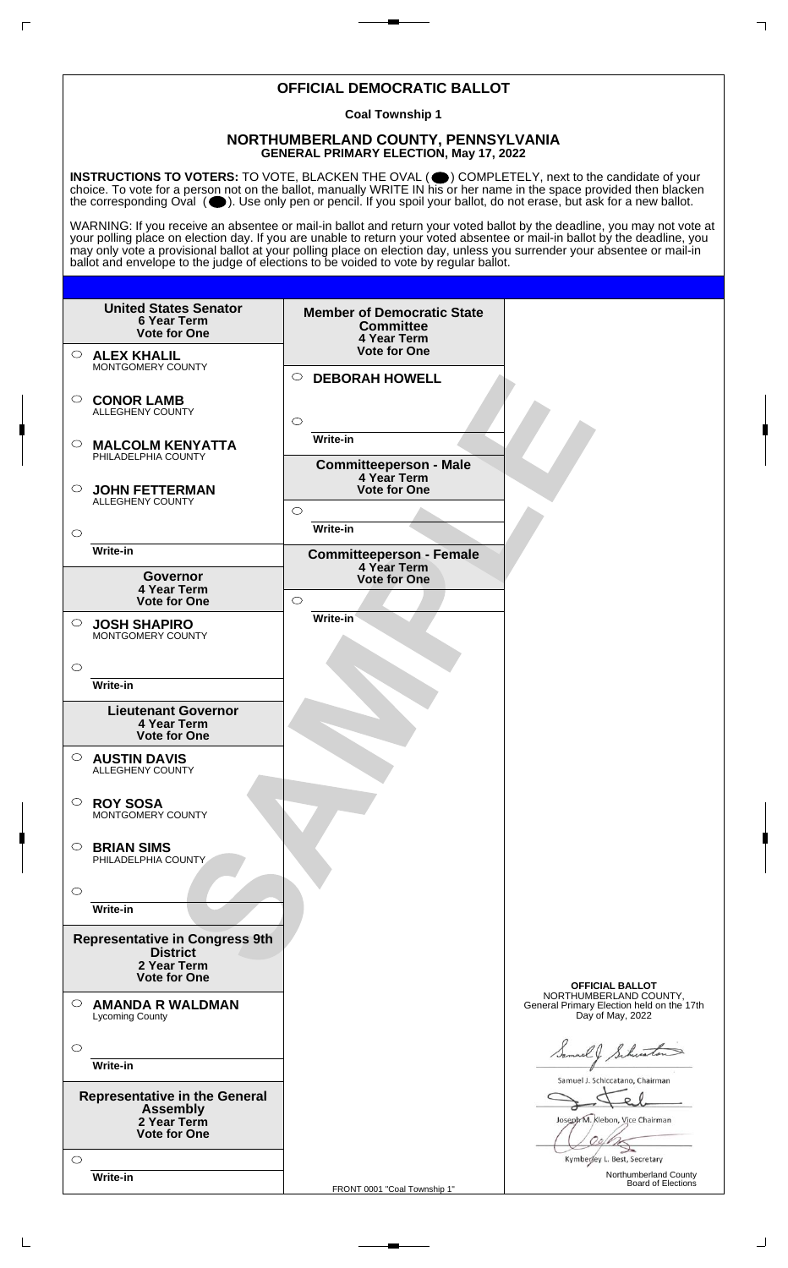|                                                                                                | <b>OFFICIAL DEMOCRATIC BALLOT</b>                                                    |                                                                                                                                                                                                                                                                                                                                                                                                                                                                           |                                                                                                                   |  |  |
|------------------------------------------------------------------------------------------------|--------------------------------------------------------------------------------------|---------------------------------------------------------------------------------------------------------------------------------------------------------------------------------------------------------------------------------------------------------------------------------------------------------------------------------------------------------------------------------------------------------------------------------------------------------------------------|-------------------------------------------------------------------------------------------------------------------|--|--|
|                                                                                                | <b>Coal Township 1</b>                                                               |                                                                                                                                                                                                                                                                                                                                                                                                                                                                           |                                                                                                                   |  |  |
|                                                                                                | NORTHUMBERLAND COUNTY, PENNSYLVANIA<br><b>GENERAL PRIMARY ELECTION, May 17, 2022</b> |                                                                                                                                                                                                                                                                                                                                                                                                                                                                           |                                                                                                                   |  |  |
|                                                                                                |                                                                                      | <b>INSTRUCTIONS TO VOTERS:</b> TO VOTE, BLACKEN THE OVAL (O) COMPLETELY, next to the candidate of your<br>choice. To vote for a person not on the ballot, manually WRITE IN his or her name in the space provided then blacken<br>the corresponding Oval (C). Use only pen or pencil. If you spoil your ballot, do not erase, but ask for a new ballot.                                                                                                                   |                                                                                                                   |  |  |
|                                                                                                |                                                                                      | WARNING: If you receive an absentee or mail-in ballot and return your voted ballot by the deadline, you may not vote at<br>your polling place on election day. If you are unable to return your voted absentee or mail-in ballot by the deadline, you<br>may only vote a provisional ballot at your polling place on election day, unless you surrender your absentee or mail-in<br>ballot and envelope to the judge of elections to be voided to vote by regular ballot. |                                                                                                                   |  |  |
|                                                                                                |                                                                                      |                                                                                                                                                                                                                                                                                                                                                                                                                                                                           |                                                                                                                   |  |  |
| <b>United States Senator</b>                                                                   |                                                                                      |                                                                                                                                                                                                                                                                                                                                                                                                                                                                           |                                                                                                                   |  |  |
| <b>6 Year Term</b><br><b>Vote for One</b>                                                      |                                                                                      | <b>Member of Democratic State</b><br><b>Committee</b><br>4 Year Term<br><b>Vote for One</b>                                                                                                                                                                                                                                                                                                                                                                               |                                                                                                                   |  |  |
| $\circ$<br><b>ALEX KHALIL</b><br>MONTGOMERY COUNTY                                             |                                                                                      | $\circ$<br><b>DEBORAH HOWELL</b>                                                                                                                                                                                                                                                                                                                                                                                                                                          |                                                                                                                   |  |  |
| $\circ$<br><b>CONOR LAMB</b><br><b>ALLEGHENY COUNTY</b>                                        |                                                                                      | $\circ$                                                                                                                                                                                                                                                                                                                                                                                                                                                                   |                                                                                                                   |  |  |
| <b>MALCOLM KENYATTA</b><br>$\circ$<br>PHILADELPHIA COUNTY                                      |                                                                                      | <b>Write-in</b><br><b>Committeeperson - Male</b><br>4 Year Term                                                                                                                                                                                                                                                                                                                                                                                                           |                                                                                                                   |  |  |
| $\circ$<br><b>JOHN FETTERMAN</b><br><b>ALLEGHENY COUNTY</b>                                    |                                                                                      | <b>Vote for One</b><br>$\circ$                                                                                                                                                                                                                                                                                                                                                                                                                                            |                                                                                                                   |  |  |
| $\circ$                                                                                        |                                                                                      | <b>Write-in</b>                                                                                                                                                                                                                                                                                                                                                                                                                                                           |                                                                                                                   |  |  |
| <b>Write-in</b>                                                                                |                                                                                      | <b>Committeeperson - Female</b>                                                                                                                                                                                                                                                                                                                                                                                                                                           |                                                                                                                   |  |  |
| Governor<br>4 Year Term<br><b>Vote for One</b>                                                 |                                                                                      | 4 Year Term<br><b>Vote for One</b><br>$\circ$                                                                                                                                                                                                                                                                                                                                                                                                                             |                                                                                                                   |  |  |
| <b>JOSH SHAPIRO</b><br>$\circ$<br>MONTGOMERY COUNTY                                            |                                                                                      | Write-in                                                                                                                                                                                                                                                                                                                                                                                                                                                                  |                                                                                                                   |  |  |
| $\circ$<br><b>Write-in</b>                                                                     |                                                                                      |                                                                                                                                                                                                                                                                                                                                                                                                                                                                           |                                                                                                                   |  |  |
| <b>Lieutenant Governor</b><br>4 Year Term<br><b>Vote for One</b>                               |                                                                                      |                                                                                                                                                                                                                                                                                                                                                                                                                                                                           |                                                                                                                   |  |  |
| <b>AUSTIN DAVIS</b><br>$\circ$<br><b>ALLEGHENY COUNTY</b>                                      |                                                                                      |                                                                                                                                                                                                                                                                                                                                                                                                                                                                           |                                                                                                                   |  |  |
| <b>ROY SOSA</b><br>$\circ$<br>MONTGOMERY COUNTY                                                |                                                                                      |                                                                                                                                                                                                                                                                                                                                                                                                                                                                           |                                                                                                                   |  |  |
| <b>BRIAN SIMS</b><br>$\circ$<br>PHILADELPHIA COUNTY                                            |                                                                                      |                                                                                                                                                                                                                                                                                                                                                                                                                                                                           |                                                                                                                   |  |  |
| $\circlearrowright$<br><b>Write-in</b>                                                         |                                                                                      |                                                                                                                                                                                                                                                                                                                                                                                                                                                                           |                                                                                                                   |  |  |
| <b>Representative in Congress 9th</b><br><b>District</b><br>2 Year Term<br><b>Vote for One</b> |                                                                                      |                                                                                                                                                                                                                                                                                                                                                                                                                                                                           |                                                                                                                   |  |  |
| <b>AMANDA R WALDMAN</b><br>$\circ$<br><b>Lycoming County</b>                                   |                                                                                      |                                                                                                                                                                                                                                                                                                                                                                                                                                                                           | <b>OFFICIAL BALLOT</b><br>NORTHUMBERLAND COUNTY,<br>General Primary Election held on the 17th<br>Day of May, 2022 |  |  |
| $\circlearrowright$                                                                            |                                                                                      |                                                                                                                                                                                                                                                                                                                                                                                                                                                                           |                                                                                                                   |  |  |
| <b>Write-in</b>                                                                                |                                                                                      |                                                                                                                                                                                                                                                                                                                                                                                                                                                                           | Samuel J. Schiccatano, Chairman                                                                                   |  |  |
| <b>Representative in the General</b><br><b>Assembly</b><br>2 Year Term<br><b>Vote for One</b>  |                                                                                      |                                                                                                                                                                                                                                                                                                                                                                                                                                                                           | Joseph M. Klebon, Vice Chairman                                                                                   |  |  |
| $\circ$                                                                                        |                                                                                      |                                                                                                                                                                                                                                                                                                                                                                                                                                                                           | Kymberley L. Best, Secretary                                                                                      |  |  |
| <b>Write-in</b>                                                                                |                                                                                      | FRONT 0001 "Coal Township 1"                                                                                                                                                                                                                                                                                                                                                                                                                                              | Northumberland County<br>Board of Elections                                                                       |  |  |

 $\Box$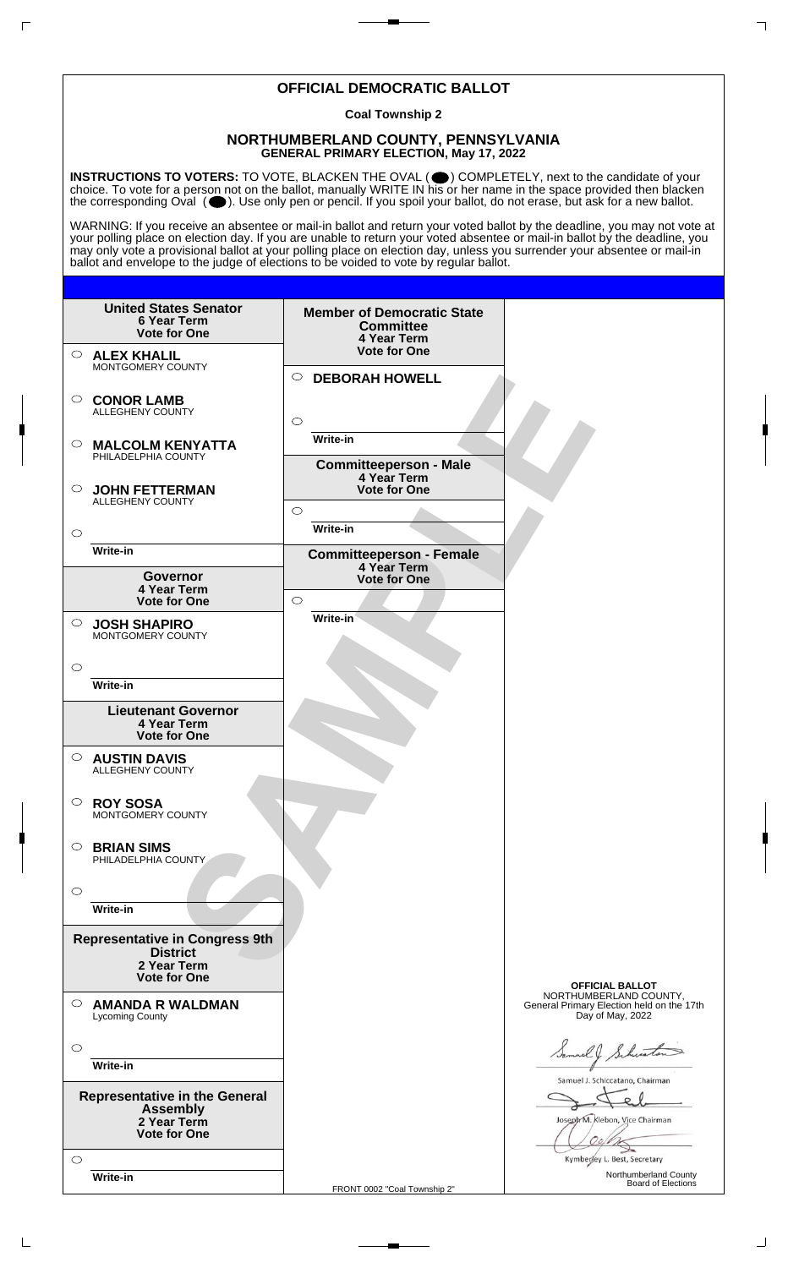|                     | <b>OFFICIAL DEMOCRATIC BALLOT</b>                                                              |                                                                                                                                                                                                                                                                                                                                                                                                                                                                        |                                                                                                                   |  |  |
|---------------------|------------------------------------------------------------------------------------------------|------------------------------------------------------------------------------------------------------------------------------------------------------------------------------------------------------------------------------------------------------------------------------------------------------------------------------------------------------------------------------------------------------------------------------------------------------------------------|-------------------------------------------------------------------------------------------------------------------|--|--|
|                     | <b>Coal Township 2</b>                                                                         |                                                                                                                                                                                                                                                                                                                                                                                                                                                                        |                                                                                                                   |  |  |
|                     | NORTHUMBERLAND COUNTY, PENNSYLVANIA<br><b>GENERAL PRIMARY ELECTION, May 17, 2022</b>           |                                                                                                                                                                                                                                                                                                                                                                                                                                                                        |                                                                                                                   |  |  |
|                     |                                                                                                | <b>INSTRUCTIONS TO VOTERS:</b> TO VOTE, BLACKEN THE OVAL (O) COMPLETELY, next to the candidate of your<br>choice. To vote for a person not on the ballot, manually WRITE IN his or her name in the space provided then blacken<br>the corresponding Oval (C). Use only pen or pencil. If you spoil your ballot, do not erase, but ask for a new ballot.                                                                                                                |                                                                                                                   |  |  |
|                     |                                                                                                | WARNING: If you receive an absentee or mail-in ballot and return your voted ballot by the deadline, you may not vote at<br>your polling place on election day. If you are unable to return your voted absentee or mail-in ballot by the deadline, you<br>may only vote a provisional ballot at your polling place on election day, unless you surrender your absentee or mail-in ballot and envelope to the judge of elections to be voided to vote by regular ballot. |                                                                                                                   |  |  |
|                     |                                                                                                |                                                                                                                                                                                                                                                                                                                                                                                                                                                                        |                                                                                                                   |  |  |
|                     | <b>United States Senator</b>                                                                   | <b>Member of Democratic State</b>                                                                                                                                                                                                                                                                                                                                                                                                                                      |                                                                                                                   |  |  |
|                     | 6 Year Term<br><b>Vote for One</b>                                                             | <b>Committee</b><br>4 Year Term<br><b>Vote for One</b>                                                                                                                                                                                                                                                                                                                                                                                                                 |                                                                                                                   |  |  |
| $\circ$             | ALEX KHALIL<br><b>MONTGOMERY COUNTY</b>                                                        | O<br><b>DEBORAH HOWELL</b>                                                                                                                                                                                                                                                                                                                                                                                                                                             |                                                                                                                   |  |  |
| $\circ$             | <b>CONOR LAMB</b><br><b>ALLEGHENY COUNTY</b>                                                   | $\circ$                                                                                                                                                                                                                                                                                                                                                                                                                                                                |                                                                                                                   |  |  |
| $\circ$             | <b>MALCOLM KENYATTA</b><br>PHILADELPHIA COUNTY                                                 | <b>Write-in</b><br><b>Committeeperson - Male</b>                                                                                                                                                                                                                                                                                                                                                                                                                       |                                                                                                                   |  |  |
| $\circ$             | <b>JOHN FETTERMAN</b><br><b>ALLEGHENY COUNTY</b>                                               | 4 Year Term<br><b>Vote for One</b>                                                                                                                                                                                                                                                                                                                                                                                                                                     |                                                                                                                   |  |  |
| $\circ$             |                                                                                                | $\circ$<br><b>Write-in</b>                                                                                                                                                                                                                                                                                                                                                                                                                                             |                                                                                                                   |  |  |
|                     | Write-in                                                                                       | <b>Committeeperson - Female</b>                                                                                                                                                                                                                                                                                                                                                                                                                                        |                                                                                                                   |  |  |
|                     | Governor<br>4 Year Term<br><b>Vote for One</b>                                                 | 4 Year Term<br><b>Vote for One</b><br>$\circ$                                                                                                                                                                                                                                                                                                                                                                                                                          |                                                                                                                   |  |  |
| $\circ$             | <b>JOSH SHAPIRO</b><br>MONTGOMERY COUNTY                                                       | Write-in                                                                                                                                                                                                                                                                                                                                                                                                                                                               |                                                                                                                   |  |  |
| $\circ$             |                                                                                                |                                                                                                                                                                                                                                                                                                                                                                                                                                                                        |                                                                                                                   |  |  |
|                     | Write-in                                                                                       |                                                                                                                                                                                                                                                                                                                                                                                                                                                                        |                                                                                                                   |  |  |
|                     | <b>Lieutenant Governor</b><br>4 Year Term<br><b>Vote for One</b>                               |                                                                                                                                                                                                                                                                                                                                                                                                                                                                        |                                                                                                                   |  |  |
|                     | $\circ$ AUSTIN DAVIS<br><b>ALLEGHENY COUNTY</b>                                                |                                                                                                                                                                                                                                                                                                                                                                                                                                                                        |                                                                                                                   |  |  |
| $\circ$             | <b>ROY SOSA</b><br>MONTGOMERY COUNTY                                                           |                                                                                                                                                                                                                                                                                                                                                                                                                                                                        |                                                                                                                   |  |  |
| $\circ$             | <b>BRIAN SIMS</b><br>PHILADELPHIA COUNTY                                                       |                                                                                                                                                                                                                                                                                                                                                                                                                                                                        |                                                                                                                   |  |  |
| $\circlearrowright$ | <b>Write-in</b>                                                                                |                                                                                                                                                                                                                                                                                                                                                                                                                                                                        |                                                                                                                   |  |  |
|                     |                                                                                                |                                                                                                                                                                                                                                                                                                                                                                                                                                                                        |                                                                                                                   |  |  |
|                     | <b>Representative in Congress 9th</b><br><b>District</b><br>2 Year Term<br><b>Vote for One</b> |                                                                                                                                                                                                                                                                                                                                                                                                                                                                        |                                                                                                                   |  |  |
| $\circ$             | <b>AMANDA R WALDMAN</b><br><b>Lycoming County</b>                                              |                                                                                                                                                                                                                                                                                                                                                                                                                                                                        | <b>OFFICIAL BALLOT</b><br>NORTHUMBERLAND COUNTY,<br>General Primary Election held on the 17th<br>Day of May, 2022 |  |  |
| $\circ$             |                                                                                                |                                                                                                                                                                                                                                                                                                                                                                                                                                                                        |                                                                                                                   |  |  |
|                     | Write-in                                                                                       |                                                                                                                                                                                                                                                                                                                                                                                                                                                                        | Samuel J. Schiccatano, Chairman                                                                                   |  |  |
|                     | <b>Representative in the General</b><br><b>Assembly</b><br>2 Year Term<br><b>Vote for One</b>  |                                                                                                                                                                                                                                                                                                                                                                                                                                                                        | Joseph M. Klebon, Vice Chairman                                                                                   |  |  |
| $\circ$             |                                                                                                |                                                                                                                                                                                                                                                                                                                                                                                                                                                                        | Kymberley L. Best, Secretary                                                                                      |  |  |
|                     | <b>Write-in</b>                                                                                | FRONT 0002 "Coal Township 2"                                                                                                                                                                                                                                                                                                                                                                                                                                           | Northumberland County<br>Board of Elections                                                                       |  |  |

 $\Box$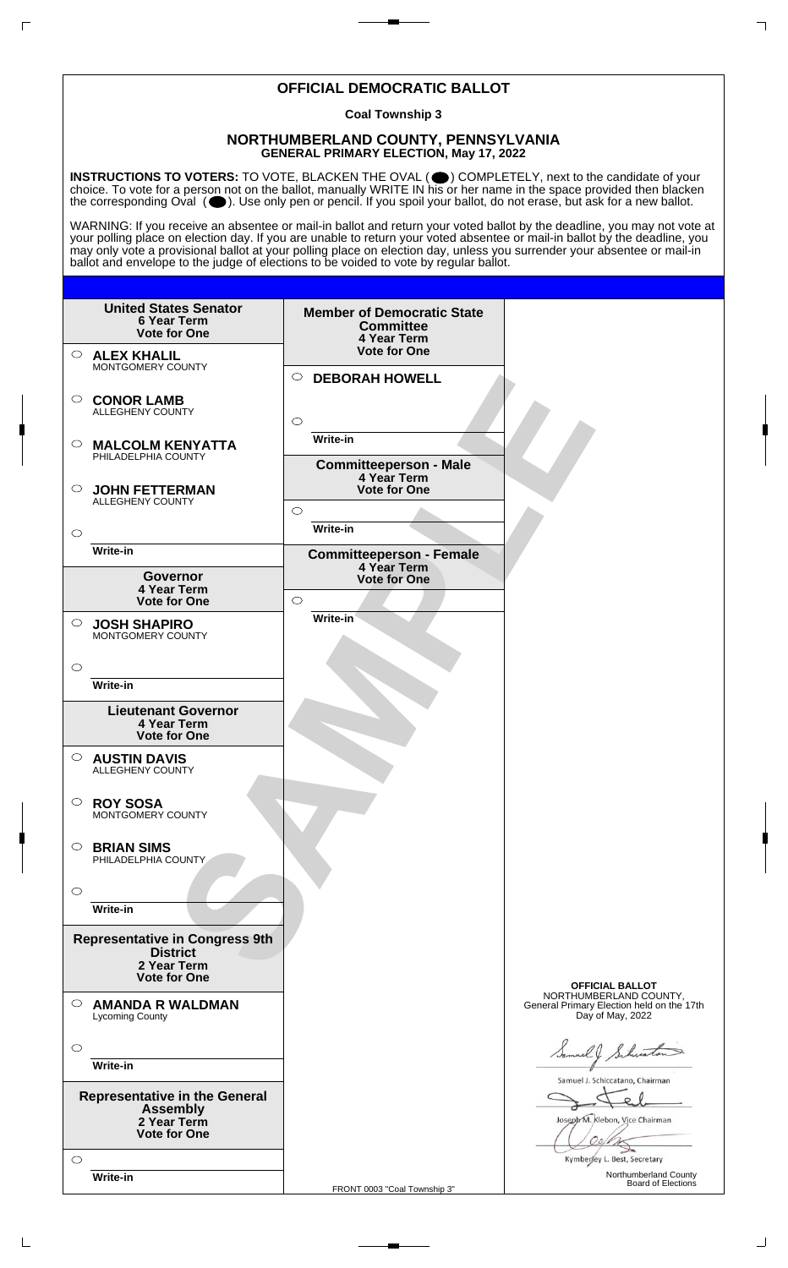| <b>OFFICIAL DEMOCRATIC BALLOT</b>                                                              |                                                                                                                                                                                                                                                                                                                                                                                                                                                                        |                                                                                                                   |  |
|------------------------------------------------------------------------------------------------|------------------------------------------------------------------------------------------------------------------------------------------------------------------------------------------------------------------------------------------------------------------------------------------------------------------------------------------------------------------------------------------------------------------------------------------------------------------------|-------------------------------------------------------------------------------------------------------------------|--|
| <b>Coal Township 3</b>                                                                         |                                                                                                                                                                                                                                                                                                                                                                                                                                                                        |                                                                                                                   |  |
|                                                                                                | NORTHUMBERLAND COUNTY, PENNSYLVANIA<br><b>GENERAL PRIMARY ELECTION, May 17, 2022</b>                                                                                                                                                                                                                                                                                                                                                                                   |                                                                                                                   |  |
|                                                                                                | <b>INSTRUCTIONS TO VOTERS:</b> TO VOTE, BLACKEN THE OVAL (O) COMPLETELY, next to the candidate of your choice. To vote for a person not on the ballot, manually WRITE IN his or her name in the space provided then blacken<br>the corresponding Oval (C). Use only pen or pencil. If you spoil your ballot, do not erase, but ask for a new ballot.                                                                                                                   |                                                                                                                   |  |
|                                                                                                | WARNING: If you receive an absentee or mail-in ballot and return your voted ballot by the deadline, you may not vote at<br>your polling place on election day. If you are unable to return your voted absentee or mail-in ballot by the deadline, you<br>may only vote a provisional ballot at your polling place on election day, unless you surrender your absentee or mail-in ballot and envelope to the judge of elections to be voided to vote by regular ballot. |                                                                                                                   |  |
|                                                                                                |                                                                                                                                                                                                                                                                                                                                                                                                                                                                        |                                                                                                                   |  |
| <b>United States Senator</b><br><b>6 Year Term</b><br><b>Vote for One</b>                      | <b>Member of Democratic State</b><br><b>Committee</b><br>4 Year Term                                                                                                                                                                                                                                                                                                                                                                                                   |                                                                                                                   |  |
| $\circ$ ALEX KHALIL<br><b>MONTGOMERY COUNTY</b>                                                | <b>Vote for One</b><br>$\circ$<br><b>DEBORAH HOWELL</b>                                                                                                                                                                                                                                                                                                                                                                                                                |                                                                                                                   |  |
| $\circ$<br><b>CONOR LAMB</b><br><b>ALLEGHENY COUNTY</b>                                        | ◯                                                                                                                                                                                                                                                                                                                                                                                                                                                                      |                                                                                                                   |  |
| $\circ$<br><b>MALCOLM KENYATTA</b><br>PHILADELPHIA COUNTY                                      | <b>Write-in</b><br><b>Committeeperson - Male</b>                                                                                                                                                                                                                                                                                                                                                                                                                       |                                                                                                                   |  |
| $\circ$<br><b>JOHN FETTERMAN</b><br><b>ALLEGHENY COUNTY</b>                                    | 4 Year Term<br><b>Vote for One</b><br>$\circ$                                                                                                                                                                                                                                                                                                                                                                                                                          |                                                                                                                   |  |
| $\circ$                                                                                        | <b>Write-in</b>                                                                                                                                                                                                                                                                                                                                                                                                                                                        |                                                                                                                   |  |
| Write-in                                                                                       | <b>Committeeperson - Female</b><br>4 Year Term                                                                                                                                                                                                                                                                                                                                                                                                                         |                                                                                                                   |  |
| Governor<br>4 Year Term<br><b>Vote for One</b>                                                 | <b>Vote for One</b><br>$\circ$                                                                                                                                                                                                                                                                                                                                                                                                                                         |                                                                                                                   |  |
| <b>JOSH SHAPIRO</b><br>$\circ$<br>MONTGOMERY COUNTY                                            | Write-in                                                                                                                                                                                                                                                                                                                                                                                                                                                               |                                                                                                                   |  |
| $\circ$<br><b>Write-in</b>                                                                     |                                                                                                                                                                                                                                                                                                                                                                                                                                                                        |                                                                                                                   |  |
| <b>Lieutenant Governor</b><br>4 Year Term<br><b>Vote for One</b>                               |                                                                                                                                                                                                                                                                                                                                                                                                                                                                        |                                                                                                                   |  |
| <b>AUSTIN DAVIS</b><br>$\circ$<br><b>ALLEGHENY COUNTY</b>                                      |                                                                                                                                                                                                                                                                                                                                                                                                                                                                        |                                                                                                                   |  |
| <b>ROY SOSA</b><br>$\circ$<br>MONTGOMERY COUNTY                                                |                                                                                                                                                                                                                                                                                                                                                                                                                                                                        |                                                                                                                   |  |
| <b>BRIAN SIMS</b><br>O<br>PHILADELPHIA COUNTY                                                  |                                                                                                                                                                                                                                                                                                                                                                                                                                                                        |                                                                                                                   |  |
| $\circ$<br><b>Write-in</b>                                                                     |                                                                                                                                                                                                                                                                                                                                                                                                                                                                        |                                                                                                                   |  |
| <b>Representative in Congress 9th</b><br><b>District</b><br>2 Year Term<br><b>Vote for One</b> |                                                                                                                                                                                                                                                                                                                                                                                                                                                                        |                                                                                                                   |  |
| <b>AMANDA R WALDMAN</b><br>$\circ$<br><b>Lycoming County</b>                                   |                                                                                                                                                                                                                                                                                                                                                                                                                                                                        | <b>OFFICIAL BALLOT</b><br>NORTHUMBERLAND COUNTY,<br>General Primary Election held on the 17th<br>Day of May, 2022 |  |
| $\circ$                                                                                        |                                                                                                                                                                                                                                                                                                                                                                                                                                                                        |                                                                                                                   |  |
| Write-in                                                                                       |                                                                                                                                                                                                                                                                                                                                                                                                                                                                        | Samuel J. Schiccatano, Chairman                                                                                   |  |
| <b>Representative in the General</b><br><b>Assembly</b><br>2 Year Term<br><b>Vote for One</b>  |                                                                                                                                                                                                                                                                                                                                                                                                                                                                        | Joseph M. Klebon, Vice Chairman                                                                                   |  |
| $\circlearrowright$                                                                            |                                                                                                                                                                                                                                                                                                                                                                                                                                                                        | Kymber/ey L. Best, Secretary                                                                                      |  |
| Write-in                                                                                       | FRONT 0003 "Coal Township 3"                                                                                                                                                                                                                                                                                                                                                                                                                                           | Northumberland County<br><b>Board of Elections</b>                                                                |  |

 $\Box$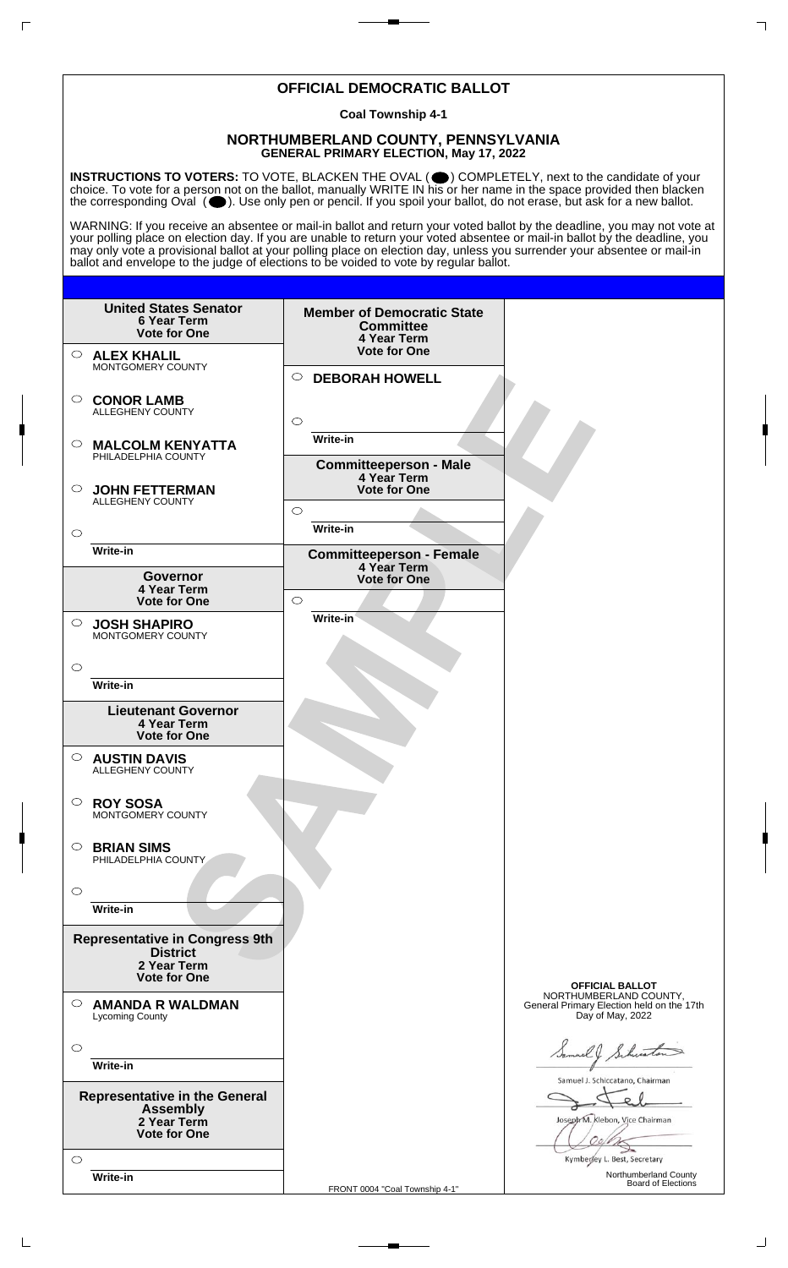| <b>OFFICIAL DEMOCRATIC BALLOT</b>                                                              |                                                                                                                                                                                                                                                                                                                                                                                                                                                                           |                                                                                                                   |  |  |
|------------------------------------------------------------------------------------------------|---------------------------------------------------------------------------------------------------------------------------------------------------------------------------------------------------------------------------------------------------------------------------------------------------------------------------------------------------------------------------------------------------------------------------------------------------------------------------|-------------------------------------------------------------------------------------------------------------------|--|--|
| <b>Coal Township 4-1</b>                                                                       |                                                                                                                                                                                                                                                                                                                                                                                                                                                                           |                                                                                                                   |  |  |
|                                                                                                | NORTHUMBERLAND COUNTY, PENNSYLVANIA<br><b>GENERAL PRIMARY ELECTION, May 17, 2022</b>                                                                                                                                                                                                                                                                                                                                                                                      |                                                                                                                   |  |  |
|                                                                                                | <b>INSTRUCTIONS TO VOTERS:</b> TO VOTE, BLACKEN THE OVAL (O) COMPLETELY, next to the candidate of your<br>choice. To vote for a person not on the ballot, manually WRITE IN his or her name in the space provided then blacken<br>the corresponding Oval (C). Use only pen or pencil. If you spoil your ballot, do not erase, but ask for a new ballot.                                                                                                                   |                                                                                                                   |  |  |
|                                                                                                | WARNING: If you receive an absentee or mail-in ballot and return your voted ballot by the deadline, you may not vote at<br>your polling place on election day. If you are unable to return your voted absentee or mail-in ballot by the deadline, you<br>may only vote a provisional ballot at your polling place on election day, unless you surrender your absentee or mail-in<br>ballot and envelope to the judge of elections to be voided to vote by regular ballot. |                                                                                                                   |  |  |
|                                                                                                |                                                                                                                                                                                                                                                                                                                                                                                                                                                                           |                                                                                                                   |  |  |
| <b>United States Senator</b>                                                                   | <b>Member of Democratic State</b>                                                                                                                                                                                                                                                                                                                                                                                                                                         |                                                                                                                   |  |  |
| <b>6 Year Term</b><br><b>Vote for One</b>                                                      | <b>Committee</b><br>4 Year Term<br><b>Vote for One</b>                                                                                                                                                                                                                                                                                                                                                                                                                    |                                                                                                                   |  |  |
| $\circ$<br><b>ALEX KHALIL</b><br>MONTGOMERY COUNTY                                             | O<br><b>DEBORAH HOWELL</b>                                                                                                                                                                                                                                                                                                                                                                                                                                                |                                                                                                                   |  |  |
| $\circ$<br><b>CONOR LAMB</b><br><b>ALLEGHENY COUNTY</b>                                        | $\circlearrowright$                                                                                                                                                                                                                                                                                                                                                                                                                                                       |                                                                                                                   |  |  |
| <b>MALCOLM KENYATTA</b><br>$\circ$<br>PHILADELPHIA COUNTY                                      | <b>Write-in</b><br><b>Committeeperson - Male</b>                                                                                                                                                                                                                                                                                                                                                                                                                          |                                                                                                                   |  |  |
| $\circ$<br><b>JOHN FETTERMAN</b><br><b>ALLEGHENY COUNTY</b>                                    | 4 Year Term<br><b>Vote for One</b><br>$\circ$                                                                                                                                                                                                                                                                                                                                                                                                                             |                                                                                                                   |  |  |
| $\circ$                                                                                        | <b>Write-in</b>                                                                                                                                                                                                                                                                                                                                                                                                                                                           |                                                                                                                   |  |  |
| <b>Write-in</b>                                                                                | <b>Committeeperson - Female</b>                                                                                                                                                                                                                                                                                                                                                                                                                                           |                                                                                                                   |  |  |
| Governor<br>4 Year Term<br><b>Vote for One</b>                                                 | 4 Year Term<br><b>Vote for One</b><br>$\circ$                                                                                                                                                                                                                                                                                                                                                                                                                             |                                                                                                                   |  |  |
| <b>JOSH SHAPIRO</b><br>$\circ$<br>MONTGOMERY COUNTY                                            | Write-in                                                                                                                                                                                                                                                                                                                                                                                                                                                                  |                                                                                                                   |  |  |
| $\circ$                                                                                        |                                                                                                                                                                                                                                                                                                                                                                                                                                                                           |                                                                                                                   |  |  |
| <b>Write-in</b>                                                                                |                                                                                                                                                                                                                                                                                                                                                                                                                                                                           |                                                                                                                   |  |  |
| <b>Lieutenant Governor</b><br>4 Year Term<br><b>Vote for One</b>                               |                                                                                                                                                                                                                                                                                                                                                                                                                                                                           |                                                                                                                   |  |  |
| $\circ$<br><b>AUSTIN DAVIS</b><br><b>ALLEGHENY COUNTY</b>                                      |                                                                                                                                                                                                                                                                                                                                                                                                                                                                           |                                                                                                                   |  |  |
| <b>ROY SOSA</b><br>$\circ$<br>MONTGOMERY COUNTY                                                |                                                                                                                                                                                                                                                                                                                                                                                                                                                                           |                                                                                                                   |  |  |
| <b>BRIAN SIMS</b><br>$\circ$<br>PHILADELPHIA COUNTY                                            |                                                                                                                                                                                                                                                                                                                                                                                                                                                                           |                                                                                                                   |  |  |
| $\circlearrowright$<br><b>Write-in</b>                                                         |                                                                                                                                                                                                                                                                                                                                                                                                                                                                           |                                                                                                                   |  |  |
| <b>Representative in Congress 9th</b><br><b>District</b><br>2 Year Term<br><b>Vote for One</b> |                                                                                                                                                                                                                                                                                                                                                                                                                                                                           |                                                                                                                   |  |  |
| $\circ$<br><b>AMANDA R WALDMAN</b><br><b>Lycoming County</b>                                   |                                                                                                                                                                                                                                                                                                                                                                                                                                                                           | <b>OFFICIAL BALLOT</b><br>NORTHUMBERLAND COUNTY,<br>General Primary Election held on the 17th<br>Day of May, 2022 |  |  |
| $\circlearrowright$                                                                            |                                                                                                                                                                                                                                                                                                                                                                                                                                                                           |                                                                                                                   |  |  |
| <b>Write-in</b>                                                                                |                                                                                                                                                                                                                                                                                                                                                                                                                                                                           |                                                                                                                   |  |  |
| <b>Representative in the General</b><br><b>Assembly</b><br>2 Year Term<br><b>Vote for One</b>  |                                                                                                                                                                                                                                                                                                                                                                                                                                                                           | Samuel J. Schiccatano, Chairman<br>Joseph M. Klebon, Vice Chairman                                                |  |  |
| $\circ$                                                                                        |                                                                                                                                                                                                                                                                                                                                                                                                                                                                           | Kymberley L. Best, Secretary                                                                                      |  |  |
| <b>Write-in</b>                                                                                | FRONT 0004 "Coal Township 4-1"                                                                                                                                                                                                                                                                                                                                                                                                                                            | Northumberland County<br>Board of Elections                                                                       |  |  |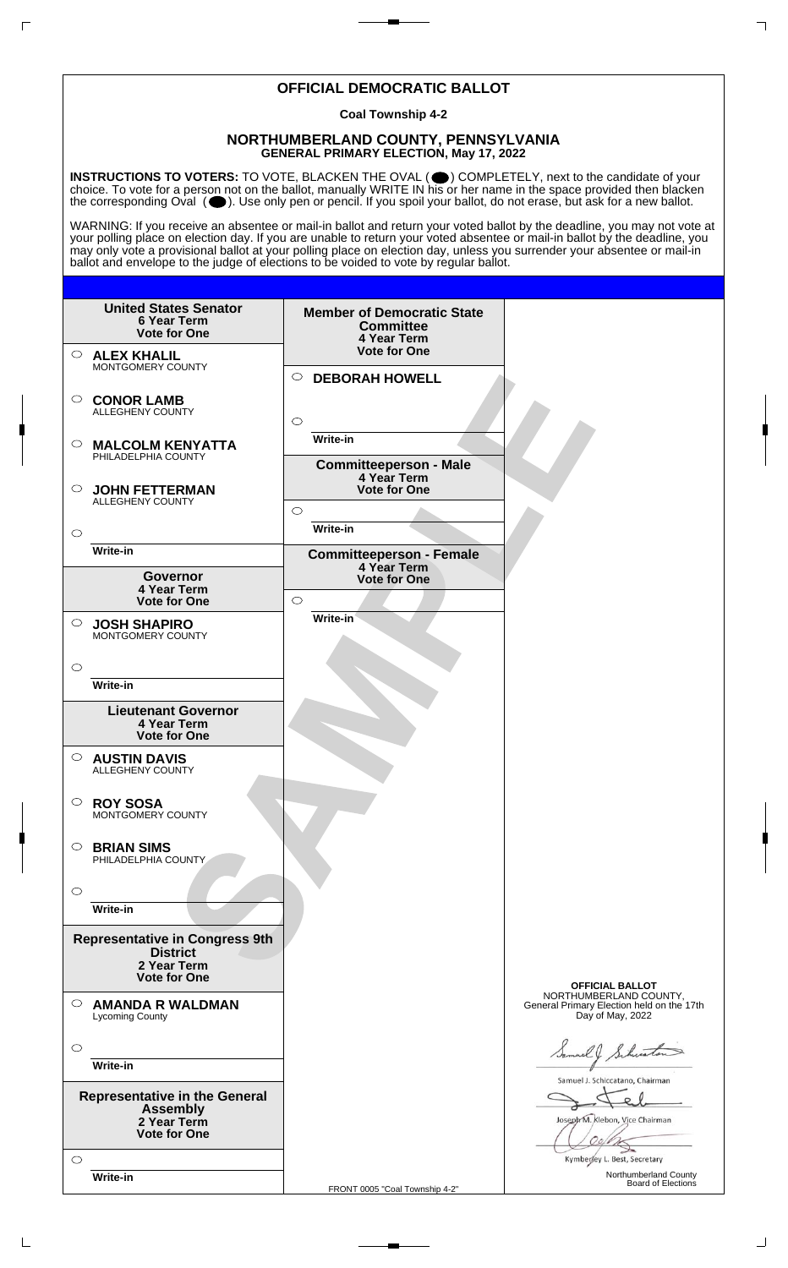|                                                                                                | <b>OFFICIAL DEMOCRATIC BALLOT</b>                                                                                                                                                                                                                                                                                                                                                                                                                                      |                                                                                         |  |  |
|------------------------------------------------------------------------------------------------|------------------------------------------------------------------------------------------------------------------------------------------------------------------------------------------------------------------------------------------------------------------------------------------------------------------------------------------------------------------------------------------------------------------------------------------------------------------------|-----------------------------------------------------------------------------------------|--|--|
| <b>Coal Township 4-2</b>                                                                       |                                                                                                                                                                                                                                                                                                                                                                                                                                                                        |                                                                                         |  |  |
|                                                                                                | NORTHUMBERLAND COUNTY, PENNSYLVANIA<br><b>GENERAL PRIMARY ELECTION, May 17, 2022</b>                                                                                                                                                                                                                                                                                                                                                                                   |                                                                                         |  |  |
|                                                                                                | <b>INSTRUCTIONS TO VOTERS:</b> TO VOTE, BLACKEN THE OVAL (O) COMPLETELY, next to the candidate of your choice. To vote for a person not on the ballot, manually WRITE IN his or her name in the space provided then blacken<br>the corresponding Oval (C). Use only pen or pencil. If you spoil your ballot, do not erase, but ask for a new ballot.                                                                                                                   |                                                                                         |  |  |
|                                                                                                | WARNING: If you receive an absentee or mail-in ballot and return your voted ballot by the deadline, you may not vote at<br>your polling place on election day. If you are unable to return your voted absentee or mail-in ballot by the deadline, you<br>may only vote a provisional ballot at your polling place on election day, unless you surrender your absentee or mail-in ballot and envelope to the judge of elections to be voided to vote by regular ballot. |                                                                                         |  |  |
|                                                                                                |                                                                                                                                                                                                                                                                                                                                                                                                                                                                        |                                                                                         |  |  |
| <b>United States Senator</b><br><b>6 Year Term</b><br><b>Vote for One</b>                      | <b>Member of Democratic State</b><br><b>Committee</b><br>4 Year Term<br><b>Vote for One</b>                                                                                                                                                                                                                                                                                                                                                                            |                                                                                         |  |  |
| $\circ$ ALEX KHALIL<br><b>MONTGOMERY COUNTY</b>                                                | $\circ$<br><b>DEBORAH HOWELL</b>                                                                                                                                                                                                                                                                                                                                                                                                                                       |                                                                                         |  |  |
| $\circ$<br><b>CONOR LAMB</b><br>ALLEGHENY COUNTY                                               | ◯                                                                                                                                                                                                                                                                                                                                                                                                                                                                      |                                                                                         |  |  |
| $\circ$<br><b>MALCOLM KENYATTA</b><br>PHILADELPHIA COUNTY                                      | Write-in<br><b>Committeeperson - Male</b>                                                                                                                                                                                                                                                                                                                                                                                                                              |                                                                                         |  |  |
| $\circ$<br><b>JOHN FETTERMAN</b><br><b>ALLEGHENY COUNTY</b>                                    | 4 Year Term<br><b>Vote for One</b><br>$\circ$                                                                                                                                                                                                                                                                                                                                                                                                                          |                                                                                         |  |  |
| $\circ$                                                                                        | Write-in                                                                                                                                                                                                                                                                                                                                                                                                                                                               |                                                                                         |  |  |
| Write-in                                                                                       | <b>Committeeperson - Female</b><br>4 Year Term                                                                                                                                                                                                                                                                                                                                                                                                                         |                                                                                         |  |  |
| Governor<br>4 Year Term<br><b>Vote for One</b>                                                 | <b>Vote for One</b><br>$\circlearrowright$                                                                                                                                                                                                                                                                                                                                                                                                                             |                                                                                         |  |  |
| <b>JOSH SHAPIRO</b><br>$\circ$<br>MONTGOMERY COUNTY                                            | Write-in                                                                                                                                                                                                                                                                                                                                                                                                                                                               |                                                                                         |  |  |
| $\circ$<br><b>Write-in</b>                                                                     |                                                                                                                                                                                                                                                                                                                                                                                                                                                                        |                                                                                         |  |  |
| <b>Lieutenant Governor</b><br>4 Year Term<br><b>Vote for One</b>                               |                                                                                                                                                                                                                                                                                                                                                                                                                                                                        |                                                                                         |  |  |
| <b>AUSTIN DAVIS</b><br>$\circ$<br><b>ALLEGHENY COUNTY</b>                                      |                                                                                                                                                                                                                                                                                                                                                                                                                                                                        |                                                                                         |  |  |
| <b>ROY SOSA</b><br>$\circ$<br>MONTGOMERY COUNTY                                                |                                                                                                                                                                                                                                                                                                                                                                                                                                                                        |                                                                                         |  |  |
| <b>BRIAN SIMS</b><br>$\circ$<br>PHILADELPHIA COUNTY                                            |                                                                                                                                                                                                                                                                                                                                                                                                                                                                        |                                                                                         |  |  |
| $\circ$<br><b>Write-in</b>                                                                     |                                                                                                                                                                                                                                                                                                                                                                                                                                                                        |                                                                                         |  |  |
| <b>Representative in Congress 9th</b><br><b>District</b><br>2 Year Term<br><b>Vote for One</b> |                                                                                                                                                                                                                                                                                                                                                                                                                                                                        | <b>OFFICIAL BALLOT</b>                                                                  |  |  |
| <b>AMANDA R WALDMAN</b><br>$\circ$<br><b>Lycoming County</b>                                   |                                                                                                                                                                                                                                                                                                                                                                                                                                                                        | NORTHUMBERLAND COUNTY,<br>General Primary Election held on the 17th<br>Day of May, 2022 |  |  |
| $\circ$<br>Write-in                                                                            |                                                                                                                                                                                                                                                                                                                                                                                                                                                                        |                                                                                         |  |  |
| <b>Representative in the General</b><br><b>Assembly</b><br>2 Year Term<br><b>Vote for One</b>  |                                                                                                                                                                                                                                                                                                                                                                                                                                                                        | Samuel J. Schiccatano, Chairman<br>Joseph M. Klebon, Vice Chairman                      |  |  |
| $\circ$                                                                                        |                                                                                                                                                                                                                                                                                                                                                                                                                                                                        | Kymber/ey L. Best, Secretary<br>Northumberland County                                   |  |  |
| Write-in                                                                                       | FRONT 0005 "Coal Township 4-2"                                                                                                                                                                                                                                                                                                                                                                                                                                         | Board of Elections                                                                      |  |  |

 $\Box$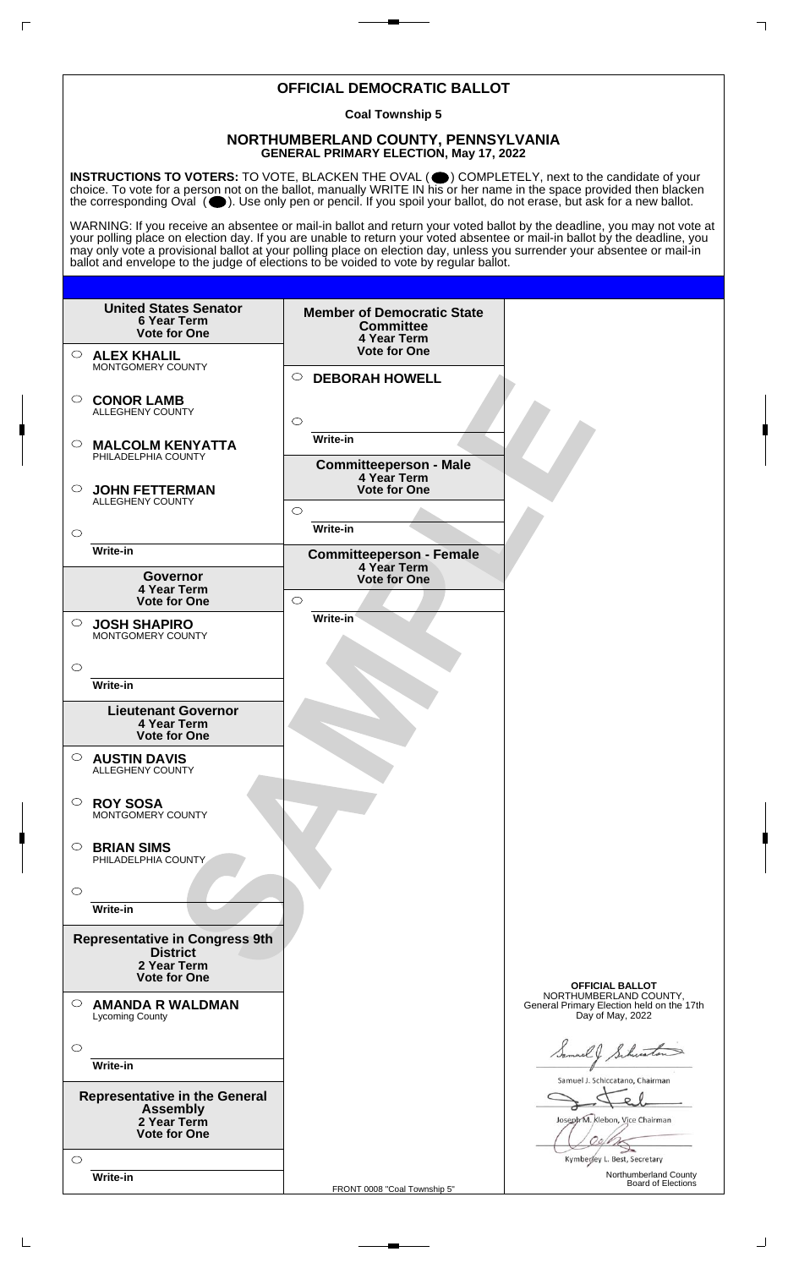|                     | <b>OFFICIAL DEMOCRATIC BALLOT</b>                                                              |                                                                                                                                                                                                                                                                                                                                                                                                                                                                        |                                                                                                                   |  |  |
|---------------------|------------------------------------------------------------------------------------------------|------------------------------------------------------------------------------------------------------------------------------------------------------------------------------------------------------------------------------------------------------------------------------------------------------------------------------------------------------------------------------------------------------------------------------------------------------------------------|-------------------------------------------------------------------------------------------------------------------|--|--|
|                     | <b>Coal Township 5</b>                                                                         |                                                                                                                                                                                                                                                                                                                                                                                                                                                                        |                                                                                                                   |  |  |
|                     | NORTHUMBERLAND COUNTY, PENNSYLVANIA<br><b>GENERAL PRIMARY ELECTION, May 17, 2022</b>           |                                                                                                                                                                                                                                                                                                                                                                                                                                                                        |                                                                                                                   |  |  |
|                     |                                                                                                | <b>INSTRUCTIONS TO VOTERS:</b> TO VOTE, BLACKEN THE OVAL (O) COMPLETELY, next to the candidate of your<br>choice. To vote for a person not on the ballot, manually WRITE IN his or her name in the space provided then blacken<br>the corresponding Oval (C). Use only pen or pencil. If you spoil your ballot, do not erase, but ask for a new ballot.                                                                                                                |                                                                                                                   |  |  |
|                     |                                                                                                | WARNING: If you receive an absentee or mail-in ballot and return your voted ballot by the deadline, you may not vote at<br>your polling place on election day. If you are unable to return your voted absentee or mail-in ballot by the deadline, you<br>may only vote a provisional ballot at your polling place on election day, unless you surrender your absentee or mail-in ballot and envelope to the judge of elections to be voided to vote by regular ballot. |                                                                                                                   |  |  |
|                     |                                                                                                |                                                                                                                                                                                                                                                                                                                                                                                                                                                                        |                                                                                                                   |  |  |
|                     | <b>United States Senator</b><br>6 Year Term<br><b>Vote for One</b>                             | <b>Member of Democratic State</b><br><b>Committee</b><br>4 Year Term                                                                                                                                                                                                                                                                                                                                                                                                   |                                                                                                                   |  |  |
| $\circ$             | ALEX KHALIL<br><b>MONTGOMERY COUNTY</b>                                                        | <b>Vote for One</b><br>O<br><b>DEBORAH HOWELL</b>                                                                                                                                                                                                                                                                                                                                                                                                                      |                                                                                                                   |  |  |
| $\circ$             | <b>CONOR LAMB</b><br><b>ALLEGHENY COUNTY</b>                                                   |                                                                                                                                                                                                                                                                                                                                                                                                                                                                        |                                                                                                                   |  |  |
| $\circ$             | <b>MALCOLM KENYATTA</b><br>PHILADELPHIA COUNTY                                                 | $\circ$<br>Write-in                                                                                                                                                                                                                                                                                                                                                                                                                                                    |                                                                                                                   |  |  |
| $\circ$             | <b>JOHN FETTERMAN</b><br><b>ALLEGHENY COUNTY</b>                                               | <b>Committeeperson - Male</b><br>4 Year Term<br><b>Vote for One</b>                                                                                                                                                                                                                                                                                                                                                                                                    |                                                                                                                   |  |  |
| $\circ$             |                                                                                                | $\circ$<br><b>Write-in</b>                                                                                                                                                                                                                                                                                                                                                                                                                                             |                                                                                                                   |  |  |
|                     | Write-in                                                                                       | <b>Committeeperson - Female</b>                                                                                                                                                                                                                                                                                                                                                                                                                                        |                                                                                                                   |  |  |
|                     | Governor<br>4 Year Term<br><b>Vote for One</b>                                                 | 4 Year Term<br><b>Vote for One</b><br>$\circ$                                                                                                                                                                                                                                                                                                                                                                                                                          |                                                                                                                   |  |  |
| $\circ$             | <b>JOSH SHAPIRO</b><br>MONTGOMERY COUNTY                                                       | Write-in                                                                                                                                                                                                                                                                                                                                                                                                                                                               |                                                                                                                   |  |  |
| $\circ$             | Write-in                                                                                       |                                                                                                                                                                                                                                                                                                                                                                                                                                                                        |                                                                                                                   |  |  |
|                     | <b>Lieutenant Governor</b><br>4 Year Term<br><b>Vote for One</b>                               |                                                                                                                                                                                                                                                                                                                                                                                                                                                                        |                                                                                                                   |  |  |
|                     | $\circ$ AUSTIN DAVIS<br><b>ALLEGHENY COUNTY</b>                                                |                                                                                                                                                                                                                                                                                                                                                                                                                                                                        |                                                                                                                   |  |  |
| $\circ$             | <b>ROY SOSA</b><br>MONTGOMERY COUNTY                                                           |                                                                                                                                                                                                                                                                                                                                                                                                                                                                        |                                                                                                                   |  |  |
| $\circ$             | <b>BRIAN SIMS</b><br>PHILADELPHIA COUNTY                                                       |                                                                                                                                                                                                                                                                                                                                                                                                                                                                        |                                                                                                                   |  |  |
| $\circlearrowright$ | <b>Write-in</b>                                                                                |                                                                                                                                                                                                                                                                                                                                                                                                                                                                        |                                                                                                                   |  |  |
|                     | <b>Representative in Congress 9th</b><br><b>District</b><br>2 Year Term<br><b>Vote for One</b> |                                                                                                                                                                                                                                                                                                                                                                                                                                                                        |                                                                                                                   |  |  |
| $\circ$             | <b>AMANDA R WALDMAN</b><br><b>Lycoming County</b>                                              |                                                                                                                                                                                                                                                                                                                                                                                                                                                                        | <b>OFFICIAL BALLOT</b><br>NORTHUMBERLAND COUNTY,<br>General Primary Election held on the 17th<br>Day of May, 2022 |  |  |
| $\circ$             | Write-in                                                                                       |                                                                                                                                                                                                                                                                                                                                                                                                                                                                        |                                                                                                                   |  |  |
|                     | <b>Representative in the General</b><br><b>Assembly</b><br>2 Year Term<br><b>Vote for One</b>  |                                                                                                                                                                                                                                                                                                                                                                                                                                                                        | Samuel J. Schiccatano, Chairman<br>Joseph M. Klebon, Vice Chairman                                                |  |  |
| $\circ$             | <b>Write-in</b>                                                                                |                                                                                                                                                                                                                                                                                                                                                                                                                                                                        | Kymberley L. Best, Secretary<br>Northumberland County<br>Board of Elections                                       |  |  |
|                     |                                                                                                | FRONT 0008 "Coal Township 5"                                                                                                                                                                                                                                                                                                                                                                                                                                           |                                                                                                                   |  |  |

 $\Box$ 

 $\overline{\phantom{a}}$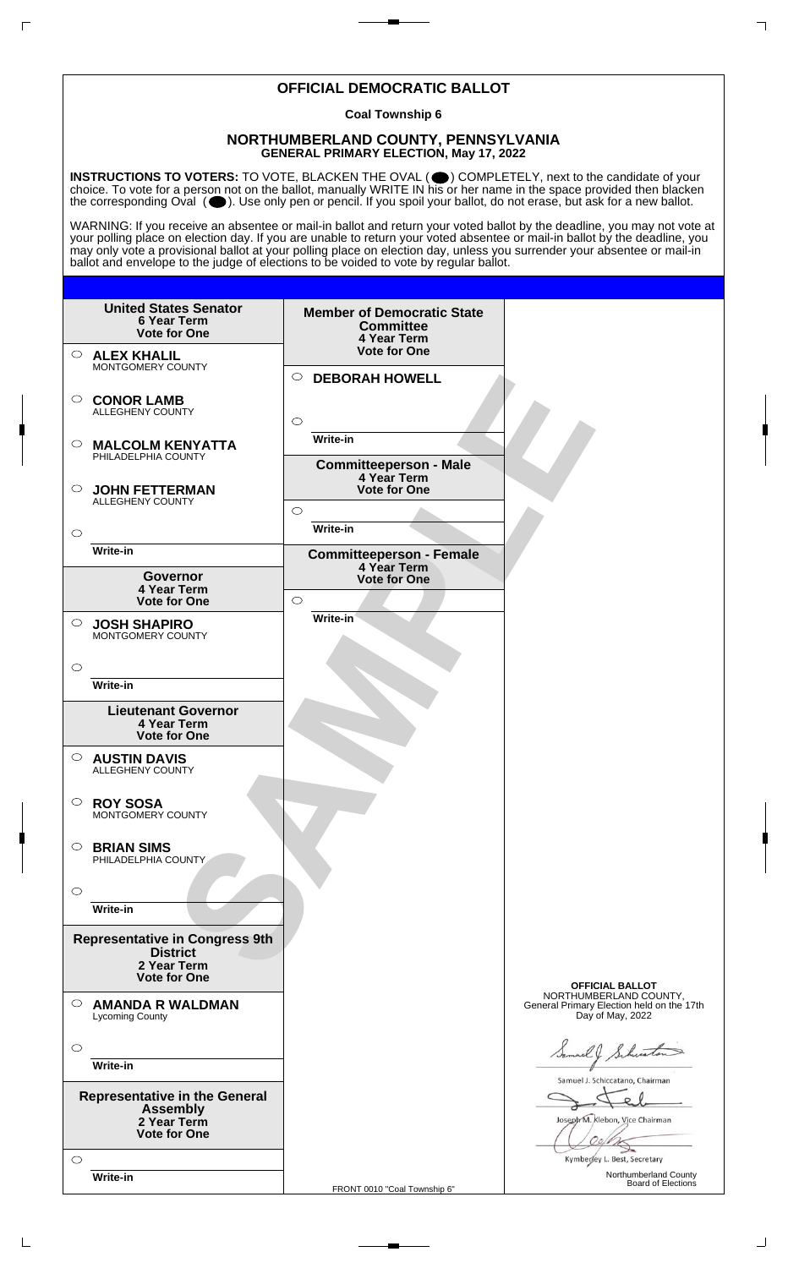| <b>OFFICIAL DEMOCRATIC BALLOT</b>                                                              |                                                                                                                                                                                                                                                                                                                                                                                                                                                                        |                                                                                                                   |  |  |
|------------------------------------------------------------------------------------------------|------------------------------------------------------------------------------------------------------------------------------------------------------------------------------------------------------------------------------------------------------------------------------------------------------------------------------------------------------------------------------------------------------------------------------------------------------------------------|-------------------------------------------------------------------------------------------------------------------|--|--|
|                                                                                                | <b>Coal Township 6</b>                                                                                                                                                                                                                                                                                                                                                                                                                                                 |                                                                                                                   |  |  |
|                                                                                                | NORTHUMBERLAND COUNTY, PENNSYLVANIA<br><b>GENERAL PRIMARY ELECTION, May 17, 2022</b>                                                                                                                                                                                                                                                                                                                                                                                   |                                                                                                                   |  |  |
|                                                                                                | <b>INSTRUCTIONS TO VOTERS:</b> TO VOTE, BLACKEN THE OVAL (O) COMPLETELY, next to the candidate of your choice. To vote for a person not on the ballot, manually WRITE IN his or her name in the space provided then blacken<br>the corresponding Oval (C). Use only pen or pencil. If you spoil your ballot, do not erase, but ask for a new ballot.                                                                                                                   |                                                                                                                   |  |  |
|                                                                                                | WARNING: If you receive an absentee or mail-in ballot and return your voted ballot by the deadline, you may not vote at<br>your polling place on election day. If you are unable to return your voted absentee or mail-in ballot by the deadline, you<br>may only vote a provisional ballot at your polling place on election day, unless you surrender your absentee or mail-in ballot and envelope to the judge of elections to be voided to vote by regular ballot. |                                                                                                                   |  |  |
|                                                                                                |                                                                                                                                                                                                                                                                                                                                                                                                                                                                        |                                                                                                                   |  |  |
| <b>United States Senator</b><br><b>6 Year Term</b><br><b>Vote for One</b>                      | <b>Member of Democratic State</b><br><b>Committee</b><br>4 Year Term                                                                                                                                                                                                                                                                                                                                                                                                   |                                                                                                                   |  |  |
| $\circ$ ALEX KHALIL<br><b>MONTGOMERY COUNTY</b>                                                | <b>Vote for One</b><br>$\circ$<br><b>DEBORAH HOWELL</b>                                                                                                                                                                                                                                                                                                                                                                                                                |                                                                                                                   |  |  |
| $\circ$<br><b>CONOR LAMB</b><br><b>ALLEGHENY COUNTY</b>                                        | ◯                                                                                                                                                                                                                                                                                                                                                                                                                                                                      |                                                                                                                   |  |  |
| $\circ$<br><b>MALCOLM KENYATTA</b><br>PHILADELPHIA COUNTY                                      | <b>Write-in</b><br><b>Committeeperson - Male</b>                                                                                                                                                                                                                                                                                                                                                                                                                       |                                                                                                                   |  |  |
| $\circ$<br><b>JOHN FETTERMAN</b><br><b>ALLEGHENY COUNTY</b>                                    | 4 Year Term<br><b>Vote for One</b><br>$\circ$                                                                                                                                                                                                                                                                                                                                                                                                                          |                                                                                                                   |  |  |
| $\circ$                                                                                        | Write-in                                                                                                                                                                                                                                                                                                                                                                                                                                                               |                                                                                                                   |  |  |
| Write-in                                                                                       | <b>Committeeperson - Female</b><br>4 Year Term                                                                                                                                                                                                                                                                                                                                                                                                                         |                                                                                                                   |  |  |
| Governor<br>4 Year Term<br><b>Vote for One</b>                                                 | <b>Vote for One</b><br>$\circ$                                                                                                                                                                                                                                                                                                                                                                                                                                         |                                                                                                                   |  |  |
| <b>JOSH SHAPIRO</b><br>$\circ$<br>MONTGOMERY COUNTY                                            | Write-in                                                                                                                                                                                                                                                                                                                                                                                                                                                               |                                                                                                                   |  |  |
| $\circ$<br><b>Write-in</b>                                                                     |                                                                                                                                                                                                                                                                                                                                                                                                                                                                        |                                                                                                                   |  |  |
| <b>Lieutenant Governor</b><br>4 Year Term<br><b>Vote for One</b>                               |                                                                                                                                                                                                                                                                                                                                                                                                                                                                        |                                                                                                                   |  |  |
| <b>AUSTIN DAVIS</b><br>$\circ$<br><b>ALLEGHENY COUNTY</b>                                      |                                                                                                                                                                                                                                                                                                                                                                                                                                                                        |                                                                                                                   |  |  |
| <b>ROY SOSA</b><br>$\circ$<br>MONTGOMERY COUNTY                                                |                                                                                                                                                                                                                                                                                                                                                                                                                                                                        |                                                                                                                   |  |  |
| <b>BRIAN SIMS</b><br>O<br>PHILADELPHIA COUNTY                                                  |                                                                                                                                                                                                                                                                                                                                                                                                                                                                        |                                                                                                                   |  |  |
| $\circ$<br><b>Write-in</b>                                                                     |                                                                                                                                                                                                                                                                                                                                                                                                                                                                        |                                                                                                                   |  |  |
| <b>Representative in Congress 9th</b><br><b>District</b><br>2 Year Term<br><b>Vote for One</b> |                                                                                                                                                                                                                                                                                                                                                                                                                                                                        |                                                                                                                   |  |  |
| <b>AMANDA R WALDMAN</b><br>$\circ$<br><b>Lycoming County</b>                                   |                                                                                                                                                                                                                                                                                                                                                                                                                                                                        | <b>OFFICIAL BALLOT</b><br>NORTHUMBERLAND COUNTY,<br>General Primary Election held on the 17th<br>Day of May, 2022 |  |  |
| $\circ$                                                                                        |                                                                                                                                                                                                                                                                                                                                                                                                                                                                        |                                                                                                                   |  |  |
| Write-in                                                                                       |                                                                                                                                                                                                                                                                                                                                                                                                                                                                        | Samuel J. Schiccatano, Chairman                                                                                   |  |  |
| <b>Representative in the General</b><br><b>Assembly</b><br>2 Year Term<br><b>Vote for One</b>  |                                                                                                                                                                                                                                                                                                                                                                                                                                                                        | Joseph M. Klebon, Vice Chairman                                                                                   |  |  |
| $\circlearrowright$                                                                            |                                                                                                                                                                                                                                                                                                                                                                                                                                                                        | Kymber/ey L. Best, Secretary<br>Northumberland County                                                             |  |  |
| Write-in                                                                                       | FRONT 0010 "Coal Township 6"                                                                                                                                                                                                                                                                                                                                                                                                                                           | <b>Board of Elections</b>                                                                                         |  |  |

 $\Box$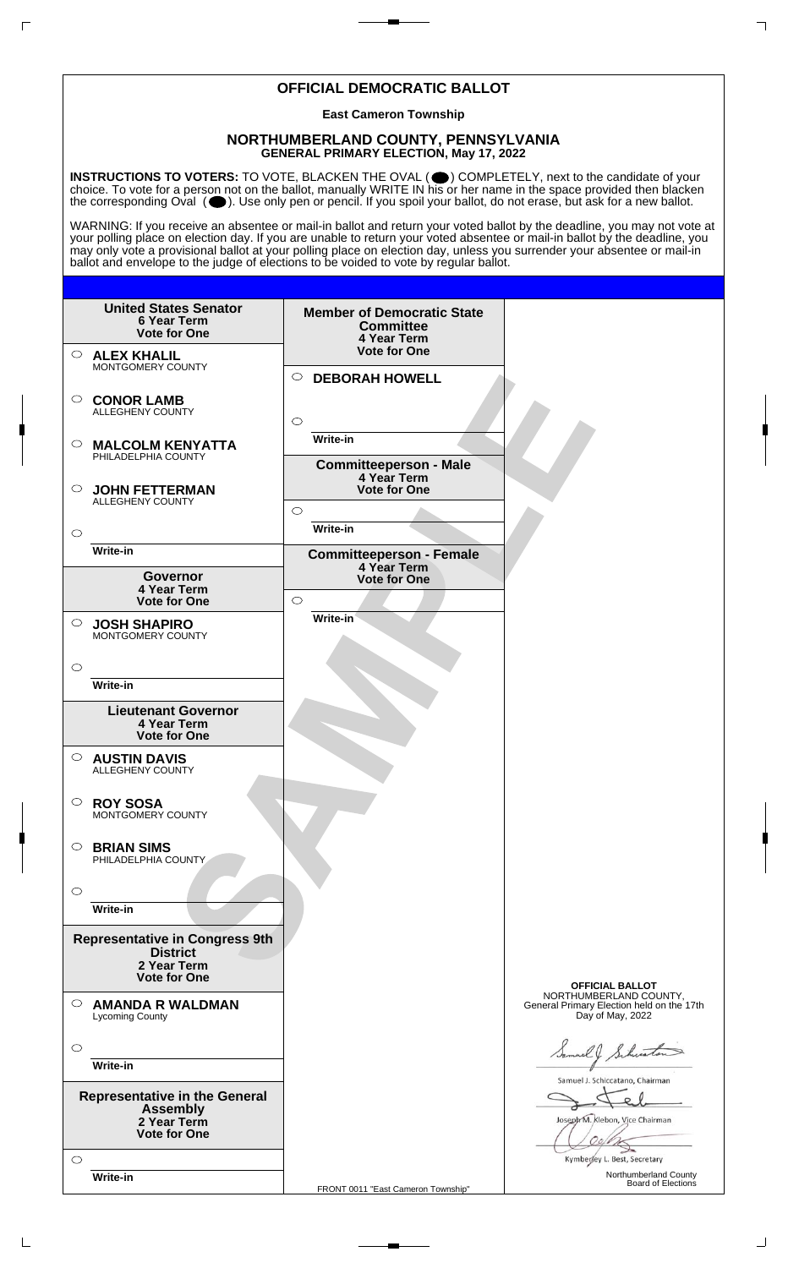|                     | <b>OFFICIAL DEMOCRATIC BALLOT</b>                                                                                                                                   |                                                                                                                                                                                                                                                                                                                                                                                                                                                                        |                                                                                                                   |  |
|---------------------|---------------------------------------------------------------------------------------------------------------------------------------------------------------------|------------------------------------------------------------------------------------------------------------------------------------------------------------------------------------------------------------------------------------------------------------------------------------------------------------------------------------------------------------------------------------------------------------------------------------------------------------------------|-------------------------------------------------------------------------------------------------------------------|--|
|                     | <b>East Cameron Township</b>                                                                                                                                        |                                                                                                                                                                                                                                                                                                                                                                                                                                                                        |                                                                                                                   |  |
|                     |                                                                                                                                                                     | NORTHUMBERLAND COUNTY, PENNSYLVANIA<br><b>GENERAL PRIMARY ELECTION, May 17, 2022</b>                                                                                                                                                                                                                                                                                                                                                                                   |                                                                                                                   |  |
|                     |                                                                                                                                                                     | INSTRUCTIONS TO VOTERS: TO VOTE, BLACKEN THE OVAL (O) COMPLETELY, next to the candidate of your<br>choice. To vote for a person not on the ballot, manually WRITE IN his or her name in the space provided then blacken<br>the corresponding Oval (C). Use only pen or pencil. If you spoil your ballot, do not erase, but ask for a new ballot.                                                                                                                       |                                                                                                                   |  |
|                     |                                                                                                                                                                     | WARNING: If you receive an absentee or mail-in ballot and return your voted ballot by the deadline, you may not vote at<br>your polling place on election day. If you are unable to return your voted absentee or mail-in ballot by the deadline, you<br>may only vote a provisional ballot at your polling place on election day, unless you surrender your absentee or mail-in ballot and envelope to the judge of elections to be voided to vote by regular ballot. |                                                                                                                   |  |
|                     |                                                                                                                                                                     |                                                                                                                                                                                                                                                                                                                                                                                                                                                                        |                                                                                                                   |  |
|                     | <b>United States Senator</b><br><b>6 Year Term</b><br><b>Vote for One</b>                                                                                           | <b>Member of Democratic State</b><br><b>Committee</b><br>4 Year Term                                                                                                                                                                                                                                                                                                                                                                                                   |                                                                                                                   |  |
|                     | $\circ$ ALEX KHALIL<br>MONTGOMERY COUNTY                                                                                                                            | <b>Vote for One</b><br>$\circ$<br><b>DEBORAH HOWELL</b>                                                                                                                                                                                                                                                                                                                                                                                                                |                                                                                                                   |  |
| $\circ$             | <b>CONOR LAMB</b><br><b>ALLEGHENY COUNTY</b>                                                                                                                        | $\circ$                                                                                                                                                                                                                                                                                                                                                                                                                                                                |                                                                                                                   |  |
| $\circ$             | <b>MALCOLM KENYATTA</b><br>PHILADELPHIA COUNTY                                                                                                                      | <b>Write-in</b><br><b>Committeeperson - Male</b>                                                                                                                                                                                                                                                                                                                                                                                                                       |                                                                                                                   |  |
| $\circ$             | <b>JOHN FETTERMAN</b><br>ALLEGHENY COUNTY                                                                                                                           | 4 Year Term<br><b>Vote for One</b><br>$\circ$                                                                                                                                                                                                                                                                                                                                                                                                                          |                                                                                                                   |  |
| $\circ$             |                                                                                                                                                                     | <b>Write-in</b>                                                                                                                                                                                                                                                                                                                                                                                                                                                        |                                                                                                                   |  |
|                     | <b>Write-in</b>                                                                                                                                                     | <b>Committeeperson - Female</b><br>4 Year Term                                                                                                                                                                                                                                                                                                                                                                                                                         |                                                                                                                   |  |
|                     | Governor<br>4 Year Term<br><b>Vote for One</b>                                                                                                                      | <b>Vote for One</b><br>$\circ$                                                                                                                                                                                                                                                                                                                                                                                                                                         |                                                                                                                   |  |
| O.                  | <b>JOSH SHAPIRO</b><br>MONTGOMERY COUNTY                                                                                                                            | Write-in                                                                                                                                                                                                                                                                                                                                                                                                                                                               |                                                                                                                   |  |
| $\circlearrowright$ | <b>Write-in</b>                                                                                                                                                     |                                                                                                                                                                                                                                                                                                                                                                                                                                                                        |                                                                                                                   |  |
|                     | <b>Lieutenant Governor</b><br>4 Year Term<br><b>Vote for One</b>                                                                                                    |                                                                                                                                                                                                                                                                                                                                                                                                                                                                        |                                                                                                                   |  |
| $\circ$             | <b>AUSTIN DAVIS</b><br><b>ALLEGHENY COUNTY</b>                                                                                                                      |                                                                                                                                                                                                                                                                                                                                                                                                                                                                        |                                                                                                                   |  |
| $\circ$             | <b>ROY SOSA</b><br>MONTGOMERY COUNTY                                                                                                                                |                                                                                                                                                                                                                                                                                                                                                                                                                                                                        |                                                                                                                   |  |
| O                   | <b>BRIAN SIMS</b><br>PHILADELPHIA COUNTY                                                                                                                            |                                                                                                                                                                                                                                                                                                                                                                                                                                                                        |                                                                                                                   |  |
| $\circ$             | <b>Write-in</b>                                                                                                                                                     |                                                                                                                                                                                                                                                                                                                                                                                                                                                                        |                                                                                                                   |  |
|                     | <b>Representative in Congress 9th</b><br><b>District</b><br>2 Year Term<br><b>Vote for One</b>                                                                      |                                                                                                                                                                                                                                                                                                                                                                                                                                                                        |                                                                                                                   |  |
| $\circ$             | <b>AMANDA R WALDMAN</b><br><b>Lycoming County</b>                                                                                                                   |                                                                                                                                                                                                                                                                                                                                                                                                                                                                        | <b>OFFICIAL BALLOT</b><br>NORTHUMBERLAND COUNTY,<br>General Primary Election held on the 17th<br>Day of May, 2022 |  |
| $\circ$             | <b>Write-in</b>                                                                                                                                                     |                                                                                                                                                                                                                                                                                                                                                                                                                                                                        |                                                                                                                   |  |
|                     | Samuel J. Schiccatano, Chairman<br><b>Representative in the General</b><br><b>Assembly</b><br>Joseph M. Klebon, Vice Chairman<br>2 Year Term<br><b>Vote for One</b> |                                                                                                                                                                                                                                                                                                                                                                                                                                                                        |                                                                                                                   |  |
| $\circ$             |                                                                                                                                                                     |                                                                                                                                                                                                                                                                                                                                                                                                                                                                        | Kymber/ey L. Best, Secretary<br>Northumberland County                                                             |  |
|                     | <b>Write-in</b>                                                                                                                                                     | FRONT 0011 "East Cameron Township"                                                                                                                                                                                                                                                                                                                                                                                                                                     | <b>Board of Elections</b>                                                                                         |  |

 $\Box$ 

 $\overline{\phantom{a}}$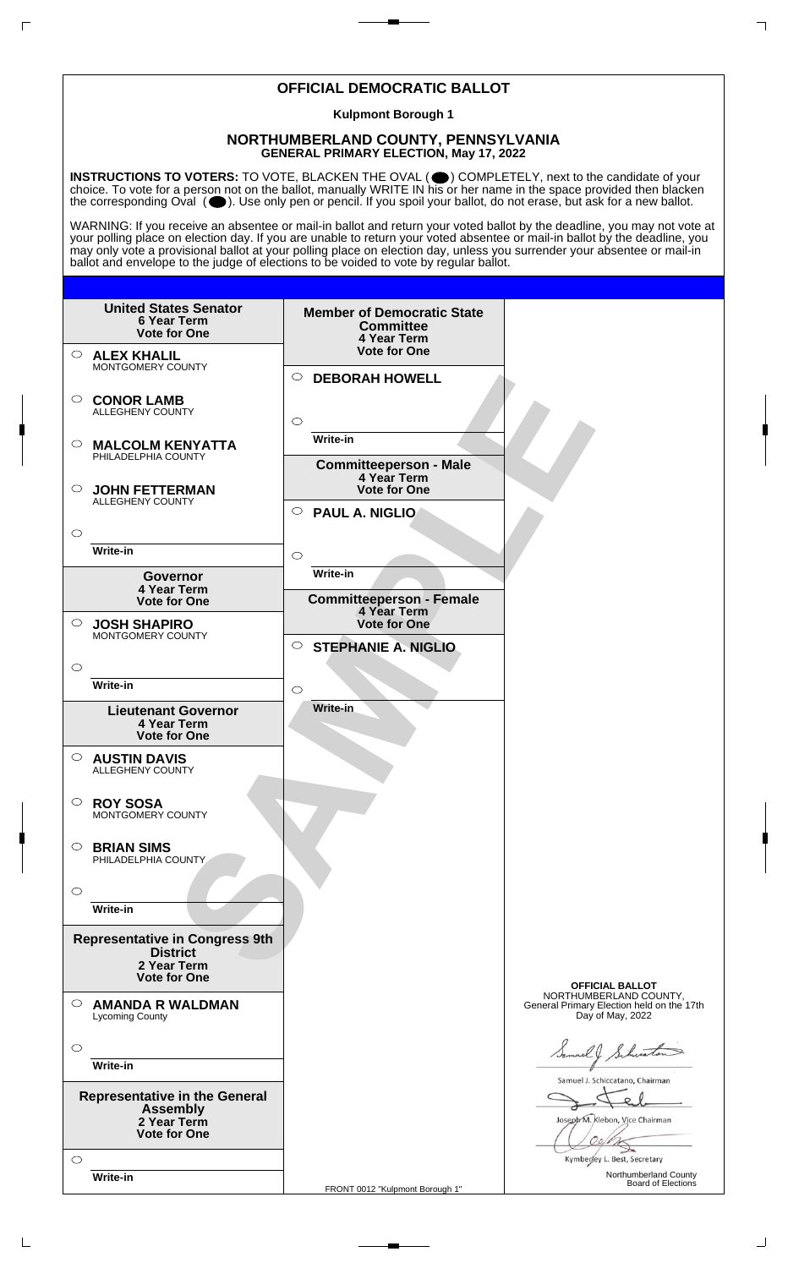|         | <b>OFFICIAL DEMOCRATIC BALLOT</b>                                                              |                                                                                                                                                                                                                                                                                                                                                                                                                                                                           |                                                                                                                   |  |
|---------|------------------------------------------------------------------------------------------------|---------------------------------------------------------------------------------------------------------------------------------------------------------------------------------------------------------------------------------------------------------------------------------------------------------------------------------------------------------------------------------------------------------------------------------------------------------------------------|-------------------------------------------------------------------------------------------------------------------|--|
|         | <b>Kulpmont Borough 1</b>                                                                      |                                                                                                                                                                                                                                                                                                                                                                                                                                                                           |                                                                                                                   |  |
|         | NORTHUMBERLAND COUNTY, PENNSYLVANIA<br><b>GENERAL PRIMARY ELECTION, May 17, 2022</b>           |                                                                                                                                                                                                                                                                                                                                                                                                                                                                           |                                                                                                                   |  |
|         |                                                                                                | <b>INSTRUCTIONS TO VOTERS:</b> TO VOTE, BLACKEN THE OVAL (O) COMPLETELY, next to the candidate of your choice. To vote for a person not on the ballot, manually WRITE IN his or her name in the space provided then blacken<br>the corresponding Oval (O). Use only pen or pencil. If you spoil your ballot, do not erase, but ask for a new ballot.                                                                                                                      |                                                                                                                   |  |
|         |                                                                                                | WARNING: If you receive an absentee or mail-in ballot and return your voted ballot by the deadline, you may not vote at<br>your polling place on election day. If you are unable to return your voted absentee or mail-in ballot by the deadline, you<br>may only vote a provisional ballot at your polling place on election day, unless you surrender your absentee or mail-in<br>ballot and envelope to the judge of elections to be voided to vote by regular ballot. |                                                                                                                   |  |
|         |                                                                                                |                                                                                                                                                                                                                                                                                                                                                                                                                                                                           |                                                                                                                   |  |
|         | <b>United States Senator</b>                                                                   | <b>Member of Democratic State</b>                                                                                                                                                                                                                                                                                                                                                                                                                                         |                                                                                                                   |  |
|         | <b>6 Year Term</b><br><b>Vote for One</b>                                                      | <b>Committee</b><br>4 Year Term<br><b>Vote for One</b>                                                                                                                                                                                                                                                                                                                                                                                                                    |                                                                                                                   |  |
|         | $\circ$ ALEX KHALIL<br><b>MONTGOMERY COUNTY</b>                                                | $\circ$<br><b>DEBORAH HOWELL</b>                                                                                                                                                                                                                                                                                                                                                                                                                                          |                                                                                                                   |  |
| $\circ$ | <b>CONOR LAMB</b><br><b>ALLEGHENY COUNTY</b>                                                   | $\circ$                                                                                                                                                                                                                                                                                                                                                                                                                                                                   |                                                                                                                   |  |
| $\circ$ | <b>MALCOLM KENYATTA</b><br>PHILADELPHIA COUNTY                                                 | <b>Write-in</b>                                                                                                                                                                                                                                                                                                                                                                                                                                                           |                                                                                                                   |  |
| $\circ$ | <b>JOHN FETTERMAN</b><br><b>ALLEGHENY COUNTY</b>                                               | <b>Committeeperson - Male</b><br>4 Year Term<br><b>Vote for One</b>                                                                                                                                                                                                                                                                                                                                                                                                       |                                                                                                                   |  |
| $\circ$ |                                                                                                | $\circ$<br><b>PAUL A. NIGLIO</b>                                                                                                                                                                                                                                                                                                                                                                                                                                          |                                                                                                                   |  |
|         | <b>Write-in</b>                                                                                | O                                                                                                                                                                                                                                                                                                                                                                                                                                                                         |                                                                                                                   |  |
|         | Governor                                                                                       | <b>Write-in</b>                                                                                                                                                                                                                                                                                                                                                                                                                                                           |                                                                                                                   |  |
|         | 4 Year Term<br><b>Vote for One</b>                                                             | <b>Committeeperson - Female</b><br>4 Year Term                                                                                                                                                                                                                                                                                                                                                                                                                            |                                                                                                                   |  |
| $\circ$ | <b>JOSH SHAPIRO</b><br>MONTGOMERY COUNTY                                                       | <b>Vote for One</b><br><b>STEPHANIE A. NIGLIO</b><br>$\circ$                                                                                                                                                                                                                                                                                                                                                                                                              |                                                                                                                   |  |
| $\circ$ |                                                                                                |                                                                                                                                                                                                                                                                                                                                                                                                                                                                           |                                                                                                                   |  |
|         | Write-in                                                                                       | $\circ$                                                                                                                                                                                                                                                                                                                                                                                                                                                                   |                                                                                                                   |  |
|         | <b>Lieutenant Governor</b><br>4 Year Term<br><b>Vote for One</b>                               | <b>Write-in</b>                                                                                                                                                                                                                                                                                                                                                                                                                                                           |                                                                                                                   |  |
| $\circ$ | <b>AUSTIN DAVIS</b><br><b>ALLEGHENY COUNTY</b>                                                 |                                                                                                                                                                                                                                                                                                                                                                                                                                                                           |                                                                                                                   |  |
| $\circ$ | <b>ROY SOSA</b><br><b>MONTGOMERY COUNTY</b>                                                    |                                                                                                                                                                                                                                                                                                                                                                                                                                                                           |                                                                                                                   |  |
| $\circ$ | <b>BRIAN SIMS</b><br>PHILADELPHIA COUNTY                                                       |                                                                                                                                                                                                                                                                                                                                                                                                                                                                           |                                                                                                                   |  |
| $\circ$ | <b>Write-in</b>                                                                                |                                                                                                                                                                                                                                                                                                                                                                                                                                                                           |                                                                                                                   |  |
|         |                                                                                                |                                                                                                                                                                                                                                                                                                                                                                                                                                                                           |                                                                                                                   |  |
|         | <b>Representative in Congress 9th</b><br><b>District</b><br>2 Year Term<br><b>Vote for One</b> |                                                                                                                                                                                                                                                                                                                                                                                                                                                                           |                                                                                                                   |  |
| $\circ$ | <b>AMANDA R WALDMAN</b><br><b>Lycoming County</b>                                              |                                                                                                                                                                                                                                                                                                                                                                                                                                                                           | <b>OFFICIAL BALLOT</b><br>NORTHUMBERLAND COUNTY.<br>General Primary Election held on the 17th<br>Day of May, 2022 |  |
| $\circ$ |                                                                                                |                                                                                                                                                                                                                                                                                                                                                                                                                                                                           |                                                                                                                   |  |
|         | <b>Write-in</b>                                                                                |                                                                                                                                                                                                                                                                                                                                                                                                                                                                           | Samuel J. Schiccatano, Chairman                                                                                   |  |
|         | <b>Representative in the General</b><br><b>Assembly</b><br>2 Year Term<br><b>Vote for One</b>  |                                                                                                                                                                                                                                                                                                                                                                                                                                                                           | Joseph M. Klebon, Vice Chairman                                                                                   |  |
| $\circ$ |                                                                                                |                                                                                                                                                                                                                                                                                                                                                                                                                                                                           | Kymberley L. Best, Secretary                                                                                      |  |
|         | Write-in                                                                                       | FRONT 0012 "Kulpmont Borough 1"                                                                                                                                                                                                                                                                                                                                                                                                                                           | Northumberland County<br>Board of Elections                                                                       |  |

 $\Box$ 

┑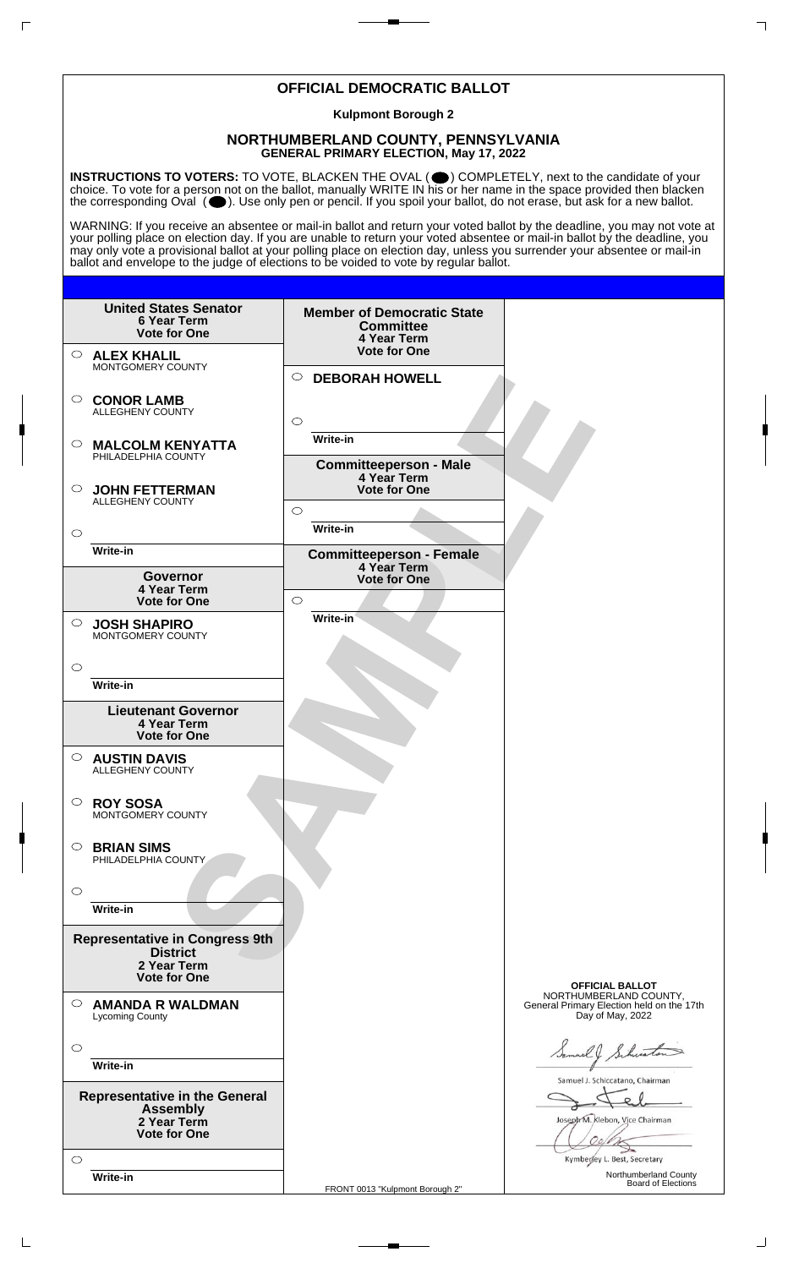|                                                                                               | <b>OFFICIAL DEMOCRATIC BALLOT</b>                                                                                                                                                                                                                                                                                                                                                                                                                                         |                                                                                                                   |
|-----------------------------------------------------------------------------------------------|---------------------------------------------------------------------------------------------------------------------------------------------------------------------------------------------------------------------------------------------------------------------------------------------------------------------------------------------------------------------------------------------------------------------------------------------------------------------------|-------------------------------------------------------------------------------------------------------------------|
|                                                                                               | <b>Kulpmont Borough 2</b>                                                                                                                                                                                                                                                                                                                                                                                                                                                 |                                                                                                                   |
|                                                                                               | NORTHUMBERLAND COUNTY, PENNSYLVANIA<br><b>GENERAL PRIMARY ELECTION, May 17, 2022</b>                                                                                                                                                                                                                                                                                                                                                                                      |                                                                                                                   |
|                                                                                               | <b>INSTRUCTIONS TO VOTERS:</b> TO VOTE, BLACKEN THE OVAL (O) COMPLETELY, next to the candidate of your choice. To vote for a person not on the ballot, manually WRITE IN his or her name in the space provided then blacken<br>the corresponding Oval (O). Use only pen or pencil. If you spoil your ballot, do not erase, but ask for a new ballot.                                                                                                                      |                                                                                                                   |
|                                                                                               | WARNING: If you receive an absentee or mail-in ballot and return your voted ballot by the deadline, you may not vote at<br>your polling place on election day. If you are unable to return your voted absentee or mail-in ballot by the deadline, you<br>may only vote a provisional ballot at your polling place on election day, unless you surrender your absentee or mail-in<br>ballot and envelope to the judge of elections to be voided to vote by regular ballot. |                                                                                                                   |
|                                                                                               |                                                                                                                                                                                                                                                                                                                                                                                                                                                                           |                                                                                                                   |
| <b>United States Senator</b><br>6 Year Term<br><b>Vote for One</b>                            | <b>Member of Democratic State</b><br><b>Committee</b><br>4 Year Term                                                                                                                                                                                                                                                                                                                                                                                                      |                                                                                                                   |
| $\circ$<br>ALEX KHALIL<br><b>MONTGOMERY COUNTY</b>                                            | <b>Vote for One</b><br>O<br><b>DEBORAH HOWELL</b>                                                                                                                                                                                                                                                                                                                                                                                                                         |                                                                                                                   |
| $\circ$<br><b>CONOR LAMB</b><br>ALLEGHENY COUNTY                                              | ◯                                                                                                                                                                                                                                                                                                                                                                                                                                                                         |                                                                                                                   |
| <b>MALCOLM KENYATTA</b><br>$\circ$<br>PHILADELPHIA COUNTY                                     | Write-in                                                                                                                                                                                                                                                                                                                                                                                                                                                                  |                                                                                                                   |
| $\circ$<br><b>JOHN FETTERMAN</b><br><b>ALLEGHENY COUNTY</b>                                   | Committeeperson - Male<br>4 Year Term<br><b>Vote for One</b>                                                                                                                                                                                                                                                                                                                                                                                                              |                                                                                                                   |
| $\circ$                                                                                       | $\circ$<br>Write-in                                                                                                                                                                                                                                                                                                                                                                                                                                                       |                                                                                                                   |
| <b>Write-in</b>                                                                               | <b>Committeeperson - Female</b>                                                                                                                                                                                                                                                                                                                                                                                                                                           |                                                                                                                   |
| Governor                                                                                      | <b>4 Year Term</b><br><b>Vote for One</b>                                                                                                                                                                                                                                                                                                                                                                                                                                 |                                                                                                                   |
| 4 Year Term<br><b>Vote for One</b>                                                            | $\circlearrowright$                                                                                                                                                                                                                                                                                                                                                                                                                                                       |                                                                                                                   |
| $\circ$<br><b>JOSH SHAPIRO</b><br>MONTGOMERY COUNTY                                           | Write-in                                                                                                                                                                                                                                                                                                                                                                                                                                                                  |                                                                                                                   |
| $\circ$                                                                                       |                                                                                                                                                                                                                                                                                                                                                                                                                                                                           |                                                                                                                   |
| <b>Write-in</b>                                                                               |                                                                                                                                                                                                                                                                                                                                                                                                                                                                           |                                                                                                                   |
| <b>Lieutenant Governor</b><br>4 Year Term<br><b>Vote for One</b>                              |                                                                                                                                                                                                                                                                                                                                                                                                                                                                           |                                                                                                                   |
| <b>AUSTIN DAVIS</b><br>O.<br><b>ALLEGHENY COUNTY</b>                                          |                                                                                                                                                                                                                                                                                                                                                                                                                                                                           |                                                                                                                   |
| <b>ROY SOSA</b><br>$\circ$<br>MONTGOMERY COUNTY                                               |                                                                                                                                                                                                                                                                                                                                                                                                                                                                           |                                                                                                                   |
| $\circ$<br><b>BRIAN SIMS</b><br>PHILADELPHIA COUNTY                                           |                                                                                                                                                                                                                                                                                                                                                                                                                                                                           |                                                                                                                   |
| $\circ$<br><b>Write-in</b>                                                                    |                                                                                                                                                                                                                                                                                                                                                                                                                                                                           |                                                                                                                   |
| <b>Representative in Congress 9th</b>                                                         |                                                                                                                                                                                                                                                                                                                                                                                                                                                                           |                                                                                                                   |
| <b>District</b><br>2 Year Term<br><b>Vote for One</b>                                         |                                                                                                                                                                                                                                                                                                                                                                                                                                                                           |                                                                                                                   |
| <b>AMANDA R WALDMAN</b><br>O<br><b>Lycoming County</b>                                        |                                                                                                                                                                                                                                                                                                                                                                                                                                                                           | <b>OFFICIAL BALLOT</b><br>NORTHUMBERLAND COUNTY,<br>General Primary Election held on the 17th<br>Day of May, 2022 |
| $\circlearrowright$                                                                           |                                                                                                                                                                                                                                                                                                                                                                                                                                                                           |                                                                                                                   |
| <b>Write-in</b>                                                                               |                                                                                                                                                                                                                                                                                                                                                                                                                                                                           | Samuel J. Schiccatano, Chairman                                                                                   |
| <b>Representative in the General</b><br><b>Assembly</b><br>2 Year Term<br><b>Vote for One</b> |                                                                                                                                                                                                                                                                                                                                                                                                                                                                           | Joseph M. Klebon, Vice Chairman                                                                                   |
| $\circ$                                                                                       |                                                                                                                                                                                                                                                                                                                                                                                                                                                                           | Kymber/ey L. Best, Secretary                                                                                      |
| <b>Write-in</b>                                                                               | FRONT 0013 "Kulpmont Borough 2"                                                                                                                                                                                                                                                                                                                                                                                                                                           | Northumberland County<br>Board of Elections                                                                       |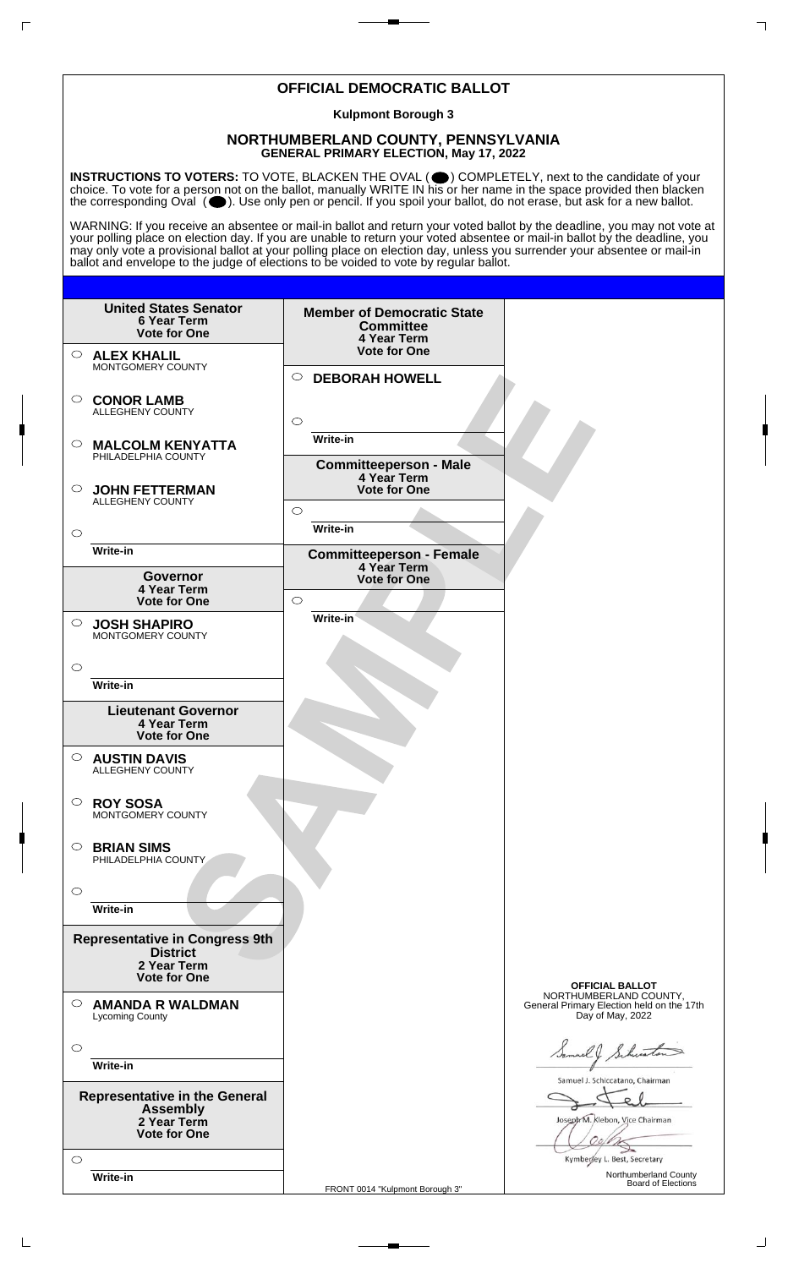|                                                                                                | <b>OFFICIAL DEMOCRATIC BALLOT</b>                                                                                                                                                                                                                                                                                                                                                                                                                                         |                                                                                                                   |
|------------------------------------------------------------------------------------------------|---------------------------------------------------------------------------------------------------------------------------------------------------------------------------------------------------------------------------------------------------------------------------------------------------------------------------------------------------------------------------------------------------------------------------------------------------------------------------|-------------------------------------------------------------------------------------------------------------------|
|                                                                                                | <b>Kulpmont Borough 3</b>                                                                                                                                                                                                                                                                                                                                                                                                                                                 |                                                                                                                   |
|                                                                                                | NORTHUMBERLAND COUNTY, PENNSYLVANIA<br><b>GENERAL PRIMARY ELECTION, May 17, 2022</b>                                                                                                                                                                                                                                                                                                                                                                                      |                                                                                                                   |
|                                                                                                | <b>INSTRUCTIONS TO VOTERS:</b> TO VOTE, BLACKEN THE OVAL (O) COMPLETELY, next to the candidate of your choice. To vote for a person not on the ballot, manually WRITE IN his or her name in the space provided then blacken<br>the corresponding Oval (O). Use only pen or pencil. If you spoil your ballot, do not erase, but ask for a new ballot.                                                                                                                      |                                                                                                                   |
|                                                                                                | WARNING: If you receive an absentee or mail-in ballot and return your voted ballot by the deadline, you may not vote at<br>your polling place on election day. If you are unable to return your voted absentee or mail-in ballot by the deadline, you<br>may only vote a provisional ballot at your polling place on election day, unless you surrender your absentee or mail-in<br>ballot and envelope to the judge of elections to be voided to vote by regular ballot. |                                                                                                                   |
|                                                                                                |                                                                                                                                                                                                                                                                                                                                                                                                                                                                           |                                                                                                                   |
| <b>United States Senator</b><br>6 Year Term<br><b>Vote for One</b>                             | <b>Member of Democratic State</b><br><b>Committee</b><br>4 Year Term                                                                                                                                                                                                                                                                                                                                                                                                      |                                                                                                                   |
| $\circ$<br>ALEX KHALIL<br><b>MONTGOMERY COUNTY</b>                                             | <b>Vote for One</b><br>O<br><b>DEBORAH HOWELL</b>                                                                                                                                                                                                                                                                                                                                                                                                                         |                                                                                                                   |
| $\circ$<br><b>CONOR LAMB</b><br>ALLEGHENY COUNTY                                               | ◯                                                                                                                                                                                                                                                                                                                                                                                                                                                                         |                                                                                                                   |
| <b>MALCOLM KENYATTA</b><br>$\circ$<br>PHILADELPHIA COUNTY                                      | Write-in                                                                                                                                                                                                                                                                                                                                                                                                                                                                  |                                                                                                                   |
| $\circ$<br><b>JOHN FETTERMAN</b><br><b>ALLEGHENY COUNTY</b>                                    | Committeeperson - Male<br>4 Year Term<br><b>Vote for One</b>                                                                                                                                                                                                                                                                                                                                                                                                              |                                                                                                                   |
| $\circ$                                                                                        | $\circ$<br>Write-in                                                                                                                                                                                                                                                                                                                                                                                                                                                       |                                                                                                                   |
| <b>Write-in</b>                                                                                | <b>Committeeperson - Female</b>                                                                                                                                                                                                                                                                                                                                                                                                                                           |                                                                                                                   |
| Governor<br>4 Year Term                                                                        | <b>4 Year Term</b><br><b>Vote for One</b>                                                                                                                                                                                                                                                                                                                                                                                                                                 |                                                                                                                   |
| <b>Vote for One</b>                                                                            | $\circlearrowright$                                                                                                                                                                                                                                                                                                                                                                                                                                                       |                                                                                                                   |
| $\circ$<br><b>JOSH SHAPIRO</b><br>MONTGOMERY COUNTY                                            | Write-in                                                                                                                                                                                                                                                                                                                                                                                                                                                                  |                                                                                                                   |
| $\circ$<br><b>Write-in</b>                                                                     |                                                                                                                                                                                                                                                                                                                                                                                                                                                                           |                                                                                                                   |
| <b>Lieutenant Governor</b><br>4 Year Term<br><b>Vote for One</b>                               |                                                                                                                                                                                                                                                                                                                                                                                                                                                                           |                                                                                                                   |
| <b>AUSTIN DAVIS</b><br>O.<br><b>ALLEGHENY COUNTY</b>                                           |                                                                                                                                                                                                                                                                                                                                                                                                                                                                           |                                                                                                                   |
| <b>ROY SOSA</b><br>$\circ$<br>MONTGOMERY COUNTY                                                |                                                                                                                                                                                                                                                                                                                                                                                                                                                                           |                                                                                                                   |
| $\circ$<br><b>BRIAN SIMS</b><br>PHILADELPHIA COUNTY                                            |                                                                                                                                                                                                                                                                                                                                                                                                                                                                           |                                                                                                                   |
| $\circ$<br><b>Write-in</b>                                                                     |                                                                                                                                                                                                                                                                                                                                                                                                                                                                           |                                                                                                                   |
| <b>Representative in Congress 9th</b><br><b>District</b><br>2 Year Term<br><b>Vote for One</b> |                                                                                                                                                                                                                                                                                                                                                                                                                                                                           |                                                                                                                   |
| <b>AMANDA R WALDMAN</b><br>O<br><b>Lycoming County</b>                                         |                                                                                                                                                                                                                                                                                                                                                                                                                                                                           | <b>OFFICIAL BALLOT</b><br>NORTHUMBERLAND COUNTY,<br>General Primary Election held on the 17th<br>Day of May, 2022 |
| $\circlearrowright$                                                                            |                                                                                                                                                                                                                                                                                                                                                                                                                                                                           |                                                                                                                   |
| <b>Write-in</b>                                                                                |                                                                                                                                                                                                                                                                                                                                                                                                                                                                           | Samuel J. Schiccatano, Chairman                                                                                   |
| <b>Representative in the General</b><br><b>Assembly</b><br>2 Year Term<br><b>Vote for One</b>  |                                                                                                                                                                                                                                                                                                                                                                                                                                                                           | Joseph M. Klebon, Vice Chairman                                                                                   |
| $\circ$                                                                                        |                                                                                                                                                                                                                                                                                                                                                                                                                                                                           | Kymber/ey L. Best, Secretary                                                                                      |
| <b>Write-in</b>                                                                                | FRONT 0014 "Kulpmont Borough 3"                                                                                                                                                                                                                                                                                                                                                                                                                                           | Northumberland County<br>Board of Elections                                                                       |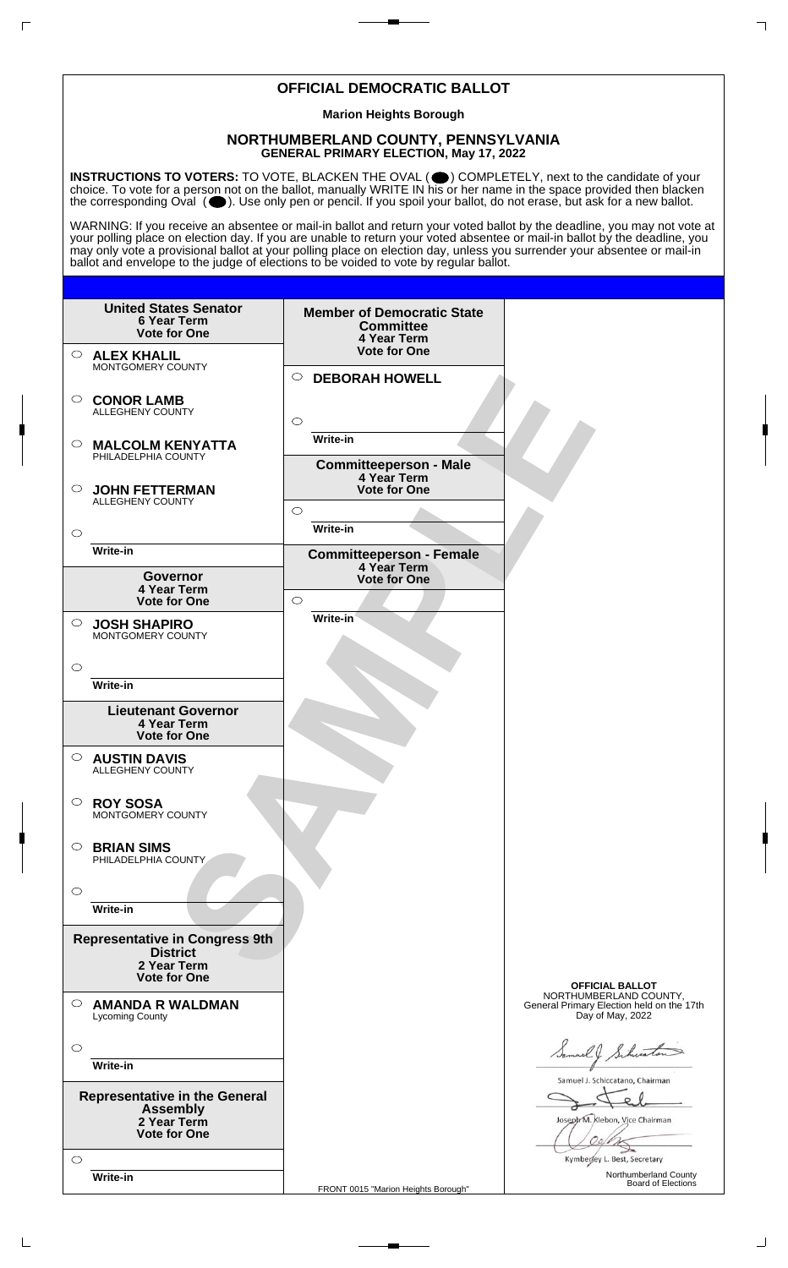|                                                                                                |         | <b>OFFICIAL DEMOCRATIC BALLOT</b>                                                     |                                                                                                                                                                                                                                                                                                                                                                                  |
|------------------------------------------------------------------------------------------------|---------|---------------------------------------------------------------------------------------|----------------------------------------------------------------------------------------------------------------------------------------------------------------------------------------------------------------------------------------------------------------------------------------------------------------------------------------------------------------------------------|
| <b>Marion Heights Borough</b>                                                                  |         |                                                                                       |                                                                                                                                                                                                                                                                                                                                                                                  |
|                                                                                                |         | NORTHUMBERLAND COUNTY, PENNSYLVANIA<br><b>GENERAL PRIMARY ELECTION, May 17, 2022</b>  |                                                                                                                                                                                                                                                                                                                                                                                  |
|                                                                                                |         |                                                                                       | INSTRUCTIONS TO VOTERS: TO VOTE, BLACKEN THE OVAL (O) COMPLETELY, next to the candidate of your choice. To vote for a person not on the ballot, manually WRITE IN his or her name in the space provided then blacken the corre                                                                                                                                                   |
|                                                                                                |         | ballot and envelope to the judge of elections to be voided to vote by regular ballot. | WARNING: If you receive an absentee or mail-in ballot and return your voted ballot by the deadline, you may not vote at<br>your polling place on election day. If you are unable to return your voted absentee or mail-in ballot by the deadline, you<br>may only vote a provisional ballot at your polling place on election day, unless you surrender your absentee or mail-in |
|                                                                                                |         |                                                                                       |                                                                                                                                                                                                                                                                                                                                                                                  |
| <b>United States Senator</b><br><b>6 Year Term</b><br><b>Vote for One</b>                      |         | <b>Member of Democratic State</b><br><b>Committee</b><br>4 Year Term                  |                                                                                                                                                                                                                                                                                                                                                                                  |
| $\circ$ ALEX KHALIL<br>MONTGOMERY COUNTY                                                       | $\circ$ | <b>Vote for One</b><br><b>DEBORAH HOWELL</b>                                          |                                                                                                                                                                                                                                                                                                                                                                                  |
| O<br><b>CONOR LAMB</b><br>ALLEGHENY COUNTY                                                     | $\circ$ |                                                                                       |                                                                                                                                                                                                                                                                                                                                                                                  |
| <b>MALCOLM KENYATTA</b><br>$\circ$<br>PHILADELPHIA COUNTY                                      |         | <b>Write-in</b>                                                                       |                                                                                                                                                                                                                                                                                                                                                                                  |
| $\circ$<br><b>JOHN FETTERMAN</b><br><b>ALLEGHENY COUNTY</b>                                    |         | <b>Committeeperson - Male</b><br>4 Year Term<br><b>Vote for One</b>                   |                                                                                                                                                                                                                                                                                                                                                                                  |
| $\circ$                                                                                        | $\circ$ | <b>Write-in</b>                                                                       |                                                                                                                                                                                                                                                                                                                                                                                  |
| <b>Write-in</b>                                                                                |         | <b>Committeeperson - Female</b><br>4 Year Term                                        |                                                                                                                                                                                                                                                                                                                                                                                  |
| <b>Governor</b><br>4 Year Term<br><b>Vote for One</b>                                          | $\circ$ | <b>Vote for One</b>                                                                   |                                                                                                                                                                                                                                                                                                                                                                                  |
| $\circ$<br><b>JOSH SHAPIRO</b><br>MONTGOMERY COUNTY                                            |         | Write-in                                                                              |                                                                                                                                                                                                                                                                                                                                                                                  |
| $\circ$<br><b>Write-in</b>                                                                     |         |                                                                                       |                                                                                                                                                                                                                                                                                                                                                                                  |
| <b>Lieutenant Governor</b><br>4 Year Term<br><b>Vote for One</b>                               |         |                                                                                       |                                                                                                                                                                                                                                                                                                                                                                                  |
| <b>AUSTIN DAVIS</b><br>$\circ$<br><b>ALLEGHENY COUNTY</b>                                      |         |                                                                                       |                                                                                                                                                                                                                                                                                                                                                                                  |
| <b>ROY SOSA</b><br>$\circ$<br>MONTGOMERY COUNTY                                                |         |                                                                                       |                                                                                                                                                                                                                                                                                                                                                                                  |
| <b>BRIAN SIMS</b><br>O<br>PHILADELPHIA COUNTY                                                  |         |                                                                                       |                                                                                                                                                                                                                                                                                                                                                                                  |
| $\circ$<br><b>Write-in</b>                                                                     |         |                                                                                       |                                                                                                                                                                                                                                                                                                                                                                                  |
| <b>Representative in Congress 9th</b><br><b>District</b><br>2 Year Term<br><b>Vote for One</b> |         |                                                                                       | <b>OFFICIAL BALLOT</b>                                                                                                                                                                                                                                                                                                                                                           |
| O<br><b>AMANDA R WALDMAN</b><br><b>Lycoming County</b>                                         |         |                                                                                       | NORTHUMBERLAND COUNTY,<br>General Primary Election held on the 17th<br>Day of May, 2022                                                                                                                                                                                                                                                                                          |
| $\circ$<br><b>Write-in</b>                                                                     |         |                                                                                       |                                                                                                                                                                                                                                                                                                                                                                                  |
|                                                                                                |         |                                                                                       | Samuel J. Schiccatano, Chairman                                                                                                                                                                                                                                                                                                                                                  |
| <b>Representative in the General</b><br><b>Assembly</b><br>2 Year Term<br><b>Vote for One</b>  |         |                                                                                       | Joseph M. Klebon, Vice Chairman                                                                                                                                                                                                                                                                                                                                                  |
| $\circlearrowright$                                                                            |         |                                                                                       | Kymberley L. Best, Secretary                                                                                                                                                                                                                                                                                                                                                     |
| <b>Write-in</b>                                                                                |         | FRONT 0015 "Marion Heights Borough"                                                   | Northumberland County<br>Board of Elections                                                                                                                                                                                                                                                                                                                                      |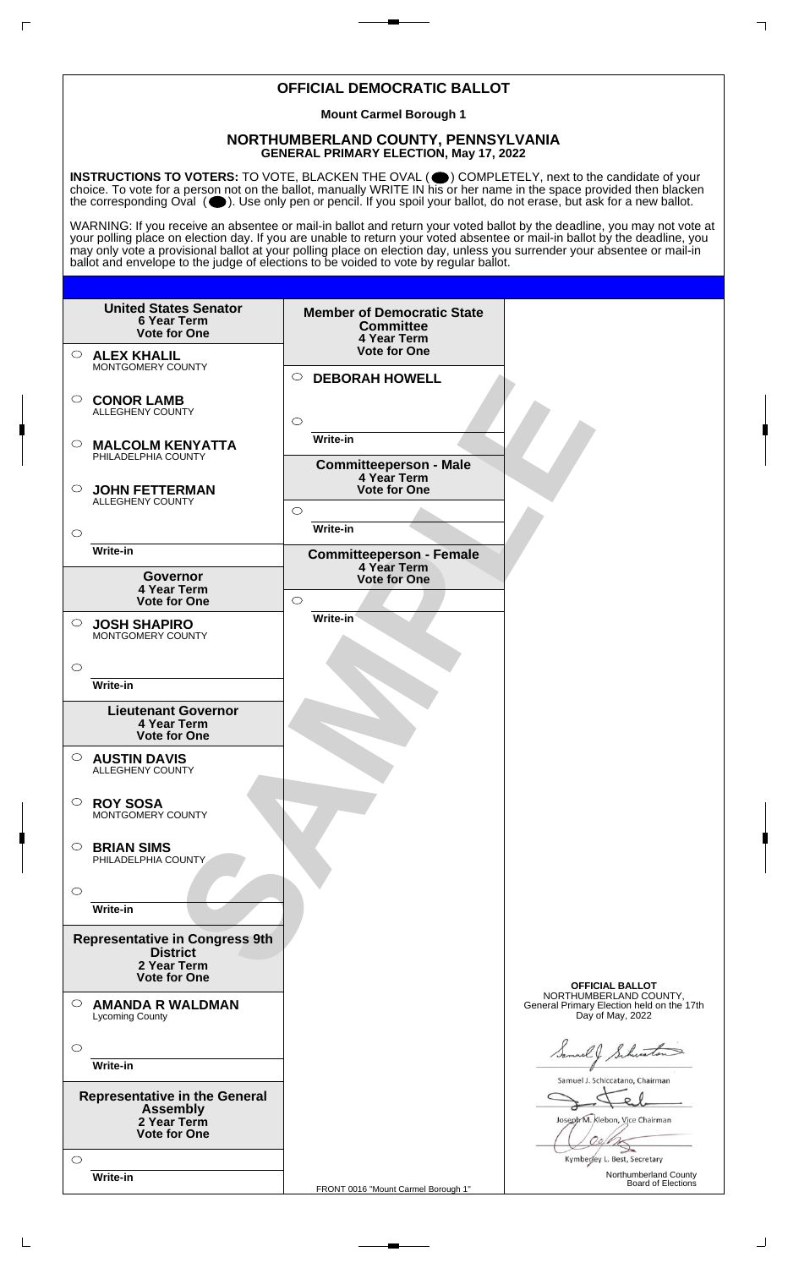|                                                                                                | <b>OFFICIAL DEMOCRATIC BALLOT</b>                                                                                                                                                                                                                                                                                                                                                                                                                                         |                                                                                                                   |
|------------------------------------------------------------------------------------------------|---------------------------------------------------------------------------------------------------------------------------------------------------------------------------------------------------------------------------------------------------------------------------------------------------------------------------------------------------------------------------------------------------------------------------------------------------------------------------|-------------------------------------------------------------------------------------------------------------------|
|                                                                                                | <b>Mount Carmel Borough 1</b>                                                                                                                                                                                                                                                                                                                                                                                                                                             |                                                                                                                   |
|                                                                                                | NORTHUMBERLAND COUNTY, PENNSYLVANIA<br><b>GENERAL PRIMARY ELECTION, May 17, 2022</b>                                                                                                                                                                                                                                                                                                                                                                                      |                                                                                                                   |
|                                                                                                | <b>INSTRUCTIONS TO VOTERS:</b> TO VOTE, BLACKEN THE OVAL (O) COMPLETELY, next to the candidate of your choice. To vote for a person not on the ballot, manually WRITE IN his or her name in the space provided then blacken<br>the corresponding Oval (O). Use only pen or pencil. If you spoil your ballot, do not erase, but ask for a new ballot.                                                                                                                      |                                                                                                                   |
|                                                                                                | WARNING: If you receive an absentee or mail-in ballot and return your voted ballot by the deadline, you may not vote at<br>your polling place on election day. If you are unable to return your voted absentee or mail-in ballot by the deadline, you<br>may only vote a provisional ballot at your polling place on election day, unless you surrender your absentee or mail-in<br>ballot and envelope to the judge of elections to be voided to vote by regular ballot. |                                                                                                                   |
|                                                                                                |                                                                                                                                                                                                                                                                                                                                                                                                                                                                           |                                                                                                                   |
| <b>United States Senator</b><br>6 Year Term<br><b>Vote for One</b>                             | <b>Member of Democratic State</b><br><b>Committee</b><br>4 Year Term                                                                                                                                                                                                                                                                                                                                                                                                      |                                                                                                                   |
| $\circ$ ALEX KHALIL<br>MONTGOMERY COUNTY                                                       | <b>Vote for One</b><br>O<br><b>DEBORAH HOWELL</b>                                                                                                                                                                                                                                                                                                                                                                                                                         |                                                                                                                   |
| <b>CONOR LAMB</b><br>O<br><b>ALLEGHENY COUNTY</b>                                              | $\circ$                                                                                                                                                                                                                                                                                                                                                                                                                                                                   |                                                                                                                   |
| <b>MALCOLM KENYATTA</b><br>$\circlearrowright$<br>PHILADELPHIA COUNTY                          | Write-in                                                                                                                                                                                                                                                                                                                                                                                                                                                                  |                                                                                                                   |
| $\circlearrowright$<br><b>JOHN FETTERMAN</b><br><b>ALLEGHENY COUNTY</b>                        | Committeeperson - Male<br>4 Year Term<br><b>Vote for One</b>                                                                                                                                                                                                                                                                                                                                                                                                              |                                                                                                                   |
| $\circ$                                                                                        | $\circ$<br><b>Write-in</b>                                                                                                                                                                                                                                                                                                                                                                                                                                                |                                                                                                                   |
| <b>Write-in</b>                                                                                | <b>Committeeperson - Female</b>                                                                                                                                                                                                                                                                                                                                                                                                                                           |                                                                                                                   |
| Governor<br>4 Year Term<br><b>Vote for One</b>                                                 | <b>4 Year Term</b><br><b>Vote for One</b><br>$\circ$                                                                                                                                                                                                                                                                                                                                                                                                                      |                                                                                                                   |
| O<br><b>JOSH SHAPIRO</b><br>MONTGOMERY COUNTY                                                  | Write-in                                                                                                                                                                                                                                                                                                                                                                                                                                                                  |                                                                                                                   |
| $\circ$<br><b>Write-in</b>                                                                     |                                                                                                                                                                                                                                                                                                                                                                                                                                                                           |                                                                                                                   |
| <b>Lieutenant Governor</b><br>4 Year Term<br><b>Vote for One</b>                               |                                                                                                                                                                                                                                                                                                                                                                                                                                                                           |                                                                                                                   |
| <b>AUSTIN DAVIS</b><br>$\circ$<br><b>ALLEGHENY COUNTY</b>                                      |                                                                                                                                                                                                                                                                                                                                                                                                                                                                           |                                                                                                                   |
| <b>ROY SOSA</b><br>$\circ$<br>MONTGOMERY COUNTY                                                |                                                                                                                                                                                                                                                                                                                                                                                                                                                                           |                                                                                                                   |
| O<br><b>BRIAN SIMS</b><br>PHILADELPHIA COUNTY                                                  |                                                                                                                                                                                                                                                                                                                                                                                                                                                                           |                                                                                                                   |
| $\circ$<br><b>Write-in</b>                                                                     |                                                                                                                                                                                                                                                                                                                                                                                                                                                                           |                                                                                                                   |
| <b>Representative in Congress 9th</b><br><b>District</b><br>2 Year Term<br><b>Vote for One</b> |                                                                                                                                                                                                                                                                                                                                                                                                                                                                           |                                                                                                                   |
| <b>AMANDA R WALDMAN</b><br>O<br><b>Lycoming County</b>                                         |                                                                                                                                                                                                                                                                                                                                                                                                                                                                           | <b>OFFICIAL BALLOT</b><br>NORTHUMBERLAND COUNTY,<br>General Primary Election held on the 17th<br>Day of May, 2022 |
| $\circ$<br><b>Write-in</b>                                                                     |                                                                                                                                                                                                                                                                                                                                                                                                                                                                           |                                                                                                                   |
| <b>Representative in the General</b><br><b>Assembly</b><br>2 Year Term<br><b>Vote for One</b>  |                                                                                                                                                                                                                                                                                                                                                                                                                                                                           | Samuel J. Schiccatano, Chairman<br>Joseph M. Klebon, Vice Chairman                                                |
| $\circ$                                                                                        |                                                                                                                                                                                                                                                                                                                                                                                                                                                                           | Kymber/ey L. Best, Secretary                                                                                      |
| Write-in                                                                                       | FRONT 0016 "Mount Carmel Borough 1"                                                                                                                                                                                                                                                                                                                                                                                                                                       | Northumberland County<br>Board of Elections                                                                       |

 $\mathrel{\sqsubseteq}$ 

٦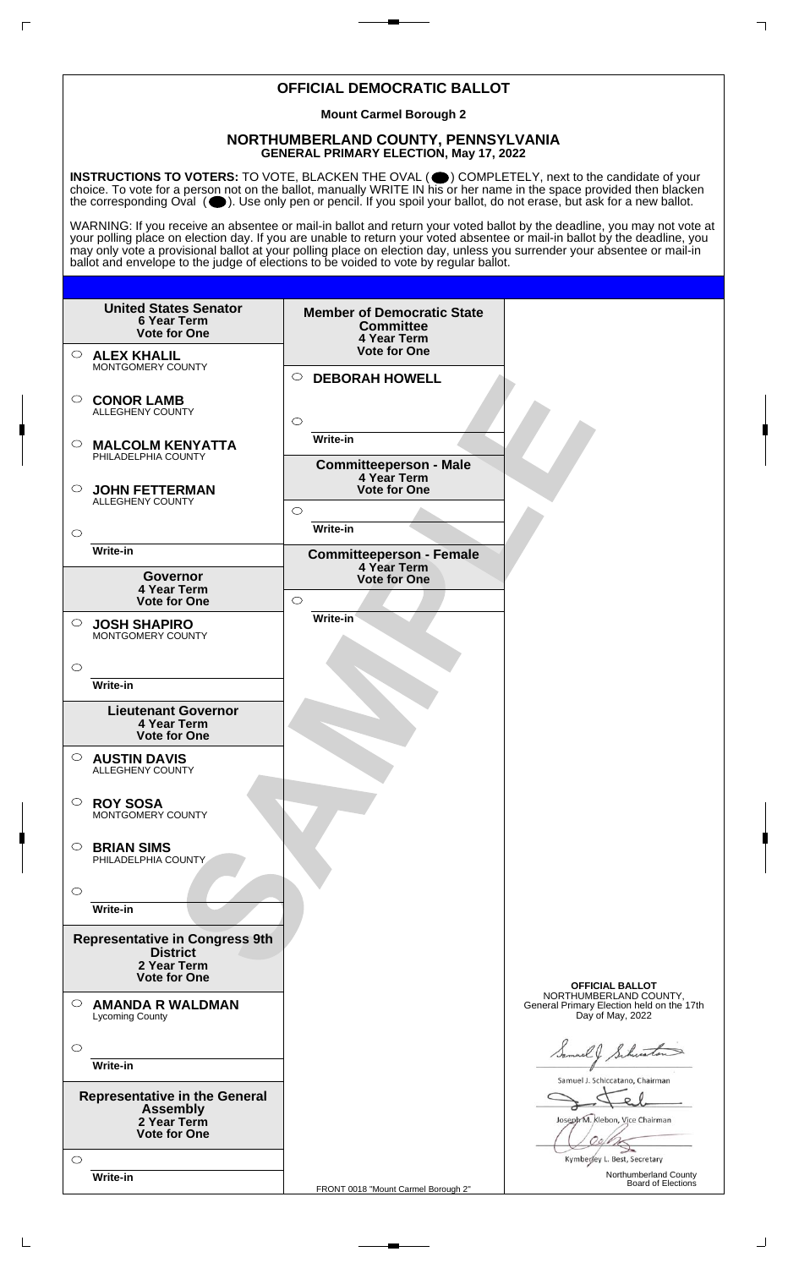|                                                                         | <b>OFFICIAL DEMOCRATIC BALLOT</b>                                                                                                                                                                                                                                                                                                                    |                                                               |
|-------------------------------------------------------------------------|------------------------------------------------------------------------------------------------------------------------------------------------------------------------------------------------------------------------------------------------------------------------------------------------------------------------------------------------------|---------------------------------------------------------------|
|                                                                         | <b>Mount Carmel Borough 2</b>                                                                                                                                                                                                                                                                                                                        |                                                               |
|                                                                         | NORTHUMBERLAND COUNTY, PENNSYLVANIA                                                                                                                                                                                                                                                                                                                  |                                                               |
|                                                                         | <b>GENERAL PRIMARY ELECTION, May 17, 2022</b>                                                                                                                                                                                                                                                                                                        |                                                               |
|                                                                         | <b>INSTRUCTIONS TO VOTERS:</b> TO VOTE, BLACKEN THE OVAL (O) COMPLETELY, next to the candidate of your choice. To vote for a person not on the ballot, manually WRITE IN his or her name in the space provided then blacken<br>the corresponding Oval (O). Use only pen or pencil. If you spoil your ballot, do not erase, but ask for a new ballot. |                                                               |
|                                                                         | WARNING: If you receive an absentee or mail-in ballot and return your voted ballot by the deadline, you may not vote at                                                                                                                                                                                                                              |                                                               |
|                                                                         | your polling place on election day. If you are unable to return your voted absentee or mail-in ballot by the deadline, you<br>may only vote a provisional ballot at your polling place on election day, unless you surrender your absentee or mail-in                                                                                                |                                                               |
|                                                                         | ballot and envelope to the judge of elections to be voided to vote by regular ballot.                                                                                                                                                                                                                                                                |                                                               |
|                                                                         |                                                                                                                                                                                                                                                                                                                                                      |                                                               |
| <b>United States Senator</b><br>6 Year Term                             | <b>Member of Democratic State</b><br><b>Committee</b>                                                                                                                                                                                                                                                                                                |                                                               |
| <b>Vote for One</b>                                                     | 4 Year Term<br><b>Vote for One</b>                                                                                                                                                                                                                                                                                                                   |                                                               |
| O.<br><b>ALEX KHALIL</b><br>MONTGOMERY COUNTY                           |                                                                                                                                                                                                                                                                                                                                                      |                                                               |
|                                                                         | O<br><b>DEBORAH HOWELL</b>                                                                                                                                                                                                                                                                                                                           |                                                               |
| <b>CONOR LAMB</b><br>O<br>ALLEGHENY COUNTY                              |                                                                                                                                                                                                                                                                                                                                                      |                                                               |
|                                                                         | $\circ$<br>Write-in                                                                                                                                                                                                                                                                                                                                  |                                                               |
| <b>MALCOLM KENYATTA</b><br>$\circ$<br>PHILADELPHIA COUNTY               |                                                                                                                                                                                                                                                                                                                                                      |                                                               |
|                                                                         | Committeeperson - Male<br>4 Year Term                                                                                                                                                                                                                                                                                                                |                                                               |
| $\circlearrowright$<br><b>JOHN FETTERMAN</b><br><b>ALLEGHENY COUNTY</b> | <b>Vote for One</b>                                                                                                                                                                                                                                                                                                                                  |                                                               |
|                                                                         | $\circ$<br>Write-in                                                                                                                                                                                                                                                                                                                                  |                                                               |
| $\circ$<br><b>Write-in</b>                                              | <b>Committeeperson - Female</b>                                                                                                                                                                                                                                                                                                                      |                                                               |
| Governor                                                                | 4 Year Term<br><b>Vote for One</b>                                                                                                                                                                                                                                                                                                                   |                                                               |
| 4 Year Term<br><b>Vote for One</b>                                      | $\circ$                                                                                                                                                                                                                                                                                                                                              |                                                               |
| $\circ$<br><b>JOSH SHAPIRO</b>                                          | Write-in                                                                                                                                                                                                                                                                                                                                             |                                                               |
| MONTGOMERY COUNTY                                                       |                                                                                                                                                                                                                                                                                                                                                      |                                                               |
| $\circ$                                                                 |                                                                                                                                                                                                                                                                                                                                                      |                                                               |
| <b>Write-in</b>                                                         |                                                                                                                                                                                                                                                                                                                                                      |                                                               |
| <b>Lieutenant Governor</b><br>4 Year Term<br><b>Vote for One</b>        |                                                                                                                                                                                                                                                                                                                                                      |                                                               |
| $\circ$<br><b>AUSTIN DAVIS</b>                                          |                                                                                                                                                                                                                                                                                                                                                      |                                                               |
| <b>ALLEGHENY COUNTY</b>                                                 |                                                                                                                                                                                                                                                                                                                                                      |                                                               |
| <b>ROY SOSA</b><br>$\circ$<br>MONTGOMERY COUNTY                         |                                                                                                                                                                                                                                                                                                                                                      |                                                               |
|                                                                         |                                                                                                                                                                                                                                                                                                                                                      |                                                               |
| <b>BRIAN SIMS</b><br>$\circ$<br>PHILADELPHIA COUNTY                     |                                                                                                                                                                                                                                                                                                                                                      |                                                               |
|                                                                         |                                                                                                                                                                                                                                                                                                                                                      |                                                               |
| $\circ$                                                                 |                                                                                                                                                                                                                                                                                                                                                      |                                                               |
| Write-in                                                                |                                                                                                                                                                                                                                                                                                                                                      |                                                               |
| <b>Representative in Congress 9th</b><br><b>District</b>                |                                                                                                                                                                                                                                                                                                                                                      |                                                               |
| 2 Year Term                                                             |                                                                                                                                                                                                                                                                                                                                                      |                                                               |
| <b>Vote for One</b>                                                     |                                                                                                                                                                                                                                                                                                                                                      | <b>OFFICIAL BALLOT</b><br>NORTHUMBERLAND COUNTY,              |
| <b>AMANDA R WALDMAN</b><br>$\circ$<br><b>Lycoming County</b>            |                                                                                                                                                                                                                                                                                                                                                      | General Primary Election held on the 17th<br>Day of May, 2022 |
| $\circ$                                                                 |                                                                                                                                                                                                                                                                                                                                                      |                                                               |
| <b>Write-in</b>                                                         |                                                                                                                                                                                                                                                                                                                                                      |                                                               |
| <b>Representative in the General</b>                                    |                                                                                                                                                                                                                                                                                                                                                      | Samuel J. Schiccatano, Chairman                               |
| <b>Assembly</b>                                                         |                                                                                                                                                                                                                                                                                                                                                      | Joseph M. Klebon, Vice Chairman                               |
| 2 Year Term<br><b>Vote for One</b>                                      |                                                                                                                                                                                                                                                                                                                                                      |                                                               |
| $\circ$                                                                 |                                                                                                                                                                                                                                                                                                                                                      | Kymberley L. Best, Secretary                                  |
|                                                                         |                                                                                                                                                                                                                                                                                                                                                      | Northumberland County                                         |

 $\Box$ 

FRONT 0018 "Mount Carmel Borough 2"

 $\top$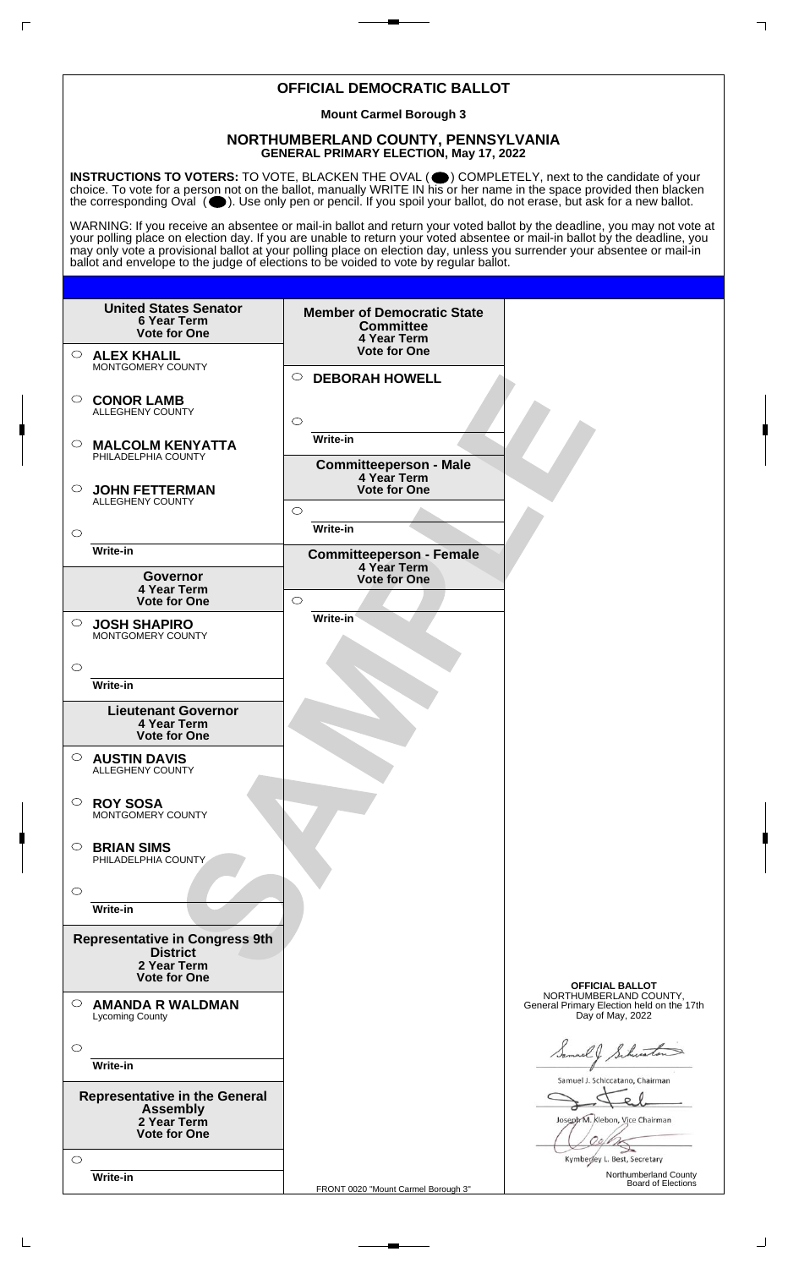|                                                                                               | <b>OFFICIAL DEMOCRATIC BALLOT</b>                                                                                                                                                                                                                                                                                                                                                                                                                                         |                                                                                                                   |
|-----------------------------------------------------------------------------------------------|---------------------------------------------------------------------------------------------------------------------------------------------------------------------------------------------------------------------------------------------------------------------------------------------------------------------------------------------------------------------------------------------------------------------------------------------------------------------------|-------------------------------------------------------------------------------------------------------------------|
|                                                                                               | <b>Mount Carmel Borough 3</b>                                                                                                                                                                                                                                                                                                                                                                                                                                             |                                                                                                                   |
|                                                                                               | NORTHUMBERLAND COUNTY, PENNSYLVANIA<br><b>GENERAL PRIMARY ELECTION, May 17, 2022</b>                                                                                                                                                                                                                                                                                                                                                                                      |                                                                                                                   |
|                                                                                               | <b>INSTRUCTIONS TO VOTERS:</b> TO VOTE, BLACKEN THE OVAL (O) COMPLETELY, next to the candidate of your choice. To vote for a person not on the ballot, manually WRITE IN his or her name in the space provided then blacken<br>the corresponding Oval (O). Use only pen or pencil. If you spoil your ballot, do not erase, but ask for a new ballot.                                                                                                                      |                                                                                                                   |
|                                                                                               | WARNING: If you receive an absentee or mail-in ballot and return your voted ballot by the deadline, you may not vote at<br>your polling place on election day. If you are unable to return your voted absentee or mail-in ballot by the deadline, you<br>may only vote a provisional ballot at your polling place on election day, unless you surrender your absentee or mail-in<br>ballot and envelope to the judge of elections to be voided to vote by regular ballot. |                                                                                                                   |
|                                                                                               |                                                                                                                                                                                                                                                                                                                                                                                                                                                                           |                                                                                                                   |
| <b>United States Senator</b><br>6 Year Term<br><b>Vote for One</b>                            | <b>Member of Democratic State</b><br><b>Committee</b><br>4 Year Term                                                                                                                                                                                                                                                                                                                                                                                                      |                                                                                                                   |
| $\circ$ ALEX KHALIL<br>MONTGOMERY COUNTY                                                      | <b>Vote for One</b><br>O<br><b>DEBORAH HOWELL</b>                                                                                                                                                                                                                                                                                                                                                                                                                         |                                                                                                                   |
| <b>CONOR LAMB</b><br>O<br><b>ALLEGHENY COUNTY</b>                                             | $\circ$                                                                                                                                                                                                                                                                                                                                                                                                                                                                   |                                                                                                                   |
| <b>MALCOLM KENYATTA</b><br>$\circlearrowright$<br>PHILADELPHIA COUNTY                         | Write-in                                                                                                                                                                                                                                                                                                                                                                                                                                                                  |                                                                                                                   |
| $\circlearrowright$<br><b>JOHN FETTERMAN</b><br><b>ALLEGHENY COUNTY</b>                       | Committeeperson - Male<br>4 Year Term<br><b>Vote for One</b>                                                                                                                                                                                                                                                                                                                                                                                                              |                                                                                                                   |
| $\circ$                                                                                       | $\circ$<br><b>Write-in</b>                                                                                                                                                                                                                                                                                                                                                                                                                                                |                                                                                                                   |
| <b>Write-in</b>                                                                               | <b>Committeeperson - Female</b>                                                                                                                                                                                                                                                                                                                                                                                                                                           |                                                                                                                   |
| Governor<br>4 Year Term<br><b>Vote for One</b>                                                | <b>4 Year Term</b><br><b>Vote for One</b><br>$\circ$                                                                                                                                                                                                                                                                                                                                                                                                                      |                                                                                                                   |
| O<br><b>JOSH SHAPIRO</b><br>MONTGOMERY COUNTY                                                 | Write-in                                                                                                                                                                                                                                                                                                                                                                                                                                                                  |                                                                                                                   |
| $\circ$<br><b>Write-in</b>                                                                    |                                                                                                                                                                                                                                                                                                                                                                                                                                                                           |                                                                                                                   |
|                                                                                               |                                                                                                                                                                                                                                                                                                                                                                                                                                                                           |                                                                                                                   |
| <b>Lieutenant Governor</b><br>4 Year Term<br><b>Vote for One</b>                              |                                                                                                                                                                                                                                                                                                                                                                                                                                                                           |                                                                                                                   |
| <b>AUSTIN DAVIS</b><br>$\circ$<br><b>ALLEGHENY COUNTY</b>                                     |                                                                                                                                                                                                                                                                                                                                                                                                                                                                           |                                                                                                                   |
| <b>ROY SOSA</b><br>$\circ$<br>MONTGOMERY COUNTY                                               |                                                                                                                                                                                                                                                                                                                                                                                                                                                                           |                                                                                                                   |
| O<br><b>BRIAN SIMS</b><br>PHILADELPHIA COUNTY                                                 |                                                                                                                                                                                                                                                                                                                                                                                                                                                                           |                                                                                                                   |
| $\circ$<br><b>Write-in</b>                                                                    |                                                                                                                                                                                                                                                                                                                                                                                                                                                                           |                                                                                                                   |
| <b>Representative in Congress 9th</b><br><b>District</b><br>2 Year Term                       |                                                                                                                                                                                                                                                                                                                                                                                                                                                                           |                                                                                                                   |
| <b>Vote for One</b><br><b>AMANDA R WALDMAN</b><br>O<br><b>Lycoming County</b>                 |                                                                                                                                                                                                                                                                                                                                                                                                                                                                           | <b>OFFICIAL BALLOT</b><br>NORTHUMBERLAND COUNTY,<br>General Primary Election held on the 17th<br>Day of May, 2022 |
| $\circ$                                                                                       |                                                                                                                                                                                                                                                                                                                                                                                                                                                                           |                                                                                                                   |
| <b>Write-in</b>                                                                               |                                                                                                                                                                                                                                                                                                                                                                                                                                                                           | Samuel J. Schiccatano, Chairman                                                                                   |
| <b>Representative in the General</b><br><b>Assembly</b><br>2 Year Term<br><b>Vote for One</b> |                                                                                                                                                                                                                                                                                                                                                                                                                                                                           | Joseph M. Klebon, Vice Chairman                                                                                   |
|                                                                                               |                                                                                                                                                                                                                                                                                                                                                                                                                                                                           | Kymberley L. Best, Secretary                                                                                      |
| $\circ$<br>Write-in                                                                           |                                                                                                                                                                                                                                                                                                                                                                                                                                                                           | Northumberland County<br>Board of Elections                                                                       |
|                                                                                               | <b>FRONT COOC</b>                                                                                                                                                                                                                                                                                                                                                                                                                                                         |                                                                                                                   |

 $\Box$ 

FRONT 0020 "Mount Carmel Borough 3"

┑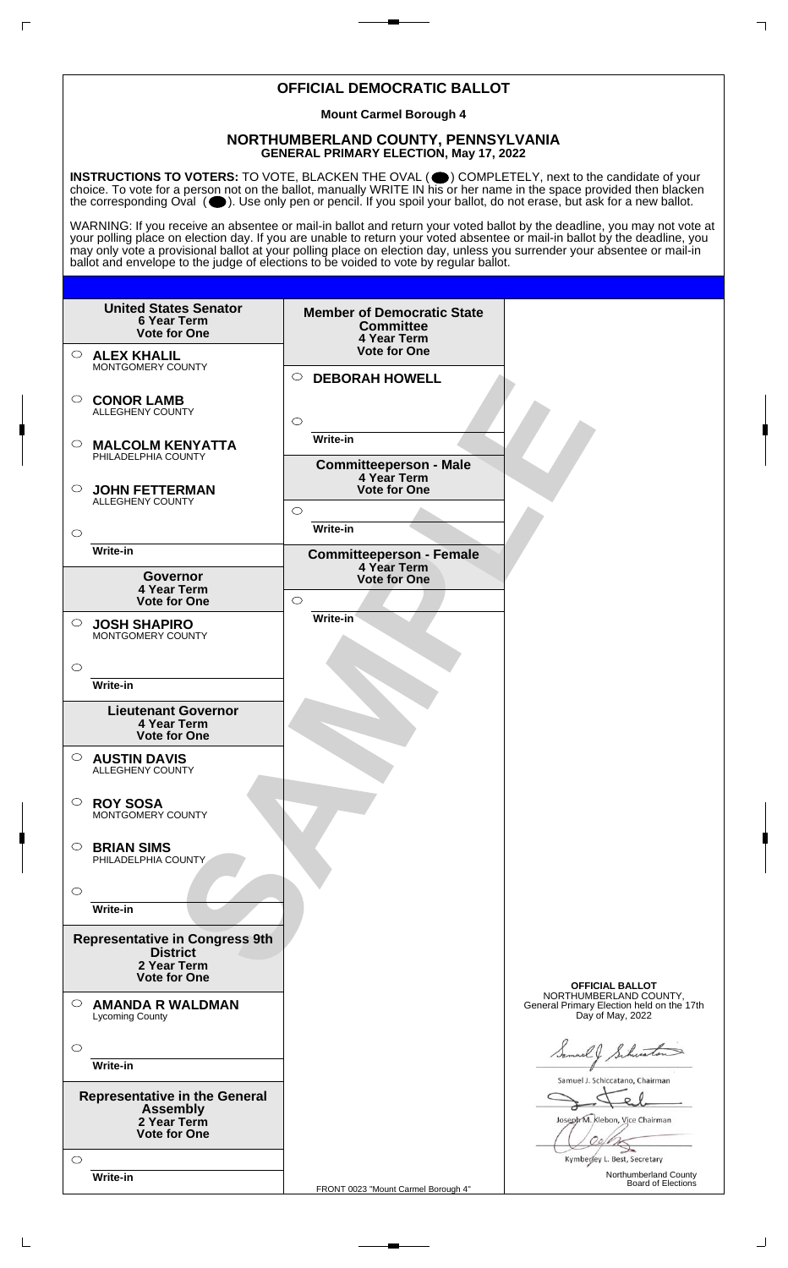|                                                                                                | <b>OFFICIAL DEMOCRATIC BALLOT</b>                                                                                                                                                                                                                                                                                                                                                                                                                                         |                                                                                                                   |
|------------------------------------------------------------------------------------------------|---------------------------------------------------------------------------------------------------------------------------------------------------------------------------------------------------------------------------------------------------------------------------------------------------------------------------------------------------------------------------------------------------------------------------------------------------------------------------|-------------------------------------------------------------------------------------------------------------------|
|                                                                                                | <b>Mount Carmel Borough 4</b>                                                                                                                                                                                                                                                                                                                                                                                                                                             |                                                                                                                   |
|                                                                                                | NORTHUMBERLAND COUNTY, PENNSYLVANIA<br><b>GENERAL PRIMARY ELECTION, May 17, 2022</b>                                                                                                                                                                                                                                                                                                                                                                                      |                                                                                                                   |
|                                                                                                | <b>INSTRUCTIONS TO VOTERS:</b> TO VOTE, BLACKEN THE OVAL (O) COMPLETELY, next to the candidate of your choice. To vote for a person not on the ballot, manually WRITE IN his or her name in the space provided then blacken<br>the corresponding Oval (C). Use only pen or pencil. If you spoil your ballot, do not erase, but ask for a new ballot.                                                                                                                      |                                                                                                                   |
|                                                                                                | WARNING: If you receive an absentee or mail-in ballot and return your voted ballot by the deadline, you may not vote at<br>your polling place on election day. If you are unable to return your voted absentee or mail-in ballot by the deadline, you<br>may only vote a provisional ballot at your polling place on election day, unless you surrender your absentee or mail-in<br>ballot and envelope to the judge of elections to be voided to vote by regular ballot. |                                                                                                                   |
|                                                                                                |                                                                                                                                                                                                                                                                                                                                                                                                                                                                           |                                                                                                                   |
| <b>United States Senator</b><br><b>6 Year Term</b><br><b>Vote for One</b>                      | <b>Member of Democratic State</b><br><b>Committee</b><br>4 Year Term                                                                                                                                                                                                                                                                                                                                                                                                      |                                                                                                                   |
| $\circ$<br><b>ALEX KHALIL</b><br><b>MONTGOMERY COUNTY</b>                                      | <b>Vote for One</b><br>O<br><b>DEBORAH HOWELL</b>                                                                                                                                                                                                                                                                                                                                                                                                                         |                                                                                                                   |
| $\circ$<br><b>CONOR LAMB</b><br><b>ALLEGHENY COUNTY</b>                                        |                                                                                                                                                                                                                                                                                                                                                                                                                                                                           |                                                                                                                   |
| <b>MALCOLM KENYATTA</b><br>$\circ$<br>PHILADELPHIA COUNTY                                      | $\circ$<br>Write-in                                                                                                                                                                                                                                                                                                                                                                                                                                                       |                                                                                                                   |
| $\circ$<br><b>JOHN FETTERMAN</b>                                                               | <b>Committeeperson - Male</b><br>4 Year Term<br><b>Vote for One</b>                                                                                                                                                                                                                                                                                                                                                                                                       |                                                                                                                   |
| <b>ALLEGHENY COUNTY</b>                                                                        | $\circ$<br>Write-in                                                                                                                                                                                                                                                                                                                                                                                                                                                       |                                                                                                                   |
| $\circ$<br>Write-in                                                                            |                                                                                                                                                                                                                                                                                                                                                                                                                                                                           |                                                                                                                   |
|                                                                                                | <b>Committeeperson - Female</b><br>4 Year Term                                                                                                                                                                                                                                                                                                                                                                                                                            |                                                                                                                   |
| Governor<br>4 Year Term<br><b>Vote for One</b>                                                 | <b>Vote for One</b><br>$\circ$                                                                                                                                                                                                                                                                                                                                                                                                                                            |                                                                                                                   |
| $\circ$<br><b>JOSH SHAPIRO</b><br>MONTGOMERY COUNTY                                            | Write-in                                                                                                                                                                                                                                                                                                                                                                                                                                                                  |                                                                                                                   |
| $\circ$<br>Write-in                                                                            |                                                                                                                                                                                                                                                                                                                                                                                                                                                                           |                                                                                                                   |
|                                                                                                |                                                                                                                                                                                                                                                                                                                                                                                                                                                                           |                                                                                                                   |
| <b>Lieutenant Governor</b><br>4 Year Term<br><b>Vote for One</b>                               |                                                                                                                                                                                                                                                                                                                                                                                                                                                                           |                                                                                                                   |
| <b>AUSTIN DAVIS</b><br>$\circ$<br><b>ALLEGHENY COUNTY</b>                                      |                                                                                                                                                                                                                                                                                                                                                                                                                                                                           |                                                                                                                   |
| <b>ROY SOSA</b><br>$\circ$<br>MONTGOMERY COUNTY                                                |                                                                                                                                                                                                                                                                                                                                                                                                                                                                           |                                                                                                                   |
| <b>BRIAN SIMS</b><br>$\circ$<br>PHILADELPHIA COUNTY                                            |                                                                                                                                                                                                                                                                                                                                                                                                                                                                           |                                                                                                                   |
| $\circ$<br><b>Write-in</b>                                                                     |                                                                                                                                                                                                                                                                                                                                                                                                                                                                           |                                                                                                                   |
| <b>Representative in Congress 9th</b><br><b>District</b><br>2 Year Term<br><b>Vote for One</b> |                                                                                                                                                                                                                                                                                                                                                                                                                                                                           |                                                                                                                   |
| <b>AMANDA R WALDMAN</b><br>O<br><b>Lycoming County</b>                                         |                                                                                                                                                                                                                                                                                                                                                                                                                                                                           | <b>OFFICIAL BALLOT</b><br>NORTHUMBERLAND COUNTY,<br>General Primary Election held on the 17th<br>Day of May, 2022 |
| $\circlearrowright$<br>Write-in                                                                |                                                                                                                                                                                                                                                                                                                                                                                                                                                                           |                                                                                                                   |
|                                                                                                |                                                                                                                                                                                                                                                                                                                                                                                                                                                                           | Samuel J. Schiccatano, Chairman                                                                                   |
| <b>Representative in the General</b><br><b>Assembly</b><br>2 Year Term<br>Vote for One         |                                                                                                                                                                                                                                                                                                                                                                                                                                                                           | Joseph M. Klebon, Vice Chairman                                                                                   |
|                                                                                                |                                                                                                                                                                                                                                                                                                                                                                                                                                                                           |                                                                                                                   |
| $\circ$<br><b>Write-in</b>                                                                     |                                                                                                                                                                                                                                                                                                                                                                                                                                                                           | Kymberley L. Best, Secretary<br>Northumberland County<br>Board of Elections                                       |
|                                                                                                | <b>EDONIT 0000 III</b>                                                                                                                                                                                                                                                                                                                                                                                                                                                    |                                                                                                                   |

 $\Box$ 

FRONT 0023 "Mount Carmel Borough 4"

┑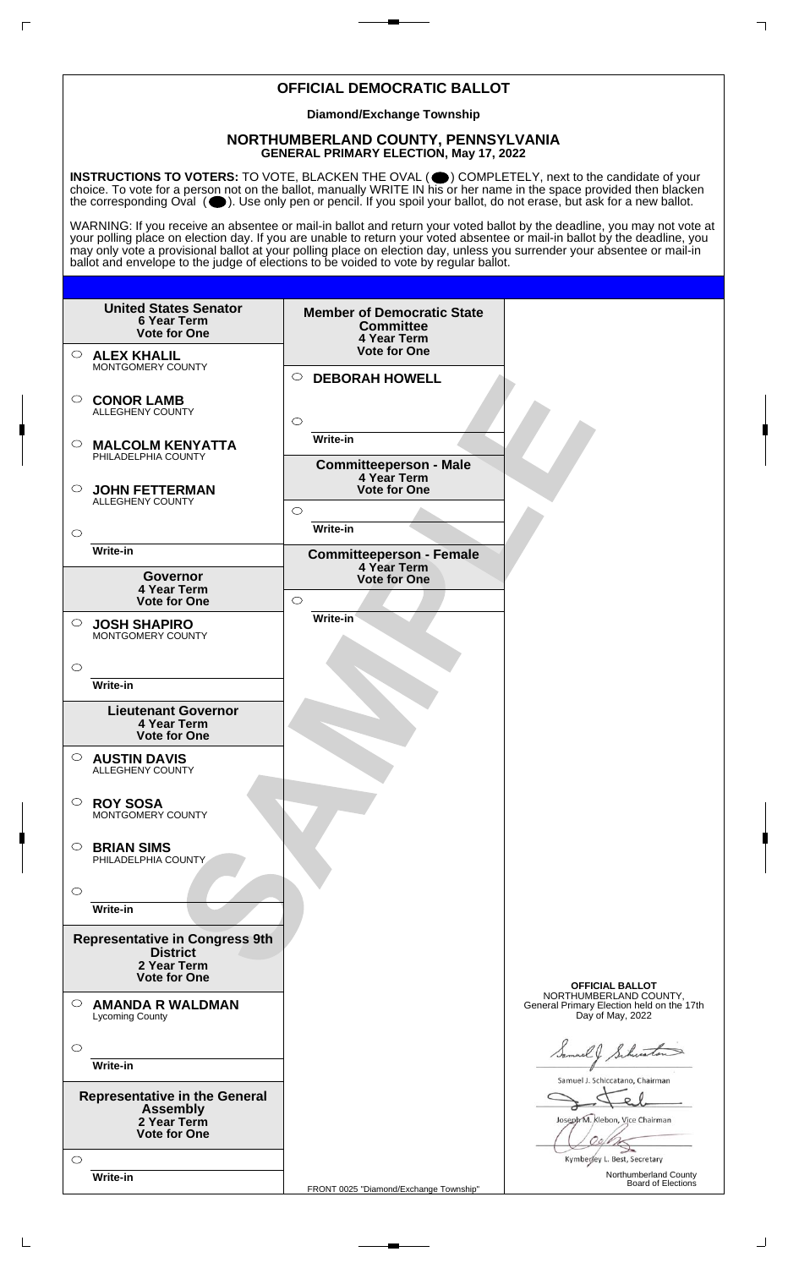|                                                                                                | <b>OFFICIAL DEMOCRATIC BALLOT</b>                                                                                                                                                                                                                                                                                                                                                                                                                                         |                                                                                         |
|------------------------------------------------------------------------------------------------|---------------------------------------------------------------------------------------------------------------------------------------------------------------------------------------------------------------------------------------------------------------------------------------------------------------------------------------------------------------------------------------------------------------------------------------------------------------------------|-----------------------------------------------------------------------------------------|
|                                                                                                | <b>Diamond/Exchange Township</b>                                                                                                                                                                                                                                                                                                                                                                                                                                          |                                                                                         |
|                                                                                                | NORTHUMBERLAND COUNTY, PENNSYLVANIA<br><b>GENERAL PRIMARY ELECTION, May 17, 2022</b>                                                                                                                                                                                                                                                                                                                                                                                      |                                                                                         |
|                                                                                                | <b>INSTRUCTIONS TO VOTERS:</b> TO VOTE, BLACKEN THE OVAL (O) COMPLETELY, next to the candidate of your choice. To vote for a person not on the ballot, manually WRITE IN his or her name in the space provided then blacken<br>the corresponding Oval (O). Use only pen or pencil. If you spoil your ballot, do not erase, but ask for a new ballot.                                                                                                                      |                                                                                         |
|                                                                                                | WARNING: If you receive an absentee or mail-in ballot and return your voted ballot by the deadline, you may not vote at<br>your polling place on election day. If you are unable to return your voted absentee or mail-in ballot by the deadline, you<br>may only vote a provisional ballot at your polling place on election day, unless you surrender your absentee or mail-in<br>ballot and envelope to the judge of elections to be voided to vote by regular ballot. |                                                                                         |
|                                                                                                |                                                                                                                                                                                                                                                                                                                                                                                                                                                                           |                                                                                         |
| <b>United States Senator</b><br><b>6 Year Term</b><br><b>Vote for One</b>                      | <b>Member of Democratic State</b><br><b>Committee</b><br>4 Year Term                                                                                                                                                                                                                                                                                                                                                                                                      |                                                                                         |
| $\circ$ ALEX KHALIL<br>MONTGOMERY COUNTY                                                       | <b>Vote for One</b><br>$\circ$<br><b>DEBORAH HOWELL</b>                                                                                                                                                                                                                                                                                                                                                                                                                   |                                                                                         |
| $\circ$<br><b>CONOR LAMB</b><br><b>ALLEGHENY COUNTY</b>                                        | $\circ$                                                                                                                                                                                                                                                                                                                                                                                                                                                                   |                                                                                         |
| <b>MALCOLM KENYATTA</b><br>$\circ$<br>PHILADELPHIA COUNTY                                      | Write-in                                                                                                                                                                                                                                                                                                                                                                                                                                                                  |                                                                                         |
| $\circlearrowright$<br><b>JOHN FETTERMAN</b><br><b>ALLEGHENY COUNTY</b>                        | <b>Committeeperson - Male</b><br>4 Year Term<br><b>Vote for One</b>                                                                                                                                                                                                                                                                                                                                                                                                       |                                                                                         |
| $\circ$                                                                                        | $\circ$<br>Write-in                                                                                                                                                                                                                                                                                                                                                                                                                                                       |                                                                                         |
| <b>Write-in</b>                                                                                | <b>Committeeperson - Female</b><br><b>4 Year Term</b>                                                                                                                                                                                                                                                                                                                                                                                                                     |                                                                                         |
| Governor<br>4 Year Term<br><b>Vote for One</b>                                                 | <b>Vote for One</b><br>$\circ$                                                                                                                                                                                                                                                                                                                                                                                                                                            |                                                                                         |
| <b>JOSH SHAPIRO</b><br>$\circlearrowright$<br>MONTGOMERY COUNTY                                | Write-in                                                                                                                                                                                                                                                                                                                                                                                                                                                                  |                                                                                         |
| $\circ$<br><b>Write-in</b>                                                                     |                                                                                                                                                                                                                                                                                                                                                                                                                                                                           |                                                                                         |
| <b>Lieutenant Governor</b><br>4 Year Term<br><b>Vote for One</b>                               |                                                                                                                                                                                                                                                                                                                                                                                                                                                                           |                                                                                         |
| $\circ$ AUSTIN DAVIS<br>ALLEGHENY COUNTY                                                       |                                                                                                                                                                                                                                                                                                                                                                                                                                                                           |                                                                                         |
| <b>ROY SOSA</b><br>O<br>MONTGOMERY COUNTY                                                      |                                                                                                                                                                                                                                                                                                                                                                                                                                                                           |                                                                                         |
| <b>BRIAN SIMS</b><br>$\circ$<br>PHILADELPHIA COUNTY                                            |                                                                                                                                                                                                                                                                                                                                                                                                                                                                           |                                                                                         |
| $\circ$<br><b>Write-in</b>                                                                     |                                                                                                                                                                                                                                                                                                                                                                                                                                                                           |                                                                                         |
| <b>Representative in Congress 9th</b><br><b>District</b><br>2 Year Term<br><b>Vote for One</b> |                                                                                                                                                                                                                                                                                                                                                                                                                                                                           | <b>OFFICIAL BALLOT</b>                                                                  |
| <b>AMANDA R WALDMAN</b><br>O.<br><b>Lycoming County</b>                                        |                                                                                                                                                                                                                                                                                                                                                                                                                                                                           | NORTHUMBERLAND COUNTY,<br>General Primary Election held on the 17th<br>Day of May, 2022 |
| $\circ$                                                                                        |                                                                                                                                                                                                                                                                                                                                                                                                                                                                           |                                                                                         |
| Write-in                                                                                       |                                                                                                                                                                                                                                                                                                                                                                                                                                                                           | Samuel J. Schiccatano, Chairman                                                         |
| <b>Representative in the General</b><br><b>Assembly</b><br>2 Year Term<br><b>Vote for One</b>  |                                                                                                                                                                                                                                                                                                                                                                                                                                                                           | Joseph M. Klebon, Vice Chairman                                                         |
| $\circ$                                                                                        |                                                                                                                                                                                                                                                                                                                                                                                                                                                                           | Kymberley L. Best, Secretary                                                            |
| <b>Write-in</b>                                                                                | FRONT 0025 "Diamond/Exchange Township"                                                                                                                                                                                                                                                                                                                                                                                                                                    | Northumberland County<br>Board of Elections                                             |

 $\Box$ 

 $\overline{\Gamma}$ 

 $\top$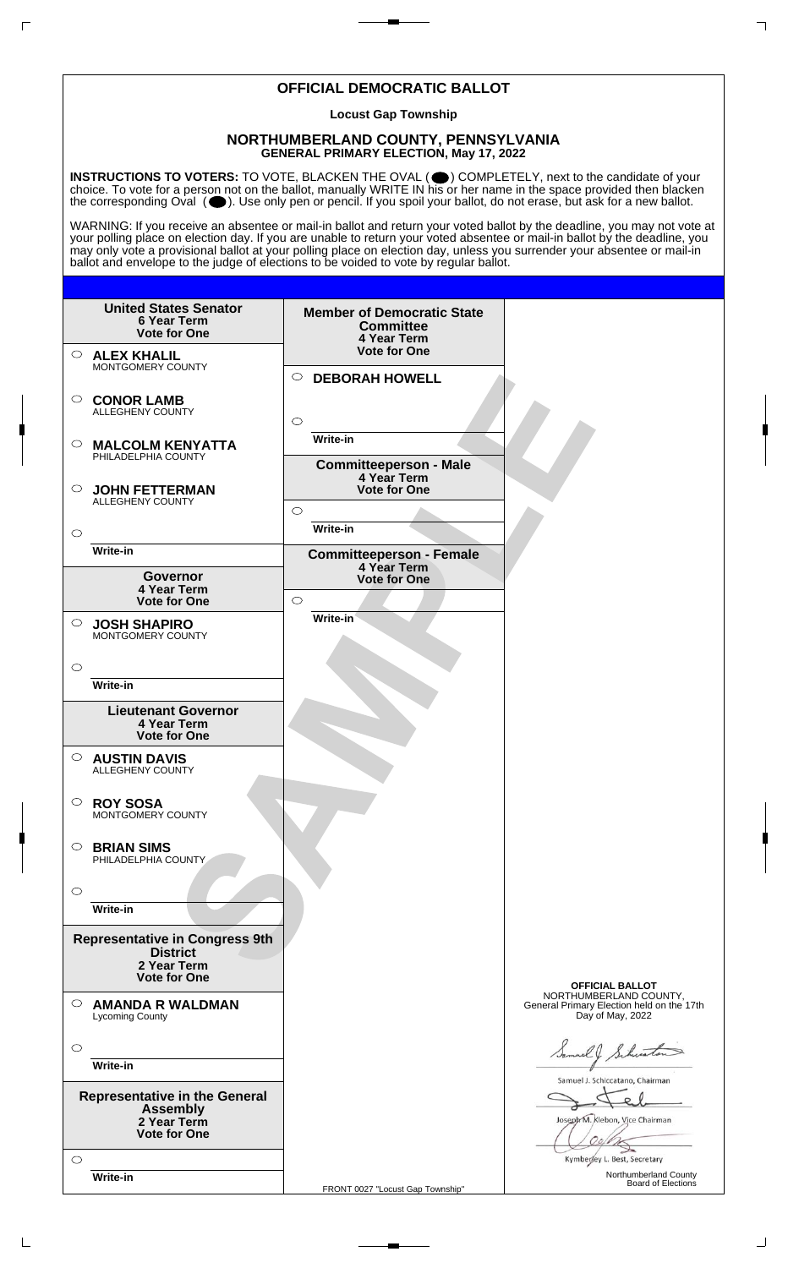|                                                                                                | <b>OFFICIAL DEMOCRATIC BALLOT</b>                                                                                                                                                                                                                                                                                                                                                                                                                                      |                                                                                         |
|------------------------------------------------------------------------------------------------|------------------------------------------------------------------------------------------------------------------------------------------------------------------------------------------------------------------------------------------------------------------------------------------------------------------------------------------------------------------------------------------------------------------------------------------------------------------------|-----------------------------------------------------------------------------------------|
|                                                                                                | <b>Locust Gap Township</b>                                                                                                                                                                                                                                                                                                                                                                                                                                             |                                                                                         |
|                                                                                                | NORTHUMBERLAND COUNTY, PENNSYLVANIA<br><b>GENERAL PRIMARY ELECTION, May 17, 2022</b>                                                                                                                                                                                                                                                                                                                                                                                   |                                                                                         |
|                                                                                                | <b>INSTRUCTIONS TO VOTERS:</b> TO VOTE, BLACKEN THE OVAL (O) COMPLETELY, next to the candidate of your choice. To vote for a person not on the ballot, manually WRITE IN his or her name in the space provided then blacken<br>the corresponding Oval (O). Use only pen or pencil. If you spoil your ballot, do not erase, but ask for a new ballot.                                                                                                                   |                                                                                         |
|                                                                                                | WARNING: If you receive an absentee or mail-in ballot and return your voted ballot by the deadline, you may not vote at<br>your polling place on election day. If you are unable to return your voted absentee or mail-in ballot by the deadline, you<br>may only vote a provisional ballot at your polling place on election day, unless you surrender your absentee or mail-in ballot and envelope to the judge of elections to be voided to vote by regular ballot. |                                                                                         |
|                                                                                                |                                                                                                                                                                                                                                                                                                                                                                                                                                                                        |                                                                                         |
| <b>United States Senator</b><br><b>6 Year Term</b><br><b>Vote for One</b>                      | <b>Member of Democratic State</b><br><b>Committee</b><br>4 Year Term                                                                                                                                                                                                                                                                                                                                                                                                   |                                                                                         |
| $\circ$ ALEX KHALIL<br>MONTGOMERY COUNTY                                                       | <b>Vote for One</b><br>$\circ$<br><b>DEBORAH HOWELL</b>                                                                                                                                                                                                                                                                                                                                                                                                                |                                                                                         |
| $\circ$<br><b>CONOR LAMB</b><br><b>ALLEGHENY COUNTY</b>                                        | $\circ$                                                                                                                                                                                                                                                                                                                                                                                                                                                                |                                                                                         |
| $\circ$<br><b>MALCOLM KENYATTA</b><br>PHILADELPHIA COUNTY                                      | <b>Write-in</b><br><b>Committeeperson - Male</b>                                                                                                                                                                                                                                                                                                                                                                                                                       |                                                                                         |
| $\circ$<br><b>JOHN FETTERMAN</b><br><b>ALLEGHENY COUNTY</b>                                    | 4 Year Term<br><b>Vote for One</b><br>$\circ$                                                                                                                                                                                                                                                                                                                                                                                                                          |                                                                                         |
| $\circ$                                                                                        | <b>Write-in</b>                                                                                                                                                                                                                                                                                                                                                                                                                                                        |                                                                                         |
| Write-in                                                                                       | <b>Committeeperson - Female</b>                                                                                                                                                                                                                                                                                                                                                                                                                                        |                                                                                         |
| Governor<br>4 Year Term<br><b>Vote for One</b>                                                 | 4 Year Term<br><b>Vote for One</b><br>$\circlearrowright$                                                                                                                                                                                                                                                                                                                                                                                                              |                                                                                         |
| <b>JOSH SHAPIRO</b><br>$\circ$<br>MONTGOMERY COUNTY                                            | Write-in                                                                                                                                                                                                                                                                                                                                                                                                                                                               |                                                                                         |
| $\circ$<br><b>Write-in</b>                                                                     |                                                                                                                                                                                                                                                                                                                                                                                                                                                                        |                                                                                         |
| <b>Lieutenant Governor</b><br>4 Year Term<br><b>Vote for One</b>                               |                                                                                                                                                                                                                                                                                                                                                                                                                                                                        |                                                                                         |
| $\circ$<br><b>AUSTIN DAVIS</b><br><b>ALLEGHENY COUNTY</b>                                      |                                                                                                                                                                                                                                                                                                                                                                                                                                                                        |                                                                                         |
| <b>ROY SOSA</b><br>$\circlearrowright$<br>MONTGOMERY COUNTY                                    |                                                                                                                                                                                                                                                                                                                                                                                                                                                                        |                                                                                         |
| <b>BRIAN SIMS</b><br>$\circ$<br>PHILADELPHIA COUNTY                                            |                                                                                                                                                                                                                                                                                                                                                                                                                                                                        |                                                                                         |
| $\circ$<br><b>Write-in</b>                                                                     |                                                                                                                                                                                                                                                                                                                                                                                                                                                                        |                                                                                         |
| <b>Representative in Congress 9th</b><br><b>District</b><br>2 Year Term<br><b>Vote for One</b> |                                                                                                                                                                                                                                                                                                                                                                                                                                                                        | <b>OFFICIAL BALLOT</b>                                                                  |
| <b>AMANDA R WALDMAN</b><br>O<br><b>Lycoming County</b>                                         |                                                                                                                                                                                                                                                                                                                                                                                                                                                                        | NORTHUMBERLAND COUNTY,<br>General Primary Election held on the 17th<br>Day of May, 2022 |
| $\circ$<br><b>Write-in</b>                                                                     |                                                                                                                                                                                                                                                                                                                                                                                                                                                                        |                                                                                         |
| <b>Representative in the General</b><br><b>Assembly</b><br>2 Year Term<br><b>Vote for One</b>  |                                                                                                                                                                                                                                                                                                                                                                                                                                                                        | Samuel J. Schiccatano, Chairman<br>Joseph M. Klebon, Vice Chairman                      |
| $\circlearrowright$<br><b>Write-in</b>                                                         |                                                                                                                                                                                                                                                                                                                                                                                                                                                                        | Kymber/ey L. Best, Secretary<br>Northumberland County                                   |
|                                                                                                | FRONT 0027 "Locust Gap Township"                                                                                                                                                                                                                                                                                                                                                                                                                                       | <b>Board of Elections</b>                                                               |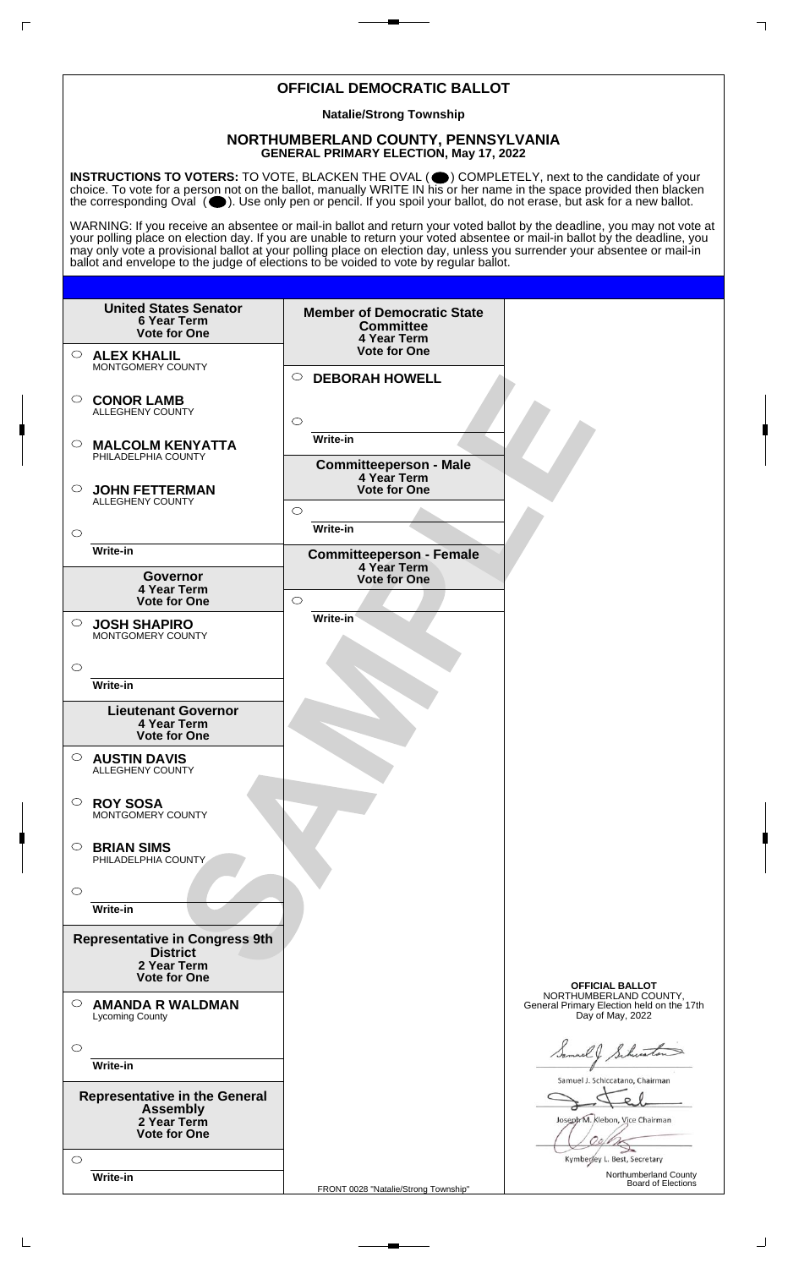|                                                                                               | <b>OFFICIAL DEMOCRATIC BALLOT</b>                                                                                                                                                                                                                                                                                                                                                                                                                                         |                                                                                                                   |
|-----------------------------------------------------------------------------------------------|---------------------------------------------------------------------------------------------------------------------------------------------------------------------------------------------------------------------------------------------------------------------------------------------------------------------------------------------------------------------------------------------------------------------------------------------------------------------------|-------------------------------------------------------------------------------------------------------------------|
|                                                                                               | <b>Natalie/Strong Township</b>                                                                                                                                                                                                                                                                                                                                                                                                                                            |                                                                                                                   |
|                                                                                               | NORTHUMBERLAND COUNTY, PENNSYLVANIA<br><b>GENERAL PRIMARY ELECTION, May 17, 2022</b>                                                                                                                                                                                                                                                                                                                                                                                      |                                                                                                                   |
|                                                                                               | <b>INSTRUCTIONS TO VOTERS:</b> TO VOTE, BLACKEN THE OVAL (O) COMPLETELY, next to the candidate of your choice. To vote for a person not on the ballot, manually WRITE IN his or her name in the space provided then blacken<br>the corresponding Oval (O). Use only pen or pencil. If you spoil your ballot, do not erase, but ask for a new ballot.                                                                                                                      |                                                                                                                   |
|                                                                                               | WARNING: If you receive an absentee or mail-in ballot and return your voted ballot by the deadline, you may not vote at<br>your polling place on election day. If you are unable to return your voted absentee or mail-in ballot by the deadline, you<br>may only vote a provisional ballot at your polling place on election day, unless you surrender your absentee or mail-in<br>ballot and envelope to the judge of elections to be voided to vote by regular ballot. |                                                                                                                   |
|                                                                                               |                                                                                                                                                                                                                                                                                                                                                                                                                                                                           |                                                                                                                   |
| <b>United States Senator</b><br>6 Year Term<br><b>Vote for One</b>                            | <b>Member of Democratic State</b><br><b>Committee</b><br>4 Year Term<br><b>Vote for One</b>                                                                                                                                                                                                                                                                                                                                                                               |                                                                                                                   |
| O.<br><b>ALEX KHALIL</b><br>MONTGOMERY COUNTY                                                 | O<br><b>DEBORAH HOWELL</b>                                                                                                                                                                                                                                                                                                                                                                                                                                                |                                                                                                                   |
| <b>CONOR LAMB</b><br>O<br>ALLEGHENY COUNTY                                                    | $\circ$                                                                                                                                                                                                                                                                                                                                                                                                                                                                   |                                                                                                                   |
| <b>MALCOLM KENYATTA</b><br>$\circlearrowright$<br>PHILADELPHIA COUNTY                         | Write-in                                                                                                                                                                                                                                                                                                                                                                                                                                                                  |                                                                                                                   |
| $\circlearrowright$<br><b>JOHN FETTERMAN</b><br><b>ALLEGHENY COUNTY</b>                       | Committeeperson - Male<br>4 Year Term<br><b>Vote for One</b>                                                                                                                                                                                                                                                                                                                                                                                                              |                                                                                                                   |
|                                                                                               | $\circ$<br>Write-in                                                                                                                                                                                                                                                                                                                                                                                                                                                       |                                                                                                                   |
| $\circ$<br><b>Write-in</b>                                                                    | <b>Committeeperson - Female</b>                                                                                                                                                                                                                                                                                                                                                                                                                                           |                                                                                                                   |
| Governor<br>4 Year Term<br><b>Vote for One</b>                                                | 4 Year Term<br><b>Vote for One</b><br>$\circ$                                                                                                                                                                                                                                                                                                                                                                                                                             |                                                                                                                   |
| $\circ$<br><b>JOSH SHAPIRO</b><br>MONTGOMERY COUNTY                                           | Write-in                                                                                                                                                                                                                                                                                                                                                                                                                                                                  |                                                                                                                   |
| $\circ$                                                                                       |                                                                                                                                                                                                                                                                                                                                                                                                                                                                           |                                                                                                                   |
| <b>Write-in</b><br><b>Lieutenant Governor</b><br>4 Year Term                                  |                                                                                                                                                                                                                                                                                                                                                                                                                                                                           |                                                                                                                   |
| <b>Vote for One</b><br><b>AUSTIN DAVIS</b><br>$\circ$<br><b>ALLEGHENY COUNTY</b>              |                                                                                                                                                                                                                                                                                                                                                                                                                                                                           |                                                                                                                   |
| <b>ROY SOSA</b><br>$\circ$<br>MONTGOMERY COUNTY                                               |                                                                                                                                                                                                                                                                                                                                                                                                                                                                           |                                                                                                                   |
| <b>BRIAN SIMS</b><br>$\circ$<br>PHILADELPHIA COUNTY                                           |                                                                                                                                                                                                                                                                                                                                                                                                                                                                           |                                                                                                                   |
| $\circ$<br>Write-in                                                                           |                                                                                                                                                                                                                                                                                                                                                                                                                                                                           |                                                                                                                   |
| <b>Representative in Congress 9th</b>                                                         |                                                                                                                                                                                                                                                                                                                                                                                                                                                                           |                                                                                                                   |
| <b>District</b><br>2 Year Term<br><b>Vote for One</b>                                         |                                                                                                                                                                                                                                                                                                                                                                                                                                                                           |                                                                                                                   |
| <b>AMANDA R WALDMAN</b><br>$\circ$<br><b>Lycoming County</b>                                  |                                                                                                                                                                                                                                                                                                                                                                                                                                                                           | <b>OFFICIAL BALLOT</b><br>NORTHUMBERLAND COUNTY,<br>General Primary Election held on the 17th<br>Day of May, 2022 |
| $\circ$                                                                                       |                                                                                                                                                                                                                                                                                                                                                                                                                                                                           |                                                                                                                   |
| <b>Write-in</b>                                                                               |                                                                                                                                                                                                                                                                                                                                                                                                                                                                           | Samuel J. Schiccatano, Chairman                                                                                   |
| <b>Representative in the General</b><br><b>Assembly</b><br>2 Year Term<br><b>Vote for One</b> |                                                                                                                                                                                                                                                                                                                                                                                                                                                                           | Joseph M. Klebon, Vice Chairman                                                                                   |
| $\circ$                                                                                       |                                                                                                                                                                                                                                                                                                                                                                                                                                                                           | Kymber/ey L. Best, Secretary                                                                                      |
| <b>Write-in</b>                                                                               | FRONT 0028 "Natalie/Strong Township"                                                                                                                                                                                                                                                                                                                                                                                                                                      | Northumberland County<br>Board of Elections                                                                       |

 $\Box$ 

 $\top$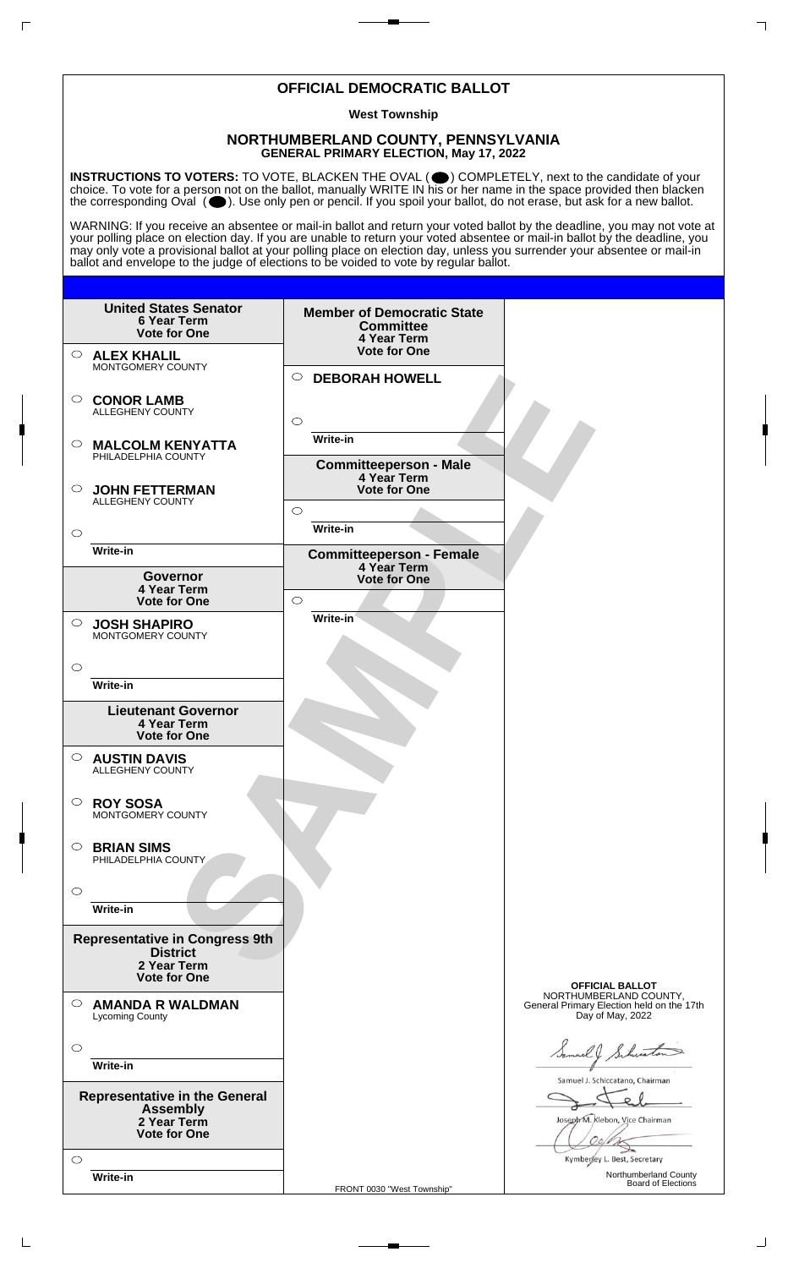|         |                                                                                                | <b>OFFICIAL DEMOCRATIC BALLOT</b>                                                                                                                                                                                                                                                                                                                                                                                                                                         |                                                                                                                   |
|---------|------------------------------------------------------------------------------------------------|---------------------------------------------------------------------------------------------------------------------------------------------------------------------------------------------------------------------------------------------------------------------------------------------------------------------------------------------------------------------------------------------------------------------------------------------------------------------------|-------------------------------------------------------------------------------------------------------------------|
|         |                                                                                                | <b>West Township</b>                                                                                                                                                                                                                                                                                                                                                                                                                                                      |                                                                                                                   |
|         |                                                                                                | NORTHUMBERLAND COUNTY, PENNSYLVANIA<br><b>GENERAL PRIMARY ELECTION, May 17, 2022</b>                                                                                                                                                                                                                                                                                                                                                                                      |                                                                                                                   |
|         |                                                                                                | <b>INSTRUCTIONS TO VOTERS:</b> TO VOTE, BLACKEN THE OVAL (O) COMPLETELY, next to the candidate of your choice. To vote for a person not on the ballot, manually WRITE IN his or her name in the space provided then blacken<br>the corresponding Oval (C). Use only pen or pencil. If you spoil your ballot, do not erase, but ask for a new ballot.                                                                                                                      |                                                                                                                   |
|         |                                                                                                | WARNING: If you receive an absentee or mail-in ballot and return your voted ballot by the deadline, you may not vote at<br>your polling place on election day. If you are unable to return your voted absentee or mail-in ballot by the deadline, you<br>may only vote a provisional ballot at your polling place on election day, unless you surrender your absentee or mail-in<br>ballot and envelope to the judge of elections to be voided to vote by regular ballot. |                                                                                                                   |
|         |                                                                                                |                                                                                                                                                                                                                                                                                                                                                                                                                                                                           |                                                                                                                   |
|         | <b>United States Senator</b><br>6 Year Term<br><b>Vote for One</b>                             | <b>Member of Democratic State</b><br><b>Committee</b><br>4 Year Term                                                                                                                                                                                                                                                                                                                                                                                                      |                                                                                                                   |
|         | $\circ$ ALEX KHALIL<br><b>MONTGOMERY COUNTY</b>                                                | <b>Vote for One</b><br>O<br><b>DEBORAH HOWELL</b>                                                                                                                                                                                                                                                                                                                                                                                                                         |                                                                                                                   |
| $\circ$ | <b>CONOR LAMB</b><br><b>ALLEGHENY COUNTY</b>                                                   | $\circ$                                                                                                                                                                                                                                                                                                                                                                                                                                                                   |                                                                                                                   |
| $\circ$ | <b>MALCOLM KENYATTA</b><br>PHILADELPHIA COUNTY                                                 | <b>Write-in</b><br><b>Committeeperson - Male</b><br>4 Year Term                                                                                                                                                                                                                                                                                                                                                                                                           |                                                                                                                   |
| $\circ$ | <b>JOHN FETTERMAN</b><br><b>ALLEGHENY COUNTY</b>                                               | <b>Vote for One</b><br>$\circ$                                                                                                                                                                                                                                                                                                                                                                                                                                            |                                                                                                                   |
| $\circ$ |                                                                                                | <b>Write-in</b>                                                                                                                                                                                                                                                                                                                                                                                                                                                           |                                                                                                                   |
|         | Write-in                                                                                       | <b>Committeeperson - Female</b><br>4 Year Term                                                                                                                                                                                                                                                                                                                                                                                                                            |                                                                                                                   |
|         | <b>Governor</b><br>4 Year Term<br><b>Vote for One</b>                                          | <b>Vote for One</b><br>$\circ$                                                                                                                                                                                                                                                                                                                                                                                                                                            |                                                                                                                   |
| $\circ$ | <b>JOSH SHAPIRO</b><br>MONTGOMERY COUNTY                                                       | Write-in                                                                                                                                                                                                                                                                                                                                                                                                                                                                  |                                                                                                                   |
| $\circ$ | <b>Write-in</b>                                                                                |                                                                                                                                                                                                                                                                                                                                                                                                                                                                           |                                                                                                                   |
|         | <b>Lieutenant Governor</b><br>4 Year Term<br><b>Vote for One</b>                               |                                                                                                                                                                                                                                                                                                                                                                                                                                                                           |                                                                                                                   |
| $\circ$ | <b>AUSTIN DAVIS</b><br><b>ALLEGHENY COUNTY</b>                                                 |                                                                                                                                                                                                                                                                                                                                                                                                                                                                           |                                                                                                                   |
| $\circ$ | <b>ROY SOSA</b><br>MONTGOMERY COUNTY                                                           |                                                                                                                                                                                                                                                                                                                                                                                                                                                                           |                                                                                                                   |
| $\circ$ | <b>BRIAN SIMS</b><br>PHILADELPHIA COUNTY                                                       |                                                                                                                                                                                                                                                                                                                                                                                                                                                                           |                                                                                                                   |
| $\circ$ | Write-in                                                                                       |                                                                                                                                                                                                                                                                                                                                                                                                                                                                           |                                                                                                                   |
|         | <b>Representative in Congress 9th</b><br><b>District</b><br>2 Year Term<br><b>Vote for One</b> |                                                                                                                                                                                                                                                                                                                                                                                                                                                                           |                                                                                                                   |
| $\circ$ | <b>AMANDA R WALDMAN</b><br><b>Lycoming County</b>                                              |                                                                                                                                                                                                                                                                                                                                                                                                                                                                           | <b>OFFICIAL BALLOT</b><br>NORTHUMBERLAND COUNTY,<br>General Primary Election held on the 17th<br>Day of May, 2022 |
| $\circ$ |                                                                                                |                                                                                                                                                                                                                                                                                                                                                                                                                                                                           |                                                                                                                   |
|         | Write-in                                                                                       |                                                                                                                                                                                                                                                                                                                                                                                                                                                                           | Samuel J. Schiccatano, Chairman                                                                                   |
|         | <b>Representative in the General</b><br><b>Assembly</b><br>2 Year Term<br><b>Vote for One</b>  |                                                                                                                                                                                                                                                                                                                                                                                                                                                                           | Joseph M. Klebon, Vice Chairman                                                                                   |
| $\circ$ |                                                                                                |                                                                                                                                                                                                                                                                                                                                                                                                                                                                           | Kymberley L. Best, Secretary<br>Northumberland County                                                             |
|         | Write-in                                                                                       | FRONT 0030 "West Township"                                                                                                                                                                                                                                                                                                                                                                                                                                                | Board of Elections                                                                                                |

 $\Box$ 

 $\overline{\phantom{a}}$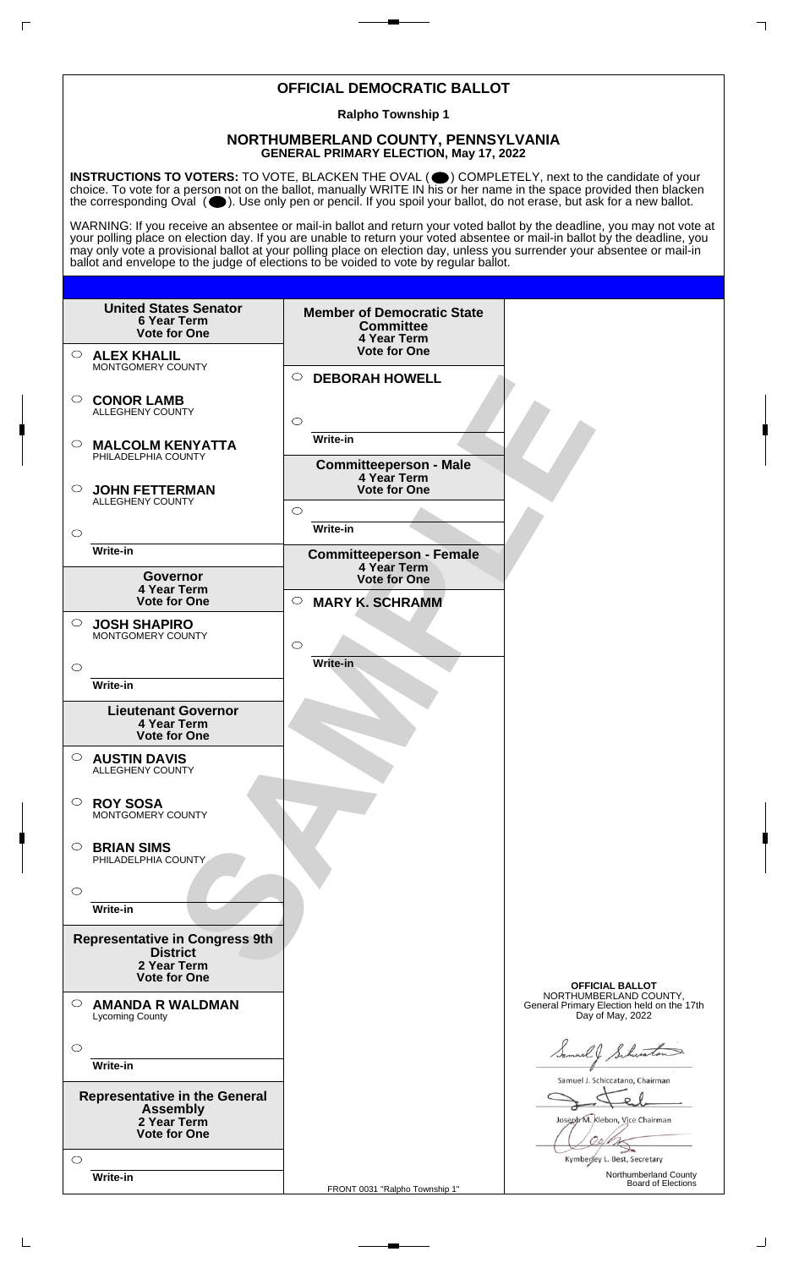|                                                                                                | <b>OFFICIAL DEMOCRATIC BALLOT</b>                                                                                                                                                                                                                                                                                                                                                                                                                                         |                                                                                         |
|------------------------------------------------------------------------------------------------|---------------------------------------------------------------------------------------------------------------------------------------------------------------------------------------------------------------------------------------------------------------------------------------------------------------------------------------------------------------------------------------------------------------------------------------------------------------------------|-----------------------------------------------------------------------------------------|
|                                                                                                | <b>Ralpho Township 1</b>                                                                                                                                                                                                                                                                                                                                                                                                                                                  |                                                                                         |
|                                                                                                | NORTHUMBERLAND COUNTY, PENNSYLVANIA<br><b>GENERAL PRIMARY ELECTION, May 17, 2022</b>                                                                                                                                                                                                                                                                                                                                                                                      |                                                                                         |
|                                                                                                | <b>INSTRUCTIONS TO VOTERS:</b> TO VOTE, BLACKEN THE OVAL (O) COMPLETELY, next to the candidate of your choice. To vote for a person not on the ballot, manually WRITE IN his or her name in the space provided then blacken the cor                                                                                                                                                                                                                                       |                                                                                         |
|                                                                                                | WARNING: If you receive an absentee or mail-in ballot and return your voted ballot by the deadline, you may not vote at<br>your polling place on election day. If you are unable to return your voted absentee or mail-in ballot by the deadline, you<br>may only vote a provisional ballot at your polling place on election day, unless you surrender your absentee or mail-in<br>ballot and envelope to the judge of elections to be voided to vote by regular ballot. |                                                                                         |
|                                                                                                |                                                                                                                                                                                                                                                                                                                                                                                                                                                                           |                                                                                         |
| <b>United States Senator</b><br><b>6 Year Term</b><br><b>Vote for One</b>                      | <b>Member of Democratic State</b><br><b>Committee</b><br>4 Year Term                                                                                                                                                                                                                                                                                                                                                                                                      |                                                                                         |
| $\circ$<br><b>ALEX KHALIL</b><br>MONTGOMERY COUNTY                                             | <b>Vote for One</b><br>O<br><b>DEBORAH HOWELL</b>                                                                                                                                                                                                                                                                                                                                                                                                                         |                                                                                         |
| O<br><b>CONOR LAMB</b><br>ALLEGHENY COUNTY                                                     |                                                                                                                                                                                                                                                                                                                                                                                                                                                                           |                                                                                         |
| $\circ$<br><b>MALCOLM KENYATTA</b><br>PHILADELPHIA COUNTY                                      | $\circ$<br>Write-in                                                                                                                                                                                                                                                                                                                                                                                                                                                       |                                                                                         |
| $\circ$<br><b>JOHN FETTERMAN</b><br><b>ALLEGHENY COUNTY</b>                                    | <b>Committeeperson - Male</b><br>4 Year Term<br><b>Vote for One</b>                                                                                                                                                                                                                                                                                                                                                                                                       |                                                                                         |
| $\circ$                                                                                        | $\circ$<br><b>Write-in</b>                                                                                                                                                                                                                                                                                                                                                                                                                                                |                                                                                         |
| <b>Write-in</b>                                                                                | <b>Committeeperson - Female</b><br>4 Year Term                                                                                                                                                                                                                                                                                                                                                                                                                            |                                                                                         |
| <b>Governor</b><br>4 Year Term<br><b>Vote for One</b>                                          | <b>Vote for One</b><br><b>MARY K. SCHRAMM</b><br>$\circ$                                                                                                                                                                                                                                                                                                                                                                                                                  |                                                                                         |
| $\circ$<br><b>JOSH SHAPIRO</b><br>MONTGOMERY COUNTY                                            | $\circlearrowright$                                                                                                                                                                                                                                                                                                                                                                                                                                                       |                                                                                         |
| $\circ$<br>Write-in                                                                            | <b>Write-in</b>                                                                                                                                                                                                                                                                                                                                                                                                                                                           |                                                                                         |
| <b>Lieutenant Governor</b><br>4 Year Term<br><b>Vote for One</b>                               |                                                                                                                                                                                                                                                                                                                                                                                                                                                                           |                                                                                         |
| <b>AUSTIN DAVIS</b><br>$\circ$<br><b>ALLEGHENY COUNTY</b>                                      |                                                                                                                                                                                                                                                                                                                                                                                                                                                                           |                                                                                         |
| <b>ROY SOSA</b><br>$\circ$<br>MONTGOMERY COUNTY                                                |                                                                                                                                                                                                                                                                                                                                                                                                                                                                           |                                                                                         |
| <b>BRIAN SIMS</b><br>$\circ$<br>PHILADELPHIA COUNTY                                            |                                                                                                                                                                                                                                                                                                                                                                                                                                                                           |                                                                                         |
| $\circ$<br><b>Write-in</b>                                                                     |                                                                                                                                                                                                                                                                                                                                                                                                                                                                           |                                                                                         |
| <b>Representative in Congress 9th</b><br><b>District</b><br>2 Year Term<br><b>Vote for One</b> |                                                                                                                                                                                                                                                                                                                                                                                                                                                                           | <b>OFFICIAL BALLOT</b>                                                                  |
| <b>AMANDA R WALDMAN</b><br>$\circ$<br><b>Lycoming County</b>                                   |                                                                                                                                                                                                                                                                                                                                                                                                                                                                           | NORTHUMBERLAND COUNTY,<br>General Primary Election held on the 17th<br>Day of May, 2022 |
| $\circ$                                                                                        |                                                                                                                                                                                                                                                                                                                                                                                                                                                                           |                                                                                         |
| <b>Write-in</b>                                                                                |                                                                                                                                                                                                                                                                                                                                                                                                                                                                           | Samuel J. Schiccatano, Chairman                                                         |
| <b>Representative in the General</b><br><b>Assembly</b><br>2 Year Term<br><b>Vote for One</b>  |                                                                                                                                                                                                                                                                                                                                                                                                                                                                           | Joseph M. Klebon, Vice Chairman                                                         |
| $\circ$                                                                                        |                                                                                                                                                                                                                                                                                                                                                                                                                                                                           | Kymberley L. Best, Secretary                                                            |
| Write-in                                                                                       | FRONT 0031 "Ralpho Township 1"                                                                                                                                                                                                                                                                                                                                                                                                                                            | Northumberland County<br>Board of Elections                                             |

 $\Box$ 

┑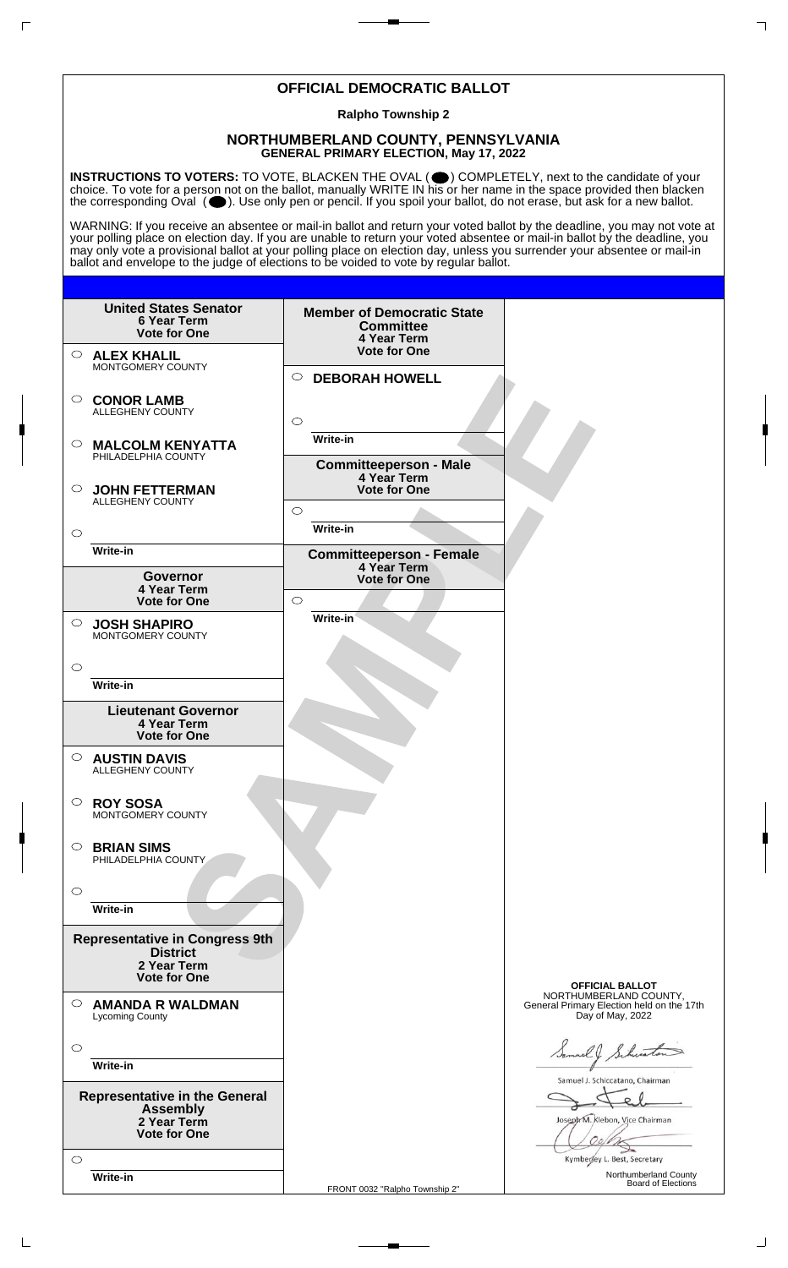|                                                                                                | <b>OFFICIAL DEMOCRATIC BALLOT</b>                                                                                                                                                                                                                                                                                                                                                                                                                                      |                                                                                         |
|------------------------------------------------------------------------------------------------|------------------------------------------------------------------------------------------------------------------------------------------------------------------------------------------------------------------------------------------------------------------------------------------------------------------------------------------------------------------------------------------------------------------------------------------------------------------------|-----------------------------------------------------------------------------------------|
|                                                                                                | <b>Ralpho Township 2</b>                                                                                                                                                                                                                                                                                                                                                                                                                                               |                                                                                         |
|                                                                                                | NORTHUMBERLAND COUNTY, PENNSYLVANIA<br><b>GENERAL PRIMARY ELECTION, May 17, 2022</b>                                                                                                                                                                                                                                                                                                                                                                                   |                                                                                         |
|                                                                                                | <b>INSTRUCTIONS TO VOTERS:</b> TO VOTE, BLACKEN THE OVAL (O) COMPLETELY, next to the candidate of your<br>choice. To vote for a person not on the ballot, manually WRITE IN his or her name in the space provided then blacken<br>the corresponding Oval (C). Use only pen or pencil. If you spoil your ballot, do not erase, but ask for a new ballot.                                                                                                                |                                                                                         |
|                                                                                                | WARNING: If you receive an absentee or mail-in ballot and return your voted ballot by the deadline, you may not vote at<br>your polling place on election day. If you are unable to return your voted absentee or mail-in ballot by the deadline, you<br>may only vote a provisional ballot at your polling place on election day, unless you surrender your absentee or mail-in ballot and envelope to the judge of elections to be voided to vote by regular ballot. |                                                                                         |
|                                                                                                |                                                                                                                                                                                                                                                                                                                                                                                                                                                                        |                                                                                         |
| <b>United States Senator</b><br><b>6 Year Term</b><br><b>Vote for One</b>                      | <b>Member of Democratic State</b><br><b>Committee</b><br>4 Year Term<br><b>Vote for One</b>                                                                                                                                                                                                                                                                                                                                                                            |                                                                                         |
| $\circ$ ALEX KHALIL<br>MONTGOMERY COUNTY                                                       | $\circ$<br><b>DEBORAH HOWELL</b>                                                                                                                                                                                                                                                                                                                                                                                                                                       |                                                                                         |
| $\circ$<br><b>CONOR LAMB</b><br><b>ALLEGHENY COUNTY</b>                                        | $\circ$                                                                                                                                                                                                                                                                                                                                                                                                                                                                |                                                                                         |
| <b>MALCOLM KENYATTA</b><br>$\circ$<br>PHILADELPHIA COUNTY                                      | <b>Write-in</b><br><b>Committeeperson - Male</b>                                                                                                                                                                                                                                                                                                                                                                                                                       |                                                                                         |
| $\circlearrowright$<br><b>JOHN FETTERMAN</b><br><b>ALLEGHENY COUNTY</b>                        | 4 Year Term<br><b>Vote for One</b><br>$\circ$                                                                                                                                                                                                                                                                                                                                                                                                                          |                                                                                         |
| $\circ$                                                                                        | <b>Write-in</b>                                                                                                                                                                                                                                                                                                                                                                                                                                                        |                                                                                         |
| Write-in                                                                                       | <b>Committeeperson - Female</b><br>4 Year Term                                                                                                                                                                                                                                                                                                                                                                                                                         |                                                                                         |
| Governor<br>4 Year Term<br><b>Vote for One</b>                                                 | <b>Vote for One</b><br>$\circ$                                                                                                                                                                                                                                                                                                                                                                                                                                         |                                                                                         |
| $\circlearrowright$<br><b>JOSH SHAPIRO</b><br>MONTGOMERY COUNTY                                | Write-in                                                                                                                                                                                                                                                                                                                                                                                                                                                               |                                                                                         |
| $\circ$<br>Write-in                                                                            |                                                                                                                                                                                                                                                                                                                                                                                                                                                                        |                                                                                         |
| <b>Lieutenant Governor</b><br>4 Year Term<br><b>Vote for One</b>                               |                                                                                                                                                                                                                                                                                                                                                                                                                                                                        |                                                                                         |
| <b>AUSTIN DAVIS</b><br>$\circ$<br><b>ALLEGHENY COUNTY</b>                                      |                                                                                                                                                                                                                                                                                                                                                                                                                                                                        |                                                                                         |
| <b>ROY SOSA</b><br>$\circlearrowright$<br>MONTGOMERY COUNTY                                    |                                                                                                                                                                                                                                                                                                                                                                                                                                                                        |                                                                                         |
| <b>BRIAN SIMS</b><br>O<br>PHILADELPHIA COUNTY                                                  |                                                                                                                                                                                                                                                                                                                                                                                                                                                                        |                                                                                         |
| $\circ$<br><b>Write-in</b>                                                                     |                                                                                                                                                                                                                                                                                                                                                                                                                                                                        |                                                                                         |
| <b>Representative in Congress 9th</b><br><b>District</b><br>2 Year Term<br><b>Vote for One</b> |                                                                                                                                                                                                                                                                                                                                                                                                                                                                        | <b>OFFICIAL BALLOT</b>                                                                  |
| <b>AMANDA R WALDMAN</b><br>O<br><b>Lycoming County</b>                                         |                                                                                                                                                                                                                                                                                                                                                                                                                                                                        | NORTHUMBERLAND COUNTY,<br>General Primary Election held on the 17th<br>Day of May, 2022 |
| $\circ$<br>Write-in                                                                            |                                                                                                                                                                                                                                                                                                                                                                                                                                                                        |                                                                                         |
| <b>Representative in the General</b><br><b>Assembly</b><br>2 Year Term<br><b>Vote for One</b>  |                                                                                                                                                                                                                                                                                                                                                                                                                                                                        | Samuel J. Schiccatano, Chairman<br>Joseph M. Klebon, Vice Chairman                      |
| $\circ$                                                                                        |                                                                                                                                                                                                                                                                                                                                                                                                                                                                        | Kymber/ey L. Best, Secretary<br>Northumberland County                                   |
| Write-in                                                                                       | FRONT 0032 "Ralpho Township 2"                                                                                                                                                                                                                                                                                                                                                                                                                                         | <b>Board of Elections</b>                                                               |

 $\Box$ 

 $\overline{\phantom{a}}$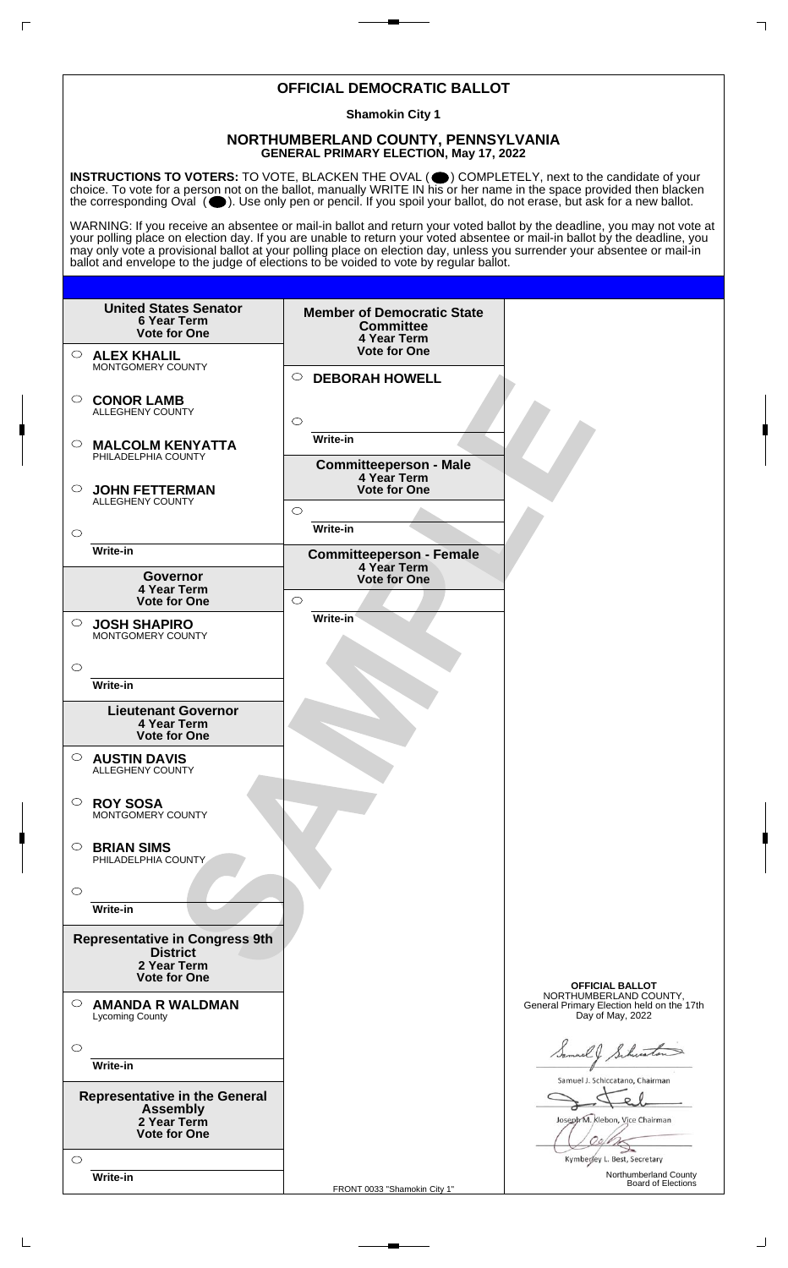|                                                                                                | <b>OFFICIAL DEMOCRATIC BALLOT</b>                                                                                                                                                                                                                                                                                                                                                                                                                                         |                                                                                                                   |
|------------------------------------------------------------------------------------------------|---------------------------------------------------------------------------------------------------------------------------------------------------------------------------------------------------------------------------------------------------------------------------------------------------------------------------------------------------------------------------------------------------------------------------------------------------------------------------|-------------------------------------------------------------------------------------------------------------------|
|                                                                                                | <b>Shamokin City 1</b>                                                                                                                                                                                                                                                                                                                                                                                                                                                    |                                                                                                                   |
|                                                                                                | NORTHUMBERLAND COUNTY, PENNSYLVANIA<br><b>GENERAL PRIMARY ELECTION, May 17, 2022</b>                                                                                                                                                                                                                                                                                                                                                                                      |                                                                                                                   |
|                                                                                                | <b>INSTRUCTIONS TO VOTERS:</b> TO VOTE, BLACKEN THE OVAL (O) COMPLETELY, next to the candidate of your<br>choice. To vote for a person not on the ballot, manually WRITE IN his or her name in the space provided then blacken<br>the corresponding Oval (C). Use only pen or pencil. If you spoil your ballot, do not erase, but ask for a new ballot.                                                                                                                   |                                                                                                                   |
|                                                                                                | WARNING: If you receive an absentee or mail-in ballot and return your voted ballot by the deadline, you may not vote at<br>your polling place on election day. If you are unable to return your voted absentee or mail-in ballot by the deadline, you<br>may only vote a provisional ballot at your polling place on election day, unless you surrender your absentee or mail-in<br>ballot and envelope to the judge of elections to be voided to vote by regular ballot. |                                                                                                                   |
|                                                                                                |                                                                                                                                                                                                                                                                                                                                                                                                                                                                           |                                                                                                                   |
| <b>United States Senator</b><br>6 Year Term<br><b>Vote for One</b>                             | <b>Member of Democratic State</b><br><b>Committee</b><br>4 Year Term                                                                                                                                                                                                                                                                                                                                                                                                      |                                                                                                                   |
| $\circ$<br><b>ALEX KHALIL</b><br><b>MONTGOMERY COUNTY</b>                                      | <b>Vote for One</b><br>O<br><b>DEBORAH HOWELL</b>                                                                                                                                                                                                                                                                                                                                                                                                                         |                                                                                                                   |
| $\circ$<br><b>CONOR LAMB</b><br><b>ALLEGHENY COUNTY</b>                                        | $\circ$                                                                                                                                                                                                                                                                                                                                                                                                                                                                   |                                                                                                                   |
| $\circ$<br><b>MALCOLM KENYATTA</b><br>PHILADELPHIA COUNTY                                      | Write-in<br><b>Committeeperson - Male</b>                                                                                                                                                                                                                                                                                                                                                                                                                                 |                                                                                                                   |
| $\circ$<br><b>JOHN FETTERMAN</b><br><b>ALLEGHENY COUNTY</b>                                    | 4 Year Term<br><b>Vote for One</b><br>$\circ$                                                                                                                                                                                                                                                                                                                                                                                                                             |                                                                                                                   |
| $\circ$                                                                                        | Write-in                                                                                                                                                                                                                                                                                                                                                                                                                                                                  |                                                                                                                   |
| Write-in                                                                                       | <b>Committeeperson - Female</b><br>4 Year Term                                                                                                                                                                                                                                                                                                                                                                                                                            |                                                                                                                   |
| <b>Governor</b><br>4 Year Term<br><b>Vote for One</b>                                          | <b>Vote for One</b><br>$\circ$                                                                                                                                                                                                                                                                                                                                                                                                                                            |                                                                                                                   |
| $\circ$<br><b>JOSH SHAPIRO</b><br>MONTGOMERY COUNTY                                            | Write-in                                                                                                                                                                                                                                                                                                                                                                                                                                                                  |                                                                                                                   |
| $\circ$<br>Write-in                                                                            |                                                                                                                                                                                                                                                                                                                                                                                                                                                                           |                                                                                                                   |
| <b>Lieutenant Governor</b><br>4 Year Term<br><b>Vote for One</b>                               |                                                                                                                                                                                                                                                                                                                                                                                                                                                                           |                                                                                                                   |
| $\circ$<br><b>AUSTIN DAVIS</b><br><b>ALLEGHENY COUNTY</b>                                      |                                                                                                                                                                                                                                                                                                                                                                                                                                                                           |                                                                                                                   |
| <b>ROY SOSA</b><br>$\circ$<br><b>MONTGOMERY COUNTY</b>                                         |                                                                                                                                                                                                                                                                                                                                                                                                                                                                           |                                                                                                                   |
| <b>BRIAN SIMS</b><br>O<br>PHILADELPHIA COUNTY                                                  |                                                                                                                                                                                                                                                                                                                                                                                                                                                                           |                                                                                                                   |
| $\circ$<br><b>Write-in</b>                                                                     |                                                                                                                                                                                                                                                                                                                                                                                                                                                                           |                                                                                                                   |
| <b>Representative in Congress 9th</b><br><b>District</b><br>2 Year Term<br><b>Vote for One</b> |                                                                                                                                                                                                                                                                                                                                                                                                                                                                           |                                                                                                                   |
| <b>AMANDA R WALDMAN</b><br>$\circ$<br><b>Lycoming County</b>                                   |                                                                                                                                                                                                                                                                                                                                                                                                                                                                           | <b>OFFICIAL BALLOT</b><br>NORTHUMBERLAND COUNTY,<br>General Primary Election held on the 17th<br>Day of May, 2022 |
| $\circ$                                                                                        |                                                                                                                                                                                                                                                                                                                                                                                                                                                                           |                                                                                                                   |
| Write-in                                                                                       |                                                                                                                                                                                                                                                                                                                                                                                                                                                                           | Samuel J. Schiccatano, Chairman                                                                                   |
| <b>Representative in the General</b><br><b>Assembly</b><br>2 Year Term<br><b>Vote for One</b>  |                                                                                                                                                                                                                                                                                                                                                                                                                                                                           | Joseph M. Klebon, Vice Chairman                                                                                   |
| $\circ$                                                                                        |                                                                                                                                                                                                                                                                                                                                                                                                                                                                           | Kymberley L. Best, Secretary<br>Northumberland County                                                             |
| Write-in                                                                                       | FRONT 0033 "Shamokin City 1"                                                                                                                                                                                                                                                                                                                                                                                                                                              | Board of Elections                                                                                                |

 $\Box$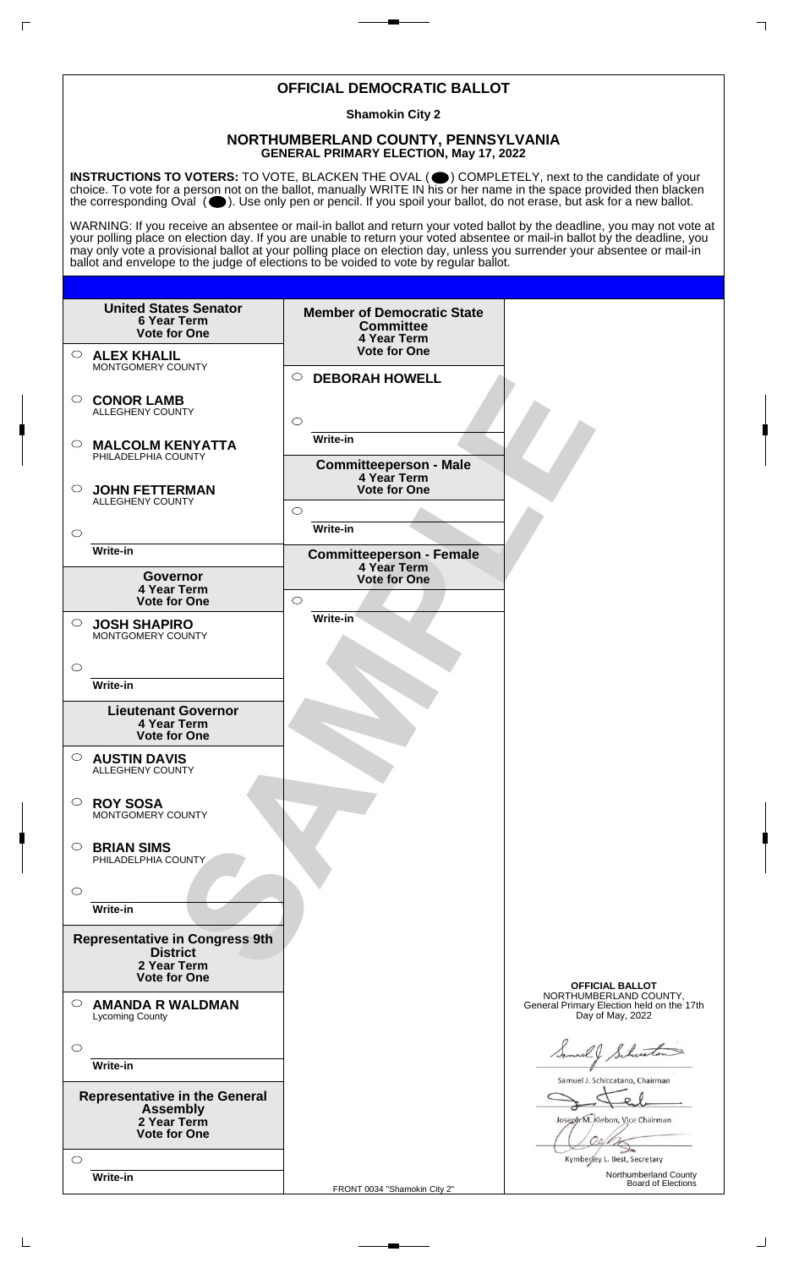| <b>OFFICIAL DEMOCRATIC BALLOT</b><br><b>Shamokin City 2</b><br>NORTHUMBERLAND COUNTY, PENNSYLVANIA<br><b>GENERAL PRIMARY ELECTION, May 17, 2022</b><br><b>INSTRUCTIONS TO VOTERS:</b> TO VOTE, BLACKEN THE OVAL (O) COMPLETELY, next to the candidate of your<br>choice. To vote for a person not on the ballot, manually WRITE IN his or her name in the space provided then blacken<br>the corresponding Oval (C). Use only pen or pencil. If you spoil your ballot, do not erase, but ask for a new ballot.<br>WARNING: If you receive an absentee or mail-in ballot and return your voted ballot by the deadline, you may not vote at<br>your polling place on election day. If you are unable to return your voted absentee or mail-in ballot by the deadline, you<br>may only vote a provisional ballot at your polling place on election day, unless you surrender your absentee or mail-in<br>ballot and envelope to the judge of elections to be voided to vote by regular ballot.<br><b>United States Senator</b><br><b>Member of Democratic State</b><br><b>6 Year Term</b><br><b>Committee</b><br><b>Vote for One</b><br>4 Year Term<br><b>Vote for One</b><br><b>ALEX KHALIL</b><br>$\circ$<br>MONTGOMERY COUNTY<br>$\circ$<br><b>DEBORAH HOWELL</b><br>$\circ$<br><b>CONOR LAMB</b><br>ALLEGHENY COUNTY<br>$\circ$<br><b>Write-in</b><br><b>MALCOLM KENYATTA</b><br>$\circ$<br>PHILADELPHIA COUNTY<br><b>Committeeperson - Male</b><br>4 Year Term<br><b>Vote for One</b><br>$\circlearrowright$<br><b>JOHN FETTERMAN</b><br><b>ALLEGHENY COUNTY</b> |
|--------------------------------------------------------------------------------------------------------------------------------------------------------------------------------------------------------------------------------------------------------------------------------------------------------------------------------------------------------------------------------------------------------------------------------------------------------------------------------------------------------------------------------------------------------------------------------------------------------------------------------------------------------------------------------------------------------------------------------------------------------------------------------------------------------------------------------------------------------------------------------------------------------------------------------------------------------------------------------------------------------------------------------------------------------------------------------------------------------------------------------------------------------------------------------------------------------------------------------------------------------------------------------------------------------------------------------------------------------------------------------------------------------------------------------------------------------------------------------------------------------------------------------------------------------------------|
|                                                                                                                                                                                                                                                                                                                                                                                                                                                                                                                                                                                                                                                                                                                                                                                                                                                                                                                                                                                                                                                                                                                                                                                                                                                                                                                                                                                                                                                                                                                                                                    |
|                                                                                                                                                                                                                                                                                                                                                                                                                                                                                                                                                                                                                                                                                                                                                                                                                                                                                                                                                                                                                                                                                                                                                                                                                                                                                                                                                                                                                                                                                                                                                                    |
|                                                                                                                                                                                                                                                                                                                                                                                                                                                                                                                                                                                                                                                                                                                                                                                                                                                                                                                                                                                                                                                                                                                                                                                                                                                                                                                                                                                                                                                                                                                                                                    |
|                                                                                                                                                                                                                                                                                                                                                                                                                                                                                                                                                                                                                                                                                                                                                                                                                                                                                                                                                                                                                                                                                                                                                                                                                                                                                                                                                                                                                                                                                                                                                                    |
|                                                                                                                                                                                                                                                                                                                                                                                                                                                                                                                                                                                                                                                                                                                                                                                                                                                                                                                                                                                                                                                                                                                                                                                                                                                                                                                                                                                                                                                                                                                                                                    |
|                                                                                                                                                                                                                                                                                                                                                                                                                                                                                                                                                                                                                                                                                                                                                                                                                                                                                                                                                                                                                                                                                                                                                                                                                                                                                                                                                                                                                                                                                                                                                                    |
|                                                                                                                                                                                                                                                                                                                                                                                                                                                                                                                                                                                                                                                                                                                                                                                                                                                                                                                                                                                                                                                                                                                                                                                                                                                                                                                                                                                                                                                                                                                                                                    |
|                                                                                                                                                                                                                                                                                                                                                                                                                                                                                                                                                                                                                                                                                                                                                                                                                                                                                                                                                                                                                                                                                                                                                                                                                                                                                                                                                                                                                                                                                                                                                                    |
|                                                                                                                                                                                                                                                                                                                                                                                                                                                                                                                                                                                                                                                                                                                                                                                                                                                                                                                                                                                                                                                                                                                                                                                                                                                                                                                                                                                                                                                                                                                                                                    |
|                                                                                                                                                                                                                                                                                                                                                                                                                                                                                                                                                                                                                                                                                                                                                                                                                                                                                                                                                                                                                                                                                                                                                                                                                                                                                                                                                                                                                                                                                                                                                                    |
|                                                                                                                                                                                                                                                                                                                                                                                                                                                                                                                                                                                                                                                                                                                                                                                                                                                                                                                                                                                                                                                                                                                                                                                                                                                                                                                                                                                                                                                                                                                                                                    |
| $\circ$                                                                                                                                                                                                                                                                                                                                                                                                                                                                                                                                                                                                                                                                                                                                                                                                                                                                                                                                                                                                                                                                                                                                                                                                                                                                                                                                                                                                                                                                                                                                                            |
| <b>Write-in</b><br>$\circ$<br><b>Write-in</b><br><b>Committeeperson - Female</b>                                                                                                                                                                                                                                                                                                                                                                                                                                                                                                                                                                                                                                                                                                                                                                                                                                                                                                                                                                                                                                                                                                                                                                                                                                                                                                                                                                                                                                                                                   |
| 4 Year Term<br>Governor<br><b>Vote for One</b>                                                                                                                                                                                                                                                                                                                                                                                                                                                                                                                                                                                                                                                                                                                                                                                                                                                                                                                                                                                                                                                                                                                                                                                                                                                                                                                                                                                                                                                                                                                     |
| 4 Year Term<br>$\circ$<br><b>Vote for One</b>                                                                                                                                                                                                                                                                                                                                                                                                                                                                                                                                                                                                                                                                                                                                                                                                                                                                                                                                                                                                                                                                                                                                                                                                                                                                                                                                                                                                                                                                                                                      |
| Write-in<br>$\circlearrowright$<br><b>JOSH SHAPIRO</b><br>MONTGOMERY COUNTY                                                                                                                                                                                                                                                                                                                                                                                                                                                                                                                                                                                                                                                                                                                                                                                                                                                                                                                                                                                                                                                                                                                                                                                                                                                                                                                                                                                                                                                                                        |
| $\circ$<br>Write-in                                                                                                                                                                                                                                                                                                                                                                                                                                                                                                                                                                                                                                                                                                                                                                                                                                                                                                                                                                                                                                                                                                                                                                                                                                                                                                                                                                                                                                                                                                                                                |
| <b>Lieutenant Governor</b><br>4 Year Term<br><b>Vote for One</b>                                                                                                                                                                                                                                                                                                                                                                                                                                                                                                                                                                                                                                                                                                                                                                                                                                                                                                                                                                                                                                                                                                                                                                                                                                                                                                                                                                                                                                                                                                   |
| <b>AUSTIN DAVIS</b><br>$\circ$<br><b>ALLEGHENY COUNTY</b>                                                                                                                                                                                                                                                                                                                                                                                                                                                                                                                                                                                                                                                                                                                                                                                                                                                                                                                                                                                                                                                                                                                                                                                                                                                                                                                                                                                                                                                                                                          |
| <b>ROY SOSA</b><br>O<br><b>MONTGOMERY COUNTY</b>                                                                                                                                                                                                                                                                                                                                                                                                                                                                                                                                                                                                                                                                                                                                                                                                                                                                                                                                                                                                                                                                                                                                                                                                                                                                                                                                                                                                                                                                                                                   |
| <b>BRIAN SIMS</b><br>O<br>PHILADELPHIA COUNTY                                                                                                                                                                                                                                                                                                                                                                                                                                                                                                                                                                                                                                                                                                                                                                                                                                                                                                                                                                                                                                                                                                                                                                                                                                                                                                                                                                                                                                                                                                                      |
| $\circ$<br><b>Write-in</b>                                                                                                                                                                                                                                                                                                                                                                                                                                                                                                                                                                                                                                                                                                                                                                                                                                                                                                                                                                                                                                                                                                                                                                                                                                                                                                                                                                                                                                                                                                                                         |
| <b>Representative in Congress 9th</b><br><b>District</b><br>2 Year Term<br><b>Vote for One</b>                                                                                                                                                                                                                                                                                                                                                                                                                                                                                                                                                                                                                                                                                                                                                                                                                                                                                                                                                                                                                                                                                                                                                                                                                                                                                                                                                                                                                                                                     |
| <b>OFFICIAL BALLOT</b><br>NORTHUMBERLAND COUNTY,<br><b>AMANDA R WALDMAN</b><br>O<br>General Primary Election held on the 17th<br>Day of May, 2022<br><b>Lycoming County</b>                                                                                                                                                                                                                                                                                                                                                                                                                                                                                                                                                                                                                                                                                                                                                                                                                                                                                                                                                                                                                                                                                                                                                                                                                                                                                                                                                                                        |
| $\circ$<br>Write-in                                                                                                                                                                                                                                                                                                                                                                                                                                                                                                                                                                                                                                                                                                                                                                                                                                                                                                                                                                                                                                                                                                                                                                                                                                                                                                                                                                                                                                                                                                                                                |
| Samuel J. Schiccatano, Chairman<br><b>Representative in the General</b><br><b>Assembly</b><br>Joseph M. Klebon, Vice Chairman<br>2 Year Term<br><b>Vote for One</b>                                                                                                                                                                                                                                                                                                                                                                                                                                                                                                                                                                                                                                                                                                                                                                                                                                                                                                                                                                                                                                                                                                                                                                                                                                                                                                                                                                                                |
| Kymberley L. Best, Secretary<br>$\circ$<br>Northumberland County<br>Write-in<br>Board of Elections<br>FRONT 0034 "Shamokin City 2"                                                                                                                                                                                                                                                                                                                                                                                                                                                                                                                                                                                                                                                                                                                                                                                                                                                                                                                                                                                                                                                                                                                                                                                                                                                                                                                                                                                                                                 |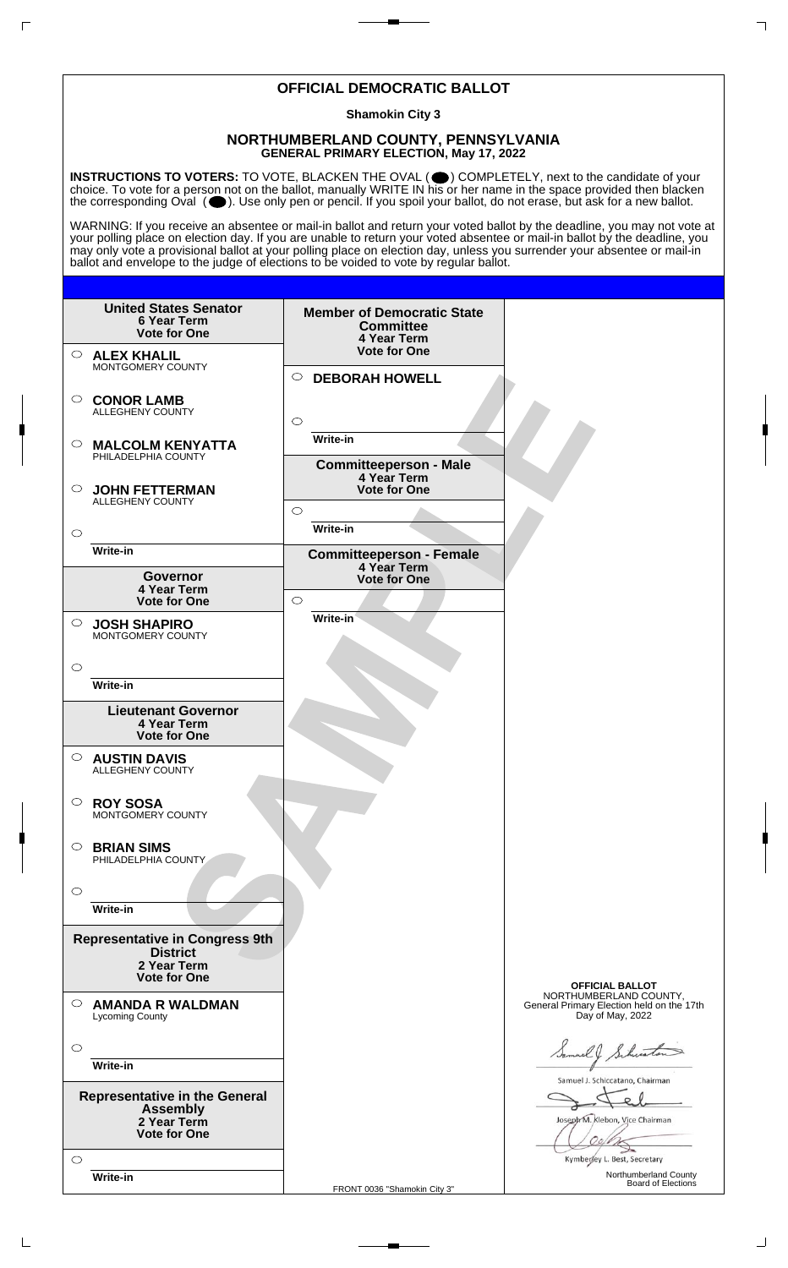|                                                                                                | <b>OFFICIAL DEMOCRATIC BALLOT</b>                                                                                                                                                                                                                                                                                                                                                                                                                                         |                                                                                                                   |
|------------------------------------------------------------------------------------------------|---------------------------------------------------------------------------------------------------------------------------------------------------------------------------------------------------------------------------------------------------------------------------------------------------------------------------------------------------------------------------------------------------------------------------------------------------------------------------|-------------------------------------------------------------------------------------------------------------------|
|                                                                                                | <b>Shamokin City 3</b>                                                                                                                                                                                                                                                                                                                                                                                                                                                    |                                                                                                                   |
|                                                                                                | NORTHUMBERLAND COUNTY, PENNSYLVANIA<br><b>GENERAL PRIMARY ELECTION, May 17, 2022</b>                                                                                                                                                                                                                                                                                                                                                                                      |                                                                                                                   |
|                                                                                                | <b>INSTRUCTIONS TO VOTERS:</b> TO VOTE, BLACKEN THE OVAL (O) COMPLETELY, next to the candidate of your choice. To vote for a person not on the ballot, manually WRITE IN his or her name in the space provided then blacken<br>the corresponding Oval (O). Use only pen or pencil. If you spoil your ballot, do not erase, but ask for a new ballot.                                                                                                                      |                                                                                                                   |
|                                                                                                | WARNING: If you receive an absentee or mail-in ballot and return your voted ballot by the deadline, you may not vote at<br>your polling place on election day. If you are unable to return your voted absentee or mail-in ballot by the deadline, you<br>may only vote a provisional ballot at your polling place on election day, unless you surrender your absentee or mail-in<br>ballot and envelope to the judge of elections to be voided to vote by regular ballot. |                                                                                                                   |
|                                                                                                |                                                                                                                                                                                                                                                                                                                                                                                                                                                                           |                                                                                                                   |
| <b>United States Senator</b><br><b>6 Year Term</b><br><b>Vote for One</b>                      | <b>Member of Democratic State</b><br><b>Committee</b><br>4 Year Term                                                                                                                                                                                                                                                                                                                                                                                                      |                                                                                                                   |
| $\circ$ ALEX KHALIL<br>MONTGOMERY COUNTY                                                       | <b>Vote for One</b><br>$\circ$<br><b>DEBORAH HOWELL</b>                                                                                                                                                                                                                                                                                                                                                                                                                   |                                                                                                                   |
| $\circ$<br><b>CONOR LAMB</b><br>ALLEGHENY COUNTY                                               | $\circ$                                                                                                                                                                                                                                                                                                                                                                                                                                                                   |                                                                                                                   |
| <b>MALCOLM KENYATTA</b><br>$\circ$<br>PHILADELPHIA COUNTY                                      | <b>Write-in</b>                                                                                                                                                                                                                                                                                                                                                                                                                                                           |                                                                                                                   |
| $\circlearrowright$<br><b>JOHN FETTERMAN</b><br><b>ALLEGHENY COUNTY</b>                        | <b>Committeeperson - Male</b><br>4 Year Term<br><b>Vote for One</b>                                                                                                                                                                                                                                                                                                                                                                                                       |                                                                                                                   |
| $\circ$                                                                                        | $\circ$<br><b>Write-in</b>                                                                                                                                                                                                                                                                                                                                                                                                                                                |                                                                                                                   |
| <b>Write-in</b>                                                                                | <b>Committeeperson - Female</b>                                                                                                                                                                                                                                                                                                                                                                                                                                           |                                                                                                                   |
| Governor<br>4 Year Term<br><b>Vote for One</b>                                                 | 4 Year Term<br><b>Vote for One</b><br>$\circ$                                                                                                                                                                                                                                                                                                                                                                                                                             |                                                                                                                   |
| <b>JOSH SHAPIRO</b><br>$\circ$<br>MONTGOMERY COUNTY                                            | Write-in                                                                                                                                                                                                                                                                                                                                                                                                                                                                  |                                                                                                                   |
| $\circ$<br>Write-in                                                                            |                                                                                                                                                                                                                                                                                                                                                                                                                                                                           |                                                                                                                   |
| <b>Lieutenant Governor</b><br>4 Year Term                                                      |                                                                                                                                                                                                                                                                                                                                                                                                                                                                           |                                                                                                                   |
| <b>Vote for One</b><br>$\circ$ AUSTIN DAVIS<br><b>ALLEGHENY COUNTY</b>                         |                                                                                                                                                                                                                                                                                                                                                                                                                                                                           |                                                                                                                   |
| <b>ROY SOSA</b><br>O<br>MONTGOMERY COUNTY                                                      |                                                                                                                                                                                                                                                                                                                                                                                                                                                                           |                                                                                                                   |
| <b>BRIAN SIMS</b><br>$\circ$<br>PHILADELPHIA COUNTY                                            |                                                                                                                                                                                                                                                                                                                                                                                                                                                                           |                                                                                                                   |
| $\circ$<br><b>Write-in</b>                                                                     |                                                                                                                                                                                                                                                                                                                                                                                                                                                                           |                                                                                                                   |
|                                                                                                |                                                                                                                                                                                                                                                                                                                                                                                                                                                                           |                                                                                                                   |
| <b>Representative in Congress 9th</b><br><b>District</b><br>2 Year Term<br><b>Vote for One</b> |                                                                                                                                                                                                                                                                                                                                                                                                                                                                           |                                                                                                                   |
| $\circ$<br><b>AMANDA R WALDMAN</b><br><b>Lycoming County</b>                                   |                                                                                                                                                                                                                                                                                                                                                                                                                                                                           | <b>OFFICIAL BALLOT</b><br>NORTHUMBERLAND COUNTY,<br>General Primary Election held on the 17th<br>Day of May, 2022 |
| $\circ$<br>Write-in                                                                            |                                                                                                                                                                                                                                                                                                                                                                                                                                                                           |                                                                                                                   |
| <b>Representative in the General</b><br><b>Assembly</b><br>2 Year Term<br>Vote for One         |                                                                                                                                                                                                                                                                                                                                                                                                                                                                           | Samuel J. Schiccatano, Chairman<br>Joseph M. Klebon, Vice Chairman                                                |
| $\circ$<br>Write-in                                                                            | FRONT 0036 "Shamokin City 3"                                                                                                                                                                                                                                                                                                                                                                                                                                              | Kymberley L. Best, Secretary<br>Northumberland County<br>Board of Elections                                       |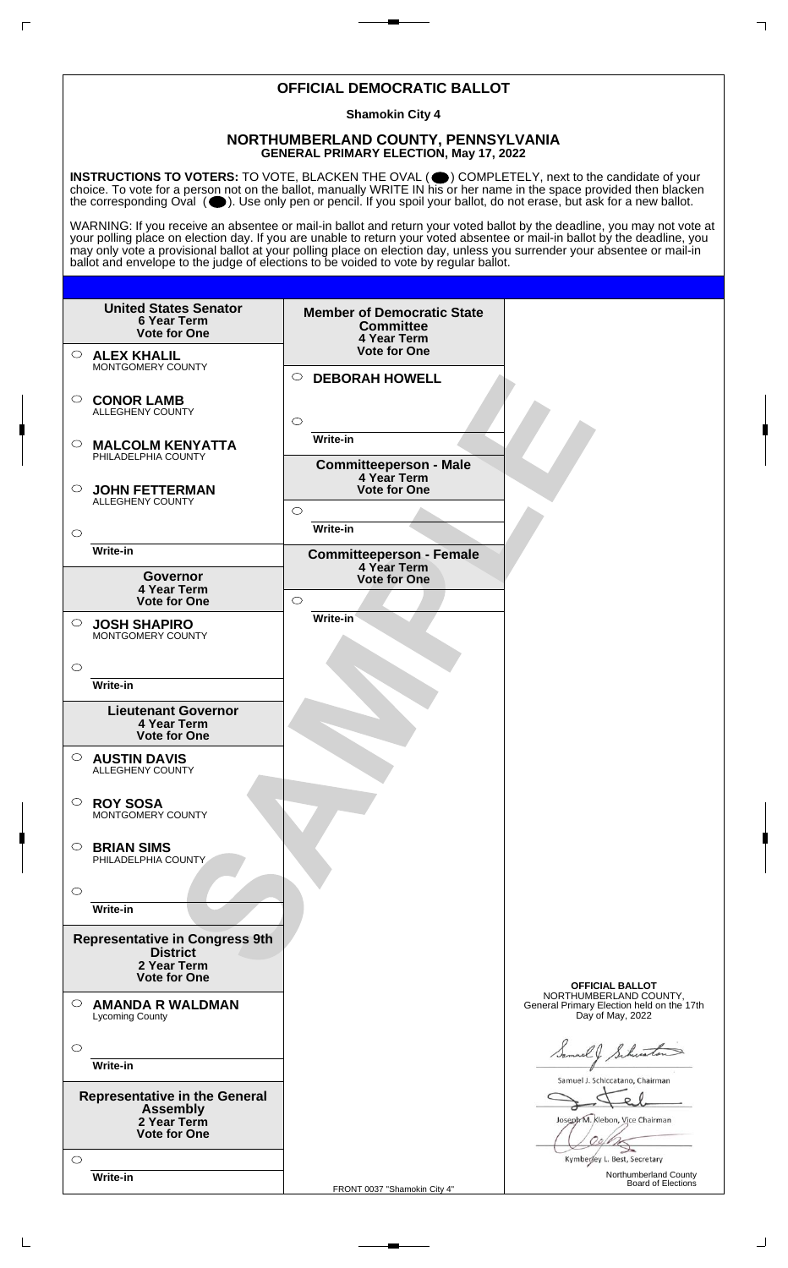|                     |                                                                                        | <b>OFFICIAL DEMOCRATIC BALLOT</b>                                                                                                                                                                                                                                                                                                                                                                                                                                         |                                                                                                                   |
|---------------------|----------------------------------------------------------------------------------------|---------------------------------------------------------------------------------------------------------------------------------------------------------------------------------------------------------------------------------------------------------------------------------------------------------------------------------------------------------------------------------------------------------------------------------------------------------------------------|-------------------------------------------------------------------------------------------------------------------|
|                     |                                                                                        | <b>Shamokin City 4</b>                                                                                                                                                                                                                                                                                                                                                                                                                                                    |                                                                                                                   |
|                     |                                                                                        | NORTHUMBERLAND COUNTY, PENNSYLVANIA<br><b>GENERAL PRIMARY ELECTION, May 17, 2022</b>                                                                                                                                                                                                                                                                                                                                                                                      |                                                                                                                   |
|                     |                                                                                        | <b>INSTRUCTIONS TO VOTERS:</b> TO VOTE, BLACKEN THE OVAL (O) COMPLETELY, next to the candidate of your<br>choice. To vote for a person not on the ballot, manually WRITE IN his or her name in the space provided then blacken<br>the corresponding Oval (C). Use only pen or pencil. If you spoil your ballot, do not erase, but ask for a new ballot.                                                                                                                   |                                                                                                                   |
|                     |                                                                                        | WARNING: If you receive an absentee or mail-in ballot and return your voted ballot by the deadline, you may not vote at<br>your polling place on election day. If you are unable to return your voted absentee or mail-in ballot by the deadline, you<br>may only vote a provisional ballot at your polling place on election day, unless you surrender your absentee or mail-in<br>ballot and envelope to the judge of elections to be voided to vote by regular ballot. |                                                                                                                   |
|                     |                                                                                        |                                                                                                                                                                                                                                                                                                                                                                                                                                                                           |                                                                                                                   |
|                     | <b>United States Senator</b><br><b>6 Year Term</b><br><b>Vote for One</b>              | <b>Member of Democratic State</b><br><b>Committee</b>                                                                                                                                                                                                                                                                                                                                                                                                                     |                                                                                                                   |
| $\circ$             | <b>ALEX KHALIL</b><br>MONTGOMERY COUNTY                                                | 4 Year Term<br><b>Vote for One</b>                                                                                                                                                                                                                                                                                                                                                                                                                                        |                                                                                                                   |
| $\circ$             | <b>CONOR LAMB</b>                                                                      | $\circ$<br><b>DEBORAH HOWELL</b>                                                                                                                                                                                                                                                                                                                                                                                                                                          |                                                                                                                   |
|                     | ALLEGHENY COUNTY                                                                       | $\circ$<br><b>Write-in</b>                                                                                                                                                                                                                                                                                                                                                                                                                                                |                                                                                                                   |
| $\circ$             | <b>MALCOLM KENYATTA</b><br>PHILADELPHIA COUNTY                                         | <b>Committeeperson - Male</b><br>4 Year Term                                                                                                                                                                                                                                                                                                                                                                                                                              |                                                                                                                   |
| $\circlearrowright$ | <b>JOHN FETTERMAN</b><br><b>ALLEGHENY COUNTY</b>                                       | <b>Vote for One</b><br>$\circ$                                                                                                                                                                                                                                                                                                                                                                                                                                            |                                                                                                                   |
| $\circ$             | <b>Write-in</b>                                                                        | <b>Write-in</b>                                                                                                                                                                                                                                                                                                                                                                                                                                                           |                                                                                                                   |
|                     | Governor                                                                               | <b>Committeeperson - Female</b><br>4 Year Term<br><b>Vote for One</b>                                                                                                                                                                                                                                                                                                                                                                                                     |                                                                                                                   |
|                     | 4 Year Term<br><b>Vote for One</b>                                                     | $\circ$                                                                                                                                                                                                                                                                                                                                                                                                                                                                   |                                                                                                                   |
| $\circlearrowright$ | <b>JOSH SHAPIRO</b><br>MONTGOMERY COUNTY                                               | Write-in                                                                                                                                                                                                                                                                                                                                                                                                                                                                  |                                                                                                                   |
| $\circ$             | Write-in                                                                               |                                                                                                                                                                                                                                                                                                                                                                                                                                                                           |                                                                                                                   |
|                     | <b>Lieutenant Governor</b>                                                             |                                                                                                                                                                                                                                                                                                                                                                                                                                                                           |                                                                                                                   |
|                     | 4 Year Term<br><b>Vote for One</b>                                                     |                                                                                                                                                                                                                                                                                                                                                                                                                                                                           |                                                                                                                   |
| $\circ$             | <b>AUSTIN DAVIS</b><br><b>ALLEGHENY COUNTY</b>                                         |                                                                                                                                                                                                                                                                                                                                                                                                                                                                           |                                                                                                                   |
| O                   | <b>ROY SOSA</b><br><b>MONTGOMERY COUNTY</b>                                            |                                                                                                                                                                                                                                                                                                                                                                                                                                                                           |                                                                                                                   |
| O                   | <b>BRIAN SIMS</b><br>PHILADELPHIA COUNTY                                               |                                                                                                                                                                                                                                                                                                                                                                                                                                                                           |                                                                                                                   |
| $\circ$             | <b>Write-in</b>                                                                        |                                                                                                                                                                                                                                                                                                                                                                                                                                                                           |                                                                                                                   |
|                     |                                                                                        |                                                                                                                                                                                                                                                                                                                                                                                                                                                                           |                                                                                                                   |
|                     | <b>Representative in Congress 9th</b><br><b>District</b><br>2 Year Term                |                                                                                                                                                                                                                                                                                                                                                                                                                                                                           |                                                                                                                   |
| O                   | <b>Vote for One</b><br><b>AMANDA R WALDMAN</b>                                         |                                                                                                                                                                                                                                                                                                                                                                                                                                                                           | <b>OFFICIAL BALLOT</b><br>NORTHUMBERLAND COUNTY,<br>General Primary Election held on the 17th<br>Day of May, 2022 |
| $\circ$             | <b>Lycoming County</b>                                                                 |                                                                                                                                                                                                                                                                                                                                                                                                                                                                           |                                                                                                                   |
|                     | Write-in                                                                               |                                                                                                                                                                                                                                                                                                                                                                                                                                                                           | Samuel J. Schiccatano, Chairman                                                                                   |
|                     | <b>Representative in the General</b><br><b>Assembly</b><br>2 Year Term<br>Vote for One |                                                                                                                                                                                                                                                                                                                                                                                                                                                                           | Joseph M. Klebon, Vice Chairman                                                                                   |
| $\circ$             |                                                                                        |                                                                                                                                                                                                                                                                                                                                                                                                                                                                           | Kymberley L. Best, Secretary<br>Northumberland County                                                             |
|                     | Write-in                                                                               | FRONT 0037 "Shamokin City 4"                                                                                                                                                                                                                                                                                                                                                                                                                                              | Board of Elections                                                                                                |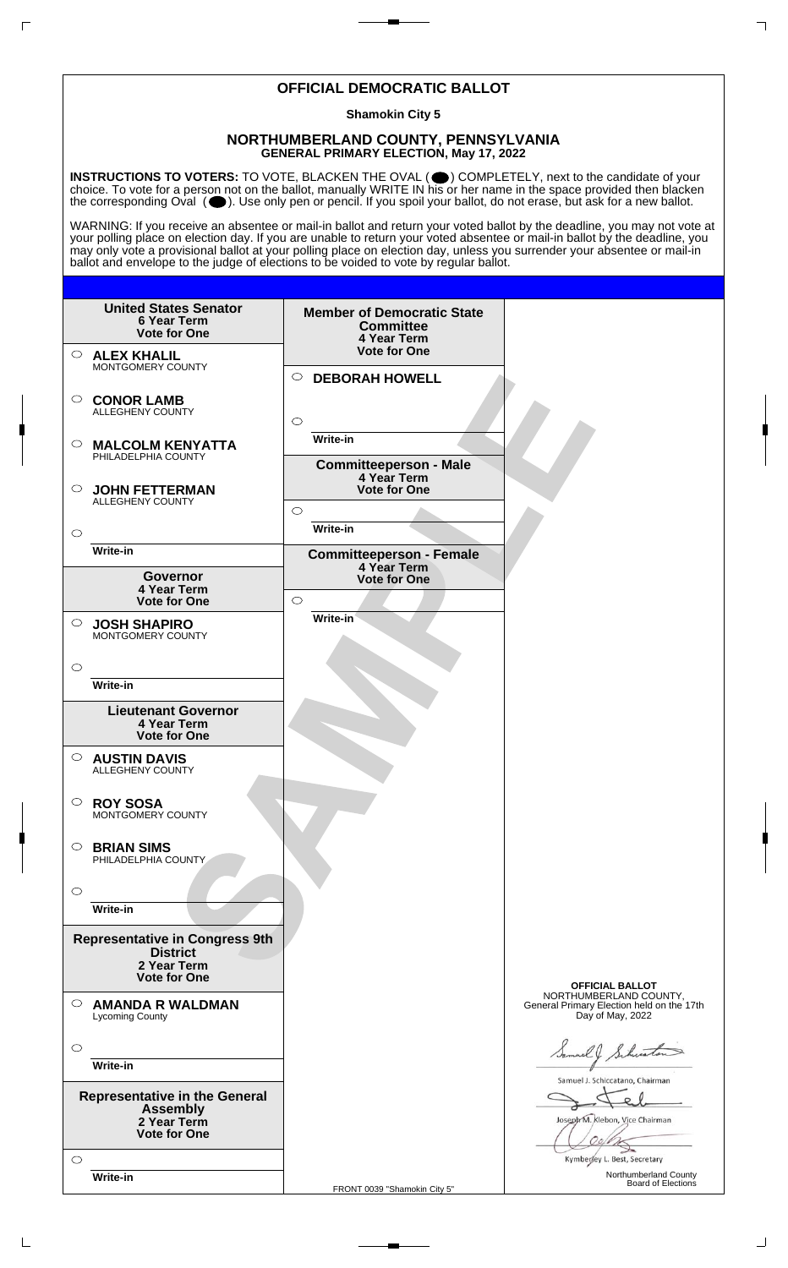|                     |                                                                                               | <b>OFFICIAL DEMOCRATIC BALLOT</b>                                                                                                                                                                                                                                                                                                                                                                                                                                         |                                                               |
|---------------------|-----------------------------------------------------------------------------------------------|---------------------------------------------------------------------------------------------------------------------------------------------------------------------------------------------------------------------------------------------------------------------------------------------------------------------------------------------------------------------------------------------------------------------------------------------------------------------------|---------------------------------------------------------------|
|                     |                                                                                               | <b>Shamokin City 5</b>                                                                                                                                                                                                                                                                                                                                                                                                                                                    |                                                               |
|                     |                                                                                               | NORTHUMBERLAND COUNTY, PENNSYLVANIA<br><b>GENERAL PRIMARY ELECTION, May 17, 2022</b>                                                                                                                                                                                                                                                                                                                                                                                      |                                                               |
|                     |                                                                                               | <b>INSTRUCTIONS TO VOTERS:</b> TO VOTE, BLACKEN THE OVAL (O) COMPLETELY, next to the candidate of your<br>choice. To vote for a person not on the ballot, manually WRITE IN his or her name in the space provided then blacken<br>the corresponding Oval (C). Use only pen or pencil. If you spoil your ballot, do not erase, but ask for a new ballot.                                                                                                                   |                                                               |
|                     |                                                                                               | WARNING: If you receive an absentee or mail-in ballot and return your voted ballot by the deadline, you may not vote at<br>your polling place on election day. If you are unable to return your voted absentee or mail-in ballot by the deadline, you<br>may only vote a provisional ballot at your polling place on election day, unless you surrender your absentee or mail-in<br>ballot and envelope to the judge of elections to be voided to vote by regular ballot. |                                                               |
|                     |                                                                                               |                                                                                                                                                                                                                                                                                                                                                                                                                                                                           |                                                               |
|                     | <b>United States Senator</b>                                                                  | <b>Member of Democratic State</b>                                                                                                                                                                                                                                                                                                                                                                                                                                         |                                                               |
|                     | <b>6 Year Term</b><br><b>Vote for One</b>                                                     | <b>Committee</b><br>4 Year Term<br><b>Vote for One</b>                                                                                                                                                                                                                                                                                                                                                                                                                    |                                                               |
| $\circ$             | <b>ALEX KHALIL</b><br>MONTGOMERY COUNTY                                                       | $\circ$<br><b>DEBORAH HOWELL</b>                                                                                                                                                                                                                                                                                                                                                                                                                                          |                                                               |
| $\circ$             | <b>CONOR LAMB</b><br>ALLEGHENY COUNTY                                                         | $\circ$                                                                                                                                                                                                                                                                                                                                                                                                                                                                   |                                                               |
| $\circ$             | <b>MALCOLM KENYATTA</b><br>PHILADELPHIA COUNTY                                                | <b>Write-in</b>                                                                                                                                                                                                                                                                                                                                                                                                                                                           |                                                               |
| $\circlearrowright$ | <b>JOHN FETTERMAN</b>                                                                         | <b>Committeeperson - Male</b><br>4 Year Term<br><b>Vote for One</b>                                                                                                                                                                                                                                                                                                                                                                                                       |                                                               |
| $\circ$             | <b>ALLEGHENY COUNTY</b>                                                                       | $\circ$<br><b>Write-in</b>                                                                                                                                                                                                                                                                                                                                                                                                                                                |                                                               |
|                     | <b>Write-in</b>                                                                               | <b>Committeeperson - Female</b>                                                                                                                                                                                                                                                                                                                                                                                                                                           |                                                               |
|                     | Governor<br>4 Year Term<br><b>Vote for One</b>                                                | 4 Year Term<br><b>Vote for One</b><br>$\circ$                                                                                                                                                                                                                                                                                                                                                                                                                             |                                                               |
| $\circlearrowright$ | <b>JOSH SHAPIRO</b><br>MONTGOMERY COUNTY                                                      | Write-in                                                                                                                                                                                                                                                                                                                                                                                                                                                                  |                                                               |
| $\circ$             |                                                                                               |                                                                                                                                                                                                                                                                                                                                                                                                                                                                           |                                                               |
|                     | Write-in                                                                                      |                                                                                                                                                                                                                                                                                                                                                                                                                                                                           |                                                               |
|                     | <b>Lieutenant Governor</b><br>4 Year Term<br><b>Vote for One</b>                              |                                                                                                                                                                                                                                                                                                                                                                                                                                                                           |                                                               |
| $\circ$             | <b>AUSTIN DAVIS</b><br><b>ALLEGHENY COUNTY</b>                                                |                                                                                                                                                                                                                                                                                                                                                                                                                                                                           |                                                               |
| O                   | <b>ROY SOSA</b><br><b>MONTGOMERY COUNTY</b>                                                   |                                                                                                                                                                                                                                                                                                                                                                                                                                                                           |                                                               |
| $\circ$             | <b>BRIAN SIMS</b><br>PHILADELPHIA COUNTY                                                      |                                                                                                                                                                                                                                                                                                                                                                                                                                                                           |                                                               |
| $\circ$             |                                                                                               |                                                                                                                                                                                                                                                                                                                                                                                                                                                                           |                                                               |
|                     | <b>Write-in</b>                                                                               |                                                                                                                                                                                                                                                                                                                                                                                                                                                                           |                                                               |
|                     | <b>Representative in Congress 9th</b><br><b>District</b><br>2 Year Term                       |                                                                                                                                                                                                                                                                                                                                                                                                                                                                           |                                                               |
|                     | <b>Vote for One</b>                                                                           |                                                                                                                                                                                                                                                                                                                                                                                                                                                                           | <b>OFFICIAL BALLOT</b><br>NORTHUMBERLAND COUNTY,              |
| O                   | <b>AMANDA R WALDMAN</b><br><b>Lycoming County</b>                                             |                                                                                                                                                                                                                                                                                                                                                                                                                                                                           | General Primary Election held on the 17th<br>Day of May, 2022 |
| $\circ$             | Write-in                                                                                      |                                                                                                                                                                                                                                                                                                                                                                                                                                                                           |                                                               |
|                     |                                                                                               |                                                                                                                                                                                                                                                                                                                                                                                                                                                                           | Samuel J. Schiccatano, Chairman                               |
|                     | <b>Representative in the General</b><br><b>Assembly</b><br>2 Year Term<br><b>Vote for One</b> |                                                                                                                                                                                                                                                                                                                                                                                                                                                                           | Joseph M. Klebon, Vice Chairman                               |
| $\circ$             |                                                                                               |                                                                                                                                                                                                                                                                                                                                                                                                                                                                           | Kymberley L. Best, Secretary                                  |
|                     | Write-in                                                                                      | FRONT 0039 "Shamokin City 5"                                                                                                                                                                                                                                                                                                                                                                                                                                              | Northumberland County<br>Board of Elections                   |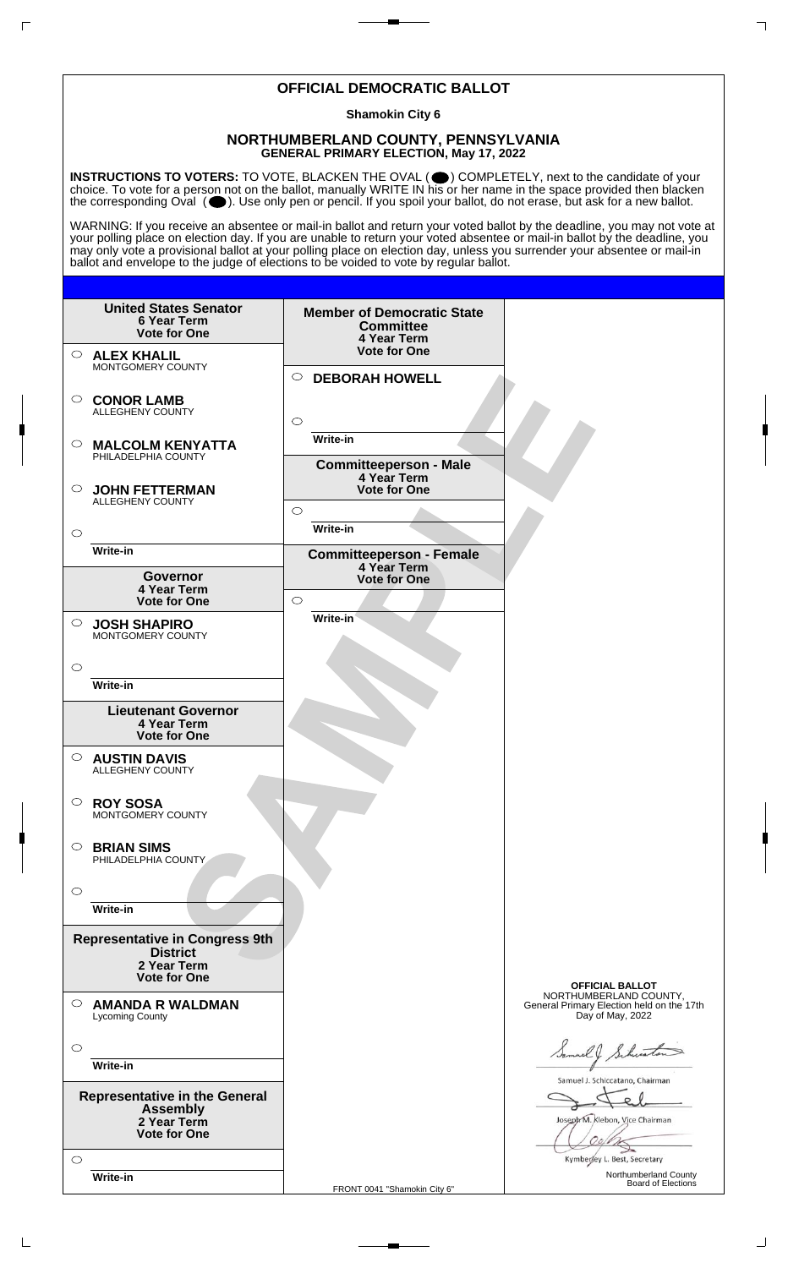|                     |                                                                                               | <b>OFFICIAL DEMOCRATIC BALLOT</b>                                                                                                                                                                                                                                                                                                                                                                                                                                         |                                                                                               |
|---------------------|-----------------------------------------------------------------------------------------------|---------------------------------------------------------------------------------------------------------------------------------------------------------------------------------------------------------------------------------------------------------------------------------------------------------------------------------------------------------------------------------------------------------------------------------------------------------------------------|-----------------------------------------------------------------------------------------------|
|                     |                                                                                               | <b>Shamokin City 6</b>                                                                                                                                                                                                                                                                                                                                                                                                                                                    |                                                                                               |
|                     |                                                                                               | NORTHUMBERLAND COUNTY, PENNSYLVANIA<br><b>GENERAL PRIMARY ELECTION, May 17, 2022</b>                                                                                                                                                                                                                                                                                                                                                                                      |                                                                                               |
|                     |                                                                                               | <b>INSTRUCTIONS TO VOTERS:</b> TO VOTE, BLACKEN THE OVAL (O) COMPLETELY, next to the candidate of your<br>choice. To vote for a person not on the ballot, manually WRITE IN his or her name in the space provided then blacken<br>the corresponding Oval (C). Use only pen or pencil. If you spoil your ballot, do not erase, but ask for a new ballot.                                                                                                                   |                                                                                               |
|                     |                                                                                               | WARNING: If you receive an absentee or mail-in ballot and return your voted ballot by the deadline, you may not vote at<br>your polling place on election day. If you are unable to return your voted absentee or mail-in ballot by the deadline, you<br>may only vote a provisional ballot at your polling place on election day, unless you surrender your absentee or mail-in<br>ballot and envelope to the judge of elections to be voided to vote by regular ballot. |                                                                                               |
|                     |                                                                                               |                                                                                                                                                                                                                                                                                                                                                                                                                                                                           |                                                                                               |
|                     | <b>United States Senator</b><br><b>6 Year Term</b><br><b>Vote for One</b>                     | <b>Member of Democratic State</b><br><b>Committee</b>                                                                                                                                                                                                                                                                                                                                                                                                                     |                                                                                               |
| $\circ$             | <b>ALEX KHALIL</b><br>MONTGOMERY COUNTY                                                       | 4 Year Term<br><b>Vote for One</b>                                                                                                                                                                                                                                                                                                                                                                                                                                        |                                                                                               |
| $\circ$             | <b>CONOR LAMB</b>                                                                             | $\circ$<br><b>DEBORAH HOWELL</b>                                                                                                                                                                                                                                                                                                                                                                                                                                          |                                                                                               |
|                     | ALLEGHENY COUNTY                                                                              | $\circ$<br><b>Write-in</b>                                                                                                                                                                                                                                                                                                                                                                                                                                                |                                                                                               |
| $\circ$             | <b>MALCOLM KENYATTA</b><br>PHILADELPHIA COUNTY                                                | <b>Committeeperson - Male</b><br>4 Year Term                                                                                                                                                                                                                                                                                                                                                                                                                              |                                                                                               |
| $\circlearrowright$ | <b>JOHN FETTERMAN</b><br><b>ALLEGHENY COUNTY</b>                                              | <b>Vote for One</b><br>$\circ$                                                                                                                                                                                                                                                                                                                                                                                                                                            |                                                                                               |
| $\circ$             | <b>Write-in</b>                                                                               | <b>Write-in</b>                                                                                                                                                                                                                                                                                                                                                                                                                                                           |                                                                                               |
|                     | Governor                                                                                      | <b>Committeeperson - Female</b><br>4 Year Term<br><b>Vote for One</b>                                                                                                                                                                                                                                                                                                                                                                                                     |                                                                                               |
|                     | 4 Year Term<br><b>Vote for One</b>                                                            | $\circ$                                                                                                                                                                                                                                                                                                                                                                                                                                                                   |                                                                                               |
| $\circlearrowright$ | <b>JOSH SHAPIRO</b><br>MONTGOMERY COUNTY                                                      | Write-in                                                                                                                                                                                                                                                                                                                                                                                                                                                                  |                                                                                               |
| $\circ$             | Write-in                                                                                      |                                                                                                                                                                                                                                                                                                                                                                                                                                                                           |                                                                                               |
|                     | <b>Lieutenant Governor</b>                                                                    |                                                                                                                                                                                                                                                                                                                                                                                                                                                                           |                                                                                               |
|                     | 4 Year Term<br><b>Vote for One</b>                                                            |                                                                                                                                                                                                                                                                                                                                                                                                                                                                           |                                                                                               |
| $\circ$             | <b>AUSTIN DAVIS</b><br><b>ALLEGHENY COUNTY</b>                                                |                                                                                                                                                                                                                                                                                                                                                                                                                                                                           |                                                                                               |
| O                   | <b>ROY SOSA</b><br><b>MONTGOMERY COUNTY</b>                                                   |                                                                                                                                                                                                                                                                                                                                                                                                                                                                           |                                                                                               |
| $\circ$             | <b>BRIAN SIMS</b><br>PHILADELPHIA COUNTY                                                      |                                                                                                                                                                                                                                                                                                                                                                                                                                                                           |                                                                                               |
| $\circ$             | <b>Write-in</b>                                                                               |                                                                                                                                                                                                                                                                                                                                                                                                                                                                           |                                                                                               |
|                     |                                                                                               |                                                                                                                                                                                                                                                                                                                                                                                                                                                                           |                                                                                               |
|                     | <b>Representative in Congress 9th</b><br><b>District</b><br>2 Year Term                       |                                                                                                                                                                                                                                                                                                                                                                                                                                                                           |                                                                                               |
| O                   | <b>Vote for One</b><br><b>AMANDA R WALDMAN</b>                                                |                                                                                                                                                                                                                                                                                                                                                                                                                                                                           | <b>OFFICIAL BALLOT</b><br>NORTHUMBERLAND COUNTY,<br>General Primary Election held on the 17th |
| $\circ$             | <b>Lycoming County</b>                                                                        |                                                                                                                                                                                                                                                                                                                                                                                                                                                                           | Day of May, 2022                                                                              |
|                     | Write-in                                                                                      |                                                                                                                                                                                                                                                                                                                                                                                                                                                                           |                                                                                               |
|                     | <b>Representative in the General</b><br><b>Assembly</b><br>2 Year Term<br><b>Vote for One</b> |                                                                                                                                                                                                                                                                                                                                                                                                                                                                           | Samuel J. Schiccatano, Chairman<br>Joseph M. Klebon, Vice Chairman                            |
| $\circ$             |                                                                                               |                                                                                                                                                                                                                                                                                                                                                                                                                                                                           | Kymberley L. Best, Secretary<br>Northumberland County                                         |
|                     | Write-in                                                                                      | FRONT 0041 "Shamokin City 6"                                                                                                                                                                                                                                                                                                                                                                                                                                              | Board of Elections                                                                            |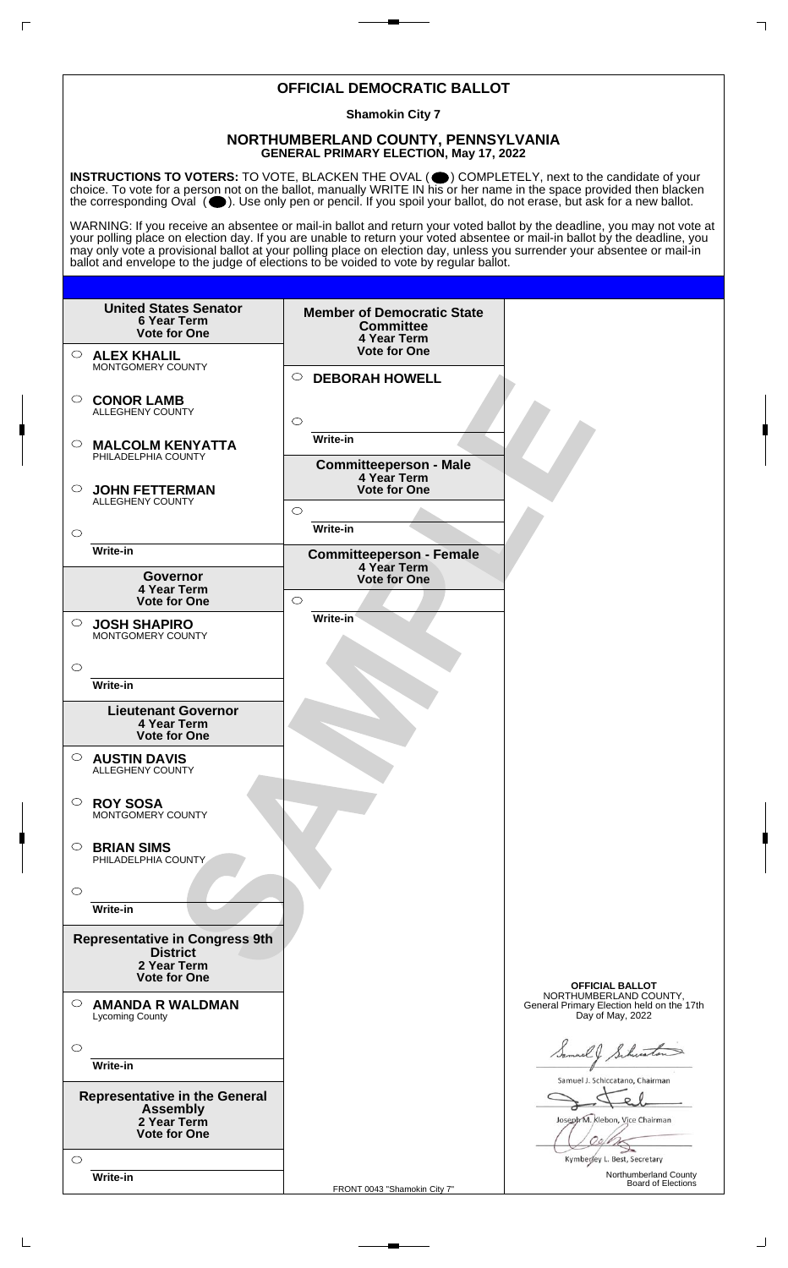| <b>OFFICIAL DEMOCRATIC BALLOT</b>                                                              |                                                                                                                                                                                                                                                                                                                                                                                                                                                                           |                                                                                                                   |
|------------------------------------------------------------------------------------------------|---------------------------------------------------------------------------------------------------------------------------------------------------------------------------------------------------------------------------------------------------------------------------------------------------------------------------------------------------------------------------------------------------------------------------------------------------------------------------|-------------------------------------------------------------------------------------------------------------------|
|                                                                                                | <b>Shamokin City 7</b>                                                                                                                                                                                                                                                                                                                                                                                                                                                    |                                                                                                                   |
| NORTHUMBERLAND COUNTY, PENNSYLVANIA<br><b>GENERAL PRIMARY ELECTION, May 17, 2022</b>           |                                                                                                                                                                                                                                                                                                                                                                                                                                                                           |                                                                                                                   |
|                                                                                                | <b>INSTRUCTIONS TO VOTERS:</b> TO VOTE, BLACKEN THE OVAL (O) COMPLETELY, next to the candidate of your<br>choice. To vote for a person not on the ballot, manually WRITE IN his or her name in the space provided then blacken<br>the corresponding Oval (C). Use only pen or pencil. If you spoil your ballot, do not erase, but ask for a new ballot.                                                                                                                   |                                                                                                                   |
|                                                                                                | WARNING: If you receive an absentee or mail-in ballot and return your voted ballot by the deadline, you may not vote at<br>your polling place on election day. If you are unable to return your voted absentee or mail-in ballot by the deadline, you<br>may only vote a provisional ballot at your polling place on election day, unless you surrender your absentee or mail-in<br>ballot and envelope to the judge of elections to be voided to vote by regular ballot. |                                                                                                                   |
|                                                                                                |                                                                                                                                                                                                                                                                                                                                                                                                                                                                           |                                                                                                                   |
| <b>United States Senator</b><br>6 Year Term<br><b>Vote for One</b>                             | <b>Member of Democratic State</b><br><b>Committee</b><br>4 Year Term                                                                                                                                                                                                                                                                                                                                                                                                      |                                                                                                                   |
| $\circ$<br><b>ALEX KHALIL</b><br><b>MONTGOMERY COUNTY</b>                                      | <b>Vote for One</b><br>O<br><b>DEBORAH HOWELL</b>                                                                                                                                                                                                                                                                                                                                                                                                                         |                                                                                                                   |
| $\circ$<br><b>CONOR LAMB</b><br><b>ALLEGHENY COUNTY</b>                                        | $\circ$                                                                                                                                                                                                                                                                                                                                                                                                                                                                   |                                                                                                                   |
| $\circ$<br><b>MALCOLM KENYATTA</b><br>PHILADELPHIA COUNTY                                      | Write-in<br><b>Committeeperson - Male</b>                                                                                                                                                                                                                                                                                                                                                                                                                                 |                                                                                                                   |
| $\circ$<br><b>JOHN FETTERMAN</b><br><b>ALLEGHENY COUNTY</b>                                    | 4 Year Term<br><b>Vote for One</b><br>$\circ$                                                                                                                                                                                                                                                                                                                                                                                                                             |                                                                                                                   |
| $\circ$                                                                                        | Write-in                                                                                                                                                                                                                                                                                                                                                                                                                                                                  |                                                                                                                   |
| Write-in                                                                                       | <b>Committeeperson - Female</b><br>4 Year Term                                                                                                                                                                                                                                                                                                                                                                                                                            |                                                                                                                   |
| <b>Governor</b><br>4 Year Term<br><b>Vote for One</b>                                          | <b>Vote for One</b><br>$\circ$                                                                                                                                                                                                                                                                                                                                                                                                                                            |                                                                                                                   |
| $\circ$<br><b>JOSH SHAPIRO</b><br>MONTGOMERY COUNTY                                            | Write-in                                                                                                                                                                                                                                                                                                                                                                                                                                                                  |                                                                                                                   |
| $\circ$<br>Write-in                                                                            |                                                                                                                                                                                                                                                                                                                                                                                                                                                                           |                                                                                                                   |
| <b>Lieutenant Governor</b><br>4 Year Term<br><b>Vote for One</b>                               |                                                                                                                                                                                                                                                                                                                                                                                                                                                                           |                                                                                                                   |
| $\circ$<br><b>AUSTIN DAVIS</b><br><b>ALLEGHENY COUNTY</b>                                      |                                                                                                                                                                                                                                                                                                                                                                                                                                                                           |                                                                                                                   |
| <b>ROY SOSA</b><br>$\circ$<br><b>MONTGOMERY COUNTY</b>                                         |                                                                                                                                                                                                                                                                                                                                                                                                                                                                           |                                                                                                                   |
| <b>BRIAN SIMS</b><br>O<br>PHILADELPHIA COUNTY                                                  |                                                                                                                                                                                                                                                                                                                                                                                                                                                                           |                                                                                                                   |
| $\circ$<br><b>Write-in</b>                                                                     |                                                                                                                                                                                                                                                                                                                                                                                                                                                                           |                                                                                                                   |
| <b>Representative in Congress 9th</b><br><b>District</b><br>2 Year Term<br><b>Vote for One</b> |                                                                                                                                                                                                                                                                                                                                                                                                                                                                           |                                                                                                                   |
| <b>AMANDA R WALDMAN</b><br>$\circ$<br><b>Lycoming County</b>                                   |                                                                                                                                                                                                                                                                                                                                                                                                                                                                           | <b>OFFICIAL BALLOT</b><br>NORTHUMBERLAND COUNTY,<br>General Primary Election held on the 17th<br>Day of May, 2022 |
| $\circ$                                                                                        |                                                                                                                                                                                                                                                                                                                                                                                                                                                                           |                                                                                                                   |
| Write-in                                                                                       |                                                                                                                                                                                                                                                                                                                                                                                                                                                                           | Samuel J. Schiccatano, Chairman                                                                                   |
| <b>Representative in the General</b><br><b>Assembly</b><br>2 Year Term<br><b>Vote for One</b>  |                                                                                                                                                                                                                                                                                                                                                                                                                                                                           | Joseph M. Klebon, Vice Chairman                                                                                   |
| $\circ$                                                                                        |                                                                                                                                                                                                                                                                                                                                                                                                                                                                           | Kymberley L. Best, Secretary<br>Northumberland County                                                             |
| Write-in                                                                                       | FRONT 0043 "Shamokin City 7"                                                                                                                                                                                                                                                                                                                                                                                                                                              | Board of Elections                                                                                                |

 $\Box$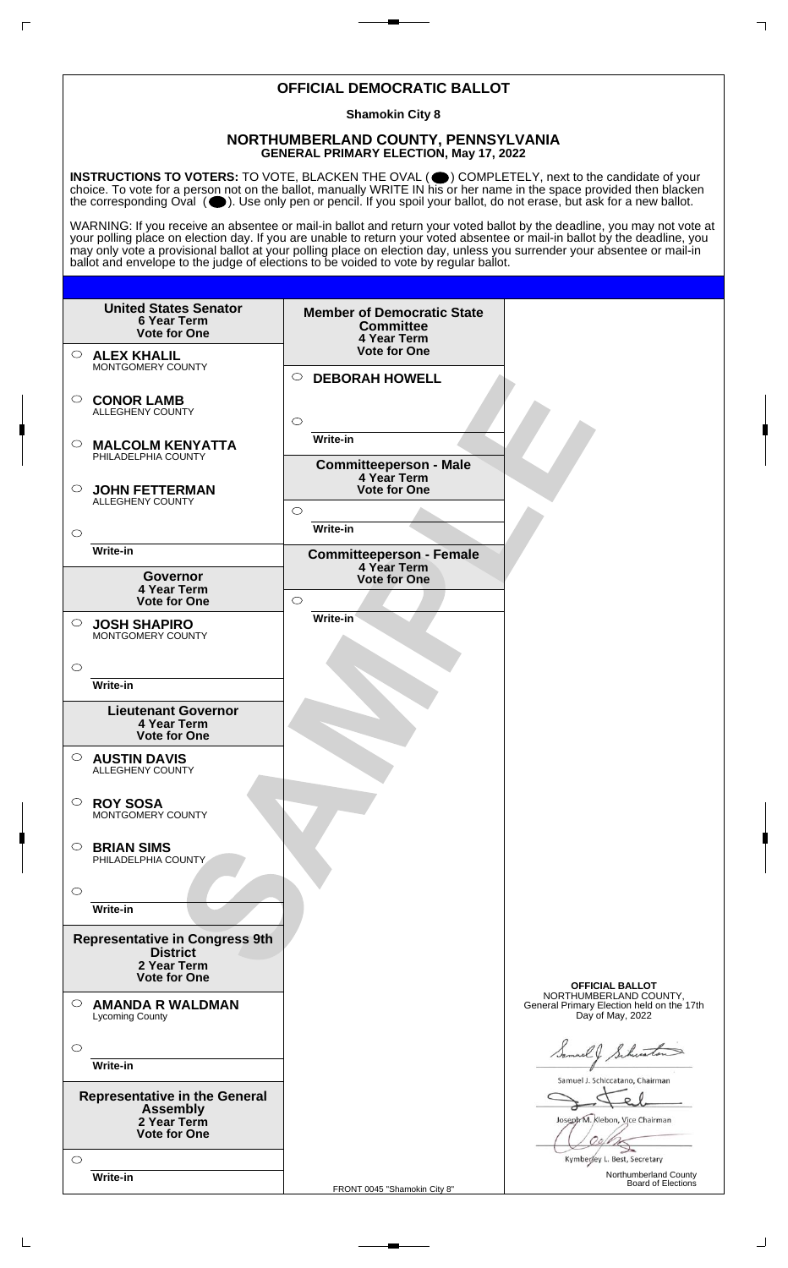|                                                                                                | <b>OFFICIAL DEMOCRATIC BALLOT</b>                                                                                                                                                                                                                                                                                                                                                                                                                                         |                                                                                                                   |  |
|------------------------------------------------------------------------------------------------|---------------------------------------------------------------------------------------------------------------------------------------------------------------------------------------------------------------------------------------------------------------------------------------------------------------------------------------------------------------------------------------------------------------------------------------------------------------------------|-------------------------------------------------------------------------------------------------------------------|--|
|                                                                                                | <b>Shamokin City 8</b>                                                                                                                                                                                                                                                                                                                                                                                                                                                    |                                                                                                                   |  |
|                                                                                                | NORTHUMBERLAND COUNTY, PENNSYLVANIA<br><b>GENERAL PRIMARY ELECTION, May 17, 2022</b>                                                                                                                                                                                                                                                                                                                                                                                      |                                                                                                                   |  |
|                                                                                                | <b>INSTRUCTIONS TO VOTERS:</b> TO VOTE, BLACKEN THE OVAL (O) COMPLETELY, next to the candidate of your<br>choice. To vote for a person not on the ballot, manually WRITE IN his or her name in the space provided then blacken<br>the corresponding Oval (C). Use only pen or pencil. If you spoil your ballot, do not erase, but ask for a new ballot.                                                                                                                   |                                                                                                                   |  |
|                                                                                                | WARNING: If you receive an absentee or mail-in ballot and return your voted ballot by the deadline, you may not vote at<br>your polling place on election day. If you are unable to return your voted absentee or mail-in ballot by the deadline, you<br>may only vote a provisional ballot at your polling place on election day, unless you surrender your absentee or mail-in<br>ballot and envelope to the judge of elections to be voided to vote by regular ballot. |                                                                                                                   |  |
|                                                                                                |                                                                                                                                                                                                                                                                                                                                                                                                                                                                           |                                                                                                                   |  |
| <b>United States Senator</b>                                                                   | <b>Member of Democratic State</b>                                                                                                                                                                                                                                                                                                                                                                                                                                         |                                                                                                                   |  |
| <b>6 Year Term</b><br><b>Vote for One</b>                                                      | <b>Committee</b><br>4 Year Term                                                                                                                                                                                                                                                                                                                                                                                                                                           |                                                                                                                   |  |
| <b>ALEX KHALIL</b><br>$\circ$<br>MONTGOMERY COUNTY                                             | <b>Vote for One</b><br>$\circ$<br><b>DEBORAH HOWELL</b>                                                                                                                                                                                                                                                                                                                                                                                                                   |                                                                                                                   |  |
| $\circ$<br><b>CONOR LAMB</b><br>ALLEGHENY COUNTY                                               |                                                                                                                                                                                                                                                                                                                                                                                                                                                                           |                                                                                                                   |  |
| <b>MALCOLM KENYATTA</b><br>$\circ$                                                             | $\circ$<br><b>Write-in</b>                                                                                                                                                                                                                                                                                                                                                                                                                                                |                                                                                                                   |  |
| PHILADELPHIA COUNTY                                                                            | <b>Committeeperson - Male</b><br>4 Year Term                                                                                                                                                                                                                                                                                                                                                                                                                              |                                                                                                                   |  |
| $\circlearrowright$<br><b>JOHN FETTERMAN</b><br><b>ALLEGHENY COUNTY</b>                        | <b>Vote for One</b><br>$\circ$                                                                                                                                                                                                                                                                                                                                                                                                                                            |                                                                                                                   |  |
| $\circ$<br><b>Write-in</b>                                                                     | <b>Write-in</b>                                                                                                                                                                                                                                                                                                                                                                                                                                                           |                                                                                                                   |  |
|                                                                                                | <b>Committeeperson - Female</b><br>4 Year Term                                                                                                                                                                                                                                                                                                                                                                                                                            |                                                                                                                   |  |
| Governor<br>4 Year Term<br><b>Vote for One</b>                                                 | <b>Vote for One</b><br>$\circ$                                                                                                                                                                                                                                                                                                                                                                                                                                            |                                                                                                                   |  |
| $\circlearrowright$<br><b>JOSH SHAPIRO</b><br>MONTGOMERY COUNTY                                | Write-in                                                                                                                                                                                                                                                                                                                                                                                                                                                                  |                                                                                                                   |  |
| $\circ$                                                                                        |                                                                                                                                                                                                                                                                                                                                                                                                                                                                           |                                                                                                                   |  |
| Write-in                                                                                       |                                                                                                                                                                                                                                                                                                                                                                                                                                                                           |                                                                                                                   |  |
| <b>Lieutenant Governor</b><br>4 Year Term<br><b>Vote for One</b>                               |                                                                                                                                                                                                                                                                                                                                                                                                                                                                           |                                                                                                                   |  |
| <b>AUSTIN DAVIS</b><br>$\circ$<br><b>ALLEGHENY COUNTY</b>                                      |                                                                                                                                                                                                                                                                                                                                                                                                                                                                           |                                                                                                                   |  |
| <b>ROY SOSA</b><br>O<br><b>MONTGOMERY COUNTY</b>                                               |                                                                                                                                                                                                                                                                                                                                                                                                                                                                           |                                                                                                                   |  |
| <b>BRIAN SIMS</b><br>$\circ$<br>PHILADELPHIA COUNTY                                            |                                                                                                                                                                                                                                                                                                                                                                                                                                                                           |                                                                                                                   |  |
| $\circ$<br><b>Write-in</b>                                                                     |                                                                                                                                                                                                                                                                                                                                                                                                                                                                           |                                                                                                                   |  |
| <b>Representative in Congress 9th</b><br><b>District</b><br>2 Year Term<br><b>Vote for One</b> |                                                                                                                                                                                                                                                                                                                                                                                                                                                                           |                                                                                                                   |  |
| <b>AMANDA R WALDMAN</b><br>O<br><b>Lycoming County</b>                                         |                                                                                                                                                                                                                                                                                                                                                                                                                                                                           | <b>OFFICIAL BALLOT</b><br>NORTHUMBERLAND COUNTY,<br>General Primary Election held on the 17th<br>Day of May, 2022 |  |
| $\circ$                                                                                        |                                                                                                                                                                                                                                                                                                                                                                                                                                                                           |                                                                                                                   |  |
| Write-in                                                                                       |                                                                                                                                                                                                                                                                                                                                                                                                                                                                           | Samuel J. Schiccatano, Chairman                                                                                   |  |
| <b>Representative in the General</b><br><b>Assembly</b><br>2 Year Term<br><b>Vote for One</b>  |                                                                                                                                                                                                                                                                                                                                                                                                                                                                           | Joseph M. Klebon, Vice Chairman                                                                                   |  |
| $\circ$                                                                                        |                                                                                                                                                                                                                                                                                                                                                                                                                                                                           | Kymberley L. Best, Secretary                                                                                      |  |
| Write-in                                                                                       | FRONT 0045 "Shamokin City 8"                                                                                                                                                                                                                                                                                                                                                                                                                                              | Northumberland County<br>Board of Elections                                                                       |  |

 $\Box$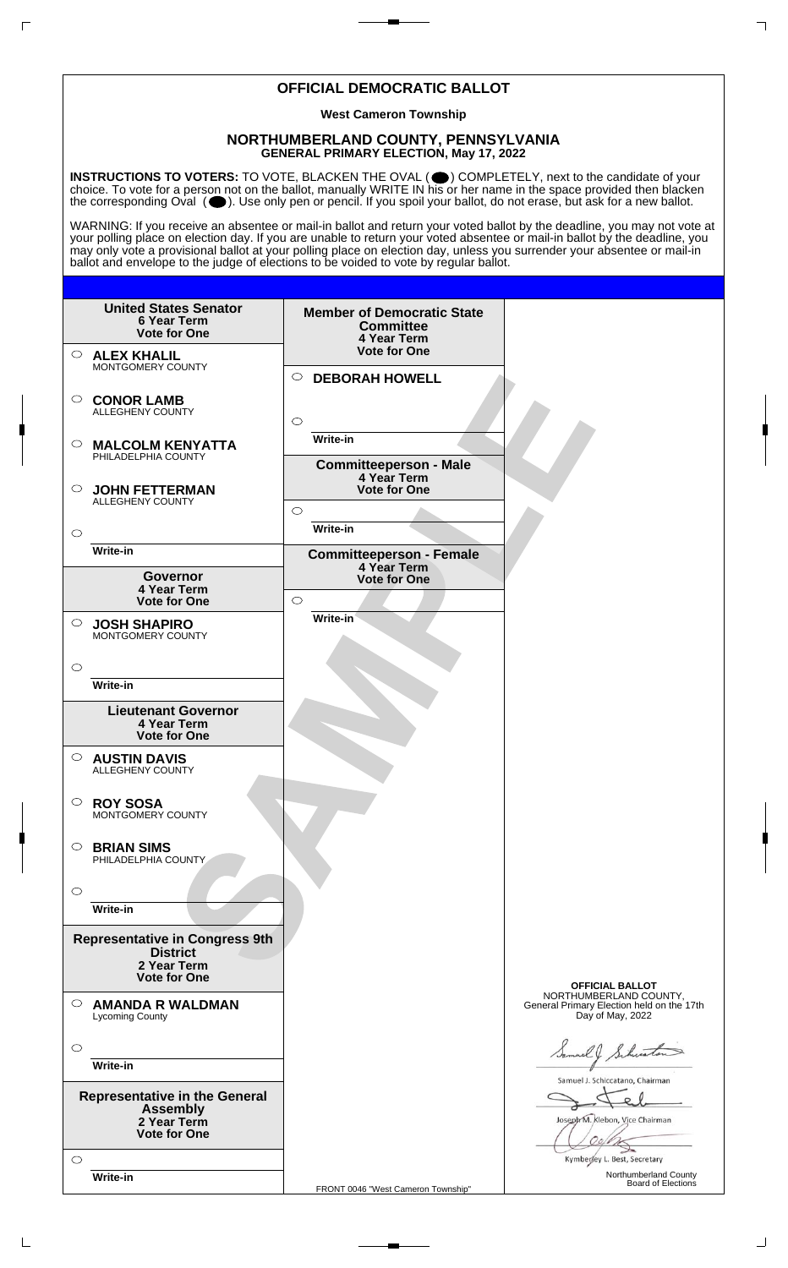|                                                                                                | <b>OFFICIAL DEMOCRATIC BALLOT</b>                                                                                                                                                                                                                                                                                                                                                                                                                                         |                                                                                         |
|------------------------------------------------------------------------------------------------|---------------------------------------------------------------------------------------------------------------------------------------------------------------------------------------------------------------------------------------------------------------------------------------------------------------------------------------------------------------------------------------------------------------------------------------------------------------------------|-----------------------------------------------------------------------------------------|
| <b>West Cameron Township</b>                                                                   |                                                                                                                                                                                                                                                                                                                                                                                                                                                                           |                                                                                         |
| NORTHUMBERLAND COUNTY, PENNSYLVANIA<br><b>GENERAL PRIMARY ELECTION, May 17, 2022</b>           |                                                                                                                                                                                                                                                                                                                                                                                                                                                                           |                                                                                         |
|                                                                                                | INSTRUCTIONS TO VOTERS: TO VOTE, BLACKEN THE OVAL (O) COMPLETELY, next to the candidate of your<br>choice. To vote for a person not on the ballot, manually WRITE IN his or her name in the space provided then blacken<br>the corresponding Oval (C). Use only pen or pencil. If you spoil your ballot, do not erase, but ask for a new ballot.                                                                                                                          |                                                                                         |
|                                                                                                | WARNING: If you receive an absentee or mail-in ballot and return your voted ballot by the deadline, you may not vote at<br>your polling place on election day. If you are unable to return your voted absentee or mail-in ballot by the deadline, you<br>may only vote a provisional ballot at your polling place on election day, unless you surrender your absentee or mail-in<br>ballot and envelope to the judge of elections to be voided to vote by regular ballot. |                                                                                         |
|                                                                                                |                                                                                                                                                                                                                                                                                                                                                                                                                                                                           |                                                                                         |
| <b>United States Senator</b><br><b>6 Year Term</b><br><b>Vote for One</b>                      | <b>Member of Democratic State</b><br><b>Committee</b><br>4 Year Term                                                                                                                                                                                                                                                                                                                                                                                                      |                                                                                         |
| $\circ$ ALEX KHALIL<br>MONTGOMERY COUNTY                                                       | <b>Vote for One</b><br>$\circ$<br><b>DEBORAH HOWELL</b>                                                                                                                                                                                                                                                                                                                                                                                                                   |                                                                                         |
| $\circ$<br><b>CONOR LAMB</b><br><b>ALLEGHENY COUNTY</b>                                        | $\circ$                                                                                                                                                                                                                                                                                                                                                                                                                                                                   |                                                                                         |
| $\circ$<br><b>MALCOLM KENYATTA</b><br>PHILADELPHIA COUNTY                                      | Write-in<br><b>Committeeperson - Male</b>                                                                                                                                                                                                                                                                                                                                                                                                                                 |                                                                                         |
| $\circ$<br><b>JOHN FETTERMAN</b><br><b>ALLEGHENY COUNTY</b>                                    | 4 Year Term<br><b>Vote for One</b><br>$\circ$                                                                                                                                                                                                                                                                                                                                                                                                                             |                                                                                         |
| $\circ$                                                                                        | Write-in                                                                                                                                                                                                                                                                                                                                                                                                                                                                  |                                                                                         |
| <b>Write-in</b>                                                                                | <b>Committeeperson - Female</b><br>4 Year Term                                                                                                                                                                                                                                                                                                                                                                                                                            |                                                                                         |
| Governor<br>4 Year Term<br><b>Vote for One</b>                                                 | <b>Vote for One</b><br>$\circ$                                                                                                                                                                                                                                                                                                                                                                                                                                            |                                                                                         |
| <b>JOSH SHAPIRO</b><br>O<br>MONTGOMERY COUNTY                                                  | Write-in                                                                                                                                                                                                                                                                                                                                                                                                                                                                  |                                                                                         |
| $\circ$<br><b>Write-in</b>                                                                     |                                                                                                                                                                                                                                                                                                                                                                                                                                                                           |                                                                                         |
| <b>Lieutenant Governor</b><br>4 Year Term<br><b>Vote for One</b>                               |                                                                                                                                                                                                                                                                                                                                                                                                                                                                           |                                                                                         |
| $\circ$<br><b>AUSTIN DAVIS</b><br><b>ALLEGHENY COUNTY</b>                                      |                                                                                                                                                                                                                                                                                                                                                                                                                                                                           |                                                                                         |
| <b>ROY SOSA</b><br>$\circ$<br>MONTGOMERY COUNTY                                                |                                                                                                                                                                                                                                                                                                                                                                                                                                                                           |                                                                                         |
| $\circlearrowright$<br><b>BRIAN SIMS</b><br>PHILADELPHIA COUNTY                                |                                                                                                                                                                                                                                                                                                                                                                                                                                                                           |                                                                                         |
| $\circ$<br><b>Write-in</b>                                                                     |                                                                                                                                                                                                                                                                                                                                                                                                                                                                           |                                                                                         |
| <b>Representative in Congress 9th</b><br><b>District</b><br>2 Year Term<br><b>Vote for One</b> |                                                                                                                                                                                                                                                                                                                                                                                                                                                                           | <b>OFFICIAL BALLOT</b>                                                                  |
| $\circ$<br><b>AMANDA R WALDMAN</b><br>Lycoming County                                          |                                                                                                                                                                                                                                                                                                                                                                                                                                                                           | NORTHUMBERLAND COUNTY,<br>General Primary Election held on the 17th<br>Day of May, 2022 |
| $\circ$<br><b>Write-in</b>                                                                     |                                                                                                                                                                                                                                                                                                                                                                                                                                                                           | Samuel J. Schiccatano, Chairman                                                         |
| <b>Representative in the General</b><br><b>Assembly</b><br>2 Year Term<br><b>Vote for One</b>  |                                                                                                                                                                                                                                                                                                                                                                                                                                                                           | Joseph M. Klebon, Vice Chairman                                                         |
| $\circlearrowright$<br><b>Write-in</b>                                                         | FRONT 0046 "West Cameron Township"                                                                                                                                                                                                                                                                                                                                                                                                                                        | Kymber/ey L. Best, Secretary<br>Northumberland County<br><b>Board of Elections</b>      |

 $\Box$ 

 $\overline{\phantom{a}}$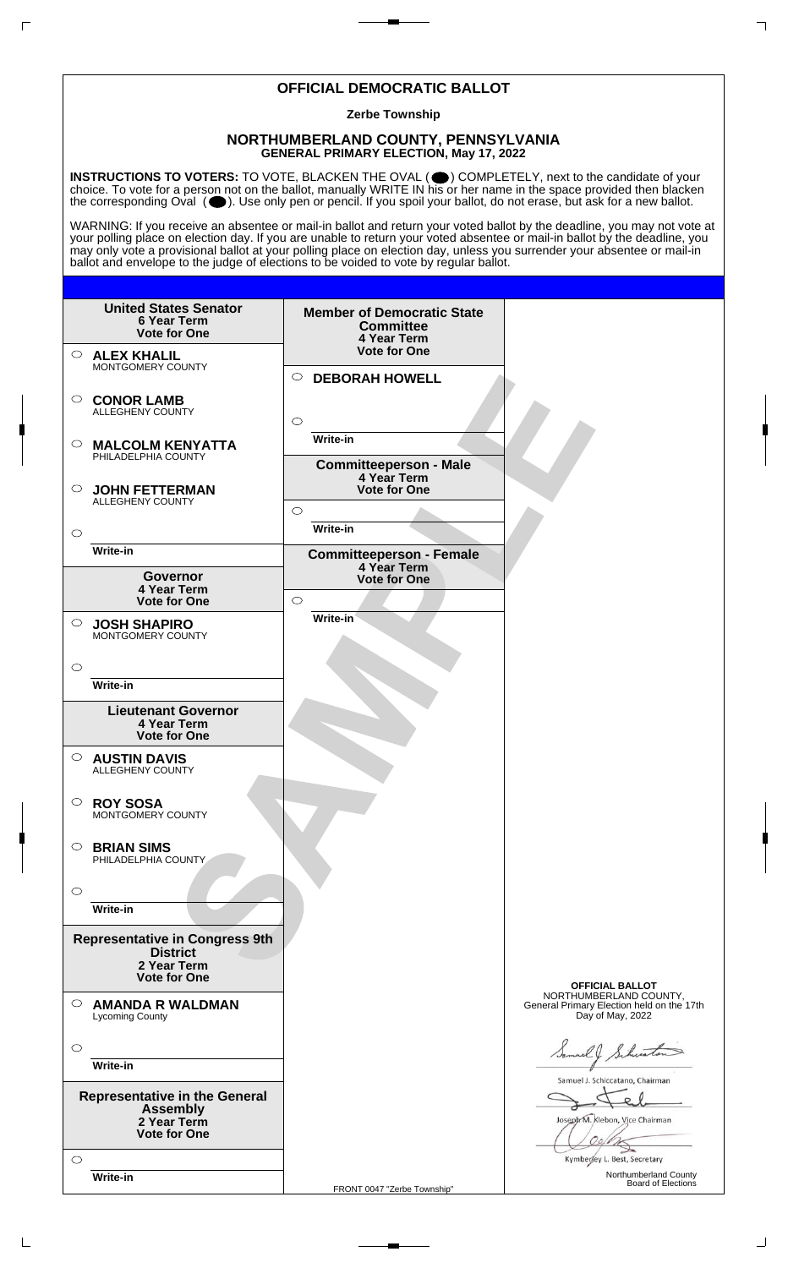|                     | <b>OFFICIAL DEMOCRATIC BALLOT</b>                                                              |                                                                                                                                                                                                                                                                                                                                                                                                                                                                           |                                                                                         |
|---------------------|------------------------------------------------------------------------------------------------|---------------------------------------------------------------------------------------------------------------------------------------------------------------------------------------------------------------------------------------------------------------------------------------------------------------------------------------------------------------------------------------------------------------------------------------------------------------------------|-----------------------------------------------------------------------------------------|
|                     | <b>Zerbe Township</b>                                                                          |                                                                                                                                                                                                                                                                                                                                                                                                                                                                           |                                                                                         |
|                     | NORTHUMBERLAND COUNTY, PENNSYLVANIA<br><b>GENERAL PRIMARY ELECTION, May 17, 2022</b>           |                                                                                                                                                                                                                                                                                                                                                                                                                                                                           |                                                                                         |
|                     |                                                                                                | <b>INSTRUCTIONS TO VOTERS:</b> TO VOTE, BLACKEN THE OVAL (O) COMPLETELY, next to the candidate of your<br>choice. To vote for a person not on the ballot, manually WRITE IN his or her name in the space provided then blacken<br>the corresponding Oval (C). Use only pen or pencil. If you spoil your ballot, do not erase, but ask for a new ballot.                                                                                                                   |                                                                                         |
|                     |                                                                                                | WARNING: If you receive an absentee or mail-in ballot and return your voted ballot by the deadline, you may not vote at<br>your polling place on election day. If you are unable to return your voted absentee or mail-in ballot by the deadline, you<br>may only vote a provisional ballot at your polling place on election day, unless you surrender your absentee or mail-in<br>ballot and envelope to the judge of elections to be voided to vote by regular ballot. |                                                                                         |
|                     |                                                                                                |                                                                                                                                                                                                                                                                                                                                                                                                                                                                           |                                                                                         |
|                     | <b>United States Senator</b><br><b>6 Year Term</b><br><b>Vote for One</b>                      | <b>Member of Democratic State</b><br><b>Committee</b><br>4 Year Term                                                                                                                                                                                                                                                                                                                                                                                                      |                                                                                         |
| $\circ$             | <b>ALEX KHALIL</b><br><b>MONTGOMERY COUNTY</b>                                                 | <b>Vote for One</b><br>$\circ$<br><b>DEBORAH HOWELL</b>                                                                                                                                                                                                                                                                                                                                                                                                                   |                                                                                         |
| $\circ$             | <b>CONOR LAMB</b><br><b>ALLEGHENY COUNTY</b>                                                   | $\circ$                                                                                                                                                                                                                                                                                                                                                                                                                                                                   |                                                                                         |
| $\circ$             | <b>MALCOLM KENYATTA</b><br>PHILADELPHIA COUNTY                                                 | <b>Write-in</b><br><b>Committeeperson - Male</b>                                                                                                                                                                                                                                                                                                                                                                                                                          |                                                                                         |
| $\circ$             | <b>JOHN FETTERMAN</b><br><b>ALLEGHENY COUNTY</b>                                               | 4 Year Term<br><b>Vote for One</b>                                                                                                                                                                                                                                                                                                                                                                                                                                        |                                                                                         |
| $\circ$             |                                                                                                | $\circ$<br><b>Write-in</b>                                                                                                                                                                                                                                                                                                                                                                                                                                                |                                                                                         |
|                     | Write-in                                                                                       | <b>Committeeperson - Female</b>                                                                                                                                                                                                                                                                                                                                                                                                                                           |                                                                                         |
|                     | Governor<br>4 Year Term<br><b>Vote for One</b>                                                 | 4 Year Term<br><b>Vote for One</b><br>$\circ$                                                                                                                                                                                                                                                                                                                                                                                                                             |                                                                                         |
| $\circ$             | <b>JOSH SHAPIRO</b><br>MONTGOMERY COUNTY                                                       | Write-in                                                                                                                                                                                                                                                                                                                                                                                                                                                                  |                                                                                         |
| $\circ$             | Write-in                                                                                       |                                                                                                                                                                                                                                                                                                                                                                                                                                                                           |                                                                                         |
|                     | <b>Lieutenant Governor</b><br>4 Year Term<br><b>Vote for One</b>                               |                                                                                                                                                                                                                                                                                                                                                                                                                                                                           |                                                                                         |
|                     | $\circ$ AUSTIN DAVIS<br><b>ALLEGHENY COUNTY</b>                                                |                                                                                                                                                                                                                                                                                                                                                                                                                                                                           |                                                                                         |
| $\circlearrowright$ | <b>ROY SOSA</b><br>MONTGOMERY COUNTY                                                           |                                                                                                                                                                                                                                                                                                                                                                                                                                                                           |                                                                                         |
| $\circ$             | <b>BRIAN SIMS</b><br>PHILADELPHIA COUNTY                                                       |                                                                                                                                                                                                                                                                                                                                                                                                                                                                           |                                                                                         |
| $\circlearrowright$ | <b>Write-in</b>                                                                                |                                                                                                                                                                                                                                                                                                                                                                                                                                                                           |                                                                                         |
|                     | <b>Representative in Congress 9th</b><br><b>District</b><br>2 Year Term<br><b>Vote for One</b> |                                                                                                                                                                                                                                                                                                                                                                                                                                                                           | <b>OFFICIAL BALLOT</b>                                                                  |
| $\circ$             | <b>AMANDA R WALDMAN</b><br><b>Lycoming County</b>                                              |                                                                                                                                                                                                                                                                                                                                                                                                                                                                           | NORTHUMBERLAND COUNTY,<br>General Primary Election held on the 17th<br>Day of May, 2022 |
| $\circ$             |                                                                                                |                                                                                                                                                                                                                                                                                                                                                                                                                                                                           |                                                                                         |
|                     | Write-in                                                                                       |                                                                                                                                                                                                                                                                                                                                                                                                                                                                           | Samuel J. Schiccatano, Chairman                                                         |
|                     | <b>Representative in the General</b><br><b>Assembly</b><br>2 Year Term<br><b>Vote for One</b>  |                                                                                                                                                                                                                                                                                                                                                                                                                                                                           | Joseph M. Klebon, Vice Chairman                                                         |
| $\circ$             | Write-in                                                                                       |                                                                                                                                                                                                                                                                                                                                                                                                                                                                           | Kymber/ey L. Best, Secretary<br>Northumberland County<br><b>Board of Elections</b>      |
|                     |                                                                                                | FRONT 0047 "Zerbe Township"                                                                                                                                                                                                                                                                                                                                                                                                                                               |                                                                                         |

 $\Box$ 

 $\overline{\phantom{a}}$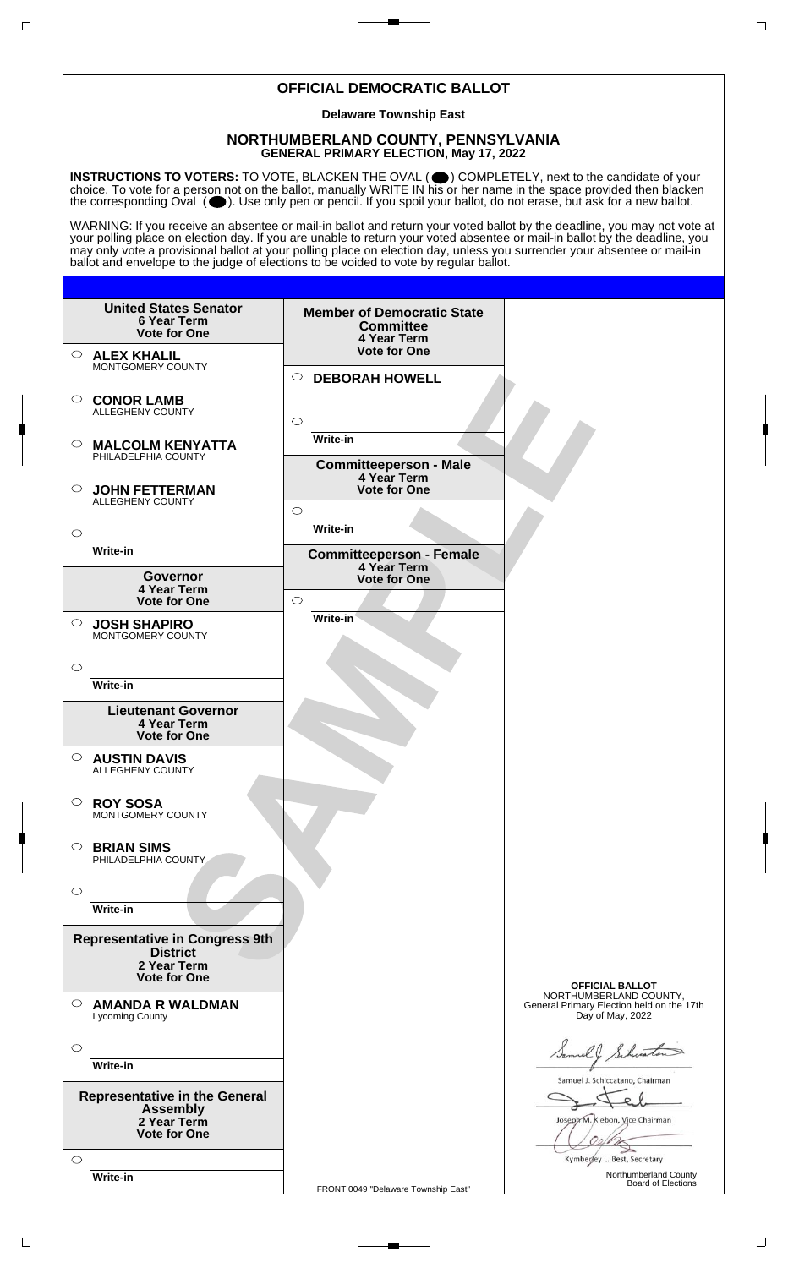|                     | <b>OFFICIAL DEMOCRATIC BALLOT</b>                                                              |                                                                                                                                                                                                                                                                                                                                                                                                                                                                        |                                                                                         |
|---------------------|------------------------------------------------------------------------------------------------|------------------------------------------------------------------------------------------------------------------------------------------------------------------------------------------------------------------------------------------------------------------------------------------------------------------------------------------------------------------------------------------------------------------------------------------------------------------------|-----------------------------------------------------------------------------------------|
|                     | <b>Delaware Township East</b>                                                                  |                                                                                                                                                                                                                                                                                                                                                                                                                                                                        |                                                                                         |
|                     | NORTHUMBERLAND COUNTY, PENNSYLVANIA<br><b>GENERAL PRIMARY ELECTION, May 17, 2022</b>           |                                                                                                                                                                                                                                                                                                                                                                                                                                                                        |                                                                                         |
|                     |                                                                                                | INSTRUCTIONS TO VOTERS: TO VOTE, BLACKEN THE OVAL (O) COMPLETELY, next to the candidate of your<br>choice. To vote for a person not on the ballot, manually WRITE IN his or her name in the space provided then blacken<br>the corresponding Oval (C). Use only pen or pencil. If you spoil your ballot, do not erase, but ask for a new ballot.                                                                                                                       |                                                                                         |
|                     |                                                                                                | WARNING: If you receive an absentee or mail-in ballot and return your voted ballot by the deadline, you may not vote at<br>your polling place on election day. If you are unable to return your voted absentee or mail-in ballot by the deadline, you<br>may only vote a provisional ballot at your polling place on election day, unless you surrender your absentee or mail-in ballot and envelope to the judge of elections to be voided to vote by regular ballot. |                                                                                         |
|                     |                                                                                                |                                                                                                                                                                                                                                                                                                                                                                                                                                                                        |                                                                                         |
|                     | <b>United States Senator</b><br>6 Year Term<br><b>Vote for One</b>                             | <b>Member of Democratic State</b><br><b>Committee</b><br>4 Year Term                                                                                                                                                                                                                                                                                                                                                                                                   |                                                                                         |
|                     | $\circ$ ALEX KHALIL<br>MONTGOMERY COUNTY                                                       | <b>Vote for One</b><br>O<br><b>DEBORAH HOWELL</b>                                                                                                                                                                                                                                                                                                                                                                                                                      |                                                                                         |
| $\circ$             | <b>CONOR LAMB</b><br><b>ALLEGHENY COUNTY</b>                                                   | ◯                                                                                                                                                                                                                                                                                                                                                                                                                                                                      |                                                                                         |
| $\circ$             | <b>MALCOLM KENYATTA</b><br>PHILADELPHIA COUNTY                                                 | Write-in<br><b>Committeeperson - Male</b>                                                                                                                                                                                                                                                                                                                                                                                                                              |                                                                                         |
| $\circ$             | <b>JOHN FETTERMAN</b><br>ALLEGHENY COUNTY                                                      | 4 Year Term<br><b>Vote for One</b><br>$\circ$                                                                                                                                                                                                                                                                                                                                                                                                                          |                                                                                         |
| $\circ$             |                                                                                                | Write-in                                                                                                                                                                                                                                                                                                                                                                                                                                                               |                                                                                         |
|                     | Write-in                                                                                       | <b>Committeeperson - Female</b><br>4 Year Term                                                                                                                                                                                                                                                                                                                                                                                                                         |                                                                                         |
|                     | Governor<br>4 Year Term<br><b>Vote for One</b>                                                 | <b>Vote for One</b><br>$\circ$                                                                                                                                                                                                                                                                                                                                                                                                                                         |                                                                                         |
| O.                  | <b>JOSH SHAPIRO</b><br><b>MONTGOMERY COUNTY</b>                                                | Write-in                                                                                                                                                                                                                                                                                                                                                                                                                                                               |                                                                                         |
| $\circlearrowright$ | <b>Write-in</b>                                                                                |                                                                                                                                                                                                                                                                                                                                                                                                                                                                        |                                                                                         |
|                     | <b>Lieutenant Governor</b><br>4 Year Term<br><b>Vote for One</b>                               |                                                                                                                                                                                                                                                                                                                                                                                                                                                                        |                                                                                         |
| $\circ$             | <b>AUSTIN DAVIS</b><br><b>ALLEGHENY COUNTY</b>                                                 |                                                                                                                                                                                                                                                                                                                                                                                                                                                                        |                                                                                         |
| $\circ$             | <b>ROY SOSA</b><br>MONTGOMERY COUNTY                                                           |                                                                                                                                                                                                                                                                                                                                                                                                                                                                        |                                                                                         |
| O                   | <b>BRIAN SIMS</b><br>PHILADELPHIA COUNTY                                                       |                                                                                                                                                                                                                                                                                                                                                                                                                                                                        |                                                                                         |
| $\circ$             | <b>Write-in</b>                                                                                |                                                                                                                                                                                                                                                                                                                                                                                                                                                                        |                                                                                         |
|                     | <b>Representative in Congress 9th</b><br><b>District</b><br>2 Year Term<br><b>Vote for One</b> |                                                                                                                                                                                                                                                                                                                                                                                                                                                                        | <b>OFFICIAL BALLOT</b>                                                                  |
| O                   | <b>AMANDA R WALDMAN</b><br><b>Lycoming County</b>                                              |                                                                                                                                                                                                                                                                                                                                                                                                                                                                        | NORTHUMBERLAND COUNTY,<br>General Primary Election held on the 17th<br>Day of May, 2022 |
| $\circ$             | <b>Write-in</b>                                                                                |                                                                                                                                                                                                                                                                                                                                                                                                                                                                        |                                                                                         |
|                     | <b>Representative in the General</b><br><b>Assembly</b><br>2 Year Term<br><b>Vote for One</b>  |                                                                                                                                                                                                                                                                                                                                                                                                                                                                        | Samuel J. Schiccatano, Chairman<br>Joseph M. Klebon, Vice Chairman                      |
| $\circlearrowright$ |                                                                                                |                                                                                                                                                                                                                                                                                                                                                                                                                                                                        | Kymber/ey L. Best, Secretary                                                            |
|                     | <b>Write-in</b>                                                                                | FRONT 0049 "Delaware Township East"                                                                                                                                                                                                                                                                                                                                                                                                                                    | Northumberland County<br><b>Board of Elections</b>                                      |

 $\Box$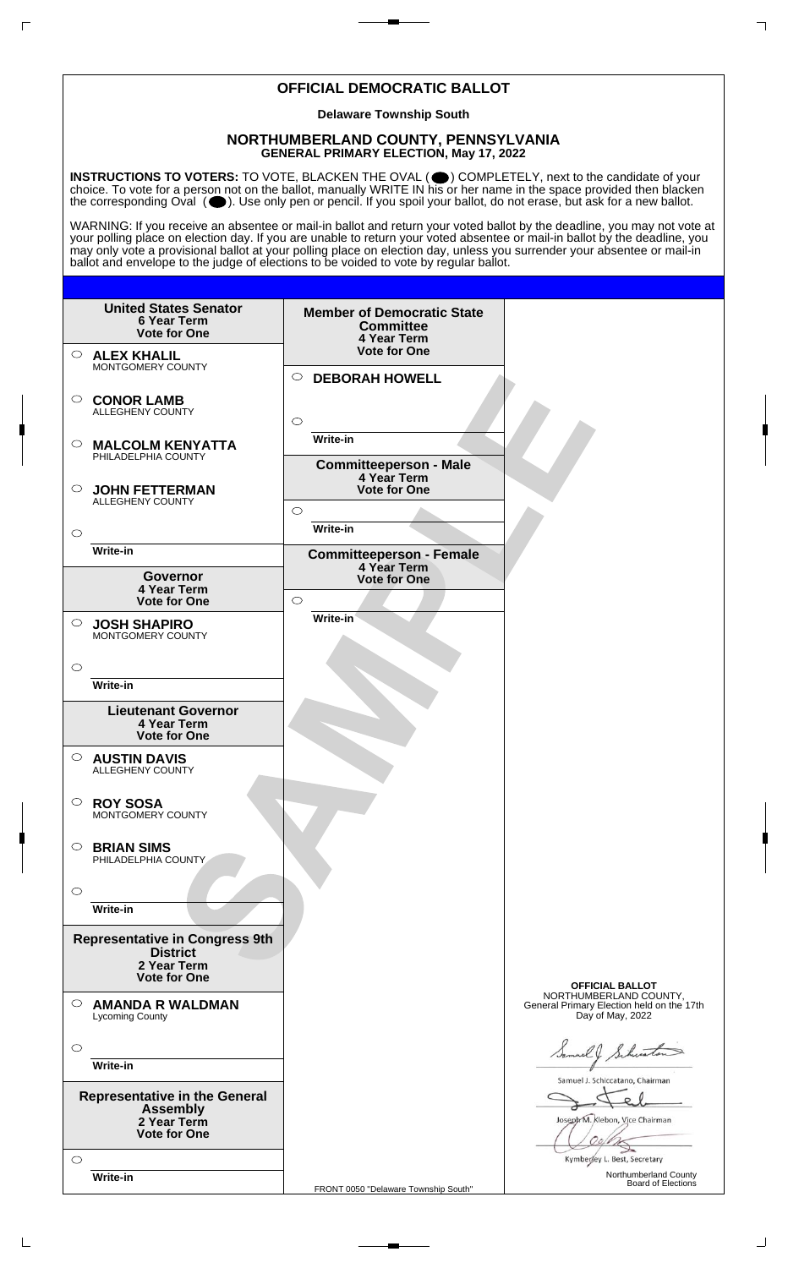|                                                                                                | <b>OFFICIAL DEMOCRATIC BALLOT</b>                                                                                                                                                                                                                                                                                                                                                                                                                                      |                                                                                         |  |
|------------------------------------------------------------------------------------------------|------------------------------------------------------------------------------------------------------------------------------------------------------------------------------------------------------------------------------------------------------------------------------------------------------------------------------------------------------------------------------------------------------------------------------------------------------------------------|-----------------------------------------------------------------------------------------|--|
|                                                                                                | <b>Delaware Township South</b>                                                                                                                                                                                                                                                                                                                                                                                                                                         |                                                                                         |  |
| NORTHUMBERLAND COUNTY, PENNSYLVANIA<br><b>GENERAL PRIMARY ELECTION, May 17, 2022</b>           |                                                                                                                                                                                                                                                                                                                                                                                                                                                                        |                                                                                         |  |
|                                                                                                | <b>INSTRUCTIONS TO VOTERS:</b> TO VOTE, BLACKEN THE OVAL (O) COMPLETELY, next to the candidate of your choice. To vote for a person not on the ballot, manually WRITE IN his or her name in the space provided then blacken<br>the corresponding Oval (O). Use only pen or pencil. If you spoil your ballot, do not erase, but ask for a new ballot.                                                                                                                   |                                                                                         |  |
|                                                                                                | WARNING: If you receive an absentee or mail-in ballot and return your voted ballot by the deadline, you may not vote at<br>your polling place on election day. If you are unable to return your voted absentee or mail-in ballot by the deadline, you<br>may only vote a provisional ballot at your polling place on election day, unless you surrender your absentee or mail-in ballot and envelope to the judge of elections to be voided to vote by regular ballot. |                                                                                         |  |
|                                                                                                |                                                                                                                                                                                                                                                                                                                                                                                                                                                                        |                                                                                         |  |
| <b>United States Senator</b><br><b>6 Year Term</b><br><b>Vote for One</b>                      | <b>Member of Democratic State</b><br><b>Committee</b><br>4 Year Term<br><b>Vote for One</b>                                                                                                                                                                                                                                                                                                                                                                            |                                                                                         |  |
| $\circ$ ALEX KHALIL<br>MONTGOMERY COUNTY                                                       | $\circ$<br><b>DEBORAH HOWELL</b>                                                                                                                                                                                                                                                                                                                                                                                                                                       |                                                                                         |  |
| $\circ$<br><b>CONOR LAMB</b><br><b>ALLEGHENY COUNTY</b>                                        | $\circ$                                                                                                                                                                                                                                                                                                                                                                                                                                                                |                                                                                         |  |
| $\circ$<br><b>MALCOLM KENYATTA</b><br>PHILADELPHIA COUNTY                                      | <b>Write-in</b><br><b>Committeeperson - Male</b>                                                                                                                                                                                                                                                                                                                                                                                                                       |                                                                                         |  |
| $\circ$<br><b>JOHN FETTERMAN</b><br><b>ALLEGHENY COUNTY</b>                                    | 4 Year Term<br><b>Vote for One</b><br>$\circ$                                                                                                                                                                                                                                                                                                                                                                                                                          |                                                                                         |  |
| $\circlearrowright$                                                                            | <b>Write-in</b>                                                                                                                                                                                                                                                                                                                                                                                                                                                        |                                                                                         |  |
| Write-in                                                                                       | <b>Committeeperson - Female</b>                                                                                                                                                                                                                                                                                                                                                                                                                                        |                                                                                         |  |
| Governor<br>4 Year Term<br><b>Vote for One</b>                                                 | 4 Year Term<br><b>Vote for One</b><br>$\circlearrowright$                                                                                                                                                                                                                                                                                                                                                                                                              |                                                                                         |  |
| <b>JOSH SHAPIRO</b><br>$\circ$<br>MONTGOMERY COUNTY                                            | Write-in                                                                                                                                                                                                                                                                                                                                                                                                                                                               |                                                                                         |  |
| $\circ$<br><b>Write-in</b>                                                                     |                                                                                                                                                                                                                                                                                                                                                                                                                                                                        |                                                                                         |  |
| <b>Lieutenant Governor</b><br>4 Year Term<br><b>Vote for One</b>                               |                                                                                                                                                                                                                                                                                                                                                                                                                                                                        |                                                                                         |  |
| $\circ$<br><b>AUSTIN DAVIS</b><br><b>ALLEGHENY COUNTY</b>                                      |                                                                                                                                                                                                                                                                                                                                                                                                                                                                        |                                                                                         |  |
| <b>ROY SOSA</b><br>$\circlearrowright$<br>MONTGOMERY COUNTY                                    |                                                                                                                                                                                                                                                                                                                                                                                                                                                                        |                                                                                         |  |
| <b>BRIAN SIMS</b><br>$\circ$<br>PHILADELPHIA COUNTY                                            |                                                                                                                                                                                                                                                                                                                                                                                                                                                                        |                                                                                         |  |
| $\circ$<br><b>Write-in</b>                                                                     |                                                                                                                                                                                                                                                                                                                                                                                                                                                                        |                                                                                         |  |
| <b>Representative in Congress 9th</b><br><b>District</b><br>2 Year Term<br><b>Vote for One</b> |                                                                                                                                                                                                                                                                                                                                                                                                                                                                        | <b>OFFICIAL BALLOT</b>                                                                  |  |
| <b>AMANDA R WALDMAN</b><br>O<br><b>Lycoming County</b>                                         |                                                                                                                                                                                                                                                                                                                                                                                                                                                                        | NORTHUMBERLAND COUNTY,<br>General Primary Election held on the 17th<br>Day of May, 2022 |  |
| $\circ$<br><b>Write-in</b>                                                                     |                                                                                                                                                                                                                                                                                                                                                                                                                                                                        |                                                                                         |  |
| <b>Representative in the General</b><br><b>Assembly</b><br>2 Year Term<br><b>Vote for One</b>  |                                                                                                                                                                                                                                                                                                                                                                                                                                                                        | Samuel J. Schiccatano, Chairman<br>Joseph M. Klebon, Vice Chairman                      |  |
| $\circlearrowright$                                                                            |                                                                                                                                                                                                                                                                                                                                                                                                                                                                        | Kymber/ey L. Best, Secretary                                                            |  |
| <b>Write-in</b>                                                                                | FRONT 0050 "Delaware Township South"                                                                                                                                                                                                                                                                                                                                                                                                                                   | Northumberland County<br>Board of Elections                                             |  |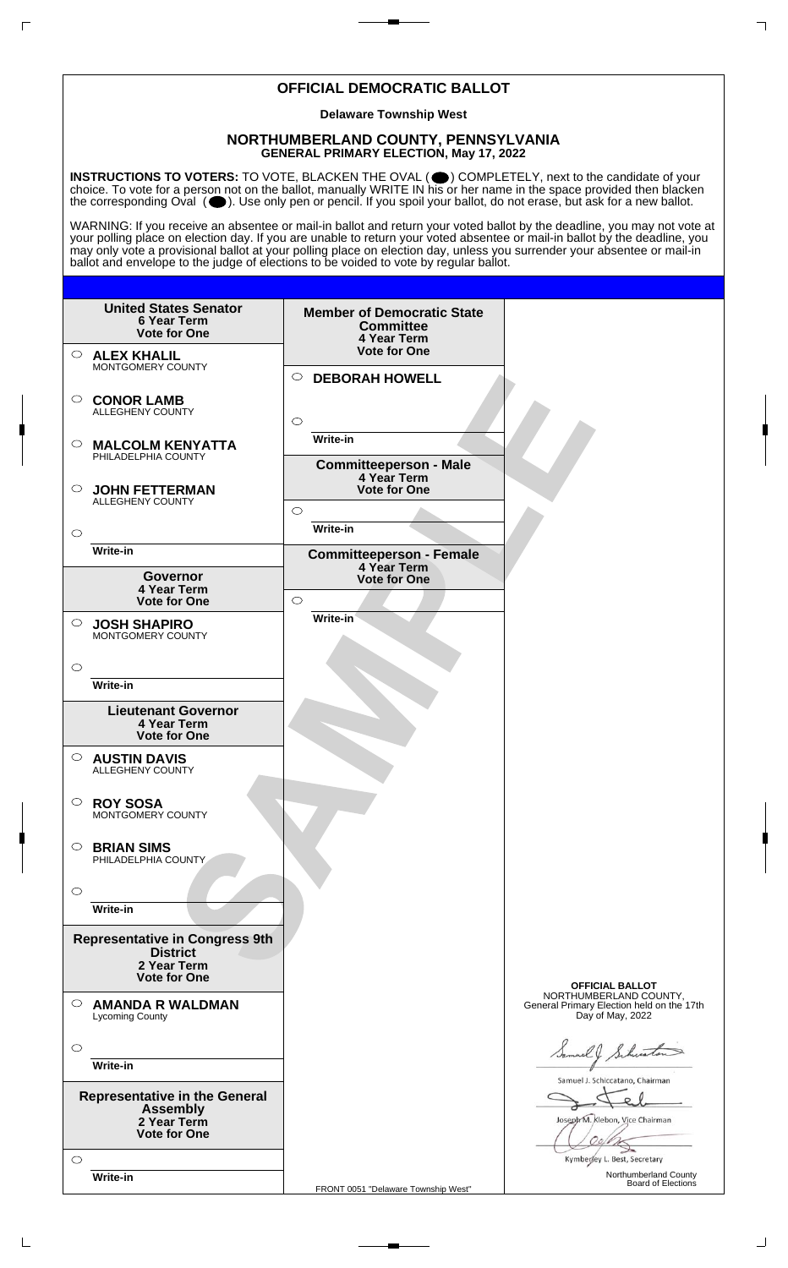|                     | <b>OFFICIAL DEMOCRATIC BALLOT</b>                                                              |                                                                                                                                                                                                                                                                                                                                                                                                                                                                           |                                                                                                                   |
|---------------------|------------------------------------------------------------------------------------------------|---------------------------------------------------------------------------------------------------------------------------------------------------------------------------------------------------------------------------------------------------------------------------------------------------------------------------------------------------------------------------------------------------------------------------------------------------------------------------|-------------------------------------------------------------------------------------------------------------------|
|                     | <b>Delaware Township West</b>                                                                  |                                                                                                                                                                                                                                                                                                                                                                                                                                                                           |                                                                                                                   |
|                     | NORTHUMBERLAND COUNTY, PENNSYLVANIA<br><b>GENERAL PRIMARY ELECTION, May 17, 2022</b>           |                                                                                                                                                                                                                                                                                                                                                                                                                                                                           |                                                                                                                   |
|                     |                                                                                                | INSTRUCTIONS TO VOTERS: TO VOTE, BLACKEN THE OVAL (O) COMPLETELY, next to the candidate of your<br>choice. To vote for a person not on the ballot, manually WRITE IN his or her name in the space provided then blacken<br>the corresponding Oval (C). Use only pen or pencil. If you spoil your ballot, do not erase, but ask for a new ballot.                                                                                                                          |                                                                                                                   |
|                     |                                                                                                | WARNING: If you receive an absentee or mail-in ballot and return your voted ballot by the deadline, you may not vote at<br>your polling place on election day. If you are unable to return your voted absentee or mail-in ballot by the deadline, you<br>may only vote a provisional ballot at your polling place on election day, unless you surrender your absentee or mail-in<br>ballot and envelope to the judge of elections to be voided to vote by regular ballot. |                                                                                                                   |
|                     |                                                                                                |                                                                                                                                                                                                                                                                                                                                                                                                                                                                           |                                                                                                                   |
|                     | <b>United States Senator</b><br><b>6 Year Term</b>                                             | <b>Member of Democratic State</b>                                                                                                                                                                                                                                                                                                                                                                                                                                         |                                                                                                                   |
|                     | <b>Vote for One</b><br>$\circ$ ALEX KHALIL                                                     | <b>Committee</b><br>4 Year Term<br><b>Vote for One</b>                                                                                                                                                                                                                                                                                                                                                                                                                    |                                                                                                                   |
|                     | MONTGOMERY COUNTY                                                                              | $\circ$<br><b>DEBORAH HOWELL</b>                                                                                                                                                                                                                                                                                                                                                                                                                                          |                                                                                                                   |
| $\circ$             | <b>CONOR LAMB</b><br><b>ALLEGHENY COUNTY</b>                                                   | $\circ$                                                                                                                                                                                                                                                                                                                                                                                                                                                                   |                                                                                                                   |
| $\circ$             | <b>MALCOLM KENYATTA</b><br>PHILADELPHIA COUNTY                                                 | <b>Write-in</b>                                                                                                                                                                                                                                                                                                                                                                                                                                                           |                                                                                                                   |
| $\circ$             | <b>JOHN FETTERMAN</b>                                                                          | <b>Committeeperson - Male</b><br>4 Year Term<br><b>Vote for One</b>                                                                                                                                                                                                                                                                                                                                                                                                       |                                                                                                                   |
|                     | <b>ALLEGHENY COUNTY</b>                                                                        | $\circ$<br>Write-in                                                                                                                                                                                                                                                                                                                                                                                                                                                       |                                                                                                                   |
| $\circ$             | Write-in                                                                                       | <b>Committeeperson - Female</b>                                                                                                                                                                                                                                                                                                                                                                                                                                           |                                                                                                                   |
|                     | Governor<br>4 Year Term                                                                        | 4 Year Term<br><b>Vote for One</b><br>$\circ$                                                                                                                                                                                                                                                                                                                                                                                                                             |                                                                                                                   |
| O                   | <b>Vote for One</b><br><b>JOSH SHAPIRO</b>                                                     | Write-in                                                                                                                                                                                                                                                                                                                                                                                                                                                                  |                                                                                                                   |
| $\circlearrowright$ | MONTGOMERY COUNTY                                                                              |                                                                                                                                                                                                                                                                                                                                                                                                                                                                           |                                                                                                                   |
|                     | <b>Write-in</b>                                                                                |                                                                                                                                                                                                                                                                                                                                                                                                                                                                           |                                                                                                                   |
|                     | <b>Lieutenant Governor</b><br>4 Year Term<br><b>Vote for One</b>                               |                                                                                                                                                                                                                                                                                                                                                                                                                                                                           |                                                                                                                   |
| $\circ$             | <b>AUSTIN DAVIS</b><br><b>ALLEGHENY COUNTY</b>                                                 |                                                                                                                                                                                                                                                                                                                                                                                                                                                                           |                                                                                                                   |
| $\circ$             | <b>ROY SOSA</b><br>MONTGOMERY COUNTY                                                           |                                                                                                                                                                                                                                                                                                                                                                                                                                                                           |                                                                                                                   |
| O                   | <b>BRIAN SIMS</b><br>PHILADELPHIA COUNTY                                                       |                                                                                                                                                                                                                                                                                                                                                                                                                                                                           |                                                                                                                   |
| $\circ$             | <b>Write-in</b>                                                                                |                                                                                                                                                                                                                                                                                                                                                                                                                                                                           |                                                                                                                   |
|                     | <b>Representative in Congress 9th</b><br><b>District</b><br>2 Year Term<br><b>Vote for One</b> |                                                                                                                                                                                                                                                                                                                                                                                                                                                                           |                                                                                                                   |
| $\circ$             | <b>AMANDA R WALDMAN</b><br><b>Lycoming County</b>                                              |                                                                                                                                                                                                                                                                                                                                                                                                                                                                           | <b>OFFICIAL BALLOT</b><br>NORTHUMBERLAND COUNTY,<br>General Primary Election held on the 17th<br>Day of May, 2022 |
| $\circ$             | <b>Write-in</b>                                                                                |                                                                                                                                                                                                                                                                                                                                                                                                                                                                           |                                                                                                                   |
|                     | <b>Representative in the General</b><br><b>Assembly</b><br>2 Year Term<br><b>Vote for One</b>  |                                                                                                                                                                                                                                                                                                                                                                                                                                                                           | Samuel J. Schiccatano, Chairman<br>Joseph M. Klebon, Vice Chairman                                                |
| $\circlearrowright$ | <b>Write-in</b>                                                                                |                                                                                                                                                                                                                                                                                                                                                                                                                                                                           | Kymber/ey L. Best, Secretary<br>Northumberland County                                                             |
|                     |                                                                                                | FRONT 0051 "Delaware Township West"                                                                                                                                                                                                                                                                                                                                                                                                                                       | <b>Board of Elections</b>                                                                                         |

 $\Box$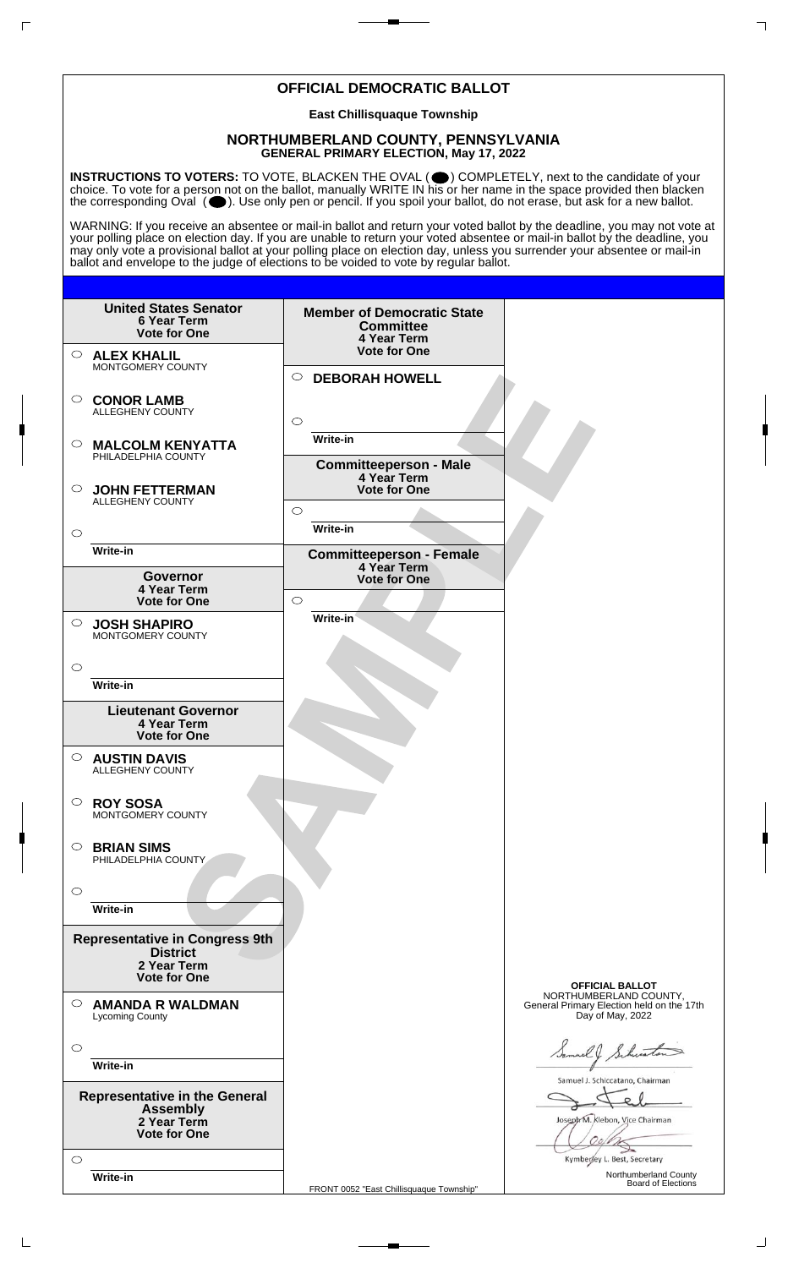|                                                                                                | <b>OFFICIAL DEMOCRATIC BALLOT</b>                                                                                                                                                                                                                                                                                                              |                                                                                                                   |
|------------------------------------------------------------------------------------------------|------------------------------------------------------------------------------------------------------------------------------------------------------------------------------------------------------------------------------------------------------------------------------------------------------------------------------------------------|-------------------------------------------------------------------------------------------------------------------|
|                                                                                                | <b>East Chillisquaque Township</b>                                                                                                                                                                                                                                                                                                             |                                                                                                                   |
|                                                                                                | NORTHUMBERLAND COUNTY, PENNSYLVANIA<br><b>GENERAL PRIMARY ELECTION, May 17, 2022</b>                                                                                                                                                                                                                                                           |                                                                                                                   |
|                                                                                                | <b>INSTRUCTIONS TO VOTERS:</b> TO VOTE, BLACKEN THE OVAL (O) COMPLETELY, next to the candidate of your choice. To vote for a person not on the ballot, manually WRITE IN his or her name in the space provided then blacken the cor                                                                                                            |                                                                                                                   |
|                                                                                                | WARNING: If you receive an absentee or mail-in ballot and return your voted ballot by the deadline, you may not vote at                                                                                                                                                                                                                        |                                                                                                                   |
|                                                                                                | your polling place on election day. If you are unable to return your voted absentee or mail-in ballot by the deadline, you<br>may only vote a provisional ballot at your polling place on election day, unless you surrender your absentee or mail-in<br>ballot and envelope to the judge of elections to be voided to vote by regular ballot. |                                                                                                                   |
| <b>United States Senator</b>                                                                   | <b>Member of Democratic State</b>                                                                                                                                                                                                                                                                                                              |                                                                                                                   |
| <b>6 Year Term</b><br><b>Vote for One</b>                                                      | <b>Committee</b><br>4 Year Term<br><b>Vote for One</b>                                                                                                                                                                                                                                                                                         |                                                                                                                   |
| $\circ$<br><b>ALEX KHALIL</b><br><b>MONTGOMERY COUNTY</b>                                      | O<br><b>DEBORAH HOWELL</b>                                                                                                                                                                                                                                                                                                                     |                                                                                                                   |
| $\circ$<br><b>CONOR LAMB</b><br><b>ALLEGHENY COUNTY</b>                                        | $\circ$                                                                                                                                                                                                                                                                                                                                        |                                                                                                                   |
| $\circ$<br><b>MALCOLM KENYATTA</b><br>PHILADELPHIA COUNTY                                      | Write-in                                                                                                                                                                                                                                                                                                                                       |                                                                                                                   |
| <b>JOHN FETTERMAN</b><br>$\circ$                                                               | <b>Committeeperson - Male</b><br>4 Year Term<br><b>Vote for One</b>                                                                                                                                                                                                                                                                            |                                                                                                                   |
| <b>ALLEGHENY COUNTY</b>                                                                        | $\circ$<br>Write-in                                                                                                                                                                                                                                                                                                                            |                                                                                                                   |
| $\circlearrowright$<br><b>Write-in</b>                                                         | <b>Committeeperson - Female</b>                                                                                                                                                                                                                                                                                                                |                                                                                                                   |
| <b>Governor</b><br>4 Year Term                                                                 | 4 Year Term<br><b>Vote for One</b><br>$\circ$                                                                                                                                                                                                                                                                                                  |                                                                                                                   |
| <b>Vote for One</b><br>$\circ$<br><b>JOSH SHAPIRO</b><br>MONTGOMERY COUNTY                     | Write-in                                                                                                                                                                                                                                                                                                                                       |                                                                                                                   |
| $\circ$                                                                                        |                                                                                                                                                                                                                                                                                                                                                |                                                                                                                   |
| Write-in                                                                                       |                                                                                                                                                                                                                                                                                                                                                |                                                                                                                   |
| <b>Lieutenant Governor</b><br>4 Year Term<br><b>Vote for One</b>                               |                                                                                                                                                                                                                                                                                                                                                |                                                                                                                   |
| $\circ$<br><b>AUSTIN DAVIS</b><br><b>ALLEGHENY COUNTY</b>                                      |                                                                                                                                                                                                                                                                                                                                                |                                                                                                                   |
| <b>ROY SOSA</b><br>$\circ$<br><b>MONTGOMERY COUNTY</b>                                         |                                                                                                                                                                                                                                                                                                                                                |                                                                                                                   |
| <b>BRIAN SIMS</b><br>$\circ$<br>PHILADELPHIA COUNTY                                            |                                                                                                                                                                                                                                                                                                                                                |                                                                                                                   |
| $\circlearrowright$<br>Write-in                                                                |                                                                                                                                                                                                                                                                                                                                                |                                                                                                                   |
| <b>Representative in Congress 9th</b><br><b>District</b><br>2 Year Term<br><b>Vote for One</b> |                                                                                                                                                                                                                                                                                                                                                |                                                                                                                   |
| <b>AMANDA R WALDMAN</b><br>$\circ$<br><b>Lycoming County</b>                                   |                                                                                                                                                                                                                                                                                                                                                | <b>OFFICIAL BALLOT</b><br>NORTHUMBERLAND COUNTY,<br>General Primary Election held on the 17th<br>Day of May, 2022 |
| $\circlearrowright$<br><b>Write-in</b>                                                         |                                                                                                                                                                                                                                                                                                                                                |                                                                                                                   |
|                                                                                                |                                                                                                                                                                                                                                                                                                                                                | Samuel J. Schiccatano, Chairman                                                                                   |
| <b>Representative in the General</b><br><b>Assembly</b><br>2 Year Term<br><b>Vote for One</b>  |                                                                                                                                                                                                                                                                                                                                                | Joseph M. Klebon, Vice Chairman                                                                                   |
| $\circ$                                                                                        |                                                                                                                                                                                                                                                                                                                                                | Kymberley L. Best, Secretary                                                                                      |
| Write-in                                                                                       |                                                                                                                                                                                                                                                                                                                                                | Northumberland County<br>Board of Elections                                                                       |

 $\Box$ 

FRONT 0052 "East Chillisquaque Township"

┑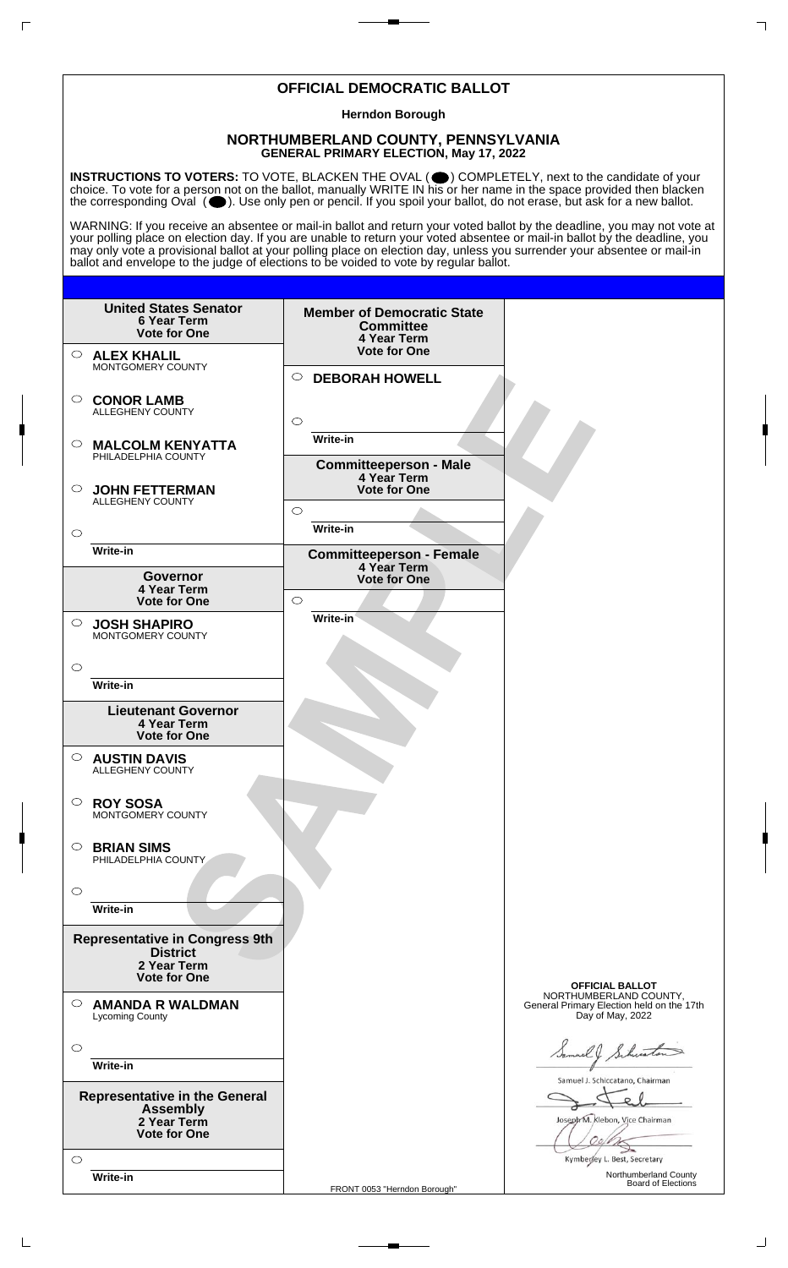|                     |                                                                                               | <b>OFFICIAL DEMOCRATIC BALLOT</b>                                                                                                                                                                                                                                                                                                                                                                                                                                         |                                                                                                                   |  |
|---------------------|-----------------------------------------------------------------------------------------------|---------------------------------------------------------------------------------------------------------------------------------------------------------------------------------------------------------------------------------------------------------------------------------------------------------------------------------------------------------------------------------------------------------------------------------------------------------------------------|-------------------------------------------------------------------------------------------------------------------|--|
|                     |                                                                                               | <b>Herndon Borough</b>                                                                                                                                                                                                                                                                                                                                                                                                                                                    |                                                                                                                   |  |
|                     |                                                                                               | NORTHUMBERLAND COUNTY, PENNSYLVANIA<br><b>GENERAL PRIMARY ELECTION, May 17, 2022</b>                                                                                                                                                                                                                                                                                                                                                                                      |                                                                                                                   |  |
|                     |                                                                                               | INSTRUCTIONS TO VOTERS: TO VOTE, BLACKEN THE OVAL (O) COMPLETELY, next to the candidate of your<br>choice. To vote for a person not on the ballot, manually WRITE IN his or her name in the space provided then blacken<br>the corresponding Oval (C). Use only pen or pencil. If you spoil your ballot, do not erase, but ask for a new ballot.                                                                                                                          |                                                                                                                   |  |
|                     |                                                                                               | WARNING: If you receive an absentee or mail-in ballot and return your voted ballot by the deadline, you may not vote at<br>your polling place on election day. If you are unable to return your voted absentee or mail-in ballot by the deadline, you<br>may only vote a provisional ballot at your polling place on election day, unless you surrender your absentee or mail-in<br>ballot and envelope to the judge of elections to be voided to vote by regular ballot. |                                                                                                                   |  |
|                     | <b>United States Senator</b>                                                                  | <b>Member of Democratic State</b>                                                                                                                                                                                                                                                                                                                                                                                                                                         |                                                                                                                   |  |
|                     | <b>6 Year Term</b><br><b>Vote for One</b>                                                     | <b>Committee</b><br>4 Year Term<br><b>Vote for One</b>                                                                                                                                                                                                                                                                                                                                                                                                                    |                                                                                                                   |  |
| $\circ$             | <b>ALEX KHALIL</b><br><b>MONTGOMERY COUNTY</b>                                                | $\circ$<br><b>DEBORAH HOWELL</b>                                                                                                                                                                                                                                                                                                                                                                                                                                          |                                                                                                                   |  |
| $\circ$             | <b>CONOR LAMB</b><br><b>ALLEGHENY COUNTY</b>                                                  | $\circ$                                                                                                                                                                                                                                                                                                                                                                                                                                                                   |                                                                                                                   |  |
| $\circ$             | <b>MALCOLM KENYATTA</b><br>PHILADELPHIA COUNTY                                                | <b>Write-in</b>                                                                                                                                                                                                                                                                                                                                                                                                                                                           |                                                                                                                   |  |
| $\circ$             | <b>JOHN FETTERMAN</b>                                                                         | <b>Committeeperson - Male</b><br>4 Year Term<br><b>Vote for One</b>                                                                                                                                                                                                                                                                                                                                                                                                       |                                                                                                                   |  |
|                     | <b>ALLEGHENY COUNTY</b>                                                                       | $\circ$<br>Write-in                                                                                                                                                                                                                                                                                                                                                                                                                                                       |                                                                                                                   |  |
| $\circ$             | Write-in                                                                                      | <b>Committeeperson - Female</b>                                                                                                                                                                                                                                                                                                                                                                                                                                           |                                                                                                                   |  |
|                     | <b>Governor</b><br>4 Year Term<br><b>Vote for One</b>                                         | 4 Year Term<br>vote for One<br>$\bigcirc$                                                                                                                                                                                                                                                                                                                                                                                                                                 |                                                                                                                   |  |
| $\circ$             | <b>JOSH SHAPIRO</b><br>MONTGOMERY COUNTY                                                      | Write-in                                                                                                                                                                                                                                                                                                                                                                                                                                                                  |                                                                                                                   |  |
| $\circlearrowright$ |                                                                                               |                                                                                                                                                                                                                                                                                                                                                                                                                                                                           |                                                                                                                   |  |
|                     | Write-in                                                                                      |                                                                                                                                                                                                                                                                                                                                                                                                                                                                           |                                                                                                                   |  |
|                     | <b>Lieutenant Governor</b><br>4 Year Term<br><b>Vote for One</b>                              |                                                                                                                                                                                                                                                                                                                                                                                                                                                                           |                                                                                                                   |  |
| $\circ$             | <b>AUSTIN DAVIS</b><br><b>ALLEGHENY COUNTY</b>                                                |                                                                                                                                                                                                                                                                                                                                                                                                                                                                           |                                                                                                                   |  |
| $\circ$             | <b>ROY SOSA</b><br>MONTGOMERY COUNTY                                                          |                                                                                                                                                                                                                                                                                                                                                                                                                                                                           |                                                                                                                   |  |
| $\circ$             | <b>BRIAN SIMS</b><br>PHILADELPHIA COUNTY                                                      |                                                                                                                                                                                                                                                                                                                                                                                                                                                                           |                                                                                                                   |  |
| $\circ$             | Write-in                                                                                      |                                                                                                                                                                                                                                                                                                                                                                                                                                                                           |                                                                                                                   |  |
|                     | <b>Representative in Congress 9th</b>                                                         |                                                                                                                                                                                                                                                                                                                                                                                                                                                                           |                                                                                                                   |  |
|                     | <b>District</b><br>2 Year Term<br><b>Vote for One</b>                                         |                                                                                                                                                                                                                                                                                                                                                                                                                                                                           |                                                                                                                   |  |
| $\circ$             | <b>AMANDA R WALDMAN</b><br><b>Lycoming County</b>                                             |                                                                                                                                                                                                                                                                                                                                                                                                                                                                           | <b>OFFICIAL BALLOT</b><br>NORTHUMBERLAND COUNTY,<br>General Primary Election held on the 17th<br>Day of May, 2022 |  |
| $\circ$             |                                                                                               |                                                                                                                                                                                                                                                                                                                                                                                                                                                                           |                                                                                                                   |  |
|                     | <b>Write-in</b>                                                                               |                                                                                                                                                                                                                                                                                                                                                                                                                                                                           | Samuel J. Schiccatano, Chairman                                                                                   |  |
|                     | <b>Representative in the General</b><br><b>Assembly</b><br>2 Year Term<br><b>Vote for One</b> |                                                                                                                                                                                                                                                                                                                                                                                                                                                                           | Joseph M. Klebon, Vice Chairman                                                                                   |  |
| $\circ$             |                                                                                               |                                                                                                                                                                                                                                                                                                                                                                                                                                                                           | Kymberley L. Best, Secretary                                                                                      |  |
|                     | Write-in                                                                                      | FRONT 0053 "Herndon Borough"                                                                                                                                                                                                                                                                                                                                                                                                                                              | Northumberland County<br>Board of Elections                                                                       |  |

 $\overline{\Gamma}$ 

 $\mathsf{L}% _{0}\left( \mathcal{M}\right)$ 

٦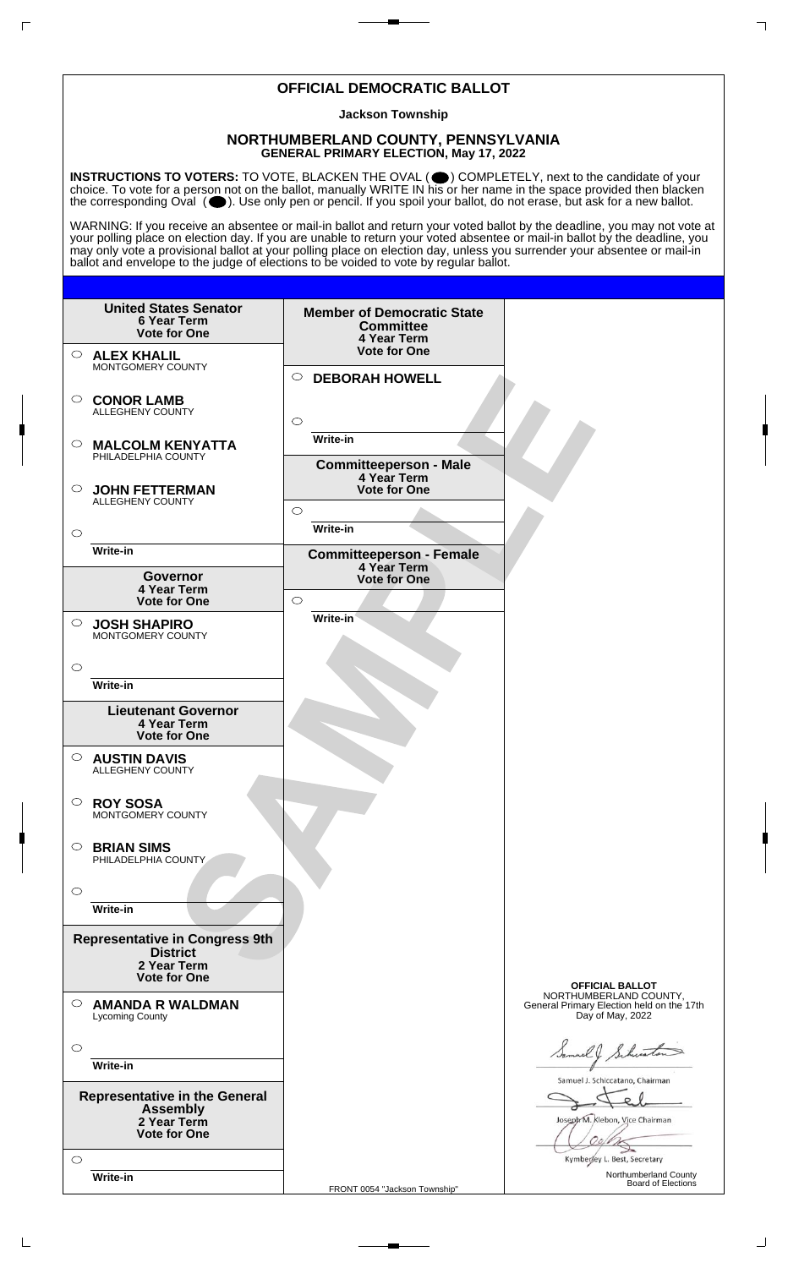|                                                                                                | <b>OFFICIAL DEMOCRATIC BALLOT</b>                                                                                                                                                                                                                                                                                                                                                                                                                                      |                                                                                                                   |  |  |
|------------------------------------------------------------------------------------------------|------------------------------------------------------------------------------------------------------------------------------------------------------------------------------------------------------------------------------------------------------------------------------------------------------------------------------------------------------------------------------------------------------------------------------------------------------------------------|-------------------------------------------------------------------------------------------------------------------|--|--|
|                                                                                                | <b>Jackson Township</b>                                                                                                                                                                                                                                                                                                                                                                                                                                                |                                                                                                                   |  |  |
|                                                                                                | NORTHUMBERLAND COUNTY, PENNSYLVANIA<br><b>GENERAL PRIMARY ELECTION, May 17, 2022</b>                                                                                                                                                                                                                                                                                                                                                                                   |                                                                                                                   |  |  |
|                                                                                                | <b>INSTRUCTIONS TO VOTERS:</b> TO VOTE, BLACKEN THE OVAL (O) COMPLETELY, next to the candidate of your choice. To vote for a person not on the ballot, manually WRITE IN his or her name in the space provided then blacken<br>the corresponding Oval (C). Use only pen or pencil. If you spoil your ballot, do not erase, but ask for a new ballot.                                                                                                                   |                                                                                                                   |  |  |
|                                                                                                | WARNING: If you receive an absentee or mail-in ballot and return your voted ballot by the deadline, you may not vote at<br>your polling place on election day. If you are unable to return your voted absentee or mail-in ballot by the deadline, you<br>may only vote a provisional ballot at your polling place on election day, unless you surrender your absentee or mail-in ballot and envelope to the judge of elections to be voided to vote by regular ballot. |                                                                                                                   |  |  |
|                                                                                                |                                                                                                                                                                                                                                                                                                                                                                                                                                                                        |                                                                                                                   |  |  |
| <b>United States Senator</b><br><b>6 Year Term</b><br><b>Vote for One</b>                      | <b>Member of Democratic State</b><br><b>Committee</b><br>4 Year Term                                                                                                                                                                                                                                                                                                                                                                                                   |                                                                                                                   |  |  |
| $\circ$<br><b>ALEX KHALIL</b><br>MONTGOMERY COUNTY                                             | <b>Vote for One</b><br>$\circ$<br><b>DEBORAH HOWELL</b>                                                                                                                                                                                                                                                                                                                                                                                                                |                                                                                                                   |  |  |
| $\circ$<br><b>CONOR LAMB</b><br>ALLEGHENY COUNTY                                               | ◯                                                                                                                                                                                                                                                                                                                                                                                                                                                                      |                                                                                                                   |  |  |
| <b>MALCOLM KENYATTA</b><br>$\circ$<br>PHILADELPHIA COUNTY                                      | Write-in<br><b>Committeeperson - Male</b>                                                                                                                                                                                                                                                                                                                                                                                                                              |                                                                                                                   |  |  |
| $\circ$<br><b>JOHN FETTERMAN</b><br><b>ALLEGHENY COUNTY</b>                                    | 4 Year Term<br><b>Vote for One</b>                                                                                                                                                                                                                                                                                                                                                                                                                                     |                                                                                                                   |  |  |
| $\circ$                                                                                        | $\circ$<br>Write-in                                                                                                                                                                                                                                                                                                                                                                                                                                                    |                                                                                                                   |  |  |
| <b>Write-in</b>                                                                                | <b>Committeeperson - Female</b><br>4 Year Term                                                                                                                                                                                                                                                                                                                                                                                                                         |                                                                                                                   |  |  |
| Governor<br>4 Year Term<br><b>Vote for One</b>                                                 | <b>Vote for One</b><br>$\circ$                                                                                                                                                                                                                                                                                                                                                                                                                                         |                                                                                                                   |  |  |
| $\circ$<br><b>JOSH SHAPIRO</b><br>MONTGOMERY COUNTY                                            | Write-in                                                                                                                                                                                                                                                                                                                                                                                                                                                               |                                                                                                                   |  |  |
| $\circ$<br><b>Write-in</b>                                                                     |                                                                                                                                                                                                                                                                                                                                                                                                                                                                        |                                                                                                                   |  |  |
| <b>Lieutenant Governor</b><br>4 Year Term<br><b>Vote for One</b>                               |                                                                                                                                                                                                                                                                                                                                                                                                                                                                        |                                                                                                                   |  |  |
| <b>AUSTIN DAVIS</b><br>$\circ$<br><b>ALLEGHENY COUNTY</b>                                      |                                                                                                                                                                                                                                                                                                                                                                                                                                                                        |                                                                                                                   |  |  |
| <b>ROY SOSA</b><br>$\circ$<br>MONTGOMERY COUNTY                                                |                                                                                                                                                                                                                                                                                                                                                                                                                                                                        |                                                                                                                   |  |  |
| <b>BRIAN SIMS</b><br>$\circ$<br>PHILADELPHIA COUNTY                                            |                                                                                                                                                                                                                                                                                                                                                                                                                                                                        |                                                                                                                   |  |  |
| $\circ$<br>Write-in                                                                            |                                                                                                                                                                                                                                                                                                                                                                                                                                                                        |                                                                                                                   |  |  |
| <b>Representative in Congress 9th</b><br><b>District</b><br>2 Year Term<br><b>Vote for One</b> |                                                                                                                                                                                                                                                                                                                                                                                                                                                                        |                                                                                                                   |  |  |
| $\circ$<br><b>AMANDA R WALDMAN</b><br><b>Lycoming County</b>                                   |                                                                                                                                                                                                                                                                                                                                                                                                                                                                        | <b>OFFICIAL BALLOT</b><br>NORTHUMBERLAND COUNTY,<br>General Primary Election held on the 17th<br>Day of May, 2022 |  |  |
| $\circ$<br>Write-in                                                                            |                                                                                                                                                                                                                                                                                                                                                                                                                                                                        |                                                                                                                   |  |  |
| <b>Representative in the General</b><br><b>Assembly</b><br>2 Year Term<br><b>Vote for One</b>  | Samuel J. Schiccatano, Chairman<br>Joseph M. Klebon, Vice Chairman                                                                                                                                                                                                                                                                                                                                                                                                     |                                                                                                                   |  |  |
| $\circ$<br><b>Write-in</b>                                                                     | FRONT 0054 "Jackson Township"                                                                                                                                                                                                                                                                                                                                                                                                                                          | Kymber/ey L. Best, Secretary<br>Northumberland County<br><b>Board of Elections</b>                                |  |  |

 $\Box$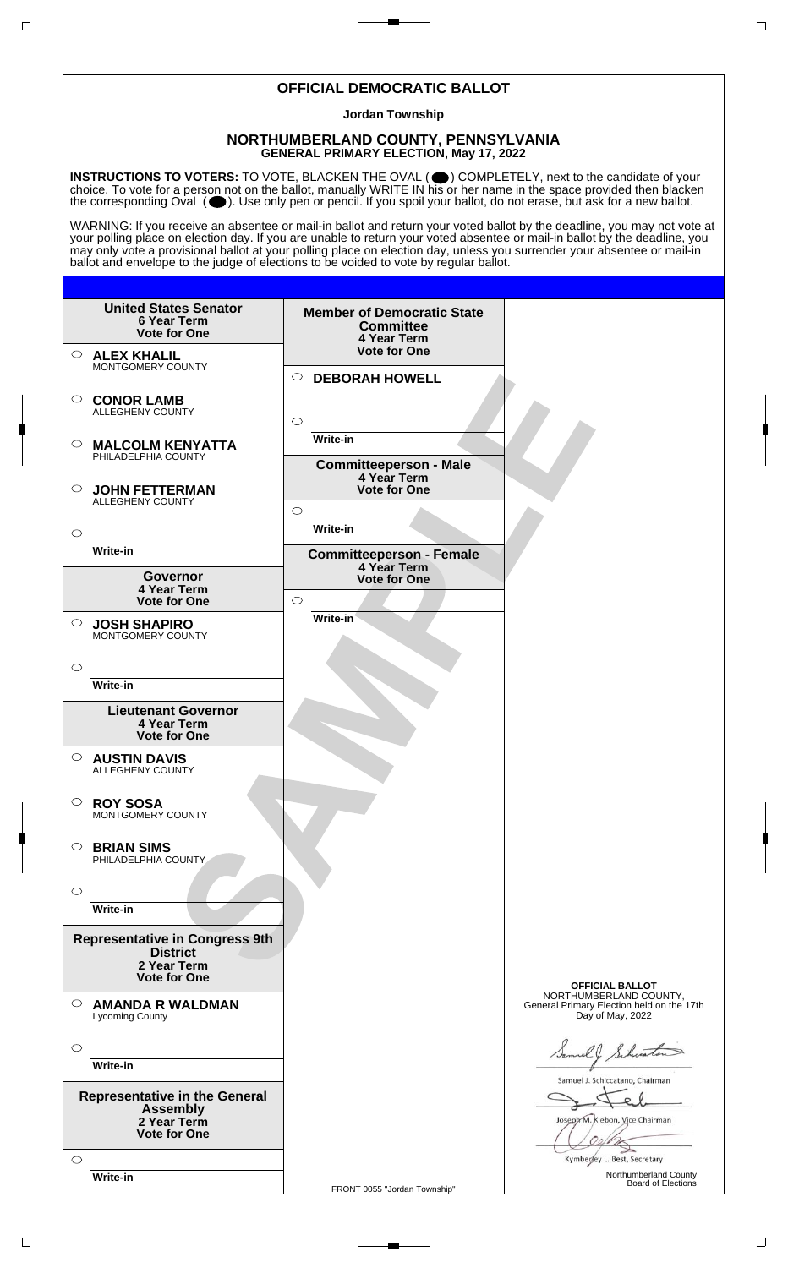| <b>OFFICIAL DEMOCRATIC BALLOT</b>                                                                                                                                                                                                                                                                                                                                                                                                                                         |                                                                                                                                                                                                                                                                                                                                                      |                                                                                         |  |  |
|---------------------------------------------------------------------------------------------------------------------------------------------------------------------------------------------------------------------------------------------------------------------------------------------------------------------------------------------------------------------------------------------------------------------------------------------------------------------------|------------------------------------------------------------------------------------------------------------------------------------------------------------------------------------------------------------------------------------------------------------------------------------------------------------------------------------------------------|-----------------------------------------------------------------------------------------|--|--|
|                                                                                                                                                                                                                                                                                                                                                                                                                                                                           | <b>Jordan Township</b>                                                                                                                                                                                                                                                                                                                               |                                                                                         |  |  |
|                                                                                                                                                                                                                                                                                                                                                                                                                                                                           | NORTHUMBERLAND COUNTY, PENNSYLVANIA<br><b>GENERAL PRIMARY ELECTION, May 17, 2022</b>                                                                                                                                                                                                                                                                 |                                                                                         |  |  |
|                                                                                                                                                                                                                                                                                                                                                                                                                                                                           | <b>INSTRUCTIONS TO VOTERS:</b> TO VOTE, BLACKEN THE OVAL (O) COMPLETELY, next to the candidate of your choice. To vote for a person not on the ballot, manually WRITE IN his or her name in the space provided then blacken<br>the corresponding Oval (C). Use only pen or pencil. If you spoil your ballot, do not erase, but ask for a new ballot. |                                                                                         |  |  |
| WARNING: If you receive an absentee or mail-in ballot and return your voted ballot by the deadline, you may not vote at<br>your polling place on election day. If you are unable to return your voted absentee or mail-in ballot by the deadline, you<br>may only vote a provisional ballot at your polling place on election day, unless you surrender your absentee or mail-in<br>ballot and envelope to the judge of elections to be voided to vote by regular ballot. |                                                                                                                                                                                                                                                                                                                                                      |                                                                                         |  |  |
|                                                                                                                                                                                                                                                                                                                                                                                                                                                                           |                                                                                                                                                                                                                                                                                                                                                      |                                                                                         |  |  |
| <b>United States Senator</b><br><b>6 Year Term</b><br><b>Vote for One</b>                                                                                                                                                                                                                                                                                                                                                                                                 | <b>Member of Democratic State</b><br><b>Committee</b><br>4 Year Term                                                                                                                                                                                                                                                                                 |                                                                                         |  |  |
| $\circ$ ALEX KHALIL<br><b>MONTGOMERY COUNTY</b>                                                                                                                                                                                                                                                                                                                                                                                                                           | <b>Vote for One</b><br>O<br><b>DEBORAH HOWELL</b>                                                                                                                                                                                                                                                                                                    |                                                                                         |  |  |
| $\circ$<br><b>CONOR LAMB</b><br><b>ALLEGHENY COUNTY</b>                                                                                                                                                                                                                                                                                                                                                                                                                   | $\circ$                                                                                                                                                                                                                                                                                                                                              |                                                                                         |  |  |
| <b>MALCOLM KENYATTA</b><br>$\circ$<br>PHILADELPHIA COUNTY                                                                                                                                                                                                                                                                                                                                                                                                                 | <b>Write-in</b><br><b>Committeeperson - Male</b>                                                                                                                                                                                                                                                                                                     |                                                                                         |  |  |
| $\circlearrowright$<br><b>JOHN FETTERMAN</b><br><b>ALLEGHENY COUNTY</b>                                                                                                                                                                                                                                                                                                                                                                                                   | 4 Year Term<br><b>Vote for One</b><br>$\circ$                                                                                                                                                                                                                                                                                                        |                                                                                         |  |  |
| $\circ$                                                                                                                                                                                                                                                                                                                                                                                                                                                                   | <b>Write-in</b>                                                                                                                                                                                                                                                                                                                                      |                                                                                         |  |  |
| Write-in                                                                                                                                                                                                                                                                                                                                                                                                                                                                  | <b>Committeeperson - Female</b><br>4 Year Term                                                                                                                                                                                                                                                                                                       |                                                                                         |  |  |
| Governor<br>4 Year Term<br><b>Vote for One</b>                                                                                                                                                                                                                                                                                                                                                                                                                            | <b>Vote for One</b><br>$\circ$                                                                                                                                                                                                                                                                                                                       |                                                                                         |  |  |
| $\circlearrowright$<br><b>JOSH SHAPIRO</b><br>MONTGOMERY COUNTY                                                                                                                                                                                                                                                                                                                                                                                                           | Write-in                                                                                                                                                                                                                                                                                                                                             |                                                                                         |  |  |
| $\circ$<br>Write-in                                                                                                                                                                                                                                                                                                                                                                                                                                                       |                                                                                                                                                                                                                                                                                                                                                      |                                                                                         |  |  |
| <b>Lieutenant Governor</b><br>4 Year Term<br><b>Vote for One</b>                                                                                                                                                                                                                                                                                                                                                                                                          |                                                                                                                                                                                                                                                                                                                                                      |                                                                                         |  |  |
| <b>AUSTIN DAVIS</b><br>$\circ$<br><b>ALLEGHENY COUNTY</b>                                                                                                                                                                                                                                                                                                                                                                                                                 |                                                                                                                                                                                                                                                                                                                                                      |                                                                                         |  |  |
| <b>ROY SOSA</b><br>O<br>MONTGOMERY COUNTY                                                                                                                                                                                                                                                                                                                                                                                                                                 |                                                                                                                                                                                                                                                                                                                                                      |                                                                                         |  |  |
| <b>BRIAN SIMS</b><br>O<br>PHILADELPHIA COUNTY                                                                                                                                                                                                                                                                                                                                                                                                                             |                                                                                                                                                                                                                                                                                                                                                      |                                                                                         |  |  |
| $\circ$<br>Write-in                                                                                                                                                                                                                                                                                                                                                                                                                                                       |                                                                                                                                                                                                                                                                                                                                                      |                                                                                         |  |  |
| <b>Representative in Congress 9th</b><br><b>District</b><br>2 Year Term<br><b>Vote for One</b>                                                                                                                                                                                                                                                                                                                                                                            |                                                                                                                                                                                                                                                                                                                                                      | <b>OFFICIAL BALLOT</b>                                                                  |  |  |
| <b>AMANDA R WALDMAN</b><br>$\circ$<br><b>Lycoming County</b>                                                                                                                                                                                                                                                                                                                                                                                                              |                                                                                                                                                                                                                                                                                                                                                      | NORTHUMBERLAND COUNTY,<br>General Primary Election held on the 17th<br>Day of May, 2022 |  |  |
| $\circ$                                                                                                                                                                                                                                                                                                                                                                                                                                                                   |                                                                                                                                                                                                                                                                                                                                                      |                                                                                         |  |  |
| Write-in                                                                                                                                                                                                                                                                                                                                                                                                                                                                  |                                                                                                                                                                                                                                                                                                                                                      | Samuel J. Schiccatano, Chairman                                                         |  |  |
| <b>Representative in the General</b><br><b>Assembly</b><br>2 Year Term<br><b>Vote for One</b>                                                                                                                                                                                                                                                                                                                                                                             |                                                                                                                                                                                                                                                                                                                                                      | Joseph M. Klebon, Vice Chairman                                                         |  |  |
| $\circ$                                                                                                                                                                                                                                                                                                                                                                                                                                                                   |                                                                                                                                                                                                                                                                                                                                                      | Kymberley L. Best, Secretary                                                            |  |  |
| Write-in                                                                                                                                                                                                                                                                                                                                                                                                                                                                  | FRONT 0055 "Jordan Township"                                                                                                                                                                                                                                                                                                                         | Northumberland County<br>Board of Elections                                             |  |  |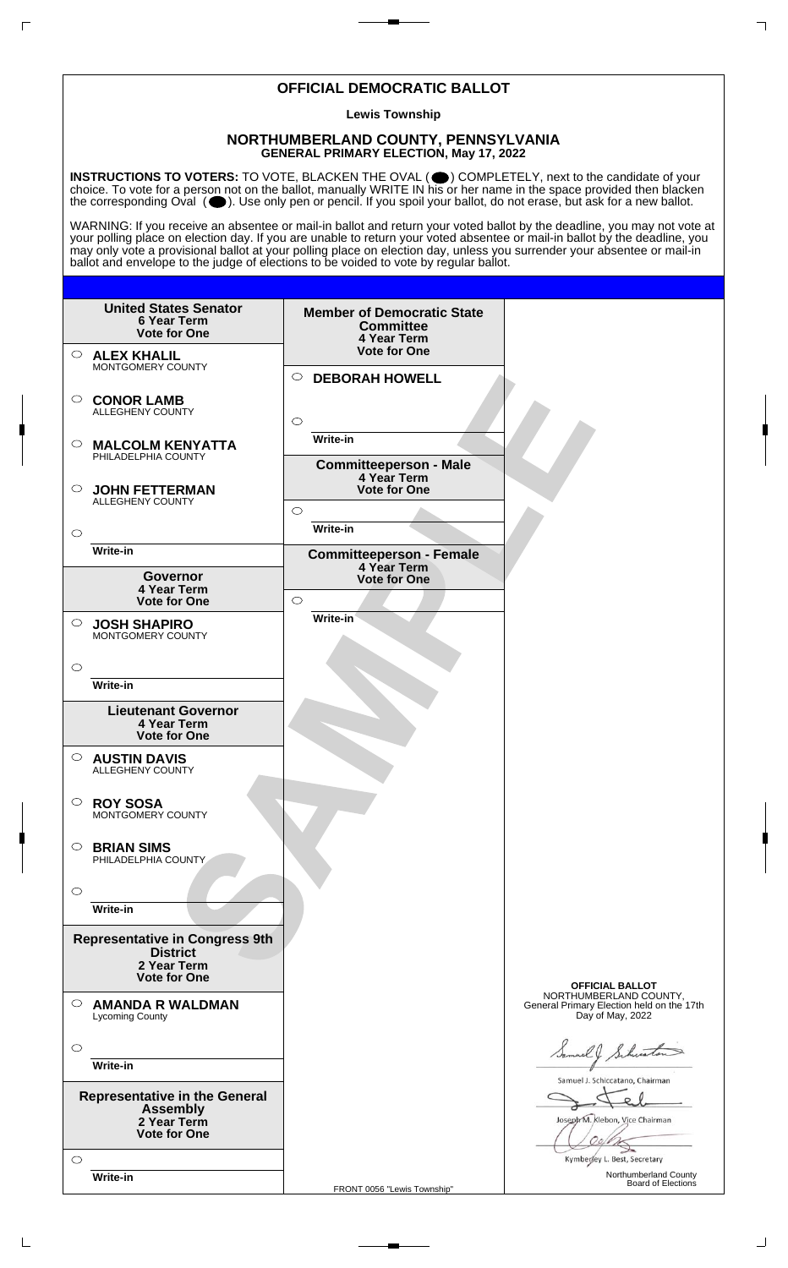|                     | <b>OFFICIAL DEMOCRATIC BALLOT</b>                                                                                                                                                                                                                                                                                                                                                                                                                                         |                                                                                                                                                                                                                                                                                                                                             |                                                                                         |  |
|---------------------|---------------------------------------------------------------------------------------------------------------------------------------------------------------------------------------------------------------------------------------------------------------------------------------------------------------------------------------------------------------------------------------------------------------------------------------------------------------------------|---------------------------------------------------------------------------------------------------------------------------------------------------------------------------------------------------------------------------------------------------------------------------------------------------------------------------------------------|-----------------------------------------------------------------------------------------|--|
|                     | <b>Lewis Township</b>                                                                                                                                                                                                                                                                                                                                                                                                                                                     |                                                                                                                                                                                                                                                                                                                                             |                                                                                         |  |
|                     | NORTHUMBERLAND COUNTY, PENNSYLVANIA<br><b>GENERAL PRIMARY ELECTION, May 17, 2022</b>                                                                                                                                                                                                                                                                                                                                                                                      |                                                                                                                                                                                                                                                                                                                                             |                                                                                         |  |
|                     |                                                                                                                                                                                                                                                                                                                                                                                                                                                                           | <b>INSTRUCTIONS TO VOTERS:</b> TO VOTE, BLACKEN THE OVAL (O) COMPLETELY, next to the candidate of your<br>choice. To vote for a person not on the ballot, manually WRITE IN his or her name in the space provided then blacken<br>the corresponding Oval (O). Use only pen or pencil. If you spoil your ballot, do not erase, but ask for a |                                                                                         |  |
|                     | WARNING: If you receive an absentee or mail-in ballot and return your voted ballot by the deadline, you may not vote at<br>your polling place on election day. If you are unable to return your voted absentee or mail-in ballot by the deadline, you<br>may only vote a provisional ballot at your polling place on election day, unless you surrender your absentee or mail-in<br>ballot and envelope to the judge of elections to be voided to vote by regular ballot. |                                                                                                                                                                                                                                                                                                                                             |                                                                                         |  |
|                     |                                                                                                                                                                                                                                                                                                                                                                                                                                                                           |                                                                                                                                                                                                                                                                                                                                             |                                                                                         |  |
|                     | <b>United States Senator</b><br><b>6 Year Term</b><br><b>Vote for One</b>                                                                                                                                                                                                                                                                                                                                                                                                 | <b>Member of Democratic State</b><br><b>Committee</b><br>4 Year Term                                                                                                                                                                                                                                                                        |                                                                                         |  |
| O.                  | <b>ALEX KHALIL</b><br>MONTGOMERY COUNTY                                                                                                                                                                                                                                                                                                                                                                                                                                   | <b>Vote for One</b><br>O<br><b>DEBORAH HOWELL</b>                                                                                                                                                                                                                                                                                           |                                                                                         |  |
| $\circ$             | <b>CONOR LAMB</b><br><b>ALLEGHENY COUNTY</b>                                                                                                                                                                                                                                                                                                                                                                                                                              | $\circ$                                                                                                                                                                                                                                                                                                                                     |                                                                                         |  |
| $\circ$             | <b>MALCOLM KENYATTA</b><br>PHILADELPHIA COUNTY                                                                                                                                                                                                                                                                                                                                                                                                                            | Write-in                                                                                                                                                                                                                                                                                                                                    |                                                                                         |  |
| $\circ$             | <b>JOHN FETTERMAN</b><br><b>ALLEGHENY COUNTY</b>                                                                                                                                                                                                                                                                                                                                                                                                                          | <b>Committeeperson - Male</b><br>4 Year Term<br><b>Vote for One</b>                                                                                                                                                                                                                                                                         |                                                                                         |  |
| $\circlearrowright$ |                                                                                                                                                                                                                                                                                                                                                                                                                                                                           | $\circ$<br><b>Write-in</b>                                                                                                                                                                                                                                                                                                                  |                                                                                         |  |
|                     | Write-in                                                                                                                                                                                                                                                                                                                                                                                                                                                                  | <b>Committeeperson - Female</b>                                                                                                                                                                                                                                                                                                             |                                                                                         |  |
|                     | <b>Governor</b><br>4 Year Term<br><b>Vote for One</b>                                                                                                                                                                                                                                                                                                                                                                                                                     | 4 Year Term<br><b>Vote for One</b><br>$\circ$                                                                                                                                                                                                                                                                                               |                                                                                         |  |
| $\circ$             | <b>JOSH SHAPIRO</b><br>MONTGOMERY COUNTY                                                                                                                                                                                                                                                                                                                                                                                                                                  | Write-in                                                                                                                                                                                                                                                                                                                                    |                                                                                         |  |
| $\circlearrowright$ | Write-in                                                                                                                                                                                                                                                                                                                                                                                                                                                                  |                                                                                                                                                                                                                                                                                                                                             |                                                                                         |  |
|                     | <b>Lieutenant Governor</b><br>4 Year Term<br><b>Vote for One</b>                                                                                                                                                                                                                                                                                                                                                                                                          |                                                                                                                                                                                                                                                                                                                                             |                                                                                         |  |
| $\circ$             | <b>AUSTIN DAVIS</b><br><b>ALLEGHENY COUNTY</b>                                                                                                                                                                                                                                                                                                                                                                                                                            |                                                                                                                                                                                                                                                                                                                                             |                                                                                         |  |
| O.                  | <b>ROY SOSA</b><br><b>MONTGOMERY COUNTY</b>                                                                                                                                                                                                                                                                                                                                                                                                                               |                                                                                                                                                                                                                                                                                                                                             |                                                                                         |  |
| O                   | <b>BRIAN SIMS</b><br>PHILADELPHIA COUNTY                                                                                                                                                                                                                                                                                                                                                                                                                                  |                                                                                                                                                                                                                                                                                                                                             |                                                                                         |  |
| $\circlearrowright$ | <b>Write-in</b>                                                                                                                                                                                                                                                                                                                                                                                                                                                           |                                                                                                                                                                                                                                                                                                                                             |                                                                                         |  |
|                     | <b>Representative in Congress 9th</b><br><b>District</b><br>2 Year Term<br><b>Vote for One</b>                                                                                                                                                                                                                                                                                                                                                                            |                                                                                                                                                                                                                                                                                                                                             | <b>OFFICIAL BALLOT</b>                                                                  |  |
| O                   | <b>AMANDA R WALDMAN</b><br><b>Lycoming County</b>                                                                                                                                                                                                                                                                                                                                                                                                                         |                                                                                                                                                                                                                                                                                                                                             | NORTHUMBERLAND COUNTY,<br>General Primary Election held on the 17th<br>Day of May, 2022 |  |
| $\circ$             |                                                                                                                                                                                                                                                                                                                                                                                                                                                                           |                                                                                                                                                                                                                                                                                                                                             |                                                                                         |  |
|                     | <b>Write-in</b>                                                                                                                                                                                                                                                                                                                                                                                                                                                           |                                                                                                                                                                                                                                                                                                                                             | Samuel J. Schiccatano, Chairman                                                         |  |
|                     | <b>Representative in the General</b><br><b>Assembly</b><br>2 Year Term<br><b>Vote for One</b>                                                                                                                                                                                                                                                                                                                                                                             |                                                                                                                                                                                                                                                                                                                                             | Joseph M. Klebon, Vice Chairman                                                         |  |
| $\circlearrowright$ | Write-in                                                                                                                                                                                                                                                                                                                                                                                                                                                                  |                                                                                                                                                                                                                                                                                                                                             | Kymber/ey L. Best, Secretary<br>Northumberland County<br>Board of Elections             |  |
|                     |                                                                                                                                                                                                                                                                                                                                                                                                                                                                           | FRONT 0056 "Lewis Township"                                                                                                                                                                                                                                                                                                                 |                                                                                         |  |

 $\Box$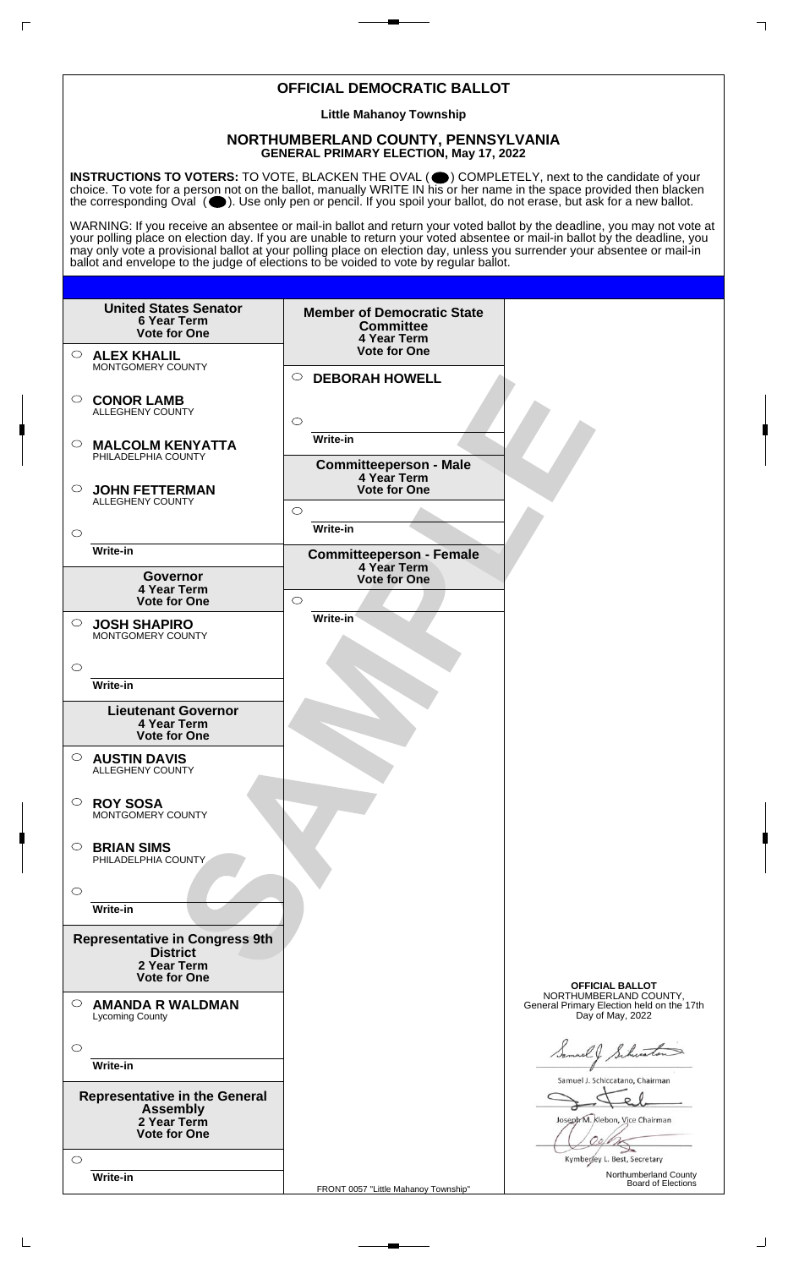|                                                                                                                                                                                                                                                                                                                                                                                                                                                                           | <b>OFFICIAL DEMOCRATIC BALLOT</b>                                                                                                                                                                                                                                                                                                                |                                                                                                                   |  |  |
|---------------------------------------------------------------------------------------------------------------------------------------------------------------------------------------------------------------------------------------------------------------------------------------------------------------------------------------------------------------------------------------------------------------------------------------------------------------------------|--------------------------------------------------------------------------------------------------------------------------------------------------------------------------------------------------------------------------------------------------------------------------------------------------------------------------------------------------|-------------------------------------------------------------------------------------------------------------------|--|--|
|                                                                                                                                                                                                                                                                                                                                                                                                                                                                           | <b>Little Mahanoy Township</b>                                                                                                                                                                                                                                                                                                                   |                                                                                                                   |  |  |
|                                                                                                                                                                                                                                                                                                                                                                                                                                                                           | NORTHUMBERLAND COUNTY, PENNSYLVANIA<br><b>GENERAL PRIMARY ELECTION, May 17, 2022</b>                                                                                                                                                                                                                                                             |                                                                                                                   |  |  |
|                                                                                                                                                                                                                                                                                                                                                                                                                                                                           | INSTRUCTIONS TO VOTERS: TO VOTE, BLACKEN THE OVAL (O) COMPLETELY, next to the candidate of your<br>choice. To vote for a person not on the ballot, manually WRITE IN his or her name in the space provided then blacken<br>the corresponding Oval (C). Use only pen or pencil. If you spoil your ballot, do not erase, but ask for a new ballot. |                                                                                                                   |  |  |
| WARNING: If you receive an absentee or mail-in ballot and return your voted ballot by the deadline, you may not vote at<br>your polling place on election day. If you are unable to return your voted absentee or mail-in ballot by the deadline, you<br>may only vote a provisional ballot at your polling place on election day, unless you surrender your absentee or mail-in<br>ballot and envelope to the judge of elections to be voided to vote by regular ballot. |                                                                                                                                                                                                                                                                                                                                                  |                                                                                                                   |  |  |
|                                                                                                                                                                                                                                                                                                                                                                                                                                                                           |                                                                                                                                                                                                                                                                                                                                                  |                                                                                                                   |  |  |
| <b>United States Senator</b><br><b>6 Year Term</b><br><b>Vote for One</b>                                                                                                                                                                                                                                                                                                                                                                                                 | <b>Member of Democratic State</b><br><b>Committee</b><br>4 Year Term<br><b>Vote for One</b>                                                                                                                                                                                                                                                      |                                                                                                                   |  |  |
| $\circ$ ALEX KHALIL<br>MONTGOMERY COUNTY                                                                                                                                                                                                                                                                                                                                                                                                                                  | O<br><b>DEBORAH HOWELL</b>                                                                                                                                                                                                                                                                                                                       |                                                                                                                   |  |  |
| <b>CONOR LAMB</b><br>O<br><b>ALLEGHENY COUNTY</b>                                                                                                                                                                                                                                                                                                                                                                                                                         | ◯                                                                                                                                                                                                                                                                                                                                                |                                                                                                                   |  |  |
| <b>MALCOLM KENYATTA</b><br>$\circ$<br>PHILADELPHIA COUNTY                                                                                                                                                                                                                                                                                                                                                                                                                 | Write-in<br><b>Committeeperson - Male</b>                                                                                                                                                                                                                                                                                                        |                                                                                                                   |  |  |
| $\circ$<br><b>JOHN FETTERMAN</b><br><b>ALLEGHENY COUNTY</b>                                                                                                                                                                                                                                                                                                                                                                                                               | 4 Year Term<br><b>Vote for One</b>                                                                                                                                                                                                                                                                                                               |                                                                                                                   |  |  |
| $\circ$                                                                                                                                                                                                                                                                                                                                                                                                                                                                   | $\circ$<br>Write-in                                                                                                                                                                                                                                                                                                                              |                                                                                                                   |  |  |
| Write-in                                                                                                                                                                                                                                                                                                                                                                                                                                                                  | <b>Committeeperson - Female</b><br>4 Year Term                                                                                                                                                                                                                                                                                                   |                                                                                                                   |  |  |
| Governor<br><b>Vote for One</b><br>4 Year Term<br>$\circlearrowright$<br><b>Vote for One</b>                                                                                                                                                                                                                                                                                                                                                                              |                                                                                                                                                                                                                                                                                                                                                  |                                                                                                                   |  |  |
| <b>JOSH SHAPIRO</b><br>$\circ$<br>MONTGOMERY COUNTY                                                                                                                                                                                                                                                                                                                                                                                                                       | Write-in                                                                                                                                                                                                                                                                                                                                         |                                                                                                                   |  |  |
| $\circ$<br><b>Write-in</b>                                                                                                                                                                                                                                                                                                                                                                                                                                                |                                                                                                                                                                                                                                                                                                                                                  |                                                                                                                   |  |  |
| <b>Lieutenant Governor</b><br>4 Year Term<br><b>Vote for One</b>                                                                                                                                                                                                                                                                                                                                                                                                          |                                                                                                                                                                                                                                                                                                                                                  |                                                                                                                   |  |  |
| $\circ$<br><b>AUSTIN DAVIS</b><br><b>ALLEGHENY COUNTY</b>                                                                                                                                                                                                                                                                                                                                                                                                                 |                                                                                                                                                                                                                                                                                                                                                  |                                                                                                                   |  |  |
| <b>ROY SOSA</b><br>$\circ$<br>MONTGOMERY COUNTY                                                                                                                                                                                                                                                                                                                                                                                                                           |                                                                                                                                                                                                                                                                                                                                                  |                                                                                                                   |  |  |
| <b>BRIAN SIMS</b><br>$\circ$<br>PHILADELPHIA COUNTY                                                                                                                                                                                                                                                                                                                                                                                                                       |                                                                                                                                                                                                                                                                                                                                                  |                                                                                                                   |  |  |
| $\circ$<br><b>Write-in</b>                                                                                                                                                                                                                                                                                                                                                                                                                                                |                                                                                                                                                                                                                                                                                                                                                  |                                                                                                                   |  |  |
| <b>Representative in Congress 9th</b><br><b>District</b><br>2 Year Term<br><b>Vote for One</b>                                                                                                                                                                                                                                                                                                                                                                            |                                                                                                                                                                                                                                                                                                                                                  |                                                                                                                   |  |  |
| <b>AMANDA R WALDMAN</b><br>$\circ$<br>Lycoming County                                                                                                                                                                                                                                                                                                                                                                                                                     |                                                                                                                                                                                                                                                                                                                                                  | <b>OFFICIAL BALLOT</b><br>NORTHUMBERLAND COUNTY,<br>General Primary Election held on the 17th<br>Day of May, 2022 |  |  |
| $\circ$<br>Write-in                                                                                                                                                                                                                                                                                                                                                                                                                                                       |                                                                                                                                                                                                                                                                                                                                                  |                                                                                                                   |  |  |
| <b>Representative in the General</b><br><b>Assembly</b><br>2 Year Term<br><b>Vote for One</b>                                                                                                                                                                                                                                                                                                                                                                             | Samuel J. Schiccatano, Chairman<br>Joseph M. Klebon, Vice Chairman                                                                                                                                                                                                                                                                               |                                                                                                                   |  |  |
| $\circ$<br><b>Write-in</b>                                                                                                                                                                                                                                                                                                                                                                                                                                                |                                                                                                                                                                                                                                                                                                                                                  | Kymber/ey L. Best, Secretary<br>Northumberland County<br><b>Board of Elections</b>                                |  |  |
|                                                                                                                                                                                                                                                                                                                                                                                                                                                                           | FRONT 0057 "Little Mahanoy Township"                                                                                                                                                                                                                                                                                                             |                                                                                                                   |  |  |

 $\Box$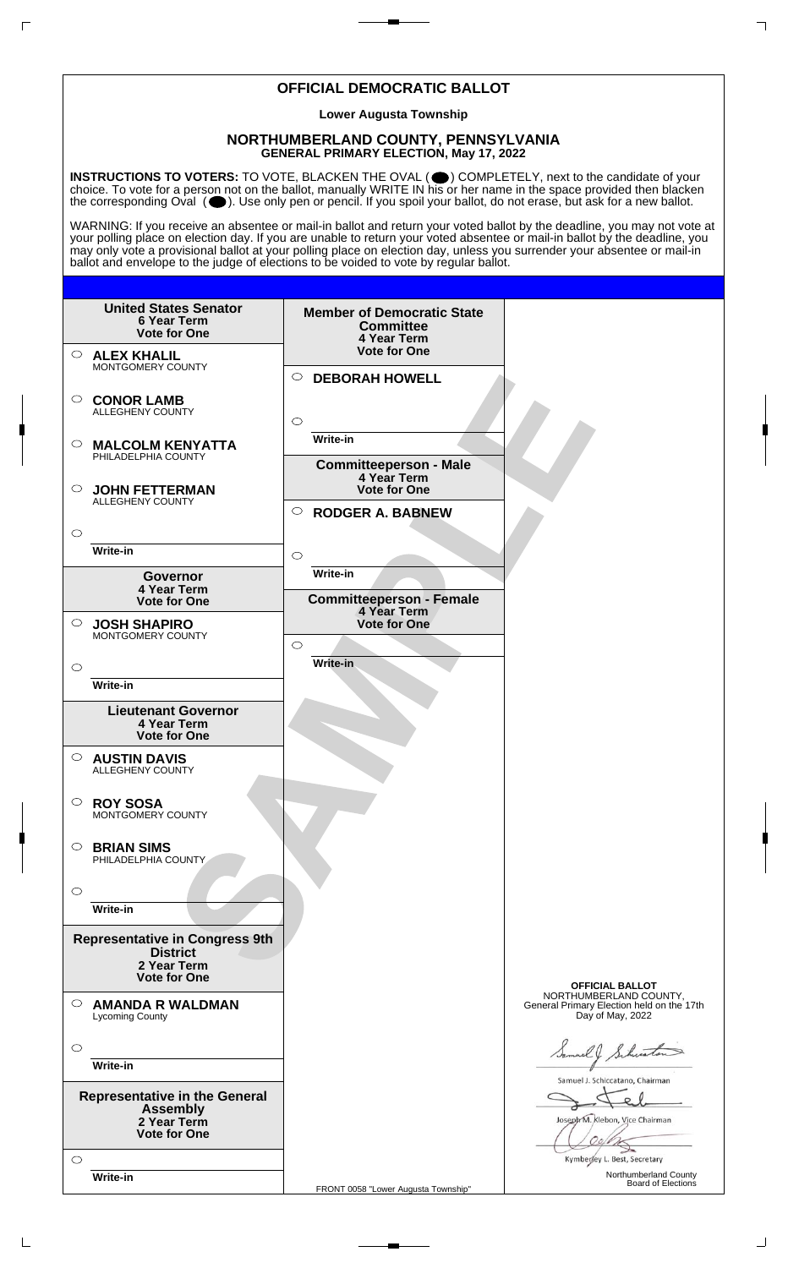|                     | <b>OFFICIAL DEMOCRATIC BALLOT</b>                                                                                                                                                                                                                                                                                                                                                                                                                                         |                                                                                      |                                                                                                                   |  |  |
|---------------------|---------------------------------------------------------------------------------------------------------------------------------------------------------------------------------------------------------------------------------------------------------------------------------------------------------------------------------------------------------------------------------------------------------------------------------------------------------------------------|--------------------------------------------------------------------------------------|-------------------------------------------------------------------------------------------------------------------|--|--|
|                     | <b>Lower Augusta Township</b>                                                                                                                                                                                                                                                                                                                                                                                                                                             |                                                                                      |                                                                                                                   |  |  |
|                     |                                                                                                                                                                                                                                                                                                                                                                                                                                                                           | NORTHUMBERLAND COUNTY, PENNSYLVANIA<br><b>GENERAL PRIMARY ELECTION, May 17, 2022</b> |                                                                                                                   |  |  |
|                     | <b>INSTRUCTIONS TO VOTERS:</b> TO VOTE, BLACKEN THE OVAL (O) COMPLETELY, next to the candidate of your<br>choice. To vote for a person not on the ballot, manually WRITE IN his or her name in the space provided then blacken<br>the corresponding Oval (C). Use only pen or pencil. If you spoil your ballot, do not erase, but ask for a new ballot.                                                                                                                   |                                                                                      |                                                                                                                   |  |  |
|                     | WARNING: If you receive an absentee or mail-in ballot and return your voted ballot by the deadline, you may not vote at<br>your polling place on election day. If you are unable to return your voted absentee or mail-in ballot by the deadline, you<br>may only vote a provisional ballot at your polling place on election day, unless you surrender your absentee or mail-in<br>ballot and envelope to the judge of elections to be voided to vote by regular ballot. |                                                                                      |                                                                                                                   |  |  |
|                     |                                                                                                                                                                                                                                                                                                                                                                                                                                                                           |                                                                                      |                                                                                                                   |  |  |
|                     | <b>United States Senator</b><br><b>6 Year Term</b><br><b>Vote for One</b>                                                                                                                                                                                                                                                                                                                                                                                                 | <b>Member of Democratic State</b><br><b>Committee</b><br>4 Year Term                 |                                                                                                                   |  |  |
| $\circ$             | <b>ALEX KHALIL</b><br><b>MONTGOMERY COUNTY</b>                                                                                                                                                                                                                                                                                                                                                                                                                            | <b>Vote for One</b><br>O<br><b>DEBORAH HOWELL</b>                                    |                                                                                                                   |  |  |
| O                   | <b>CONOR LAMB</b><br><b>ALLEGHENY COUNTY</b>                                                                                                                                                                                                                                                                                                                                                                                                                              | ◯                                                                                    |                                                                                                                   |  |  |
| $\circ$             | <b>MALCOLM KENYATTA</b><br>PHILADELPHIA COUNTY                                                                                                                                                                                                                                                                                                                                                                                                                            | Write-in<br><b>Committeeperson - Male</b>                                            |                                                                                                                   |  |  |
| $\circ$             | <b>JOHN FETTERMAN</b><br><b>ALLEGHENY COUNTY</b>                                                                                                                                                                                                                                                                                                                                                                                                                          | 4 Year Term<br><b>Vote for One</b><br>O<br><b>RODGER A. BABNEW</b>                   |                                                                                                                   |  |  |
| $\circ$             | Write-in                                                                                                                                                                                                                                                                                                                                                                                                                                                                  |                                                                                      |                                                                                                                   |  |  |
|                     | $\circ$<br><b>Write-in</b>                                                                                                                                                                                                                                                                                                                                                                                                                                                |                                                                                      |                                                                                                                   |  |  |
|                     | Governor<br>4 Year Term<br><b>Vote for One</b>                                                                                                                                                                                                                                                                                                                                                                                                                            | <b>Committeeperson - Female</b><br>4 Year Term                                       |                                                                                                                   |  |  |
| $\circ$             | <b>JOSH SHAPIRO</b><br><b>MONTGOMERY COUNTY</b>                                                                                                                                                                                                                                                                                                                                                                                                                           | <b>Vote for One</b><br>$\circlearrowright$                                           |                                                                                                                   |  |  |
| $\circ$             | <b>Write-in</b>                                                                                                                                                                                                                                                                                                                                                                                                                                                           | <b>Write-in</b>                                                                      |                                                                                                                   |  |  |
|                     | <b>Lieutenant Governor</b><br>4 Year Term<br><b>Vote for One</b>                                                                                                                                                                                                                                                                                                                                                                                                          |                                                                                      |                                                                                                                   |  |  |
| $\circ$             | <b>AUSTIN DAVIS</b><br><b>ALLEGHENY COUNTY</b>                                                                                                                                                                                                                                                                                                                                                                                                                            |                                                                                      |                                                                                                                   |  |  |
| $\circ$             | <b>ROY SOSA</b><br>MONTGOMERY COUNTY                                                                                                                                                                                                                                                                                                                                                                                                                                      |                                                                                      |                                                                                                                   |  |  |
| $\circ$             | <b>BRIAN SIMS</b><br>PHILADELPHIA COUNTY                                                                                                                                                                                                                                                                                                                                                                                                                                  |                                                                                      |                                                                                                                   |  |  |
| $\circ$             | <b>Write-in</b>                                                                                                                                                                                                                                                                                                                                                                                                                                                           |                                                                                      |                                                                                                                   |  |  |
|                     | <b>Representative in Congress 9th</b><br><b>District</b><br>2 Year Term<br><b>Vote for One</b>                                                                                                                                                                                                                                                                                                                                                                            |                                                                                      |                                                                                                                   |  |  |
| $\circ$             | <b>AMANDA R WALDMAN</b><br>Lycoming County                                                                                                                                                                                                                                                                                                                                                                                                                                |                                                                                      | <b>OFFICIAL BALLOT</b><br>NORTHUMBERLAND COUNTY,<br>General Primary Election held on the 17th<br>Day of May, 2022 |  |  |
| $\circ$             | <b>Write-in</b>                                                                                                                                                                                                                                                                                                                                                                                                                                                           |                                                                                      |                                                                                                                   |  |  |
|                     | Samuel J. Schiccatano, Chairman<br><b>Representative in the General</b><br><b>Assembly</b><br>Joseph M. Klebon, Vice Chairman<br>2 Year Term<br><b>Vote for One</b>                                                                                                                                                                                                                                                                                                       |                                                                                      |                                                                                                                   |  |  |
| $\circlearrowright$ | <b>Write-in</b>                                                                                                                                                                                                                                                                                                                                                                                                                                                           | FRONT 0058 "Lower Augusta Township"                                                  | Kymberley L. Best, Secretary<br>Northumberland County<br><b>Board of Elections</b>                                |  |  |

 $\Box$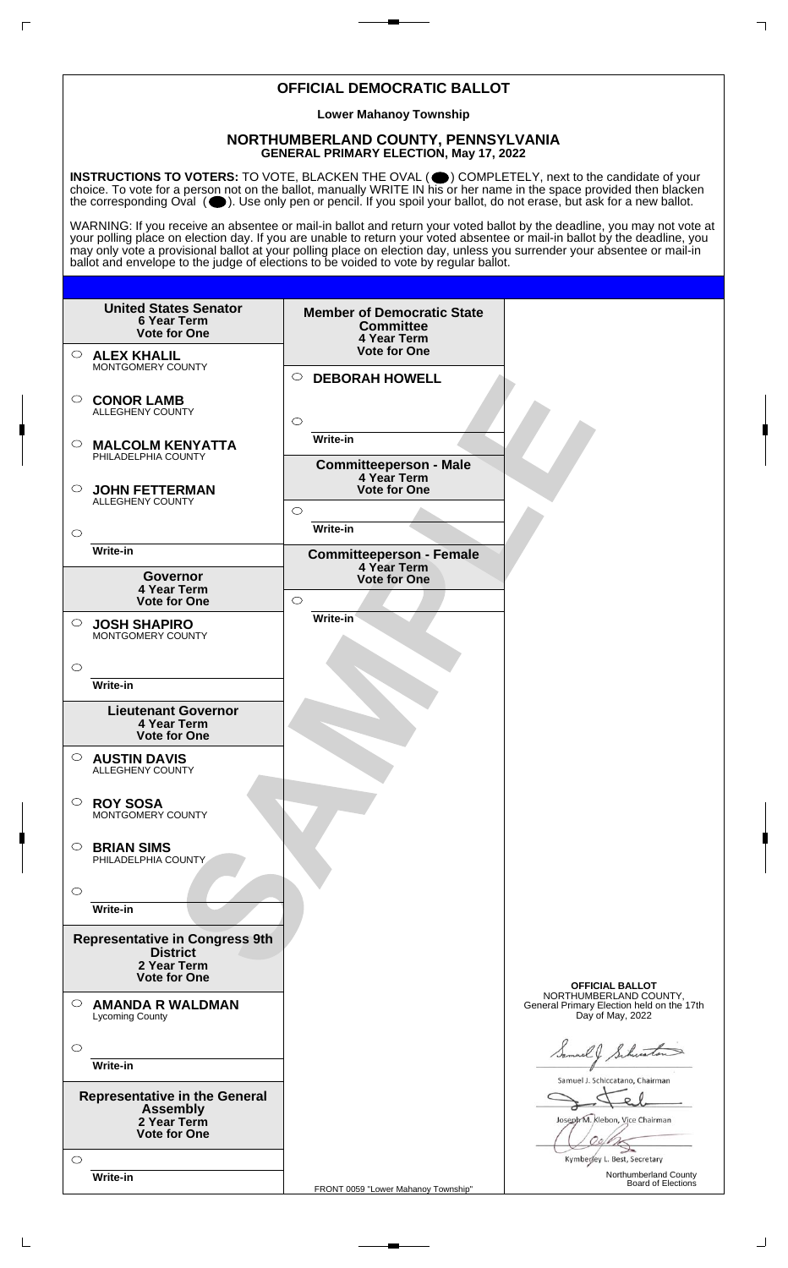|                                                                                                | <b>OFFICIAL DEMOCRATIC BALLOT</b>                                                                                                                                                                                                                                                                                                                                                                                                                                      |                                                                                         |  |  |
|------------------------------------------------------------------------------------------------|------------------------------------------------------------------------------------------------------------------------------------------------------------------------------------------------------------------------------------------------------------------------------------------------------------------------------------------------------------------------------------------------------------------------------------------------------------------------|-----------------------------------------------------------------------------------------|--|--|
|                                                                                                | <b>Lower Mahanoy Township</b>                                                                                                                                                                                                                                                                                                                                                                                                                                          |                                                                                         |  |  |
|                                                                                                | NORTHUMBERLAND COUNTY, PENNSYLVANIA<br><b>GENERAL PRIMARY ELECTION, May 17, 2022</b>                                                                                                                                                                                                                                                                                                                                                                                   |                                                                                         |  |  |
|                                                                                                | INSTRUCTIONS TO VOTERS: TO VOTE, BLACKEN THE OVAL (O) COMPLETELY, next to the candidate of your<br>choice. To vote for a person not on the ballot, manually WRITE IN his or her name in the space provided then blacken<br>the corresponding Oval (O). Use only pen or pencil. If you spoil your ballot, do not erase, but ask for a new ballot.                                                                                                                       |                                                                                         |  |  |
|                                                                                                | WARNING: If you receive an absentee or mail-in ballot and return your voted ballot by the deadline, you may not vote at<br>your polling place on election day. If you are unable to return your voted absentee or mail-in ballot by the deadline, you<br>may only vote a provisional ballot at your polling place on election day, unless you surrender your absentee or mail-in ballot and envelope to the judge of elections to be voided to vote by regular ballot. |                                                                                         |  |  |
|                                                                                                |                                                                                                                                                                                                                                                                                                                                                                                                                                                                        |                                                                                         |  |  |
| <b>United States Senator</b><br>6 Year Term<br><b>Vote for One</b>                             | <b>Member of Democratic State</b><br><b>Committee</b><br>4 Year Term                                                                                                                                                                                                                                                                                                                                                                                                   |                                                                                         |  |  |
| $\circ$ ALEX KHALIL<br>MONTGOMERY COUNTY                                                       | <b>Vote for One</b><br>$\circ$<br><b>DEBORAH HOWELL</b>                                                                                                                                                                                                                                                                                                                                                                                                                |                                                                                         |  |  |
| $\circ$<br><b>CONOR LAMB</b><br><b>ALLEGHENY COUNTY</b>                                        | ◯                                                                                                                                                                                                                                                                                                                                                                                                                                                                      |                                                                                         |  |  |
| $\circ$<br><b>MALCOLM KENYATTA</b><br>PHILADELPHIA COUNTY                                      | Write-in<br><b>Committeeperson - Male</b>                                                                                                                                                                                                                                                                                                                                                                                                                              |                                                                                         |  |  |
| $\circ$<br><b>JOHN FETTERMAN</b><br><b>ALLEGHENY COUNTY</b>                                    | 4 Year Term<br><b>Vote for One</b><br>$\circ$                                                                                                                                                                                                                                                                                                                                                                                                                          |                                                                                         |  |  |
| $\circ$                                                                                        | Write-in                                                                                                                                                                                                                                                                                                                                                                                                                                                               |                                                                                         |  |  |
| <b>Write-in</b>                                                                                | <b>Committeeperson - Female</b><br>4 Year Term                                                                                                                                                                                                                                                                                                                                                                                                                         |                                                                                         |  |  |
| <b>Governor</b><br>4 Year Term<br><b>Vote for One</b>                                          | <b>Vote for One</b><br>$\circ$                                                                                                                                                                                                                                                                                                                                                                                                                                         |                                                                                         |  |  |
| <b>JOSH SHAPIRO</b><br>O<br><b>MONTGOMERY COUNTY</b>                                           | Write-in                                                                                                                                                                                                                                                                                                                                                                                                                                                               |                                                                                         |  |  |
| $\circ$<br><b>Write-in</b>                                                                     |                                                                                                                                                                                                                                                                                                                                                                                                                                                                        |                                                                                         |  |  |
| <b>Lieutenant Governor</b><br>4 Year Term<br><b>Vote for One</b>                               |                                                                                                                                                                                                                                                                                                                                                                                                                                                                        |                                                                                         |  |  |
| <b>AUSTIN DAVIS</b><br>$\circ$<br><b>ALLEGHENY COUNTY</b>                                      |                                                                                                                                                                                                                                                                                                                                                                                                                                                                        |                                                                                         |  |  |
| <b>ROY SOSA</b><br>$\circ$<br>MONTGOMERY COUNTY                                                |                                                                                                                                                                                                                                                                                                                                                                                                                                                                        |                                                                                         |  |  |
| $\circ$<br><b>BRIAN SIMS</b><br>PHILADELPHIA COUNTY                                            |                                                                                                                                                                                                                                                                                                                                                                                                                                                                        |                                                                                         |  |  |
| $\circ$<br><b>Write-in</b>                                                                     |                                                                                                                                                                                                                                                                                                                                                                                                                                                                        |                                                                                         |  |  |
| <b>Representative in Congress 9th</b><br><b>District</b><br>2 Year Term<br><b>Vote for One</b> |                                                                                                                                                                                                                                                                                                                                                                                                                                                                        | <b>OFFICIAL BALLOT</b>                                                                  |  |  |
| $\circ$<br><b>AMANDA R WALDMAN</b><br><b>Lycoming County</b>                                   |                                                                                                                                                                                                                                                                                                                                                                                                                                                                        | NORTHUMBERLAND COUNTY,<br>General Primary Election held on the 17th<br>Day of May, 2022 |  |  |
| $\circ$<br><b>Write-in</b>                                                                     |                                                                                                                                                                                                                                                                                                                                                                                                                                                                        |                                                                                         |  |  |
| <b>Representative in the General</b><br><b>Assembly</b><br>2 Year Term<br><b>Vote for One</b>  |                                                                                                                                                                                                                                                                                                                                                                                                                                                                        | Samuel J. Schiccatano, Chairman<br>Joseph M. Klebon, Vice Chairman                      |  |  |
| $\circ$<br><b>Write-in</b>                                                                     |                                                                                                                                                                                                                                                                                                                                                                                                                                                                        | Kymber/ey L. Best, Secretary<br>Northumberland County                                   |  |  |
|                                                                                                | FRONT 0059 "Lower Mahanoy Township"                                                                                                                                                                                                                                                                                                                                                                                                                                    | <b>Board of Elections</b>                                                               |  |  |

┑

 $\overline{\Gamma}$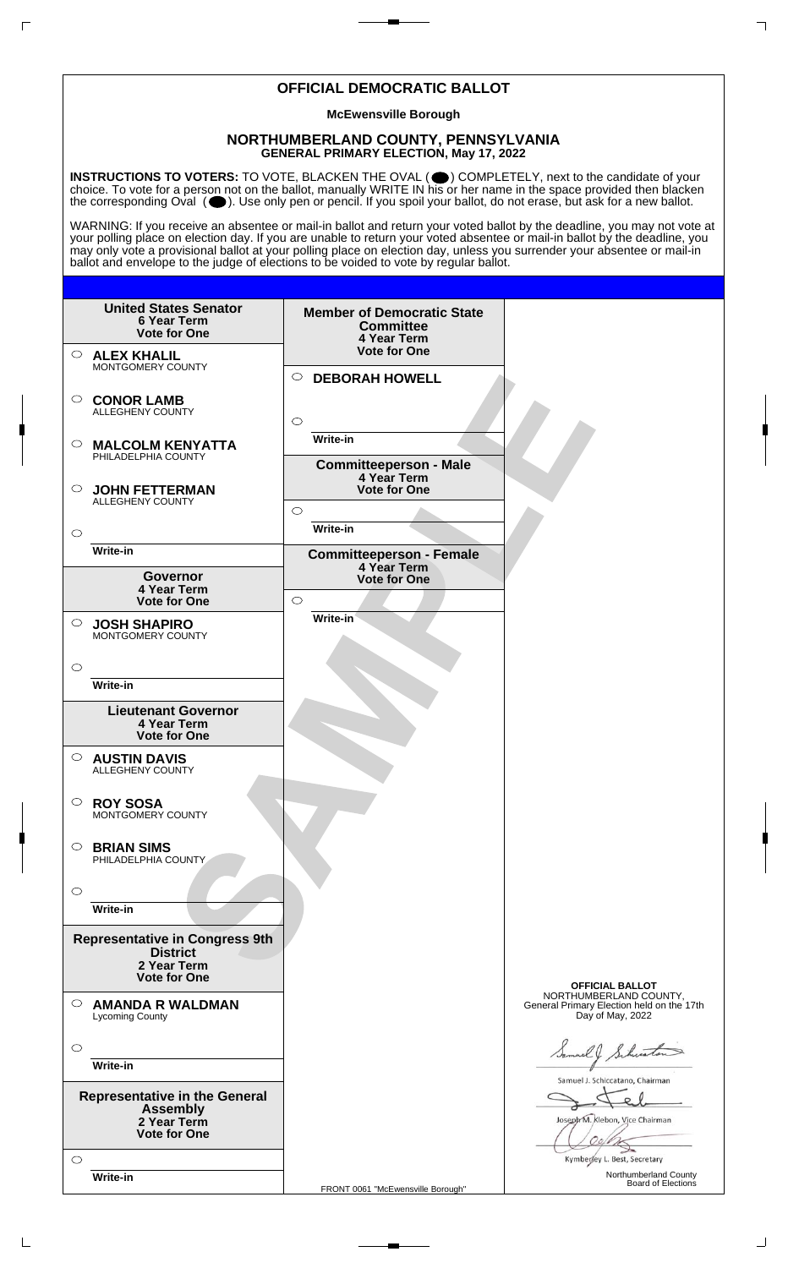|         | <b>OFFICIAL DEMOCRATIC BALLOT</b>                                                             |                                                                                                                                                                                                                                                                                                                                                                                                                                                                           |                                                                                         |  |
|---------|-----------------------------------------------------------------------------------------------|---------------------------------------------------------------------------------------------------------------------------------------------------------------------------------------------------------------------------------------------------------------------------------------------------------------------------------------------------------------------------------------------------------------------------------------------------------------------------|-----------------------------------------------------------------------------------------|--|
|         | <b>McEwensville Borough</b>                                                                   |                                                                                                                                                                                                                                                                                                                                                                                                                                                                           |                                                                                         |  |
|         |                                                                                               | NORTHUMBERLAND COUNTY, PENNSYLVANIA<br><b>GENERAL PRIMARY ELECTION, May 17, 2022</b>                                                                                                                                                                                                                                                                                                                                                                                      |                                                                                         |  |
|         |                                                                                               | <b>INSTRUCTIONS TO VOTERS:</b> TO VOTE, BLACKEN THE OVAL (O) COMPLETELY, next to the candidate of your choice. To vote for a person not on the ballot, manually WRITE IN his or her name in the space provided then blacken<br>the corresponding Oval (C). Use only pen or pencil. If you spoil your ballot, do not erase, but ask for a new ballot.                                                                                                                      |                                                                                         |  |
|         |                                                                                               | WARNING: If you receive an absentee or mail-in ballot and return your voted ballot by the deadline, you may not vote at<br>your polling place on election day. If you are unable to return your voted absentee or mail-in ballot by the deadline, you<br>may only vote a provisional ballot at your polling place on election day, unless you surrender your absentee or mail-in<br>ballot and envelope to the judge of elections to be voided to vote by regular ballot. |                                                                                         |  |
|         |                                                                                               |                                                                                                                                                                                                                                                                                                                                                                                                                                                                           |                                                                                         |  |
|         | <b>United States Senator</b><br><b>6 Year Term</b><br><b>Vote for One</b>                     | <b>Member of Democratic State</b><br><b>Committee</b><br>4 Year Term                                                                                                                                                                                                                                                                                                                                                                                                      |                                                                                         |  |
|         | $\circ$ ALEX KHALIL<br>MONTGOMERY COUNTY                                                      | <b>Vote for One</b><br>O<br><b>DEBORAH HOWELL</b>                                                                                                                                                                                                                                                                                                                                                                                                                         |                                                                                         |  |
| $\circ$ | <b>CONOR LAMB</b><br><b>ALLEGHENY COUNTY</b>                                                  | $\circ$                                                                                                                                                                                                                                                                                                                                                                                                                                                                   |                                                                                         |  |
| $\circ$ | <b>MALCOLM KENYATTA</b><br>PHILADELPHIA COUNTY                                                | Write-in                                                                                                                                                                                                                                                                                                                                                                                                                                                                  |                                                                                         |  |
| $\circ$ | <b>JOHN FETTERMAN</b><br><b>ALLEGHENY COUNTY</b>                                              | <b>Committeeperson - Male</b><br>4 Year Term<br><b>Vote for One</b><br>$\circ$                                                                                                                                                                                                                                                                                                                                                                                            |                                                                                         |  |
| $\circ$ |                                                                                               | <b>Write-in</b>                                                                                                                                                                                                                                                                                                                                                                                                                                                           |                                                                                         |  |
|         | <b>Write-in</b>                                                                               | <b>Committeeperson - Female</b>                                                                                                                                                                                                                                                                                                                                                                                                                                           |                                                                                         |  |
|         | <b>Governor</b>                                                                               | <b>4 Year Term</b><br><b>Vote for One</b>                                                                                                                                                                                                                                                                                                                                                                                                                                 |                                                                                         |  |
|         | 4 Year Term<br><b>Vote for One</b>                                                            | $\circ$                                                                                                                                                                                                                                                                                                                                                                                                                                                                   |                                                                                         |  |
| $\circ$ | <b>JOSH SHAPIRO</b><br>MONTGOMERY COUNTY                                                      | Write-in                                                                                                                                                                                                                                                                                                                                                                                                                                                                  |                                                                                         |  |
| $\circ$ |                                                                                               |                                                                                                                                                                                                                                                                                                                                                                                                                                                                           |                                                                                         |  |
|         | <b>Write-in</b>                                                                               |                                                                                                                                                                                                                                                                                                                                                                                                                                                                           |                                                                                         |  |
|         | <b>Lieutenant Governor</b><br>4 Year Term<br><b>Vote for One</b>                              |                                                                                                                                                                                                                                                                                                                                                                                                                                                                           |                                                                                         |  |
| O       | <b>AUSTIN DAVIS</b><br><b>ALLEGHENY COUNTY</b>                                                |                                                                                                                                                                                                                                                                                                                                                                                                                                                                           |                                                                                         |  |
| $\circ$ | <b>ROY SOSA</b><br>MONTGOMERY COUNTY                                                          |                                                                                                                                                                                                                                                                                                                                                                                                                                                                           |                                                                                         |  |
| $\circ$ | <b>BRIAN SIMS</b><br>PHILADELPHIA COUNTY                                                      |                                                                                                                                                                                                                                                                                                                                                                                                                                                                           |                                                                                         |  |
| $\circ$ | <b>Write-in</b>                                                                               |                                                                                                                                                                                                                                                                                                                                                                                                                                                                           |                                                                                         |  |
|         | <b>Representative in Congress 9th</b><br><b>District</b><br>2 Year Term                       |                                                                                                                                                                                                                                                                                                                                                                                                                                                                           |                                                                                         |  |
|         | <b>Vote for One</b>                                                                           |                                                                                                                                                                                                                                                                                                                                                                                                                                                                           | <b>OFFICIAL BALLOT</b>                                                                  |  |
| $\circ$ | <b>AMANDA R WALDMAN</b><br><b>Lycoming County</b>                                             |                                                                                                                                                                                                                                                                                                                                                                                                                                                                           | NORTHUMBERLAND COUNTY,<br>General Primary Election held on the 17th<br>Day of May, 2022 |  |
| $\circ$ |                                                                                               |                                                                                                                                                                                                                                                                                                                                                                                                                                                                           |                                                                                         |  |
|         | <b>Write-in</b>                                                                               |                                                                                                                                                                                                                                                                                                                                                                                                                                                                           | Samuel J. Schiccatano, Chairman                                                         |  |
|         | <b>Representative in the General</b><br><b>Assembly</b><br>2 Year Term<br><b>Vote for One</b> |                                                                                                                                                                                                                                                                                                                                                                                                                                                                           | Joseph M. Klebon, Vice Chairman                                                         |  |
| $\circ$ |                                                                                               |                                                                                                                                                                                                                                                                                                                                                                                                                                                                           | Kymberley L. Best, Secretary                                                            |  |
|         | <b>Write-in</b>                                                                               | FRONT 0061 "McEwensville Borough"                                                                                                                                                                                                                                                                                                                                                                                                                                         | Northumberland County<br>Board of Elections                                             |  |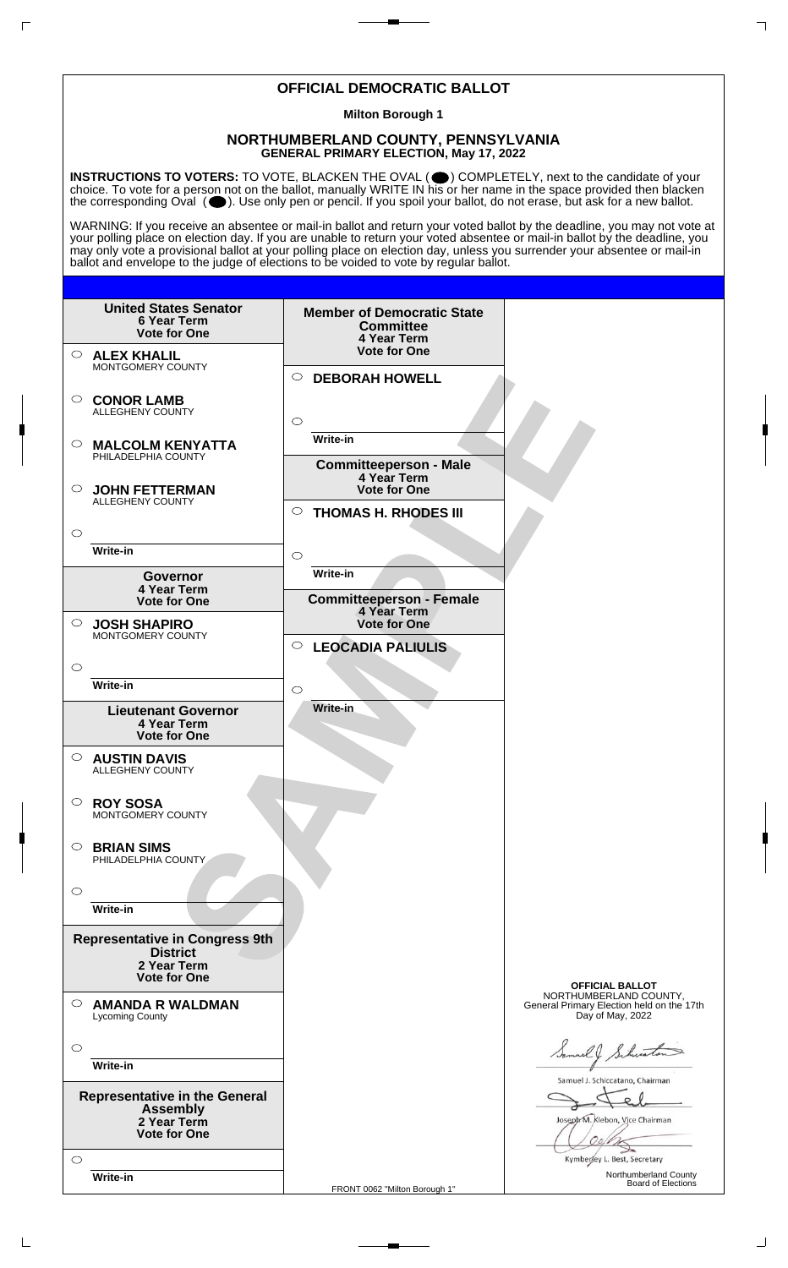|                                                                                                | <b>OFFICIAL DEMOCRATIC BALLOT</b>                                                                                                                                                                                                                                                                                                                                                                                                                                         |                                                                                                                   |  |  |
|------------------------------------------------------------------------------------------------|---------------------------------------------------------------------------------------------------------------------------------------------------------------------------------------------------------------------------------------------------------------------------------------------------------------------------------------------------------------------------------------------------------------------------------------------------------------------------|-------------------------------------------------------------------------------------------------------------------|--|--|
|                                                                                                | <b>Milton Borough 1</b>                                                                                                                                                                                                                                                                                                                                                                                                                                                   |                                                                                                                   |  |  |
|                                                                                                | NORTHUMBERLAND COUNTY, PENNSYLVANIA<br><b>GENERAL PRIMARY ELECTION, May 17, 2022</b>                                                                                                                                                                                                                                                                                                                                                                                      |                                                                                                                   |  |  |
|                                                                                                | <b>INSTRUCTIONS TO VOTERS:</b> TO VOTE, BLACKEN THE OVAL (O) COMPLETELY, next to the candidate of your<br>choice. To vote for a person not on the ballot, manually WRITE IN his or her name in the space provided then blacken<br>the corresponding Oval (C). Use only pen or pencil. If you spoil your ballot, do not erase, but ask for a new ballot.                                                                                                                   |                                                                                                                   |  |  |
|                                                                                                | WARNING: If you receive an absentee or mail-in ballot and return your voted ballot by the deadline, you may not vote at<br>your polling place on election day. If you are unable to return your voted absentee or mail-in ballot by the deadline, you<br>may only vote a provisional ballot at your polling place on election day, unless you surrender your absentee or mail-in<br>ballot and envelope to the judge of elections to be voided to vote by regular ballot. |                                                                                                                   |  |  |
|                                                                                                |                                                                                                                                                                                                                                                                                                                                                                                                                                                                           |                                                                                                                   |  |  |
| <b>United States Senator</b><br><b>6 Year Term</b><br><b>Vote for One</b>                      | <b>Member of Democratic State</b><br><b>Committee</b><br>4 Year Term                                                                                                                                                                                                                                                                                                                                                                                                      |                                                                                                                   |  |  |
| $\circ$<br><b>ALEX KHALIL</b><br><b>MONTGOMERY COUNTY</b>                                      | <b>Vote for One</b><br><b>DEBORAH HOWELL</b><br>$\circ$                                                                                                                                                                                                                                                                                                                                                                                                                   |                                                                                                                   |  |  |
| $\circ$<br><b>CONOR LAMB</b><br><b>ALLEGHENY COUNTY</b>                                        | $\circ$                                                                                                                                                                                                                                                                                                                                                                                                                                                                   |                                                                                                                   |  |  |
| $\circ$<br><b>MALCOLM KENYATTA</b><br>PHILADELPHIA COUNTY                                      | <b>Write-in</b><br><b>Committeeperson - Male</b>                                                                                                                                                                                                                                                                                                                                                                                                                          |                                                                                                                   |  |  |
| $\circ$<br><b>JOHN FETTERMAN</b><br><b>ALLEGHENY COUNTY</b>                                    | 4 Year Term<br><b>Vote for One</b>                                                                                                                                                                                                                                                                                                                                                                                                                                        |                                                                                                                   |  |  |
| $\circlearrowright$                                                                            | $\circ$<br><b>THOMAS H. RHODES III</b>                                                                                                                                                                                                                                                                                                                                                                                                                                    |                                                                                                                   |  |  |
| <b>Write-in</b>                                                                                | ◯                                                                                                                                                                                                                                                                                                                                                                                                                                                                         |                                                                                                                   |  |  |
| Governor                                                                                       | Write-in                                                                                                                                                                                                                                                                                                                                                                                                                                                                  |                                                                                                                   |  |  |
| 4 Year Term<br><b>Vote for One</b>                                                             | <b>Committeeperson - Female</b><br>4 Year Term                                                                                                                                                                                                                                                                                                                                                                                                                            |                                                                                                                   |  |  |
| <b>JOSH SHAPIRO</b><br>$\circ$<br>MONTGOMERY COUNTY                                            | <b>Vote for One</b>                                                                                                                                                                                                                                                                                                                                                                                                                                                       |                                                                                                                   |  |  |
| $\circ$                                                                                        | <b>LEOCADIA PALIULIS</b><br>$\circ$                                                                                                                                                                                                                                                                                                                                                                                                                                       |                                                                                                                   |  |  |
| <b>Write-in</b>                                                                                | $\circlearrowright$                                                                                                                                                                                                                                                                                                                                                                                                                                                       |                                                                                                                   |  |  |
| <b>Lieutenant Governor</b><br>4 Year Term<br><b>Vote for One</b>                               | <b>Write-in</b>                                                                                                                                                                                                                                                                                                                                                                                                                                                           |                                                                                                                   |  |  |
| $\circ$<br><b>AUSTIN DAVIS</b><br><b>ALLEGHENY COUNTY</b>                                      |                                                                                                                                                                                                                                                                                                                                                                                                                                                                           |                                                                                                                   |  |  |
| <b>ROY SOSA</b><br>$\circ$<br>MONTGOMERY COUNTY                                                |                                                                                                                                                                                                                                                                                                                                                                                                                                                                           |                                                                                                                   |  |  |
| <b>BRIAN SIMS</b><br>$\circ$<br>PHILADELPHIA COUNTY                                            |                                                                                                                                                                                                                                                                                                                                                                                                                                                                           |                                                                                                                   |  |  |
| $\circ$<br><b>Write-in</b>                                                                     |                                                                                                                                                                                                                                                                                                                                                                                                                                                                           |                                                                                                                   |  |  |
| <b>Representative in Congress 9th</b><br><b>District</b><br>2 Year Term<br><b>Vote for One</b> |                                                                                                                                                                                                                                                                                                                                                                                                                                                                           |                                                                                                                   |  |  |
| $\circ$<br><b>AMANDA R WALDMAN</b><br><b>Lycoming County</b>                                   |                                                                                                                                                                                                                                                                                                                                                                                                                                                                           | <b>OFFICIAL BALLOT</b><br>NORTHUMBERLAND COUNTY,<br>General Primary Election held on the 17th<br>Day of May, 2022 |  |  |
| $\circ$                                                                                        |                                                                                                                                                                                                                                                                                                                                                                                                                                                                           |                                                                                                                   |  |  |
| Write-in                                                                                       |                                                                                                                                                                                                                                                                                                                                                                                                                                                                           | Samuel J. Schiccatano, Chairman                                                                                   |  |  |
| <b>Representative in the General</b><br><b>Assembly</b><br>2 Year Term<br><b>Vote for One</b>  |                                                                                                                                                                                                                                                                                                                                                                                                                                                                           | Joseph M. Klebon, Vice Chairman                                                                                   |  |  |
| $\circ$                                                                                        |                                                                                                                                                                                                                                                                                                                                                                                                                                                                           | Kymberley L. Best, Secretary                                                                                      |  |  |
| <b>Write-in</b>                                                                                | FRONT 0062 "Milton Borough 1"                                                                                                                                                                                                                                                                                                                                                                                                                                             | Northumberland County<br>Board of Elections                                                                       |  |  |

 $\Box$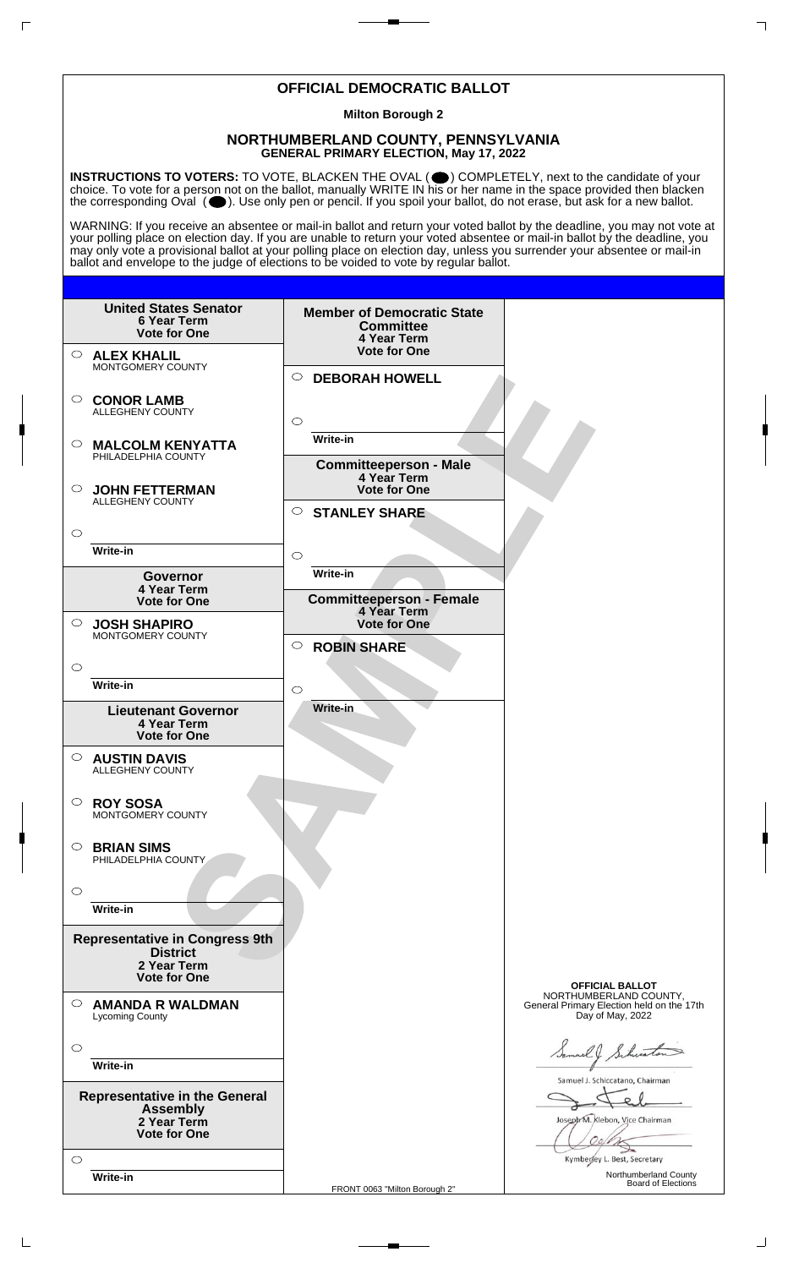| <b>OFFICIAL DEMOCRATIC BALLOT</b>                                                                                                                                                                                                                                                                                                                                                                                                                                         |                                                                                                                                                                                                                                                                                                                                                         |                                                                                                                   |  |  |
|---------------------------------------------------------------------------------------------------------------------------------------------------------------------------------------------------------------------------------------------------------------------------------------------------------------------------------------------------------------------------------------------------------------------------------------------------------------------------|---------------------------------------------------------------------------------------------------------------------------------------------------------------------------------------------------------------------------------------------------------------------------------------------------------------------------------------------------------|-------------------------------------------------------------------------------------------------------------------|--|--|
|                                                                                                                                                                                                                                                                                                                                                                                                                                                                           | <b>Milton Borough 2</b>                                                                                                                                                                                                                                                                                                                                 |                                                                                                                   |  |  |
| NORTHUMBERLAND COUNTY, PENNSYLVANIA<br><b>GENERAL PRIMARY ELECTION, May 17, 2022</b>                                                                                                                                                                                                                                                                                                                                                                                      |                                                                                                                                                                                                                                                                                                                                                         |                                                                                                                   |  |  |
|                                                                                                                                                                                                                                                                                                                                                                                                                                                                           | <b>INSTRUCTIONS TO VOTERS:</b> TO VOTE, BLACKEN THE OVAL (O) COMPLETELY, next to the candidate of your<br>choice. To vote for a person not on the ballot, manually WRITE IN his or her name in the space provided then blacken<br>the corresponding Oval (C). Use only pen or pencil. If you spoil your ballot, do not erase, but ask for a new ballot. |                                                                                                                   |  |  |
| WARNING: If you receive an absentee or mail-in ballot and return your voted ballot by the deadline, you may not vote at<br>your polling place on election day. If you are unable to return your voted absentee or mail-in ballot by the deadline, you<br>may only vote a provisional ballot at your polling place on election day, unless you surrender your absentee or mail-in<br>ballot and envelope to the judge of elections to be voided to vote by regular ballot. |                                                                                                                                                                                                                                                                                                                                                         |                                                                                                                   |  |  |
|                                                                                                                                                                                                                                                                                                                                                                                                                                                                           |                                                                                                                                                                                                                                                                                                                                                         |                                                                                                                   |  |  |
| <b>United States Senator</b><br><b>6 Year Term</b><br><b>Vote for One</b>                                                                                                                                                                                                                                                                                                                                                                                                 | <b>Member of Democratic State</b><br><b>Committee</b><br>4 Year Term                                                                                                                                                                                                                                                                                    |                                                                                                                   |  |  |
| $\circ$ ALEX KHALIL<br>MONTGOMERY COUNTY                                                                                                                                                                                                                                                                                                                                                                                                                                  | <b>Vote for One</b><br>O<br><b>DEBORAH HOWELL</b>                                                                                                                                                                                                                                                                                                       |                                                                                                                   |  |  |
| $\circ$<br><b>CONOR LAMB</b><br><b>ALLEGHENY COUNTY</b>                                                                                                                                                                                                                                                                                                                                                                                                                   | $\circ$                                                                                                                                                                                                                                                                                                                                                 |                                                                                                                   |  |  |
| <b>MALCOLM KENYATTA</b><br>$\circ$<br>PHILADELPHIA COUNTY                                                                                                                                                                                                                                                                                                                                                                                                                 | Write-in                                                                                                                                                                                                                                                                                                                                                |                                                                                                                   |  |  |
| $\circlearrowright$<br><b>JOHN FETTERMAN</b>                                                                                                                                                                                                                                                                                                                                                                                                                              | <b>Committeeperson - Male</b><br>4 Year Term<br><b>Vote for One</b>                                                                                                                                                                                                                                                                                     |                                                                                                                   |  |  |
| <b>ALLEGHENY COUNTY</b>                                                                                                                                                                                                                                                                                                                                                                                                                                                   | $\circ$<br><b>STANLEY SHARE</b>                                                                                                                                                                                                                                                                                                                         |                                                                                                                   |  |  |
| $\circ$<br>Write-in                                                                                                                                                                                                                                                                                                                                                                                                                                                       | O                                                                                                                                                                                                                                                                                                                                                       |                                                                                                                   |  |  |
| <b>Governor</b>                                                                                                                                                                                                                                                                                                                                                                                                                                                           | <b>Write-in</b>                                                                                                                                                                                                                                                                                                                                         |                                                                                                                   |  |  |
| 4 Year Term<br><b>Vote for One</b>                                                                                                                                                                                                                                                                                                                                                                                                                                        | <b>Committeeperson - Female</b><br>4 Year Term                                                                                                                                                                                                                                                                                                          |                                                                                                                   |  |  |
| O<br><b>JOSH SHAPIRO</b><br>MONTGOMERY COUNTY                                                                                                                                                                                                                                                                                                                                                                                                                             | <b>Vote for One</b><br>$\circ$<br><b>ROBIN SHARE</b>                                                                                                                                                                                                                                                                                                    |                                                                                                                   |  |  |
| $\circ$<br>Write-in                                                                                                                                                                                                                                                                                                                                                                                                                                                       |                                                                                                                                                                                                                                                                                                                                                         |                                                                                                                   |  |  |
|                                                                                                                                                                                                                                                                                                                                                                                                                                                                           | $\circ$<br><b>Write-in</b>                                                                                                                                                                                                                                                                                                                              |                                                                                                                   |  |  |
| <b>Lieutenant Governor</b><br>4 Year Term<br><b>Vote for One</b>                                                                                                                                                                                                                                                                                                                                                                                                          |                                                                                                                                                                                                                                                                                                                                                         |                                                                                                                   |  |  |
| $\circ$ AUSTIN DAVIS<br><b>ALLEGHENY COUNTY</b>                                                                                                                                                                                                                                                                                                                                                                                                                           |                                                                                                                                                                                                                                                                                                                                                         |                                                                                                                   |  |  |
| <b>ROY SOSA</b><br>O<br><b>MONTGOMERY COUNTY</b>                                                                                                                                                                                                                                                                                                                                                                                                                          |                                                                                                                                                                                                                                                                                                                                                         |                                                                                                                   |  |  |
| <b>BRIAN SIMS</b><br>$\circ$<br>PHILADELPHIA COUNTY                                                                                                                                                                                                                                                                                                                                                                                                                       |                                                                                                                                                                                                                                                                                                                                                         |                                                                                                                   |  |  |
| $\circ$<br><b>Write-in</b>                                                                                                                                                                                                                                                                                                                                                                                                                                                |                                                                                                                                                                                                                                                                                                                                                         |                                                                                                                   |  |  |
| <b>Representative in Congress 9th</b><br><b>District</b><br>2 Year Term<br><b>Vote for One</b>                                                                                                                                                                                                                                                                                                                                                                            |                                                                                                                                                                                                                                                                                                                                                         |                                                                                                                   |  |  |
| <b>AMANDA R WALDMAN</b><br>O<br><b>Lycoming County</b>                                                                                                                                                                                                                                                                                                                                                                                                                    |                                                                                                                                                                                                                                                                                                                                                         | <b>OFFICIAL BALLOT</b><br>NORTHUMBERLAND COUNTY,<br>General Primary Election held on the 17th<br>Day of May, 2022 |  |  |
| $\circ$                                                                                                                                                                                                                                                                                                                                                                                                                                                                   |                                                                                                                                                                                                                                                                                                                                                         |                                                                                                                   |  |  |
| <b>Write-in</b>                                                                                                                                                                                                                                                                                                                                                                                                                                                           |                                                                                                                                                                                                                                                                                                                                                         | Samuel J. Schiccatano, Chairman                                                                                   |  |  |
| <b>Representative in the General</b><br><b>Assembly</b><br>2 Year Term<br>Vote for One                                                                                                                                                                                                                                                                                                                                                                                    |                                                                                                                                                                                                                                                                                                                                                         | Joseph M. Klebon, Vice Chairman                                                                                   |  |  |
| $\circ$                                                                                                                                                                                                                                                                                                                                                                                                                                                                   |                                                                                                                                                                                                                                                                                                                                                         | Kymberley L. Best, Secretary                                                                                      |  |  |
| <b>Write-in</b>                                                                                                                                                                                                                                                                                                                                                                                                                                                           | FRONT 0063 "Milton Borough 2"                                                                                                                                                                                                                                                                                                                           | Northumberland County<br>Board of Elections                                                                       |  |  |

 $\Box$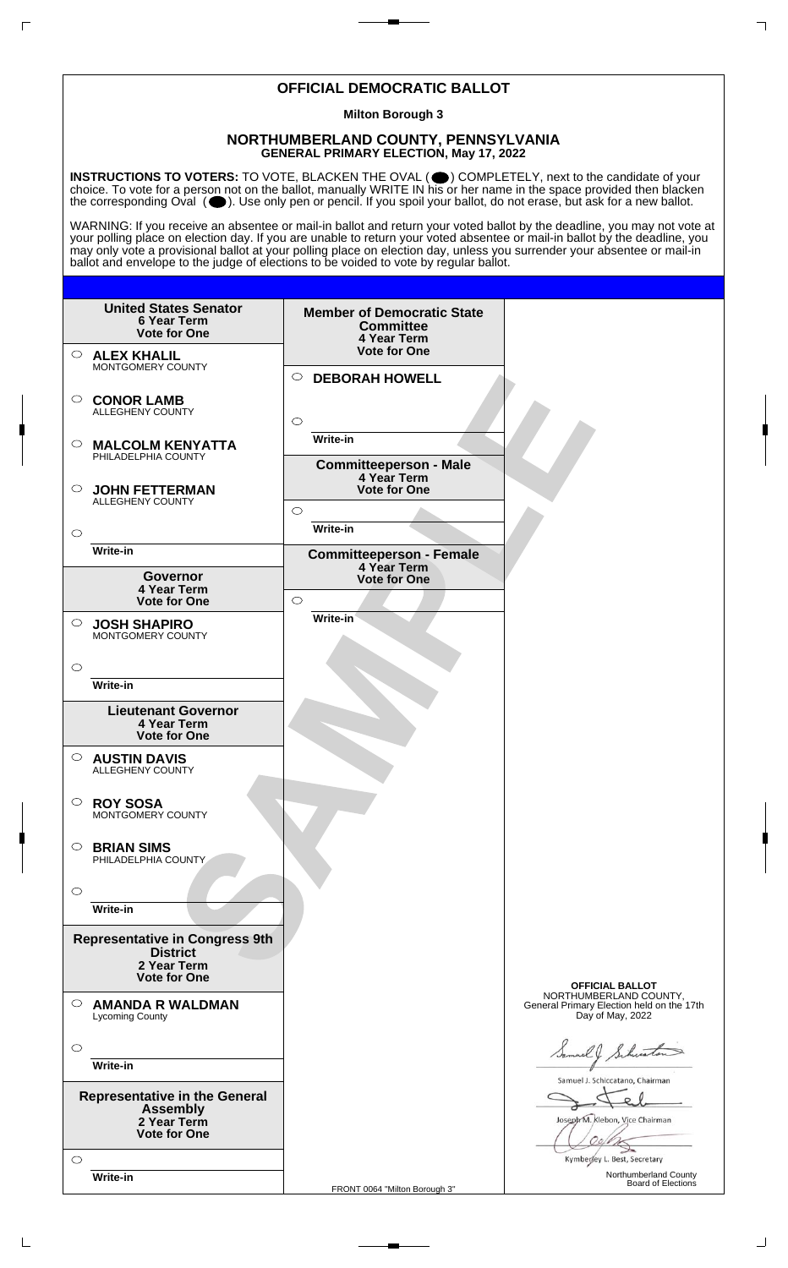|                                                                                        | <b>OFFICIAL DEMOCRATIC BALLOT</b>                                                                                                                                                                                                                                                                                                                                                                                                                                         |                                                                                         |  |  |
|----------------------------------------------------------------------------------------|---------------------------------------------------------------------------------------------------------------------------------------------------------------------------------------------------------------------------------------------------------------------------------------------------------------------------------------------------------------------------------------------------------------------------------------------------------------------------|-----------------------------------------------------------------------------------------|--|--|
|                                                                                        | <b>Milton Borough 3</b>                                                                                                                                                                                                                                                                                                                                                                                                                                                   |                                                                                         |  |  |
|                                                                                        | NORTHUMBERLAND COUNTY, PENNSYLVANIA<br><b>GENERAL PRIMARY ELECTION, May 17, 2022</b>                                                                                                                                                                                                                                                                                                                                                                                      |                                                                                         |  |  |
|                                                                                        | <b>INSTRUCTIONS TO VOTERS:</b> TO VOTE, BLACKEN THE OVAL (O) COMPLETELY, next to the candidate of your<br>choice. To vote for a person not on the ballot, manually WRITE IN his or her name in the space provided then blacken<br>the corresponding Oval (O). Use only pen or pencil. If you spoil your ballot, do not erase, but ask for a new ballot.                                                                                                                   |                                                                                         |  |  |
|                                                                                        | WARNING: If you receive an absentee or mail-in ballot and return your voted ballot by the deadline, you may not vote at<br>your polling place on election day. If you are unable to return your voted absentee or mail-in ballot by the deadline, you<br>may only vote a provisional ballot at your polling place on election day, unless you surrender your absentee or mail-in<br>ballot and envelope to the judge of elections to be voided to vote by regular ballot. |                                                                                         |  |  |
|                                                                                        |                                                                                                                                                                                                                                                                                                                                                                                                                                                                           |                                                                                         |  |  |
| <b>United States Senator</b><br><b>6 Year Term</b>                                     | <b>Member of Democratic State</b><br><b>Committee</b>                                                                                                                                                                                                                                                                                                                                                                                                                     |                                                                                         |  |  |
| <b>Vote for One</b><br><b>ALEX KHALIL</b><br>O.                                        | 4 Year Term<br><b>Vote for One</b>                                                                                                                                                                                                                                                                                                                                                                                                                                        |                                                                                         |  |  |
| MONTGOMERY COUNTY                                                                      | $\circ$<br><b>DEBORAH HOWELL</b>                                                                                                                                                                                                                                                                                                                                                                                                                                          |                                                                                         |  |  |
| $\circ$<br><b>CONOR LAMB</b><br>ALLEGHENY COUNTY                                       | $\circ$                                                                                                                                                                                                                                                                                                                                                                                                                                                                   |                                                                                         |  |  |
| <b>MALCOLM KENYATTA</b><br>$\circ$<br>PHILADELPHIA COUNTY                              | <b>Write-in</b>                                                                                                                                                                                                                                                                                                                                                                                                                                                           |                                                                                         |  |  |
| $\circlearrowright$<br><b>JOHN FETTERMAN</b>                                           | <b>Committeeperson - Male</b><br>4 Year Term<br><b>Vote for One</b>                                                                                                                                                                                                                                                                                                                                                                                                       |                                                                                         |  |  |
| <b>ALLEGHENY COUNTY</b><br>$\circ$                                                     | $\circ$<br><b>Write-in</b>                                                                                                                                                                                                                                                                                                                                                                                                                                                |                                                                                         |  |  |
| <b>Write-in</b>                                                                        | <b>Committeeperson - Female</b>                                                                                                                                                                                                                                                                                                                                                                                                                                           |                                                                                         |  |  |
| Governor<br>4 Year Term                                                                | 4 Year Term<br>Vote for One                                                                                                                                                                                                                                                                                                                                                                                                                                               |                                                                                         |  |  |
| <b>Vote for One</b><br>O<br><b>JOSH SHAPIRO</b><br>MONTGOMERY COUNTY                   | $\circ$<br>Write-in                                                                                                                                                                                                                                                                                                                                                                                                                                                       |                                                                                         |  |  |
| $\circ$                                                                                |                                                                                                                                                                                                                                                                                                                                                                                                                                                                           |                                                                                         |  |  |
| Write-in                                                                               |                                                                                                                                                                                                                                                                                                                                                                                                                                                                           |                                                                                         |  |  |
| <b>Lieutenant Governor</b><br>4 Year Term<br><b>Vote for One</b>                       |                                                                                                                                                                                                                                                                                                                                                                                                                                                                           |                                                                                         |  |  |
| <b>AUSTIN DAVIS</b><br>$\circ$<br><b>ALLEGHENY COUNTY</b>                              |                                                                                                                                                                                                                                                                                                                                                                                                                                                                           |                                                                                         |  |  |
| <b>ROY SOSA</b><br>O<br>MONTGOMERY COUNTY                                              |                                                                                                                                                                                                                                                                                                                                                                                                                                                                           |                                                                                         |  |  |
| <b>BRIAN SIMS</b><br>$\circ$<br>PHILADELPHIA COUNTY                                    |                                                                                                                                                                                                                                                                                                                                                                                                                                                                           |                                                                                         |  |  |
| $\circ$<br><b>Write-in</b>                                                             |                                                                                                                                                                                                                                                                                                                                                                                                                                                                           |                                                                                         |  |  |
| <b>Representative in Congress 9th</b>                                                  |                                                                                                                                                                                                                                                                                                                                                                                                                                                                           |                                                                                         |  |  |
| <b>District</b><br>2 Year Term<br><b>Vote for One</b>                                  |                                                                                                                                                                                                                                                                                                                                                                                                                                                                           | <b>OFFICIAL BALLOT</b>                                                                  |  |  |
| <b>AMANDA R WALDMAN</b><br>O<br><b>Lycoming County</b>                                 |                                                                                                                                                                                                                                                                                                                                                                                                                                                                           | NORTHUMBERLAND COUNTY.<br>General Primary Election held on the 17th<br>Day of May, 2022 |  |  |
| $\circ$                                                                                |                                                                                                                                                                                                                                                                                                                                                                                                                                                                           |                                                                                         |  |  |
| <b>Write-in</b>                                                                        |                                                                                                                                                                                                                                                                                                                                                                                                                                                                           | Samuel J. Schiccatano, Chairman                                                         |  |  |
| <b>Representative in the General</b><br><b>Assembly</b><br>2 Year Term<br>Vote for One |                                                                                                                                                                                                                                                                                                                                                                                                                                                                           | Joseph M. Klebon, Vice Chairman                                                         |  |  |
| $\circ$                                                                                |                                                                                                                                                                                                                                                                                                                                                                                                                                                                           | Kymberley L. Best, Secretary                                                            |  |  |
| Write-in                                                                               | FRONT 0064 "Milton Borough 3"                                                                                                                                                                                                                                                                                                                                                                                                                                             | Northumberland County<br>Board of Elections                                             |  |  |

 $\Box$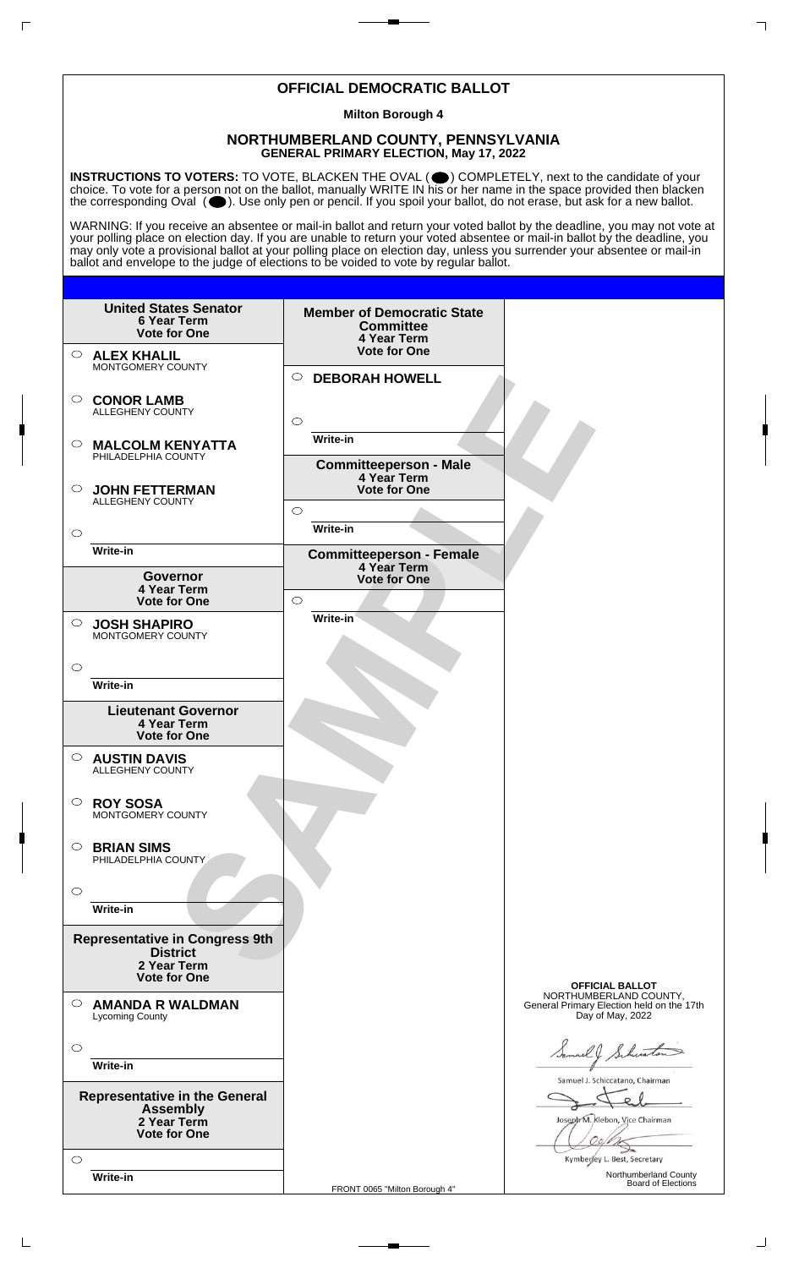|                     | <b>OFFICIAL DEMOCRATIC BALLOT</b>                                                             |                                                                                                                                                                                                                                                                                                                                                                                                                                                                           |                                                                                               |  |
|---------------------|-----------------------------------------------------------------------------------------------|---------------------------------------------------------------------------------------------------------------------------------------------------------------------------------------------------------------------------------------------------------------------------------------------------------------------------------------------------------------------------------------------------------------------------------------------------------------------------|-----------------------------------------------------------------------------------------------|--|
|                     | <b>Milton Borough 4</b>                                                                       |                                                                                                                                                                                                                                                                                                                                                                                                                                                                           |                                                                                               |  |
|                     |                                                                                               | NORTHUMBERLAND COUNTY, PENNSYLVANIA<br><b>GENERAL PRIMARY ELECTION, May 17, 2022</b>                                                                                                                                                                                                                                                                                                                                                                                      |                                                                                               |  |
|                     |                                                                                               | <b>INSTRUCTIONS TO VOTERS:</b> TO VOTE, BLACKEN THE OVAL (O) COMPLETELY, next to the candidate of your choice. To vote for a person not on the ballot, manually WRITE IN his or her name in the space provided then blacken<br>the corresponding Oval (O). Use only pen or pencil. If you spoil your ballot, do not erase, but ask for a new ballot.                                                                                                                      |                                                                                               |  |
|                     |                                                                                               | WARNING: If you receive an absentee or mail-in ballot and return your voted ballot by the deadline, you may not vote at<br>your polling place on election day. If you are unable to return your voted absentee or mail-in ballot by the deadline, you<br>may only vote a provisional ballot at your polling place on election day, unless you surrender your absentee or mail-in<br>ballot and envelope to the judge of elections to be voided to vote by regular ballot. |                                                                                               |  |
|                     |                                                                                               |                                                                                                                                                                                                                                                                                                                                                                                                                                                                           |                                                                                               |  |
|                     | <b>United States Senator</b>                                                                  | <b>Member of Democratic State</b>                                                                                                                                                                                                                                                                                                                                                                                                                                         |                                                                                               |  |
|                     | <b>6 Year Term</b><br><b>Vote for One</b><br>$\circ$ ALEX KHALIL                              | <b>Committee</b><br>4 Year Term<br><b>Vote for One</b>                                                                                                                                                                                                                                                                                                                                                                                                                    |                                                                                               |  |
|                     | MONTGOMERY COUNTY                                                                             | O<br><b>DEBORAH HOWELL</b>                                                                                                                                                                                                                                                                                                                                                                                                                                                |                                                                                               |  |
| $\circ$             | <b>CONOR LAMB</b><br>ALLEGHENY COUNTY                                                         | $\circ$                                                                                                                                                                                                                                                                                                                                                                                                                                                                   |                                                                                               |  |
| O.                  | <b>MALCOLM KENYATTA</b><br>PHILADELPHIA COUNTY                                                | Write-in<br><b>Committeeperson - Male</b>                                                                                                                                                                                                                                                                                                                                                                                                                                 |                                                                                               |  |
| $\circ$             | <b>JOHN FETTERMAN</b><br><b>ALLEGHENY COUNTY</b>                                              | 4 Year Term<br><b>Vote for One</b>                                                                                                                                                                                                                                                                                                                                                                                                                                        |                                                                                               |  |
| $\circlearrowright$ |                                                                                               | $\circ$<br><b>Write-in</b>                                                                                                                                                                                                                                                                                                                                                                                                                                                |                                                                                               |  |
|                     | <b>Write-in</b>                                                                               | <b>Committeeperson - Female</b>                                                                                                                                                                                                                                                                                                                                                                                                                                           |                                                                                               |  |
|                     | 4 Year Term<br><b>Governor</b><br><b>Vote for One</b>                                         |                                                                                                                                                                                                                                                                                                                                                                                                                                                                           |                                                                                               |  |
|                     | 4 Year Term<br><b>Vote for One</b>                                                            | $\circ$                                                                                                                                                                                                                                                                                                                                                                                                                                                                   |                                                                                               |  |
| $\circ$             | <b>JOSH SHAPIRO</b><br>MONTGOMERY COUNTY                                                      | Write-in                                                                                                                                                                                                                                                                                                                                                                                                                                                                  |                                                                                               |  |
| $\circ$             |                                                                                               |                                                                                                                                                                                                                                                                                                                                                                                                                                                                           |                                                                                               |  |
|                     | Write-in                                                                                      |                                                                                                                                                                                                                                                                                                                                                                                                                                                                           |                                                                                               |  |
|                     | <b>Lieutenant Governor</b><br>4 Year Term<br><b>Vote for One</b>                              |                                                                                                                                                                                                                                                                                                                                                                                                                                                                           |                                                                                               |  |
|                     | $\circ$ AUSTIN DAVIS<br><b>ALLEGHENY COUNTY</b>                                               |                                                                                                                                                                                                                                                                                                                                                                                                                                                                           |                                                                                               |  |
| O                   | <b>ROY SOSA</b><br>MONTGOMERY COUNTY                                                          |                                                                                                                                                                                                                                                                                                                                                                                                                                                                           |                                                                                               |  |
| O                   | <b>BRIAN SIMS</b><br>PHILADELPHIA COUNTY                                                      |                                                                                                                                                                                                                                                                                                                                                                                                                                                                           |                                                                                               |  |
| $\circ$             | <b>Write-in</b>                                                                               |                                                                                                                                                                                                                                                                                                                                                                                                                                                                           |                                                                                               |  |
|                     |                                                                                               |                                                                                                                                                                                                                                                                                                                                                                                                                                                                           |                                                                                               |  |
|                     | <b>Representative in Congress 9th</b><br><b>District</b><br>2 Year Term                       |                                                                                                                                                                                                                                                                                                                                                                                                                                                                           |                                                                                               |  |
| O                   | <b>Vote for One</b><br><b>AMANDA R WALDMAN</b>                                                |                                                                                                                                                                                                                                                                                                                                                                                                                                                                           | <b>OFFICIAL BALLOT</b><br>NORTHUMBERLAND COUNTY,<br>General Primary Election held on the 17th |  |
|                     | <b>Lycoming County</b>                                                                        |                                                                                                                                                                                                                                                                                                                                                                                                                                                                           | Day of May, 2022                                                                              |  |
| $\circ$             | <b>Write-in</b>                                                                               |                                                                                                                                                                                                                                                                                                                                                                                                                                                                           |                                                                                               |  |
|                     | <b>Representative in the General</b><br><b>Assembly</b><br>2 Year Term<br><b>Vote for One</b> |                                                                                                                                                                                                                                                                                                                                                                                                                                                                           | Samuel J. Schiccatano, Chairman<br>Joseph M. Klebon, Vice Chairman                            |  |
| $\circlearrowright$ |                                                                                               |                                                                                                                                                                                                                                                                                                                                                                                                                                                                           | Kymberley L. Best, Secretary                                                                  |  |
|                     | Write-in                                                                                      | FRONT 0065 "Milton Borough 4"                                                                                                                                                                                                                                                                                                                                                                                                                                             | Northumberland County<br>Board of Elections                                                   |  |

 $\Box$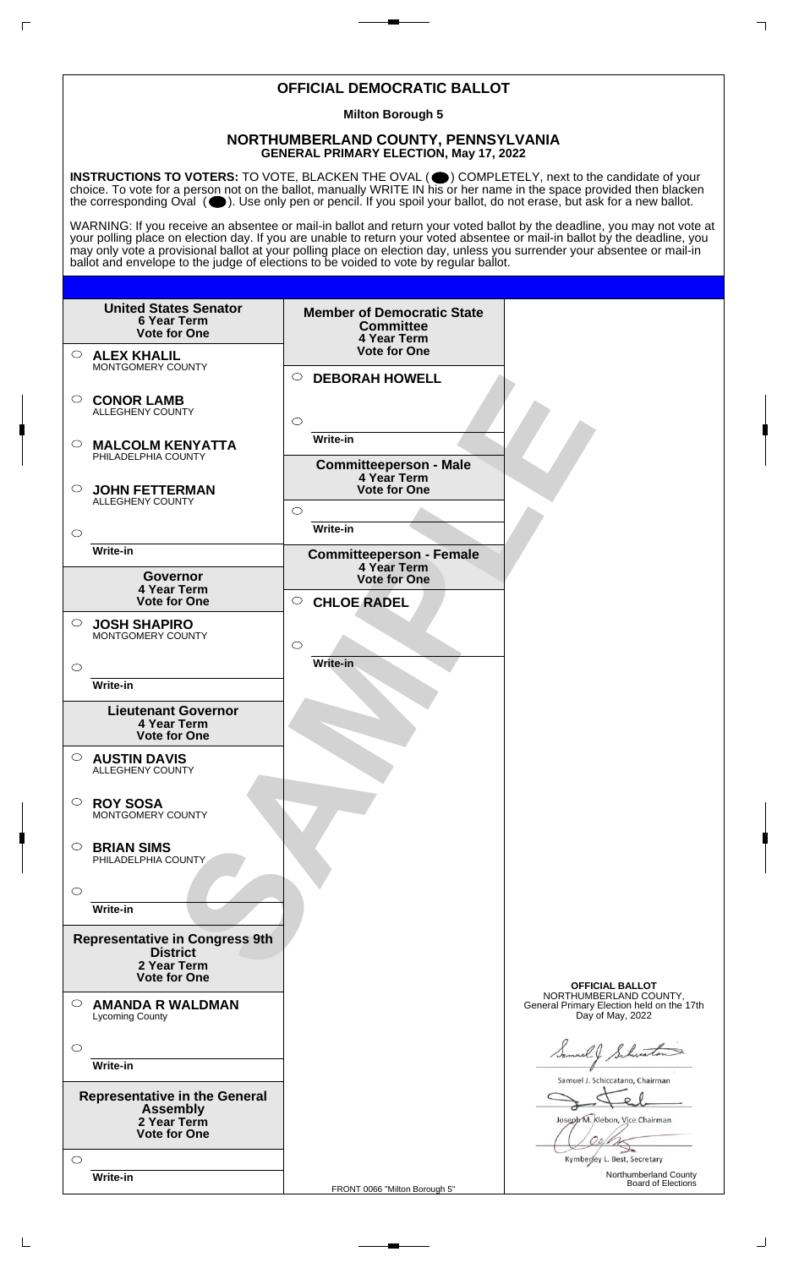|                                                                                                | <b>OFFICIAL DEMOCRATIC BALLOT</b>                                                                                                                                                                                                                                                                                                                                                                                                                                         |                                                                                                                   |
|------------------------------------------------------------------------------------------------|---------------------------------------------------------------------------------------------------------------------------------------------------------------------------------------------------------------------------------------------------------------------------------------------------------------------------------------------------------------------------------------------------------------------------------------------------------------------------|-------------------------------------------------------------------------------------------------------------------|
|                                                                                                | <b>Milton Borough 5</b>                                                                                                                                                                                                                                                                                                                                                                                                                                                   |                                                                                                                   |
|                                                                                                | NORTHUMBERLAND COUNTY, PENNSYLVANIA<br><b>GENERAL PRIMARY ELECTION, May 17, 2022</b>                                                                                                                                                                                                                                                                                                                                                                                      |                                                                                                                   |
|                                                                                                | INSTRUCTIONS TO VOTERS: TO VOTE, BLACKEN THE OVAL (O) COMPLETELY, next to the candidate of your<br>choice. To vote for a person not on the ballot, manually WRITE IN his or her name in the space provided then blacken<br>the corresponding Oval (O). Use only pen or pencil. If you spoil your ballot, do not erase, but ask for a new ballot.                                                                                                                          |                                                                                                                   |
|                                                                                                | WARNING: If you receive an absentee or mail-in ballot and return your voted ballot by the deadline, you may not vote at<br>your polling place on election day. If you are unable to return your voted absentee or mail-in ballot by the deadline, you<br>may only vote a provisional ballot at your polling place on election day, unless you surrender your absentee or mail-in<br>ballot and envelope to the judge of elections to be voided to vote by regular ballot. |                                                                                                                   |
| <b>United States Senator</b>                                                                   | <b>Member of Democratic State</b>                                                                                                                                                                                                                                                                                                                                                                                                                                         |                                                                                                                   |
| 6 Year Term<br><b>Vote for One</b>                                                             | <b>Committee</b><br>4 Year Term<br><b>Vote for One</b>                                                                                                                                                                                                                                                                                                                                                                                                                    |                                                                                                                   |
| <b>ALEX KHALIL</b><br>O.<br><b>MONTGOMERY COUNTY</b>                                           | O<br><b>DEBORAH HOWELL</b>                                                                                                                                                                                                                                                                                                                                                                                                                                                |                                                                                                                   |
| $\circ$<br><b>CONOR LAMB</b><br><b>ALLEGHENY COUNTY</b>                                        | ◯                                                                                                                                                                                                                                                                                                                                                                                                                                                                         |                                                                                                                   |
| <b>MALCOLM KENYATTA</b><br>$\circ$<br>PHILADELPHIA COUNTY                                      | <b>Write-in</b><br><b>Committeeperson - Male</b>                                                                                                                                                                                                                                                                                                                                                                                                                          |                                                                                                                   |
| $\circ$<br><b>JOHN FETTERMAN</b><br><b>ALLEGHENY COUNTY</b>                                    | 4 Year Term<br><b>Vote for One</b>                                                                                                                                                                                                                                                                                                                                                                                                                                        |                                                                                                                   |
| $\circ$                                                                                        | ◯<br><b>Write-in</b>                                                                                                                                                                                                                                                                                                                                                                                                                                                      |                                                                                                                   |
| <b>Write-in</b>                                                                                | <b>Committeeperson - Female</b><br>4 Year Term                                                                                                                                                                                                                                                                                                                                                                                                                            |                                                                                                                   |
| Governor<br>4 Year Term<br><b>Vote for One</b>                                                 | <b>Vote for One</b><br>$\circ$<br><b>CHLOE RADEL</b>                                                                                                                                                                                                                                                                                                                                                                                                                      |                                                                                                                   |
| <b>JOSH SHAPIRO</b><br>$\circ$<br>MONTGOMERY COUNTY                                            | $\circlearrowright$                                                                                                                                                                                                                                                                                                                                                                                                                                                       |                                                                                                                   |
| $\circlearrowright$<br><b>Write-in</b>                                                         | Write-in                                                                                                                                                                                                                                                                                                                                                                                                                                                                  |                                                                                                                   |
| <b>Lieutenant Governor</b><br>4 Year Term<br><b>Vote for One</b>                               |                                                                                                                                                                                                                                                                                                                                                                                                                                                                           |                                                                                                                   |
| $\circ$<br><b>AUSTIN DAVIS</b><br><b>ALLEGHENY COUNTY</b>                                      |                                                                                                                                                                                                                                                                                                                                                                                                                                                                           |                                                                                                                   |
| <b>ROY SOSA</b><br>$\circ$<br><b>MONTGOMERY COUNTY</b>                                         |                                                                                                                                                                                                                                                                                                                                                                                                                                                                           |                                                                                                                   |
| O<br><b>BRIAN SIMS</b><br>PHILADELPHIA COUNTY                                                  |                                                                                                                                                                                                                                                                                                                                                                                                                                                                           |                                                                                                                   |
| $\circ$<br>Write-in                                                                            |                                                                                                                                                                                                                                                                                                                                                                                                                                                                           |                                                                                                                   |
| <b>Representative in Congress 9th</b><br><b>District</b><br>2 Year Term<br><b>Vote for One</b> |                                                                                                                                                                                                                                                                                                                                                                                                                                                                           |                                                                                                                   |
| <b>AMANDA R WALDMAN</b><br>O<br><b>Lycoming County</b>                                         |                                                                                                                                                                                                                                                                                                                                                                                                                                                                           | <b>OFFICIAL BALLOT</b><br>NORTHUMBERLAND COUNTY,<br>General Primary Election held on the 17th<br>Day of May, 2022 |
| $\circ$                                                                                        |                                                                                                                                                                                                                                                                                                                                                                                                                                                                           |                                                                                                                   |
| <b>Write-in</b>                                                                                |                                                                                                                                                                                                                                                                                                                                                                                                                                                                           | Samuel J. Schiccatano, Chairman                                                                                   |
| <b>Representative in the General</b><br><b>Assembly</b><br>2 Year Term<br><b>Vote for One</b>  |                                                                                                                                                                                                                                                                                                                                                                                                                                                                           | Joseph M. Klebon, Vice Chairman                                                                                   |
| $\circ$                                                                                        |                                                                                                                                                                                                                                                                                                                                                                                                                                                                           | Kymberley L. Best, Secretary                                                                                      |
| Write-in                                                                                       | FRONT 0066 "Milton Borough 5"                                                                                                                                                                                                                                                                                                                                                                                                                                             | Northumberland County<br>Board of Elections                                                                       |

 $\mathsf{L}% _{0}\left( \mathcal{A}_{0}\right) ^{\ast }=\mathsf{L}_{0}\left( \mathcal{A}_{0}\right) ^{\ast }$ 

 $\perp$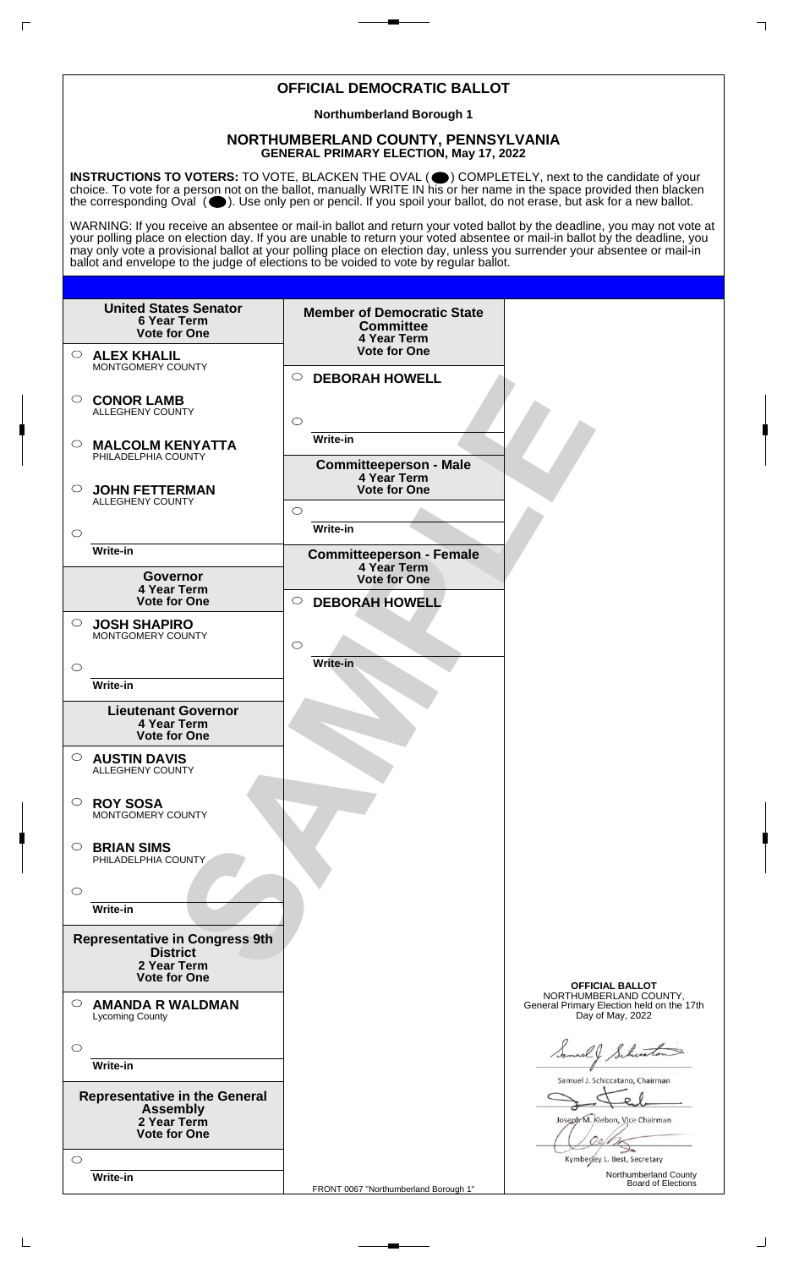| <b>OFFICIAL DEMOCRATIC BALLOT</b>                                                              |                                                                                                                                                                                                                                                                                                                                                                                                                                                                           |  |  |  |
|------------------------------------------------------------------------------------------------|---------------------------------------------------------------------------------------------------------------------------------------------------------------------------------------------------------------------------------------------------------------------------------------------------------------------------------------------------------------------------------------------------------------------------------------------------------------------------|--|--|--|
|                                                                                                | <b>Northumberland Borough 1</b>                                                                                                                                                                                                                                                                                                                                                                                                                                           |  |  |  |
| NORTHUMBERLAND COUNTY, PENNSYLVANIA<br><b>GENERAL PRIMARY ELECTION, May 17, 2022</b>           |                                                                                                                                                                                                                                                                                                                                                                                                                                                                           |  |  |  |
|                                                                                                | <b>INSTRUCTIONS TO VOTERS:</b> TO VOTE, BLACKEN THE OVAL (O) COMPLETELY, next to the candidate of your choice. To vote for a person not on the ballot, manually WRITE IN his or her name in the space provided then blacken<br>the corresponding Oval (O). Use only pen or pencil. If you spoil your ballot, do not erase, but ask for a new ballot.                                                                                                                      |  |  |  |
|                                                                                                | WARNING: If you receive an absentee or mail-in ballot and return your voted ballot by the deadline, you may not vote at<br>your polling place on election day. If you are unable to return your voted absentee or mail-in ballot by the deadline, you<br>may only vote a provisional ballot at your polling place on election day, unless you surrender your absentee or mail-in<br>ballot and envelope to the judge of elections to be voided to vote by regular ballot. |  |  |  |
|                                                                                                |                                                                                                                                                                                                                                                                                                                                                                                                                                                                           |  |  |  |
| <b>United States Senator</b><br><b>6 Year Term</b><br><b>Vote for One</b>                      | <b>Member of Democratic State</b><br><b>Committee</b><br>4 Year Term<br><b>Vote for One</b>                                                                                                                                                                                                                                                                                                                                                                               |  |  |  |
| $\circ$<br><b>ALEX KHALIL</b><br>MONTGOMERY COUNTY                                             | $\circ$<br><b>DEBORAH HOWELL</b>                                                                                                                                                                                                                                                                                                                                                                                                                                          |  |  |  |
| $\circ$<br><b>CONOR LAMB</b><br><b>ALLEGHENY COUNTY</b>                                        |                                                                                                                                                                                                                                                                                                                                                                                                                                                                           |  |  |  |
| $\circ$<br><b>MALCOLM KENYATTA</b>                                                             | $\bigcirc$<br><b>Write-in</b>                                                                                                                                                                                                                                                                                                                                                                                                                                             |  |  |  |
| PHILADELPHIA COUNTY                                                                            | <b>Committeeperson - Male</b><br>4 Year Term                                                                                                                                                                                                                                                                                                                                                                                                                              |  |  |  |
| $\circ$<br><b>JOHN FETTERMAN</b><br><b>ALLEGHENY COUNTY</b>                                    | <b>Vote for One</b><br>$\circ$                                                                                                                                                                                                                                                                                                                                                                                                                                            |  |  |  |
| $\circ$<br><b>Write-in</b>                                                                     | <b>Write-in</b><br><b>Committeeperson - Female</b>                                                                                                                                                                                                                                                                                                                                                                                                                        |  |  |  |
| Governor<br>4 Year Term                                                                        | 4 Year Term<br><b>Vote for One</b>                                                                                                                                                                                                                                                                                                                                                                                                                                        |  |  |  |
| <b>Vote for One</b><br>$\circ$<br><b>JOSH SHAPIRO</b>                                          | <b>DEBORAH HOWELL</b><br>$\circ$                                                                                                                                                                                                                                                                                                                                                                                                                                          |  |  |  |
| MONTGOMERY COUNTY                                                                              | $\circ$                                                                                                                                                                                                                                                                                                                                                                                                                                                                   |  |  |  |
| $\circ$<br>Write-in                                                                            | <b>Write-in</b>                                                                                                                                                                                                                                                                                                                                                                                                                                                           |  |  |  |
| <b>Lieutenant Governor</b><br>4 Year Term<br><b>Vote for One</b>                               |                                                                                                                                                                                                                                                                                                                                                                                                                                                                           |  |  |  |
| $\circ$<br><b>AUSTIN DAVIS</b><br><b>ALLEGHENY COUNTY</b>                                      |                                                                                                                                                                                                                                                                                                                                                                                                                                                                           |  |  |  |
| <b>ROY SOSA</b><br>$\circ$<br>MONTGOMERY COUNTY                                                |                                                                                                                                                                                                                                                                                                                                                                                                                                                                           |  |  |  |
| $\circ$<br><b>BRIAN SIMS</b><br>PHILADELPHIA COUNTY                                            |                                                                                                                                                                                                                                                                                                                                                                                                                                                                           |  |  |  |
| $\circ$<br><b>Write-in</b>                                                                     |                                                                                                                                                                                                                                                                                                                                                                                                                                                                           |  |  |  |
| <b>Representative in Congress 9th</b><br><b>District</b><br>2 Year Term<br><b>Vote for One</b> | <b>OFFICIAL BALLOT</b>                                                                                                                                                                                                                                                                                                                                                                                                                                                    |  |  |  |
| $\circ$<br><b>AMANDA R WALDMAN</b><br><b>Lycoming County</b>                                   | NORTHUMBERLAND COUNTY,<br>General Primary Election held on the 17th<br>Day of May, 2022                                                                                                                                                                                                                                                                                                                                                                                   |  |  |  |
| $\circ$<br><b>Write-in</b>                                                                     |                                                                                                                                                                                                                                                                                                                                                                                                                                                                           |  |  |  |
| <b>Representative in the General</b><br><b>Assembly</b><br>2 Year Term<br><b>Vote for One</b>  | Samuel J. Schiccatano, Chairman<br>Joseph M. Klebon, Vice Chairman                                                                                                                                                                                                                                                                                                                                                                                                        |  |  |  |
| $\circ$                                                                                        | Kymber/ey L. Best, Secretary                                                                                                                                                                                                                                                                                                                                                                                                                                              |  |  |  |

FRONT 0067 "Northumberland Borough 1

 $\Box$ 

 $\overline{\mathbb{F}}$ 

**Write-in**

 $\begin{array}{c} \mathcal{L} \end{array}$ 

Northumberland County Board of Elections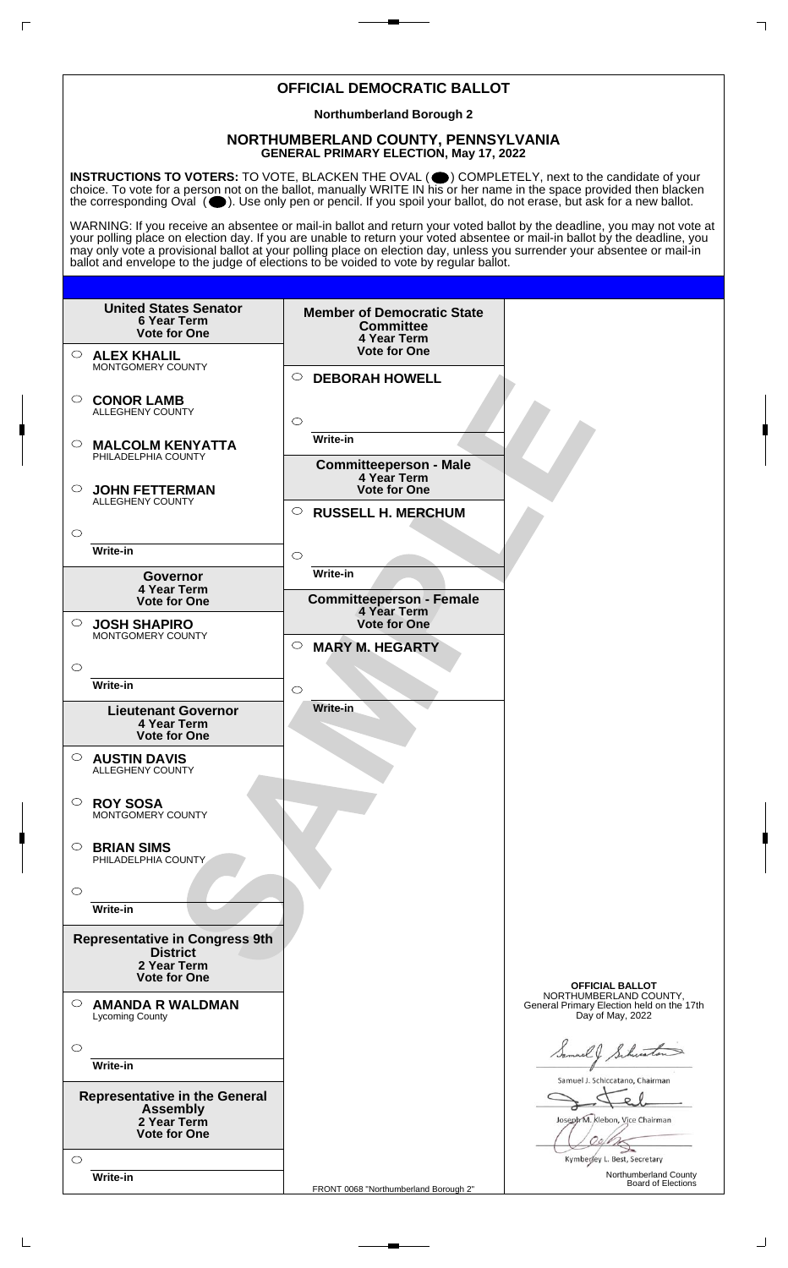|                                                                                      |                                                                                                | <b>OFFICIAL DEMOCRATIC BALLOT</b>                                                                                                                                                                                                                                                                                                                                                                                                                  |                                                                                         |  |
|--------------------------------------------------------------------------------------|------------------------------------------------------------------------------------------------|----------------------------------------------------------------------------------------------------------------------------------------------------------------------------------------------------------------------------------------------------------------------------------------------------------------------------------------------------------------------------------------------------------------------------------------------------|-----------------------------------------------------------------------------------------|--|
|                                                                                      |                                                                                                | <b>Northumberland Borough 2</b>                                                                                                                                                                                                                                                                                                                                                                                                                    |                                                                                         |  |
| NORTHUMBERLAND COUNTY, PENNSYLVANIA<br><b>GENERAL PRIMARY ELECTION, May 17, 2022</b> |                                                                                                |                                                                                                                                                                                                                                                                                                                                                                                                                                                    |                                                                                         |  |
|                                                                                      |                                                                                                | <b>INSTRUCTIONS TO VOTERS:</b> TO VOTE, BLACKEN THE OVAL (O) COMPLETELY, next to the candidate of your choice. To vote for a person not on the ballot, manually WRITE IN his or her name in the space provided then blacken<br>the corresponding Oval (O). Use only pen or pencil. If you spoil your ballot, do not erase, but ask for a new ballot.                                                                                               |                                                                                         |  |
|                                                                                      |                                                                                                | WARNING: If you receive an absentee or mail-in ballot and return your voted ballot by the deadline, you may not vote at<br>your polling place on election day. If you are unable to return your voted absentee or mail-in ballot by the deadline, you may only vote a provisional ballot at your polling place on election day, unless you surrender your<br>ballot and envelope to the judge of elections to be voided to vote by regular ballot. |                                                                                         |  |
|                                                                                      |                                                                                                |                                                                                                                                                                                                                                                                                                                                                                                                                                                    |                                                                                         |  |
|                                                                                      | <b>United States Senator</b><br><b>6 Year Term</b><br><b>Vote for One</b>                      | <b>Member of Democratic State</b><br><b>Committee</b><br>4 Year Term                                                                                                                                                                                                                                                                                                                                                                               |                                                                                         |  |
| $\circ$                                                                              | <b>ALEX KHALIL</b><br><b>MONTGOMERY COUNTY</b>                                                 | <b>Vote for One</b><br><b>DEBORAH HOWELL</b><br>O                                                                                                                                                                                                                                                                                                                                                                                                  |                                                                                         |  |
| O                                                                                    | <b>CONOR LAMB</b><br><b>ALLEGHENY COUNTY</b>                                                   | ◯                                                                                                                                                                                                                                                                                                                                                                                                                                                  |                                                                                         |  |
| O                                                                                    | <b>MALCOLM KENYATTA</b><br>PHILADELPHIA COUNTY                                                 | <b>Write-in</b>                                                                                                                                                                                                                                                                                                                                                                                                                                    |                                                                                         |  |
| $\circlearrowright$                                                                  | <b>JOHN FETTERMAN</b><br><b>ALLEGHENY COUNTY</b>                                               | <b>Committeeperson - Male</b><br>4 Year Term<br><b>Vote for One</b>                                                                                                                                                                                                                                                                                                                                                                                |                                                                                         |  |
| $\circlearrowright$                                                                  |                                                                                                | $\circ$<br><b>RUSSELL H. MERCHUM</b>                                                                                                                                                                                                                                                                                                                                                                                                               |                                                                                         |  |
|                                                                                      | <b>Write-in</b>                                                                                | ◯                                                                                                                                                                                                                                                                                                                                                                                                                                                  |                                                                                         |  |
|                                                                                      | Governor<br>4 Year Term<br><b>Vote for One</b>                                                 | <b>Write-in</b><br><b>Committeeperson - Female</b>                                                                                                                                                                                                                                                                                                                                                                                                 |                                                                                         |  |
| $\circlearrowright$                                                                  | <b>JOSH SHAPIRO</b><br>MONTGOMERY COUNTY                                                       | 4 Year Term<br><b>Vote for One</b><br><b>MARY M. HEGARTY</b><br>O                                                                                                                                                                                                                                                                                                                                                                                  |                                                                                         |  |
| $\circlearrowright$                                                                  | Write-in                                                                                       | $\circ$                                                                                                                                                                                                                                                                                                                                                                                                                                            |                                                                                         |  |
|                                                                                      | <b>Lieutenant Governor</b><br>4 Year Term<br><b>Vote for One</b>                               | <b>Write-in</b>                                                                                                                                                                                                                                                                                                                                                                                                                                    |                                                                                         |  |
| $\circ$                                                                              | <b>AUSTIN DAVIS</b><br><b>ALLEGHENY COUNTY</b>                                                 |                                                                                                                                                                                                                                                                                                                                                                                                                                                    |                                                                                         |  |
| $\circlearrowright$                                                                  | <b>ROY SOSA</b><br>MONTGOMERY COUNTY                                                           |                                                                                                                                                                                                                                                                                                                                                                                                                                                    |                                                                                         |  |
| $\circ$                                                                              | <b>BRIAN SIMS</b><br>PHILADELPHIA COUNTY                                                       |                                                                                                                                                                                                                                                                                                                                                                                                                                                    |                                                                                         |  |
| $\circ$                                                                              | <b>Write-in</b>                                                                                |                                                                                                                                                                                                                                                                                                                                                                                                                                                    |                                                                                         |  |
|                                                                                      | <b>Representative in Congress 9th</b><br><b>District</b><br>2 Year Term<br><b>Vote for One</b> |                                                                                                                                                                                                                                                                                                                                                                                                                                                    | <b>OFFICIAL BALLOT</b>                                                                  |  |
| $\circ$                                                                              | <b>AMANDA R WALDMAN</b><br><b>Lycoming County</b>                                              |                                                                                                                                                                                                                                                                                                                                                                                                                                                    | NORTHUMBERLAND COUNTY,<br>General Primary Election held on the 17th<br>Day of May, 2022 |  |
| $\circ$                                                                              | Write-in                                                                                       |                                                                                                                                                                                                                                                                                                                                                                                                                                                    |                                                                                         |  |
|                                                                                      | <b>Representative in the General</b><br><b>Assembly</b><br>2 Year Term<br><b>Vote for One</b>  |                                                                                                                                                                                                                                                                                                                                                                                                                                                    | Samuel J. Schiccatano, Chairman<br>Joseph M. Klebon, Vice Chairman                      |  |
| $\circ$                                                                              |                                                                                                |                                                                                                                                                                                                                                                                                                                                                                                                                                                    | Kymberley L. Best, Secretary                                                            |  |
|                                                                                      | <b>Write-in</b>                                                                                |                                                                                                                                                                                                                                                                                                                                                                                                                                                    | Northumberland County<br><b>Board of Elections</b>                                      |  |

 $\mathrel{\sqsubseteq}$ 

FRONT 0068 "Northumberland Borough 2

 $\top$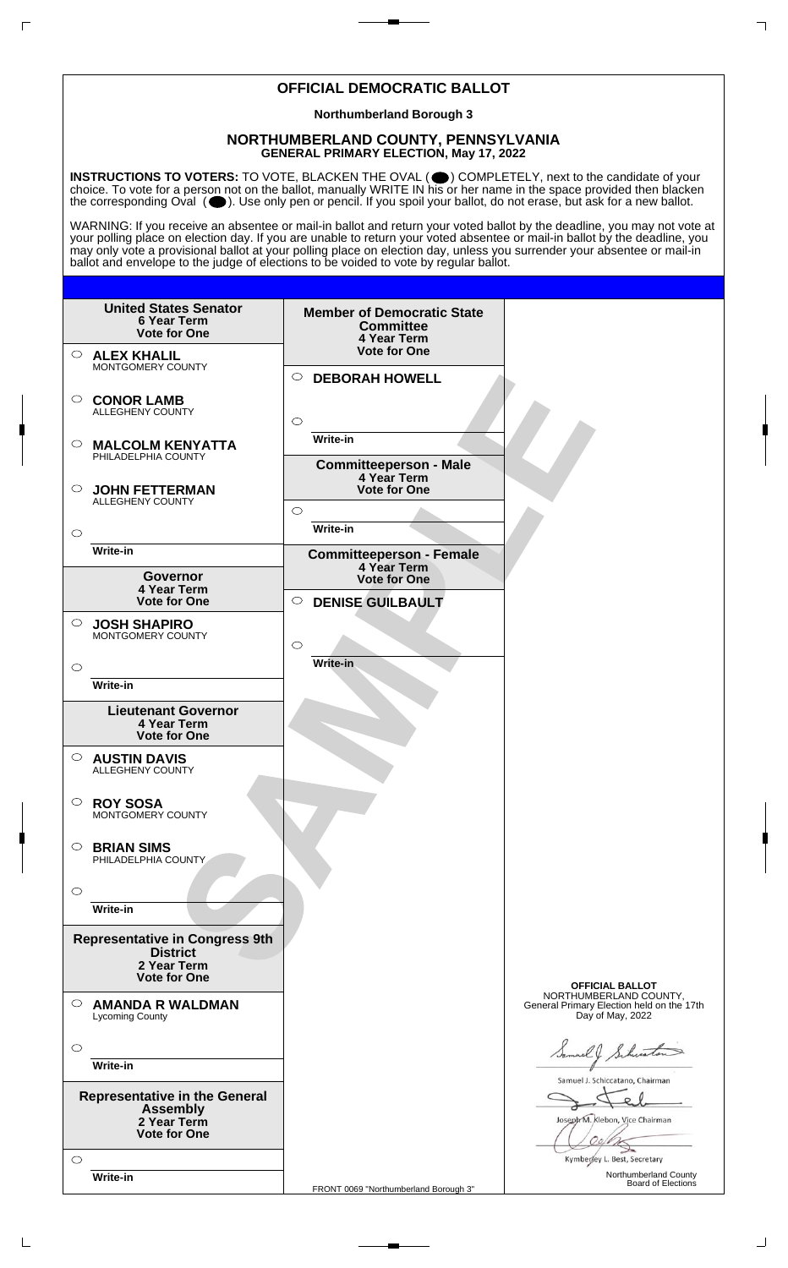|                     |                                                                                                | <b>OFFICIAL DEMOCRATIC BALLOT</b>                                                                                                                                                                                                                                                                                                                                                                                                                                         |  |  |
|---------------------|------------------------------------------------------------------------------------------------|---------------------------------------------------------------------------------------------------------------------------------------------------------------------------------------------------------------------------------------------------------------------------------------------------------------------------------------------------------------------------------------------------------------------------------------------------------------------------|--|--|
|                     |                                                                                                | <b>Northumberland Borough 3</b>                                                                                                                                                                                                                                                                                                                                                                                                                                           |  |  |
|                     |                                                                                                | NORTHUMBERLAND COUNTY, PENNSYLVANIA<br><b>GENERAL PRIMARY ELECTION, May 17, 2022</b>                                                                                                                                                                                                                                                                                                                                                                                      |  |  |
|                     |                                                                                                | <b>INSTRUCTIONS TO VOTERS:</b> TO VOTE, BLACKEN THE OVAL (O) COMPLETELY, next to the candidate of your choice. To vote for a person not on the ballot, manually WRITE IN his or her name in the space provided then blacken<br>the corresponding Oval (C). Use only pen or pencil. If you spoil your ballot, do not erase, but ask for a new ballot.                                                                                                                      |  |  |
|                     |                                                                                                | WARNING: If you receive an absentee or mail-in ballot and return your voted ballot by the deadline, you may not vote at<br>your polling place on election day. If you are unable to return your voted absentee or mail-in ballot by the deadline, you<br>may only vote a provisional ballot at your polling place on election day, unless you surrender your absentee or mail-in<br>ballot and envelope to the judge of elections to be voided to vote by regular ballot. |  |  |
|                     |                                                                                                |                                                                                                                                                                                                                                                                                                                                                                                                                                                                           |  |  |
|                     | <b>United States Senator</b><br><b>6 Year Term</b><br><b>Vote for One</b>                      | <b>Member of Democratic State</b><br><b>Committee</b><br>4 Year Term                                                                                                                                                                                                                                                                                                                                                                                                      |  |  |
|                     | $\circ$ ALEX KHALIL<br>MONTGOMERY COUNTY                                                       | <b>Vote for One</b>                                                                                                                                                                                                                                                                                                                                                                                                                                                       |  |  |
| $\circ$             | <b>CONOR LAMB</b>                                                                              | O<br><b>DEBORAH HOWELL</b>                                                                                                                                                                                                                                                                                                                                                                                                                                                |  |  |
|                     | <b>ALLEGHENY COUNTY</b>                                                                        | $\circ$                                                                                                                                                                                                                                                                                                                                                                                                                                                                   |  |  |
| $\circ$             | <b>MALCOLM KENYATTA</b><br>PHILADELPHIA COUNTY                                                 | <b>Write-in</b>                                                                                                                                                                                                                                                                                                                                                                                                                                                           |  |  |
| $\circ$             | <b>JOHN FETTERMAN</b>                                                                          | <b>Committeeperson - Male</b><br>4 Year Term<br><b>Vote for One</b>                                                                                                                                                                                                                                                                                                                                                                                                       |  |  |
|                     | <b>ALLEGHENY COUNTY</b>                                                                        | $\circ$                                                                                                                                                                                                                                                                                                                                                                                                                                                                   |  |  |
| $\circlearrowright$ |                                                                                                | Write-in                                                                                                                                                                                                                                                                                                                                                                                                                                                                  |  |  |
|                     | Write-in                                                                                       | <b>Committeeperson - Female</b><br>4 Year Term                                                                                                                                                                                                                                                                                                                                                                                                                            |  |  |
|                     | Governor<br>4 Year Term<br><b>Vote for One</b>                                                 | <b>Vote for One</b><br>$\circ$<br><b>DENISE GUILBAULT</b>                                                                                                                                                                                                                                                                                                                                                                                                                 |  |  |
| $\circ$             | <b>JOSH SHAPIRO</b>                                                                            |                                                                                                                                                                                                                                                                                                                                                                                                                                                                           |  |  |
|                     | MONTGOMERY COUNTY                                                                              | $\circ$                                                                                                                                                                                                                                                                                                                                                                                                                                                                   |  |  |
| $\circ$             | <b>Write-in</b>                                                                                | <b>Write-in</b>                                                                                                                                                                                                                                                                                                                                                                                                                                                           |  |  |
|                     | <b>Lieutenant Governor</b>                                                                     |                                                                                                                                                                                                                                                                                                                                                                                                                                                                           |  |  |
|                     | 4 Year Term<br><b>Vote for One</b>                                                             |                                                                                                                                                                                                                                                                                                                                                                                                                                                                           |  |  |
| $\circ$             | <b>AUSTIN DAVIS</b><br><b>ALLEGHENY COUNTY</b>                                                 |                                                                                                                                                                                                                                                                                                                                                                                                                                                                           |  |  |
| $\circ$             | <b>ROY SOSA</b><br>MONTGOMERY COUNTY                                                           |                                                                                                                                                                                                                                                                                                                                                                                                                                                                           |  |  |
| $\circ$             | <b>BRIAN SIMS</b><br>PHILADELPHIA COUNTY                                                       |                                                                                                                                                                                                                                                                                                                                                                                                                                                                           |  |  |
| O                   | <b>Write-in</b>                                                                                |                                                                                                                                                                                                                                                                                                                                                                                                                                                                           |  |  |
|                     | <b>Representative in Congress 9th</b><br><b>District</b><br>2 Year Term<br><b>Vote for One</b> | <b>OFFICIAL BALLOT</b>                                                                                                                                                                                                                                                                                                                                                                                                                                                    |  |  |
| $\circ$             | <b>AMANDA R WALDMAN</b><br><b>Lycoming County</b>                                              | NORTHUMBERLAND COUNTY,<br>General Primary Election held on the 17th<br>Day of May, 2022                                                                                                                                                                                                                                                                                                                                                                                   |  |  |
| ◯                   |                                                                                                |                                                                                                                                                                                                                                                                                                                                                                                                                                                                           |  |  |
|                     | <b>Write-in</b><br>Samuel J. Schiccatano, Chairman                                             |                                                                                                                                                                                                                                                                                                                                                                                                                                                                           |  |  |
|                     | <b>Representative in the General</b><br><b>Assembly</b><br>2 Year Term<br><b>Vote for One</b>  | Joseph M. Klebon, Vice Chairman<br>odb                                                                                                                                                                                                                                                                                                                                                                                                                                    |  |  |

FRONT 0069 "Northumberland Borough 3"

**Write-in**

 $\bigcirc$ 

 $\overline{\mathsf{L}}$ 

 $\overline{\Gamma}$ 

Kymberley L. Best, Secretary

Northumberland County Board of Elections

 $\Box$ 

 $\begin{array}{c} \begin{array}{c} \begin{array}{c} \begin{array}{c} \end{array} \end{array} \end{array} \end{array} \end{array}$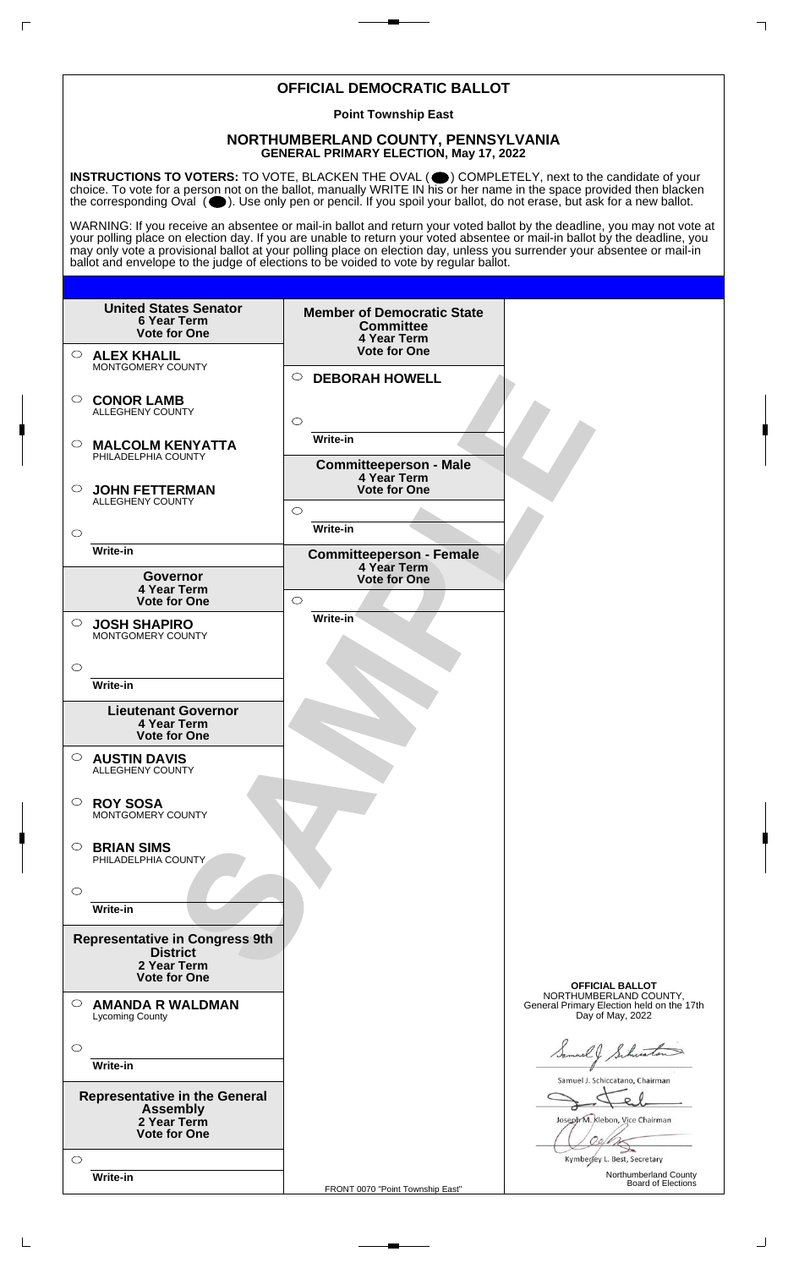|                                                                                                | <b>OFFICIAL DEMOCRATIC BALLOT</b>                                                                                                                                                                                                                                                                                                                                                                                                                                         |                                                                                         |
|------------------------------------------------------------------------------------------------|---------------------------------------------------------------------------------------------------------------------------------------------------------------------------------------------------------------------------------------------------------------------------------------------------------------------------------------------------------------------------------------------------------------------------------------------------------------------------|-----------------------------------------------------------------------------------------|
|                                                                                                | <b>Point Township East</b>                                                                                                                                                                                                                                                                                                                                                                                                                                                |                                                                                         |
|                                                                                                | NORTHUMBERLAND COUNTY, PENNSYLVANIA<br><b>GENERAL PRIMARY ELECTION, May 17, 2022</b>                                                                                                                                                                                                                                                                                                                                                                                      |                                                                                         |
|                                                                                                | INSTRUCTIONS TO VOTERS: TO VOTE, BLACKEN THE OVAL (O) COMPLETELY, next to the candidate of your choice. To vote for a person not on the ballot, manually WRITE IN his or her name in the space provided then blacken the corre                                                                                                                                                                                                                                            |                                                                                         |
|                                                                                                | WARNING: If you receive an absentee or mail-in ballot and return your voted ballot by the deadline, you may not vote at<br>your polling place on election day. If you are unable to return your voted absentee or mail-in ballot by the deadline, you<br>may only vote a provisional ballot at your polling place on election day, unless you surrender your absentee or mail-in<br>ballot and envelope to the judge of elections to be voided to vote by regular ballot. |                                                                                         |
|                                                                                                |                                                                                                                                                                                                                                                                                                                                                                                                                                                                           |                                                                                         |
| <b>United States Senator</b><br><b>6 Year Term</b><br><b>Vote for One</b>                      | <b>Member of Democratic State</b><br><b>Committee</b><br>4 Year Term                                                                                                                                                                                                                                                                                                                                                                                                      |                                                                                         |
| $\circ$ ALEX KHALIL<br>MONTGOMERY COUNTY                                                       | <b>Vote for One</b><br>$\circ$<br><b>DEBORAH HOWELL</b>                                                                                                                                                                                                                                                                                                                                                                                                                   |                                                                                         |
| O<br><b>CONOR LAMB</b><br><b>ALLEGHENY COUNTY</b>                                              |                                                                                                                                                                                                                                                                                                                                                                                                                                                                           |                                                                                         |
| <b>MALCOLM KENYATTA</b><br>$\circ$<br>PHILADELPHIA COUNTY                                      | $\circ$<br><b>Write-in</b>                                                                                                                                                                                                                                                                                                                                                                                                                                                |                                                                                         |
| $\circ$<br><b>JOHN FETTERMAN</b>                                                               | <b>Committeeperson - Male</b><br>4 Year Term<br><b>Vote for One</b>                                                                                                                                                                                                                                                                                                                                                                                                       |                                                                                         |
| <b>ALLEGHENY COUNTY</b><br>$\circ$                                                             | $\circ$<br><b>Write-in</b>                                                                                                                                                                                                                                                                                                                                                                                                                                                |                                                                                         |
| <b>Write-in</b>                                                                                | <b>Committeeperson - Female</b>                                                                                                                                                                                                                                                                                                                                                                                                                                           |                                                                                         |
| Governor<br>4 Year Term<br><b>Vote for One</b>                                                 | 4 Year Term<br><b>Vote for One</b><br>$\circ$                                                                                                                                                                                                                                                                                                                                                                                                                             |                                                                                         |
| $\circ$<br><b>JOSH SHAPIRO</b><br>MONTGOMERY COUNTY                                            | Write-in                                                                                                                                                                                                                                                                                                                                                                                                                                                                  |                                                                                         |
| $\circ$<br><b>Write-in</b>                                                                     |                                                                                                                                                                                                                                                                                                                                                                                                                                                                           |                                                                                         |
| <b>Lieutenant Governor</b><br>4 Year Term<br><b>Vote for One</b>                               |                                                                                                                                                                                                                                                                                                                                                                                                                                                                           |                                                                                         |
| <b>AUSTIN DAVIS</b><br>$\circ$<br><b>ALLEGHENY COUNTY</b>                                      |                                                                                                                                                                                                                                                                                                                                                                                                                                                                           |                                                                                         |
| <b>ROY SOSA</b><br>$\circ$<br>MONTGOMERY COUNTY                                                |                                                                                                                                                                                                                                                                                                                                                                                                                                                                           |                                                                                         |
| <b>BRIAN SIMS</b><br>$\circ$<br>PHILADELPHIA COUNTY                                            |                                                                                                                                                                                                                                                                                                                                                                                                                                                                           |                                                                                         |
| $\circ$<br><b>Write-in</b>                                                                     |                                                                                                                                                                                                                                                                                                                                                                                                                                                                           |                                                                                         |
| <b>Representative in Congress 9th</b><br><b>District</b><br>2 Year Term<br><b>Vote for One</b> |                                                                                                                                                                                                                                                                                                                                                                                                                                                                           | <b>OFFICIAL BALLOT</b>                                                                  |
| <b>AMANDA R WALDMAN</b><br>O<br><b>Lycoming County</b>                                         |                                                                                                                                                                                                                                                                                                                                                                                                                                                                           | NORTHUMBERLAND COUNTY,<br>General Primary Election held on the 17th<br>Day of May, 2022 |
| $\circ$<br><b>Write-in</b>                                                                     |                                                                                                                                                                                                                                                                                                                                                                                                                                                                           |                                                                                         |
|                                                                                                |                                                                                                                                                                                                                                                                                                                                                                                                                                                                           | Samuel J. Schiccatano, Chairman                                                         |
| <b>Representative in the General</b><br><b>Assembly</b><br>2 Year Term<br><b>Vote for One</b>  |                                                                                                                                                                                                                                                                                                                                                                                                                                                                           | Joseph M. Klebon, Vice Chairman                                                         |
| $\circlearrowright$                                                                            |                                                                                                                                                                                                                                                                                                                                                                                                                                                                           | Kymberley L. Best, Secretary                                                            |
| <b>Write-in</b>                                                                                | FRONT 0070 "Point Township East"                                                                                                                                                                                                                                                                                                                                                                                                                                          | Northumberland County<br>Board of Elections                                             |

 $\Box$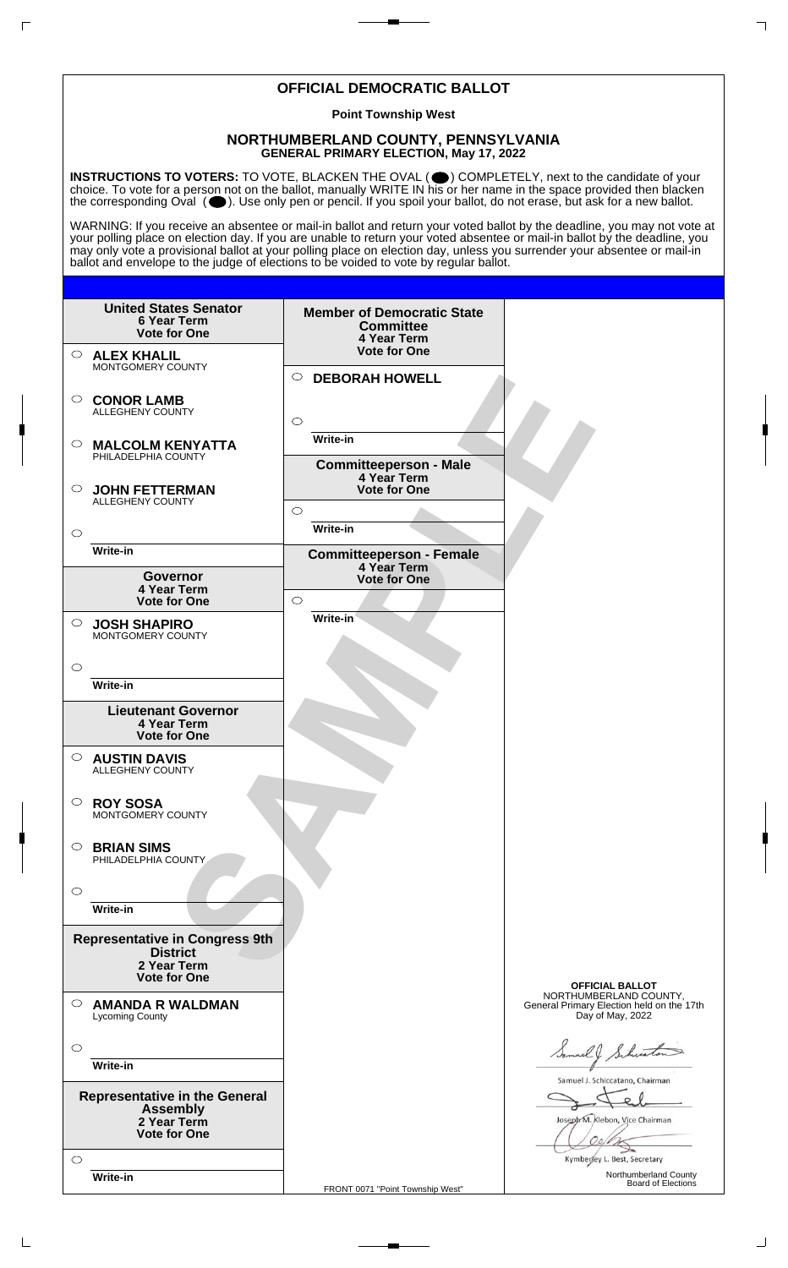| <b>OFFICIAL DEMOCRATIC BALLOT</b>                                                              |                                                                                                                                                                                                                                                                                                                                                                                                                                                                        |                                                                                         |  |  |
|------------------------------------------------------------------------------------------------|------------------------------------------------------------------------------------------------------------------------------------------------------------------------------------------------------------------------------------------------------------------------------------------------------------------------------------------------------------------------------------------------------------------------------------------------------------------------|-----------------------------------------------------------------------------------------|--|--|
| <b>Point Township West</b>                                                                     |                                                                                                                                                                                                                                                                                                                                                                                                                                                                        |                                                                                         |  |  |
| NORTHUMBERLAND COUNTY, PENNSYLVANIA<br><b>GENERAL PRIMARY ELECTION, May 17, 2022</b>           |                                                                                                                                                                                                                                                                                                                                                                                                                                                                        |                                                                                         |  |  |
|                                                                                                | <b>INSTRUCTIONS TO VOTERS:</b> TO VOTE, BLACKEN THE OVAL (O) COMPLETELY, next to the candidate of your<br>choice. To vote for a person not on the ballot, manually WRITE IN his or her name in the space provided then blacken<br>the corresponding Oval (C). Use only pen or pencil. If you spoil your ballot, do not erase, but ask for a new ballot.                                                                                                                |                                                                                         |  |  |
|                                                                                                | WARNING: If you receive an absentee or mail-in ballot and return your voted ballot by the deadline, you may not vote at<br>your polling place on election day. If you are unable to return your voted absentee or mail-in ballot by the deadline, you<br>may only vote a provisional ballot at your polling place on election day, unless you surrender your absentee or mail-in ballot and envelope to the judge of elections to be voided to vote by regular ballot. |                                                                                         |  |  |
|                                                                                                |                                                                                                                                                                                                                                                                                                                                                                                                                                                                        |                                                                                         |  |  |
| <b>United States Senator</b><br><b>6 Year Term</b><br><b>Vote for One</b>                      | <b>Member of Democratic State</b><br><b>Committee</b><br>4 Year Term                                                                                                                                                                                                                                                                                                                                                                                                   |                                                                                         |  |  |
| $\circ$ ALEX KHALIL<br><b>MONTGOMERY COUNTY</b>                                                | <b>Vote for One</b><br>$\circ$<br><b>DEBORAH HOWELL</b>                                                                                                                                                                                                                                                                                                                                                                                                                |                                                                                         |  |  |
| $\circ$ .<br><b>CONOR LAMB</b><br><b>ALLEGHENY COUNTY</b>                                      | $\circ$                                                                                                                                                                                                                                                                                                                                                                                                                                                                |                                                                                         |  |  |
| $\circ$<br><b>MALCOLM KENYATTA</b><br>PHILADELPHIA COUNTY                                      | Write-in                                                                                                                                                                                                                                                                                                                                                                                                                                                               |                                                                                         |  |  |
| $\circ$<br><b>JOHN FETTERMAN</b><br><b>ALLEGHENY COUNTY</b>                                    | <b>Committeeperson - Male</b><br>4 Year Term<br><b>Vote for One</b>                                                                                                                                                                                                                                                                                                                                                                                                    |                                                                                         |  |  |
| $\circ$                                                                                        | $\circ$<br><b>Write-in</b>                                                                                                                                                                                                                                                                                                                                                                                                                                             |                                                                                         |  |  |
| Write-in                                                                                       | <b>Committeeperson - Female</b><br>4 Year Term                                                                                                                                                                                                                                                                                                                                                                                                                         |                                                                                         |  |  |
| Governor<br>4 Year Term<br><b>Vote for One</b>                                                 | <b>Vote for One</b><br>$\circ$                                                                                                                                                                                                                                                                                                                                                                                                                                         |                                                                                         |  |  |
| <b>JOSH SHAPIRO</b><br>O<br>MONTGOMERY COUNTY                                                  | Write-in                                                                                                                                                                                                                                                                                                                                                                                                                                                               |                                                                                         |  |  |
| $\circlearrowright$<br><b>Write-in</b>                                                         |                                                                                                                                                                                                                                                                                                                                                                                                                                                                        |                                                                                         |  |  |
| <b>Lieutenant Governor</b><br>4 Year Term<br><b>Vote for One</b>                               |                                                                                                                                                                                                                                                                                                                                                                                                                                                                        |                                                                                         |  |  |
| <b>AUSTIN DAVIS</b><br>$\circ$<br><b>ALLEGHENY COUNTY</b>                                      |                                                                                                                                                                                                                                                                                                                                                                                                                                                                        |                                                                                         |  |  |
| <b>ROY SOSA</b><br>$\circ$<br>MONTGOMERY COUNTY                                                |                                                                                                                                                                                                                                                                                                                                                                                                                                                                        |                                                                                         |  |  |
| <b>BRIAN SIMS</b><br>O<br>PHILADELPHIA COUNTY                                                  |                                                                                                                                                                                                                                                                                                                                                                                                                                                                        |                                                                                         |  |  |
| $\circlearrowright$<br><b>Write-in</b>                                                         |                                                                                                                                                                                                                                                                                                                                                                                                                                                                        |                                                                                         |  |  |
| <b>Representative in Congress 9th</b><br><b>District</b><br>2 Year Term<br><b>Vote for One</b> |                                                                                                                                                                                                                                                                                                                                                                                                                                                                        | <b>OFFICIAL BALLOT</b>                                                                  |  |  |
| $\circ$<br><b>AMANDA R WALDMAN</b><br>Lycoming County                                          |                                                                                                                                                                                                                                                                                                                                                                                                                                                                        | NORTHUMBERLAND COUNTY,<br>General Primary Election held on the 17th<br>Day of May, 2022 |  |  |
| $\circ$<br><b>Write-in</b>                                                                     |                                                                                                                                                                                                                                                                                                                                                                                                                                                                        |                                                                                         |  |  |
| <b>Representative in the General</b><br><b>Assembly</b><br>2 Year Term<br><b>Vote for One</b>  |                                                                                                                                                                                                                                                                                                                                                                                                                                                                        | Samuel J. Schiccatano, Chairman<br>Joseph M. Klebon, Vice Chairman                      |  |  |
| $\circ$<br><b>Write-in</b>                                                                     |                                                                                                                                                                                                                                                                                                                                                                                                                                                                        | Kymberley L. Best, Secretary<br>Northumberland County<br>Board of Elections             |  |  |
|                                                                                                | FRONT 0071 "Point Township West"                                                                                                                                                                                                                                                                                                                                                                                                                                       |                                                                                         |  |  |

 $\Box$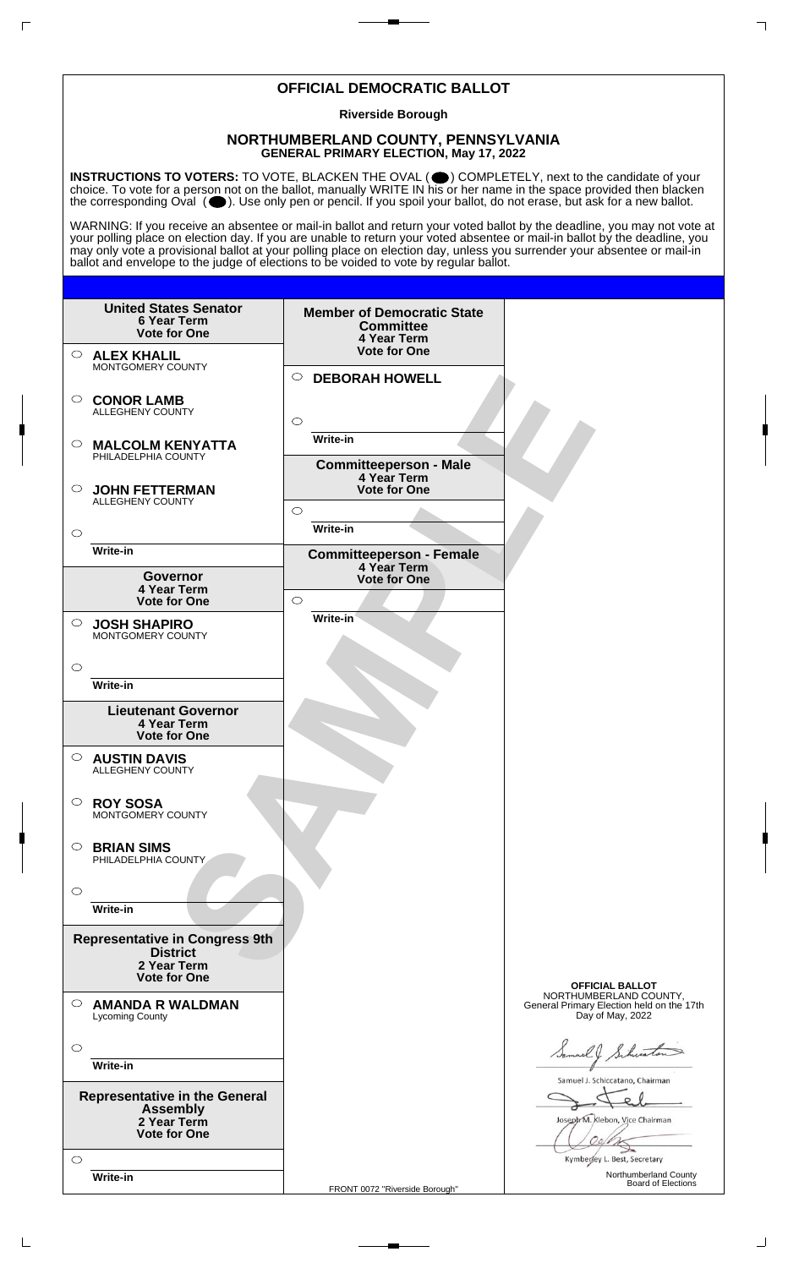| <b>OFFICIAL DEMOCRATIC BALLOT</b>                                                                                                                                                                                                                                                                                                                       |                                                                                                                                                                                                                                                                                                                                                                                                                                                                           |                                                                                                                   |  |  |
|---------------------------------------------------------------------------------------------------------------------------------------------------------------------------------------------------------------------------------------------------------------------------------------------------------------------------------------------------------|---------------------------------------------------------------------------------------------------------------------------------------------------------------------------------------------------------------------------------------------------------------------------------------------------------------------------------------------------------------------------------------------------------------------------------------------------------------------------|-------------------------------------------------------------------------------------------------------------------|--|--|
| <b>Riverside Borough</b>                                                                                                                                                                                                                                                                                                                                |                                                                                                                                                                                                                                                                                                                                                                                                                                                                           |                                                                                                                   |  |  |
|                                                                                                                                                                                                                                                                                                                                                         | NORTHUMBERLAND COUNTY, PENNSYLVANIA<br><b>GENERAL PRIMARY ELECTION, May 17, 2022</b>                                                                                                                                                                                                                                                                                                                                                                                      |                                                                                                                   |  |  |
| <b>INSTRUCTIONS TO VOTERS:</b> TO VOTE, BLACKEN THE OVAL (O) COMPLETELY, next to the candidate of your<br>choice. To vote for a person not on the ballot, manually WRITE IN his or her name in the space provided then blacken<br>the corresponding Oval (O). Use only pen or pencil. If you spoil your ballot, do not erase, but ask for a new ballot. |                                                                                                                                                                                                                                                                                                                                                                                                                                                                           |                                                                                                                   |  |  |
|                                                                                                                                                                                                                                                                                                                                                         | WARNING: If you receive an absentee or mail-in ballot and return your voted ballot by the deadline, you may not vote at<br>your polling place on election day. If you are unable to return your voted absentee or mail-in ballot by the deadline, you<br>may only vote a provisional ballot at your polling place on election day, unless you surrender your absentee or mail-in<br>ballot and envelope to the judge of elections to be voided to vote by regular ballot. |                                                                                                                   |  |  |
|                                                                                                                                                                                                                                                                                                                                                         |                                                                                                                                                                                                                                                                                                                                                                                                                                                                           |                                                                                                                   |  |  |
| <b>United States Senator</b><br><b>6 Year Term</b><br><b>Vote for One</b>                                                                                                                                                                                                                                                                               | <b>Member of Democratic State</b><br><b>Committee</b><br>4 Year Term                                                                                                                                                                                                                                                                                                                                                                                                      |                                                                                                                   |  |  |
| $\circ$ ALEX KHALIL<br><b>MONTGOMERY COUNTY</b>                                                                                                                                                                                                                                                                                                         | <b>Vote for One</b><br>$\circ$<br><b>DEBORAH HOWELL</b>                                                                                                                                                                                                                                                                                                                                                                                                                   |                                                                                                                   |  |  |
| $\circ$<br><b>CONOR LAMB</b><br><b>ALLEGHENY COUNTY</b>                                                                                                                                                                                                                                                                                                 | $\circ$                                                                                                                                                                                                                                                                                                                                                                                                                                                                   |                                                                                                                   |  |  |
| <b>MALCOLM KENYATTA</b><br>$\circ$<br>PHILADELPHIA COUNTY                                                                                                                                                                                                                                                                                               | <b>Write-in</b><br><b>Committeeperson - Male</b>                                                                                                                                                                                                                                                                                                                                                                                                                          |                                                                                                                   |  |  |
| $\circlearrowright$<br><b>JOHN FETTERMAN</b><br><b>ALLEGHENY COUNTY</b>                                                                                                                                                                                                                                                                                 | 4 Year Term<br><b>Vote for One</b><br>$\bigcirc$                                                                                                                                                                                                                                                                                                                                                                                                                          |                                                                                                                   |  |  |
| $\circ$                                                                                                                                                                                                                                                                                                                                                 | <b>Write-in</b>                                                                                                                                                                                                                                                                                                                                                                                                                                                           |                                                                                                                   |  |  |
| <b>Write-in</b>                                                                                                                                                                                                                                                                                                                                         | <b>Committeeperson - Female</b>                                                                                                                                                                                                                                                                                                                                                                                                                                           |                                                                                                                   |  |  |
| Governor<br>4 Year Term<br><b>Vote for One</b>                                                                                                                                                                                                                                                                                                          | 4 Year Term<br><b>Vote for One</b><br>$\circ$                                                                                                                                                                                                                                                                                                                                                                                                                             |                                                                                                                   |  |  |
| <b>JOSH SHAPIRO</b><br>$\circlearrowright$<br>MONTGOMERY COUNTY                                                                                                                                                                                                                                                                                         | Write-in                                                                                                                                                                                                                                                                                                                                                                                                                                                                  |                                                                                                                   |  |  |
| $\circ$                                                                                                                                                                                                                                                                                                                                                 |                                                                                                                                                                                                                                                                                                                                                                                                                                                                           |                                                                                                                   |  |  |
| Write-in                                                                                                                                                                                                                                                                                                                                                |                                                                                                                                                                                                                                                                                                                                                                                                                                                                           |                                                                                                                   |  |  |
| <b>Lieutenant Governor</b><br>4 Year Term<br><b>Vote for One</b>                                                                                                                                                                                                                                                                                        |                                                                                                                                                                                                                                                                                                                                                                                                                                                                           |                                                                                                                   |  |  |
| <b>AUSTIN DAVIS</b><br>$\circ$<br><b>ALLEGHENY COUNTY</b>                                                                                                                                                                                                                                                                                               |                                                                                                                                                                                                                                                                                                                                                                                                                                                                           |                                                                                                                   |  |  |
| <b>ROY SOSA</b><br>O<br>MONTGOMERY COUNTY                                                                                                                                                                                                                                                                                                               |                                                                                                                                                                                                                                                                                                                                                                                                                                                                           |                                                                                                                   |  |  |
| <b>BRIAN SIMS</b><br>$\circ$<br>PHILADELPHIA COUNTY                                                                                                                                                                                                                                                                                                     |                                                                                                                                                                                                                                                                                                                                                                                                                                                                           |                                                                                                                   |  |  |
| $\circ$<br><b>Write-in</b>                                                                                                                                                                                                                                                                                                                              |                                                                                                                                                                                                                                                                                                                                                                                                                                                                           |                                                                                                                   |  |  |
| <b>Representative in Congress 9th</b><br><b>District</b><br>2 Year Term<br><b>Vote for One</b>                                                                                                                                                                                                                                                          |                                                                                                                                                                                                                                                                                                                                                                                                                                                                           |                                                                                                                   |  |  |
| <b>AMANDA R WALDMAN</b><br>O<br><b>Lycoming County</b>                                                                                                                                                                                                                                                                                                  |                                                                                                                                                                                                                                                                                                                                                                                                                                                                           | <b>OFFICIAL BALLOT</b><br>NORTHUMBERLAND COUNTY,<br>General Primary Election held on the 17th<br>Day of May, 2022 |  |  |
| $\circ$                                                                                                                                                                                                                                                                                                                                                 |                                                                                                                                                                                                                                                                                                                                                                                                                                                                           |                                                                                                                   |  |  |
| Write-in                                                                                                                                                                                                                                                                                                                                                |                                                                                                                                                                                                                                                                                                                                                                                                                                                                           | Samuel J. Schiccatano, Chairman                                                                                   |  |  |
| <b>Representative in the General</b><br><b>Assembly</b><br>2 Year Term<br><b>Vote for One</b>                                                                                                                                                                                                                                                           |                                                                                                                                                                                                                                                                                                                                                                                                                                                                           | Joseph M. Klebon, Vice Chairman                                                                                   |  |  |
| $\circ$                                                                                                                                                                                                                                                                                                                                                 |                                                                                                                                                                                                                                                                                                                                                                                                                                                                           | Kymber/ey L. Best, Secretary<br>Northumberland County                                                             |  |  |
| Write-in                                                                                                                                                                                                                                                                                                                                                | FRONT 0072 "Riverside Borough"                                                                                                                                                                                                                                                                                                                                                                                                                                            | <b>Board of Elections</b>                                                                                         |  |  |

 $\Box$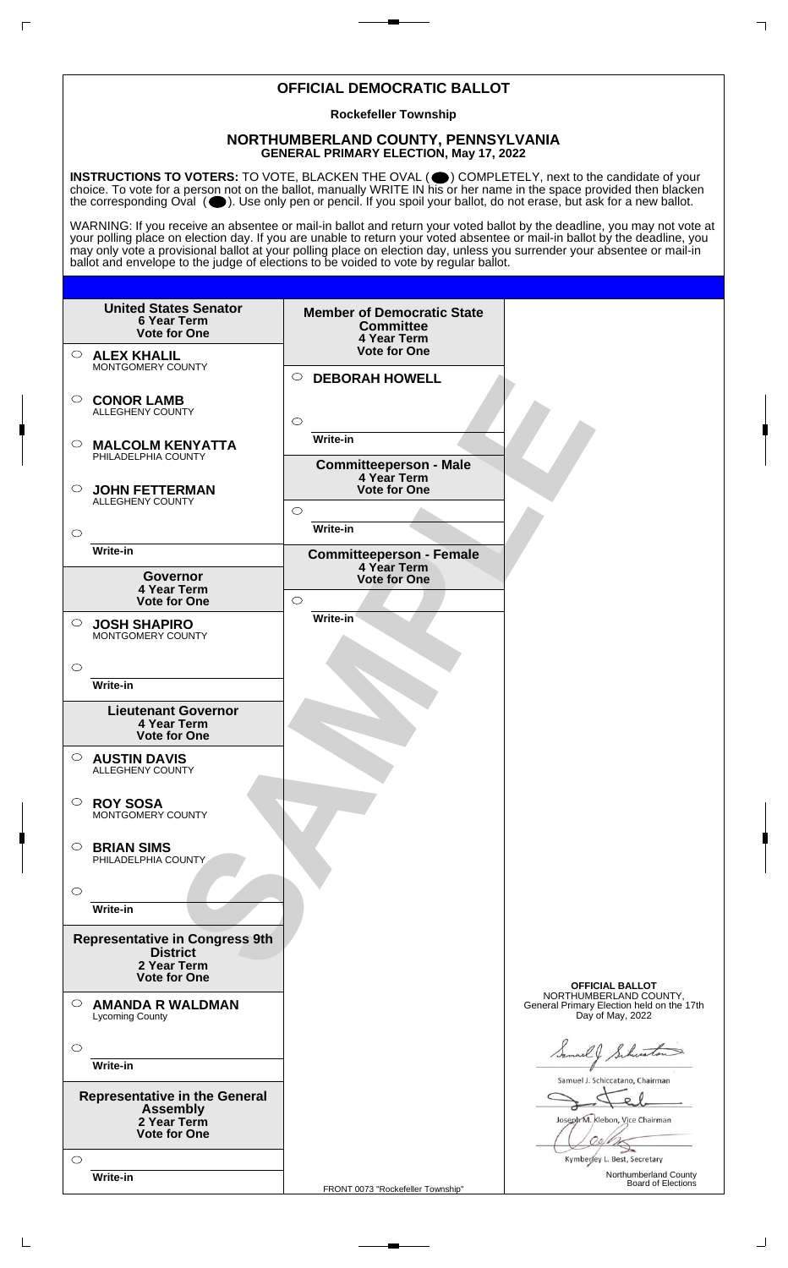| <b>OFFICIAL DEMOCRATIC BALLOT</b>                                                                                                                                                                                                                                                                                                                    |                                                                                                                                                                                                                                                                                                                                                                                                                                                                        |                                                                                                                   |  |  |  |
|------------------------------------------------------------------------------------------------------------------------------------------------------------------------------------------------------------------------------------------------------------------------------------------------------------------------------------------------------|------------------------------------------------------------------------------------------------------------------------------------------------------------------------------------------------------------------------------------------------------------------------------------------------------------------------------------------------------------------------------------------------------------------------------------------------------------------------|-------------------------------------------------------------------------------------------------------------------|--|--|--|
| <b>Rockefeller Township</b>                                                                                                                                                                                                                                                                                                                          |                                                                                                                                                                                                                                                                                                                                                                                                                                                                        |                                                                                                                   |  |  |  |
|                                                                                                                                                                                                                                                                                                                                                      | NORTHUMBERLAND COUNTY, PENNSYLVANIA<br><b>GENERAL PRIMARY ELECTION, May 17, 2022</b>                                                                                                                                                                                                                                                                                                                                                                                   |                                                                                                                   |  |  |  |
| <b>INSTRUCTIONS TO VOTERS:</b> TO VOTE, BLACKEN THE OVAL (O) COMPLETELY, next to the candidate of your choice. To vote for a person not on the ballot, manually WRITE IN his or her name in the space provided then blacken<br>the corresponding Oval (O). Use only pen or pencil. If you spoil your ballot, do not erase, but ask for a new ballot. |                                                                                                                                                                                                                                                                                                                                                                                                                                                                        |                                                                                                                   |  |  |  |
|                                                                                                                                                                                                                                                                                                                                                      | WARNING: If you receive an absentee or mail-in ballot and return your voted ballot by the deadline, you may not vote at<br>your polling place on election day. If you are unable to return your voted absentee or mail-in ballot by the deadline, you<br>may only vote a provisional ballot at your polling place on election day, unless you surrender your absentee or mail-in ballot and envelope to the judge of elections to be voided to vote by regular ballot. |                                                                                                                   |  |  |  |
|                                                                                                                                                                                                                                                                                                                                                      |                                                                                                                                                                                                                                                                                                                                                                                                                                                                        |                                                                                                                   |  |  |  |
| <b>United States Senator</b><br><b>6 Year Term</b><br><b>Vote for One</b>                                                                                                                                                                                                                                                                            | <b>Member of Democratic State</b><br><b>Committee</b><br>4 Year Term                                                                                                                                                                                                                                                                                                                                                                                                   |                                                                                                                   |  |  |  |
| $\circ$ ALEX KHALIL<br>MONTGOMERY COUNTY                                                                                                                                                                                                                                                                                                             | <b>Vote for One</b><br>$\circ$<br><b>DEBORAH HOWELL</b>                                                                                                                                                                                                                                                                                                                                                                                                                |                                                                                                                   |  |  |  |
| $\circ$<br><b>CONOR LAMB</b><br><b>ALLEGHENY COUNTY</b>                                                                                                                                                                                                                                                                                              | $\circ$                                                                                                                                                                                                                                                                                                                                                                                                                                                                |                                                                                                                   |  |  |  |
| $\circ$<br><b>MALCOLM KENYATTA</b><br>PHILADELPHIA COUNTY                                                                                                                                                                                                                                                                                            | Write-in<br><b>Committeeperson - Male</b>                                                                                                                                                                                                                                                                                                                                                                                                                              |                                                                                                                   |  |  |  |
| $\circ$<br><b>JOHN FETTERMAN</b><br><b>ALLEGHENY COUNTY</b>                                                                                                                                                                                                                                                                                          | 4 Year Term<br><b>Vote for One</b><br>$\circ$                                                                                                                                                                                                                                                                                                                                                                                                                          |                                                                                                                   |  |  |  |
| $\circ$                                                                                                                                                                                                                                                                                                                                              | Write-in                                                                                                                                                                                                                                                                                                                                                                                                                                                               |                                                                                                                   |  |  |  |
| <b>Write-in</b>                                                                                                                                                                                                                                                                                                                                      | <b>Committeeperson - Female</b>                                                                                                                                                                                                                                                                                                                                                                                                                                        |                                                                                                                   |  |  |  |
| Governor<br>4 Year Term<br><b>Vote for One</b>                                                                                                                                                                                                                                                                                                       | 4 Year Term<br><b>Vote for One</b><br>$\circ$                                                                                                                                                                                                                                                                                                                                                                                                                          |                                                                                                                   |  |  |  |
| $\circ$<br><b>JOSH SHAPIRO</b><br>MONTGOMERY COUNTY                                                                                                                                                                                                                                                                                                  | Write-in                                                                                                                                                                                                                                                                                                                                                                                                                                                               |                                                                                                                   |  |  |  |
| $\circ$<br><b>Write-in</b>                                                                                                                                                                                                                                                                                                                           |                                                                                                                                                                                                                                                                                                                                                                                                                                                                        |                                                                                                                   |  |  |  |
| <b>Lieutenant Governor</b><br>4 Year Term<br><b>Vote for One</b>                                                                                                                                                                                                                                                                                     |                                                                                                                                                                                                                                                                                                                                                                                                                                                                        |                                                                                                                   |  |  |  |
| $\circ$<br><b>AUSTIN DAVIS</b><br><b>ALLEGHENY COUNTY</b>                                                                                                                                                                                                                                                                                            |                                                                                                                                                                                                                                                                                                                                                                                                                                                                        |                                                                                                                   |  |  |  |
| <b>ROY SOSA</b><br>$\circ$<br>MONTGOMERY COUNTY                                                                                                                                                                                                                                                                                                      |                                                                                                                                                                                                                                                                                                                                                                                                                                                                        |                                                                                                                   |  |  |  |
| <b>BRIAN SIMS</b><br>O<br>PHILADELPHIA COUNTY                                                                                                                                                                                                                                                                                                        |                                                                                                                                                                                                                                                                                                                                                                                                                                                                        |                                                                                                                   |  |  |  |
| $\circlearrowright$<br><b>Write-in</b>                                                                                                                                                                                                                                                                                                               |                                                                                                                                                                                                                                                                                                                                                                                                                                                                        |                                                                                                                   |  |  |  |
| <b>Representative in Congress 9th</b><br><b>District</b><br>2 Year Term<br><b>Vote for One</b>                                                                                                                                                                                                                                                       |                                                                                                                                                                                                                                                                                                                                                                                                                                                                        |                                                                                                                   |  |  |  |
| <b>AMANDA R WALDMAN</b><br>O<br><b>Lycoming County</b>                                                                                                                                                                                                                                                                                               |                                                                                                                                                                                                                                                                                                                                                                                                                                                                        | <b>OFFICIAL BALLOT</b><br>NORTHUMBERLAND COUNTY,<br>General Primary Election held on the 17th<br>Day of May, 2022 |  |  |  |
| $\circ$<br><b>Write-in</b>                                                                                                                                                                                                                                                                                                                           |                                                                                                                                                                                                                                                                                                                                                                                                                                                                        |                                                                                                                   |  |  |  |
| <b>Representative in the General</b><br><b>Assembly</b><br>2 Year Term<br><b>Vote for One</b>                                                                                                                                                                                                                                                        |                                                                                                                                                                                                                                                                                                                                                                                                                                                                        | Samuel J. Schiccatano, Chairman<br>Joseph M. Klebon, Vice Chairman                                                |  |  |  |
| $\circ$<br><b>Write-in</b>                                                                                                                                                                                                                                                                                                                           |                                                                                                                                                                                                                                                                                                                                                                                                                                                                        | Kymber/ey L. Best, Secretary<br>Northumberland County<br>Board of Elections                                       |  |  |  |
|                                                                                                                                                                                                                                                                                                                                                      | FRONT 0073 "Rockefeller Township"                                                                                                                                                                                                                                                                                                                                                                                                                                      |                                                                                                                   |  |  |  |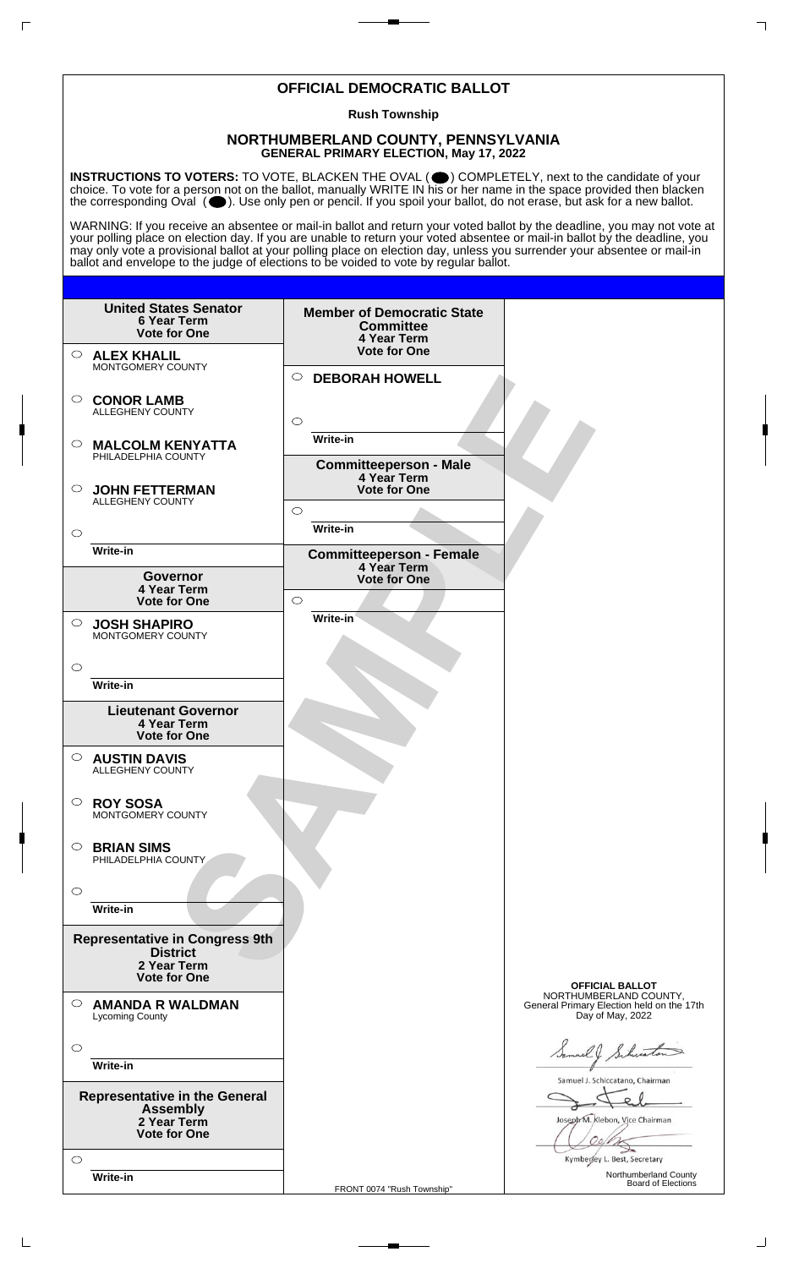|                     | <b>OFFICIAL DEMOCRATIC BALLOT</b>                                                              |                                                                                                                                                                                                                                                                                                                                                                                                                                                                           |                                                                                                                   |  |  |
|---------------------|------------------------------------------------------------------------------------------------|---------------------------------------------------------------------------------------------------------------------------------------------------------------------------------------------------------------------------------------------------------------------------------------------------------------------------------------------------------------------------------------------------------------------------------------------------------------------------|-------------------------------------------------------------------------------------------------------------------|--|--|
|                     | <b>Rush Township</b>                                                                           |                                                                                                                                                                                                                                                                                                                                                                                                                                                                           |                                                                                                                   |  |  |
|                     |                                                                                                | NORTHUMBERLAND COUNTY, PENNSYLVANIA<br><b>GENERAL PRIMARY ELECTION, May 17, 2022</b>                                                                                                                                                                                                                                                                                                                                                                                      |                                                                                                                   |  |  |
|                     |                                                                                                | <b>INSTRUCTIONS TO VOTERS:</b> TO VOTE, BLACKEN THE OVAL (O) COMPLETELY, next to the candidate of your<br>choice. To vote for a person not on the ballot, manually WRITE IN his or her name in the space provided then blacken<br>the corresponding Oval (C). Use only pen or pencil. If you spoil your ballot, do not erase, but ask for a new ballot.                                                                                                                   |                                                                                                                   |  |  |
|                     |                                                                                                | WARNING: If you receive an absentee or mail-in ballot and return your voted ballot by the deadline, you may not vote at<br>your polling place on election day. If you are unable to return your voted absentee or mail-in ballot by the deadline, you<br>may only vote a provisional ballot at your polling place on election day, unless you surrender your absentee or mail-in<br>ballot and envelope to the judge of elections to be voided to vote by regular ballot. |                                                                                                                   |  |  |
|                     |                                                                                                |                                                                                                                                                                                                                                                                                                                                                                                                                                                                           |                                                                                                                   |  |  |
|                     | <b>United States Senator</b><br><b>6 Year Term</b><br><b>Vote for One</b>                      | <b>Member of Democratic State</b><br><b>Committee</b><br>4 Year Term                                                                                                                                                                                                                                                                                                                                                                                                      |                                                                                                                   |  |  |
| $\circ$             | <b>ALEX KHALIL</b><br><b>MONTGOMERY COUNTY</b>                                                 | <b>Vote for One</b><br>$\circ$<br><b>DEBORAH HOWELL</b>                                                                                                                                                                                                                                                                                                                                                                                                                   |                                                                                                                   |  |  |
| $\circ$             | <b>CONOR LAMB</b><br>ALLEGHENY COUNTY                                                          | $\circ$                                                                                                                                                                                                                                                                                                                                                                                                                                                                   |                                                                                                                   |  |  |
| $\circ$             | <b>MALCOLM KENYATTA</b><br>PHILADELPHIA COUNTY                                                 | <b>Write-in</b><br><b>Committeeperson - Male</b>                                                                                                                                                                                                                                                                                                                                                                                                                          |                                                                                                                   |  |  |
| $\circ$             | <b>JOHN FETTERMAN</b><br><b>ALLEGHENY COUNTY</b>                                               | 4 Year Term<br><b>Vote for One</b>                                                                                                                                                                                                                                                                                                                                                                                                                                        |                                                                                                                   |  |  |
| $\circ$             |                                                                                                | $\circ$<br><b>Write-in</b>                                                                                                                                                                                                                                                                                                                                                                                                                                                |                                                                                                                   |  |  |
|                     | Write-in                                                                                       | <b>Committeeperson - Female</b>                                                                                                                                                                                                                                                                                                                                                                                                                                           |                                                                                                                   |  |  |
|                     | Governor<br>4 Year Term<br><b>Vote for One</b>                                                 | 4 Year Term<br><b>Vote for One</b><br>$\circ$                                                                                                                                                                                                                                                                                                                                                                                                                             |                                                                                                                   |  |  |
| $\circ$             | <b>JOSH SHAPIRO</b><br>MONTGOMERY COUNTY                                                       | Write-in                                                                                                                                                                                                                                                                                                                                                                                                                                                                  |                                                                                                                   |  |  |
| $\circ$             | Write-in                                                                                       |                                                                                                                                                                                                                                                                                                                                                                                                                                                                           |                                                                                                                   |  |  |
|                     | <b>Lieutenant Governor</b><br>4 Year Term<br><b>Vote for One</b>                               |                                                                                                                                                                                                                                                                                                                                                                                                                                                                           |                                                                                                                   |  |  |
|                     | $\circ$ AUSTIN DAVIS<br><b>ALLEGHENY COUNTY</b>                                                |                                                                                                                                                                                                                                                                                                                                                                                                                                                                           |                                                                                                                   |  |  |
| $\circ$             | <b>ROY SOSA</b><br>MONTGOMERY COUNTY                                                           |                                                                                                                                                                                                                                                                                                                                                                                                                                                                           |                                                                                                                   |  |  |
| $\circ$             | <b>BRIAN SIMS</b><br>PHILADELPHIA COUNTY                                                       |                                                                                                                                                                                                                                                                                                                                                                                                                                                                           |                                                                                                                   |  |  |
| $\circlearrowright$ | <b>Write-in</b>                                                                                |                                                                                                                                                                                                                                                                                                                                                                                                                                                                           |                                                                                                                   |  |  |
|                     | <b>Representative in Congress 9th</b><br><b>District</b><br>2 Year Term<br><b>Vote for One</b> |                                                                                                                                                                                                                                                                                                                                                                                                                                                                           |                                                                                                                   |  |  |
| $\circ$             | <b>AMANDA R WALDMAN</b><br><b>Lycoming County</b>                                              |                                                                                                                                                                                                                                                                                                                                                                                                                                                                           | <b>OFFICIAL BALLOT</b><br>NORTHUMBERLAND COUNTY,<br>General Primary Election held on the 17th<br>Day of May, 2022 |  |  |
| $\circ$             |                                                                                                |                                                                                                                                                                                                                                                                                                                                                                                                                                                                           |                                                                                                                   |  |  |
|                     | Write-in                                                                                       |                                                                                                                                                                                                                                                                                                                                                                                                                                                                           | Samuel J. Schiccatano, Chairman                                                                                   |  |  |
|                     | <b>Representative in the General</b><br><b>Assembly</b><br>2 Year Term<br><b>Vote for One</b>  |                                                                                                                                                                                                                                                                                                                                                                                                                                                                           | Joseph M. Klebon, Vice Chairman                                                                                   |  |  |
| $\circ$             | Write-in                                                                                       |                                                                                                                                                                                                                                                                                                                                                                                                                                                                           | Kymber/ey L. Best, Secretary<br>Northumberland County                                                             |  |  |
|                     |                                                                                                | FRONT 0074 "Rush Township"                                                                                                                                                                                                                                                                                                                                                                                                                                                | <b>Board of Elections</b>                                                                                         |  |  |

 $\Box$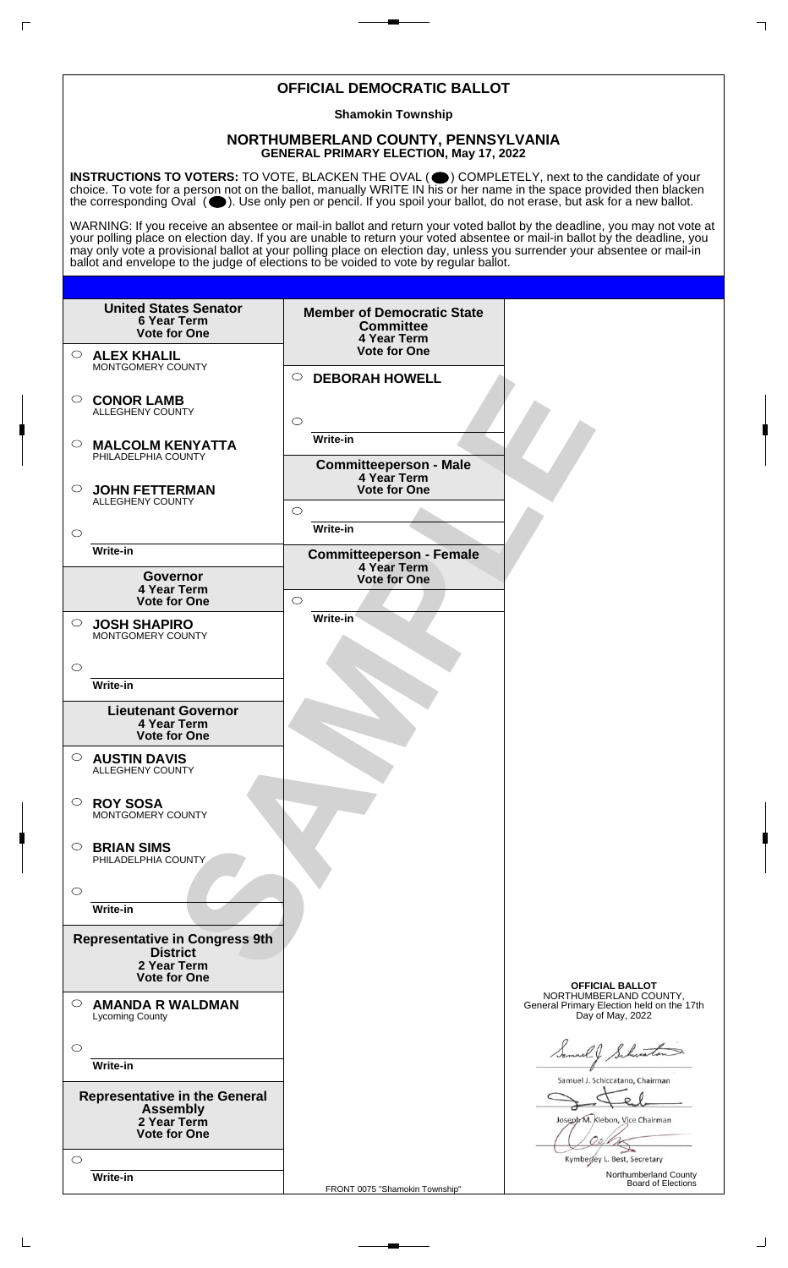|                                                                                                | <b>OFFICIAL DEMOCRATIC BALLOT</b>                                                                                                                                                                                                                                                                                                                                                                                                                                         |                                                                                                                   |  |  |  |
|------------------------------------------------------------------------------------------------|---------------------------------------------------------------------------------------------------------------------------------------------------------------------------------------------------------------------------------------------------------------------------------------------------------------------------------------------------------------------------------------------------------------------------------------------------------------------------|-------------------------------------------------------------------------------------------------------------------|--|--|--|
|                                                                                                | <b>Shamokin Township</b>                                                                                                                                                                                                                                                                                                                                                                                                                                                  |                                                                                                                   |  |  |  |
|                                                                                                | NORTHUMBERLAND COUNTY, PENNSYLVANIA<br><b>GENERAL PRIMARY ELECTION, May 17, 2022</b>                                                                                                                                                                                                                                                                                                                                                                                      |                                                                                                                   |  |  |  |
|                                                                                                | <b>INSTRUCTIONS TO VOTERS:</b> TO VOTE, BLACKEN THE OVAL (O) COMPLETELY, next to the candidate of your choice. To vote for a person not on the ballot, manually WRITE IN his or her name in the space provided then blacken<br>the corresponding Oval (O). Use only pen or pencil. If you spoil your ballot, do not erase, but ask for a new ballot.                                                                                                                      |                                                                                                                   |  |  |  |
|                                                                                                | WARNING: If you receive an absentee or mail-in ballot and return your voted ballot by the deadline, you may not vote at<br>your polling place on election day. If you are unable to return your voted absentee or mail-in ballot by the deadline, you<br>may only vote a provisional ballot at your polling place on election day, unless you surrender your absentee or mail-in<br>ballot and envelope to the judge of elections to be voided to vote by regular ballot. |                                                                                                                   |  |  |  |
|                                                                                                |                                                                                                                                                                                                                                                                                                                                                                                                                                                                           |                                                                                                                   |  |  |  |
| <b>United States Senator</b>                                                                   | <b>Member of Democratic State</b>                                                                                                                                                                                                                                                                                                                                                                                                                                         |                                                                                                                   |  |  |  |
| 6 Year Term<br><b>Vote for One</b>                                                             | <b>Committee</b><br>4 Year Term<br><b>Vote for One</b>                                                                                                                                                                                                                                                                                                                                                                                                                    |                                                                                                                   |  |  |  |
| $\circ$<br><b>ALEX KHALIL</b><br>MONTGOMERY COUNTY                                             | $\circ$<br><b>DEBORAH HOWELL</b>                                                                                                                                                                                                                                                                                                                                                                                                                                          |                                                                                                                   |  |  |  |
| $\circ$<br><b>CONOR LAMB</b><br><b>ALLEGHENY COUNTY</b>                                        | $\circ$                                                                                                                                                                                                                                                                                                                                                                                                                                                                   |                                                                                                                   |  |  |  |
| <b>MALCOLM KENYATTA</b><br>$\circ$<br>PHILADELPHIA COUNTY                                      | <b>Write-in</b>                                                                                                                                                                                                                                                                                                                                                                                                                                                           |                                                                                                                   |  |  |  |
| $\circ$<br><b>JOHN FETTERMAN</b>                                                               | <b>Committeeperson - Male</b><br>4 Year Term<br><b>Vote for One</b>                                                                                                                                                                                                                                                                                                                                                                                                       |                                                                                                                   |  |  |  |
| <b>ALLEGHENY COUNTY</b>                                                                        | $\circ$<br><b>Write-in</b>                                                                                                                                                                                                                                                                                                                                                                                                                                                |                                                                                                                   |  |  |  |
| $\circlearrowright$<br><b>Write-in</b>                                                         | <b>Committeeperson - Female</b>                                                                                                                                                                                                                                                                                                                                                                                                                                           |                                                                                                                   |  |  |  |
| Governor                                                                                       | 4 Year Term<br><b>Vote for One</b>                                                                                                                                                                                                                                                                                                                                                                                                                                        |                                                                                                                   |  |  |  |
| 4 Year Term<br><b>Vote for One</b>                                                             | $\circ$                                                                                                                                                                                                                                                                                                                                                                                                                                                                   |                                                                                                                   |  |  |  |
| $\circ$<br><b>JOSH SHAPIRO</b><br>MONTGOMERY COUNTY                                            | Write-in                                                                                                                                                                                                                                                                                                                                                                                                                                                                  |                                                                                                                   |  |  |  |
| $\circ$                                                                                        |                                                                                                                                                                                                                                                                                                                                                                                                                                                                           |                                                                                                                   |  |  |  |
| <b>Write-in</b>                                                                                |                                                                                                                                                                                                                                                                                                                                                                                                                                                                           |                                                                                                                   |  |  |  |
| <b>Lieutenant Governor</b><br>4 Year Term<br><b>Vote for One</b>                               |                                                                                                                                                                                                                                                                                                                                                                                                                                                                           |                                                                                                                   |  |  |  |
| <b>AUSTIN DAVIS</b><br>$\circ$<br><b>ALLEGHENY COUNTY</b>                                      |                                                                                                                                                                                                                                                                                                                                                                                                                                                                           |                                                                                                                   |  |  |  |
| <b>ROY SOSA</b><br>$\circ$<br>MONTGOMERY COUNTY                                                |                                                                                                                                                                                                                                                                                                                                                                                                                                                                           |                                                                                                                   |  |  |  |
| <b>BRIAN SIMS</b><br>O<br>PHILADELPHIA COUNTY                                                  |                                                                                                                                                                                                                                                                                                                                                                                                                                                                           |                                                                                                                   |  |  |  |
| $\circ$                                                                                        |                                                                                                                                                                                                                                                                                                                                                                                                                                                                           |                                                                                                                   |  |  |  |
| <b>Write-in</b>                                                                                |                                                                                                                                                                                                                                                                                                                                                                                                                                                                           |                                                                                                                   |  |  |  |
| <b>Representative in Congress 9th</b><br><b>District</b><br>2 Year Term<br><b>Vote for One</b> |                                                                                                                                                                                                                                                                                                                                                                                                                                                                           |                                                                                                                   |  |  |  |
| <b>AMANDA R WALDMAN</b><br>O<br><b>Lycoming County</b>                                         |                                                                                                                                                                                                                                                                                                                                                                                                                                                                           | <b>OFFICIAL BALLOT</b><br>NORTHUMBERLAND COUNTY.<br>General Primary Election held on the 17th<br>Day of May, 2022 |  |  |  |
| $\circ$                                                                                        |                                                                                                                                                                                                                                                                                                                                                                                                                                                                           |                                                                                                                   |  |  |  |
| <b>Write-in</b>                                                                                |                                                                                                                                                                                                                                                                                                                                                                                                                                                                           | Samuel J. Schiccatano, Chairman                                                                                   |  |  |  |
| <b>Representative in the General</b><br><b>Assembly</b><br>2 Year Term<br><b>Vote for One</b>  |                                                                                                                                                                                                                                                                                                                                                                                                                                                                           | Joseph M. Klebon, Vice Chairman                                                                                   |  |  |  |
| $\circ$                                                                                        |                                                                                                                                                                                                                                                                                                                                                                                                                                                                           | Kymberley L. Best, Secretary                                                                                      |  |  |  |
| <b>Write-in</b>                                                                                | FRONT 0075 "Shamokin Township"                                                                                                                                                                                                                                                                                                                                                                                                                                            | Northumberland County<br>Board of Elections                                                                       |  |  |  |

 $\Box$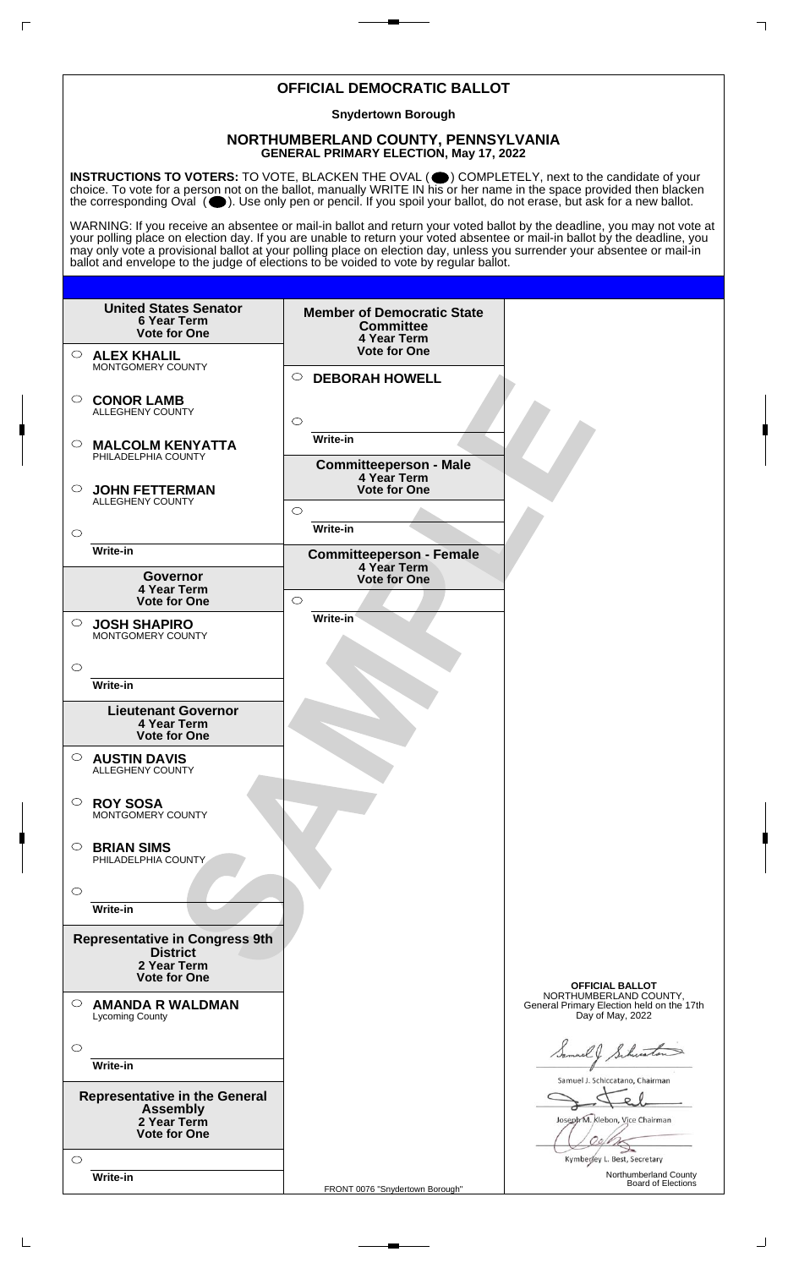|                                                                                               | <b>OFFICIAL DEMOCRATIC BALLOT</b>                                                                                                                                                                                                                                                                                                                                                                                                                                         |                                                               |
|-----------------------------------------------------------------------------------------------|---------------------------------------------------------------------------------------------------------------------------------------------------------------------------------------------------------------------------------------------------------------------------------------------------------------------------------------------------------------------------------------------------------------------------------------------------------------------------|---------------------------------------------------------------|
|                                                                                               | <b>Snydertown Borough</b>                                                                                                                                                                                                                                                                                                                                                                                                                                                 |                                                               |
|                                                                                               | NORTHUMBERLAND COUNTY, PENNSYLVANIA<br><b>GENERAL PRIMARY ELECTION, May 17, 2022</b>                                                                                                                                                                                                                                                                                                                                                                                      |                                                               |
|                                                                                               | <b>INSTRUCTIONS TO VOTERS:</b> TO VOTE, BLACKEN THE OVAL (O) COMPLETELY, next to the candidate of your choice. To vote for a person not on the ballot, manually WRITE IN his or her name in the space provided then blacken<br>the corresponding Oval (C). Use only pen or pencil. If you spoil your ballot, do not erase, but ask for a new ballot.                                                                                                                      |                                                               |
|                                                                                               | WARNING: If you receive an absentee or mail-in ballot and return your voted ballot by the deadline, you may not vote at<br>your polling place on election day. If you are unable to return your voted absentee or mail-in ballot by the deadline, you<br>may only vote a provisional ballot at your polling place on election day, unless you surrender your absentee or mail-in<br>ballot and envelope to the judge of elections to be voided to vote by regular ballot. |                                                               |
|                                                                                               |                                                                                                                                                                                                                                                                                                                                                                                                                                                                           |                                                               |
| <b>United States Senator</b><br><b>6 Year Term</b><br><b>Vote for One</b>                     | <b>Member of Democratic State</b><br><b>Committee</b><br>4 Year Term                                                                                                                                                                                                                                                                                                                                                                                                      |                                                               |
| $\circ$<br><b>ALEX KHALIL</b><br>MONTGOMERY COUNTY                                            | <b>Vote for One</b><br><b>DEBORAH HOWELL</b>                                                                                                                                                                                                                                                                                                                                                                                                                              |                                                               |
| $\circ$<br><b>CONOR LAMB</b><br><b>ALLEGHENY COUNTY</b>                                       | $\circ$                                                                                                                                                                                                                                                                                                                                                                                                                                                                   |                                                               |
| <b>MALCOLM KENYATTA</b><br>$\circ$<br>PHILADELPHIA COUNTY                                     | <b>Write-in</b><br><b>Committeeperson - Male</b><br>4 Year Term                                                                                                                                                                                                                                                                                                                                                                                                           |                                                               |
| $\circ$<br><b>JOHN FETTERMAN</b><br><b>ALLEGHENY COUNTY</b>                                   | <b>Vote for One</b><br>$\circ$                                                                                                                                                                                                                                                                                                                                                                                                                                            |                                                               |
| $\circ$                                                                                       | <b>Write-in</b>                                                                                                                                                                                                                                                                                                                                                                                                                                                           |                                                               |
| <b>Write-in</b>                                                                               | <b>Committeeperson - Female</b>                                                                                                                                                                                                                                                                                                                                                                                                                                           |                                                               |
| <b>Governor</b><br>4 Year Term<br><b>Vote for One</b>                                         | <b>4 Year Term</b><br><b>Vote for One</b><br>$\circ$                                                                                                                                                                                                                                                                                                                                                                                                                      |                                                               |
| $\circ$<br><b>JOSH SHAPIRO</b><br>MONTGOMERY COUNTY                                           | Write-in                                                                                                                                                                                                                                                                                                                                                                                                                                                                  |                                                               |
| $\circ$                                                                                       |                                                                                                                                                                                                                                                                                                                                                                                                                                                                           |                                                               |
| Write-in                                                                                      |                                                                                                                                                                                                                                                                                                                                                                                                                                                                           |                                                               |
| <b>Lieutenant Governor</b><br>4 Year Term<br><b>Vote for One</b>                              |                                                                                                                                                                                                                                                                                                                                                                                                                                                                           |                                                               |
| <b>AUSTIN DAVIS</b><br>$\circ$<br><b>ALLEGHENY COUNTY</b>                                     |                                                                                                                                                                                                                                                                                                                                                                                                                                                                           |                                                               |
| <b>ROY SOSA</b><br>$\circ$<br>MONTGOMERY COUNTY                                               |                                                                                                                                                                                                                                                                                                                                                                                                                                                                           |                                                               |
| $\circlearrowright$<br><b>BRIAN SIMS</b><br>PHILADELPHIA COUNTY                               |                                                                                                                                                                                                                                                                                                                                                                                                                                                                           |                                                               |
| $\circ$<br><b>Write-in</b>                                                                    |                                                                                                                                                                                                                                                                                                                                                                                                                                                                           |                                                               |
| <b>Representative in Congress 9th</b><br><b>District</b><br>2 Year Term                       |                                                                                                                                                                                                                                                                                                                                                                                                                                                                           |                                                               |
| <b>Vote for One</b>                                                                           |                                                                                                                                                                                                                                                                                                                                                                                                                                                                           | <b>OFFICIAL BALLOT</b><br>NORTHUMBERLAND COUNTY,              |
| <b>AMANDA R WALDMAN</b><br>O<br><b>Lycoming County</b>                                        |                                                                                                                                                                                                                                                                                                                                                                                                                                                                           | General Primary Election held on the 17th<br>Day of May, 2022 |
| $\circ$<br>Write-in                                                                           |                                                                                                                                                                                                                                                                                                                                                                                                                                                                           |                                                               |
|                                                                                               |                                                                                                                                                                                                                                                                                                                                                                                                                                                                           | Samuel J. Schiccatano, Chairman                               |
| <b>Representative in the General</b><br><b>Assembly</b><br>2 Year Term<br><b>Vote for One</b> |                                                                                                                                                                                                                                                                                                                                                                                                                                                                           | Joseph M. Klebon, Vice Chairman                               |
| $\circ$                                                                                       |                                                                                                                                                                                                                                                                                                                                                                                                                                                                           | Kymberley L. Best, Secretary                                  |
| <b>Write-in</b>                                                                               | FRONT 0076 "Snydertown Borough"                                                                                                                                                                                                                                                                                                                                                                                                                                           | Northumberland County<br>Board of Elections                   |

 $\Box$ 

 $\perp$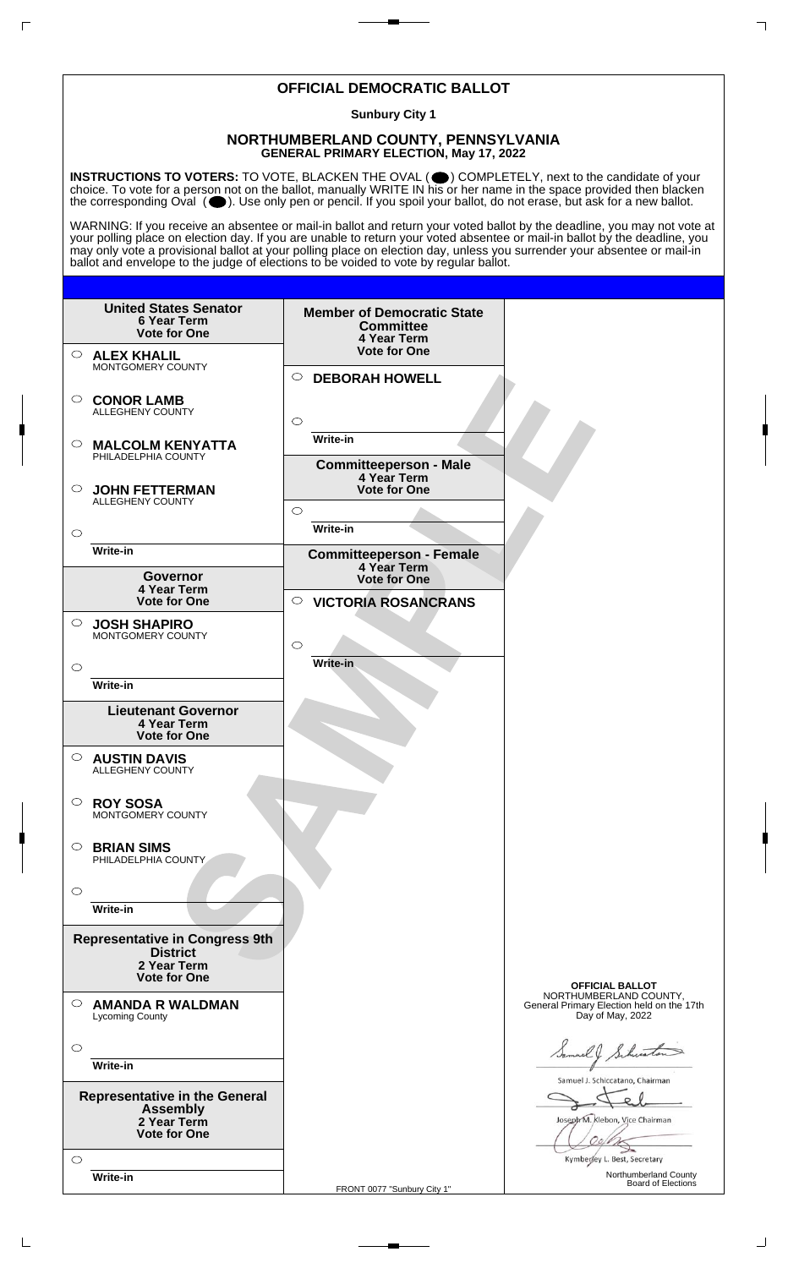|                                                                                                |         | <b>OFFICIAL DEMOCRATIC BALLOT</b>                                                     |                                                                                                                                                                                                                                                                                                                                                                                  |  |
|------------------------------------------------------------------------------------------------|---------|---------------------------------------------------------------------------------------|----------------------------------------------------------------------------------------------------------------------------------------------------------------------------------------------------------------------------------------------------------------------------------------------------------------------------------------------------------------------------------|--|
| <b>Sunbury City 1</b>                                                                          |         |                                                                                       |                                                                                                                                                                                                                                                                                                                                                                                  |  |
|                                                                                                |         | NORTHUMBERLAND COUNTY, PENNSYLVANIA<br><b>GENERAL PRIMARY ELECTION, May 17, 2022</b>  |                                                                                                                                                                                                                                                                                                                                                                                  |  |
|                                                                                                |         |                                                                                       | <b>INSTRUCTIONS TO VOTERS:</b> TO VOTE, BLACKEN THE OVAL (O) COMPLETELY, next to the candidate of your choice. To vote for a person not on the ballot, manually WRITE IN his or her name in the space provided then blacken<br>the corresponding Oval (O). Use only pen or pencil. If you spoil your ballot, do not erase, but ask for a new ballot.                             |  |
|                                                                                                |         | ballot and envelope to the judge of elections to be voided to vote by regular ballot. | WARNING: If you receive an absentee or mail-in ballot and return your voted ballot by the deadline, you may not vote at<br>your polling place on election day. If you are unable to return your voted absentee or mail-in ballot by the deadline, you<br>may only vote a provisional ballot at your polling place on election day, unless you surrender your absentee or mail-in |  |
|                                                                                                |         |                                                                                       |                                                                                                                                                                                                                                                                                                                                                                                  |  |
| <b>United States Senator</b><br><b>6 Year Term</b><br><b>Vote for One</b>                      |         | <b>Member of Democratic State</b><br><b>Committee</b>                                 |                                                                                                                                                                                                                                                                                                                                                                                  |  |
| $\circ$ ALEX KHALIL<br>MONTGOMERY COUNTY                                                       |         | 4 Year Term<br><b>Vote for One</b>                                                    |                                                                                                                                                                                                                                                                                                                                                                                  |  |
| $\circ$<br><b>CONOR LAMB</b>                                                                   | $\circ$ | <b>DEBORAH HOWELL</b>                                                                 |                                                                                                                                                                                                                                                                                                                                                                                  |  |
| <b>ALLEGHENY COUNTY</b><br><b>MALCOLM KENYATTA</b><br>$\circ$                                  | $\circ$ | <b>Write-in</b>                                                                       |                                                                                                                                                                                                                                                                                                                                                                                  |  |
| PHILADELPHIA COUNTY                                                                            |         | <b>Committeeperson - Male</b><br>4 Year Term                                          |                                                                                                                                                                                                                                                                                                                                                                                  |  |
| $\circlearrowright$<br><b>JOHN FETTERMAN</b><br><b>ALLEGHENY COUNTY</b>                        | $\circ$ | <b>Vote for One</b>                                                                   |                                                                                                                                                                                                                                                                                                                                                                                  |  |
| $\circ$                                                                                        |         | <b>Write-in</b>                                                                       |                                                                                                                                                                                                                                                                                                                                                                                  |  |
| <b>Write-in</b>                                                                                |         | <b>Committeeperson - Female</b><br>4 Year Term                                        |                                                                                                                                                                                                                                                                                                                                                                                  |  |
| <b>Governor</b><br>4 Year Term<br><b>Vote for One</b>                                          | $\circ$ | <b>Vote for One</b><br><b>VICTORIA ROSANCRANS</b>                                     |                                                                                                                                                                                                                                                                                                                                                                                  |  |
| <b>JOSH SHAPIRO</b><br>$\circlearrowright$<br>MONTGOMERY COUNTY                                | $\circ$ |                                                                                       |                                                                                                                                                                                                                                                                                                                                                                                  |  |
| $\circ$                                                                                        |         | <b>Write-in</b>                                                                       |                                                                                                                                                                                                                                                                                                                                                                                  |  |
| <b>Write-in</b>                                                                                |         |                                                                                       |                                                                                                                                                                                                                                                                                                                                                                                  |  |
| <b>Lieutenant Governor</b><br>4 Year Term<br><b>Vote for One</b>                               |         |                                                                                       |                                                                                                                                                                                                                                                                                                                                                                                  |  |
| $\circ$ AUSTIN DAVIS<br><b>ALLEGHENY COUNTY</b>                                                |         |                                                                                       |                                                                                                                                                                                                                                                                                                                                                                                  |  |
| <b>ROY SOSA</b><br>O<br>MONTGOMERY COUNTY                                                      |         |                                                                                       |                                                                                                                                                                                                                                                                                                                                                                                  |  |
| <b>BRIAN SIMS</b><br>$\circ$<br>PHILADELPHIA COUNTY                                            |         |                                                                                       |                                                                                                                                                                                                                                                                                                                                                                                  |  |
| $\circ$<br><b>Write-in</b>                                                                     |         |                                                                                       |                                                                                                                                                                                                                                                                                                                                                                                  |  |
|                                                                                                |         |                                                                                       |                                                                                                                                                                                                                                                                                                                                                                                  |  |
| <b>Representative in Congress 9th</b><br><b>District</b><br>2 Year Term<br><b>Vote for One</b> |         |                                                                                       | <b>OFFICIAL BALLOT</b>                                                                                                                                                                                                                                                                                                                                                           |  |
| $\circ$<br><b>AMANDA R WALDMAN</b><br><b>Lycoming County</b>                                   |         |                                                                                       | NORTHUMBERLAND COUNTY,<br>General Primary Election held on the 17th<br>Day of May, 2022                                                                                                                                                                                                                                                                                          |  |
| $\circ$<br><b>Write-in</b>                                                                     |         |                                                                                       |                                                                                                                                                                                                                                                                                                                                                                                  |  |
|                                                                                                |         |                                                                                       | Samuel J. Schiccatano, Chairman                                                                                                                                                                                                                                                                                                                                                  |  |
| <b>Representative in the General</b><br><b>Assembly</b><br>2 Year Term<br>Vote for One         |         |                                                                                       | Joseph M. Klebon, Vice Chairman                                                                                                                                                                                                                                                                                                                                                  |  |
| $\circ$                                                                                        |         |                                                                                       | Kymber/ey L. Best, Secretary                                                                                                                                                                                                                                                                                                                                                     |  |
| <b>Write-in</b>                                                                                |         | FRONT 0077 "Sunbury City 1"                                                           | Northumberland County<br>Board of Elections                                                                                                                                                                                                                                                                                                                                      |  |

 $\Box$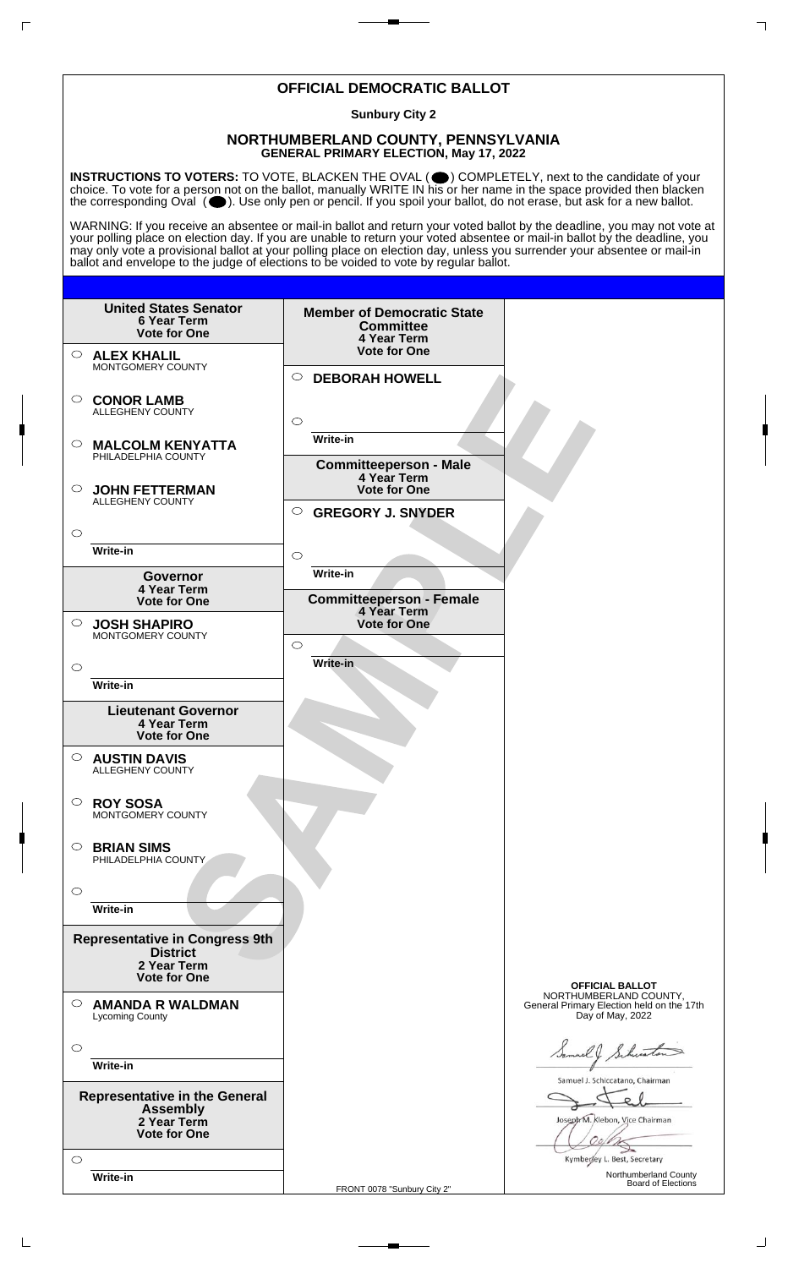|                                                                                                | <b>OFFICIAL DEMOCRATIC BALLOT</b>                                                                                                                                                                                                                                                                                                                                                                                                                                         |                                                                                                                   |  |  |
|------------------------------------------------------------------------------------------------|---------------------------------------------------------------------------------------------------------------------------------------------------------------------------------------------------------------------------------------------------------------------------------------------------------------------------------------------------------------------------------------------------------------------------------------------------------------------------|-------------------------------------------------------------------------------------------------------------------|--|--|
|                                                                                                | <b>Sunbury City 2</b>                                                                                                                                                                                                                                                                                                                                                                                                                                                     |                                                                                                                   |  |  |
|                                                                                                | NORTHUMBERLAND COUNTY, PENNSYLVANIA<br><b>GENERAL PRIMARY ELECTION, May 17, 2022</b>                                                                                                                                                                                                                                                                                                                                                                                      |                                                                                                                   |  |  |
|                                                                                                | <b>INSTRUCTIONS TO VOTERS:</b> TO VOTE, BLACKEN THE OVAL (O) COMPLETELY, next to the candidate of your<br>choice. To vote for a person not on the ballot, manually WRITE IN his or her name in the space provided then blacken<br>the corresponding Oval (C). Use only pen or pencil. If you spoil your ballot, do not erase, but ask for a new ballot.                                                                                                                   |                                                                                                                   |  |  |
|                                                                                                | WARNING: If you receive an absentee or mail-in ballot and return your voted ballot by the deadline, you may not vote at<br>your polling place on election day. If you are unable to return your voted absentee or mail-in ballot by the deadline, you<br>may only vote a provisional ballot at your polling place on election day, unless you surrender your absentee or mail-in<br>ballot and envelope to the judge of elections to be voided to vote by regular ballot. |                                                                                                                   |  |  |
|                                                                                                |                                                                                                                                                                                                                                                                                                                                                                                                                                                                           |                                                                                                                   |  |  |
| <b>United States Senator</b><br><b>6 Year Term</b><br><b>Vote for One</b>                      | <b>Member of Democratic State</b><br><b>Committee</b><br>4 Year Term                                                                                                                                                                                                                                                                                                                                                                                                      |                                                                                                                   |  |  |
| $\circ$<br><b>ALEX KHALIL</b><br><b>MONTGOMERY COUNTY</b>                                      | <b>Vote for One</b><br>$\circ$<br><b>DEBORAH HOWELL</b>                                                                                                                                                                                                                                                                                                                                                                                                                   |                                                                                                                   |  |  |
| $\circ$<br><b>CONOR LAMB</b><br><b>ALLEGHENY COUNTY</b>                                        | $\bigcirc$                                                                                                                                                                                                                                                                                                                                                                                                                                                                |                                                                                                                   |  |  |
| $\circ$<br><b>MALCOLM KENYATTA</b><br>PHILADELPHIA COUNTY                                      | <b>Write-in</b><br><b>Committeeperson - Male</b>                                                                                                                                                                                                                                                                                                                                                                                                                          |                                                                                                                   |  |  |
| $\circ$<br><b>JOHN FETTERMAN</b><br><b>ALLEGHENY COUNTY</b>                                    | 4 Year Term<br><b>Vote for One</b>                                                                                                                                                                                                                                                                                                                                                                                                                                        |                                                                                                                   |  |  |
| $\circ$                                                                                        | $\circ$<br><b>GREGORY J. SNYDER</b>                                                                                                                                                                                                                                                                                                                                                                                                                                       |                                                                                                                   |  |  |
| <b>Write-in</b>                                                                                | $\bigcirc$<br><b>Write-in</b>                                                                                                                                                                                                                                                                                                                                                                                                                                             |                                                                                                                   |  |  |
| Governor<br>4 Year Term<br><b>Vote for One</b>                                                 | <b>Committeeperson - Female</b><br>4 Year Term                                                                                                                                                                                                                                                                                                                                                                                                                            |                                                                                                                   |  |  |
| <b>JOSH SHAPIRO</b><br>$\circ$<br>MONTGOMERY COUNTY                                            | <b>Vote for One</b><br>$\circ$                                                                                                                                                                                                                                                                                                                                                                                                                                            |                                                                                                                   |  |  |
| $\circ$<br><b>Write-in</b>                                                                     | <b>Write-in</b>                                                                                                                                                                                                                                                                                                                                                                                                                                                           |                                                                                                                   |  |  |
| <b>Lieutenant Governor</b><br>4 Year Term<br><b>Vote for One</b>                               |                                                                                                                                                                                                                                                                                                                                                                                                                                                                           |                                                                                                                   |  |  |
| $\circ$<br><b>AUSTIN DAVIS</b><br><b>ALLEGHENY COUNTY</b>                                      |                                                                                                                                                                                                                                                                                                                                                                                                                                                                           |                                                                                                                   |  |  |
| <b>ROY SOSA</b><br>$\circ$<br>MONTGOMERY COUNTY                                                |                                                                                                                                                                                                                                                                                                                                                                                                                                                                           |                                                                                                                   |  |  |
| <b>BRIAN SIMS</b><br>$\circ$<br>PHILADELPHIA COUNTY                                            |                                                                                                                                                                                                                                                                                                                                                                                                                                                                           |                                                                                                                   |  |  |
| $\circ$<br><b>Write-in</b>                                                                     |                                                                                                                                                                                                                                                                                                                                                                                                                                                                           |                                                                                                                   |  |  |
| <b>Representative in Congress 9th</b><br><b>District</b><br>2 Year Term<br><b>Vote for One</b> |                                                                                                                                                                                                                                                                                                                                                                                                                                                                           |                                                                                                                   |  |  |
| $\circ$<br><b>AMANDA R WALDMAN</b><br><b>Lycoming County</b>                                   |                                                                                                                                                                                                                                                                                                                                                                                                                                                                           | <b>OFFICIAL BALLOT</b><br>NORTHUMBERLAND COUNTY,<br>General Primary Election held on the 17th<br>Day of May, 2022 |  |  |
| $\circ$<br><b>Write-in</b>                                                                     |                                                                                                                                                                                                                                                                                                                                                                                                                                                                           |                                                                                                                   |  |  |
| <b>Representative in the General</b><br><b>Assembly</b><br>2 Year Term<br><b>Vote for One</b>  |                                                                                                                                                                                                                                                                                                                                                                                                                                                                           | Samuel J. Schiccatano, Chairman<br>Joseph M. Klebon, Vice Chairman                                                |  |  |
| $\circ$<br>Write-in                                                                            | FRONT 0078 "Sunbury City 2"                                                                                                                                                                                                                                                                                                                                                                                                                                               | Kymber/ey L. Best, Secretary<br>Northumberland County<br><b>Board of Elections</b>                                |  |  |

 $\overline{\phantom{a}}$ 

 $\Gamma$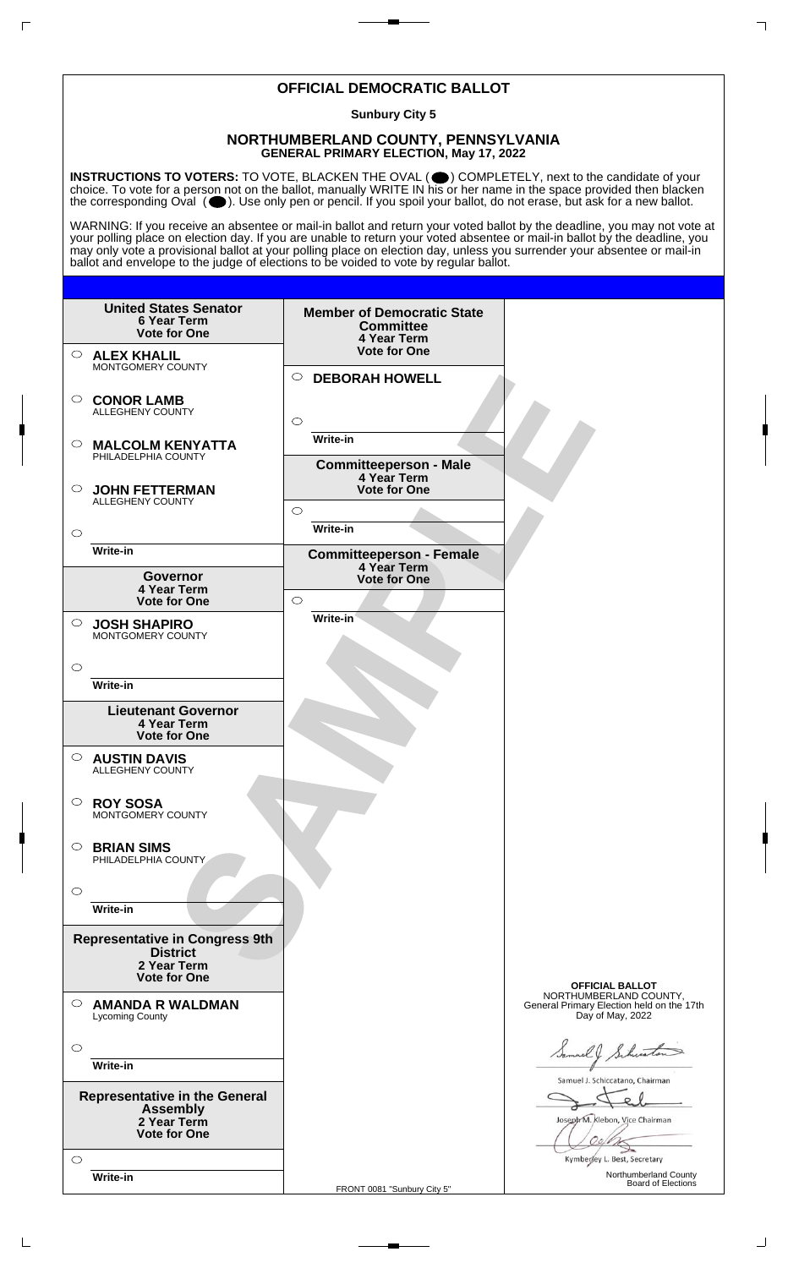|                                                                                                | <b>OFFICIAL DEMOCRATIC BALLOT</b>                                                                                                                                                                                                                                                                                                                                                                                                                                         |                                                                                                                   |  |
|------------------------------------------------------------------------------------------------|---------------------------------------------------------------------------------------------------------------------------------------------------------------------------------------------------------------------------------------------------------------------------------------------------------------------------------------------------------------------------------------------------------------------------------------------------------------------------|-------------------------------------------------------------------------------------------------------------------|--|
|                                                                                                | <b>Sunbury City 5</b>                                                                                                                                                                                                                                                                                                                                                                                                                                                     |                                                                                                                   |  |
|                                                                                                | NORTHUMBERLAND COUNTY, PENNSYLVANIA<br><b>GENERAL PRIMARY ELECTION, May 17, 2022</b>                                                                                                                                                                                                                                                                                                                                                                                      |                                                                                                                   |  |
|                                                                                                | <b>INSTRUCTIONS TO VOTERS:</b> TO VOTE, BLACKEN THE OVAL (O) COMPLETELY, next to the candidate of your choice. To vote for a person not on the ballot, manually WRITE IN his or her name in the space provided then blacken<br>the corresponding Oval (C). Use only pen or pencil. If you spoil your ballot, do not erase, but ask for a new ballot.                                                                                                                      |                                                                                                                   |  |
|                                                                                                | WARNING: If you receive an absentee or mail-in ballot and return your voted ballot by the deadline, you may not vote at<br>your polling place on election day. If you are unable to return your voted absentee or mail-in ballot by the deadline, you<br>may only vote a provisional ballot at your polling place on election day, unless you surrender your absentee or mail-in<br>ballot and envelope to the judge of elections to be voided to vote by regular ballot. |                                                                                                                   |  |
|                                                                                                |                                                                                                                                                                                                                                                                                                                                                                                                                                                                           |                                                                                                                   |  |
| <b>United States Senator</b><br><b>6 Year Term</b><br><b>Vote for One</b>                      | <b>Member of Democratic State</b><br><b>Committee</b><br>4 Year Term                                                                                                                                                                                                                                                                                                                                                                                                      |                                                                                                                   |  |
| $\circ$<br><b>ALEX KHALIL</b><br>MONTGOMERY COUNTY                                             | <b>Vote for One</b><br>O<br><b>DEBORAH HOWELL</b>                                                                                                                                                                                                                                                                                                                                                                                                                         |                                                                                                                   |  |
| $\circ$<br><b>CONOR LAMB</b><br><b>ALLEGHENY COUNTY</b>                                        | $\circ$                                                                                                                                                                                                                                                                                                                                                                                                                                                                   |                                                                                                                   |  |
| $\circ$<br><b>MALCOLM KENYATTA</b><br>PHILADELPHIA COUNTY                                      | <b>Write-in</b><br><b>Committeeperson - Male</b><br>4 Year Term                                                                                                                                                                                                                                                                                                                                                                                                           |                                                                                                                   |  |
| $\circ$<br><b>JOHN FETTERMAN</b><br><b>ALLEGHENY COUNTY</b>                                    | <b>Vote for One</b><br>$\circ$                                                                                                                                                                                                                                                                                                                                                                                                                                            |                                                                                                                   |  |
| $\circlearrowright$<br><b>Write-in</b>                                                         | <b>Write-in</b>                                                                                                                                                                                                                                                                                                                                                                                                                                                           |                                                                                                                   |  |
| Governor                                                                                       | <b>Committeeperson - Female</b><br>4 Year Term                                                                                                                                                                                                                                                                                                                                                                                                                            |                                                                                                                   |  |
| 4 Year Term<br><b>Vote for One</b>                                                             | <b>Vote for One</b><br>$\circ$                                                                                                                                                                                                                                                                                                                                                                                                                                            |                                                                                                                   |  |
| $\circ$<br><b>JOSH SHAPIRO</b><br>MONTGOMERY COUNTY                                            | Write-in                                                                                                                                                                                                                                                                                                                                                                                                                                                                  |                                                                                                                   |  |
| $\circ$<br><b>Write-in</b>                                                                     |                                                                                                                                                                                                                                                                                                                                                                                                                                                                           |                                                                                                                   |  |
| <b>Lieutenant Governor</b><br>4 Year Term<br><b>Vote for One</b>                               |                                                                                                                                                                                                                                                                                                                                                                                                                                                                           |                                                                                                                   |  |
| <b>AUSTIN DAVIS</b><br>$\circ$<br><b>ALLEGHENY COUNTY</b>                                      |                                                                                                                                                                                                                                                                                                                                                                                                                                                                           |                                                                                                                   |  |
| <b>ROY SOSA</b><br>$\circ$<br>MONTGOMERY COUNTY                                                |                                                                                                                                                                                                                                                                                                                                                                                                                                                                           |                                                                                                                   |  |
| <b>BRIAN SIMS</b><br>$\circ$<br>PHILADELPHIA COUNTY                                            |                                                                                                                                                                                                                                                                                                                                                                                                                                                                           |                                                                                                                   |  |
| $\circlearrowright$<br><b>Write-in</b>                                                         |                                                                                                                                                                                                                                                                                                                                                                                                                                                                           |                                                                                                                   |  |
| <b>Representative in Congress 9th</b><br><b>District</b><br>2 Year Term<br><b>Vote for One</b> |                                                                                                                                                                                                                                                                                                                                                                                                                                                                           |                                                                                                                   |  |
| $\circ$<br><b>AMANDA R WALDMAN</b><br>Lycoming County                                          |                                                                                                                                                                                                                                                                                                                                                                                                                                                                           | <b>OFFICIAL BALLOT</b><br>NORTHUMBERLAND COUNTY,<br>General Primary Election held on the 17th<br>Day of May, 2022 |  |
| $\circ$                                                                                        |                                                                                                                                                                                                                                                                                                                                                                                                                                                                           |                                                                                                                   |  |
| <b>Write-in</b>                                                                                |                                                                                                                                                                                                                                                                                                                                                                                                                                                                           | Samuel J. Schiccatano, Chairman                                                                                   |  |
| <b>Representative in the General</b><br><b>Assembly</b><br>2 Year Term<br><b>Vote for One</b>  |                                                                                                                                                                                                                                                                                                                                                                                                                                                                           | Joseph M. Klebon, Vice Chairman                                                                                   |  |
| $\circ$                                                                                        |                                                                                                                                                                                                                                                                                                                                                                                                                                                                           | Kymberley L. Best, Secretary<br>Northumberland County                                                             |  |
| <b>Write-in</b>                                                                                | FRONT 0081 "Sunbury City 5"                                                                                                                                                                                                                                                                                                                                                                                                                                               | Board of Elections                                                                                                |  |

 $\Box$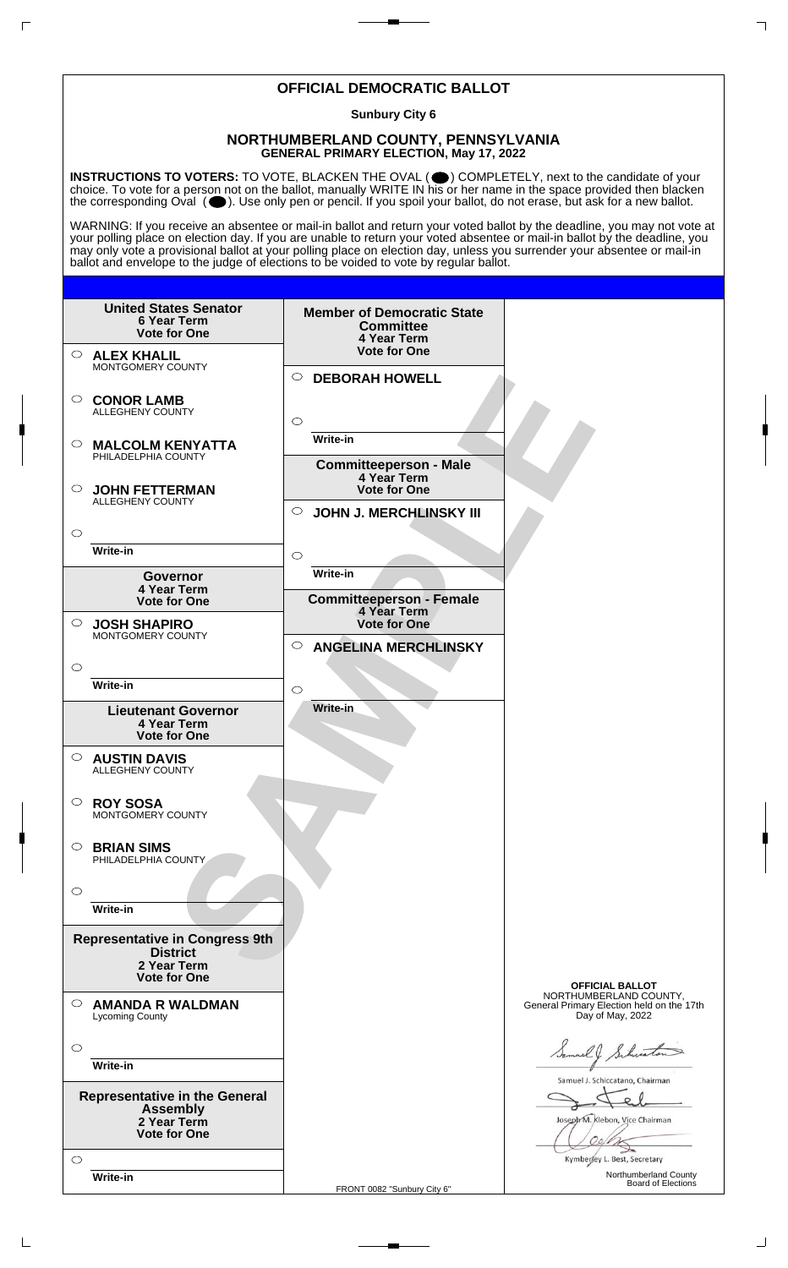| <b>OFFICIAL DEMOCRATIC BALLOT</b>                                                              |                                                                                                                                                                                                                                                                                                                                                                                                                                                                           |                                                                                                                   |  |  |
|------------------------------------------------------------------------------------------------|---------------------------------------------------------------------------------------------------------------------------------------------------------------------------------------------------------------------------------------------------------------------------------------------------------------------------------------------------------------------------------------------------------------------------------------------------------------------------|-------------------------------------------------------------------------------------------------------------------|--|--|
|                                                                                                | <b>Sunbury City 6</b>                                                                                                                                                                                                                                                                                                                                                                                                                                                     |                                                                                                                   |  |  |
|                                                                                                | NORTHUMBERLAND COUNTY, PENNSYLVANIA<br><b>GENERAL PRIMARY ELECTION, May 17, 2022</b>                                                                                                                                                                                                                                                                                                                                                                                      |                                                                                                                   |  |  |
|                                                                                                | <b>INSTRUCTIONS TO VOTERS:</b> TO VOTE, BLACKEN THE OVAL (O) COMPLETELY, next to the candidate of your choice. To vote for a person not on the ballot, manually WRITE IN his or her name in the space provided then blacken<br>the corresponding Oval (C). Use only pen or pencil. If you spoil your ballot, do not erase, but ask for a new ballot.                                                                                                                      |                                                                                                                   |  |  |
|                                                                                                | WARNING: If you receive an absentee or mail-in ballot and return your voted ballot by the deadline, you may not vote at<br>your polling place on election day. If you are unable to return your voted absentee or mail-in ballot by the deadline, you<br>may only vote a provisional ballot at your polling place on election day, unless you surrender your absentee or mail-in<br>ballot and envelope to the judge of elections to be voided to vote by regular ballot. |                                                                                                                   |  |  |
|                                                                                                |                                                                                                                                                                                                                                                                                                                                                                                                                                                                           |                                                                                                                   |  |  |
| <b>United States Senator</b><br><b>6 Year Term</b><br><b>Vote for One</b>                      | <b>Member of Democratic State</b><br><b>Committee</b><br>4 Year Term                                                                                                                                                                                                                                                                                                                                                                                                      |                                                                                                                   |  |  |
| $\circ$<br><b>ALEX KHALIL</b><br><b>MONTGOMERY COUNTY</b>                                      | <b>Vote for One</b><br><b>DEBORAH HOWELL</b><br>$\bigcirc$                                                                                                                                                                                                                                                                                                                                                                                                                |                                                                                                                   |  |  |
| $\circ$<br><b>CONOR LAMB</b><br><b>ALLEGHENY COUNTY</b>                                        | $\bigcirc$                                                                                                                                                                                                                                                                                                                                                                                                                                                                |                                                                                                                   |  |  |
| $\circ$<br><b>MALCOLM KENYATTA</b><br>PHILADELPHIA COUNTY                                      | <b>Write-in</b><br><b>Committeeperson - Male</b>                                                                                                                                                                                                                                                                                                                                                                                                                          |                                                                                                                   |  |  |
| $\circ$<br><b>JOHN FETTERMAN</b><br><b>ALLEGHENY COUNTY</b>                                    | 4 Year Term<br><b>Vote for One</b><br>$\circ$<br><b>JOHN J. MERCHLINSKY III</b>                                                                                                                                                                                                                                                                                                                                                                                           |                                                                                                                   |  |  |
| $\circlearrowright$                                                                            |                                                                                                                                                                                                                                                                                                                                                                                                                                                                           |                                                                                                                   |  |  |
| Write-in                                                                                       | $\bigcirc$                                                                                                                                                                                                                                                                                                                                                                                                                                                                |                                                                                                                   |  |  |
| Governor<br>4 Year Term<br><b>Vote for One</b>                                                 | <b>Write-in</b><br><b>Committeeperson - Female</b>                                                                                                                                                                                                                                                                                                                                                                                                                        |                                                                                                                   |  |  |
| $\circ$<br><b>JOSH SHAPIRO</b>                                                                 | 4 Year Term<br><b>Vote for One</b>                                                                                                                                                                                                                                                                                                                                                                                                                                        |                                                                                                                   |  |  |
| MONTGOMERY COUNTY                                                                              | $\circ$<br><b>ANGELINA MERCHLINSKY</b>                                                                                                                                                                                                                                                                                                                                                                                                                                    |                                                                                                                   |  |  |
| $\circlearrowright$<br><b>Write-in</b>                                                         |                                                                                                                                                                                                                                                                                                                                                                                                                                                                           |                                                                                                                   |  |  |
|                                                                                                | $\circ$<br><b>Write-in</b>                                                                                                                                                                                                                                                                                                                                                                                                                                                |                                                                                                                   |  |  |
| <b>Lieutenant Governor</b><br>4 Year Term<br><b>Vote for One</b>                               |                                                                                                                                                                                                                                                                                                                                                                                                                                                                           |                                                                                                                   |  |  |
| $\circ$<br><b>AUSTIN DAVIS</b><br><b>ALLEGHENY COUNTY</b>                                      |                                                                                                                                                                                                                                                                                                                                                                                                                                                                           |                                                                                                                   |  |  |
| <b>ROY SOSA</b><br>$\circ$<br>MONTGOMERY COUNTY                                                |                                                                                                                                                                                                                                                                                                                                                                                                                                                                           |                                                                                                                   |  |  |
| <b>BRIAN SIMS</b><br>O<br>PHILADELPHIA COUNTY                                                  |                                                                                                                                                                                                                                                                                                                                                                                                                                                                           |                                                                                                                   |  |  |
| $\circlearrowright$<br><b>Write-in</b>                                                         |                                                                                                                                                                                                                                                                                                                                                                                                                                                                           |                                                                                                                   |  |  |
| <b>Representative in Congress 9th</b><br><b>District</b><br>2 Year Term<br><b>Vote for One</b> |                                                                                                                                                                                                                                                                                                                                                                                                                                                                           |                                                                                                                   |  |  |
| $\circ$<br><b>AMANDA R WALDMAN</b><br><b>Lycoming County</b>                                   |                                                                                                                                                                                                                                                                                                                                                                                                                                                                           | <b>OFFICIAL BALLOT</b><br>NORTHUMBERLAND COUNTY,<br>General Primary Election held on the 17th<br>Day of May, 2022 |  |  |
| $\circlearrowright$                                                                            |                                                                                                                                                                                                                                                                                                                                                                                                                                                                           |                                                                                                                   |  |  |
| Write-in                                                                                       |                                                                                                                                                                                                                                                                                                                                                                                                                                                                           | Samuel J. Schiccatano, Chairman                                                                                   |  |  |
| <b>Representative in the General</b><br><b>Assembly</b><br>2 Year Term<br><b>Vote for One</b>  |                                                                                                                                                                                                                                                                                                                                                                                                                                                                           | Joseph M. Klebon, Vice Chairman                                                                                   |  |  |
| $\circlearrowright$                                                                            |                                                                                                                                                                                                                                                                                                                                                                                                                                                                           | Kymberley L. Best, Secretary<br>Northumberland County                                                             |  |  |
| <b>Write-in</b>                                                                                | FRONT 0082 "Sunbury City 6"                                                                                                                                                                                                                                                                                                                                                                                                                                               | Board of Elections                                                                                                |  |  |

 $\Box$ 

 $\Box$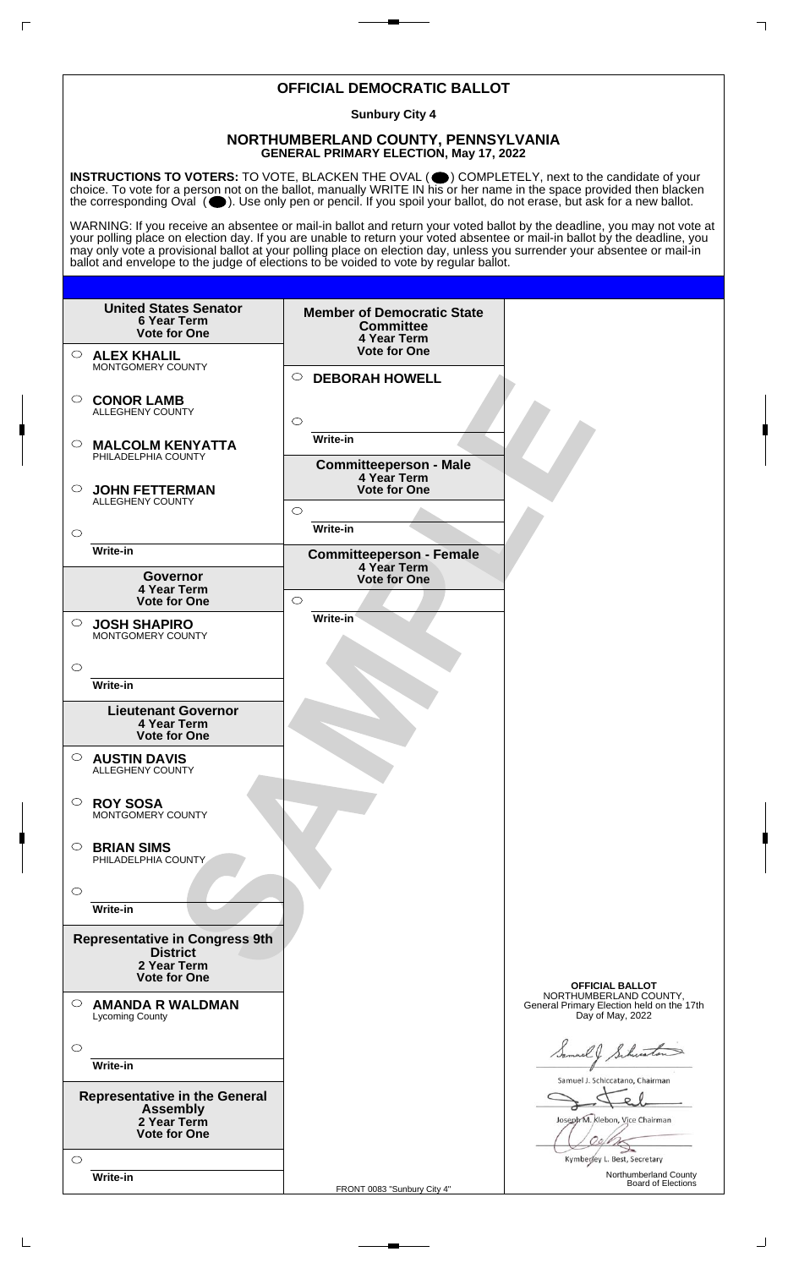|                                                                                                | <b>OFFICIAL DEMOCRATIC BALLOT</b>                                                                                                                                                                                                                                                                                                                                                                                                                                         |                                                                                                                   |  |  |
|------------------------------------------------------------------------------------------------|---------------------------------------------------------------------------------------------------------------------------------------------------------------------------------------------------------------------------------------------------------------------------------------------------------------------------------------------------------------------------------------------------------------------------------------------------------------------------|-------------------------------------------------------------------------------------------------------------------|--|--|
| <b>Sunbury City 4</b>                                                                          |                                                                                                                                                                                                                                                                                                                                                                                                                                                                           |                                                                                                                   |  |  |
|                                                                                                | NORTHUMBERLAND COUNTY, PENNSYLVANIA<br><b>GENERAL PRIMARY ELECTION, May 17, 2022</b>                                                                                                                                                                                                                                                                                                                                                                                      |                                                                                                                   |  |  |
|                                                                                                | INSTRUCTIONS TO VOTERS: TO VOTE, BLACKEN THE OVAL (O) COMPLETELY, next to the candidate of your choice. To vote for a person not on the ballot, manually WRITE IN his or her name in the space provided then blacken<br>the corresponding Oval (C). Use only pen or pencil. If you spoil your ballot, do not erase, but ask for a new ballot.                                                                                                                             |                                                                                                                   |  |  |
|                                                                                                | WARNING: If you receive an absentee or mail-in ballot and return your voted ballot by the deadline, you may not vote at<br>your polling place on election day. If you are unable to return your voted absentee or mail-in ballot by the deadline, you<br>may only vote a provisional ballot at your polling place on election day, unless you surrender your absentee or mail-in<br>ballot and envelope to the judge of elections to be voided to vote by regular ballot. |                                                                                                                   |  |  |
|                                                                                                |                                                                                                                                                                                                                                                                                                                                                                                                                                                                           |                                                                                                                   |  |  |
| <b>United States Senator</b><br>6 Year Term<br><b>Vote for One</b>                             | <b>Member of Democratic State</b><br><b>Committee</b><br>4 Year Term                                                                                                                                                                                                                                                                                                                                                                                                      |                                                                                                                   |  |  |
| $\circ$<br><b>ALEX KHALIL</b><br>MONTGOMERY COUNTY                                             | <b>Vote for One</b><br>O<br><b>DEBORAH HOWELL</b>                                                                                                                                                                                                                                                                                                                                                                                                                         |                                                                                                                   |  |  |
| $\circ$<br><b>CONOR LAMB</b><br><b>ALLEGHENY COUNTY</b>                                        | $\circ$                                                                                                                                                                                                                                                                                                                                                                                                                                                                   |                                                                                                                   |  |  |
| $\circ$<br><b>MALCOLM KENYATTA</b><br>PHILADELPHIA COUNTY                                      | <b>Write-in</b><br><b>Committeeperson - Male</b><br>4 Year Term                                                                                                                                                                                                                                                                                                                                                                                                           |                                                                                                                   |  |  |
| $\circ$<br><b>JOHN FETTERMAN</b><br><b>ALLEGHENY COUNTY</b>                                    | <b>Vote for One</b><br>$\circ$                                                                                                                                                                                                                                                                                                                                                                                                                                            |                                                                                                                   |  |  |
| $\circ$<br>Write-in                                                                            | <b>Write-in</b>                                                                                                                                                                                                                                                                                                                                                                                                                                                           |                                                                                                                   |  |  |
| Governor                                                                                       | <b>Committeeperson - Female</b><br>4 Year Term                                                                                                                                                                                                                                                                                                                                                                                                                            |                                                                                                                   |  |  |
| 4 Year Term<br><b>Vote for One</b>                                                             | <b>Vote for One</b><br>$\circ$                                                                                                                                                                                                                                                                                                                                                                                                                                            |                                                                                                                   |  |  |
| $\circ$<br><b>JOSH SHAPIRO</b><br>MONTGOMERY COUNTY                                            | Write-in                                                                                                                                                                                                                                                                                                                                                                                                                                                                  |                                                                                                                   |  |  |
| $\circ$<br><b>Write-in</b>                                                                     |                                                                                                                                                                                                                                                                                                                                                                                                                                                                           |                                                                                                                   |  |  |
| <b>Lieutenant Governor</b><br>4 Year Term<br><b>Vote for One</b>                               |                                                                                                                                                                                                                                                                                                                                                                                                                                                                           |                                                                                                                   |  |  |
| $\circ$<br><b>AUSTIN DAVIS</b><br><b>ALLEGHENY COUNTY</b>                                      |                                                                                                                                                                                                                                                                                                                                                                                                                                                                           |                                                                                                                   |  |  |
| <b>ROY SOSA</b><br>$\circ$<br>MONTGOMERY COUNTY                                                |                                                                                                                                                                                                                                                                                                                                                                                                                                                                           |                                                                                                                   |  |  |
| $\circ$<br><b>BRIAN SIMS</b><br>PHILADELPHIA COUNTY                                            |                                                                                                                                                                                                                                                                                                                                                                                                                                                                           |                                                                                                                   |  |  |
| $\circ$<br><b>Write-in</b>                                                                     |                                                                                                                                                                                                                                                                                                                                                                                                                                                                           |                                                                                                                   |  |  |
| <b>Representative in Congress 9th</b><br><b>District</b><br>2 Year Term<br><b>Vote for One</b> |                                                                                                                                                                                                                                                                                                                                                                                                                                                                           |                                                                                                                   |  |  |
| $\circ$<br><b>AMANDA R WALDMAN</b><br><b>Lycoming County</b>                                   |                                                                                                                                                                                                                                                                                                                                                                                                                                                                           | <b>OFFICIAL BALLOT</b><br>NORTHUMBERLAND COUNTY,<br>General Primary Election held on the 17th<br>Day of May, 2022 |  |  |
| $\circ$                                                                                        |                                                                                                                                                                                                                                                                                                                                                                                                                                                                           |                                                                                                                   |  |  |
| <b>Write-in</b>                                                                                |                                                                                                                                                                                                                                                                                                                                                                                                                                                                           | Samuel J. Schiccatano, Chairman                                                                                   |  |  |
| <b>Representative in the General</b><br><b>Assembly</b><br>2 Year Term<br><b>Vote for One</b>  |                                                                                                                                                                                                                                                                                                                                                                                                                                                                           | Joseph M. Klebon, Vice Chairman                                                                                   |  |  |
| $\circ$<br>Write-in                                                                            |                                                                                                                                                                                                                                                                                                                                                                                                                                                                           | Kymberley L. Best, Secretary<br>Northumberland County                                                             |  |  |
|                                                                                                | FRONT 0083 "Sunbury City 4"                                                                                                                                                                                                                                                                                                                                                                                                                                               | Board of Elections                                                                                                |  |  |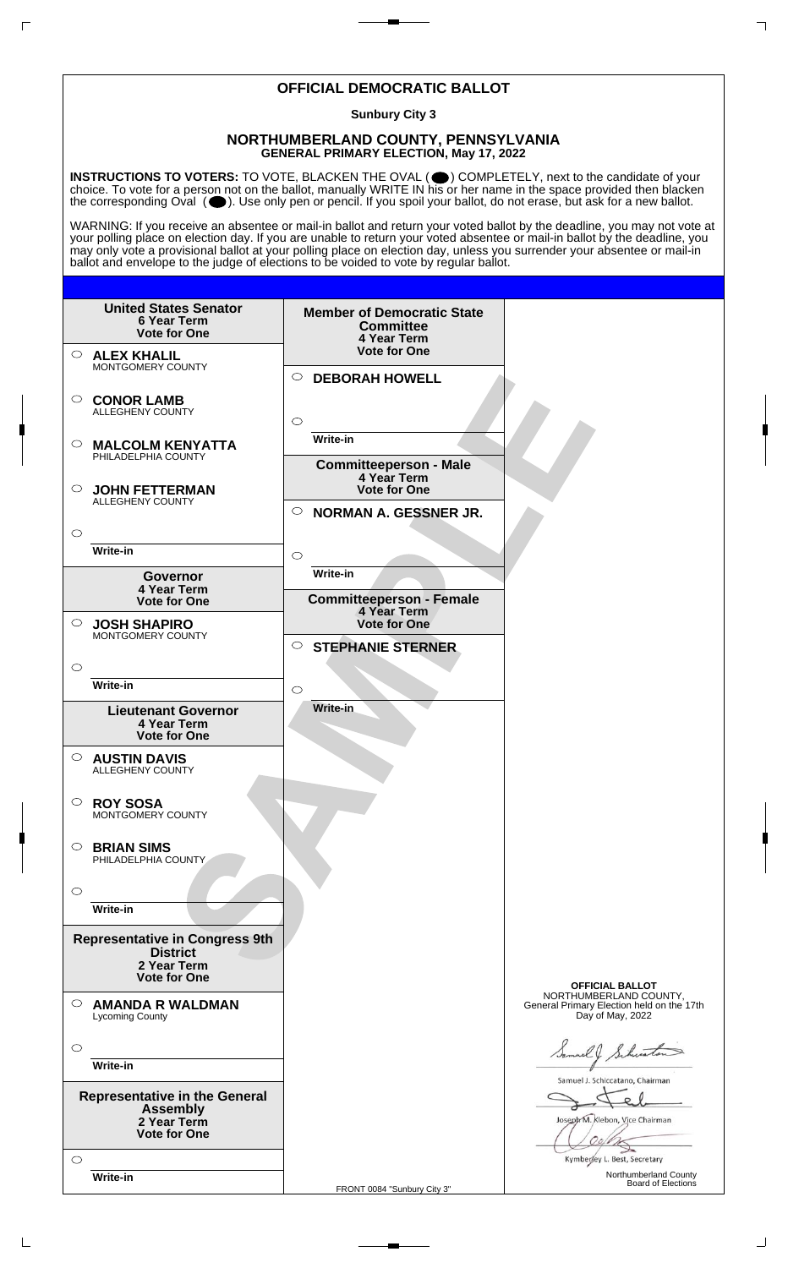| <b>OFFICIAL DEMOCRATIC BALLOT</b>                                  |                                                                                                                                                                                                                                                                                                                                                                                                                                                                           |                                                                                         |  |
|--------------------------------------------------------------------|---------------------------------------------------------------------------------------------------------------------------------------------------------------------------------------------------------------------------------------------------------------------------------------------------------------------------------------------------------------------------------------------------------------------------------------------------------------------------|-----------------------------------------------------------------------------------------|--|
|                                                                    | <b>Sunbury City 3</b>                                                                                                                                                                                                                                                                                                                                                                                                                                                     |                                                                                         |  |
|                                                                    | NORTHUMBERLAND COUNTY, PENNSYLVANIA<br><b>GENERAL PRIMARY ELECTION, May 17, 2022</b>                                                                                                                                                                                                                                                                                                                                                                                      |                                                                                         |  |
|                                                                    | INSTRUCTIONS TO VOTERS: TO VOTE, BLACKEN THE OVAL (O) COMPLETELY, next to the candidate of your<br>choice. To vote for a person not on the ballot, manually WRITE IN his or her name in the space provided then blacken<br>the corresponding Oval (C). Use only pen or pencil. If you spoil your ballot, do not erase, but ask for a new ballot.                                                                                                                          |                                                                                         |  |
|                                                                    | WARNING: If you receive an absentee or mail-in ballot and return your voted ballot by the deadline, you may not vote at<br>your polling place on election day. If you are unable to return your voted absentee or mail-in ballot by the deadline, you<br>may only vote a provisional ballot at your polling place on election day, unless you surrender your absentee or mail-in<br>ballot and envelope to the judge of elections to be voided to vote by regular ballot. |                                                                                         |  |
|                                                                    |                                                                                                                                                                                                                                                                                                                                                                                                                                                                           |                                                                                         |  |
| <b>United States Senator</b><br>6 Year Term<br><b>Vote for One</b> | <b>Member of Democratic State</b><br><b>Committee</b><br>4 Year Term<br><b>Vote for One</b>                                                                                                                                                                                                                                                                                                                                                                               |                                                                                         |  |
| $\circ$<br><b>ALEX KHALIL</b><br><b>MONTGOMERY COUNTY</b>          | $\circ$<br><b>DEBORAH HOWELL</b>                                                                                                                                                                                                                                                                                                                                                                                                                                          |                                                                                         |  |
| $\circ$<br><b>CONOR LAMB</b><br><b>ALLEGHENY COUNTY</b>            | ◯                                                                                                                                                                                                                                                                                                                                                                                                                                                                         |                                                                                         |  |
| $\circ$<br><b>MALCOLM KENYATTA</b><br>PHILADELPHIA COUNTY          | <b>Write-in</b>                                                                                                                                                                                                                                                                                                                                                                                                                                                           |                                                                                         |  |
| $\circ$<br><b>JOHN FETTERMAN</b>                                   | <b>Committeeperson - Male</b><br>4 Year Term<br><b>Vote for One</b>                                                                                                                                                                                                                                                                                                                                                                                                       |                                                                                         |  |
| <b>ALLEGHENY COUNTY</b><br>O                                       | $\circ$<br><b>NORMAN A. GESSNER JR.</b>                                                                                                                                                                                                                                                                                                                                                                                                                                   |                                                                                         |  |
| Write-in                                                           | O                                                                                                                                                                                                                                                                                                                                                                                                                                                                         |                                                                                         |  |
| Governor<br>4 Year Term<br><b>Vote for One</b>                     | Write-in<br><b>Committeeperson - Female</b>                                                                                                                                                                                                                                                                                                                                                                                                                               |                                                                                         |  |
| <b>JOSH SHAPIRO</b><br>$\circ$<br>MONTGOMERY COUNTY                | 4 Year Term<br><b>Vote for One</b>                                                                                                                                                                                                                                                                                                                                                                                                                                        |                                                                                         |  |
| $\circ$                                                            | <b>STEPHANIE STERNER</b><br>O                                                                                                                                                                                                                                                                                                                                                                                                                                             |                                                                                         |  |
| <b>Write-in</b>                                                    | $\circ$                                                                                                                                                                                                                                                                                                                                                                                                                                                                   |                                                                                         |  |
| <b>Lieutenant Governor</b><br>4 Year Term<br><b>Vote for One</b>   | <b>Write-in</b>                                                                                                                                                                                                                                                                                                                                                                                                                                                           |                                                                                         |  |
| $\circ$<br><b>AUSTIN DAVIS</b><br><b>ALLEGHENY COUNTY</b>          |                                                                                                                                                                                                                                                                                                                                                                                                                                                                           |                                                                                         |  |
| $\circlearrowright$<br><b>ROY SOSA</b><br>MONTGOMERY COUNTY        |                                                                                                                                                                                                                                                                                                                                                                                                                                                                           |                                                                                         |  |
| O<br><b>BRIAN SIMS</b><br>PHILADELPHIA COUNTY                      |                                                                                                                                                                                                                                                                                                                                                                                                                                                                           |                                                                                         |  |
| $\circlearrowright$<br><b>Write-in</b>                             |                                                                                                                                                                                                                                                                                                                                                                                                                                                                           |                                                                                         |  |
| <b>Representative in Congress 9th</b><br><b>District</b>           |                                                                                                                                                                                                                                                                                                                                                                                                                                                                           |                                                                                         |  |
| 2 Year Term<br><b>Vote for One</b>                                 |                                                                                                                                                                                                                                                                                                                                                                                                                                                                           | <b>OFFICIAL BALLOT</b>                                                                  |  |
| $\circ$<br><b>AMANDA R WALDMAN</b><br><b>Lycoming County</b>       |                                                                                                                                                                                                                                                                                                                                                                                                                                                                           | NORTHUMBERLAND COUNTY,<br>General Primary Election held on the 17th<br>Day of May, 2022 |  |
| $\circlearrowright$<br>Write-in                                    |                                                                                                                                                                                                                                                                                                                                                                                                                                                                           |                                                                                         |  |
| <b>Representative in the General</b>                               |                                                                                                                                                                                                                                                                                                                                                                                                                                                                           | Samuel J. Schiccatano, Chairman                                                         |  |
| <b>Assembly</b><br>2 Year Term<br><b>Vote for One</b>              |                                                                                                                                                                                                                                                                                                                                                                                                                                                                           | Joseph M. Klebon, Vice Chairman                                                         |  |
| $\circlearrowright$<br>Write-in                                    |                                                                                                                                                                                                                                                                                                                                                                                                                                                                           | Kymber/ey L. Best, Secretary<br>Northumberland County                                   |  |
|                                                                    | FRONT 0084 "Sunbury City 3"                                                                                                                                                                                                                                                                                                                                                                                                                                               | <b>Board of Elections</b>                                                               |  |

 $\Box$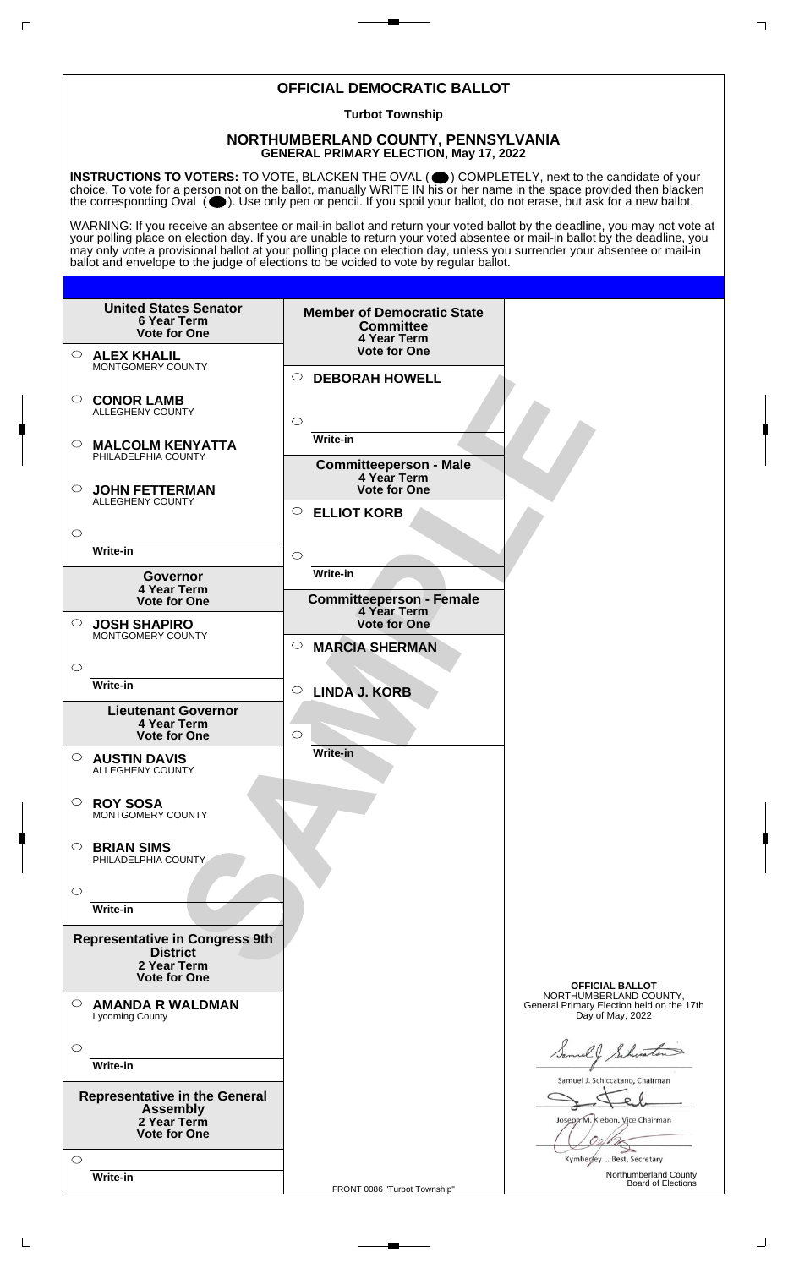|                     | <b>OFFICIAL DEMOCRATIC BALLOT</b>                                                                                                                                                                                                                                                                                                                                                                                                                                         |                                                                                                                                                                                                                                                                                                                                                         |                                                                                                                   |  |
|---------------------|---------------------------------------------------------------------------------------------------------------------------------------------------------------------------------------------------------------------------------------------------------------------------------------------------------------------------------------------------------------------------------------------------------------------------------------------------------------------------|---------------------------------------------------------------------------------------------------------------------------------------------------------------------------------------------------------------------------------------------------------------------------------------------------------------------------------------------------------|-------------------------------------------------------------------------------------------------------------------|--|
|                     | <b>Turbot Township</b>                                                                                                                                                                                                                                                                                                                                                                                                                                                    |                                                                                                                                                                                                                                                                                                                                                         |                                                                                                                   |  |
|                     | NORTHUMBERLAND COUNTY, PENNSYLVANIA<br><b>GENERAL PRIMARY ELECTION, May 17, 2022</b>                                                                                                                                                                                                                                                                                                                                                                                      |                                                                                                                                                                                                                                                                                                                                                         |                                                                                                                   |  |
|                     |                                                                                                                                                                                                                                                                                                                                                                                                                                                                           | <b>INSTRUCTIONS TO VOTERS:</b> TO VOTE, BLACKEN THE OVAL (O) COMPLETELY, next to the candidate of your<br>choice. To vote for a person not on the ballot, manually WRITE IN his or her name in the space provided then blacken<br>the corresponding Oval (C). Use only pen or pencil. If you spoil your ballot, do not erase, but ask for a new ballot. |                                                                                                                   |  |
|                     | WARNING: If you receive an absentee or mail-in ballot and return your voted ballot by the deadline, you may not vote at<br>your polling place on election day. If you are unable to return your voted absentee or mail-in ballot by the deadline, you<br>may only vote a provisional ballot at your polling place on election day, unless you surrender your absentee or mail-in<br>ballot and envelope to the judge of elections to be voided to vote by regular ballot. |                                                                                                                                                                                                                                                                                                                                                         |                                                                                                                   |  |
|                     |                                                                                                                                                                                                                                                                                                                                                                                                                                                                           |                                                                                                                                                                                                                                                                                                                                                         |                                                                                                                   |  |
|                     | <b>United States Senator</b><br>6 Year Term<br><b>Vote for One</b>                                                                                                                                                                                                                                                                                                                                                                                                        | <b>Member of Democratic State</b><br><b>Committee</b><br>4 Year Term                                                                                                                                                                                                                                                                                    |                                                                                                                   |  |
|                     | $\circ$ ALEX KHALIL<br><b>MONTGOMERY COUNTY</b>                                                                                                                                                                                                                                                                                                                                                                                                                           | <b>Vote for One</b><br>O<br><b>DEBORAH HOWELL</b>                                                                                                                                                                                                                                                                                                       |                                                                                                                   |  |
| ○                   | <b>CONOR LAMB</b><br><b>ALLEGHENY COUNTY</b>                                                                                                                                                                                                                                                                                                                                                                                                                              |                                                                                                                                                                                                                                                                                                                                                         |                                                                                                                   |  |
| $\circ$             | <b>MALCOLM KENYATTA</b>                                                                                                                                                                                                                                                                                                                                                                                                                                                   | $\circ$<br><b>Write-in</b>                                                                                                                                                                                                                                                                                                                              |                                                                                                                   |  |
| $\circ$             | PHILADELPHIA COUNTY<br><b>JOHN FETTERMAN</b>                                                                                                                                                                                                                                                                                                                                                                                                                              | <b>Committeeperson - Male</b><br>4 Year Term<br><b>Vote for One</b>                                                                                                                                                                                                                                                                                     |                                                                                                                   |  |
|                     | <b>ALLEGHENY COUNTY</b>                                                                                                                                                                                                                                                                                                                                                                                                                                                   | $\circ$<br><b>ELLIOT KORB</b>                                                                                                                                                                                                                                                                                                                           |                                                                                                                   |  |
| $\circ$             | <b>Write-in</b>                                                                                                                                                                                                                                                                                                                                                                                                                                                           | O                                                                                                                                                                                                                                                                                                                                                       |                                                                                                                   |  |
|                     | Governor                                                                                                                                                                                                                                                                                                                                                                                                                                                                  | <b>Write-in</b>                                                                                                                                                                                                                                                                                                                                         |                                                                                                                   |  |
|                     | 4 Year Term<br><b>Vote for One</b>                                                                                                                                                                                                                                                                                                                                                                                                                                        | <b>Committeeperson - Female</b><br>4 Year Term                                                                                                                                                                                                                                                                                                          |                                                                                                                   |  |
| $\circ$             | <b>JOSH SHAPIRO</b><br>MONTGOMERY COUNTY                                                                                                                                                                                                                                                                                                                                                                                                                                  | <b>Vote for One</b><br>$\circ$<br><b>MARCIA SHERMAN</b>                                                                                                                                                                                                                                                                                                 |                                                                                                                   |  |
| $\circlearrowright$ |                                                                                                                                                                                                                                                                                                                                                                                                                                                                           |                                                                                                                                                                                                                                                                                                                                                         |                                                                                                                   |  |
|                     | <b>Write-in</b>                                                                                                                                                                                                                                                                                                                                                                                                                                                           | <b>LINDA J. KORB</b><br>$\circ$                                                                                                                                                                                                                                                                                                                         |                                                                                                                   |  |
|                     | <b>Lieutenant Governor</b><br>4 Year Term<br><b>Vote for One</b>                                                                                                                                                                                                                                                                                                                                                                                                          | $\circ$                                                                                                                                                                                                                                                                                                                                                 |                                                                                                                   |  |
| $\circ$             | <b>AUSTIN DAVIS</b><br>ALLEGHENY COUNTY                                                                                                                                                                                                                                                                                                                                                                                                                                   | <b>Write-in</b>                                                                                                                                                                                                                                                                                                                                         |                                                                                                                   |  |
| $\circ$             | <b>ROY SOSA</b><br>MONTGOMERY COUNTY                                                                                                                                                                                                                                                                                                                                                                                                                                      |                                                                                                                                                                                                                                                                                                                                                         |                                                                                                                   |  |
| O                   | <b>BRIAN SIMS</b><br>PHILADELPHIA COUNTY                                                                                                                                                                                                                                                                                                                                                                                                                                  |                                                                                                                                                                                                                                                                                                                                                         |                                                                                                                   |  |
| $\circlearrowright$ | <b>Write-in</b>                                                                                                                                                                                                                                                                                                                                                                                                                                                           |                                                                                                                                                                                                                                                                                                                                                         |                                                                                                                   |  |
|                     |                                                                                                                                                                                                                                                                                                                                                                                                                                                                           |                                                                                                                                                                                                                                                                                                                                                         |                                                                                                                   |  |
|                     | <b>Representative in Congress 9th</b><br><b>District</b><br>2 Year Term<br><b>Vote for One</b>                                                                                                                                                                                                                                                                                                                                                                            |                                                                                                                                                                                                                                                                                                                                                         |                                                                                                                   |  |
| O                   | <b>AMANDA R WALDMAN</b><br><b>Lycoming County</b>                                                                                                                                                                                                                                                                                                                                                                                                                         |                                                                                                                                                                                                                                                                                                                                                         | <b>OFFICIAL BALLOT</b><br>NORTHUMBERLAND COUNTY,<br>General Primary Election held on the 17th<br>Day of May, 2022 |  |
| $\circ$             |                                                                                                                                                                                                                                                                                                                                                                                                                                                                           |                                                                                                                                                                                                                                                                                                                                                         |                                                                                                                   |  |
|                     | <b>Write-in</b>                                                                                                                                                                                                                                                                                                                                                                                                                                                           |                                                                                                                                                                                                                                                                                                                                                         | Samuel J. Schiccatano, Chairman                                                                                   |  |
|                     | <b>Representative in the General</b><br><b>Assembly</b><br>2 Year Term<br><b>Vote for One</b>                                                                                                                                                                                                                                                                                                                                                                             |                                                                                                                                                                                                                                                                                                                                                         | Joseph M. Klebon, Vice Chairman                                                                                   |  |
| $\circlearrowright$ |                                                                                                                                                                                                                                                                                                                                                                                                                                                                           |                                                                                                                                                                                                                                                                                                                                                         | Kymberley L. Best, Secretary                                                                                      |  |
|                     | <b>Write-in</b>                                                                                                                                                                                                                                                                                                                                                                                                                                                           | FRONT 0086 "Turbot Township"                                                                                                                                                                                                                                                                                                                            | Northumberland County<br>Board of Elections                                                                       |  |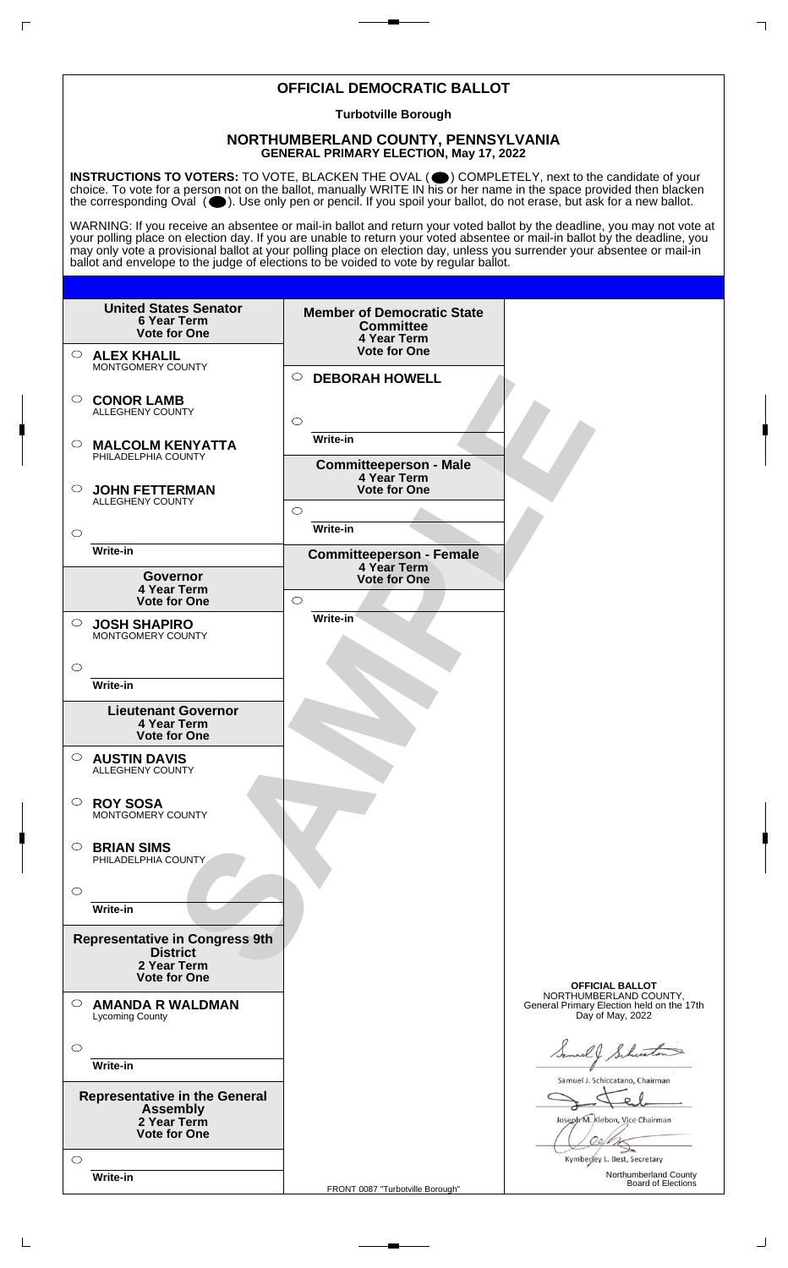|                     | <b>OFFICIAL DEMOCRATIC BALLOT</b>                                                              |                                                                                                                                                                                                                                                                                                                                                                                                                                                                           |                                                                                         |  |
|---------------------|------------------------------------------------------------------------------------------------|---------------------------------------------------------------------------------------------------------------------------------------------------------------------------------------------------------------------------------------------------------------------------------------------------------------------------------------------------------------------------------------------------------------------------------------------------------------------------|-----------------------------------------------------------------------------------------|--|
|                     | <b>Turbotville Borough</b>                                                                     |                                                                                                                                                                                                                                                                                                                                                                                                                                                                           |                                                                                         |  |
|                     | NORTHUMBERLAND COUNTY, PENNSYLVANIA<br><b>GENERAL PRIMARY ELECTION, May 17, 2022</b>           |                                                                                                                                                                                                                                                                                                                                                                                                                                                                           |                                                                                         |  |
|                     |                                                                                                | <b>INSTRUCTIONS TO VOTERS:</b> TO VOTE, BLACKEN THE OVAL (O) COMPLETELY, next to the candidate of your choice. To vote for a person not on the ballot, manually WRITE IN his or her name in the space provided then blacken<br>the corresponding Oval (C). Use only pen or pencil. If you spoil your ballot, do not erase, but ask for a new ballot.                                                                                                                      |                                                                                         |  |
|                     |                                                                                                | WARNING: If you receive an absentee or mail-in ballot and return your voted ballot by the deadline, you may not vote at<br>your polling place on election day. If you are unable to return your voted absentee or mail-in ballot by the deadline, you<br>may only vote a provisional ballot at your polling place on election day, unless you surrender your absentee or mail-in<br>ballot and envelope to the judge of elections to be voided to vote by regular ballot. |                                                                                         |  |
|                     |                                                                                                |                                                                                                                                                                                                                                                                                                                                                                                                                                                                           |                                                                                         |  |
|                     | <b>United States Senator</b><br>6 Year Term<br><b>Vote for One</b>                             | <b>Member of Democratic State</b><br><b>Committee</b><br>4 Year Term                                                                                                                                                                                                                                                                                                                                                                                                      |                                                                                         |  |
|                     | $\circ$ ALEX KHALIL<br>MONTGOMERY COUNTY                                                       | <b>Vote for One</b><br>O<br><b>DEBORAH HOWELL</b>                                                                                                                                                                                                                                                                                                                                                                                                                         |                                                                                         |  |
| O                   | <b>CONOR LAMB</b><br><b>ALLEGHENY COUNTY</b>                                                   | $\circ$                                                                                                                                                                                                                                                                                                                                                                                                                                                                   |                                                                                         |  |
| $\circ$             | <b>MALCOLM KENYATTA</b><br>PHILADELPHIA COUNTY                                                 | <b>Write-in</b><br><b>Committeeperson - Male</b>                                                                                                                                                                                                                                                                                                                                                                                                                          |                                                                                         |  |
| $\circ$             | <b>JOHN FETTERMAN</b><br>ALLEGHENY COUNTY                                                      | 4 Year Term<br><b>Vote for One</b><br>$\circ$                                                                                                                                                                                                                                                                                                                                                                                                                             |                                                                                         |  |
| $\circlearrowright$ |                                                                                                | <b>Write-in</b>                                                                                                                                                                                                                                                                                                                                                                                                                                                           |                                                                                         |  |
|                     | <b>Write-in</b>                                                                                | <b>Committeeperson - Female</b>                                                                                                                                                                                                                                                                                                                                                                                                                                           |                                                                                         |  |
|                     | Governor<br>4 Year Term<br><b>Vote for One</b>                                                 | 4 Year Term<br><b>Vote for One</b><br>$\circ$                                                                                                                                                                                                                                                                                                                                                                                                                             |                                                                                         |  |
| $\circ$             | <b>JOSH SHAPIRO</b><br>MONTGOMERY COUNTY                                                       | Write-in                                                                                                                                                                                                                                                                                                                                                                                                                                                                  |                                                                                         |  |
| $\circlearrowright$ | <b>Write-in</b>                                                                                |                                                                                                                                                                                                                                                                                                                                                                                                                                                                           |                                                                                         |  |
|                     | <b>Lieutenant Governor</b><br>4 Year Term<br><b>Vote for One</b>                               |                                                                                                                                                                                                                                                                                                                                                                                                                                                                           |                                                                                         |  |
| $\circ$             | <b>AUSTIN DAVIS</b><br><b>ALLEGHENY COUNTY</b>                                                 |                                                                                                                                                                                                                                                                                                                                                                                                                                                                           |                                                                                         |  |
| O                   | <b>ROY SOSA</b><br>MONTGOMERY COUNTY                                                           |                                                                                                                                                                                                                                                                                                                                                                                                                                                                           |                                                                                         |  |
| O                   | <b>BRIAN SIMS</b><br>PHILADELPHIA COUNTY                                                       |                                                                                                                                                                                                                                                                                                                                                                                                                                                                           |                                                                                         |  |
| $\circlearrowright$ | <b>Write-in</b>                                                                                |                                                                                                                                                                                                                                                                                                                                                                                                                                                                           |                                                                                         |  |
|                     | <b>Representative in Congress 9th</b><br><b>District</b><br>2 Year Term<br><b>Vote for One</b> |                                                                                                                                                                                                                                                                                                                                                                                                                                                                           | <b>OFFICIAL BALLOT</b>                                                                  |  |
| O                   | <b>AMANDA R WALDMAN</b><br><b>Lycoming County</b>                                              |                                                                                                                                                                                                                                                                                                                                                                                                                                                                           | NORTHUMBERLAND COUNTY,<br>General Primary Election held on the 17th<br>Day of May, 2022 |  |
| $\circ$             |                                                                                                |                                                                                                                                                                                                                                                                                                                                                                                                                                                                           |                                                                                         |  |
|                     | Write-in                                                                                       |                                                                                                                                                                                                                                                                                                                                                                                                                                                                           | Samuel J. Schiccatano, Chairman                                                         |  |
|                     | <b>Representative in the General</b><br><b>Assembly</b><br>2 Year Term<br><b>Vote for One</b>  |                                                                                                                                                                                                                                                                                                                                                                                                                                                                           | Joseph M. Klebon, Vice Chairman                                                         |  |
| $\circlearrowright$ |                                                                                                |                                                                                                                                                                                                                                                                                                                                                                                                                                                                           | Kymberley L. Best, Secretary                                                            |  |
|                     | <b>Write-in</b>                                                                                | FRONT 0087 "Turbotville Borough"                                                                                                                                                                                                                                                                                                                                                                                                                                          | Northumberland County<br>Board of Elections                                             |  |

┑

 $\Box$ 

 $\overline{\Gamma}$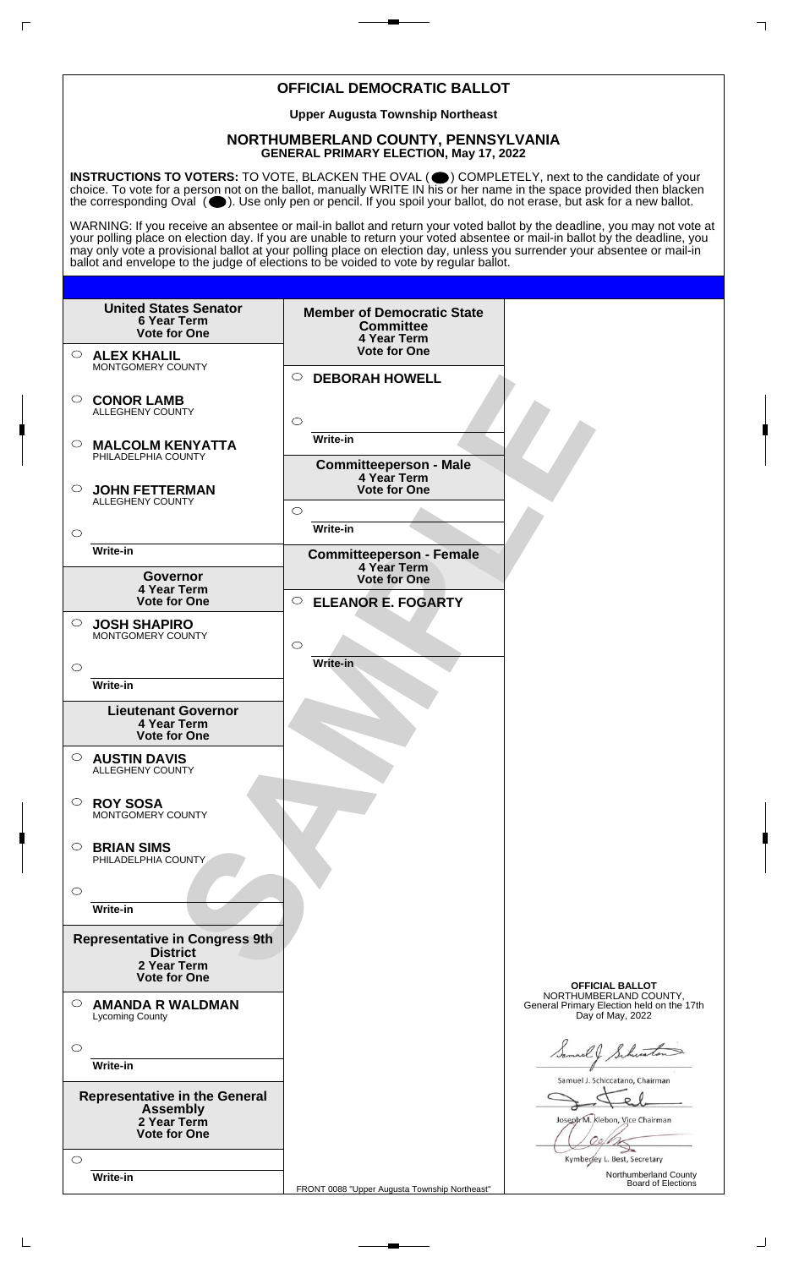|                                                                                                | <b>OFFICIAL DEMOCRATIC BALLOT</b>                                                                                                                                                                                                                                                                                                                                                                                                                     |                                                                                                                   |
|------------------------------------------------------------------------------------------------|-------------------------------------------------------------------------------------------------------------------------------------------------------------------------------------------------------------------------------------------------------------------------------------------------------------------------------------------------------------------------------------------------------------------------------------------------------|-------------------------------------------------------------------------------------------------------------------|
|                                                                                                | <b>Upper Augusta Township Northeast</b>                                                                                                                                                                                                                                                                                                                                                                                                               |                                                                                                                   |
| NORTHUMBERLAND COUNTY, PENNSYLVANIA                                                            |                                                                                                                                                                                                                                                                                                                                                                                                                                                       |                                                                                                                   |
|                                                                                                | <b>GENERAL PRIMARY ELECTION, May 17, 2022</b>                                                                                                                                                                                                                                                                                                                                                                                                         |                                                                                                                   |
|                                                                                                | INSTRUCTIONS TO VOTERS: TO VOTE, BLACKEN THE OVAL (O) COMPLETELY, next to the candidate of your choice. To vote for a person not on the ballot, manually WRITE IN his or her name in the space provided then blacken<br>the corresponding Oval (C). Use only pen or pencil. If you spoil your ballot, do not erase, but ask for a new ballot.                                                                                                         |                                                                                                                   |
|                                                                                                | WARNING: If you receive an absentee or mail-in ballot and return your voted ballot by the deadline, you may not vote at<br>your polling place on election day. If you are unable to return your voted absentee or mail-in ballot by the deadline, you<br>may only vote a provisional ballot at your polling place on election day, unless you surrender your<br>ballot and envelope to the judge of elections to be voided to vote by regular ballot. |                                                                                                                   |
|                                                                                                |                                                                                                                                                                                                                                                                                                                                                                                                                                                       |                                                                                                                   |
| <b>United States Senator</b><br><b>6 Year Term</b>                                             | <b>Member of Democratic State</b>                                                                                                                                                                                                                                                                                                                                                                                                                     |                                                                                                                   |
| <b>Vote for One</b>                                                                            | <b>Committee</b><br>4 Year Term                                                                                                                                                                                                                                                                                                                                                                                                                       |                                                                                                                   |
| <b>ALEX KHALIL</b><br>$\circ$<br>MONTGOMERY COUNTY                                             | <b>Vote for One</b>                                                                                                                                                                                                                                                                                                                                                                                                                                   |                                                                                                                   |
|                                                                                                | <b>DEBORAH HOWELL</b><br>$\circ$                                                                                                                                                                                                                                                                                                                                                                                                                      |                                                                                                                   |
| <b>CONOR LAMB</b><br>O<br><b>ALLEGHENY COUNTY</b>                                              |                                                                                                                                                                                                                                                                                                                                                                                                                                                       |                                                                                                                   |
|                                                                                                | ◯                                                                                                                                                                                                                                                                                                                                                                                                                                                     |                                                                                                                   |
| <b>MALCOLM KENYATTA</b><br>O<br>PHILADELPHIA COUNTY                                            | Write-in                                                                                                                                                                                                                                                                                                                                                                                                                                              |                                                                                                                   |
|                                                                                                | <b>Committeeperson - Male</b><br>4 Year Term                                                                                                                                                                                                                                                                                                                                                                                                          |                                                                                                                   |
| $\circ$<br><b>JOHN FETTERMAN</b><br><b>ALLEGHENY COUNTY</b>                                    | <b>Vote for One</b>                                                                                                                                                                                                                                                                                                                                                                                                                                   |                                                                                                                   |
|                                                                                                | $\circ$                                                                                                                                                                                                                                                                                                                                                                                                                                               |                                                                                                                   |
| $\circ$<br><b>Write-in</b>                                                                     | <b>Write-in</b>                                                                                                                                                                                                                                                                                                                                                                                                                                       |                                                                                                                   |
|                                                                                                | <b>Committeeperson - Female</b><br><b>4 Year Term</b>                                                                                                                                                                                                                                                                                                                                                                                                 |                                                                                                                   |
| Governor<br>4 Year Term<br><b>Vote for One</b>                                                 | <b>Vote for One</b><br>C ELEANOR E. FOGARTY                                                                                                                                                                                                                                                                                                                                                                                                           |                                                                                                                   |
| $\circ$<br><b>JOSH SHAPIRO</b><br>MONTGOMERY COUNTY                                            |                                                                                                                                                                                                                                                                                                                                                                                                                                                       |                                                                                                                   |
|                                                                                                | $\circ$<br><b>Write-in</b>                                                                                                                                                                                                                                                                                                                                                                                                                            |                                                                                                                   |
| $\circ$<br><b>Write-in</b>                                                                     |                                                                                                                                                                                                                                                                                                                                                                                                                                                       |                                                                                                                   |
|                                                                                                |                                                                                                                                                                                                                                                                                                                                                                                                                                                       |                                                                                                                   |
| <b>Lieutenant Governor</b><br>4 Year Term<br><b>Vote for One</b>                               |                                                                                                                                                                                                                                                                                                                                                                                                                                                       |                                                                                                                   |
| <b>AUSTIN DAVIS</b><br>$\circ$<br><b>ALLEGHENY COUNTY</b>                                      |                                                                                                                                                                                                                                                                                                                                                                                                                                                       |                                                                                                                   |
| <b>ROY SOSA</b><br>$\circ$                                                                     |                                                                                                                                                                                                                                                                                                                                                                                                                                                       |                                                                                                                   |
| MONTGOMERY COUNTY                                                                              |                                                                                                                                                                                                                                                                                                                                                                                                                                                       |                                                                                                                   |
| <b>BRIAN SIMS</b><br>$\circ$<br>PHILADELPHIA COUNTY.                                           |                                                                                                                                                                                                                                                                                                                                                                                                                                                       |                                                                                                                   |
| $\circ$                                                                                        |                                                                                                                                                                                                                                                                                                                                                                                                                                                       |                                                                                                                   |
| <b>Write-in</b>                                                                                |                                                                                                                                                                                                                                                                                                                                                                                                                                                       |                                                                                                                   |
| <b>Representative in Congress 9th</b><br><b>District</b><br>2 Year Term<br><b>Vote for One</b> |                                                                                                                                                                                                                                                                                                                                                                                                                                                       |                                                                                                                   |
| <b>AMANDA R WALDMAN</b><br>$\circ$<br><b>Lycoming County</b>                                   |                                                                                                                                                                                                                                                                                                                                                                                                                                                       | <b>OFFICIAL BALLOT</b><br>NORTHUMBERLAND COUNTY,<br>General Primary Election held on the 17th<br>Day of May, 2022 |
|                                                                                                |                                                                                                                                                                                                                                                                                                                                                                                                                                                       |                                                                                                                   |
| $\bigcirc$<br><b>Write-in</b>                                                                  |                                                                                                                                                                                                                                                                                                                                                                                                                                                       |                                                                                                                   |
|                                                                                                |                                                                                                                                                                                                                                                                                                                                                                                                                                                       | Samuel J. Schiccatano, Chairman                                                                                   |
| <b>Representative in the General</b><br><b>Assembly</b><br>2 Year Term<br><b>Vote for One</b>  |                                                                                                                                                                                                                                                                                                                                                                                                                                                       | Joseph M. Klebon, Vice Chairman                                                                                   |
| $\circ$                                                                                        |                                                                                                                                                                                                                                                                                                                                                                                                                                                       | Kymberley L. Best, Secretary                                                                                      |
| Write-in                                                                                       |                                                                                                                                                                                                                                                                                                                                                                                                                                                       | Northumberland County                                                                                             |
|                                                                                                | <b>FRONT 0000 "LIS</b><br>Τ.                                                                                                                                                                                                                                                                                                                                                                                                                          | <b>Board of Elections</b>                                                                                         |

 $\Box$ 

FRONT 0088 "Upper Augusta Township Northeast"

 $\overline{\phantom{a}}$ 

 $\top$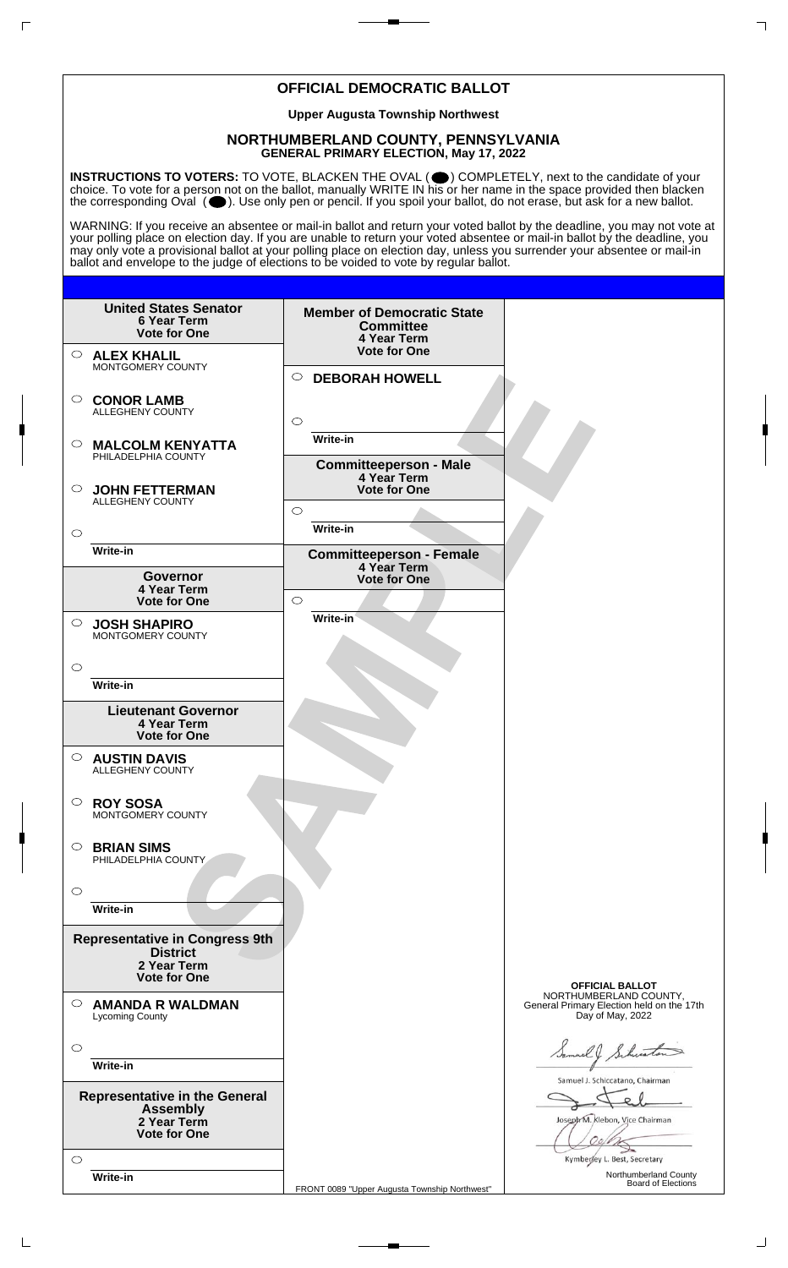|                                                                                                | <b>OFFICIAL DEMOCRATIC BALLOT</b>                                                                                                                                                                                                                                                                                                                                                                                                                                         |                                                                                         |
|------------------------------------------------------------------------------------------------|---------------------------------------------------------------------------------------------------------------------------------------------------------------------------------------------------------------------------------------------------------------------------------------------------------------------------------------------------------------------------------------------------------------------------------------------------------------------------|-----------------------------------------------------------------------------------------|
|                                                                                                | <b>Upper Augusta Township Northwest</b>                                                                                                                                                                                                                                                                                                                                                                                                                                   |                                                                                         |
|                                                                                                | NORTHUMBERLAND COUNTY, PENNSYLVANIA<br><b>GENERAL PRIMARY ELECTION, May 17, 2022</b>                                                                                                                                                                                                                                                                                                                                                                                      |                                                                                         |
|                                                                                                | <b>INSTRUCTIONS TO VOTERS:</b> TO VOTE, BLACKEN THE OVAL (O) COMPLETELY, next to the candidate of your choice. To vote for a person not on the ballot, manually WRITE IN his or her name in the space provided then blacken the cor                                                                                                                                                                                                                                       |                                                                                         |
|                                                                                                | WARNING: If you receive an absentee or mail-in ballot and return your voted ballot by the deadline, you may not vote at<br>your polling place on election day. If you are unable to return your voted absentee or mail-in ballot by the deadline, you<br>may only vote a provisional ballot at your polling place on election day, unless you surrender your absentee or mail-in<br>ballot and envelope to the judge of elections to be voided to vote by regular ballot. |                                                                                         |
| <b>United States Senator</b>                                                                   |                                                                                                                                                                                                                                                                                                                                                                                                                                                                           |                                                                                         |
| <b>6 Year Term</b><br><b>Vote for One</b>                                                      | <b>Member of Democratic State</b><br><b>Committee</b><br>4 Year Term                                                                                                                                                                                                                                                                                                                                                                                                      |                                                                                         |
| $\circ$ ALEX KHALIL<br>MONTGOMERY COUNTY                                                       | <b>Vote for One</b><br>$\circ$<br><b>DEBORAH HOWELL</b>                                                                                                                                                                                                                                                                                                                                                                                                                   |                                                                                         |
| $\circ$<br><b>CONOR LAMB</b><br><b>ALLEGHENY COUNTY</b>                                        | $\circ$                                                                                                                                                                                                                                                                                                                                                                                                                                                                   |                                                                                         |
| <b>MALCOLM KENYATTA</b><br>$\circ$<br>PHILADELPHIA COUNTY                                      | <b>Write-in</b>                                                                                                                                                                                                                                                                                                                                                                                                                                                           |                                                                                         |
| $\circ$<br><b>JOHN FETTERMAN</b><br><b>ALLEGHENY COUNTY</b>                                    | Committeeperson - Male<br>4 Year Term<br><b>Vote for One</b><br>$\circ$                                                                                                                                                                                                                                                                                                                                                                                                   |                                                                                         |
| $\circ$<br><b>Write-in</b>                                                                     | <b>Write-in</b>                                                                                                                                                                                                                                                                                                                                                                                                                                                           |                                                                                         |
| Governor<br>4 Year Term                                                                        | <b>Committeeperson - Female</b><br>4 Year Term<br><b>Vote for One</b>                                                                                                                                                                                                                                                                                                                                                                                                     |                                                                                         |
| <b>Vote for One</b><br><b>JOSH SHAPIRO</b><br>$\circ$                                          | $\circ$<br>Write-in                                                                                                                                                                                                                                                                                                                                                                                                                                                       |                                                                                         |
| MONTGOMERY COUNTY                                                                              |                                                                                                                                                                                                                                                                                                                                                                                                                                                                           |                                                                                         |
| $\circ$<br><b>Write-in</b>                                                                     |                                                                                                                                                                                                                                                                                                                                                                                                                                                                           |                                                                                         |
| <b>Lieutenant Governor</b><br>4 Year Term<br><b>Vote for One</b>                               |                                                                                                                                                                                                                                                                                                                                                                                                                                                                           |                                                                                         |
| <b>AUSTIN DAVIS</b><br>$\circ$<br><b>ALLEGHENY COUNTY</b>                                      |                                                                                                                                                                                                                                                                                                                                                                                                                                                                           |                                                                                         |
| <b>ROY SOSA</b><br>$\circ$<br>MONTGOMERY COUNTY                                                |                                                                                                                                                                                                                                                                                                                                                                                                                                                                           |                                                                                         |
| $\circ$<br><b>BRIAN SIMS</b><br>PHILADELPHIA COUNTY                                            |                                                                                                                                                                                                                                                                                                                                                                                                                                                                           |                                                                                         |
| $\circ$<br><b>Write-in</b>                                                                     |                                                                                                                                                                                                                                                                                                                                                                                                                                                                           |                                                                                         |
| <b>Representative in Congress 9th</b><br><b>District</b><br>2 Year Term<br><b>Vote for One</b> |                                                                                                                                                                                                                                                                                                                                                                                                                                                                           | <b>OFFICIAL BALLOT</b>                                                                  |
| <b>AMANDA R WALDMAN</b><br>$\circ$<br><b>Lycoming County</b>                                   |                                                                                                                                                                                                                                                                                                                                                                                                                                                                           | NORTHUMBERLAND COUNTY,<br>General Primary Election held on the 17th<br>Day of May, 2022 |
| $\circ$<br><b>Write-in</b>                                                                     |                                                                                                                                                                                                                                                                                                                                                                                                                                                                           | Samuel J. Schiccatano, Chairman                                                         |
| <b>Representative in the General</b><br><b>Assembly</b><br>2 Year Term<br>Vote for One         |                                                                                                                                                                                                                                                                                                                                                                                                                                                                           | Joseph M. Klebon, Vice Chairman                                                         |
| $\circ$<br><b>Write-in</b>                                                                     | FRONT 0089 "Upper Augusta Township Northwest"                                                                                                                                                                                                                                                                                                                                                                                                                             | Kymberley L. Best, Secretary<br>Northumberland County<br>Board of Elections             |

 $\Box$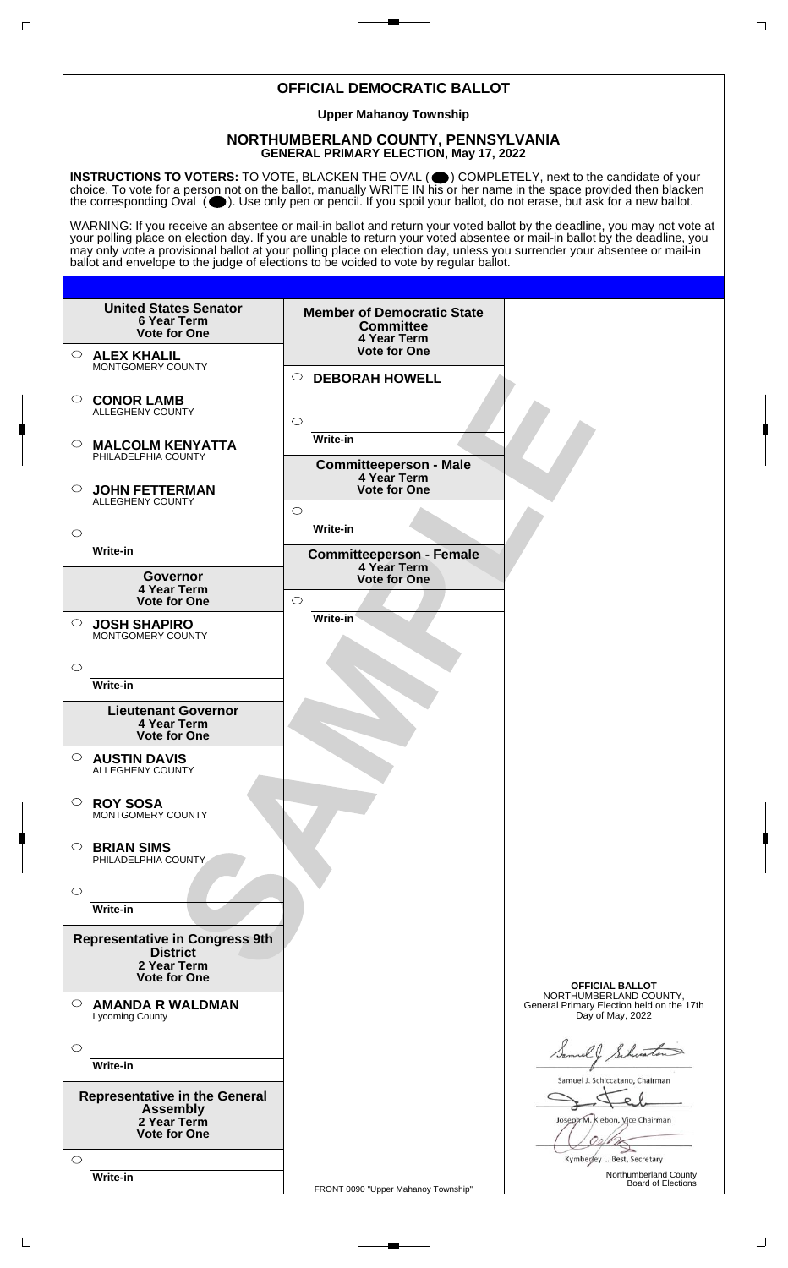|                                                                                                | <b>OFFICIAL DEMOCRATIC BALLOT</b>                                                                                                                                                                                                                                                                                                                                                                                                                                      |                                                                                         |  |  |
|------------------------------------------------------------------------------------------------|------------------------------------------------------------------------------------------------------------------------------------------------------------------------------------------------------------------------------------------------------------------------------------------------------------------------------------------------------------------------------------------------------------------------------------------------------------------------|-----------------------------------------------------------------------------------------|--|--|
| <b>Upper Mahanoy Township</b>                                                                  |                                                                                                                                                                                                                                                                                                                                                                                                                                                                        |                                                                                         |  |  |
|                                                                                                | NORTHUMBERLAND COUNTY, PENNSYLVANIA<br><b>GENERAL PRIMARY ELECTION, May 17, 2022</b>                                                                                                                                                                                                                                                                                                                                                                                   |                                                                                         |  |  |
|                                                                                                | <b>INSTRUCTIONS TO VOTERS:</b> TO VOTE, BLACKEN THE OVAL (O) COMPLETELY, next to the candidate of your choice. To vote for a person not on the ballot, manually WRITE IN his or her name in the space provided then blacken<br>the corresponding Oval (C). Use only pen or pencil. If you spoil your ballot, do not erase, but ask for a new ballot.                                                                                                                   |                                                                                         |  |  |
|                                                                                                | WARNING: If you receive an absentee or mail-in ballot and return your voted ballot by the deadline, you may not vote at<br>your polling place on election day. If you are unable to return your voted absentee or mail-in ballot by the deadline, you<br>may only vote a provisional ballot at your polling place on election day, unless you surrender your absentee or mail-in ballot and envelope to the judge of elections to be voided to vote by regular ballot. |                                                                                         |  |  |
|                                                                                                |                                                                                                                                                                                                                                                                                                                                                                                                                                                                        |                                                                                         |  |  |
| <b>United States Senator</b><br><b>6 Year Term</b><br><b>Vote for One</b>                      | <b>Member of Democratic State</b><br><b>Committee</b><br>4 Year Term                                                                                                                                                                                                                                                                                                                                                                                                   |                                                                                         |  |  |
| $\circ$ ALEX KHALIL<br><b>MONTGOMERY COUNTY</b>                                                | <b>Vote for One</b><br>$\circ$<br><b>DEBORAH HOWELL</b>                                                                                                                                                                                                                                                                                                                                                                                                                |                                                                                         |  |  |
| $\circ$<br><b>CONOR LAMB</b><br><b>ALLEGHENY COUNTY</b>                                        | ◯                                                                                                                                                                                                                                                                                                                                                                                                                                                                      |                                                                                         |  |  |
| $\circ$<br><b>MALCOLM KENYATTA</b><br>PHILADELPHIA COUNTY                                      | Write-in<br><b>Committeeperson - Male</b>                                                                                                                                                                                                                                                                                                                                                                                                                              |                                                                                         |  |  |
| $\circ$<br><b>JOHN FETTERMAN</b><br><b>ALLEGHENY COUNTY</b>                                    | 4 Year Term<br><b>Vote for One</b><br>$\circ$                                                                                                                                                                                                                                                                                                                                                                                                                          |                                                                                         |  |  |
| $\circ$                                                                                        | Write-in                                                                                                                                                                                                                                                                                                                                                                                                                                                               |                                                                                         |  |  |
| <b>Write-in</b>                                                                                | <b>Committeeperson - Female</b>                                                                                                                                                                                                                                                                                                                                                                                                                                        |                                                                                         |  |  |
| Governor<br>4 Year Term<br><b>Vote for One</b>                                                 | 4 Year Term<br><b>Vote for One</b><br>$\circlearrowright$                                                                                                                                                                                                                                                                                                                                                                                                              |                                                                                         |  |  |
| <b>JOSH SHAPIRO</b><br>$\circ$<br>MONTGOMERY COUNTY                                            | Write-in                                                                                                                                                                                                                                                                                                                                                                                                                                                               |                                                                                         |  |  |
| $\circ$<br><b>Write-in</b>                                                                     |                                                                                                                                                                                                                                                                                                                                                                                                                                                                        |                                                                                         |  |  |
| <b>Lieutenant Governor</b><br>4 Year Term<br><b>Vote for One</b>                               |                                                                                                                                                                                                                                                                                                                                                                                                                                                                        |                                                                                         |  |  |
| <b>AUSTIN DAVIS</b><br>$\circ$<br><b>ALLEGHENY COUNTY</b>                                      |                                                                                                                                                                                                                                                                                                                                                                                                                                                                        |                                                                                         |  |  |
| <b>ROY SOSA</b><br>$\circlearrowright$<br>MONTGOMERY COUNTY                                    |                                                                                                                                                                                                                                                                                                                                                                                                                                                                        |                                                                                         |  |  |
| <b>BRIAN SIMS</b><br>O<br>PHILADELPHIA COUNTY                                                  |                                                                                                                                                                                                                                                                                                                                                                                                                                                                        |                                                                                         |  |  |
| $\circ$<br><b>Write-in</b>                                                                     |                                                                                                                                                                                                                                                                                                                                                                                                                                                                        |                                                                                         |  |  |
| <b>Representative in Congress 9th</b><br><b>District</b><br>2 Year Term<br><b>Vote for One</b> |                                                                                                                                                                                                                                                                                                                                                                                                                                                                        | <b>OFFICIAL BALLOT</b>                                                                  |  |  |
| <b>AMANDA R WALDMAN</b><br>O<br><b>Lycoming County</b>                                         |                                                                                                                                                                                                                                                                                                                                                                                                                                                                        | NORTHUMBERLAND COUNTY,<br>General Primary Election held on the 17th<br>Day of May, 2022 |  |  |
| $\circ$                                                                                        |                                                                                                                                                                                                                                                                                                                                                                                                                                                                        |                                                                                         |  |  |
| <b>Write-in</b>                                                                                |                                                                                                                                                                                                                                                                                                                                                                                                                                                                        | Samuel J. Schiccatano, Chairman                                                         |  |  |
| <b>Representative in the General</b><br><b>Assembly</b><br>2 Year Term<br><b>Vote for One</b>  |                                                                                                                                                                                                                                                                                                                                                                                                                                                                        | Joseph M. Klebon, Vice Chairman                                                         |  |  |
| $\circlearrowright$                                                                            |                                                                                                                                                                                                                                                                                                                                                                                                                                                                        | Kymberley L. Best, Secretary                                                            |  |  |
| <b>Write-in</b>                                                                                | FRONT 0090 "Upper Mahanoy Township"                                                                                                                                                                                                                                                                                                                                                                                                                                    | Northumberland County<br><b>Board of Elections</b>                                      |  |  |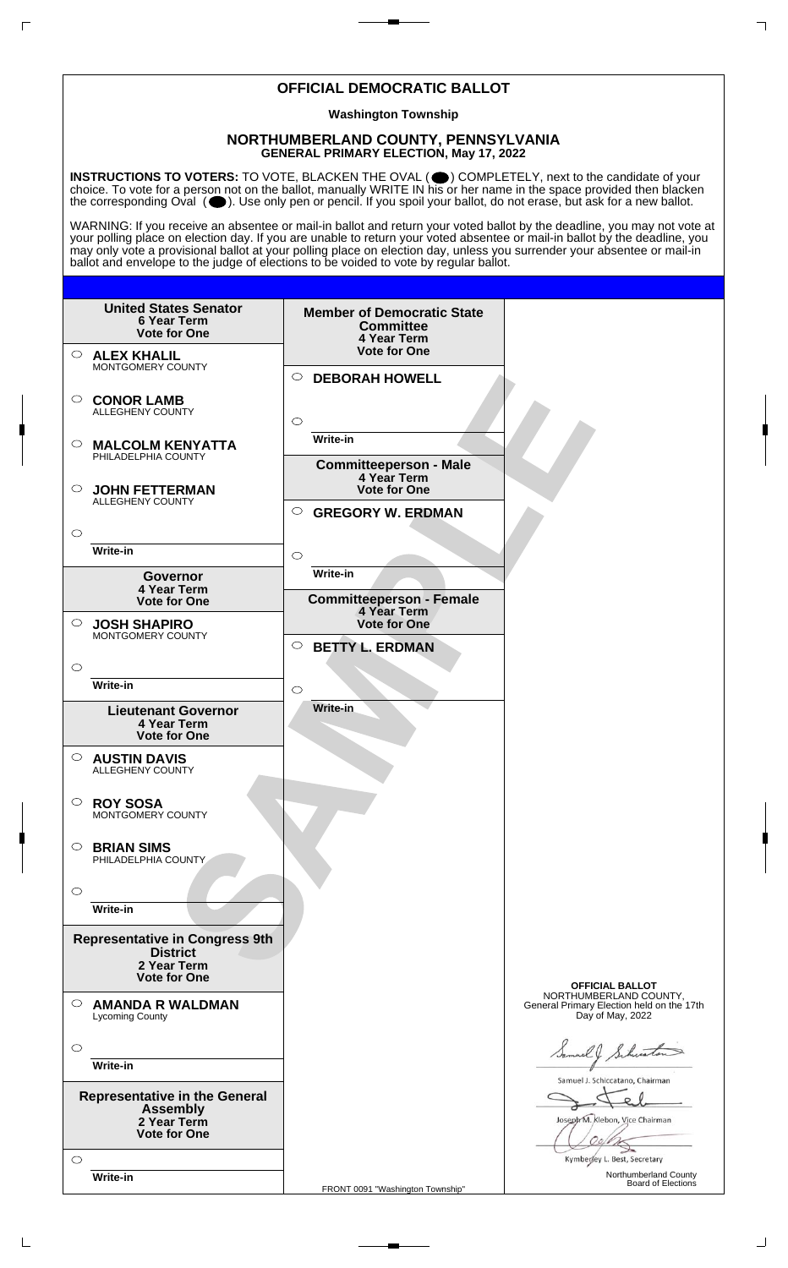|                                                                                                | <b>OFFICIAL DEMOCRATIC BALLOT</b>                                                                                                                                                                                                                                                                                                                                                                                                                                      |                                                                                                                   |  |  |
|------------------------------------------------------------------------------------------------|------------------------------------------------------------------------------------------------------------------------------------------------------------------------------------------------------------------------------------------------------------------------------------------------------------------------------------------------------------------------------------------------------------------------------------------------------------------------|-------------------------------------------------------------------------------------------------------------------|--|--|
| <b>Washington Township</b>                                                                     |                                                                                                                                                                                                                                                                                                                                                                                                                                                                        |                                                                                                                   |  |  |
|                                                                                                | NORTHUMBERLAND COUNTY, PENNSYLVANIA<br><b>GENERAL PRIMARY ELECTION, May 17, 2022</b>                                                                                                                                                                                                                                                                                                                                                                                   |                                                                                                                   |  |  |
|                                                                                                | <b>INSTRUCTIONS TO VOTERS:</b> TO VOTE, BLACKEN THE OVAL (O) COMPLETELY, next to the candidate of your<br>choice. To vote for a person not on the ballot, manually WRITE IN his or her name in the space provided then blacken<br>the corresponding Oval (C). Use only pen or pencil. If you spoil your ballot, do not erase, but ask for a new ballot.                                                                                                                |                                                                                                                   |  |  |
|                                                                                                | WARNING: If you receive an absentee or mail-in ballot and return your voted ballot by the deadline, you may not vote at<br>your polling place on election day. If you are unable to return your voted absentee or mail-in ballot by the deadline, you<br>may only vote a provisional ballot at your polling place on election day, unless you surrender your absentee or mail-in ballot and envelope to the judge of elections to be voided to vote by regular ballot. |                                                                                                                   |  |  |
|                                                                                                |                                                                                                                                                                                                                                                                                                                                                                                                                                                                        |                                                                                                                   |  |  |
| <b>United States Senator</b><br><b>6 Year Term</b><br><b>Vote for One</b>                      | <b>Member of Democratic State</b><br><b>Committee</b><br>4 Year Term                                                                                                                                                                                                                                                                                                                                                                                                   |                                                                                                                   |  |  |
| $\circ$ ALEX KHALIL<br><b>MONTGOMERY COUNTY</b>                                                | <b>Vote for One</b><br>$\circ$<br><b>DEBORAH HOWELL</b>                                                                                                                                                                                                                                                                                                                                                                                                                |                                                                                                                   |  |  |
| $\circ$<br><b>CONOR LAMB</b><br>ALLEGHENY COUNTY                                               | $\bigcirc$                                                                                                                                                                                                                                                                                                                                                                                                                                                             |                                                                                                                   |  |  |
| $\circ$<br><b>MALCOLM KENYATTA</b><br>PHILADELPHIA COUNTY                                      | <b>Write-in</b><br><b>Committeeperson - Male</b>                                                                                                                                                                                                                                                                                                                                                                                                                       |                                                                                                                   |  |  |
| $\circ$<br><b>JOHN FETTERMAN</b><br><b>ALLEGHENY COUNTY</b>                                    | 4 Year Term<br><b>Vote for One</b>                                                                                                                                                                                                                                                                                                                                                                                                                                     |                                                                                                                   |  |  |
| $\circlearrowright$                                                                            | $\circ$<br><b>GREGORY W. ERDMAN</b>                                                                                                                                                                                                                                                                                                                                                                                                                                    |                                                                                                                   |  |  |
| Write-in                                                                                       | ◯                                                                                                                                                                                                                                                                                                                                                                                                                                                                      |                                                                                                                   |  |  |
| Governor<br>4 Year Term<br><b>Vote for One</b>                                                 | <b>Write-in</b><br><b>Committeeperson - Female</b>                                                                                                                                                                                                                                                                                                                                                                                                                     |                                                                                                                   |  |  |
| <b>JOSH SHAPIRO</b><br>$\circ$                                                                 | 4 Year Term<br><b>Vote for One</b>                                                                                                                                                                                                                                                                                                                                                                                                                                     |                                                                                                                   |  |  |
| MONTGOMERY COUNTY                                                                              | <b>BETTY L. ERDMAN</b><br>$\circ$                                                                                                                                                                                                                                                                                                                                                                                                                                      |                                                                                                                   |  |  |
| $\circ$                                                                                        |                                                                                                                                                                                                                                                                                                                                                                                                                                                                        |                                                                                                                   |  |  |
| <b>Write-in</b>                                                                                | $\circ$                                                                                                                                                                                                                                                                                                                                                                                                                                                                |                                                                                                                   |  |  |
| <b>Lieutenant Governor</b><br>4 Year Term<br><b>Vote for One</b>                               | <b>Write-in</b>                                                                                                                                                                                                                                                                                                                                                                                                                                                        |                                                                                                                   |  |  |
| <b>AUSTIN DAVIS</b><br>$\circ$<br><b>ALLEGHENY COUNTY</b>                                      |                                                                                                                                                                                                                                                                                                                                                                                                                                                                        |                                                                                                                   |  |  |
| <b>ROY SOSA</b><br>$\circ$<br>MONTGOMERY COUNTY                                                |                                                                                                                                                                                                                                                                                                                                                                                                                                                                        |                                                                                                                   |  |  |
| <b>BRIAN SIMS</b><br>$\circ$<br>PHILADELPHIA COUNTY                                            |                                                                                                                                                                                                                                                                                                                                                                                                                                                                        |                                                                                                                   |  |  |
| $\circ$<br><b>Write-in</b>                                                                     |                                                                                                                                                                                                                                                                                                                                                                                                                                                                        |                                                                                                                   |  |  |
| <b>Representative in Congress 9th</b><br><b>District</b><br>2 Year Term<br><b>Vote for One</b> |                                                                                                                                                                                                                                                                                                                                                                                                                                                                        |                                                                                                                   |  |  |
| <b>AMANDA R WALDMAN</b><br>$\circ$<br><b>Lycoming County</b>                                   |                                                                                                                                                                                                                                                                                                                                                                                                                                                                        | <b>OFFICIAL BALLOT</b><br>NORTHUMBERLAND COUNTY,<br>General Primary Election held on the 17th<br>Day of May, 2022 |  |  |
| $\circ$<br><b>Write-in</b>                                                                     |                                                                                                                                                                                                                                                                                                                                                                                                                                                                        |                                                                                                                   |  |  |
|                                                                                                |                                                                                                                                                                                                                                                                                                                                                                                                                                                                        | Samuel J. Schiccatano, Chairman                                                                                   |  |  |
| <b>Representative in the General</b><br><b>Assembly</b><br>2 Year Term<br>Vote for One         |                                                                                                                                                                                                                                                                                                                                                                                                                                                                        | Joseph M. Klebon, Vice Chairman                                                                                   |  |  |
| $\circlearrowright$                                                                            |                                                                                                                                                                                                                                                                                                                                                                                                                                                                        | Kymber/ey L. Best, Secretary                                                                                      |  |  |
| <b>Write-in</b>                                                                                | FRONT 0091 "Washington Township"                                                                                                                                                                                                                                                                                                                                                                                                                                       | Northumberland County<br>Board of Elections                                                                       |  |  |

 $\Box$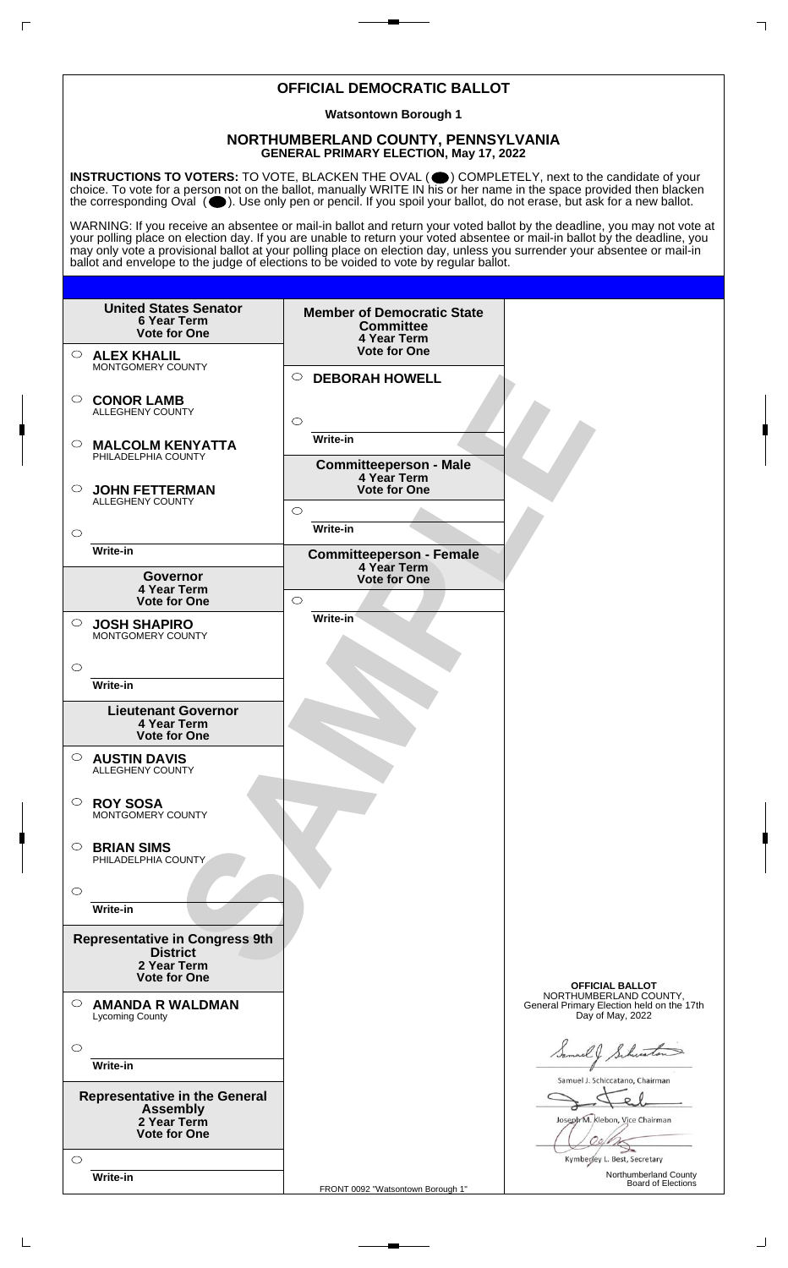|                     |                                                                                               | <b>OFFICIAL DEMOCRATIC BALLOT</b>                                                                                                                                                                                                                                                                                                                                                                                                                                         |                                                                                         |
|---------------------|-----------------------------------------------------------------------------------------------|---------------------------------------------------------------------------------------------------------------------------------------------------------------------------------------------------------------------------------------------------------------------------------------------------------------------------------------------------------------------------------------------------------------------------------------------------------------------------|-----------------------------------------------------------------------------------------|
|                     | <b>Watsontown Borough 1</b>                                                                   |                                                                                                                                                                                                                                                                                                                                                                                                                                                                           |                                                                                         |
|                     |                                                                                               | NORTHUMBERLAND COUNTY, PENNSYLVANIA<br><b>GENERAL PRIMARY ELECTION, May 17, 2022</b>                                                                                                                                                                                                                                                                                                                                                                                      |                                                                                         |
|                     |                                                                                               | <b>INSTRUCTIONS TO VOTERS:</b> TO VOTE, BLACKEN THE OVAL (O) COMPLETELY, next to the candidate of your choice. To vote for a person not on the ballot, manually WRITE IN his or her name in the space provided then blacken<br>the corresponding Oval (C). Use only pen or pencil. If you spoil your ballot, do not erase, but ask for a new ballot.                                                                                                                      |                                                                                         |
|                     |                                                                                               | WARNING: If you receive an absentee or mail-in ballot and return your voted ballot by the deadline, you may not vote at<br>your polling place on election day. If you are unable to return your voted absentee or mail-in ballot by the deadline, you<br>may only vote a provisional ballot at your polling place on election day, unless you surrender your absentee or mail-in<br>ballot and envelope to the judge of elections to be voided to vote by regular ballot. |                                                                                         |
|                     |                                                                                               |                                                                                                                                                                                                                                                                                                                                                                                                                                                                           |                                                                                         |
|                     | <b>United States Senator</b>                                                                  | <b>Member of Democratic State</b>                                                                                                                                                                                                                                                                                                                                                                                                                                         |                                                                                         |
|                     | 6 Year Term<br><b>Vote for One</b>                                                            | <b>Committee</b><br>4 Year Term<br><b>Vote for One</b>                                                                                                                                                                                                                                                                                                                                                                                                                    |                                                                                         |
| $\circ$             | ALEX KHALIL<br><b>MONTGOMERY COUNTY</b>                                                       | O<br><b>DEBORAH HOWELL</b>                                                                                                                                                                                                                                                                                                                                                                                                                                                |                                                                                         |
| $\circ$             | <b>CONOR LAMB</b><br>ALLEGHENY COUNTY                                                         |                                                                                                                                                                                                                                                                                                                                                                                                                                                                           |                                                                                         |
| $\circ$             | <b>MALCOLM KENYATTA</b>                                                                       | ◯<br>Write-in                                                                                                                                                                                                                                                                                                                                                                                                                                                             |                                                                                         |
| $\circ$             | PHILADELPHIA COUNTY<br><b>JOHN FETTERMAN</b>                                                  | <b>Committeeperson - Male</b><br>4 Year Term<br><b>Vote for One</b>                                                                                                                                                                                                                                                                                                                                                                                                       |                                                                                         |
|                     | <b>ALLEGHENY COUNTY</b>                                                                       | $\circ$                                                                                                                                                                                                                                                                                                                                                                                                                                                                   |                                                                                         |
| $\circ$             |                                                                                               | Write-in                                                                                                                                                                                                                                                                                                                                                                                                                                                                  |                                                                                         |
|                     | <b>Write-in</b>                                                                               | <b>Committeeperson - Female</b><br><b>4 Year Term</b>                                                                                                                                                                                                                                                                                                                                                                                                                     |                                                                                         |
|                     | Governor<br>4 Year Term<br><b>Vote for One</b>                                                | <b>Vote for One</b><br>$\circ$                                                                                                                                                                                                                                                                                                                                                                                                                                            |                                                                                         |
| $\circ$             | <b>JOSH SHAPIRO</b><br>MONTGOMERY COUNTY                                                      | Write-in                                                                                                                                                                                                                                                                                                                                                                                                                                                                  |                                                                                         |
| $\circlearrowright$ |                                                                                               |                                                                                                                                                                                                                                                                                                                                                                                                                                                                           |                                                                                         |
|                     | <b>Write-in</b>                                                                               |                                                                                                                                                                                                                                                                                                                                                                                                                                                                           |                                                                                         |
|                     | <b>Lieutenant Governor</b><br>4 Year Term<br><b>Vote for One</b>                              |                                                                                                                                                                                                                                                                                                                                                                                                                                                                           |                                                                                         |
| O.                  | <b>AUSTIN DAVIS</b><br><b>ALLEGHENY COUNTY</b>                                                |                                                                                                                                                                                                                                                                                                                                                                                                                                                                           |                                                                                         |
| $\circ$             | <b>ROY SOSA</b><br>MONTGOMERY COUNTY                                                          |                                                                                                                                                                                                                                                                                                                                                                                                                                                                           |                                                                                         |
| O                   | <b>BRIAN SIMS</b><br>PHILADELPHIA COUNTY                                                      |                                                                                                                                                                                                                                                                                                                                                                                                                                                                           |                                                                                         |
| $\circ$             | <b>Write-in</b>                                                                               |                                                                                                                                                                                                                                                                                                                                                                                                                                                                           |                                                                                         |
|                     | <b>Representative in Congress 9th</b>                                                         |                                                                                                                                                                                                                                                                                                                                                                                                                                                                           |                                                                                         |
|                     | <b>District</b><br>2 Year Term<br><b>Vote for One</b>                                         |                                                                                                                                                                                                                                                                                                                                                                                                                                                                           | <b>OFFICIAL BALLOT</b>                                                                  |
| O                   | <b>AMANDA R WALDMAN</b><br><b>Lycoming County</b>                                             |                                                                                                                                                                                                                                                                                                                                                                                                                                                                           | NORTHUMBERLAND COUNTY,<br>General Primary Election held on the 17th<br>Day of May, 2022 |
| $\circlearrowright$ | <b>Write-in</b>                                                                               |                                                                                                                                                                                                                                                                                                                                                                                                                                                                           |                                                                                         |
|                     |                                                                                               |                                                                                                                                                                                                                                                                                                                                                                                                                                                                           | Samuel J. Schiccatano, Chairman                                                         |
|                     | <b>Representative in the General</b><br><b>Assembly</b><br>2 Year Term<br><b>Vote for One</b> |                                                                                                                                                                                                                                                                                                                                                                                                                                                                           | Joseph M. Klebon, Vice Chairman                                                         |
| $\circ$             |                                                                                               |                                                                                                                                                                                                                                                                                                                                                                                                                                                                           | Kymber/ey L. Best, Secretary                                                            |
|                     | <b>Write-in</b>                                                                               | FRONT 0092 "Watsontown Borough 1"                                                                                                                                                                                                                                                                                                                                                                                                                                         | Northumberland County<br>Board of Elections                                             |

 $\mathsf{L}% _{0}\left( \mathcal{M}\right)$ 

 $\perp$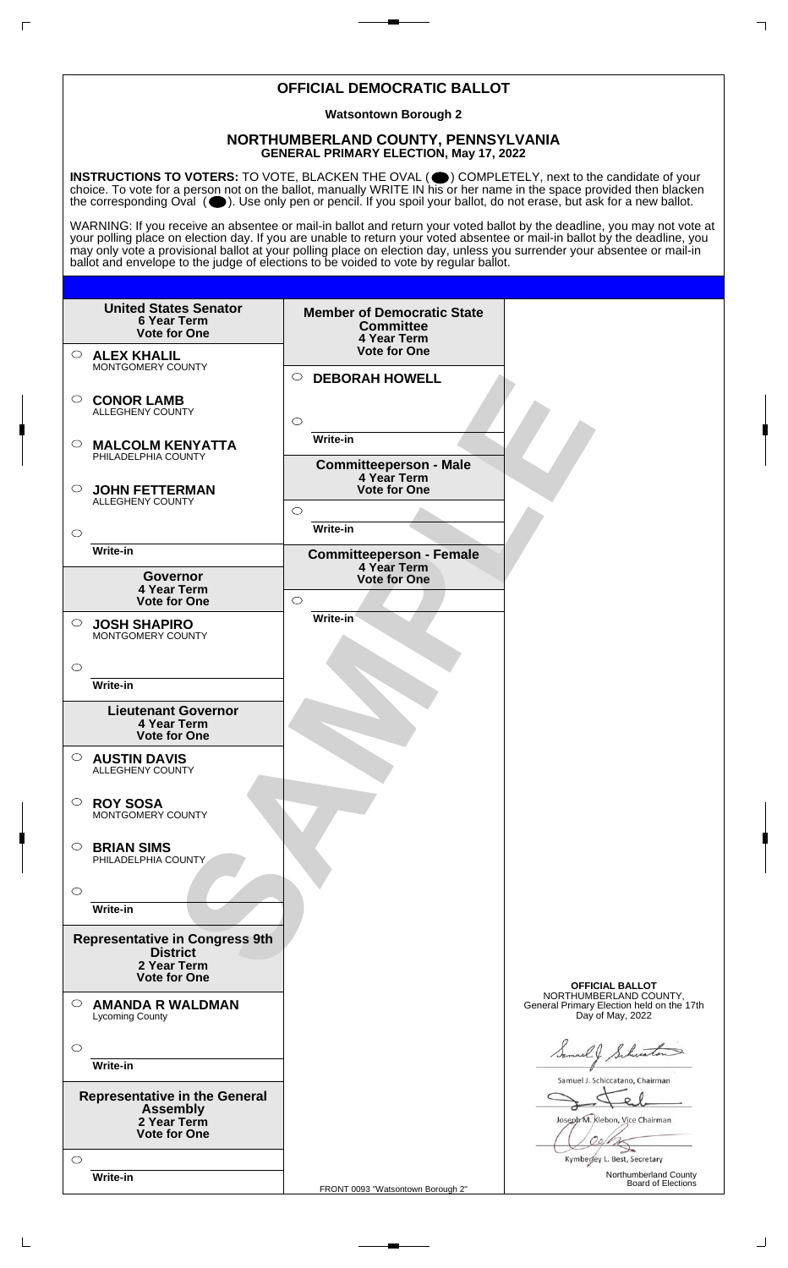|                                                                         | <b>OFFICIAL DEMOCRATIC BALLOT</b>                                                                                                                                                                                                                                                                                                                                                                                                                                         |                                                               |
|-------------------------------------------------------------------------|---------------------------------------------------------------------------------------------------------------------------------------------------------------------------------------------------------------------------------------------------------------------------------------------------------------------------------------------------------------------------------------------------------------------------------------------------------------------------|---------------------------------------------------------------|
|                                                                         | <b>Watsontown Borough 2</b>                                                                                                                                                                                                                                                                                                                                                                                                                                               |                                                               |
|                                                                         | NORTHUMBERLAND COUNTY, PENNSYLVANIA                                                                                                                                                                                                                                                                                                                                                                                                                                       |                                                               |
|                                                                         | <b>GENERAL PRIMARY ELECTION, May 17, 2022</b>                                                                                                                                                                                                                                                                                                                                                                                                                             |                                                               |
|                                                                         | <b>INSTRUCTIONS TO VOTERS:</b> TO VOTE, BLACKEN THE OVAL (O) COMPLETELY, next to the candidate of your choice. To vote for a person not on the ballot, manually WRITE IN his or her name in the space provided then blacken<br>the corresponding Oval (C). Use only pen or pencil. If you spoil your ballot, do not erase, but ask for a new ballot.                                                                                                                      |                                                               |
|                                                                         | WARNING: If you receive an absentee or mail-in ballot and return your voted ballot by the deadline, you may not vote at<br>your polling place on election day. If you are unable to return your voted absentee or mail-in ballot by the deadline, you<br>may only vote a provisional ballot at your polling place on election day, unless you surrender your absentee or mail-in<br>ballot and envelope to the judge of elections to be voided to vote by regular ballot. |                                                               |
|                                                                         |                                                                                                                                                                                                                                                                                                                                                                                                                                                                           |                                                               |
| <b>United States Senator</b><br>6 Year Term                             | <b>Member of Democratic State</b><br><b>Committee</b>                                                                                                                                                                                                                                                                                                                                                                                                                     |                                                               |
| <b>Vote for One</b>                                                     | 4 Year Term                                                                                                                                                                                                                                                                                                                                                                                                                                                               |                                                               |
| $\circ$<br><b>ALEX KHALIL</b><br><b>MONTGOMERY COUNTY</b>               | <b>Vote for One</b>                                                                                                                                                                                                                                                                                                                                                                                                                                                       |                                                               |
|                                                                         | O<br><b>DEBORAH HOWELL</b>                                                                                                                                                                                                                                                                                                                                                                                                                                                |                                                               |
| $\circ$<br><b>CONOR LAMB</b><br><b>ALLEGHENY COUNTY</b>                 |                                                                                                                                                                                                                                                                                                                                                                                                                                                                           |                                                               |
|                                                                         | $\circ$<br><b>Write-in</b>                                                                                                                                                                                                                                                                                                                                                                                                                                                |                                                               |
| <b>MALCOLM KENYATTA</b><br>$\circ$<br>PHILADELPHIA COUNTY               |                                                                                                                                                                                                                                                                                                                                                                                                                                                                           |                                                               |
|                                                                         | <b>Committeeperson - Male</b><br>4 Year Term                                                                                                                                                                                                                                                                                                                                                                                                                              |                                                               |
| $\circ$<br><b>JOHN FETTERMAN</b><br><b>ALLEGHENY COUNTY</b>             | <b>Vote for One</b><br>$\circ$                                                                                                                                                                                                                                                                                                                                                                                                                                            |                                                               |
| $\circ$                                                                 | Write-in                                                                                                                                                                                                                                                                                                                                                                                                                                                                  |                                                               |
| Write-in                                                                | <b>Committeeperson - Female</b>                                                                                                                                                                                                                                                                                                                                                                                                                                           |                                                               |
| Governor                                                                | 4 Year Term<br><b>Vote for One</b>                                                                                                                                                                                                                                                                                                                                                                                                                                        |                                                               |
| 4 Year Term<br><b>Vote for One</b>                                      | $\circ$<br>Write-in                                                                                                                                                                                                                                                                                                                                                                                                                                                       |                                                               |
| $\circ$<br><b>JOSH SHAPIRO</b><br>MONTGOMERY COUNTY                     |                                                                                                                                                                                                                                                                                                                                                                                                                                                                           |                                                               |
|                                                                         |                                                                                                                                                                                                                                                                                                                                                                                                                                                                           |                                                               |
| $\circ$<br><b>Write-in</b>                                              |                                                                                                                                                                                                                                                                                                                                                                                                                                                                           |                                                               |
|                                                                         |                                                                                                                                                                                                                                                                                                                                                                                                                                                                           |                                                               |
| <b>Lieutenant Governor</b><br>4 Year Term<br><b>Vote for One</b>        |                                                                                                                                                                                                                                                                                                                                                                                                                                                                           |                                                               |
| <b>AUSTIN DAVIS</b><br>O<br><b>ALLEGHENY COUNTY</b>                     |                                                                                                                                                                                                                                                                                                                                                                                                                                                                           |                                                               |
| <b>ROY SOSA</b><br>$\circ$                                              |                                                                                                                                                                                                                                                                                                                                                                                                                                                                           |                                                               |
| MONTGOMERY COUNTY                                                       |                                                                                                                                                                                                                                                                                                                                                                                                                                                                           |                                                               |
| $\circ$<br><b>BRIAN SIMS</b><br>PHILADELPHIA COUNTY                     |                                                                                                                                                                                                                                                                                                                                                                                                                                                                           |                                                               |
| $\circ$                                                                 |                                                                                                                                                                                                                                                                                                                                                                                                                                                                           |                                                               |
| Write-in                                                                |                                                                                                                                                                                                                                                                                                                                                                                                                                                                           |                                                               |
| <b>Representative in Congress 9th</b><br><b>District</b><br>2 Year Term |                                                                                                                                                                                                                                                                                                                                                                                                                                                                           |                                                               |
| <b>Vote for One</b>                                                     |                                                                                                                                                                                                                                                                                                                                                                                                                                                                           | <b>OFFICIAL BALLOT</b><br>NORTHUMBERLAND COUNTY,              |
| <b>AMANDA R WALDMAN</b><br>O<br>Lycoming County                         |                                                                                                                                                                                                                                                                                                                                                                                                                                                                           | General Primary Election held on the 17th<br>Day of May, 2022 |
| $\circlearrowright$                                                     |                                                                                                                                                                                                                                                                                                                                                                                                                                                                           |                                                               |
| Write-in                                                                |                                                                                                                                                                                                                                                                                                                                                                                                                                                                           | Samuel J. Schiccatano, Chairman                               |
| <b>Representative in the General</b>                                    |                                                                                                                                                                                                                                                                                                                                                                                                                                                                           |                                                               |
| <b>Assembly</b><br>2 Year Term                                          |                                                                                                                                                                                                                                                                                                                                                                                                                                                                           | Joseph M. Klebon, Vice Chairman                               |
| Vote for One                                                            |                                                                                                                                                                                                                                                                                                                                                                                                                                                                           |                                                               |
| $\circ$                                                                 |                                                                                                                                                                                                                                                                                                                                                                                                                                                                           | Kymber/ey L. Best, Secretary                                  |
| <b>Write-in</b>                                                         |                                                                                                                                                                                                                                                                                                                                                                                                                                                                           | Northumberland County<br><b>Board of Elections</b>            |

 $\overline{\Gamma}$ 

 $\Box$ 

FRONT 0093 "Watsontown Borough 2"

 $\top$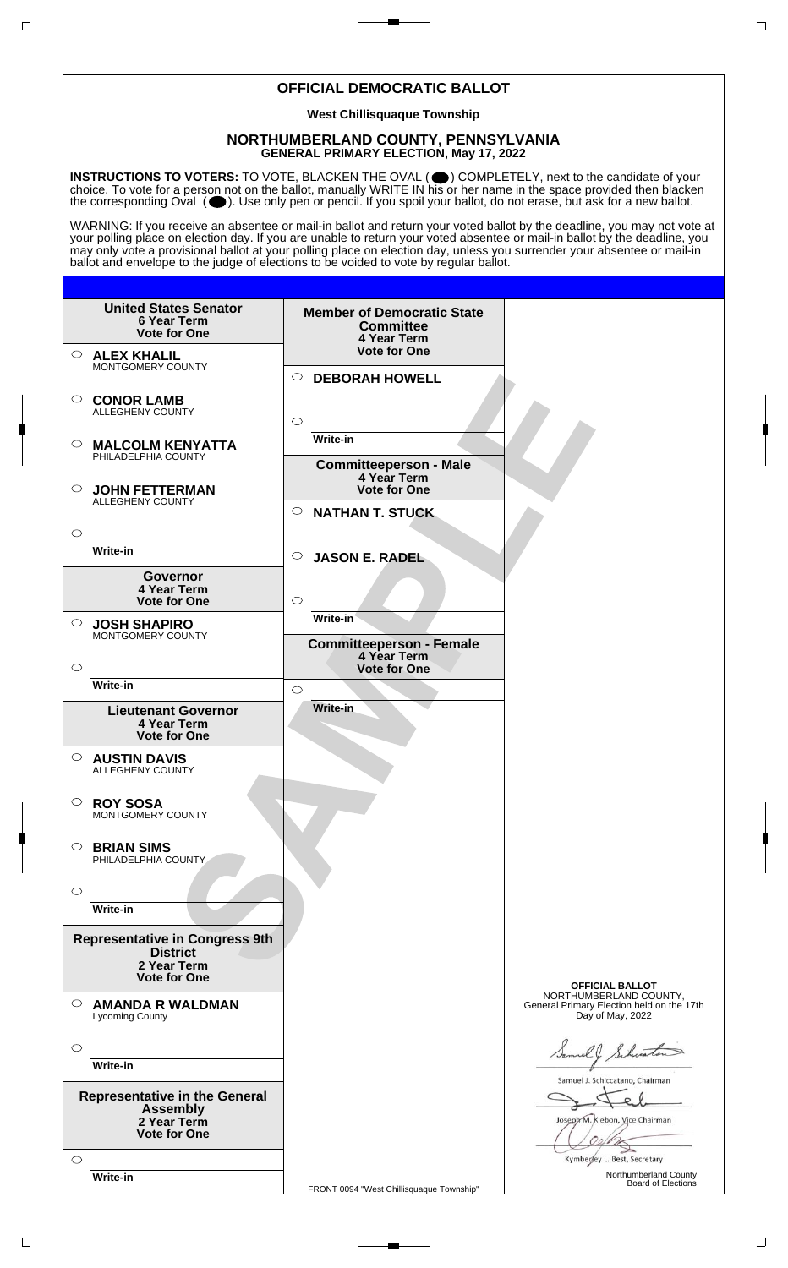|                                                                                               | <b>OFFICIAL DEMOCRATIC BALLOT</b>                                                                                                                                                                                                                                                                                                                                                                                                                                         |                                                                                         |
|-----------------------------------------------------------------------------------------------|---------------------------------------------------------------------------------------------------------------------------------------------------------------------------------------------------------------------------------------------------------------------------------------------------------------------------------------------------------------------------------------------------------------------------------------------------------------------------|-----------------------------------------------------------------------------------------|
|                                                                                               | <b>West Chillisquaque Township</b>                                                                                                                                                                                                                                                                                                                                                                                                                                        |                                                                                         |
|                                                                                               | NORTHUMBERLAND COUNTY, PENNSYLVANIA<br><b>GENERAL PRIMARY ELECTION, May 17, 2022</b>                                                                                                                                                                                                                                                                                                                                                                                      |                                                                                         |
|                                                                                               | <b>INSTRUCTIONS TO VOTERS:</b> TO VOTE, BLACKEN THE OVAL (O) COMPLETELY, next to the candidate of your choice. To vote for a person not on the ballot, manually WRITE IN his or her name in the space provided then blacken the cor                                                                                                                                                                                                                                       |                                                                                         |
|                                                                                               | WARNING: If you receive an absentee or mail-in ballot and return your voted ballot by the deadline, you may not vote at<br>your polling place on election day. If you are unable to return your voted absentee or mail-in ballot by the deadline, you<br>may only vote a provisional ballot at your polling place on election day, unless you surrender your absentee or mail-in<br>ballot and envelope to the judge of elections to be voided to vote by regular ballot. |                                                                                         |
|                                                                                               |                                                                                                                                                                                                                                                                                                                                                                                                                                                                           |                                                                                         |
| <b>United States Senator</b><br><b>6 Year Term</b><br><b>Vote for One</b>                     | <b>Member of Democratic State</b><br><b>Committee</b><br>4 Year Term                                                                                                                                                                                                                                                                                                                                                                                                      |                                                                                         |
| $\circ$<br>ALEX KHALIL<br>MONTGOMERY COUNTY                                                   | <b>Vote for One</b><br>$\circ$<br><b>DEBORAH HOWELL</b>                                                                                                                                                                                                                                                                                                                                                                                                                   |                                                                                         |
| O<br><b>CONOR LAMB</b><br><b>ALLEGHENY COUNTY</b>                                             |                                                                                                                                                                                                                                                                                                                                                                                                                                                                           |                                                                                         |
| <b>MALCOLM KENYATTA</b><br>O                                                                  | $\circ$<br><b>Write-in</b>                                                                                                                                                                                                                                                                                                                                                                                                                                                |                                                                                         |
| PHILADELPHIA COUNTY<br>$\circlearrowright$<br><b>JOHN FETTERMAN</b>                           | <b>Committeeperson - Male</b><br>4 Year Term<br><b>Vote for One</b>                                                                                                                                                                                                                                                                                                                                                                                                       |                                                                                         |
| <b>ALLEGHENY COUNTY</b>                                                                       | $\circ$<br><b>NATHAN T. STUCK</b>                                                                                                                                                                                                                                                                                                                                                                                                                                         |                                                                                         |
| $\circlearrowright$<br>Write-in                                                               | $\circ$<br><b>JASON E. RADEL</b>                                                                                                                                                                                                                                                                                                                                                                                                                                          |                                                                                         |
| Governor<br>4 Year Term<br><b>Vote for One</b>                                                | $\circ$                                                                                                                                                                                                                                                                                                                                                                                                                                                                   |                                                                                         |
| <b>JOSH SHAPIRO</b><br>$\circlearrowright$<br>MONTGOMERY COUNTY                               | Write-in<br><b>Committeeperson - Female</b>                                                                                                                                                                                                                                                                                                                                                                                                                               |                                                                                         |
| $\circlearrowright$                                                                           | 4 Year Term<br><b>Vote for One</b>                                                                                                                                                                                                                                                                                                                                                                                                                                        |                                                                                         |
| Write-in                                                                                      | $\circ$<br>Write-in                                                                                                                                                                                                                                                                                                                                                                                                                                                       |                                                                                         |
| <b>Lieutenant Governor</b><br>4 Year Term<br><b>Vote for One</b>                              |                                                                                                                                                                                                                                                                                                                                                                                                                                                                           |                                                                                         |
| <b>AUSTIN DAVIS</b><br>O.<br><b>ALLEGHENY COUNTY</b>                                          |                                                                                                                                                                                                                                                                                                                                                                                                                                                                           |                                                                                         |
| <b>ROY SOSA</b><br>$\circlearrowright$<br>MONTGOMERY COUNTY                                   |                                                                                                                                                                                                                                                                                                                                                                                                                                                                           |                                                                                         |
| <b>BRIAN SIMS</b><br>O<br>PHILADELPHIA COUNTY                                                 |                                                                                                                                                                                                                                                                                                                                                                                                                                                                           |                                                                                         |
| $\circlearrowright$<br><b>Write-in</b>                                                        |                                                                                                                                                                                                                                                                                                                                                                                                                                                                           |                                                                                         |
| <b>Representative in Congress 9th</b>                                                         |                                                                                                                                                                                                                                                                                                                                                                                                                                                                           |                                                                                         |
| <b>District</b><br>2 Year Term<br><b>Vote for One</b>                                         |                                                                                                                                                                                                                                                                                                                                                                                                                                                                           | <b>OFFICIAL BALLOT</b>                                                                  |
| $\circlearrowright$<br><b>AMANDA R WALDMAN</b><br><b>Lycoming County</b>                      |                                                                                                                                                                                                                                                                                                                                                                                                                                                                           | NORTHUMBERLAND COUNTY,<br>General Primary Election held on the 17th<br>Day of May, 2022 |
| $\circlearrowright$<br><b>Write-in</b>                                                        |                                                                                                                                                                                                                                                                                                                                                                                                                                                                           |                                                                                         |
| <b>Representative in the General</b><br><b>Assembly</b><br>2 Year Term<br><b>Vote for One</b> |                                                                                                                                                                                                                                                                                                                                                                                                                                                                           | Samuel J. Schiccatano, Chairman<br>Joseph M. Klebon, Vice Chairman                      |
| $\circlearrowright$                                                                           |                                                                                                                                                                                                                                                                                                                                                                                                                                                                           | Kymber/ey L. Best, Secretary                                                            |
| <b>Write-in</b>                                                                               | FRONT 0094 "West Chillisquague Township"                                                                                                                                                                                                                                                                                                                                                                                                                                  | Northumberland County<br>Board of Elections                                             |

 $\overline{\Gamma}$ 

 $\Box$ 

FRONT 0094 "West Chillisquaque Township"

 $\top$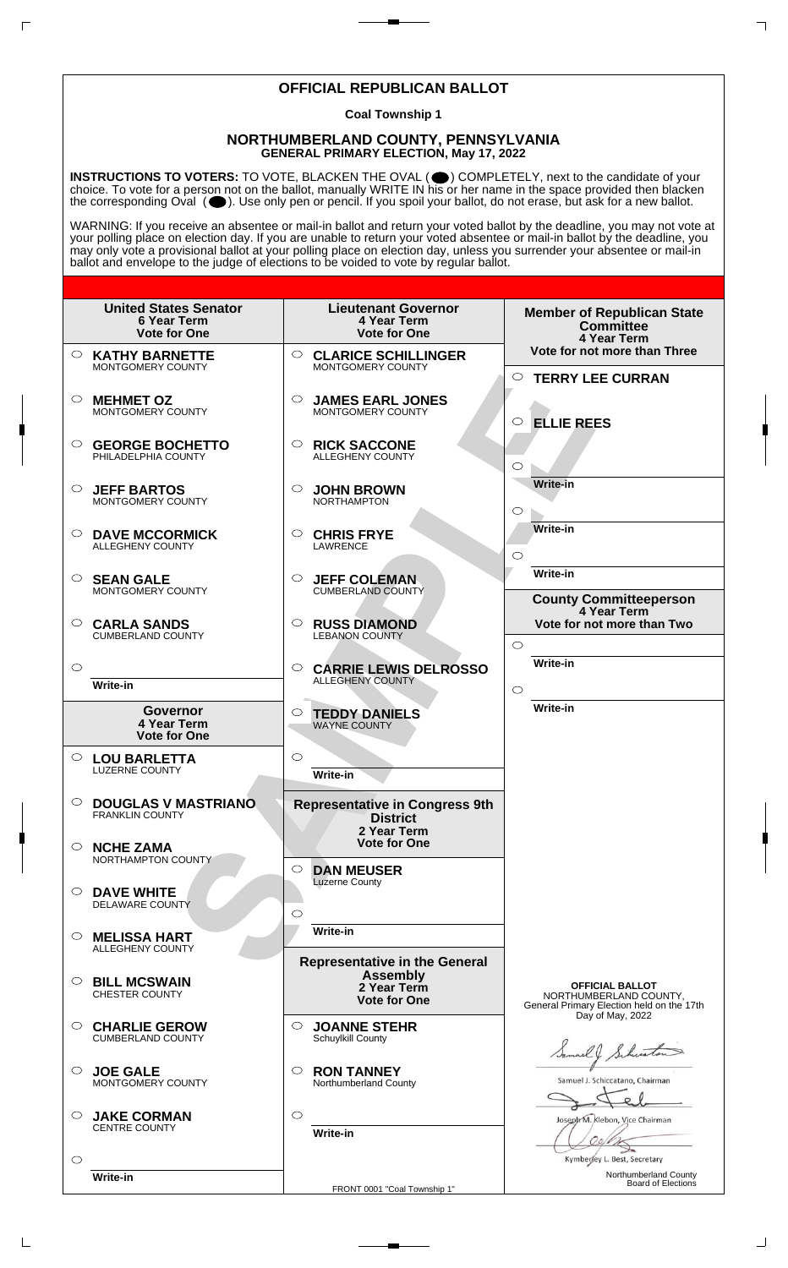**Coal Township 1**

### **NORTHUMBERLAND COUNTY, PENNSYLVANIA GENERAL PRIMARY ELECTION, May 17, 2022**

**INSTRUCTIONS TO VOTERS:** TO VOTE, BLACKEN THE OVAL ( $\bigcirc$ ) COMPLETELY, next to the candidate of your choice. To vote for a person not on the ballot, manually WRITE IN his or her name in the space provided then blacken the corresponding Oval (  $\bigcirc$  ). Use only pen or pencil. If you spoil your ballot, do not erase, but ask for a new ballot.

WARNING: If you receive an absentee or mail-in ballot and return your voted ballot by the deadline, you may not vote at your polling place on election day. If you are unable to return your voted absentee or mail-in ballot by the deadline, you may only vote a provisional ballot at your polling place on election day, unless you surrender your absentee or mail-in ballot and envelope to the judge of elections to be voided to vote by regular ballot.

| <b>United States Senator</b><br><b>6 Year Term</b><br><b>Vote for One</b> | <b>Lieutenant Governor</b><br>4 Year Term<br><b>Vote for One</b>        | <b>Member of Republican State</b><br><b>Committee</b><br>4 Year Term                          |
|---------------------------------------------------------------------------|-------------------------------------------------------------------------|-----------------------------------------------------------------------------------------------|
| $\circ$<br><b>KATHY BARNETTE</b><br>MONTGOMERY COUNTY                     | $\circ$<br><b>CLARICE SCHILLINGER</b><br>MONTGOMERY COUNTY              | Vote for not more than Three<br>O<br><b>TERRY LEE CURRAN</b>                                  |
| $\circ$<br><b>MEHMET OZ</b><br>MONTGOMERY COUNTY                          | O<br><b>JAMES EARL JONES</b><br>MONTGOMERY COUNTY                       | <b>ELLIE REES</b><br>$\circ$                                                                  |
| $\circ$<br><b>GEORGE BOCHETTO</b><br>PHILADELPHIA COUNTY                  | <b>RICK SACCONE</b><br>$\circ$<br>ALLEGHENY COUNTY                      | $\circ$                                                                                       |
| $\circ$<br><b>JEFF BARTOS</b><br><b>MONTGOMERY COUNTY</b>                 | $\circ$<br><b>JOHN BROWN</b><br><b>NORTHAMPTON</b>                      | <b>Write-in</b><br>$\circ$                                                                    |
| $\circ$<br><b>DAVE MCCORMICK</b><br>ALLEGHENY COUNTY                      | <b>CHRIS FRYE</b><br>O<br><b>LAWRENCE</b>                               | <b>Write-in</b><br>$\circ$                                                                    |
| $\circ$<br><b>SEAN GALE</b><br>MONTGOMERY COUNTY                          | $\circ$<br><b>JEFF COLEMAN</b><br><b>CUMBERLAND COUNTY</b>              | <b>Write-in</b>                                                                               |
| $\circ$<br><b>CARLA SANDS</b><br><b>CUMBERLAND COUNTY</b>                 | <b>RUSS DIAMOND</b><br>$\circ$<br><b>LEBANON COUNTY</b>                 | <b>County Committeeperson</b><br>4 Year Term<br>Vote for not more than Two<br>$\circ$         |
| $\circ$<br><b>Write-in</b>                                                | <b>CARRIE LEWIS DELROSSO</b><br>$\circ$<br>ALLEGHENY COUNTY             | <b>Write-in</b><br>$\circ$                                                                    |
| <b>Governor</b><br>4 Year Term<br><b>Vote for One</b>                     | <b>TEDDY DANIELS</b><br>O<br><b>WAYNE COUNTY</b>                        | <b>Write-in</b>                                                                               |
| $\circ$ LOU BARLETTA<br><b>LUZERNE COUNTY</b>                             | $\circ$<br><b>Write-in</b>                                              |                                                                                               |
| $\circ$<br><b>DOUGLAS V MASTRIANO</b><br><b>FRANKLIN COUNTY</b>           | <b>Representative in Congress 9th</b><br><b>District</b><br>2 Year Term |                                                                                               |
| $\circ$ NCHE ZAMA<br>NORTHAMPTON COUNTY                                   | <b>Vote for One</b><br>$\circ$<br><b>DAN MEUSER</b>                     |                                                                                               |
| <b>DAVE WHITE</b><br>$\circ$<br>DELAWARE COUNTY                           | <b>Luzerne County</b><br>$\circ$                                        |                                                                                               |
| $\circ$<br><b>MELISSA HART</b><br><b>ALLEGHENY COUNTY</b>                 | Write-in<br><b>Representative in the General</b>                        |                                                                                               |
| <b>BILL MCSWAIN</b><br>$\circ$<br>CHESTER COUNTY                          | <b>Assembly</b><br>2 Year Term<br><b>Vote for One</b>                   | <b>OFFICIAL BALLOT</b><br>NORTHUMBERLAND COUNTY,<br>General Primary Election held on the 17th |
| $\circ$<br><b>CHARLIE GEROW</b><br><b>CUMBERLAND COUNTY</b>               | $\circ$<br><b>JOANNE STEHR</b><br>Schuylkill County                     | Day of May, 2022<br>muell Schweiten                                                           |
| $\circ$<br><b>JOE GALE</b><br>MONTGOMERY COUNTY                           | <b>RON TANNEY</b><br>O<br>Northumberland County                         | Samuel J. Schiccatano, Chairman                                                               |
| <b>JAKE CORMAN</b><br>$\circ$<br><b>CENTRE COUNTY</b>                     | $\circlearrowright$<br><b>Write-in</b>                                  | Joseph M. Klebon, Vice Chairman<br>004                                                        |
| $\circlearrowright$                                                       |                                                                         | Kymberley L. Best, Secretary                                                                  |
| <b>Write-in</b>                                                           | FRONT 0001 "Coal Township 1"                                            | Northumberland County<br>Board of Elections                                                   |

÷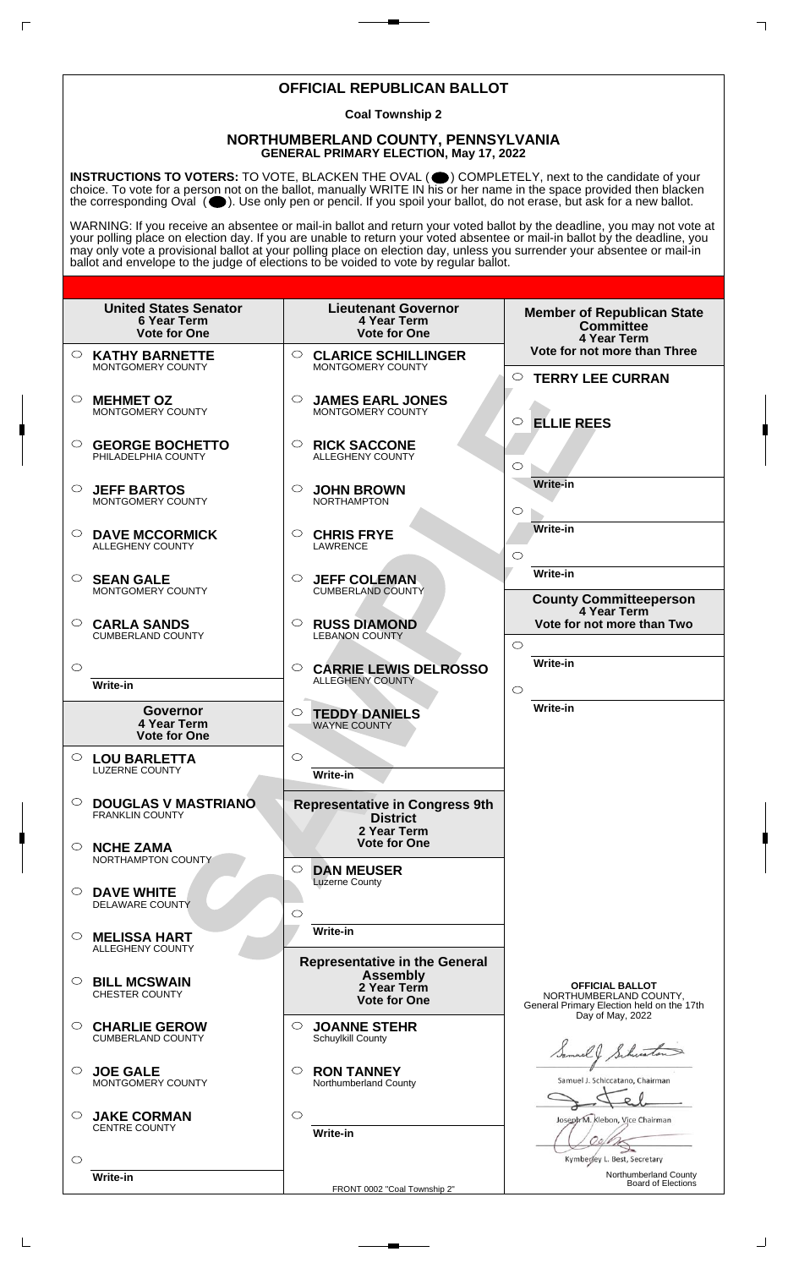**Coal Township 2**

### **NORTHUMBERLAND COUNTY, PENNSYLVANIA GENERAL PRIMARY ELECTION, May 17, 2022**

**INSTRUCTIONS TO VOTERS:** TO VOTE, BLACKEN THE OVAL ( $\bigcirc$ ) COMPLETELY, next to the candidate of your choice. To vote for a person not on the ballot, manually WRITE IN his or her name in the space provided then blacken the corresponding Oval (  $\bigcirc$  ). Use only pen or pencil. If you spoil your ballot, do not erase, but ask for a new ballot.

WARNING: If you receive an absentee or mail-in ballot and return your voted ballot by the deadline, you may not vote at your polling place on election day. If you are unable to return your voted absentee or mail-in ballot by the deadline, you may only vote a provisional ballot at your polling place on election day, unless you surrender your absentee or mail-in ballot and envelope to the judge of elections to be voided to vote by regular ballot.

|                                                             | <b>United States Senator</b><br><b>6 Year Term</b><br><b>Vote for One</b> | <b>Lieutenant Governor</b><br>4 Year Term<br><b>Vote for One</b>        | <b>Member of Republican State</b><br><b>Committee</b><br>4 Year Term                          |
|-------------------------------------------------------------|---------------------------------------------------------------------------|-------------------------------------------------------------------------|-----------------------------------------------------------------------------------------------|
| $\circ$ KATHY BARNETTE<br>MONTGOMERY COUNTY                 |                                                                           | $\circ$<br><b>CLARICE SCHILLINGER</b><br>MONTGOMERY COUNTY              | Vote for not more than Three<br><b>TERRY LEE CURRAN</b><br>O                                  |
| $\circ$<br><b>MEHMET OZ</b><br>MONTGOMERY COUNTY            |                                                                           | $\circ$<br><b>JAMES EARL JONES</b><br>MONTGOMERY COUNTY                 | <b>ELLIE REES</b><br>$\circ$                                                                  |
| $\bigcirc$ .<br>PHILADELPHIA COUNTY                         | <b>GEORGE BOCHETTO</b>                                                    | <b>RICK SACCONE</b><br>$\circ$<br><b>ALLEGHENY COUNTY</b>               | $\circlearrowright$                                                                           |
| $\circ$<br><b>JEFF BARTOS</b><br>MONTGOMERY COUNTY          |                                                                           | $\circlearrowright$<br><b>JOHN BROWN</b><br><b>NORTHAMPTON</b>          | <b>Write-in</b><br>$\circ$                                                                    |
| $\circ$<br><b>DAVE MCCORMICK</b><br>ALLEGHENY COUNTY        |                                                                           | $\circ$<br><b>CHRIS FRYE</b><br>LAWRENCE                                | <b>Write-in</b><br>$\circ$                                                                    |
| $\circ$<br><b>SEAN GALE</b><br>MONTGOMERY COUNTY            |                                                                           | <b>JEFF COLEMAN</b><br>$\circ$<br><b>CUMBERLAND COUNTY</b>              | <b>Write-in</b><br><b>County Committeeperson</b><br>4 Year Term                               |
| $\circ$<br><b>CARLA SANDS</b><br><b>CUMBERLAND COUNTY</b>   |                                                                           | <b>RUSS DIAMOND</b><br>$\circ$<br><b>LEBANON COUNTY</b>                 | Vote for not more than Two<br>$\circ$                                                         |
| $\circlearrowright$<br><b>Write-in</b>                      |                                                                           | <b>CARRIE LEWIS DELROSSO</b><br>$\circ$<br>ALLEGHENY COUNTY             | <b>Write-in</b><br>$\circ$                                                                    |
|                                                             | <b>Governor</b><br>4 Year Term<br><b>Vote for One</b>                     | O<br><b>TEDDY DANIELS</b><br><b>WAYNE COUNTY</b>                        | <b>Write-in</b>                                                                               |
| $\circ$ LOU BARLETTA<br><b>LUZERNE COUNTY</b>               |                                                                           | $\circ$<br><b>Write-in</b>                                              |                                                                                               |
| $\circ$<br><b>FRANKLIN COUNTY</b>                           | <b>DOUGLAS V MASTRIANO</b>                                                | <b>Representative in Congress 9th</b><br><b>District</b><br>2 Year Term |                                                                                               |
| $\circ$ NCHE ZAMA<br>NORTHAMPTON COUNTY                     |                                                                           | <b>Vote for One</b><br>$\circ$<br><b>DAN MEUSER</b>                     |                                                                                               |
| <b>DAVE WHITE</b><br>O<br>DELAWARE COUNTY                   |                                                                           | <b>Luzerne County</b><br>$\circ$                                        |                                                                                               |
| <b>MELISSA HART</b><br>$\circ$<br><b>ALLEGHENY COUNTY</b>   |                                                                           | Write-in<br><b>Representative in the General</b>                        |                                                                                               |
| <b>BILL MCSWAIN</b><br>$\circ$<br><b>CHESTER COUNTY</b>     |                                                                           | <b>Assembly</b><br>2 Year Term<br><b>Vote for One</b>                   | <b>OFFICIAL BALLOT</b><br>NORTHUMBERLAND COUNTY,<br>General Primary Election held on the 17th |
| $\circ$<br><b>CHARLIE GEROW</b><br><b>CUMBERLAND COUNTY</b> |                                                                           | <b>JOANNE STEHR</b><br>$\circ$<br>Schuylkill County                     | Day of May, 2022<br>muell Schweiten                                                           |
| $\circ$<br><b>JOE GALE</b><br>MONTGOMERY COUNTY             |                                                                           | $\circ$<br><b>RON TANNEY</b><br>Northumberland County                   | Samuel J. Schiccatano, Chairman                                                               |
| <b>JAKE CORMAN</b><br>O<br><b>CENTRE COUNTY</b>             |                                                                           | $\circlearrowright$<br><b>Write-in</b>                                  | Joseph M. Klebon, Vice Chairman<br>004                                                        |
| $\circlearrowright$                                         |                                                                           |                                                                         | Kymberley L. Best, Secretary                                                                  |
| <b>Write-in</b>                                             |                                                                           | FRONT 0002 "Coal Township 2"                                            | Northumberland County<br>Board of Elections                                                   |

÷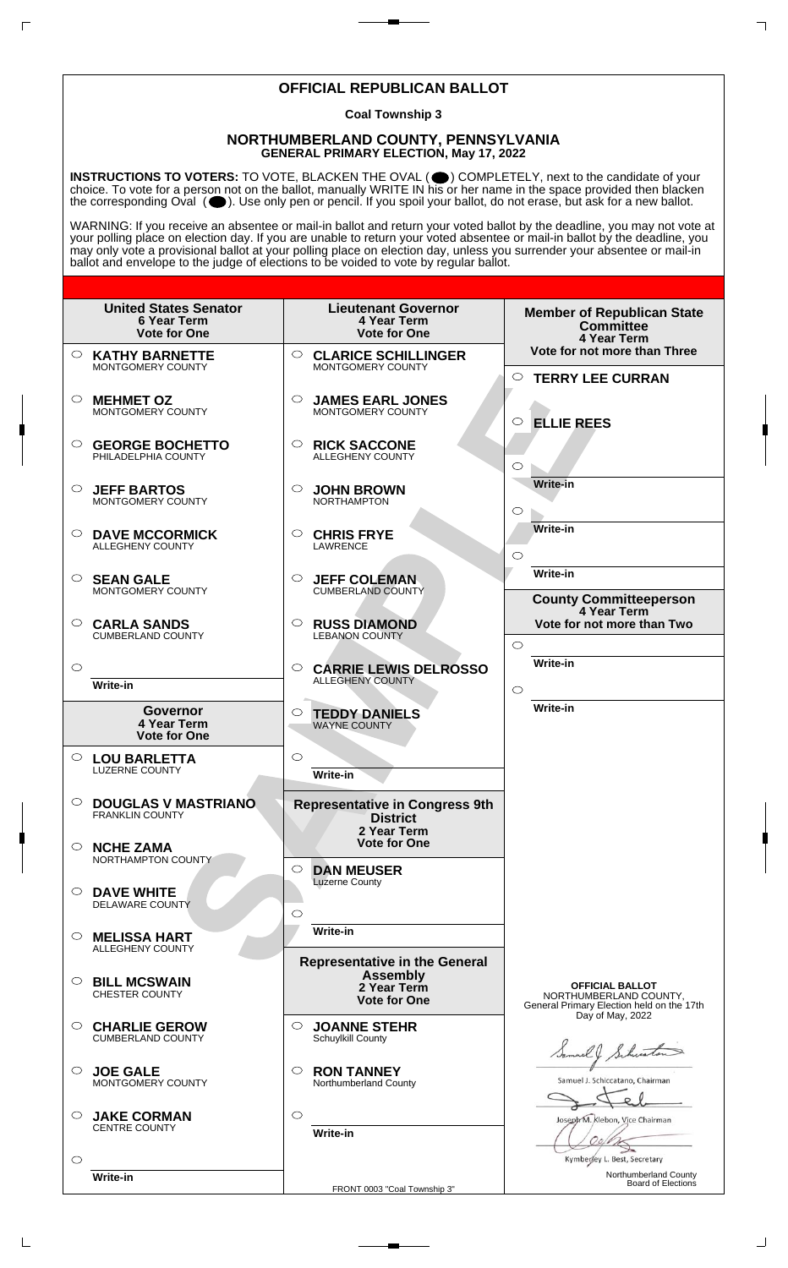**Coal Township 3**

### **NORTHUMBERLAND COUNTY, PENNSYLVANIA GENERAL PRIMARY ELECTION, May 17, 2022**

**INSTRUCTIONS TO VOTERS:** TO VOTE, BLACKEN THE OVAL ( $\bigcirc$ ) COMPLETELY, next to the candidate of your choice. To vote for a person not on the ballot, manually WRITE IN his or her name in the space provided then blacken the corresponding Oval (  $\bigcirc$  ). Use only pen or pencil. If you spoil your ballot, do not erase, but ask for a new ballot.

WARNING: If you receive an absentee or mail-in ballot and return your voted ballot by the deadline, you may not vote at your polling place on election day. If you are unable to return your voted absentee or mail-in ballot by the deadline, you may only vote a provisional ballot at your polling place on election day, unless you surrender your absentee or mail-in ballot and envelope to the judge of elections to be voided to vote by regular ballot.

| <b>United States Senator</b><br><b>6 Year Term</b><br><b>Vote for One</b> | <b>Lieutenant Governor</b><br>4 Year Term<br><b>Vote for One</b>        | <b>Member of Republican State</b><br><b>Committee</b><br>4 Year Term                          |
|---------------------------------------------------------------------------|-------------------------------------------------------------------------|-----------------------------------------------------------------------------------------------|
| $\circ$<br><b>KATHY BARNETTE</b><br>MONTGOMERY COUNTY                     | $\circ$<br><b>CLARICE SCHILLINGER</b><br>MONTGOMERY COUNTY              | Vote for not more than Three<br>O<br><b>TERRY LEE CURRAN</b>                                  |
| $\circ$<br><b>MEHMET OZ</b><br>MONTGOMERY COUNTY                          | O<br><b>JAMES EARL JONES</b><br>MONTGOMERY COUNTY                       | <b>ELLIE REES</b><br>$\circ$                                                                  |
| $\circ$<br><b>GEORGE BOCHETTO</b><br>PHILADELPHIA COUNTY                  | <b>RICK SACCONE</b><br>$\circ$<br>ALLEGHENY COUNTY                      | $\circ$                                                                                       |
| $\circ$<br><b>JEFF BARTOS</b><br><b>MONTGOMERY COUNTY</b>                 | $\circ$<br><b>JOHN BROWN</b><br><b>NORTHAMPTON</b>                      | <b>Write-in</b><br>$\circ$                                                                    |
| $\circ$<br><b>DAVE MCCORMICK</b><br>ALLEGHENY COUNTY                      | <b>CHRIS FRYE</b><br>O<br>LAWRENCE                                      | <b>Write-in</b><br>$\circ$                                                                    |
| $\circ$<br><b>SEAN GALE</b><br>MONTGOMERY COUNTY                          | $\circ$<br><b>JEFF COLEMAN</b><br><b>CUMBERLAND COUNTY</b>              | <b>Write-in</b><br><b>County Committeeperson</b><br>4 Year Term                               |
| $\circ$<br><b>CARLA SANDS</b><br><b>CUMBERLAND COUNTY</b>                 | <b>RUSS DIAMOND</b><br>$\circ$<br><b>LEBANON COUNTY</b>                 | Vote for not more than Two<br>$\circ$                                                         |
| $\circ$<br><b>Write-in</b>                                                | <b>CARRIE LEWIS DELROSSO</b><br>$\circ$<br>ALLEGHENY COUNTY             | <b>Write-in</b><br>$\circ$                                                                    |
| <b>Governor</b><br>4 Year Term<br><b>Vote for One</b>                     | <b>TEDDY DANIELS</b><br>O<br><b>WAYNE COUNTY</b>                        | <b>Write-in</b>                                                                               |
| $\circ$ LOU BARLETTA<br><b>LUZERNE COUNTY</b>                             | $\circ$<br><b>Write-in</b>                                              |                                                                                               |
| $\circ$<br><b>DOUGLAS V MASTRIANO</b><br><b>FRANKLIN COUNTY</b>           | <b>Representative in Congress 9th</b><br><b>District</b><br>2 Year Term |                                                                                               |
| $\circ$ NCHE ZAMA<br>NORTHAMPTON COUNTY                                   | <b>Vote for One</b><br>$\circ$<br><b>DAN MEUSER</b>                     |                                                                                               |
| <b>DAVE WHITE</b><br>$\circ$<br>DELAWARE COUNTY                           | <b>Luzerne County</b><br>$\circ$                                        |                                                                                               |
| $\circ$<br><b>MELISSA HART</b><br><b>ALLEGHENY COUNTY</b>                 | Write-in<br><b>Representative in the General</b>                        |                                                                                               |
| <b>BILL MCSWAIN</b><br>$\circ$<br>CHESTER COUNTY                          | <b>Assembly</b><br>2 Year Term<br><b>Vote for One</b>                   | <b>OFFICIAL BALLOT</b><br>NORTHUMBERLAND COUNTY,<br>General Primary Election held on the 17th |
| $\circ$<br><b>CHARLIE GEROW</b><br><b>CUMBERLAND COUNTY</b>               | $\circ$<br><b>JOANNE STEHR</b><br>Schuylkill County                     | Day of May, 2022<br>muell Schweiten                                                           |
| $\circ$<br><b>JOE GALE</b><br>MONTGOMERY COUNTY                           | <b>RON TANNEY</b><br>O<br>Northumberland County                         | Samuel J. Schiccatano, Chairman                                                               |
| <b>JAKE CORMAN</b><br>$\circ$<br><b>CENTRE COUNTY</b>                     | $\circlearrowright$<br><b>Write-in</b>                                  | Joseph M. Klebon, Vice Chairman<br>004                                                        |
| $\circlearrowright$                                                       |                                                                         | Kymberley L. Best, Secretary                                                                  |
| <b>Write-in</b>                                                           | FRONT 0003 "Coal Township 3"                                            | Northumberland County<br>Board of Elections                                                   |

÷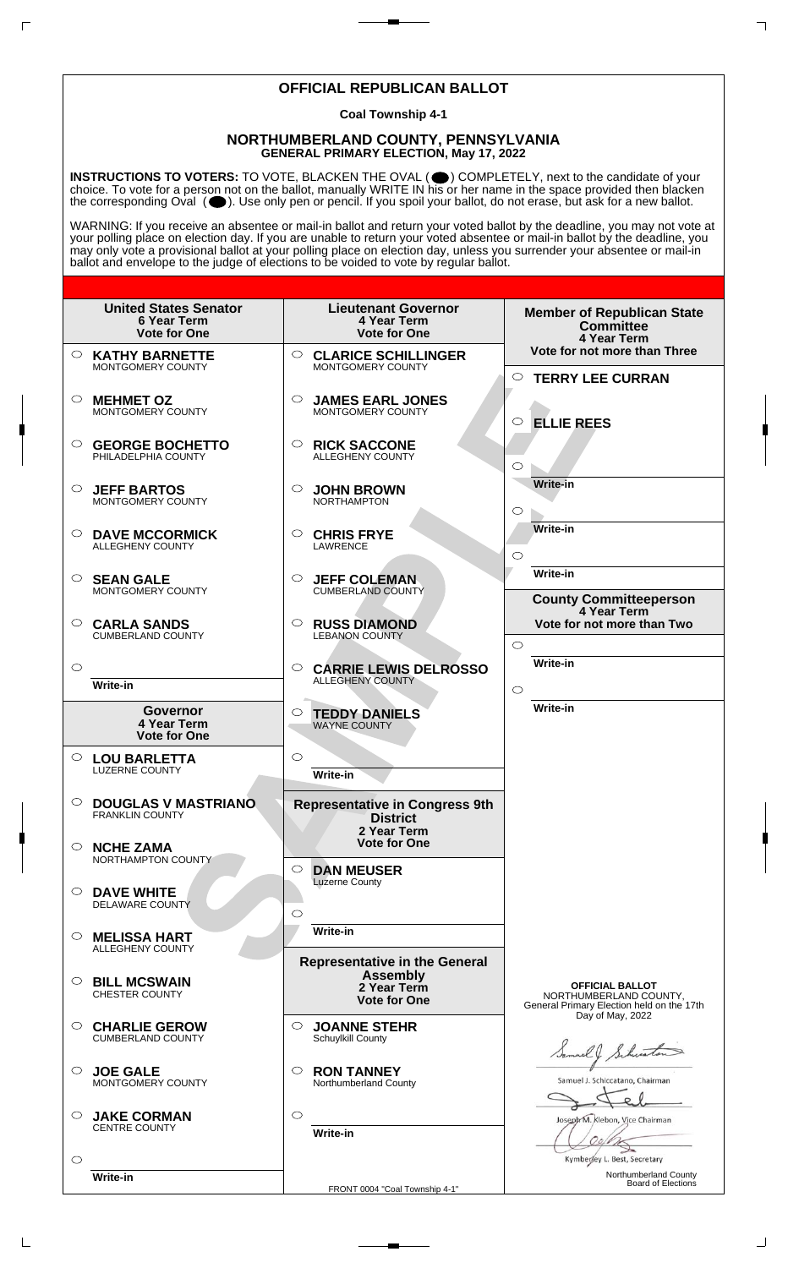**Coal Township 4-1**

## **NORTHUMBERLAND COUNTY, PENNSYLVANIA GENERAL PRIMARY ELECTION, May 17, 2022**

**INSTRUCTIONS TO VOTERS:** TO VOTE, BLACKEN THE OVAL ( $\bigcirc$ ) COMPLETELY, next to the candidate of your choice. To vote for a person not on the ballot, manually WRITE IN his or her name in the space provided then blacken the corresponding Oval (  $\bigcirc$  ). Use only pen or pencil. If you spoil your ballot, do not erase, but ask for a new ballot.

WARNING: If you receive an absentee or mail-in ballot and return your voted ballot by the deadline, you may not vote at your polling place on election day. If you are unable to return your voted absentee or mail-in ballot by the deadline, you may only vote a provisional ballot at your polling place on election day, unless you surrender your absentee or mail-in ballot and envelope to the judge of elections to be voided to vote by regular ballot.

| <b>United States Senator</b><br><b>6 Year Term</b><br><b>Vote for One</b> | <b>Lieutenant Governor</b><br>4 Year Term<br><b>Vote for One</b>        | <b>Member of Republican State</b><br><b>Committee</b><br>4 Year Term                          |
|---------------------------------------------------------------------------|-------------------------------------------------------------------------|-----------------------------------------------------------------------------------------------|
| $\circ$<br><b>KATHY BARNETTE</b><br>MONTGOMERY COUNTY                     | $\circ$<br><b>CLARICE SCHILLINGER</b><br>MONTGOMERY COUNTY              | Vote for not more than Three<br>O<br><b>TERRY LEE CURRAN</b>                                  |
| $\circ$<br><b>MEHMET OZ</b><br>MONTGOMERY COUNTY                          | O<br><b>JAMES EARL JONES</b><br>MONTGOMERY COUNTY                       | <b>ELLIE REES</b><br>$\circ$                                                                  |
| $\circ$<br><b>GEORGE BOCHETTO</b><br>PHILADELPHIA COUNTY                  | <b>RICK SACCONE</b><br>$\circ$<br>ALLEGHENY COUNTY                      | $\circ$                                                                                       |
| $\circ$<br><b>JEFF BARTOS</b><br><b>MONTGOMERY COUNTY</b>                 | $\circ$<br><b>JOHN BROWN</b><br><b>NORTHAMPTON</b>                      | <b>Write-in</b><br>$\circ$                                                                    |
| $\circ$<br><b>DAVE MCCORMICK</b><br>ALLEGHENY COUNTY                      | <b>CHRIS FRYE</b><br>O<br>LAWRENCE                                      | <b>Write-in</b><br>$\circ$                                                                    |
| $\circ$<br><b>SEAN GALE</b><br>MONTGOMERY COUNTY                          | $\circ$<br><b>JEFF COLEMAN</b><br><b>CUMBERLAND COUNTY</b>              | <b>Write-in</b><br><b>County Committeeperson</b><br>4 Year Term                               |
| $\circ$<br><b>CARLA SANDS</b><br><b>CUMBERLAND COUNTY</b>                 | <b>RUSS DIAMOND</b><br>$\circ$<br><b>LEBANON COUNTY</b>                 | Vote for not more than Two<br>$\circ$                                                         |
| $\circ$<br><b>Write-in</b>                                                | <b>CARRIE LEWIS DELROSSO</b><br>$\circ$<br>ALLEGHENY COUNTY             | <b>Write-in</b><br>$\circ$                                                                    |
| <b>Governor</b><br>4 Year Term<br><b>Vote for One</b>                     | <b>TEDDY DANIELS</b><br>O<br><b>WAYNE COUNTY</b>                        | <b>Write-in</b>                                                                               |
| $\circ$ LOU BARLETTA<br><b>LUZERNE COUNTY</b>                             | $\circ$<br><b>Write-in</b>                                              |                                                                                               |
| $\circ$<br><b>DOUGLAS V MASTRIANO</b><br><b>FRANKLIN COUNTY</b>           | <b>Representative in Congress 9th</b><br><b>District</b><br>2 Year Term |                                                                                               |
| $\circ$ NCHE ZAMA<br>NORTHAMPTON COUNTY                                   | <b>Vote for One</b><br>$\circ$<br><b>DAN MEUSER</b>                     |                                                                                               |
| <b>DAVE WHITE</b><br>$\circ$<br>DELAWARE COUNTY                           | <b>Luzerne County</b><br>$\circ$                                        |                                                                                               |
| <b>MELISSA HART</b><br>$\circ$<br><b>ALLEGHENY COUNTY</b>                 | Write-in<br><b>Representative in the General</b>                        |                                                                                               |
| <b>BILL MCSWAIN</b><br>$\circ$<br>CHESTER COUNTY                          | <b>Assembly</b><br>2 Year Term<br><b>Vote for One</b>                   | <b>OFFICIAL BALLOT</b><br>NORTHUMBERLAND COUNTY,<br>General Primary Election held on the 17th |
| $\circ$<br><b>CHARLIE GEROW</b><br><b>CUMBERLAND COUNTY</b>               | $\circ$<br><b>JOANNE STEHR</b><br>Schuylkill County                     | Day of May, 2022<br>muell Schweiten                                                           |
| $\circ$<br><b>JOE GALE</b><br>MONTGOMERY COUNTY                           | $\circ$<br><b>RON TANNEY</b><br>Northumberland County                   | Samuel J. Schiccatano, Chairman                                                               |
| <b>JAKE CORMAN</b><br>$\circ$<br><b>CENTRE COUNTY</b>                     | $\circlearrowright$<br><b>Write-in</b>                                  | Joseph M. Klebon, Vice Chairman<br>004                                                        |
| $\circlearrowright$                                                       |                                                                         | Kymberley L. Best, Secretary                                                                  |
| <b>Write-in</b>                                                           | FRONT 0004 "Coal Township 4-1"                                          | Northumberland County<br>Board of Elections                                                   |

÷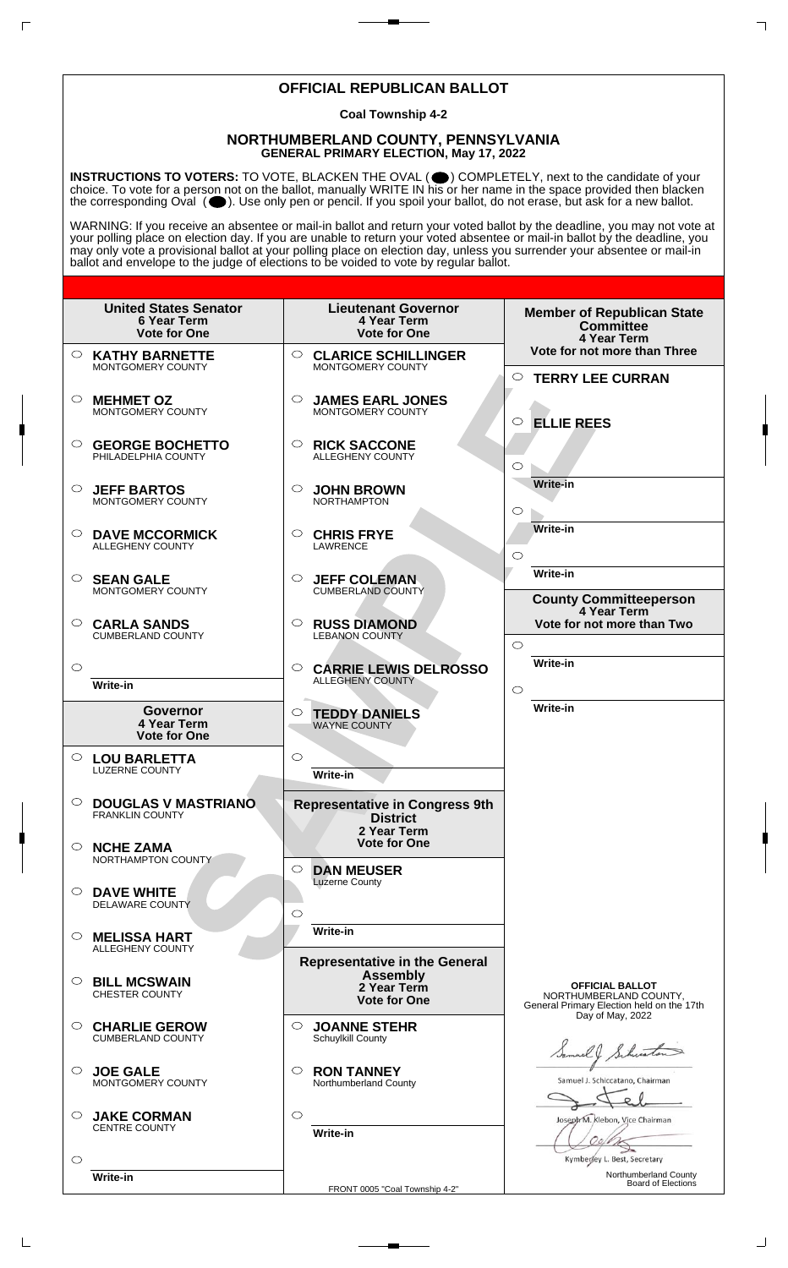**Coal Township 4-2**

## **NORTHUMBERLAND COUNTY, PENNSYLVANIA GENERAL PRIMARY ELECTION, May 17, 2022**

**INSTRUCTIONS TO VOTERS:** TO VOTE, BLACKEN THE OVAL ( $\bigcirc$ ) COMPLETELY, next to the candidate of your choice. To vote for a person not on the ballot, manually WRITE IN his or her name in the space provided then blacken the corresponding Oval (  $\bigcirc$  ). Use only pen or pencil. If you spoil your ballot, do not erase, but ask for a new ballot.

WARNING: If you receive an absentee or mail-in ballot and return your voted ballot by the deadline, you may not vote at your polling place on election day. If you are unable to return your voted absentee or mail-in ballot by the deadline, you may only vote a provisional ballot at your polling place on election day, unless you surrender your absentee or mail-in ballot and envelope to the judge of elections to be voided to vote by regular ballot.

|                     | <b>United States Senator</b><br><b>6 Year Term</b><br><b>Vote for One</b> | <b>Lieutenant Governor</b><br>4 Year Term<br><b>Vote for One</b>        | <b>Member of Republican State</b><br><b>Committee</b><br>4 Year Term                          |
|---------------------|---------------------------------------------------------------------------|-------------------------------------------------------------------------|-----------------------------------------------------------------------------------------------|
|                     | $\circ$ KATHY BARNETTE<br>MONTGOMERY COUNTY                               | $\circ$<br><b>CLARICE SCHILLINGER</b><br>MONTGOMERY COUNTY              | Vote for not more than Three<br><b>TERRY LEE CURRAN</b><br>O                                  |
| $\circ$             | <b>MEHMET OZ</b><br>MONTGOMERY COUNTY                                     | $\circ$<br><b>JAMES EARL JONES</b><br>MONTGOMERY COUNTY                 | <b>ELLIE REES</b><br>$\circ$                                                                  |
| $\bigcirc$          | <b>GEORGE BOCHETTO</b><br>PHILADELPHIA COUNTY                             | <b>RICK SACCONE</b><br>$\circ$<br><b>ALLEGHENY COUNTY</b>               | $\circlearrowright$                                                                           |
| $\circ$             | <b>JEFF BARTOS</b><br>MONTGOMERY COUNTY                                   | $\circlearrowright$<br><b>JOHN BROWN</b><br><b>NORTHAMPTON</b>          | <b>Write-in</b><br>$\circ$                                                                    |
| $\circ$             | <b>DAVE MCCORMICK</b><br>ALLEGHENY COUNTY                                 | $\circ$<br><b>CHRIS FRYE</b><br>LAWRENCE                                | <b>Write-in</b><br>$\circ$                                                                    |
| $\circ$             | <b>SEAN GALE</b><br>MONTGOMERY COUNTY                                     | <b>JEFF COLEMAN</b><br>$\circ$<br><b>CUMBERLAND COUNTY</b>              | <b>Write-in</b><br><b>County Committeeperson</b><br>4 Year Term                               |
| $\circ$             | <b>CARLA SANDS</b><br><b>CUMBERLAND COUNTY</b>                            | <b>RUSS DIAMOND</b><br>$\circ$<br><b>LEBANON COUNTY</b>                 | Vote for not more than Two<br>$\circ$                                                         |
| $\circlearrowright$ | <b>Write-in</b>                                                           | <b>CARRIE LEWIS DELROSSO</b><br>$\circ$<br>ALLEGHENY COUNTY             | <b>Write-in</b><br>$\circ$                                                                    |
|                     | <b>Governor</b><br>4 Year Term<br><b>Vote for One</b>                     | O<br><b>TEDDY DANIELS</b><br><b>WAYNE COUNTY</b>                        | <b>Write-in</b>                                                                               |
|                     | $\circ$ LOU BARLETTA<br><b>LUZERNE COUNTY</b>                             | $\circ$<br><b>Write-in</b>                                              |                                                                                               |
| $\circ$             | <b>DOUGLAS V MASTRIANO</b><br><b>FRANKLIN COUNTY</b>                      | <b>Representative in Congress 9th</b><br><b>District</b><br>2 Year Term |                                                                                               |
|                     | $\circ$ NCHE ZAMA<br>NORTHAMPTON COUNTY                                   | <b>Vote for One</b><br>$\circ$<br><b>DAN MEUSER</b>                     |                                                                                               |
| O                   | <b>DAVE WHITE</b><br>DELAWARE COUNTY                                      | <b>Luzerne County</b><br>$\circ$                                        |                                                                                               |
| O                   | <b>MELISSA HART</b><br><b>ALLEGHENY COUNTY</b>                            | Write-in<br><b>Representative in the General</b>                        |                                                                                               |
| $\circ$             | <b>BILL MCSWAIN</b><br><b>CHESTER COUNTY</b>                              | <b>Assembly</b><br>2 Year Term<br><b>Vote for One</b>                   | <b>OFFICIAL BALLOT</b><br>NORTHUMBERLAND COUNTY,<br>General Primary Election held on the 17th |
| $\circ$             | <b>CHARLIE GEROW</b><br><b>CUMBERLAND COUNTY</b>                          | <b>JOANNE STEHR</b><br>$\circ$<br>Schuylkill County                     | Day of May, 2022<br>muell Schweiten                                                           |
| $\circ$             | <b>JOE GALE</b><br>MONTGOMERY COUNTY                                      | $\circ$<br><b>RON TANNEY</b><br>Northumberland County                   | Samuel J. Schiccatano, Chairman                                                               |
| O                   | <b>JAKE CORMAN</b><br><b>CENTRE COUNTY</b>                                | $\circlearrowright$<br><b>Write-in</b>                                  | Joseph M. Klebon, Vice Chairman<br>004                                                        |
| $\circlearrowright$ |                                                                           |                                                                         | Kymberley L. Best, Secretary                                                                  |
|                     | <b>Write-in</b>                                                           | FRONT 0005 "Coal Township 4-2"                                          | Northumberland County<br>Board of Elections                                                   |

÷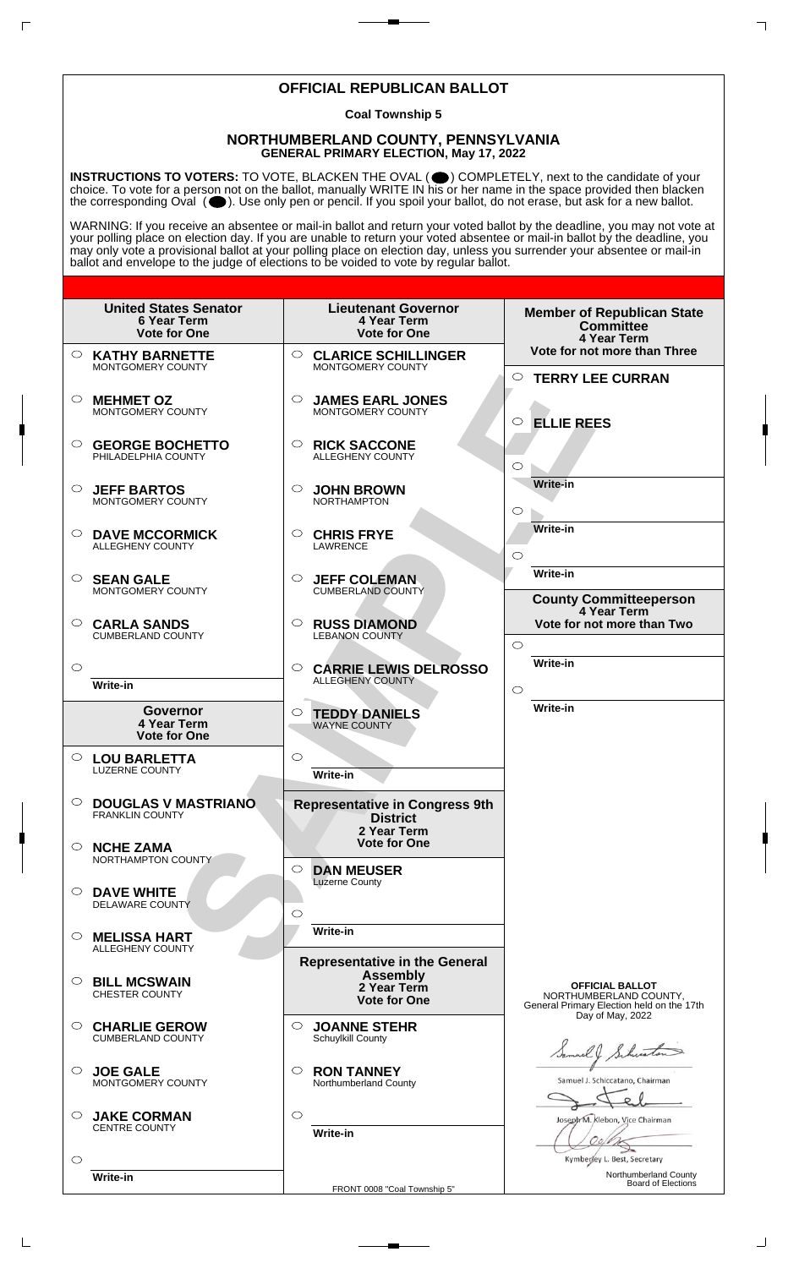**Coal Township 5**

### **NORTHUMBERLAND COUNTY, PENNSYLVANIA GENERAL PRIMARY ELECTION, May 17, 2022**

**INSTRUCTIONS TO VOTERS:** TO VOTE, BLACKEN THE OVAL ( $\bigcirc$ ) COMPLETELY, next to the candidate of your choice. To vote for a person not on the ballot, manually WRITE IN his or her name in the space provided then blacken the corresponding Oval (  $\bigcirc$  ). Use only pen or pencil. If you spoil your ballot, do not erase, but ask for a new ballot.

WARNING: If you receive an absentee or mail-in ballot and return your voted ballot by the deadline, you may not vote at your polling place on election day. If you are unable to return your voted absentee or mail-in ballot by the deadline, you may only vote a provisional ballot at your polling place on election day, unless you surrender your absentee or mail-in ballot and envelope to the judge of elections to be voided to vote by regular ballot.

| <b>United States Senator</b><br><b>6 Year Term</b><br><b>Vote for One</b> | <b>Lieutenant Governor</b><br>4 Year Term<br><b>Vote for One</b>        | <b>Member of Republican State</b><br><b>Committee</b><br>4 Year Term                          |
|---------------------------------------------------------------------------|-------------------------------------------------------------------------|-----------------------------------------------------------------------------------------------|
| $\circ$<br><b>KATHY BARNETTE</b><br>MONTGOMERY COUNTY                     | $\circ$<br><b>CLARICE SCHILLINGER</b><br>MONTGOMERY COUNTY              | Vote for not more than Three<br>O<br><b>TERRY LEE CURRAN</b>                                  |
| $\circ$<br><b>MEHMET OZ</b><br>MONTGOMERY COUNTY                          | O<br><b>JAMES EARL JONES</b><br>MONTGOMERY COUNTY                       | <b>ELLIE REES</b><br>$\circ$                                                                  |
| $\circ$<br><b>GEORGE BOCHETTO</b><br>PHILADELPHIA COUNTY                  | <b>RICK SACCONE</b><br>$\circ$<br>ALLEGHENY COUNTY                      | $\circ$                                                                                       |
| $\circ$<br><b>JEFF BARTOS</b><br><b>MONTGOMERY COUNTY</b>                 | $\circ$<br><b>JOHN BROWN</b><br><b>NORTHAMPTON</b>                      | <b>Write-in</b><br>$\circ$                                                                    |
| $\circ$<br><b>DAVE MCCORMICK</b><br>ALLEGHENY COUNTY                      | <b>CHRIS FRYE</b><br>O<br>LAWRENCE                                      | <b>Write-in</b><br>$\circ$                                                                    |
| $\circ$<br><b>SEAN GALE</b><br>MONTGOMERY COUNTY                          | $\circ$<br><b>JEFF COLEMAN</b><br><b>CUMBERLAND COUNTY</b>              | <b>Write-in</b><br><b>County Committeeperson</b><br>4 Year Term                               |
| $\circ$<br><b>CARLA SANDS</b><br><b>CUMBERLAND COUNTY</b>                 | <b>RUSS DIAMOND</b><br>$\circ$<br><b>LEBANON COUNTY</b>                 | Vote for not more than Two<br>$\circ$                                                         |
| $\circ$<br><b>Write-in</b>                                                | <b>CARRIE LEWIS DELROSSO</b><br>$\circ$<br>ALLEGHENY COUNTY             | <b>Write-in</b><br>$\circ$                                                                    |
| <b>Governor</b><br>4 Year Term<br><b>Vote for One</b>                     | <b>TEDDY DANIELS</b><br>O<br><b>WAYNE COUNTY</b>                        | <b>Write-in</b>                                                                               |
| $\circ$ LOU BARLETTA<br><b>LUZERNE COUNTY</b>                             | $\circ$<br><b>Write-in</b>                                              |                                                                                               |
| $\circ$<br><b>DOUGLAS V MASTRIANO</b><br><b>FRANKLIN COUNTY</b>           | <b>Representative in Congress 9th</b><br><b>District</b><br>2 Year Term |                                                                                               |
| $\circ$ NCHE ZAMA<br>NORTHAMPTON COUNTY                                   | <b>Vote for One</b><br>$\circ$<br><b>DAN MEUSER</b>                     |                                                                                               |
| <b>DAVE WHITE</b><br>$\circ$<br>DELAWARE COUNTY                           | <b>Luzerne County</b><br>$\circ$                                        |                                                                                               |
| $\circ$<br><b>MELISSA HART</b><br><b>ALLEGHENY COUNTY</b>                 | Write-in<br><b>Representative in the General</b>                        |                                                                                               |
| <b>BILL MCSWAIN</b><br>$\circ$<br>CHESTER COUNTY                          | <b>Assembly</b><br>2 Year Term<br><b>Vote for One</b>                   | <b>OFFICIAL BALLOT</b><br>NORTHUMBERLAND COUNTY,<br>General Primary Election held on the 17th |
| $\circ$<br><b>CHARLIE GEROW</b><br><b>CUMBERLAND COUNTY</b>               | $\circ$<br><b>JOANNE STEHR</b><br>Schuylkill County                     | Day of May, 2022<br>muell Schweiten                                                           |
| $\circ$<br><b>JOE GALE</b><br>MONTGOMERY COUNTY                           | <b>RON TANNEY</b><br>O<br>Northumberland County                         | Samuel J. Schiccatano, Chairman                                                               |
| <b>JAKE CORMAN</b><br>$\circ$<br><b>CENTRE COUNTY</b>                     | $\circlearrowright$<br><b>Write-in</b>                                  | Joseph M. Klebon, Vice Chairman<br>004                                                        |
| $\circlearrowright$                                                       |                                                                         | Kymberley L. Best, Secretary                                                                  |
| <b>Write-in</b>                                                           | FRONT 0008 "Coal Township 5"                                            | Northumberland County<br>Board of Elections                                                   |

÷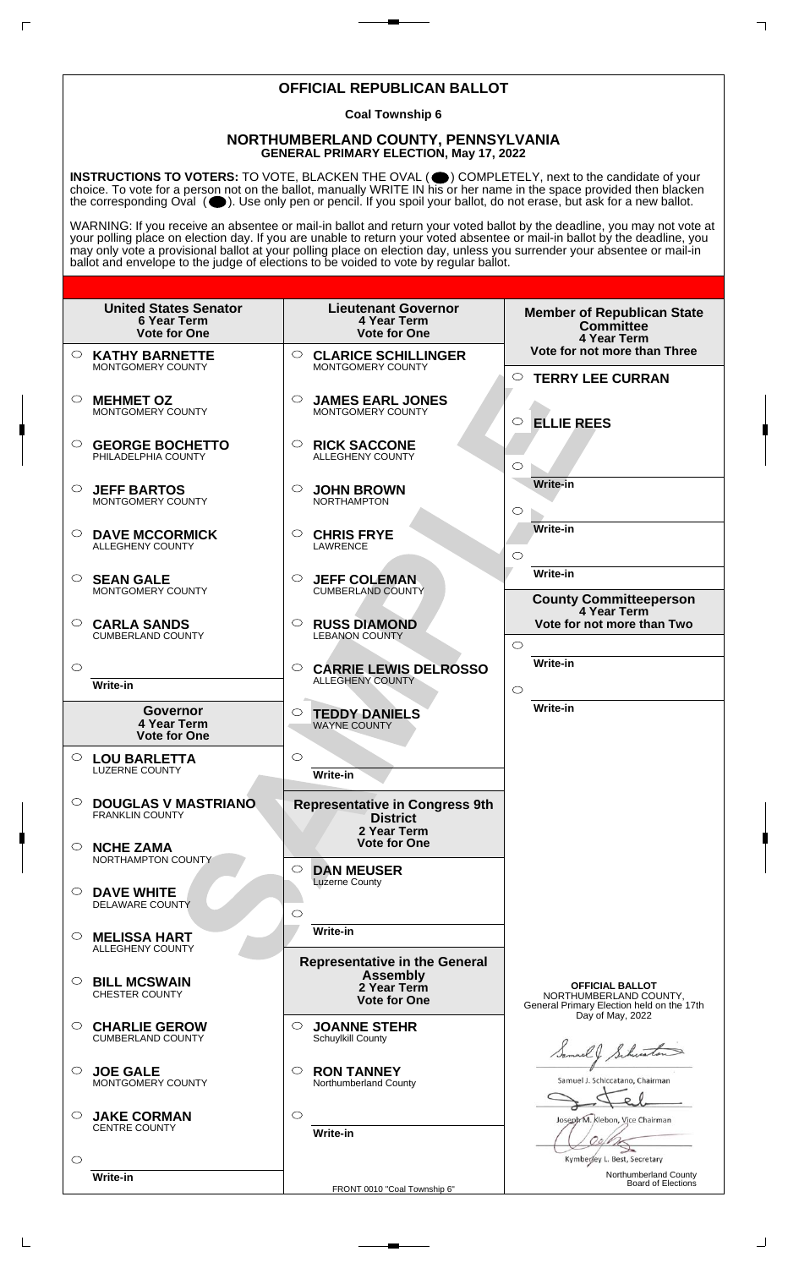**Coal Township 6**

### **NORTHUMBERLAND COUNTY, PENNSYLVANIA GENERAL PRIMARY ELECTION, May 17, 2022**

**INSTRUCTIONS TO VOTERS:** TO VOTE, BLACKEN THE OVAL ( $\bigcirc$ ) COMPLETELY, next to the candidate of your choice. To vote for a person not on the ballot, manually WRITE IN his or her name in the space provided then blacken the corresponding Oval (  $\bigcirc$  ). Use only pen or pencil. If you spoil your ballot, do not erase, but ask for a new ballot.

WARNING: If you receive an absentee or mail-in ballot and return your voted ballot by the deadline, you may not vote at your polling place on election day. If you are unable to return your voted absentee or mail-in ballot by the deadline, you may only vote a provisional ballot at your polling place on election day, unless you surrender your absentee or mail-in ballot and envelope to the judge of elections to be voided to vote by regular ballot.

| <b>United States Senator</b><br><b>6 Year Term</b><br><b>Vote for One</b> | <b>Lieutenant Governor</b><br>4 Year Term<br><b>Vote for One</b>        | <b>Member of Republican State</b><br><b>Committee</b><br>4 Year Term                          |
|---------------------------------------------------------------------------|-------------------------------------------------------------------------|-----------------------------------------------------------------------------------------------|
| $\circ$<br><b>KATHY BARNETTE</b><br>MONTGOMERY COUNTY                     | $\circ$<br><b>CLARICE SCHILLINGER</b><br>MONTGOMERY COUNTY              | Vote for not more than Three<br>O<br><b>TERRY LEE CURRAN</b>                                  |
| $\circ$<br><b>MEHMET OZ</b><br>MONTGOMERY COUNTY                          | O<br><b>JAMES EARL JONES</b><br>MONTGOMERY COUNTY                       | <b>ELLIE REES</b><br>$\circ$                                                                  |
| $\circ$<br><b>GEORGE BOCHETTO</b><br>PHILADELPHIA COUNTY                  | <b>RICK SACCONE</b><br>$\circ$<br>ALLEGHENY COUNTY                      | $\circ$                                                                                       |
| $\circ$<br><b>JEFF BARTOS</b><br><b>MONTGOMERY COUNTY</b>                 | $\circ$<br><b>JOHN BROWN</b><br><b>NORTHAMPTON</b>                      | <b>Write-in</b><br>$\circ$                                                                    |
| $\circ$<br><b>DAVE MCCORMICK</b><br>ALLEGHENY COUNTY                      | <b>CHRIS FRYE</b><br>O<br>LAWRENCE                                      | <b>Write-in</b><br>$\circ$                                                                    |
| $\circ$<br><b>SEAN GALE</b><br>MONTGOMERY COUNTY                          | $\circ$<br><b>JEFF COLEMAN</b><br><b>CUMBERLAND COUNTY</b>              | <b>Write-in</b><br><b>County Committeeperson</b><br>4 Year Term                               |
| $\circ$<br><b>CARLA SANDS</b><br><b>CUMBERLAND COUNTY</b>                 | <b>RUSS DIAMOND</b><br>$\circ$<br><b>LEBANON COUNTY</b>                 | Vote for not more than Two<br>$\circ$                                                         |
| $\circ$<br><b>Write-in</b>                                                | <b>CARRIE LEWIS DELROSSO</b><br>$\circ$<br>ALLEGHENY COUNTY             | <b>Write-in</b><br>$\circ$                                                                    |
| <b>Governor</b><br>4 Year Term<br><b>Vote for One</b>                     | <b>TEDDY DANIELS</b><br>O<br><b>WAYNE COUNTY</b>                        | <b>Write-in</b>                                                                               |
| $\circ$ LOU BARLETTA<br><b>LUZERNE COUNTY</b>                             | $\circ$<br><b>Write-in</b>                                              |                                                                                               |
| $\circ$<br><b>DOUGLAS V MASTRIANO</b><br><b>FRANKLIN COUNTY</b>           | <b>Representative in Congress 9th</b><br><b>District</b><br>2 Year Term |                                                                                               |
| $\circ$ NCHE ZAMA<br>NORTHAMPTON COUNTY                                   | <b>Vote for One</b><br>$\circ$<br><b>DAN MEUSER</b>                     |                                                                                               |
| <b>DAVE WHITE</b><br>$\circ$<br>DELAWARE COUNTY                           | <b>Luzerne County</b><br>$\circ$                                        |                                                                                               |
| $\circ$<br><b>MELISSA HART</b><br><b>ALLEGHENY COUNTY</b>                 | Write-in<br><b>Representative in the General</b>                        |                                                                                               |
| <b>BILL MCSWAIN</b><br>$\circ$<br>CHESTER COUNTY                          | <b>Assembly</b><br>2 Year Term<br><b>Vote for One</b>                   | <b>OFFICIAL BALLOT</b><br>NORTHUMBERLAND COUNTY,<br>General Primary Election held on the 17th |
| $\circ$<br><b>CHARLIE GEROW</b><br><b>CUMBERLAND COUNTY</b>               | $\circ$<br><b>JOANNE STEHR</b><br>Schuylkill County                     | Day of May, 2022<br>muell Schweiten                                                           |
| $\circ$<br><b>JOE GALE</b><br>MONTGOMERY COUNTY                           | <b>RON TANNEY</b><br>O<br>Northumberland County                         | Samuel J. Schiccatano, Chairman                                                               |
| <b>JAKE CORMAN</b><br>$\circ$<br><b>CENTRE COUNTY</b>                     | $\circlearrowright$<br><b>Write-in</b>                                  | Joseph M. Klebon, Vice Chairman<br>004                                                        |
| $\circlearrowright$                                                       |                                                                         | Kymberley L. Best, Secretary                                                                  |
| <b>Write-in</b>                                                           | FRONT 0010 "Coal Township 6"                                            | Northumberland County<br>Board of Elections                                                   |

÷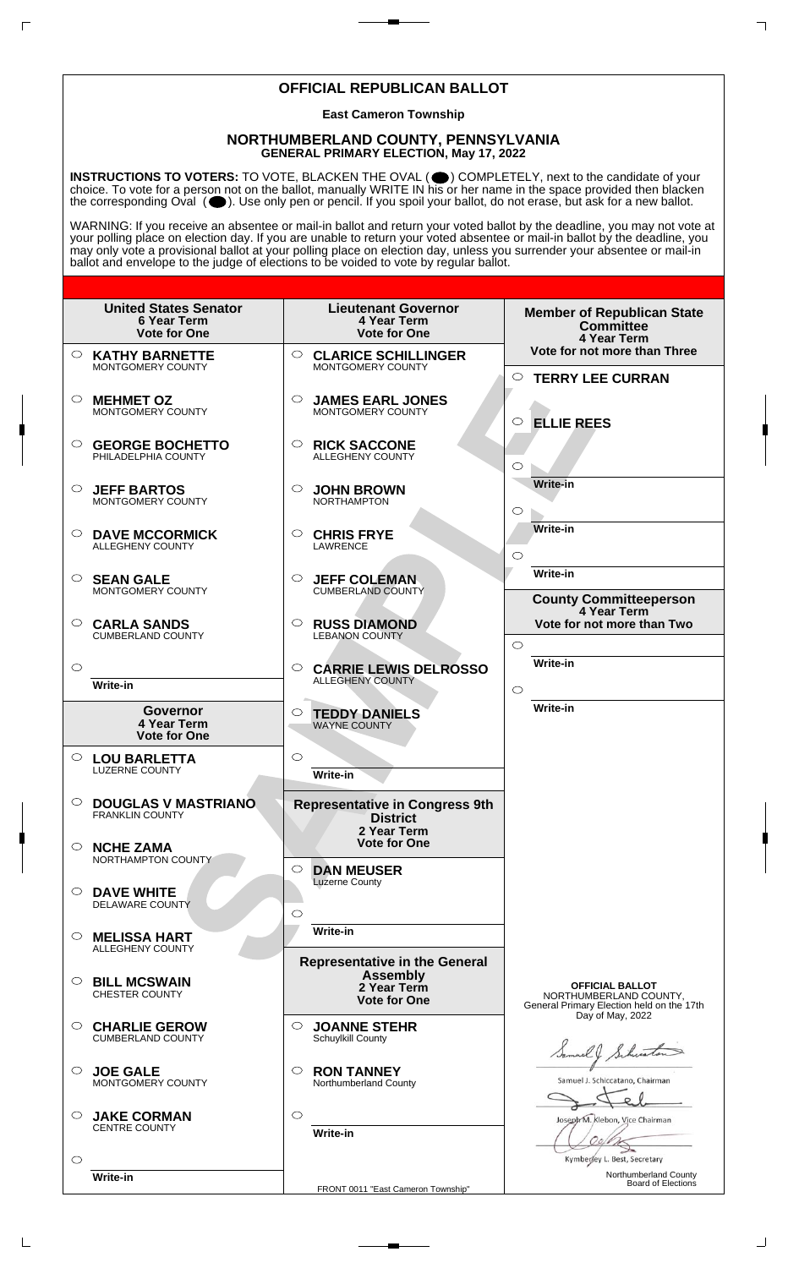**East Cameron Township**

## **NORTHUMBERLAND COUNTY, PENNSYLVANIA GENERAL PRIMARY ELECTION, May 17, 2022**

**INSTRUCTIONS TO VOTERS:** TO VOTE, BLACKEN THE OVAL ( $\bigcirc$ ) COMPLETELY, next to the candidate of your choice. To vote for a person not on the ballot, manually WRITE IN his or her name in the space provided then blacken the corresponding Oval (  $\bigcirc$  ). Use only pen or pencil. If you spoil your ballot, do not erase, but ask for a new ballot.

WARNING: If you receive an absentee or mail-in ballot and return your voted ballot by the deadline, you may not vote at your polling place on election day. If you are unable to return your voted absentee or mail-in ballot by the deadline, you may only vote a provisional ballot at your polling place on election day, unless you surrender your absentee or mail-in ballot and envelope to the judge of elections to be voided to vote by regular ballot.

|                     | <b>United States Senator</b><br><b>6 Year Term</b><br><b>Vote for One</b> | <b>Lieutenant Governor</b><br>4 Year Term<br><b>Vote for One</b>             | <b>Member of Republican State</b><br><b>Committee</b><br>4 Year Term                          |
|---------------------|---------------------------------------------------------------------------|------------------------------------------------------------------------------|-----------------------------------------------------------------------------------------------|
|                     | $\circ$ KATHY BARNETTE<br>MONTGOMERY COUNTY                               | $\circ$<br><b>CLARICE SCHILLINGER</b><br><b>MONTGOMERY COUNTY</b>            | Vote for not more than Three<br><b>TERRY LEE CURRAN</b><br>O                                  |
| $\circ$             | <b>MEHMET OZ</b><br>MONTGOMERY COUNTY                                     | $\circ$<br><b>JAMES EARL JONES</b><br>MONTGOMERY COUNTY                      | <b>ELLIE REES</b><br>$\circ$                                                                  |
| $\bigcirc$          | <b>GEORGE BOCHETTO</b><br>PHILADELPHIA COUNTY                             | <b>RICK SACCONE</b><br>$\circ$<br>ALLEGHENY COUNTY                           | $\circlearrowright$                                                                           |
| $\circ$             | <b>JEFF BARTOS</b><br><b>MONTGOMERY COUNTY</b>                            | $\circ$<br><b>JOHN BROWN</b><br><b>NORTHAMPTON</b>                           | <b>Write-in</b><br>$\circ$                                                                    |
| $\circ$             | <b>DAVE MCCORMICK</b><br><b>ALLEGHENY COUNTY</b>                          | $\circ$<br><b>CHRIS FRYE</b><br><b>LAWRENCE</b>                              | <b>Write-in</b><br>$\circ$                                                                    |
| $\circ$             | <b>SEAN GALE</b><br>MONTGOMERY COUNTY                                     | $\circ$<br><b>JEFF COLEMAN</b><br><b>CUMBERLAND COUNTY</b>                   | <b>Write-in</b><br><b>County Committeeperson</b><br>4 Year Term                               |
| $\circ$             | <b>CARLA SANDS</b><br><b>CUMBERLAND COUNTY</b>                            | <b>RUSS DIAMOND</b><br>$\circ$<br><b>LEBANON COUNTY</b>                      | Vote for not more than Two<br>$\circ$                                                         |
| $\circlearrowright$ | <b>Write-in</b>                                                           | <b>CARRIE LEWIS DELROSSO</b><br>$\circ$<br>ALLEGHENY COUNTY                  | <b>Write-in</b><br>$\circ$                                                                    |
|                     | <b>Governor</b><br>4 Year Term<br><b>Vote for One</b>                     | <b>TEDDY DANIELS</b><br>O<br><b>WAYNE COUNTY</b>                             | <b>Write-in</b>                                                                               |
|                     | $\circ$ LOU BARLETTA<br>LUZERNE COUNTY                                    | $\circ$<br><b>Write-in</b>                                                   |                                                                                               |
| $\circ$             | <b>DOUGLAS V MASTRIANO</b><br><b>FRANKLIN COUNTY</b>                      | <b>Representative in Congress 9th</b><br><b>District</b><br>2 Year Term      |                                                                                               |
|                     | $\circ$ NCHE ZAMA<br>NORTHAMPTON COUNTY                                   | <b>Vote for One</b><br>$\circ$<br><b>DAN MEUSER</b><br><b>Luzerne County</b> |                                                                                               |
| O                   | <b>DAVE WHITE</b><br><b>DELAWARE COUNTY</b>                               | $\circ$                                                                      |                                                                                               |
| O                   | <b>MELISSA HART</b><br><b>ALLEGHENY COUNTY</b>                            | <b>Write-in</b><br><b>Representative in the General</b>                      |                                                                                               |
| O                   | <b>BILL MCSWAIN</b><br><b>CHESTER COUNTY</b>                              | <b>Assembly</b><br>2 Year Term<br><b>Vote for One</b>                        | <b>OFFICIAL BALLOT</b><br>NORTHUMBERLAND COUNTY,<br>General Primary Election held on the 17th |
| O                   | <b>CHARLIE GEROW</b><br><b>CUMBERLAND COUNTY</b>                          | <b>JOANNE STEHR</b><br>O<br>Schuylkill County                                | Day of May, 2022<br>muell Schwarts                                                            |
| $\circlearrowright$ | <b>JOE GALE</b><br>MONTGOMERY COUNTY                                      | <b>RON TANNEY</b><br>$\circ$<br>Northumberland County                        | Samuel J. Schiccatano, Chairman                                                               |
| O                   | <b>JAKE CORMAN</b><br><b>CENTRE COUNTY</b>                                | $\circ$<br><b>Write-in</b>                                                   | Joseph M. Klebon, Vice Chairman<br>0010                                                       |
| $\circlearrowright$ |                                                                           |                                                                              | Kymberley L. Best, Secretary                                                                  |
|                     | Write-in                                                                  | FRONT 0011 "East Cameron Township"                                           | Northumberland County<br>Board of Elections                                                   |

للمسترد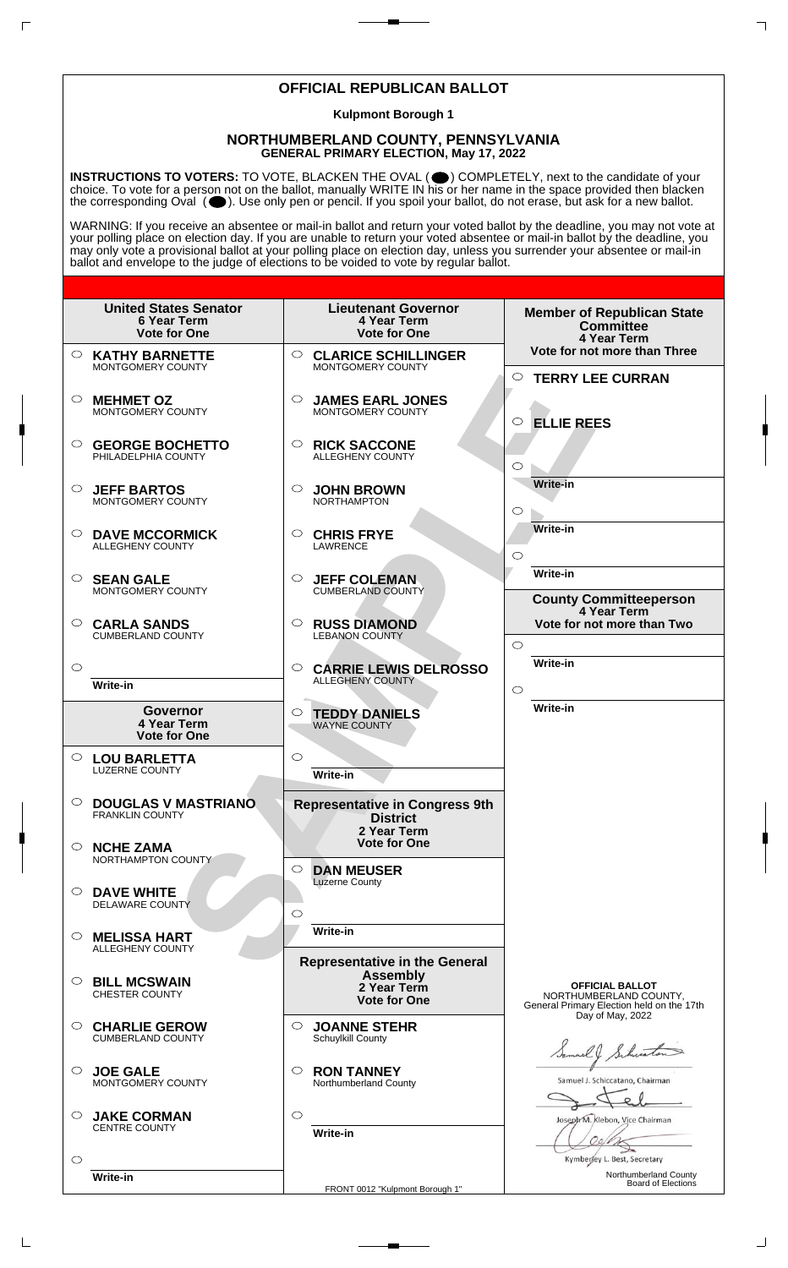**Kulpmont Borough 1**

### **NORTHUMBERLAND COUNTY, PENNSYLVANIA GENERAL PRIMARY ELECTION, May 17, 2022**

**INSTRUCTIONS TO VOTERS:** TO VOTE, BLACKEN THE OVAL ( $\bigcirc$ ) COMPLETELY, next to the candidate of your choice. To vote for a person not on the ballot, manually WRITE IN his or her name in the space provided then blacken the corresponding Oval (  $\bigcirc$  ). Use only pen or pencil. If you spoil your ballot, do not erase, but ask for a new ballot.

WARNING: If you receive an absentee or mail-in ballot and return your voted ballot by the deadline, you may not vote at your polling place on election day. If you are unable to return your voted absentee or mail-in ballot by the deadline, you may only vote a provisional ballot at your polling place on election day, unless you surrender your absentee or mail-in ballot and envelope to the judge of elections to be voided to vote by regular ballot.

|                     | <b>United States Senator</b><br><b>6 Year Term</b><br><b>Vote for One</b> | <b>Lieutenant Governor</b><br>4 Year Term<br><b>Vote for One</b>        | <b>Member of Republican State</b><br><b>Committee</b><br>4 Year Term                          |
|---------------------|---------------------------------------------------------------------------|-------------------------------------------------------------------------|-----------------------------------------------------------------------------------------------|
|                     | $\circ$ KATHY BARNETTE<br>MONTGOMERY COUNTY                               | $\circ$<br><b>CLARICE SCHILLINGER</b><br>MONTGOMERY COUNTY              | Vote for not more than Three<br><b>TERRY LEE CURRAN</b><br>O                                  |
| $\circ$             | <b>MEHMET OZ</b><br>MONTGOMERY COUNTY                                     | $\circ$<br><b>JAMES EARL JONES</b><br>MONTGOMERY COUNTY                 | <b>ELLIE REES</b><br>$\circ$                                                                  |
| $\bigcirc$          | <b>GEORGE BOCHETTO</b><br>PHILADELPHIA COUNTY                             | <b>RICK SACCONE</b><br>$\circ$<br><b>ALLEGHENY COUNTY</b>               | $\circlearrowright$                                                                           |
| $\circ$             | <b>JEFF BARTOS</b><br>MONTGOMERY COUNTY                                   | $\circlearrowright$<br><b>JOHN BROWN</b><br><b>NORTHAMPTON</b>          | <b>Write-in</b><br>$\circ$                                                                    |
| $\circ$             | <b>DAVE MCCORMICK</b><br>ALLEGHENY COUNTY                                 | $\circ$<br><b>CHRIS FRYE</b><br>LAWRENCE                                | <b>Write-in</b><br>$\circ$                                                                    |
| $\circ$             | <b>SEAN GALE</b><br>MONTGOMERY COUNTY                                     | <b>JEFF COLEMAN</b><br>$\circ$<br><b>CUMBERLAND COUNTY</b>              | <b>Write-in</b><br><b>County Committeeperson</b><br>4 Year Term                               |
| $\circ$             | <b>CARLA SANDS</b><br><b>CUMBERLAND COUNTY</b>                            | <b>RUSS DIAMOND</b><br>$\circ$<br><b>LEBANON COUNTY</b>                 | Vote for not more than Two<br>$\circ$                                                         |
| $\circlearrowright$ | <b>Write-in</b>                                                           | <b>CARRIE LEWIS DELROSSO</b><br>$\circ$<br>ALLEGHENY COUNTY             | <b>Write-in</b><br>$\circ$                                                                    |
|                     | <b>Governor</b><br>4 Year Term<br><b>Vote for One</b>                     | O<br><b>TEDDY DANIELS</b><br><b>WAYNE COUNTY</b>                        | <b>Write-in</b>                                                                               |
|                     | $\circ$ LOU BARLETTA<br><b>LUZERNE COUNTY</b>                             | $\circ$<br><b>Write-in</b>                                              |                                                                                               |
| $\circ$             | <b>DOUGLAS V MASTRIANO</b><br><b>FRANKLIN COUNTY</b>                      | <b>Representative in Congress 9th</b><br><b>District</b><br>2 Year Term |                                                                                               |
|                     | $\circ$ NCHE ZAMA<br>NORTHAMPTON COUNTY                                   | <b>Vote for One</b><br>$\circ$<br><b>DAN MEUSER</b>                     |                                                                                               |
| O                   | <b>DAVE WHITE</b><br>DELAWARE COUNTY                                      | <b>Luzerne County</b><br>$\circ$                                        |                                                                                               |
| $\circ$             | <b>MELISSA HART</b><br><b>ALLEGHENY COUNTY</b>                            | Write-in<br><b>Representative in the General</b>                        |                                                                                               |
| O                   | <b>BILL MCSWAIN</b><br><b>CHESTER COUNTY</b>                              | <b>Assembly</b><br>2 Year Term<br><b>Vote for One</b>                   | <b>OFFICIAL BALLOT</b><br>NORTHUMBERLAND COUNTY,<br>General Primary Election held on the 17th |
| $\circ$             | <b>CHARLIE GEROW</b><br><b>CUMBERLAND COUNTY</b>                          | <b>JOANNE STEHR</b><br>$\circ$<br>Schuylkill County                     | Day of May, 2022<br>muell Schweiten                                                           |
| $\circ$             | <b>JOE GALE</b><br>MONTGOMERY COUNTY                                      | $\circ$<br><b>RON TANNEY</b><br>Northumberland County                   | Samuel J. Schiccatano, Chairman                                                               |
| O                   | <b>JAKE CORMAN</b><br><b>CENTRE COUNTY</b>                                | $\circlearrowright$<br><b>Write-in</b>                                  | Joseph M. Klebon, Vice Chairman<br>004                                                        |
| $\circlearrowright$ |                                                                           |                                                                         | Kymberley L. Best, Secretary                                                                  |
|                     | <b>Write-in</b>                                                           | FRONT 0012 "Kulpmont Borough 1"                                         | Northumberland County<br>Board of Elections                                                   |

للمسترد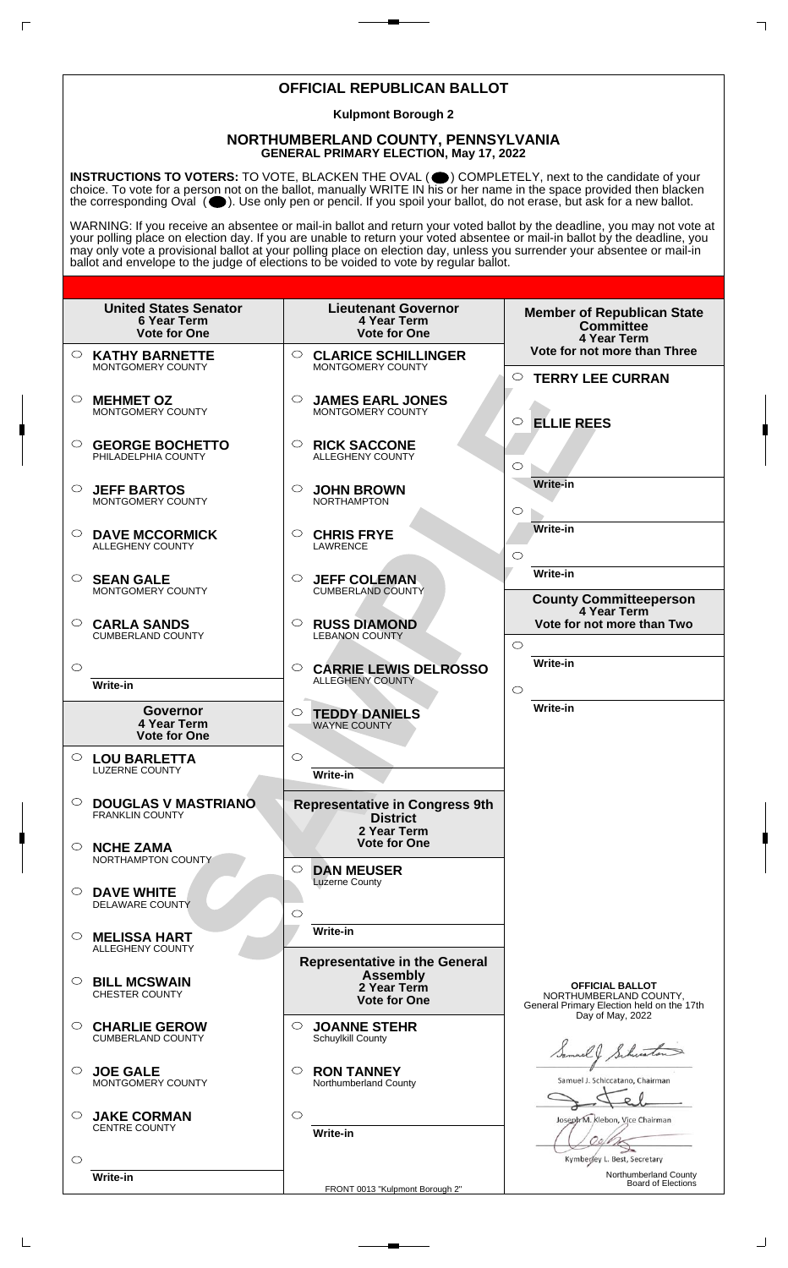**Kulpmont Borough 2**

### **NORTHUMBERLAND COUNTY, PENNSYLVANIA GENERAL PRIMARY ELECTION, May 17, 2022**

**INSTRUCTIONS TO VOTERS:** TO VOTE, BLACKEN THE OVAL ( $\bigcirc$ ) COMPLETELY, next to the candidate of your choice. To vote for a person not on the ballot, manually WRITE IN his or her name in the space provided then blacken the corresponding Oval (  $\bigcirc$  ). Use only pen or pencil. If you spoil your ballot, do not erase, but ask for a new ballot.

WARNING: If you receive an absentee or mail-in ballot and return your voted ballot by the deadline, you may not vote at your polling place on election day. If you are unable to return your voted absentee or mail-in ballot by the deadline, you may only vote a provisional ballot at your polling place on election day, unless you surrender your absentee or mail-in ballot and envelope to the judge of elections to be voided to vote by regular ballot.

| <b>Vote for One</b>                                                                             | <b>Vote for One</b>                                                     | <b>Committee</b><br>4 Year Term                                                               |
|-------------------------------------------------------------------------------------------------|-------------------------------------------------------------------------|-----------------------------------------------------------------------------------------------|
| $\circ$<br><b>KATHY BARNETTE</b><br>$\circ$<br>MONTGOMERY COUNTY                                | <b>CLARICE SCHILLINGER</b><br>MONTGOMERY COUNTY                         | Vote for not more than Three<br>O<br><b>TERRY LEE CURRAN</b>                                  |
| $\circ$<br><b>MEHMET OZ</b><br>O<br>MONTGOMERY COUNTY                                           | <b>JAMES EARL JONES</b><br>MONTGOMERY COUNTY                            | <b>ELLIE REES</b><br>$\circ$                                                                  |
| $\circ$<br><b>GEORGE BOCHETTO</b><br>$\circ$<br>PHILADELPHIA COUNTY                             | <b>RICK SACCONE</b><br>ALLEGHENY COUNTY                                 | $\circ$                                                                                       |
| $\circ$<br><b>JEFF BARTOS</b><br>$\circ$<br><b>MONTGOMERY COUNTY</b>                            | <b>JOHN BROWN</b><br><b>NORTHAMPTON</b>                                 | <b>Write-in</b><br>$\circ$                                                                    |
| $\circ$<br><b>DAVE MCCORMICK</b><br>O<br>ALLEGHENY COUNTY<br>LAWRENCE                           | <b>CHRIS FRYE</b>                                                       | <b>Write-in</b><br>$\circ$                                                                    |
| $\circ$<br><b>SEAN GALE</b><br>$\circ$<br>MONTGOMERY COUNTY                                     | <b>JEFF COLEMAN</b><br><b>CUMBERLAND COUNTY</b>                         | <b>Write-in</b>                                                                               |
| $\circ$<br><b>CARLA SANDS</b><br>$\circ$<br><b>CUMBERLAND COUNTY</b>                            | <b>RUSS DIAMOND</b><br><b>LEBANON COUNTY</b>                            | <b>County Committeeperson</b><br>4 Year Term<br>Vote for not more than Two<br>$\circ$         |
| $\circ$<br>$\circ$<br><b>Write-in</b>                                                           | <b>CARRIE LEWIS DELROSSO</b><br>ALLEGHENY COUNTY                        | <b>Write-in</b><br>$\circ$                                                                    |
| <b>Governor</b><br>O<br>4 Year Term<br><b>Vote for One</b>                                      | <b>TEDDY DANIELS</b><br><b>WAYNE COUNTY</b>                             | <b>Write-in</b>                                                                               |
| $\circ$<br>$\circ$ LOU BARLETTA<br><b>LUZERNE COUNTY</b><br><b>Write-in</b>                     |                                                                         |                                                                                               |
| $\circ$<br><b>DOUGLAS V MASTRIANO</b><br><b>FRANKLIN COUNTY</b>                                 | <b>Representative in Congress 9th</b><br><b>District</b><br>2 Year Term |                                                                                               |
| $\circ$ NCHE ZAMA<br>NORTHAMPTON COUNTY<br>$\circ$                                              | <b>Vote for One</b><br><b>DAN MEUSER</b>                                |                                                                                               |
| <b>DAVE WHITE</b><br>$\circ$<br>DELAWARE COUNTY<br>$\circ$                                      | <b>Luzerne County</b>                                                   |                                                                                               |
| Write-in<br><b>MELISSA HART</b><br>$\circ$<br><b>ALLEGHENY COUNTY</b>                           | <b>Representative in the General</b>                                    |                                                                                               |
| <b>BILL MCSWAIN</b><br>$\circ$<br>CHESTER COUNTY                                                | <b>Assembly</b><br>2 Year Term<br><b>Vote for One</b>                   | <b>OFFICIAL BALLOT</b><br>NORTHUMBERLAND COUNTY,<br>General Primary Election held on the 17th |
| $\circ$<br><b>CHARLIE GEROW</b><br>$\circ$<br><b>CUMBERLAND COUNTY</b>                          | <b>JOANNE STEHR</b><br>Schuylkill County                                | Day of May, 2022<br>muell Schweiten                                                           |
| $\circ$<br><b>JOE GALE</b><br>$\circ$<br>MONTGOMERY COUNTY                                      | <b>RON TANNEY</b><br>Northumberland County                              | Samuel J. Schiccatano, Chairman                                                               |
| $\circlearrowright$<br><b>JAKE CORMAN</b><br>$\circ$<br><b>CENTRE COUNTY</b><br><b>Write-in</b> |                                                                         | Joseph M. Klebon, Vice Chairman<br>004                                                        |
| $\circlearrowright$                                                                             |                                                                         | Kymberley L. Best, Secretary                                                                  |
| <b>Write-in</b>                                                                                 | FRONT 0013 "Kulpmont Borough 2"                                         | Northumberland County<br>Board of Elections                                                   |

للمسترد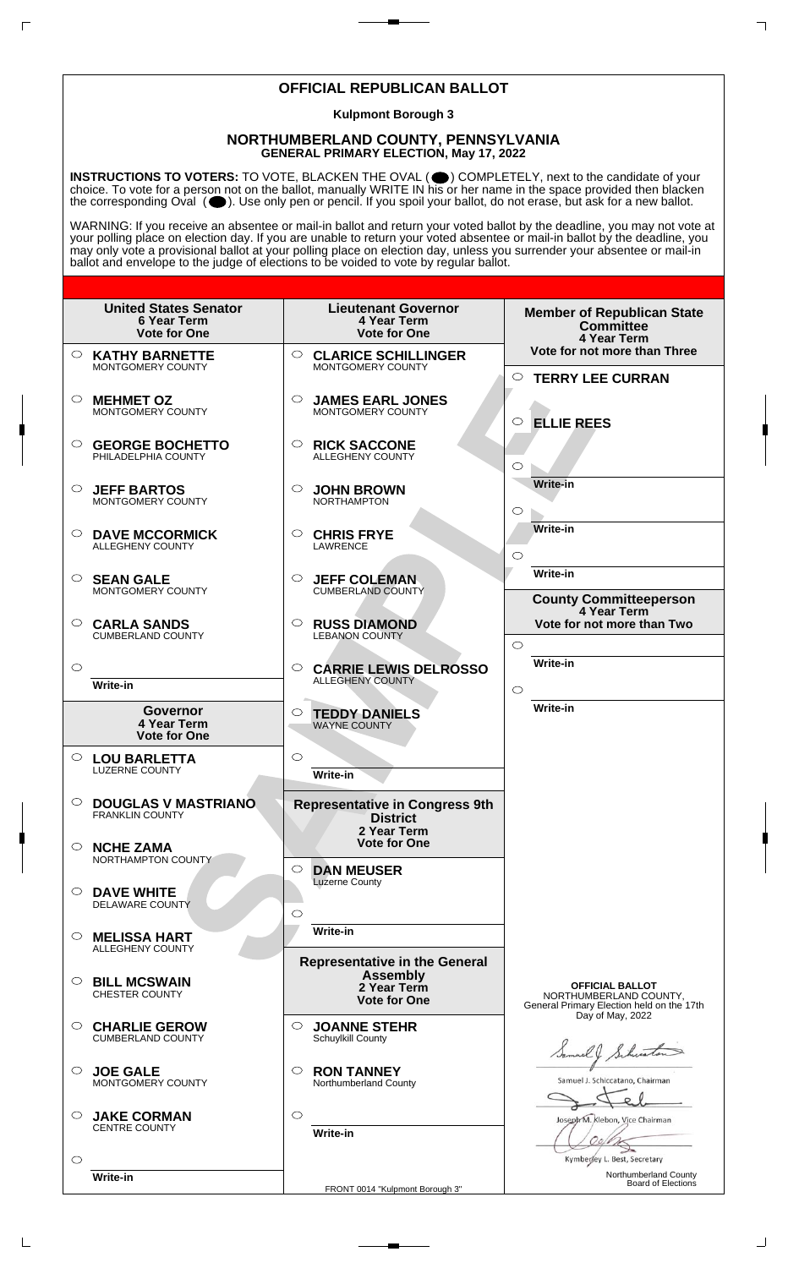**Kulpmont Borough 3**

### **NORTHUMBERLAND COUNTY, PENNSYLVANIA GENERAL PRIMARY ELECTION, May 17, 2022**

**INSTRUCTIONS TO VOTERS:** TO VOTE, BLACKEN THE OVAL ( $\bigcirc$ ) COMPLETELY, next to the candidate of your choice. To vote for a person not on the ballot, manually WRITE IN his or her name in the space provided then blacken the corresponding Oval (  $\bigcirc$  ). Use only pen or pencil. If you spoil your ballot, do not erase, but ask for a new ballot.

WARNING: If you receive an absentee or mail-in ballot and return your voted ballot by the deadline, you may not vote at your polling place on election day. If you are unable to return your voted absentee or mail-in ballot by the deadline, you may only vote a provisional ballot at your polling place on election day, unless you surrender your absentee or mail-in ballot and envelope to the judge of elections to be voided to vote by regular ballot.

|                     | <b>United States Senator</b><br><b>6 Year Term</b><br><b>Vote for One</b> | <b>Lieutenant Governor</b><br>4 Year Term<br><b>Vote for One</b>        | <b>Member of Republican State</b><br><b>Committee</b><br>4 Year Term                          |
|---------------------|---------------------------------------------------------------------------|-------------------------------------------------------------------------|-----------------------------------------------------------------------------------------------|
|                     | <b>KATHY BARNETTE</b><br>MONTGOMERY COUNTY                                | $\circ$<br><b>CLARICE SCHILLINGER</b><br>MONTGOMERY COUNTY              | Vote for not more than Three<br><b>TERRY LEE CURRAN</b><br>$\circ$                            |
| $\circ$             | <b>MEHMET OZ</b><br>MONTGOMERY COUNTY                                     | $\circ$<br><b>JAMES EARL JONES</b><br>MONTGOMERY COUNTY                 | <b>ELLIE REES</b><br>$\circ$                                                                  |
|                     | <b>GEORGE BOCHETTO</b><br>PHILADELPHIA COUNTY                             | <b>RICK SACCONE</b><br>$\circ$<br>ALLEGHENY COUNTY                      | $\circlearrowright$                                                                           |
| $\circ$             | <b>JEFF BARTOS</b><br>MONTGOMERY COUNTY                                   | $\circ$<br><b>JOHN BROWN</b><br><b>NORTHAMPTON</b>                      | Write-in<br>$\circ$                                                                           |
|                     | O DAVE MCCORMICK<br><b>ALLEGHENY COUNTY</b>                               | $\circ$<br><b>CHRIS FRYE</b><br>LAWRENCE                                | <b>Write-in</b><br>$\circ$                                                                    |
| $\circ$             | <b>SEAN GALE</b><br>MONTGOMERY COUNTY                                     | <b>JEFF COLEMAN</b><br>$\circ$<br><b>CUMBERLAND COUNTY</b>              | <b>Write-in</b><br><b>County Committeeperson</b><br>4 Year Term                               |
| $\circ$             | <b>CARLA SANDS</b><br><b>CUMBERLAND COUNTY</b>                            | <b>RUSS DIAMOND</b><br>$\circ$<br><b>LEBANON COUNTY</b>                 | Vote for not more than Two<br>$\circ$                                                         |
| $\circlearrowright$ | <b>Write-in</b>                                                           | <b>CARRIE LEWIS DELROSSO</b><br>$\circ$<br>ALLEGHENY COUNTY             | <b>Write-in</b><br>$\circ$                                                                    |
|                     | <b>Governor</b><br>4 Year Term<br><b>Vote for One</b>                     | <b>TEDDY DANIELS</b><br>$\circ$<br><b>WAYNE COUNTY</b>                  | <b>Write-in</b>                                                                               |
|                     | $\circ$ LOU BARLETTA<br><b>LUZERNE COUNTY</b>                             | $\circ$<br><b>Write-in</b>                                              |                                                                                               |
| $\circ$             | <b>DOUGLAS V MASTRIANO</b><br><b>FRANKLIN COUNTY</b>                      | <b>Representative in Congress 9th</b><br><b>District</b><br>2 Year Term |                                                                                               |
|                     | $\circ$ NCHE ZAMA<br>NORTHAMPTON COUNTY                                   | <b>Vote for One</b><br>$\circlearrowright$<br><b>DAN MEUSER</b>         |                                                                                               |
| O                   | <b>DAVE WHITE</b><br><b>DELAWARE COUNTY</b>                               | <b>Luzerne County</b><br>$\circlearrowright$                            |                                                                                               |
| $\circ$             | <b>MELISSA HART</b><br><b>ALLEGHENY COUNTY</b>                            | <b>Write-in</b><br><b>Representative in the General</b>                 |                                                                                               |
| O                   | <b>BILL MCSWAIN</b><br>CHESTER COUNTY                                     | <b>Assembly</b><br>2 Year Term<br><b>Vote for One</b>                   | <b>OFFICIAL BALLOT</b><br>NORTHUMBERLAND COUNTY,<br>General Primary Election held on the 17th |
| $\circ$             | <b>CHARLIE GEROW</b><br><b>CUMBERLAND COUNTY</b>                          | <b>JOANNE STEHR</b><br>$\circ$<br>Schuylkill County                     | Day of May, 2022<br>well Schwater                                                             |
| $\circ$             | <b>JOE GALE</b><br>MONTGOMERY COUNTY                                      | <b>RON TANNEY</b><br>O<br>Northumberland County                         | Samuel J. Schiccatano, Chairman                                                               |
| $\circ$             | <b>JAKE CORMAN</b><br><b>CENTRE COUNTY</b>                                | $\circlearrowright$<br><b>Write-in</b>                                  | Joseph M. Klebon, Vice Chairman<br>0010                                                       |
| $\circlearrowright$ |                                                                           |                                                                         | Kymberley L. Best, Secretary                                                                  |
|                     | <b>Write-in</b>                                                           | FRONT 0014 "Kulpmont Borough 3"                                         | Northumberland County<br>Board of Elections                                                   |

للمسترد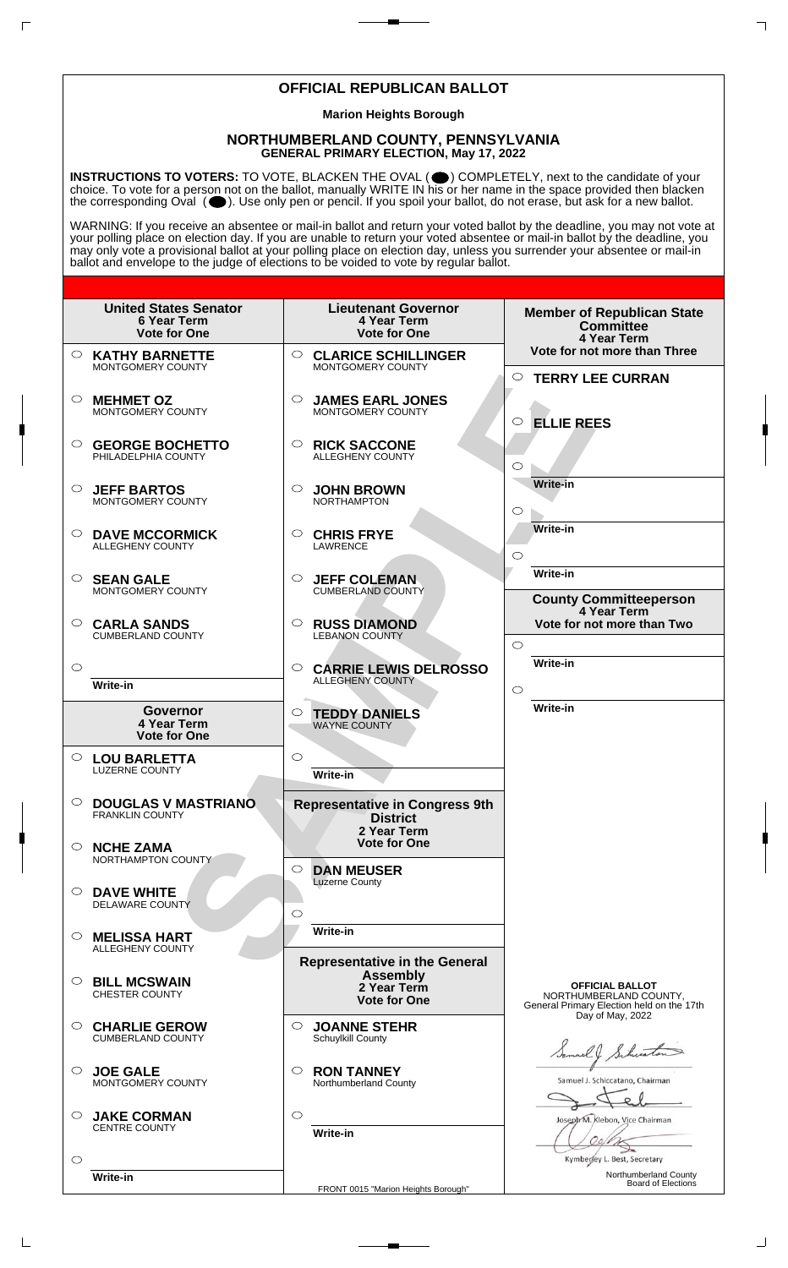**Marion Heights Borough**

### **NORTHUMBERLAND COUNTY, PENNSYLVANIA GENERAL PRIMARY ELECTION, May 17, 2022**

**INSTRUCTIONS TO VOTERS:** TO VOTE, BLACKEN THE OVAL ( $\bigcirc$ ) COMPLETELY, next to the candidate of your choice. To vote for a person not on the ballot, manually WRITE IN his or her name in the space provided then blacken the corresponding Oval (  $\bigcirc$  ). Use only pen or pencil. If you spoil your ballot, do not erase, but ask for a new ballot.

WARNING: If you receive an absentee or mail-in ballot and return your voted ballot by the deadline, you may not vote at your polling place on election day. If you are unable to return your voted absentee or mail-in ballot by the deadline, you may only vote a provisional ballot at your polling place on election day, unless you surrender your absentee or mail-in ballot and envelope to the judge of elections to be voided to vote by regular ballot.

|                     | <b>United States Senator</b><br><b>6 Year Term</b><br><b>Vote for One</b> | <b>Lieutenant Governor</b><br>4 Year Term<br><b>Vote for One</b>        | <b>Member of Republican State</b><br><b>Committee</b><br>4 Year Term                          |
|---------------------|---------------------------------------------------------------------------|-------------------------------------------------------------------------|-----------------------------------------------------------------------------------------------|
|                     | $\circ$ KATHY BARNETTE<br>MONTGOMERY COUNTY                               | $\circ$<br><b>CLARICE SCHILLINGER</b><br>MONTGOMERY COUNTY              | Vote for not more than Three<br><b>TERRY LEE CURRAN</b><br>O                                  |
| $\circ$             | <b>MEHMET OZ</b><br>MONTGOMERY COUNTY                                     | <b>JAMES EARL JONES</b><br>O<br><b>MONTGOMERY COUNTY</b>                | <b>ELLIE REES</b><br>$\circ$                                                                  |
| $\bigcirc$          | <b>GEORGE BOCHETTO</b><br>PHILADELPHIA COUNTY                             | <b>RICK SACCONE</b><br>$\circ$<br><b>ALLEGHENY COUNTY</b>               | $\circ$                                                                                       |
| $\circ$             | <b>JEFF BARTOS</b><br>MONTGOMERY COUNTY                                   | $\circ$<br><b>JOHN BROWN</b><br><b>NORTHAMPTON</b>                      | Write-in<br>$\circ$                                                                           |
|                     | O DAVE MCCORMICK<br><b>ALLEGHENY COUNTY</b>                               | $\circ$<br><b>CHRIS FRYE</b><br><b>LAWRENCE</b>                         | <b>Write-in</b><br>$\circ$                                                                    |
| $\circ$             | <b>SEAN GALE</b><br>MONTGOMERY COUNTY                                     | $\circ$<br><b>JEFF COLEMAN</b><br><b>CUMBERLAND COUNTY</b>              | <b>Write-in</b><br><b>County Committeeperson</b><br>4 Year Term                               |
| $\circ$             | <b>CARLA SANDS</b><br><b>CUMBERLAND COUNTY</b>                            | <b>RUSS DIAMOND</b><br>$\circ$<br><b>LEBANON COUNTY</b>                 | Vote for not more than Two<br>$\circ$                                                         |
| $\circlearrowright$ | <b>Write-in</b>                                                           | <b>CARRIE LEWIS DELROSSO</b><br>$\circ$<br>ALLEGHENY COUNTY             | <b>Write-in</b><br>$\circ$                                                                    |
|                     | <b>Governor</b><br>4 Year Term<br><b>Vote for One</b>                     | <b>TEDDY DANIELS</b><br>$\circ$<br><b>WAYNE COUNTY</b>                  | <b>Write-in</b>                                                                               |
|                     | $\circ$ LOU BARLETTA<br><b>LUZERNE COUNTY</b>                             | $\circ$<br><b>Write-in</b>                                              |                                                                                               |
| $\circ$             | <b>DOUGLAS V MASTRIANO</b><br><b>FRANKLIN COUNTY</b>                      | <b>Representative in Congress 9th</b><br><b>District</b><br>2 Year Term |                                                                                               |
|                     | $\circ$ NCHE ZAMA<br>NORTHAMPTON COUNTY                                   | <b>Vote for One</b><br>$\circ$<br><b>DAN MEUSER</b>                     |                                                                                               |
| O                   | <b>DAVE WHITE</b><br>DELAWARE COUNTY                                      | <b>Luzerne County</b><br>$\circ$                                        |                                                                                               |
| O                   | <b>MELISSA HART</b><br><b>ALLEGHENY COUNTY</b>                            | Write-in<br><b>Representative in the General</b>                        |                                                                                               |
| $\circ$             | <b>BILL MCSWAIN</b><br><b>CHESTER COUNTY</b>                              | <b>Assembly</b><br>2 Year Term<br><b>Vote for One</b>                   | <b>OFFICIAL BALLOT</b><br>NORTHUMBERLAND COUNTY,<br>General Primary Election held on the 17th |
| $\circ$             | <b>CHARLIE GEROW</b><br><b>CUMBERLAND COUNTY</b>                          | $\circ$<br><b>JOANNE STEHR</b><br>Schuylkill County                     | Day of May, 2022<br>nell Shunter                                                              |
| $\circ$             | <b>JOE GALE</b><br>MONTGOMERY COUNTY                                      | <b>RON TANNEY</b><br>O<br>Northumberland County                         | Samuel J. Schiccatano, Chairman                                                               |
| $\circ$             | <b>JAKE CORMAN</b><br><b>CENTRE COUNTY</b>                                | $\circ$<br><b>Write-in</b>                                              | Joseph M. Klebon, Vice Chairman<br>00.0                                                       |
| $\circlearrowright$ |                                                                           |                                                                         | Kymberley L. Best, Secretary                                                                  |
|                     | <b>Write-in</b>                                                           | FRONT 0015 "Marion Heights Borough"                                     | Northumberland County<br>Board of Elections                                                   |

للمسترد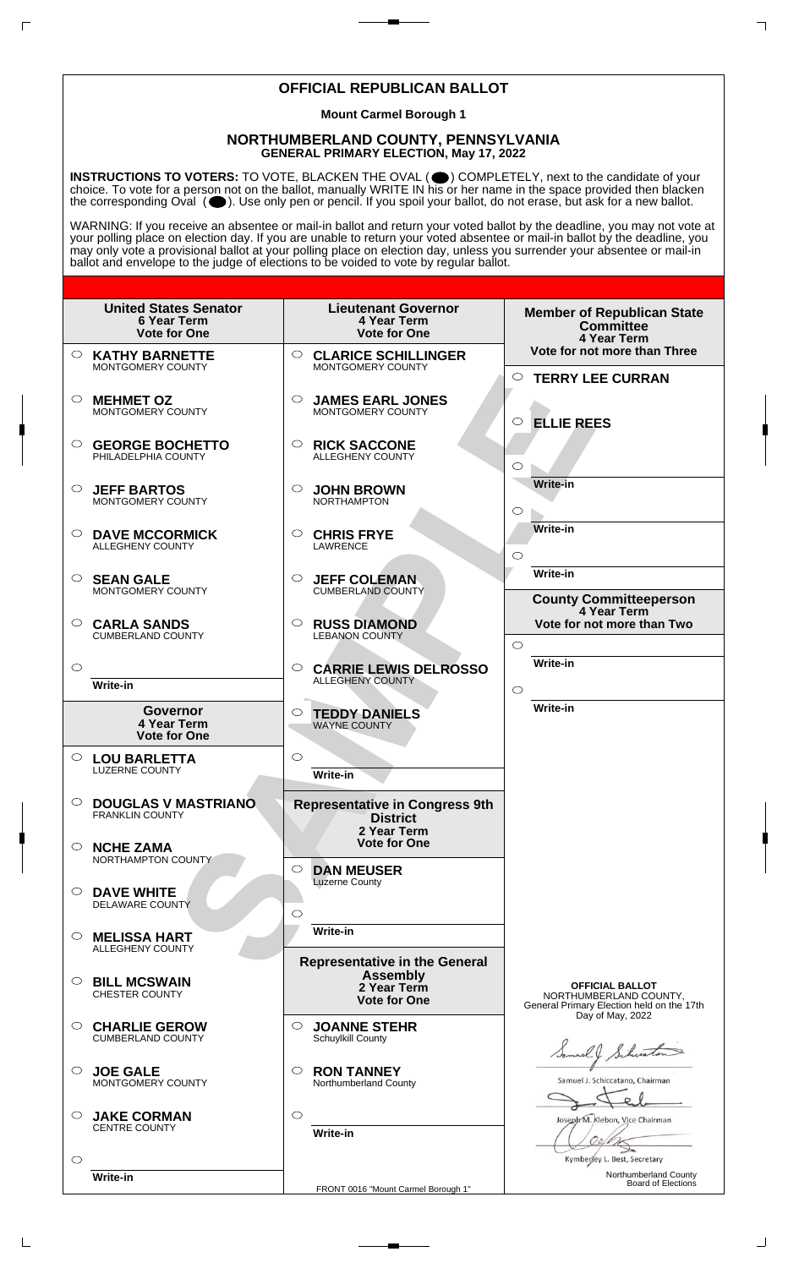**Mount Carmel Borough 1**

## **NORTHUMBERLAND COUNTY, PENNSYLVANIA GENERAL PRIMARY ELECTION, May 17, 2022**

**INSTRUCTIONS TO VOTERS:** TO VOTE, BLACKEN THE OVAL ( $\bigcirc$ ) COMPLETELY, next to the candidate of your choice. To vote for a person not on the ballot, manually WRITE IN his or her name in the space provided then blacken the corresponding Oval (  $\bigcirc$  ). Use only pen or pencil. If you spoil your ballot, do not erase, but ask for a new ballot.

WARNING: If you receive an absentee or mail-in ballot and return your voted ballot by the deadline, you may not vote at your polling place on election day. If you are unable to return your voted absentee or mail-in ballot by the deadline, you may only vote a provisional ballot at your polling place on election day, unless you surrender your absentee or mail-in ballot and envelope to the judge of elections to be voided to vote by regular ballot.

| <b>United States Senator</b><br><b>6 Year Term</b><br><b>Vote for One</b> | <b>Lieutenant Governor</b><br>4 Year Term<br><b>Vote for One</b>        | <b>Member of Republican State</b><br><b>Committee</b><br>4 Year Term                          |
|---------------------------------------------------------------------------|-------------------------------------------------------------------------|-----------------------------------------------------------------------------------------------|
| <b>KATHY BARNETTE</b><br>MONTGOMERY COUNTY                                | $\circ$<br><b>CLARICE SCHILLINGER</b><br>MONTGOMERY COUNTY              | Vote for not more than Three<br><b>TERRY LEE CURRAN</b><br>O                                  |
| $\circ$<br><b>MEHMET OZ</b><br>MONTGOMERY COUNTY                          | $\circ$<br><b>JAMES EARL JONES</b><br>MONTGOMERY COUNTY                 | <b>ELLIE REES</b><br>$\circ$                                                                  |
| $\bigcirc$ .<br><b>GEORGE BOCHETTO</b><br>PHILADELPHIA COUNTY             | <b>RICK SACCONE</b><br>$\circ$<br><b>ALLEGHENY COUNTY</b>               | $\circlearrowright$                                                                           |
| $\circ$<br><b>JEFF BARTOS</b><br>MONTGOMERY COUNTY                        | $\circ$<br><b>JOHN BROWN</b><br><b>NORTHAMPTON</b>                      | Write-in<br>$\circ$                                                                           |
| $\circ$<br><b>DAVE MCCORMICK</b><br>ALLEGHENY COUNTY                      | $\circ$<br><b>CHRIS FRYE</b><br>LAWRENCE                                | <b>Write-in</b><br>$\circ$                                                                    |
| $\circ$<br><b>SEAN GALE</b><br>MONTGOMERY COUNTY                          | $\circ$<br><b>JEFF COLEMAN</b><br><b>CUMBERLAND COUNTY</b>              | <b>Write-in</b><br><b>County Committeeperson</b><br>4 Year Term                               |
| $\circ$<br><b>CARLA SANDS</b><br><b>CUMBERLAND COUNTY</b>                 | <b>RUSS DIAMOND</b><br>$\circ$<br><b>LEBANON COUNTY</b>                 | Vote for not more than Two<br>$\circ$                                                         |
| $\circlearrowright$<br><b>Write-in</b>                                    | <b>CARRIE LEWIS DELROSSO</b><br>$\circ$<br><b>ALLEGHENY COUNTY</b>      | <b>Write-in</b><br>$\circ$                                                                    |
| <b>Governor</b><br>4 Year Term<br><b>Vote for One</b>                     | $\bigcirc$<br><b>TEDDY DANIELS</b><br><b>WAYNE COUNTY</b>               | <b>Write-in</b>                                                                               |
| $\circ$ LOU BARLETTA<br>LUZERNE COUNTY                                    | $\circ$<br><b>Write-in</b>                                              |                                                                                               |
| $\circ$<br><b>DOUGLAS V MASTRIANO</b><br><b>FRANKLIN COUNTY</b>           | <b>Representative in Congress 9th</b><br><b>District</b><br>2 Year Term |                                                                                               |
| $\circ$ NCHE ZAMA<br>NORTHAMPTON COUNTY                                   | <b>Vote for One</b><br>$\circ$<br><b>DAN MEUSER</b>                     |                                                                                               |
| <b>DAVE WHITE</b><br>O<br>DELAWARE COUNTY                                 | <b>Luzerne County</b><br>$\circlearrowright$                            |                                                                                               |
| <b>MELISSA HART</b><br>O<br><b>ALLEGHENY COUNTY</b>                       | Write-in<br><b>Representative in the General</b>                        |                                                                                               |
| $\circlearrowright$<br><b>BILL MCSWAIN</b><br><b>CHESTER COUNTY</b>       | <b>Assembly</b><br>2 Year Term<br><b>Vote for One</b>                   | <b>OFFICIAL BALLOT</b><br>NORTHUMBERLAND COUNTY,<br>General Primary Election held on the 17th |
| $\circlearrowright$<br><b>CHARLIE GEROW</b><br><b>CUMBERLAND COUNTY</b>   | <b>JOANNE STEHR</b><br>O<br>Schuylkill County                           | Day of May, 2022<br>muell Schweiten                                                           |
| $\circ$<br><b>JOE GALE</b><br>MONTGOMERY COUNTY                           | <b>RON TANNEY</b><br>O<br>Northumberland County                         | Samuel J. Schiccatano, Chairman                                                               |
| <b>JAKE CORMAN</b><br>$\circ$<br><b>CENTRE COUNTY</b>                     | $\circ$<br>Write-in                                                     | Joseph M. Klebon, Vice Chairman<br>004                                                        |
| $\circlearrowright$                                                       |                                                                         | Kymberley L. Best, Secretary                                                                  |
| Write-in                                                                  | FRONT 0016 "Mount Carmel Borough 1"                                     | Northumberland County<br>Board of Elections                                                   |

للمسترد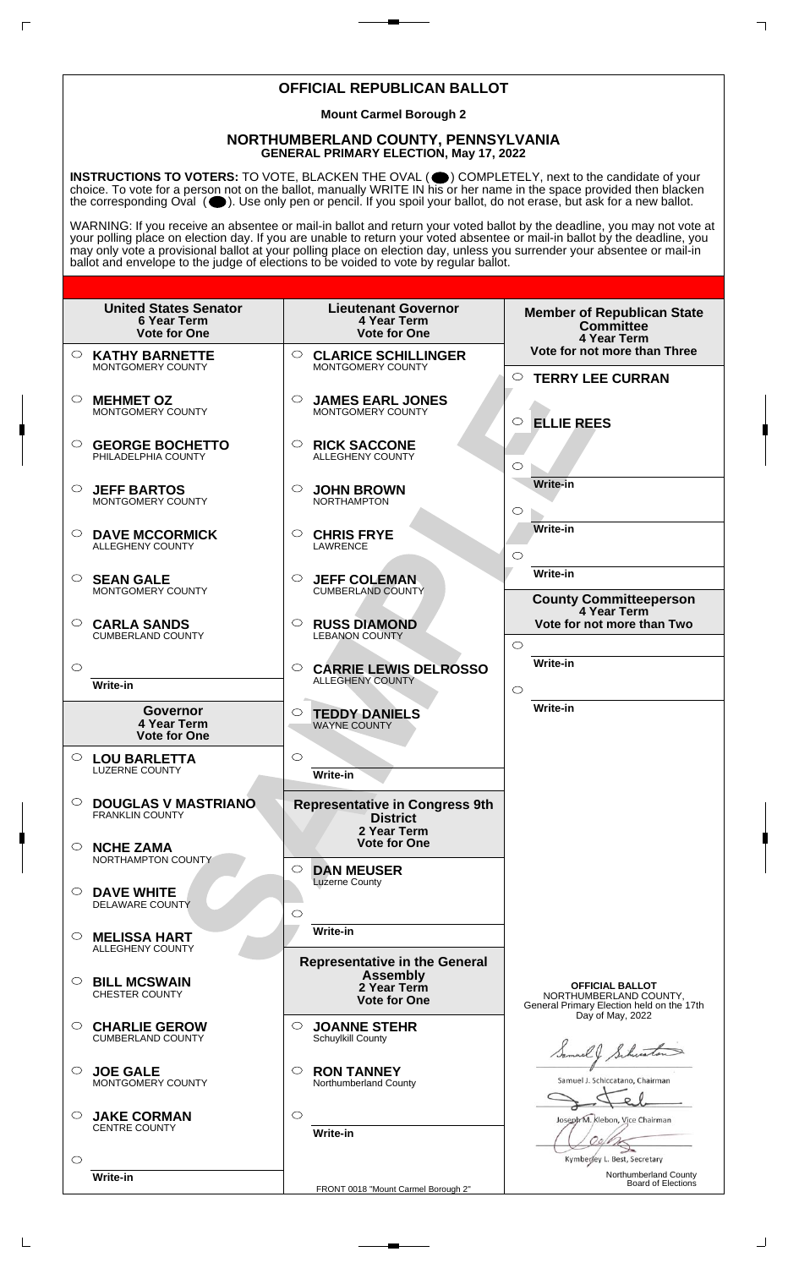**Mount Carmel Borough 2**

## **NORTHUMBERLAND COUNTY, PENNSYLVANIA GENERAL PRIMARY ELECTION, May 17, 2022**

**INSTRUCTIONS TO VOTERS:** TO VOTE, BLACKEN THE OVAL ( $\bigcirc$ ) COMPLETELY, next to the candidate of your choice. To vote for a person not on the ballot, manually WRITE IN his or her name in the space provided then blacken the corresponding Oval (  $\bigcirc$  ). Use only pen or pencil. If you spoil your ballot, do not erase, but ask for a new ballot.

WARNING: If you receive an absentee or mail-in ballot and return your voted ballot by the deadline, you may not vote at your polling place on election day. If you are unable to return your voted absentee or mail-in ballot by the deadline, you may only vote a provisional ballot at your polling place on election day, unless you surrender your absentee or mail-in ballot and envelope to the judge of elections to be voided to vote by regular ballot.

| <b>United States Senator</b><br><b>6 Year Term</b><br><b>Vote for One</b> | <b>Lieutenant Governor</b><br>4 Year Term<br><b>Vote for One</b>        | <b>Member of Republican State</b><br><b>Committee</b><br>4 Year Term                          |
|---------------------------------------------------------------------------|-------------------------------------------------------------------------|-----------------------------------------------------------------------------------------------|
| $\circ$ KATHY BARNETTE<br>MONTGOMERY COUNTY                               | $\circ$<br><b>CLARICE SCHILLINGER</b><br>MONTGOMERY COUNTY              | Vote for not more than Three<br><b>TERRY LEE CURRAN</b><br>O                                  |
| $\circ$<br><b>MEHMET OZ</b><br>MONTGOMERY COUNTY                          | $\circ$<br><b>JAMES EARL JONES</b><br>MONTGOMERY COUNTY                 | <b>ELLIE REES</b><br>$\circ$                                                                  |
| $\bigcirc$<br><b>GEORGE BOCHETTO</b><br>PHILADELPHIA COUNTY               | <b>RICK SACCONE</b><br>$\circ$<br><b>ALLEGHENY COUNTY</b>               | $\circlearrowright$                                                                           |
| $\circ$<br><b>JEFF BARTOS</b><br>MONTGOMERY COUNTY                        | $\circlearrowright$<br><b>JOHN BROWN</b><br><b>NORTHAMPTON</b>          | <b>Write-in</b><br>$\circ$                                                                    |
| $\circ$<br><b>DAVE MCCORMICK</b><br>ALLEGHENY COUNTY                      | $\circ$<br><b>CHRIS FRYE</b><br>LAWRENCE                                | <b>Write-in</b><br>$\circ$                                                                    |
| $\circ$<br><b>SEAN GALE</b><br>MONTGOMERY COUNTY                          | <b>JEFF COLEMAN</b><br>$\circ$<br><b>CUMBERLAND COUNTY</b>              | <b>Write-in</b><br><b>County Committeeperson</b><br>4 Year Term                               |
| $\circ$<br><b>CARLA SANDS</b><br><b>CUMBERLAND COUNTY</b>                 | <b>RUSS DIAMOND</b><br>$\circ$<br><b>LEBANON COUNTY</b>                 | Vote for not more than Two<br>$\circ$                                                         |
| $\circlearrowright$<br><b>Write-in</b>                                    | <b>CARRIE LEWIS DELROSSO</b><br>$\circ$<br>ALLEGHENY COUNTY             | <b>Write-in</b><br>$\circ$                                                                    |
| <b>Governor</b><br>4 Year Term<br><b>Vote for One</b>                     | O<br><b>TEDDY DANIELS</b><br><b>WAYNE COUNTY</b>                        | <b>Write-in</b>                                                                               |
| $\circ$ LOU BARLETTA<br><b>LUZERNE COUNTY</b>                             | $\circ$<br><b>Write-in</b>                                              |                                                                                               |
| $\circ$<br><b>DOUGLAS V MASTRIANO</b><br><b>FRANKLIN COUNTY</b>           | <b>Representative in Congress 9th</b><br><b>District</b><br>2 Year Term |                                                                                               |
| $\circ$ NCHE ZAMA<br>NORTHAMPTON COUNTY                                   | <b>Vote for One</b><br>$\circ$<br><b>DAN MEUSER</b>                     |                                                                                               |
| <b>DAVE WHITE</b><br>O<br>DELAWARE COUNTY                                 | <b>Luzerne County</b><br>$\circ$                                        |                                                                                               |
| <b>MELISSA HART</b><br>$\circ$<br><b>ALLEGHENY COUNTY</b>                 | Write-in<br><b>Representative in the General</b>                        |                                                                                               |
| <b>BILL MCSWAIN</b><br>O<br><b>CHESTER COUNTY</b>                         | <b>Assembly</b><br>2 Year Term<br><b>Vote for One</b>                   | <b>OFFICIAL BALLOT</b><br>NORTHUMBERLAND COUNTY,<br>General Primary Election held on the 17th |
| $\circ$<br><b>CHARLIE GEROW</b><br><b>CUMBERLAND COUNTY</b>               | <b>JOANNE STEHR</b><br>$\circ$<br>Schuylkill County                     | Day of May, 2022<br>muell Schweiten                                                           |
| $\circlearrowright$<br><b>JOE GALE</b><br>MONTGOMERY COUNTY               | $\circ$<br><b>RON TANNEY</b><br>Northumberland County                   | Samuel J. Schiccatano, Chairman                                                               |
| <b>JAKE CORMAN</b><br>O<br><b>CENTRE COUNTY</b>                           | $\circlearrowright$<br><b>Write-in</b>                                  | Joseph M. Klebon, Vice Chairman<br>004                                                        |
| $\circlearrowright$                                                       |                                                                         | Kymberley L. Best, Secretary                                                                  |
| <b>Write-in</b>                                                           | FRONT 0018 "Mount Carmel Borough 2"                                     | Northumberland County<br>Board of Elections                                                   |

للمسترد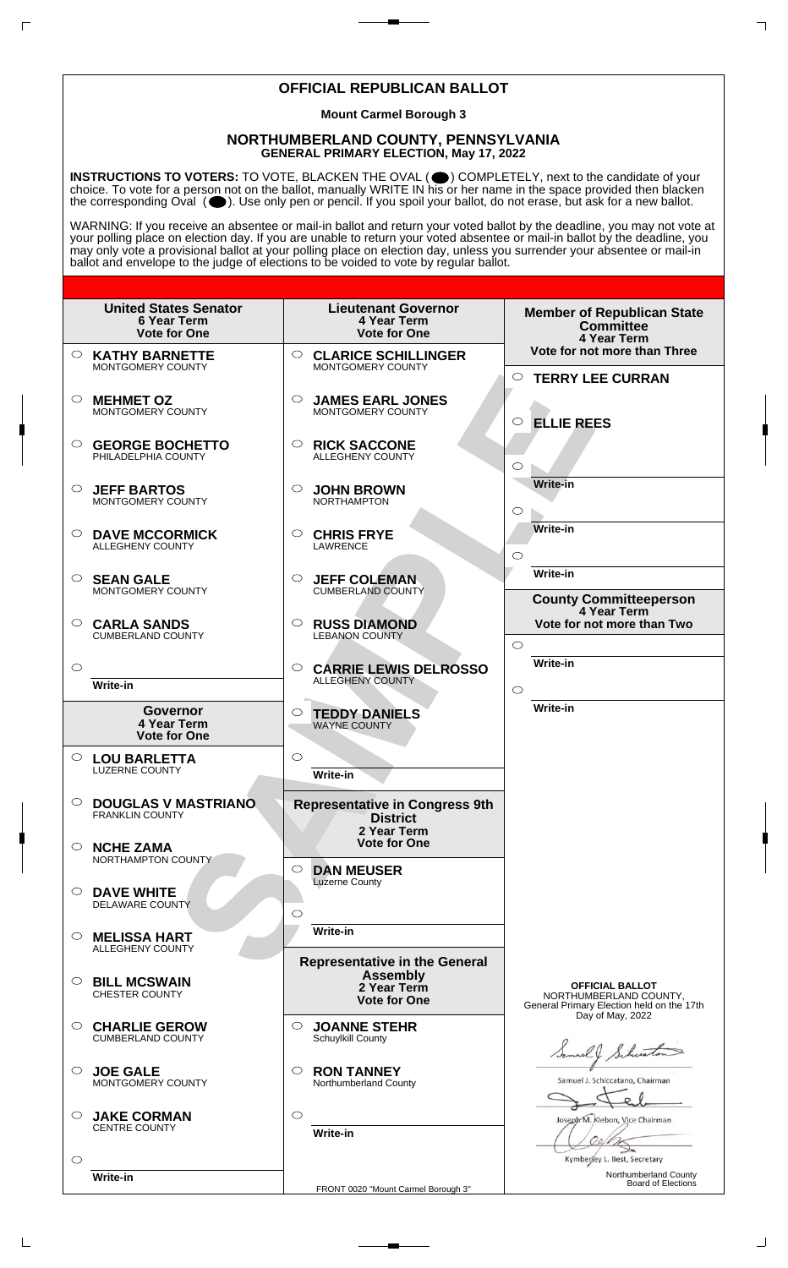**Mount Carmel Borough 3**

## **NORTHUMBERLAND COUNTY, PENNSYLVANIA GENERAL PRIMARY ELECTION, May 17, 2022**

**INSTRUCTIONS TO VOTERS:** TO VOTE, BLACKEN THE OVAL ( $\bigcirc$ ) COMPLETELY, next to the candidate of your choice. To vote for a person not on the ballot, manually WRITE IN his or her name in the space provided then blacken the corresponding Oval (  $\bigcirc$  ). Use only pen or pencil. If you spoil your ballot, do not erase, but ask for a new ballot.

WARNING: If you receive an absentee or mail-in ballot and return your voted ballot by the deadline, you may not vote at your polling place on election day. If you are unable to return your voted absentee or mail-in ballot by the deadline, you may only vote a provisional ballot at your polling place on election day, unless you surrender your absentee or mail-in ballot and envelope to the judge of elections to be voided to vote by regular ballot.

| <b>United States Senator</b><br><b>6 Year Term</b><br><b>Vote for One</b> | <b>Lieutenant Governor</b><br>4 Year Term<br><b>Vote for One</b>        | <b>Member of Republican State</b><br><b>Committee</b><br>4 Year Term                          |
|---------------------------------------------------------------------------|-------------------------------------------------------------------------|-----------------------------------------------------------------------------------------------|
| <b>KATHY BARNETTE</b><br>MONTGOMERY COUNTY                                | $\circ$<br><b>CLARICE SCHILLINGER</b><br>MONTGOMERY COUNTY              | Vote for not more than Three<br><b>TERRY LEE CURRAN</b><br>O                                  |
| $\circ$<br><b>MEHMET OZ</b><br>MONTGOMERY COUNTY                          | $\circ$<br><b>JAMES EARL JONES</b><br>MONTGOMERY COUNTY                 | <b>ELLIE REES</b><br>$\circ$                                                                  |
| $\bigcirc$ .<br><b>GEORGE BOCHETTO</b><br>PHILADELPHIA COUNTY             | <b>RICK SACCONE</b><br>$\circ$<br><b>ALLEGHENY COUNTY</b>               | $\circlearrowright$                                                                           |
| $\circ$<br><b>JEFF BARTOS</b><br>MONTGOMERY COUNTY                        | $\circ$<br><b>JOHN BROWN</b><br><b>NORTHAMPTON</b>                      | Write-in<br>$\circ$                                                                           |
| $\circ$<br><b>DAVE MCCORMICK</b><br>ALLEGHENY COUNTY                      | $\circ$<br><b>CHRIS FRYE</b><br>LAWRENCE                                | <b>Write-in</b><br>$\circ$                                                                    |
| $\circ$<br><b>SEAN GALE</b><br>MONTGOMERY COUNTY                          | $\circ$<br><b>JEFF COLEMAN</b><br><b>CUMBERLAND COUNTY</b>              | <b>Write-in</b><br><b>County Committeeperson</b><br>4 Year Term                               |
| $\circ$<br><b>CARLA SANDS</b><br><b>CUMBERLAND COUNTY</b>                 | <b>RUSS DIAMOND</b><br>$\circ$<br><b>LEBANON COUNTY</b>                 | Vote for not more than Two<br>$\circ$                                                         |
| $\circlearrowright$<br><b>Write-in</b>                                    | <b>CARRIE LEWIS DELROSSO</b><br>$\circ$<br><b>ALLEGHENY COUNTY</b>      | <b>Write-in</b><br>$\circ$                                                                    |
| <b>Governor</b><br>4 Year Term<br><b>Vote for One</b>                     | $\bigcirc$<br><b>TEDDY DANIELS</b><br><b>WAYNE COUNTY</b>               | <b>Write-in</b>                                                                               |
| $\circ$ LOU BARLETTA<br>LUZERNE COUNTY                                    | $\circ$<br><b>Write-in</b>                                              |                                                                                               |
| $\circ$<br><b>DOUGLAS V MASTRIANO</b><br><b>FRANKLIN COUNTY</b>           | <b>Representative in Congress 9th</b><br><b>District</b><br>2 Year Term |                                                                                               |
| $\circ$ NCHE ZAMA<br>NORTHAMPTON COUNTY                                   | <b>Vote for One</b><br>$\circ$<br><b>DAN MEUSER</b>                     |                                                                                               |
| <b>DAVE WHITE</b><br>O<br>DELAWARE COUNTY                                 | <b>Luzerne County</b><br>$\circlearrowright$                            |                                                                                               |
| <b>MELISSA HART</b><br>O<br><b>ALLEGHENY COUNTY</b>                       | Write-in<br><b>Representative in the General</b>                        |                                                                                               |
| $\circlearrowright$<br><b>BILL MCSWAIN</b><br><b>CHESTER COUNTY</b>       | <b>Assembly</b><br>2 Year Term<br><b>Vote for One</b>                   | <b>OFFICIAL BALLOT</b><br>NORTHUMBERLAND COUNTY,<br>General Primary Election held on the 17th |
| $\circlearrowright$<br><b>CHARLIE GEROW</b><br><b>CUMBERLAND COUNTY</b>   | <b>JOANNE STEHR</b><br>O<br>Schuylkill County                           | Day of May, 2022<br>muell Schweiten                                                           |
| $\circ$<br><b>JOE GALE</b><br>MONTGOMERY COUNTY                           | <b>RON TANNEY</b><br>O<br>Northumberland County                         | Samuel J. Schiccatano, Chairman                                                               |
| <b>JAKE CORMAN</b><br>$\circ$<br><b>CENTRE COUNTY</b>                     | $\circ$<br>Write-in                                                     | Joseph M. Klebon, Vice Chairman<br>004                                                        |
| $\circlearrowright$                                                       |                                                                         | Kymberley L. Best, Secretary                                                                  |
| Write-in                                                                  | FRONT 0020 "Mount Carmel Borough 3"                                     | Northumberland County<br>Board of Elections                                                   |

للمسترد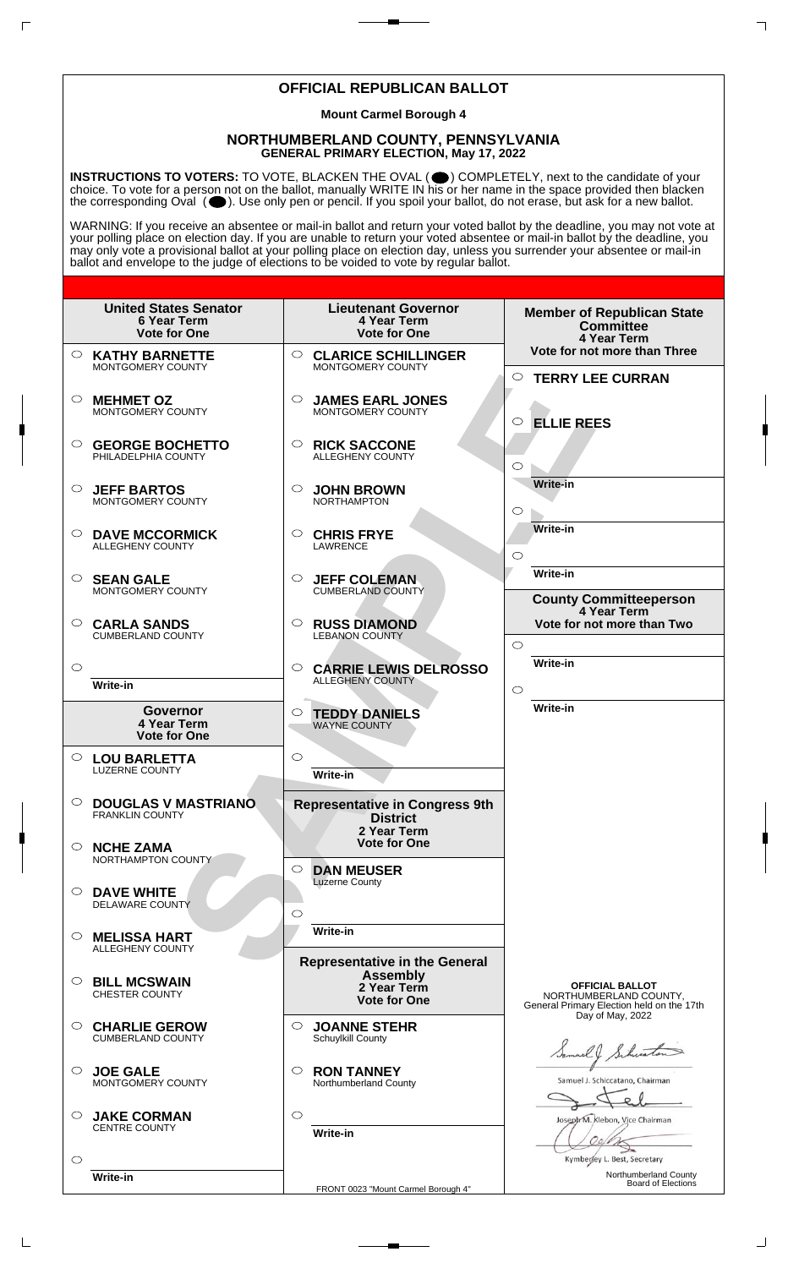**Mount Carmel Borough 4**

### **NORTHUMBERLAND COUNTY, PENNSYLVANIA GENERAL PRIMARY ELECTION, May 17, 2022**

**INSTRUCTIONS TO VOTERS:** TO VOTE, BLACKEN THE OVAL ( $\bigcirc$ ) COMPLETELY, next to the candidate of your choice. To vote for a person not on the ballot, manually WRITE IN his or her name in the space provided then blacken the corresponding Oval (  $\bigcirc$  ). Use only pen or pencil. If you spoil your ballot, do not erase, but ask for a new ballot.

WARNING: If you receive an absentee or mail-in ballot and return your voted ballot by the deadline, you may not vote at your polling place on election day. If you are unable to return your voted absentee or mail-in ballot by the deadline, you may only vote a provisional ballot at your polling place on election day, unless you surrender your absentee or mail-in ballot and envelope to the judge of elections to be voided to vote by regular ballot.

|                     | <b>United States Senator</b><br><b>6 Year Term</b><br><b>Vote for One</b> | <b>Lieutenant Governor</b><br>4 Year Term<br><b>Vote for One</b>        | <b>Member of Republican State</b><br><b>Committee</b><br>4 Year Term                                              |
|---------------------|---------------------------------------------------------------------------|-------------------------------------------------------------------------|-------------------------------------------------------------------------------------------------------------------|
|                     | $\circ$ KATHY BARNETTE<br>MONTGOMERY COUNTY                               | $\circ$<br><b>CLARICE SCHILLINGER</b><br><b>MONTGOMERY COUNTY</b>       | Vote for not more than Three<br><b>TERRY LEE CURRAN</b><br>O                                                      |
| $\circ$             | <b>MEHMET OZ</b><br>MONTGOMERY COUNTY                                     | $\circ$<br><b>JAMES EARL JONES</b><br>MONTGOMERY COUNTY                 | <b>ELLIE REES</b><br>$\circ$                                                                                      |
| $\bigcirc$          | <b>GEORGE BOCHETTO</b><br>PHILADELPHIA COUNTY                             | <b>RICK SACCONE</b><br>$\circ$<br>ALLEGHENY COUNTY                      | $\circlearrowright$                                                                                               |
| $\circ$             | <b>JEFF BARTOS</b><br><b>MONTGOMERY COUNTY</b>                            | $\circ$<br><b>JOHN BROWN</b><br><b>NORTHAMPTON</b>                      | <b>Write-in</b><br>$\circ$                                                                                        |
| $\circ$             | <b>DAVE MCCORMICK</b><br><b>ALLEGHENY COUNTY</b>                          | $\circ$<br><b>CHRIS FRYE</b><br><b>LAWRENCE</b>                         | <b>Write-in</b><br>$\circ$                                                                                        |
| $\circ$             | <b>SEAN GALE</b><br>MONTGOMERY COUNTY                                     | $\circ$<br><b>JEFF COLEMAN</b><br><b>CUMBERLAND COUNTY</b>              | <b>Write-in</b><br><b>County Committeeperson</b><br>4 Year Term                                                   |
| $\circ$             | <b>CARLA SANDS</b><br><b>CUMBERLAND COUNTY</b>                            | <b>RUSS DIAMOND</b><br>$\circ$<br><b>LEBANON COUNTY</b>                 | Vote for not more than Two<br>$\circ$                                                                             |
| $\circlearrowright$ | <b>Write-in</b>                                                           | <b>CARRIE LEWIS DELROSSO</b><br>$\circ$<br>ALLEGHENY COUNTY             | <b>Write-in</b><br>$\circ$                                                                                        |
|                     | <b>Governor</b><br>4 Year Term<br><b>Vote for One</b>                     | <b>TEDDY DANIELS</b><br>O<br><b>WAYNE COUNTY</b>                        | <b>Write-in</b>                                                                                                   |
|                     | $\circ$ LOU BARLETTA<br>LUZERNE COUNTY                                    | $\circ$<br><b>Write-in</b>                                              |                                                                                                                   |
| $\circ$             | <b>DOUGLAS V MASTRIANO</b><br><b>FRANKLIN COUNTY</b>                      | <b>Representative in Congress 9th</b><br><b>District</b><br>2 Year Term |                                                                                                                   |
|                     | $\circ$ NCHE ZAMA<br>NORTHAMPTON COUNTY                                   | <b>Vote for One</b><br>$\circ$<br><b>DAN MEUSER</b>                     |                                                                                                                   |
| O                   | <b>DAVE WHITE</b><br><b>DELAWARE COUNTY</b>                               | <b>Luzerne County</b><br>$\circ$                                        |                                                                                                                   |
| $\circ$             | <b>MELISSA HART</b><br><b>ALLEGHENY COUNTY</b>                            | Write-in<br><b>Representative in the General</b>                        |                                                                                                                   |
| O                   | <b>BILL MCSWAIN</b><br><b>CHESTER COUNTY</b>                              | <b>Assembly</b><br>2 Year Term<br><b>Vote for One</b>                   | <b>OFFICIAL BALLOT</b><br>NORTHUMBERLAND COUNTY,<br>General Primary Election held on the 17th<br>Day of May, 2022 |
| $\circ$             | <b>CHARLIE GEROW</b><br><b>CUMBERLAND COUNTY</b>                          | <b>JOANNE STEHR</b><br>O<br>Schuylkill County                           | muell Schwarts                                                                                                    |
| $\circlearrowright$ | <b>JOE GALE</b><br>MONTGOMERY COUNTY                                      | <b>RON TANNEY</b><br>$\circ$<br>Northumberland County                   | Samuel J. Schiccatano, Chairman                                                                                   |
| O                   | <b>JAKE CORMAN</b><br><b>CENTRE COUNTY</b>                                | $\circ$<br><b>Write-in</b>                                              | Joseph M. Klebon, Vice Chairman<br>0010                                                                           |
| $\circlearrowright$ |                                                                           |                                                                         | Kymberley L. Best, Secretary                                                                                      |
|                     | Write-in                                                                  | FRONT 0023 "Mount Carmel Borough 4"                                     | Northumberland County<br>Board of Elections                                                                       |

للمسترد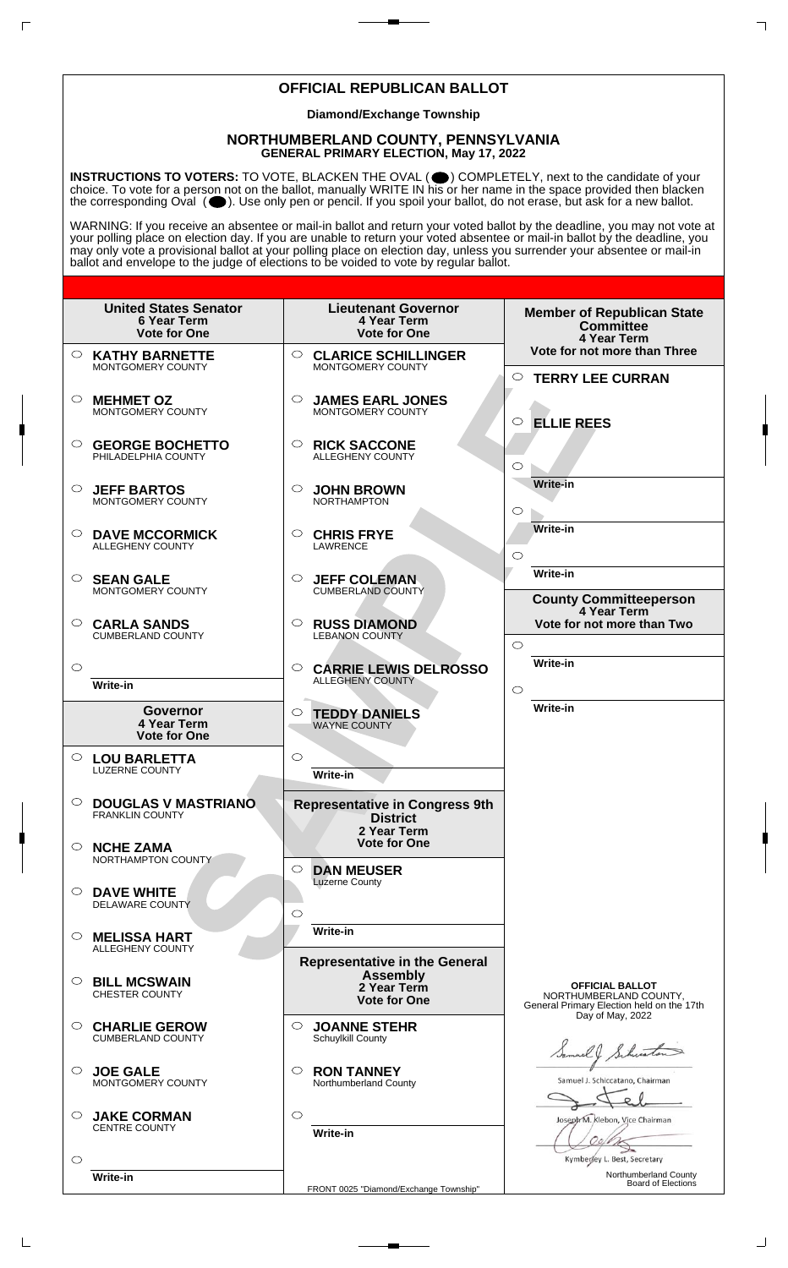**Diamond/Exchange Township**

## **NORTHUMBERLAND COUNTY, PENNSYLVANIA GENERAL PRIMARY ELECTION, May 17, 2022**

**INSTRUCTIONS TO VOTERS:** TO VOTE, BLACKEN THE OVAL ( $\bigcirc$ ) COMPLETELY, next to the candidate of your choice. To vote for a person not on the ballot, manually WRITE IN his or her name in the space provided then blacken the corresponding Oval (  $\bigcirc$  ). Use only pen or pencil. If you spoil your ballot, do not erase, but ask for a new ballot.

WARNING: If you receive an absentee or mail-in ballot and return your voted ballot by the deadline, you may not vote at your polling place on election day. If you are unable to return your voted absentee or mail-in ballot by the deadline, you may only vote a provisional ballot at your polling place on election day, unless you surrender your absentee or mail-in ballot and envelope to the judge of elections to be voided to vote by regular ballot.

| <b>6 Year Term</b><br><b>Vote for One</b>                               | <b>Lieutenant Governor</b><br>4 Year Term<br><b>Vote for One</b>        | <b>Member of Republican State</b><br><b>Committee</b><br>4 Year Term                          |
|-------------------------------------------------------------------------|-------------------------------------------------------------------------|-----------------------------------------------------------------------------------------------|
| <b>KATHY BARNETTE</b><br>MONTGOMERY COUNTY                              | $\circ$<br><b>CLARICE SCHILLINGER</b><br>MONTGOMERY COUNTY              | Vote for not more than Three<br>O<br><b>TERRY LEE CURRAN</b>                                  |
| $\circ$<br><b>MEHMET OZ</b><br>MONTGOMERY COUNTY                        | $\circ$<br><b>JAMES EARL JONES</b><br>MONTGOMERY COUNTY                 | <b>ELLIE REES</b><br>$\circ$                                                                  |
| $\circ$<br><b>GEORGE BOCHETTO</b><br>PHILADELPHIA COUNTY                | <b>RICK SACCONE</b><br>$\circ$<br>ALLEGHENY COUNTY                      | $\circlearrowright$                                                                           |
| $\circ$<br><b>JEFF BARTOS</b><br>MONTGOMERY COUNTY                      | $\circ$<br><b>JOHN BROWN</b><br><b>NORTHAMPTON</b>                      | Write-in<br>$\circ$                                                                           |
| $\circ$ DAVE MCCORMICK<br><b>ALLEGHENY COUNTY</b>                       | $\circ$<br><b>CHRIS FRYE</b><br><b>LAWRENCE</b>                         | Write-in<br>$\circ$                                                                           |
| $\circ$<br><b>SEAN GALE</b><br>MONTGOMERY COUNTY                        | $\circ$<br><b>JEFF COLEMAN</b><br><b>CUMBERLAND COUNTY</b>              | <b>Write-in</b><br><b>County Committeeperson</b><br>4 Year Term                               |
| $\circ$<br><b>CARLA SANDS</b><br><b>CUMBERLAND COUNTY</b>               | <b>RUSS DIAMOND</b><br>$\circ$<br><b>LEBANON COUNTY</b>                 | Vote for not more than Two<br>$\circ$                                                         |
| $\circlearrowright$<br>Write-in                                         | <b>CARRIE LEWIS DELROSSO</b><br>$\circ$<br><b>ALLEGHENY COUNTY</b>      | <b>Write-in</b><br>$\circ$                                                                    |
| <b>Governor</b><br>4 Year Term<br><b>Vote for One</b>                   | <b>TEDDY DANIELS</b><br>$\circ$<br><b>WAYNE COUNTY</b>                  | <b>Write-in</b>                                                                               |
| $\bigcirc$ .<br><b>LOU BARLETTA</b><br>LUZERNE COUNTY                   | $\circ$<br><b>Write-in</b>                                              |                                                                                               |
| <b>DOUGLAS V MASTRIANO</b><br>$\circ$<br><b>FRANKLIN COUNTY</b>         | <b>Representative in Congress 9th</b><br><b>District</b><br>2 Year Term |                                                                                               |
| $\circ$ NCHE ZAMA<br>NORTHAMPTON COUNTY                                 | <b>Vote for One</b><br>$\circlearrowright$<br><b>DAN MEUSER</b>         |                                                                                               |
| <b>DAVE WHITE</b><br>O<br><b>DELAWARE COUNTY</b>                        | <b>Luzerne County</b><br>$\circlearrowright$                            |                                                                                               |
| <b>MELISSA HART</b><br>O<br><b>ALLEGHENY COUNTY</b>                     | <b>Write-in</b><br><b>Representative in the General</b>                 |                                                                                               |
| $\circlearrowright$<br><b>BILL MCSWAIN</b><br>CHESTER COUNTY            | <b>Assembly</b><br>2 Year Term<br><b>Vote for One</b>                   | <b>OFFICIAL BALLOT</b><br>NORTHUMBERLAND COUNTY,<br>General Primary Election held on the 17th |
| $\circlearrowright$<br><b>CHARLIE GEROW</b><br><b>CUMBERLAND COUNTY</b> | $\circ$<br><b>JOANNE STEHR</b><br>Schuylkill County                     | Day of May, 2022<br>well Schweiten                                                            |
| $\circlearrowright$<br><b>JOE GALE</b><br>MONTGOMERY COUNTY             | O<br><b>RON TANNEY</b><br>Northumberland County                         | Samuel J. Schiccatano, Chairman                                                               |
| $\circlearrowright$<br><b>JAKE CORMAN</b><br><b>CENTRE COUNTY</b>       | $\circ$<br><b>Write-in</b>                                              | Joseph M. Klebon, Vice Chairman<br>0010                                                       |
| $\circlearrowright$                                                     |                                                                         | Kymberley L. Best, Secretary                                                                  |
| Write-in                                                                | FRONT 0025 "Diamond/Exchange Township"                                  | Northumberland County<br>Board of Elections                                                   |

للمسترد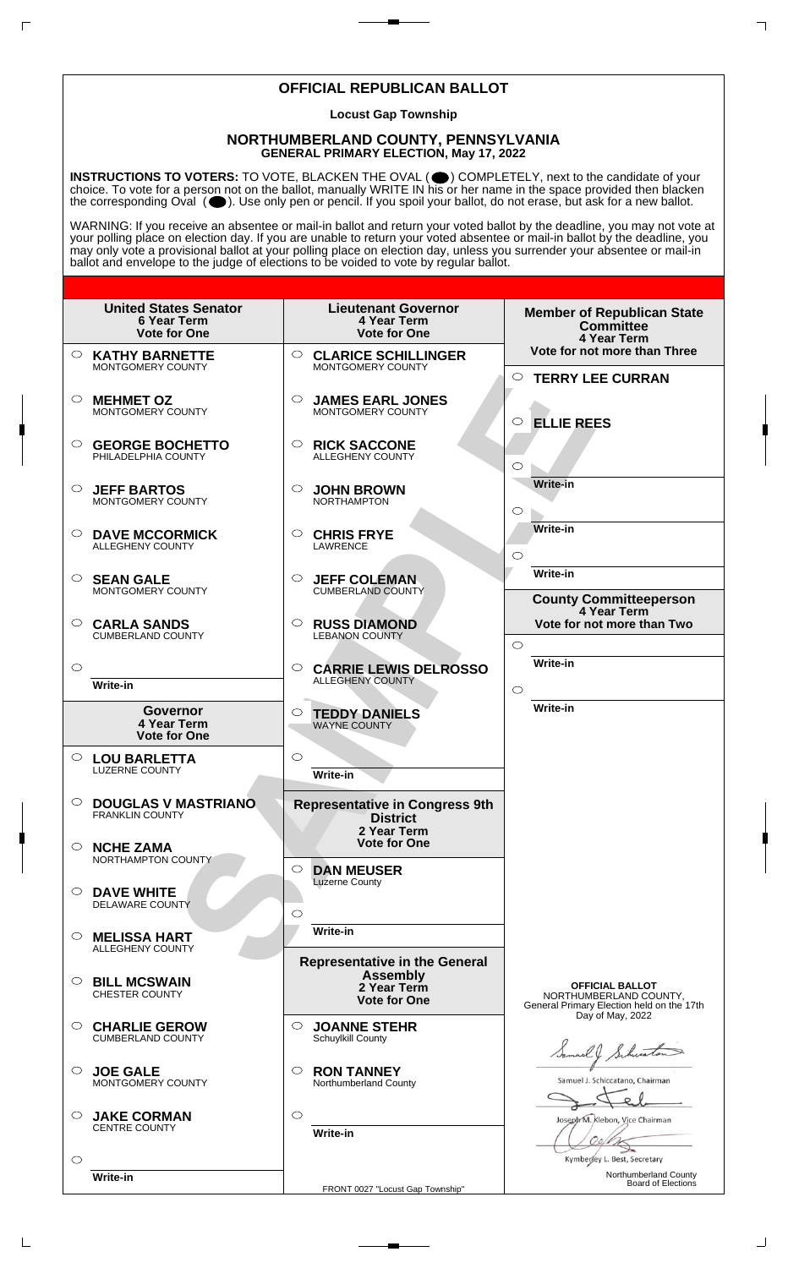**Locust Gap Township**

## **NORTHUMBERLAND COUNTY, PENNSYLVANIA GENERAL PRIMARY ELECTION, May 17, 2022**

**INSTRUCTIONS TO VOTERS:** TO VOTE, BLACKEN THE OVAL ( $\bigcirc$ ) COMPLETELY, next to the candidate of your choice. To vote for a person not on the ballot, manually WRITE IN his or her name in the space provided then blacken the corresponding Oval (  $\bigcirc$  ). Use only pen or pencil. If you spoil your ballot, do not erase, but ask for a new ballot.

WARNING: If you receive an absentee or mail-in ballot and return your voted ballot by the deadline, you may not vote at your polling place on election day. If you are unable to return your voted absentee or mail-in ballot by the deadline, you may only vote a provisional ballot at your polling place on election day, unless you surrender your absentee or mail-in ballot and envelope to the judge of elections to be voided to vote by regular ballot.

|                     | <b>United States Senator</b><br><b>6 Year Term</b><br><b>Vote for One</b> | <b>Lieutenant Governor</b><br>4 Year Term<br><b>Vote for One</b>        | <b>Member of Republican State</b><br><b>Committee</b><br>4 Year Term                          |
|---------------------|---------------------------------------------------------------------------|-------------------------------------------------------------------------|-----------------------------------------------------------------------------------------------|
|                     | <b>KATHY BARNETTE</b><br>MONTGOMERY COUNTY                                | $\circ$<br><b>CLARICE SCHILLINGER</b><br>MONTGOMERY COUNTY              | Vote for not more than Three<br><b>TERRY LEE CURRAN</b><br>$\circ$                            |
| $\circ$             | <b>MEHMET OZ</b><br>MONTGOMERY COUNTY                                     | $\circ$<br><b>JAMES EARL JONES</b><br>MONTGOMERY COUNTY                 | <b>ELLIE REES</b><br>$\circ$                                                                  |
|                     | <b>GEORGE BOCHETTO</b><br>PHILADELPHIA COUNTY                             | <b>RICK SACCONE</b><br>$\circ$<br>ALLEGHENY COUNTY                      | $\circlearrowright$                                                                           |
| $\circ$             | <b>JEFF BARTOS</b><br>MONTGOMERY COUNTY                                   | $\circ$<br><b>JOHN BROWN</b><br><b>NORTHAMPTON</b>                      | Write-in<br>$\circ$                                                                           |
|                     | O DAVE MCCORMICK<br><b>ALLEGHENY COUNTY</b>                               | $\circ$<br><b>CHRIS FRYE</b><br>LAWRENCE                                | <b>Write-in</b><br>$\circ$                                                                    |
| $\circ$             | <b>SEAN GALE</b><br>MONTGOMERY COUNTY                                     | <b>JEFF COLEMAN</b><br>$\circ$<br><b>CUMBERLAND COUNTY</b>              | <b>Write-in</b><br><b>County Committeeperson</b><br>4 Year Term                               |
| $\circ$             | <b>CARLA SANDS</b><br><b>CUMBERLAND COUNTY</b>                            | <b>RUSS DIAMOND</b><br>$\circ$<br><b>LEBANON COUNTY</b>                 | Vote for not more than Two<br>$\circ$                                                         |
| $\circlearrowright$ | Write-in                                                                  | <b>CARRIE LEWIS DELROSSO</b><br>$\circ$<br>ALLEGHENY COUNTY             | <b>Write-in</b><br>$\circ$                                                                    |
|                     | <b>Governor</b><br>4 Year Term<br><b>Vote for One</b>                     | <b>TEDDY DANIELS</b><br>$\circ$<br><b>WAYNE COUNTY</b>                  | <b>Write-in</b>                                                                               |
|                     | $\circ$ LOU BARLETTA<br><b>LUZERNE COUNTY</b>                             | $\circ$<br><b>Write-in</b>                                              |                                                                                               |
| $\circ$             | <b>DOUGLAS V MASTRIANO</b><br><b>FRANKLIN COUNTY</b>                      | <b>Representative in Congress 9th</b><br><b>District</b><br>2 Year Term |                                                                                               |
|                     | $\circ$ NCHE ZAMA<br>NORTHAMPTON COUNTY                                   | <b>Vote for One</b><br>$\circlearrowright$<br><b>DAN MEUSER</b>         |                                                                                               |
| O                   | <b>DAVE WHITE</b><br><b>DELAWARE COUNTY</b>                               | <b>Luzerne County</b><br>$\circlearrowright$                            |                                                                                               |
| $\circ$             | <b>MELISSA HART</b><br><b>ALLEGHENY COUNTY</b>                            | <b>Write-in</b><br><b>Representative in the General</b>                 |                                                                                               |
| O                   | <b>BILL MCSWAIN</b><br>CHESTER COUNTY                                     | <b>Assembly</b><br>2 Year Term<br><b>Vote for One</b>                   | <b>OFFICIAL BALLOT</b><br>NORTHUMBERLAND COUNTY,<br>General Primary Election held on the 17th |
| $\circ$             | <b>CHARLIE GEROW</b><br><b>CUMBERLAND COUNTY</b>                          | <b>JOANNE STEHR</b><br>$\circ$<br>Schuylkill County                     | Day of May, 2022<br>well Schwater                                                             |
| $\circ$             | <b>JOE GALE</b><br>MONTGOMERY COUNTY                                      | <b>RON TANNEY</b><br>O<br>Northumberland County                         | Samuel J. Schiccatano, Chairman                                                               |
| $\circ$             | <b>JAKE CORMAN</b><br><b>CENTRE COUNTY</b>                                | $\circlearrowright$<br><b>Write-in</b>                                  | Joseph M. Klebon, Vice Chairman<br>0010                                                       |
| $\circlearrowright$ |                                                                           |                                                                         | Kymberley L. Best, Secretary                                                                  |
|                     | <b>Write-in</b>                                                           | FRONT 0027 "Locust Gap Township"                                        | Northumberland County<br>Board of Elections                                                   |

للمسترد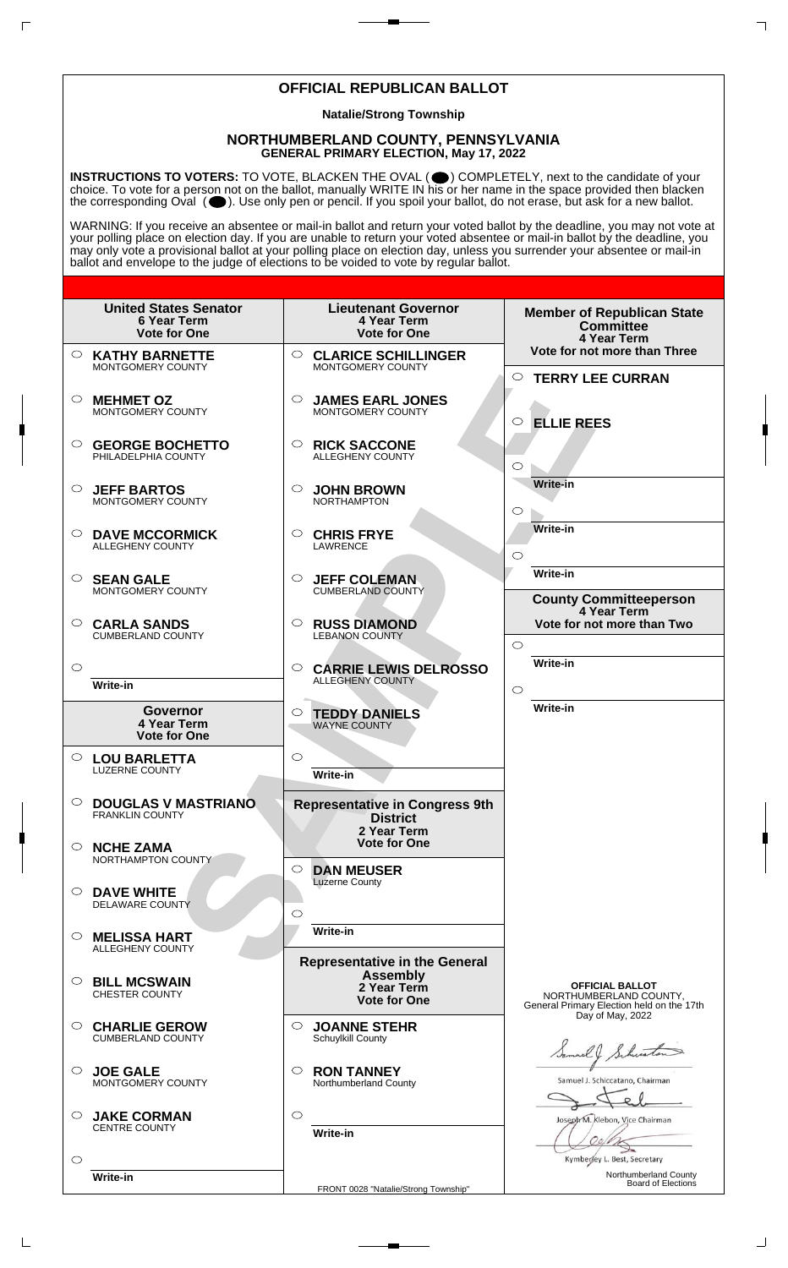**Natalie/Strong Township**

## **NORTHUMBERLAND COUNTY, PENNSYLVANIA GENERAL PRIMARY ELECTION, May 17, 2022**

**INSTRUCTIONS TO VOTERS:** TO VOTE, BLACKEN THE OVAL ( $\bigcirc$ ) COMPLETELY, next to the candidate of your choice. To vote for a person not on the ballot, manually WRITE IN his or her name in the space provided then blacken the corresponding Oval (  $\bigcirc$  ). Use only pen or pencil. If you spoil your ballot, do not erase, but ask for a new ballot.

WARNING: If you receive an absentee or mail-in ballot and return your voted ballot by the deadline, you may not vote at your polling place on election day. If you are unable to return your voted absentee or mail-in ballot by the deadline, you may only vote a provisional ballot at your polling place on election day, unless you surrender your absentee or mail-in ballot and envelope to the judge of elections to be voided to vote by regular ballot.

|                     | <b>United States Senator</b><br><b>6 Year Term</b><br><b>Vote for One</b> | <b>Lieutenant Governor</b><br>4 Year Term<br><b>Vote for One</b>             | <b>Member of Republican State</b><br>Committee<br>4 Year Term                                 |
|---------------------|---------------------------------------------------------------------------|------------------------------------------------------------------------------|-----------------------------------------------------------------------------------------------|
|                     | <b>KATHY BARNETTE</b><br>MONTGOMERY COUNTY                                | $\circ$<br><b>CLARICE SCHILLINGER</b><br>MONTGOMERY COUNTY                   | Vote for not more than Three<br><b>TERRY LEE CURRAN</b><br>O                                  |
| $\circ$             | <b>MEHMET OZ</b><br>MONTGOMERY COUNTY                                     | $\circ$<br><b>JAMES EARL JONES</b><br>MONTGOMERY COUNTY                      | <b>ELLIE REES</b><br>$\circ$                                                                  |
| $\bigcirc$ .        | <b>GEORGE BOCHETTO</b><br>PHILADELPHIA COUNTY                             | <b>RICK SACCONE</b><br>$\circ$<br><b>ALLEGHENY COUNTY</b>                    | $\circlearrowright$                                                                           |
| $\circ$             | <b>JEFF BARTOS</b><br>MONTGOMERY COUNTY                                   | $\circ$<br><b>JOHN BROWN</b><br><b>NORTHAMPTON</b>                           | Write-in<br>$\circ$                                                                           |
| $\circ$             | <b>DAVE MCCORMICK</b><br>ALLEGHENY COUNTY                                 | $\circ$<br><b>CHRIS FRYE</b><br>LAWRENCE                                     | <b>Write-in</b><br>$\circ$                                                                    |
| $\circ$             | <b>SEAN GALE</b><br>MONTGOMERY COUNTY                                     | $\circ$<br><b>JEFF COLEMAN</b><br><b>CUMBERLAND COUNTY</b>                   | <b>Write-in</b><br><b>County Committeeperson</b><br>4 Year Term                               |
| $\circ$             | <b>CARLA SANDS</b><br><b>CUMBERLAND COUNTY</b>                            | <b>RUSS DIAMOND</b><br>$\circ$<br><b>LEBANON COUNTY</b>                      | Vote for not more than Two<br>$\circ$                                                         |
| $\circlearrowright$ | <b>Write-in</b>                                                           | <b>CARRIE LEWIS DELROSSO</b><br>$\circ$<br><b>ALLEGHENY COUNTY</b>           | <b>Write-in</b><br>$\circ$                                                                    |
|                     | <b>Governor</b><br>4 Year Term<br><b>Vote for One</b>                     | $\bigcirc$<br><b>TEDDY DANIELS</b><br><b>WAYNE COUNTY</b>                    | <b>Write-in</b>                                                                               |
|                     | $\circ$ LOU BARLETTA<br>LUZERNE COUNTY                                    | $\circ$<br><b>Write-in</b>                                                   |                                                                                               |
| $\circ$             | <b>DOUGLAS V MASTRIANO</b><br><b>FRANKLIN COUNTY</b>                      | <b>Representative in Congress 9th</b><br><b>District</b><br>2 Year Term      |                                                                                               |
|                     | $\circ$ NCHE ZAMA<br>NORTHAMPTON COUNTY                                   | <b>Vote for One</b><br>$\circ$<br><b>DAN MEUSER</b><br><b>Luzerne County</b> |                                                                                               |
| O                   | <b>DAVE WHITE</b><br>DELAWARE COUNTY                                      | $\circlearrowright$                                                          |                                                                                               |
| O                   | <b>MELISSA HART</b><br><b>ALLEGHENY COUNTY</b>                            | Write-in<br><b>Representative in the General</b>                             |                                                                                               |
| $\circlearrowright$ | <b>BILL MCSWAIN</b><br><b>CHESTER COUNTY</b>                              | <b>Assembly</b><br>2 Year Term<br><b>Vote for One</b>                        | <b>OFFICIAL BALLOT</b><br>NORTHUMBERLAND COUNTY,<br>General Primary Election held on the 17th |
| O                   | <b>CHARLIE GEROW</b><br><b>CUMBERLAND COUNTY</b>                          | <b>JOANNE STEHR</b><br>O<br>Schuylkill County                                | Day of May, 2022<br>muell Schweiten                                                           |
| $\circ$             | <b>JOE GALE</b><br>MONTGOMERY COUNTY                                      | <b>RON TANNEY</b><br>O<br>Northumberland County                              | Samuel J. Schiccatano, Chairman                                                               |
| $\circ$             | <b>JAKE CORMAN</b><br><b>CENTRE COUNTY</b>                                | $\circ$<br>Write-in                                                          | Joseph M. Klebon, Vice Chairman<br>004                                                        |
| $\circlearrowright$ |                                                                           |                                                                              | Kymberley L. Best, Secretary                                                                  |
|                     | Write-in                                                                  | FRONT 0028 "Natalie/Strong Township"                                         | Northumberland County<br>Board of Elections                                                   |

للمسترد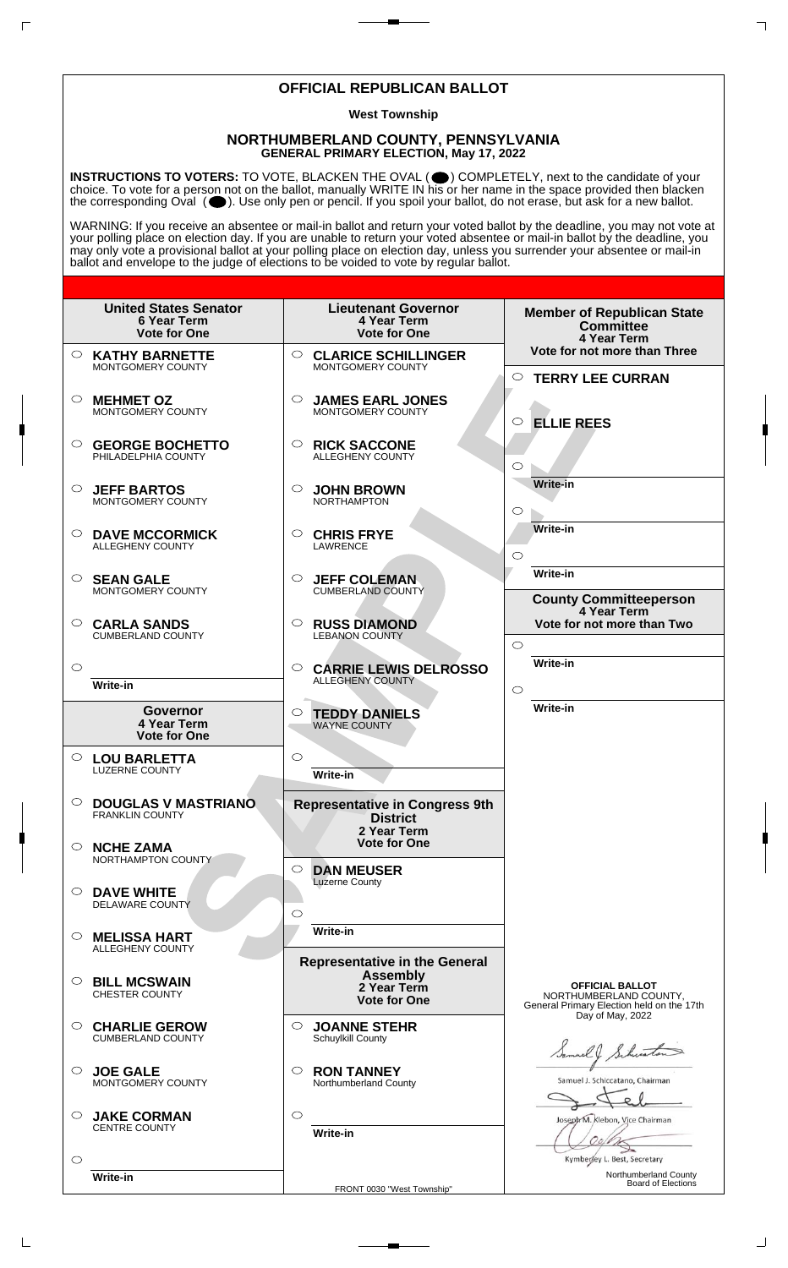**West Township**

## **NORTHUMBERLAND COUNTY, PENNSYLVANIA GENERAL PRIMARY ELECTION, May 17, 2022**

**INSTRUCTIONS TO VOTERS:** TO VOTE, BLACKEN THE OVAL ( $\bigcirc$ ) COMPLETELY, next to the candidate of your choice. To vote for a person not on the ballot, manually WRITE IN his or her name in the space provided then blacken the corresponding Oval (  $\bigcirc$  ). Use only pen or pencil. If you spoil your ballot, do not erase, but ask for a new ballot.

WARNING: If you receive an absentee or mail-in ballot and return your voted ballot by the deadline, you may not vote at your polling place on election day. If you are unable to return your voted absentee or mail-in ballot by the deadline, you may only vote a provisional ballot at your polling place on election day, unless you surrender your absentee or mail-in ballot and envelope to the judge of elections to be voided to vote by regular ballot.

|                     | <b>United States Senator</b><br><b>6 Year Term</b><br><b>Vote for One</b> | <b>Lieutenant Governor</b><br>4 Year Term<br><b>Vote for One</b>        | <b>Member of Republican State</b><br><b>Committee</b><br>4 Year Term                          |
|---------------------|---------------------------------------------------------------------------|-------------------------------------------------------------------------|-----------------------------------------------------------------------------------------------|
|                     | $\circ$ KATHY BARNETTE<br>MONTGOMERY COUNTY                               | $\circ$<br><b>CLARICE SCHILLINGER</b><br>MONTGOMERY COUNTY              | Vote for not more than Three<br><b>TERRY LEE CURRAN</b><br>O                                  |
| $\circ$             | <b>MEHMET OZ</b><br>MONTGOMERY COUNTY                                     | $\circ$<br><b>JAMES EARL JONES</b><br>MONTGOMERY COUNTY                 | <b>ELLIE REES</b><br>$\circ$                                                                  |
| $\bigcirc$          | <b>GEORGE BOCHETTO</b><br>PHILADELPHIA COUNTY                             | <b>RICK SACCONE</b><br>$\circ$<br><b>ALLEGHENY COUNTY</b>               | $\circlearrowright$                                                                           |
| $\circ$             | <b>JEFF BARTOS</b><br>MONTGOMERY COUNTY                                   | $\circlearrowright$<br><b>JOHN BROWN</b><br><b>NORTHAMPTON</b>          | <b>Write-in</b><br>$\circ$                                                                    |
| $\circ$             | <b>DAVE MCCORMICK</b><br>ALLEGHENY COUNTY                                 | $\circ$<br><b>CHRIS FRYE</b><br>LAWRENCE                                | <b>Write-in</b><br>$\circ$                                                                    |
| $\circ$             | <b>SEAN GALE</b><br>MONTGOMERY COUNTY                                     | <b>JEFF COLEMAN</b><br>$\circ$<br><b>CUMBERLAND COUNTY</b>              | <b>Write-in</b><br><b>County Committeeperson</b><br>4 Year Term                               |
| $\circ$             | <b>CARLA SANDS</b><br><b>CUMBERLAND COUNTY</b>                            | <b>RUSS DIAMOND</b><br>$\circ$<br><b>LEBANON COUNTY</b>                 | Vote for not more than Two<br>$\circ$                                                         |
| $\circlearrowright$ | <b>Write-in</b>                                                           | <b>CARRIE LEWIS DELROSSO</b><br>$\circ$<br>ALLEGHENY COUNTY             | <b>Write-in</b><br>$\circ$                                                                    |
|                     | <b>Governor</b><br>4 Year Term<br><b>Vote for One</b>                     | O<br><b>TEDDY DANIELS</b><br><b>WAYNE COUNTY</b>                        | <b>Write-in</b>                                                                               |
|                     | $\circ$ LOU BARLETTA<br><b>LUZERNE COUNTY</b>                             | $\circ$<br><b>Write-in</b>                                              |                                                                                               |
| $\circ$             | <b>DOUGLAS V MASTRIANO</b><br><b>FRANKLIN COUNTY</b>                      | <b>Representative in Congress 9th</b><br><b>District</b><br>2 Year Term |                                                                                               |
|                     | $\circ$ NCHE ZAMA<br>NORTHAMPTON COUNTY                                   | <b>Vote for One</b><br>$\circ$<br><b>DAN MEUSER</b>                     |                                                                                               |
| O                   | <b>DAVE WHITE</b><br>DELAWARE COUNTY                                      | <b>Luzerne County</b><br>$\circ$                                        |                                                                                               |
| $\circ$             | <b>MELISSA HART</b><br><b>ALLEGHENY COUNTY</b>                            | Write-in<br><b>Representative in the General</b>                        |                                                                                               |
| O                   | <b>BILL MCSWAIN</b><br><b>CHESTER COUNTY</b>                              | <b>Assembly</b><br>2 Year Term<br><b>Vote for One</b>                   | <b>OFFICIAL BALLOT</b><br>NORTHUMBERLAND COUNTY,<br>General Primary Election held on the 17th |
| $\circ$             | <b>CHARLIE GEROW</b><br><b>CUMBERLAND COUNTY</b>                          | <b>JOANNE STEHR</b><br>$\circ$<br>Schuylkill County                     | Day of May, 2022<br>muell Schweiten                                                           |
| $\circ$             | <b>JOE GALE</b><br>MONTGOMERY COUNTY                                      | $\circ$<br><b>RON TANNEY</b><br>Northumberland County                   | Samuel J. Schiccatano, Chairman                                                               |
| O                   | <b>JAKE CORMAN</b><br><b>CENTRE COUNTY</b>                                | $\circlearrowright$<br><b>Write-in</b>                                  | Joseph M. Klebon, Vice Chairman<br>004                                                        |
| $\circlearrowright$ |                                                                           |                                                                         | Kymberley L. Best, Secretary                                                                  |
|                     | <b>Write-in</b>                                                           | FRONT 0030 "West Township"                                              | Northumberland County<br>Board of Elections                                                   |

÷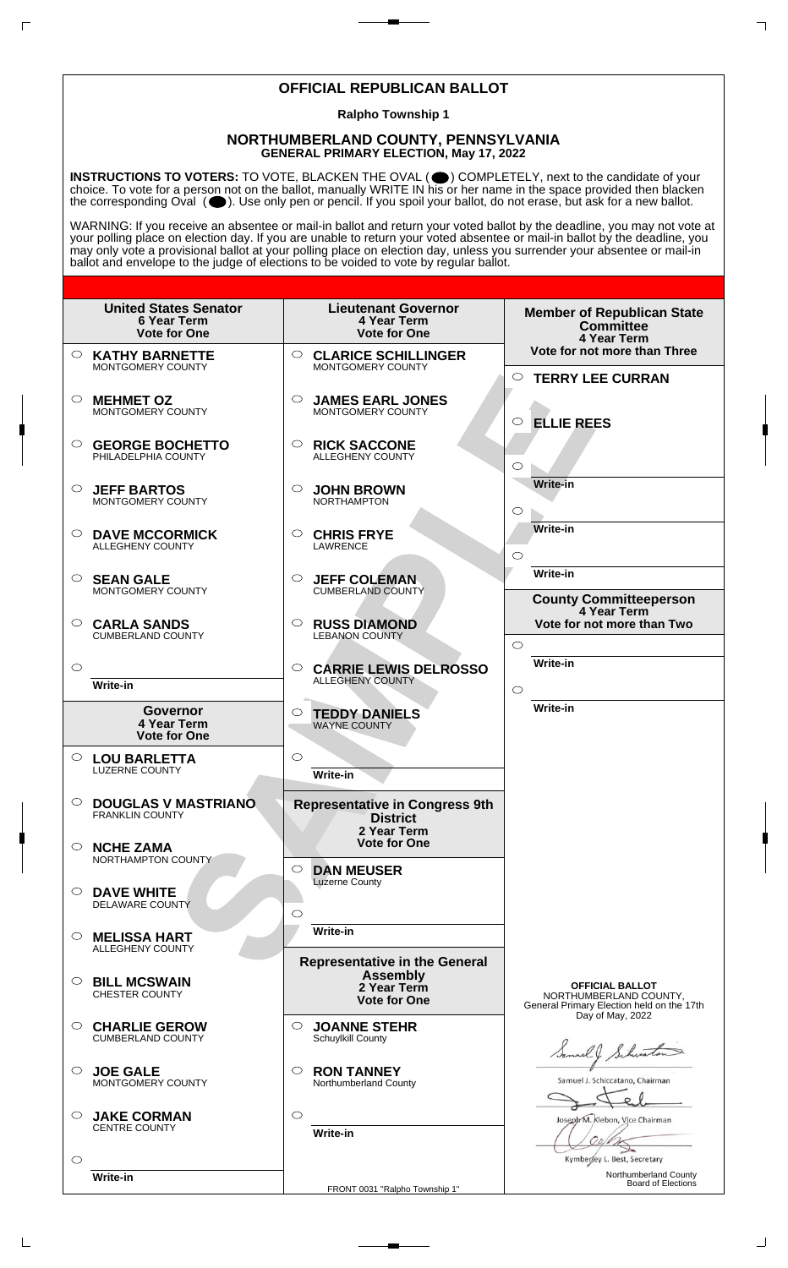**Ralpho Township 1**

### **NORTHUMBERLAND COUNTY, PENNSYLVANIA GENERAL PRIMARY ELECTION, May 17, 2022**

**INSTRUCTIONS TO VOTERS:** TO VOTE, BLACKEN THE OVAL ( $\bigcirc$ ) COMPLETELY, next to the candidate of your choice. To vote for a person not on the ballot, manually WRITE IN his or her name in the space provided then blacken the corresponding Oval (  $\bigcirc$  ). Use only pen or pencil. If you spoil your ballot, do not erase, but ask for a new ballot.

WARNING: If you receive an absentee or mail-in ballot and return your voted ballot by the deadline, you may not vote at your polling place on election day. If you are unable to return your voted absentee or mail-in ballot by the deadline, you may only vote a provisional ballot at your polling place on election day, unless you surrender your absentee or mail-in ballot and envelope to the judge of elections to be voided to vote by regular ballot.

| <b>United States Senator</b><br><b>6 Year Term</b><br><b>Vote for One</b> | <b>Lieutenant Governor</b><br>4 Year Term<br><b>Vote for One</b>                               | <b>Member of Republican State</b><br><b>Committee</b><br>4 Year Term                                              |
|---------------------------------------------------------------------------|------------------------------------------------------------------------------------------------|-------------------------------------------------------------------------------------------------------------------|
| $\circ$ KATHY BARNETTE<br>MONTGOMERY COUNTY                               | $\circ$<br><b>CLARICE SCHILLINGER</b><br>MONTGOMERY COUNTY                                     | Vote for not more than Three<br><b>TERRY LEE CURRAN</b><br>O                                                      |
| $\circ$<br><b>MEHMET OZ</b><br>MONTGOMERY COUNTY                          | <b>JAMES EARL JONES</b><br>O<br>MONTGOMERY COUNTY                                              | <b>ELLIE REES</b><br>$\circ$                                                                                      |
| $\bigcirc$<br><b>GEORGE BOCHETTO</b><br>PHILADELPHIA COUNTY               | <b>RICK SACCONE</b><br>$\circ$<br><b>ALLEGHENY COUNTY</b>                                      | $\circlearrowright$                                                                                               |
| $\circ$<br><b>JEFF BARTOS</b><br>MONTGOMERY COUNTY                        | $\circ$<br><b>JOHN BROWN</b><br><b>NORTHAMPTON</b>                                             | Write-in<br>$\circ$                                                                                               |
| O DAVE MCCORMICK<br><b>ALLEGHENY COUNTY</b>                               | $\circ$<br><b>CHRIS FRYE</b><br><b>LAWRENCE</b>                                                | <b>Write-in</b><br>$\circ$                                                                                        |
| $\circ$<br><b>SEAN GALE</b><br>MONTGOMERY COUNTY                          | $\circ$<br><b>JEFF COLEMAN</b><br><b>CUMBERLAND COUNTY</b>                                     | <b>Write-in</b>                                                                                                   |
| <b>CARLA SANDS</b><br>$\circ$<br><b>CUMBERLAND COUNTY</b>                 | <b>RUSS DIAMOND</b><br>$\circ$<br><b>LEBANON COUNTY</b>                                        | <b>County Committeeperson</b><br>4 Year Term<br>Vote for not more than Two<br>$\circ$                             |
| $\circlearrowright$<br>Write-in                                           | <b>CARRIE LEWIS DELROSSO</b><br>$\circ$<br>ALLEGHENY COUNTY                                    | <b>Write-in</b><br>$\circ$                                                                                        |
| <b>Governor</b><br>4 Year Term<br><b>Vote for One</b>                     | <b>TEDDY DANIELS</b><br>$\circ$<br><b>WAYNE COUNTY</b>                                         | Write-in                                                                                                          |
| <b>LOU BARLETTA</b><br>$\circ$<br><b>LUZERNE COUNTY</b>                   | $\circ$<br><b>Write-in</b>                                                                     |                                                                                                                   |
| <b>DOUGLAS V MASTRIANO</b><br>$\circ$<br><b>FRANKLIN COUNTY</b>           | <b>Representative in Congress 9th</b><br><b>District</b><br>2 Year Term<br><b>Vote for One</b> |                                                                                                                   |
| $\circ$ NCHE ZAMA<br>NORTHAMPTON COUNTY                                   | $\circ$<br><b>DAN MEUSER</b><br><b>Luzerne County</b>                                          |                                                                                                                   |
| <b>DAVE WHITE</b><br>O<br><b>DELAWARE COUNTY</b>                          | $\circ$                                                                                        |                                                                                                                   |
| <b>MELISSA HART</b><br>$\circ$<br><b>ALLEGHENY COUNTY</b>                 | <b>Write-in</b><br><b>Representative in the General</b>                                        |                                                                                                                   |
| $\circ$<br><b>BILL MCSWAIN</b><br><b>CHESTER COUNTY</b>                   | <b>Assembly</b><br>2 Year Term<br><b>Vote for One</b>                                          | <b>OFFICIAL BALLOT</b><br>NORTHUMBERLAND COUNTY,<br>General Primary Election held on the 17th<br>Day of May, 2022 |
| $\circ$<br><b>CHARLIE GEROW</b><br><b>CUMBERLAND COUNTY</b>               | $\circ$<br><b>JOANNE STEHR</b><br>Schuylkill County                                            |                                                                                                                   |
| $\circ$<br><b>JOE GALE</b><br><b>MONTGOMERY COUNTY</b>                    | <b>RON TANNEY</b><br>O<br>Northumberland County                                                | Samuel J. Schiccatano, Chairman                                                                                   |
| <b>JAKE CORMAN</b><br>$\circ$<br><b>CENTRE COUNTY</b>                     | $\circ$<br><b>Write-in</b>                                                                     | Joseph M. Klebon, Vice Chairman<br>0010                                                                           |
| $\circlearrowright$<br><b>Write-in</b>                                    | FRONT 0031 "Ralpho Township 1"                                                                 | Kymberley L. Best, Secretary<br>Northumberland County<br>Board of Elections                                       |

للمسترد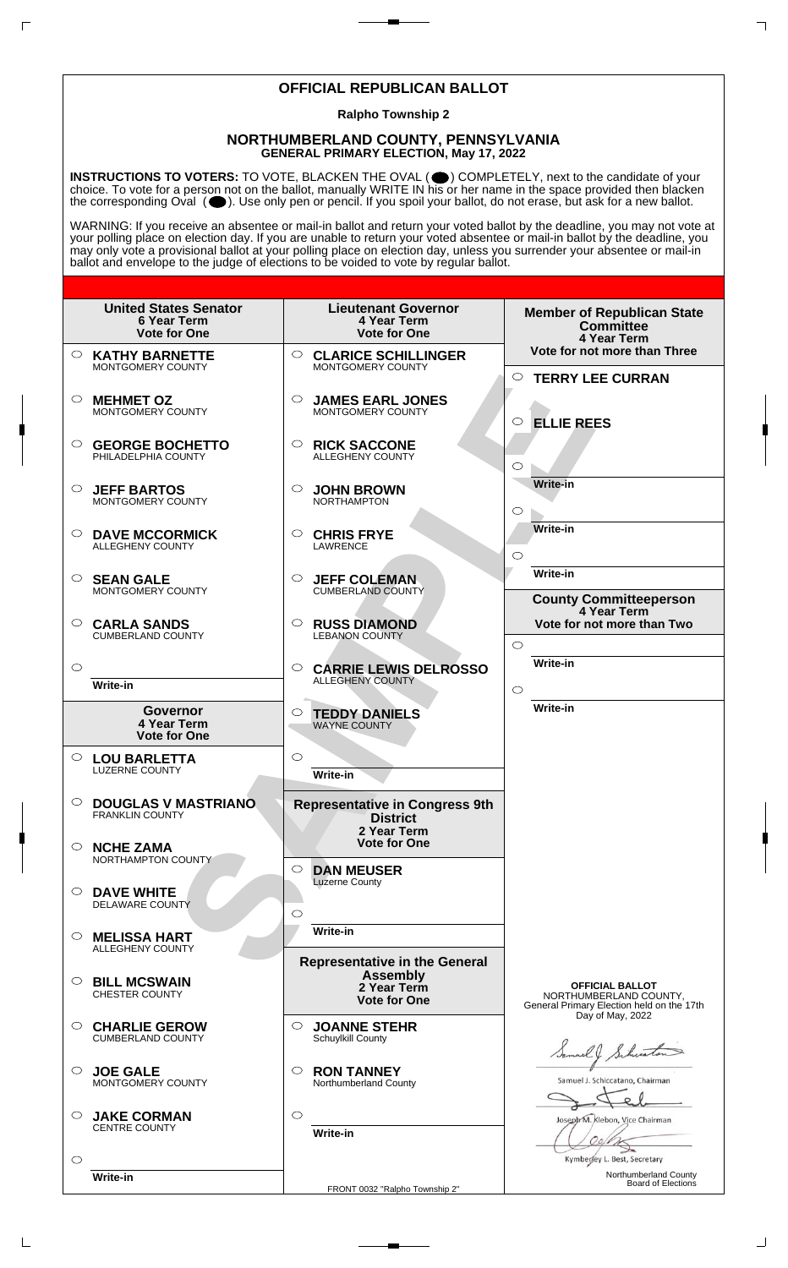**Ralpho Township 2**

### **NORTHUMBERLAND COUNTY, PENNSYLVANIA GENERAL PRIMARY ELECTION, May 17, 2022**

**INSTRUCTIONS TO VOTERS:** TO VOTE, BLACKEN THE OVAL ( $\bigcirc$ ) COMPLETELY, next to the candidate of your choice. To vote for a person not on the ballot, manually WRITE IN his or her name in the space provided then blacken the corresponding Oval (  $\bigcirc$  ). Use only pen or pencil. If you spoil your ballot, do not erase, but ask for a new ballot.

WARNING: If you receive an absentee or mail-in ballot and return your voted ballot by the deadline, you may not vote at your polling place on election day. If you are unable to return your voted absentee or mail-in ballot by the deadline, you may only vote a provisional ballot at your polling place on election day, unless you surrender your absentee or mail-in ballot and envelope to the judge of elections to be voided to vote by regular ballot.

|                                 | <b>United States Senator</b><br><b>6 Year Term</b><br><b>Vote for One</b> | <b>Lieutenant Governor</b><br>4 Year Term<br><b>Vote for One</b>        | <b>Member of Republican State</b><br><b>Committee</b><br>4 Year Term                          |
|---------------------------------|---------------------------------------------------------------------------|-------------------------------------------------------------------------|-----------------------------------------------------------------------------------------------|
|                                 | <b>KATHY BARNETTE</b><br>MONTGOMERY COUNTY                                | $\circ$<br><b>CLARICE SCHILLINGER</b><br>MONTGOMERY COUNTY              | Vote for not more than Three<br><b>TERRY LEE CURRAN</b><br>$\circ$                            |
| $\circ$                         | <b>MEHMET OZ</b><br>MONTGOMERY COUNTY                                     | $\circ$<br><b>JAMES EARL JONES</b><br>MONTGOMERY COUNTY                 | <b>ELLIE REES</b><br>$\circ$                                                                  |
|                                 | <b>GEORGE BOCHETTO</b><br>PHILADELPHIA COUNTY                             | <b>RICK SACCONE</b><br>$\circ$<br>ALLEGHENY COUNTY                      | $\circlearrowright$                                                                           |
| $\circ$                         | <b>JEFF BARTOS</b><br>MONTGOMERY COUNTY                                   | $\circ$<br><b>JOHN BROWN</b><br><b>NORTHAMPTON</b>                      | Write-in<br>$\circ$                                                                           |
|                                 | O DAVE MCCORMICK<br><b>ALLEGHENY COUNTY</b>                               | $\circ$<br><b>CHRIS FRYE</b><br>LAWRENCE                                | <b>Write-in</b><br>$\circ$                                                                    |
| $\circ$                         | <b>SEAN GALE</b><br>MONTGOMERY COUNTY                                     | <b>JEFF COLEMAN</b><br>$\circ$<br><b>CUMBERLAND COUNTY</b>              | <b>Write-in</b><br><b>County Committeeperson</b><br>4 Year Term                               |
| $\circ$                         | <b>CARLA SANDS</b><br><b>CUMBERLAND COUNTY</b>                            | <b>RUSS DIAMOND</b><br>$\circ$<br><b>LEBANON COUNTY</b>                 | Vote for not more than Two<br>$\circ$                                                         |
| $\circlearrowright$<br>Write-in |                                                                           | <b>CARRIE LEWIS DELROSSO</b><br>$\circ$<br>ALLEGHENY COUNTY             | <b>Write-in</b><br>$\circ$                                                                    |
|                                 | <b>Governor</b><br>4 Year Term<br><b>Vote for One</b>                     | <b>TEDDY DANIELS</b><br>$\circ$<br><b>WAYNE COUNTY</b>                  | <b>Write-in</b>                                                                               |
|                                 | $\circ$ LOU BARLETTA<br><b>LUZERNE COUNTY</b>                             | $\circ$<br><b>Write-in</b>                                              |                                                                                               |
| $\circ$                         | <b>DOUGLAS V MASTRIANO</b><br><b>FRANKLIN COUNTY</b>                      | <b>Representative in Congress 9th</b><br><b>District</b><br>2 Year Term |                                                                                               |
| $\circ$ NCHE ZAMA               | NORTHAMPTON COUNTY                                                        | <b>Vote for One</b><br>$\circlearrowright$<br><b>DAN MEUSER</b>         |                                                                                               |
| O                               | <b>DAVE WHITE</b><br><b>DELAWARE COUNTY</b>                               | <b>Luzerne County</b><br>$\circlearrowright$                            |                                                                                               |
| $\circ$                         | <b>MELISSA HART</b><br><b>ALLEGHENY COUNTY</b>                            | <b>Write-in</b><br><b>Representative in the General</b>                 |                                                                                               |
| O                               | <b>BILL MCSWAIN</b><br>CHESTER COUNTY                                     | <b>Assembly</b><br>2 Year Term<br><b>Vote for One</b>                   | <b>OFFICIAL BALLOT</b><br>NORTHUMBERLAND COUNTY,<br>General Primary Election held on the 17th |
| $\circ$                         | <b>CHARLIE GEROW</b><br><b>CUMBERLAND COUNTY</b>                          | <b>JOANNE STEHR</b><br>$\circ$<br>Schuylkill County                     | Day of May, 2022<br>well Schwater                                                             |
| $\circ$                         | <b>JOE GALE</b><br>MONTGOMERY COUNTY                                      | <b>RON TANNEY</b><br>O<br>Northumberland County                         | Samuel J. Schiccatano, Chairman                                                               |
| $\circ$                         | <b>JAKE CORMAN</b><br><b>CENTRE COUNTY</b>                                | $\circlearrowright$<br><b>Write-in</b>                                  | Joseph M. Klebon, Vice Chairman<br>0010                                                       |
| $\circlearrowright$             |                                                                           |                                                                         | Kymberley L. Best, Secretary                                                                  |
| <b>Write-in</b>                 |                                                                           | FRONT 0032 "Ralpho Township 2"                                          | Northumberland County<br>Board of Elections                                                   |

للمسترد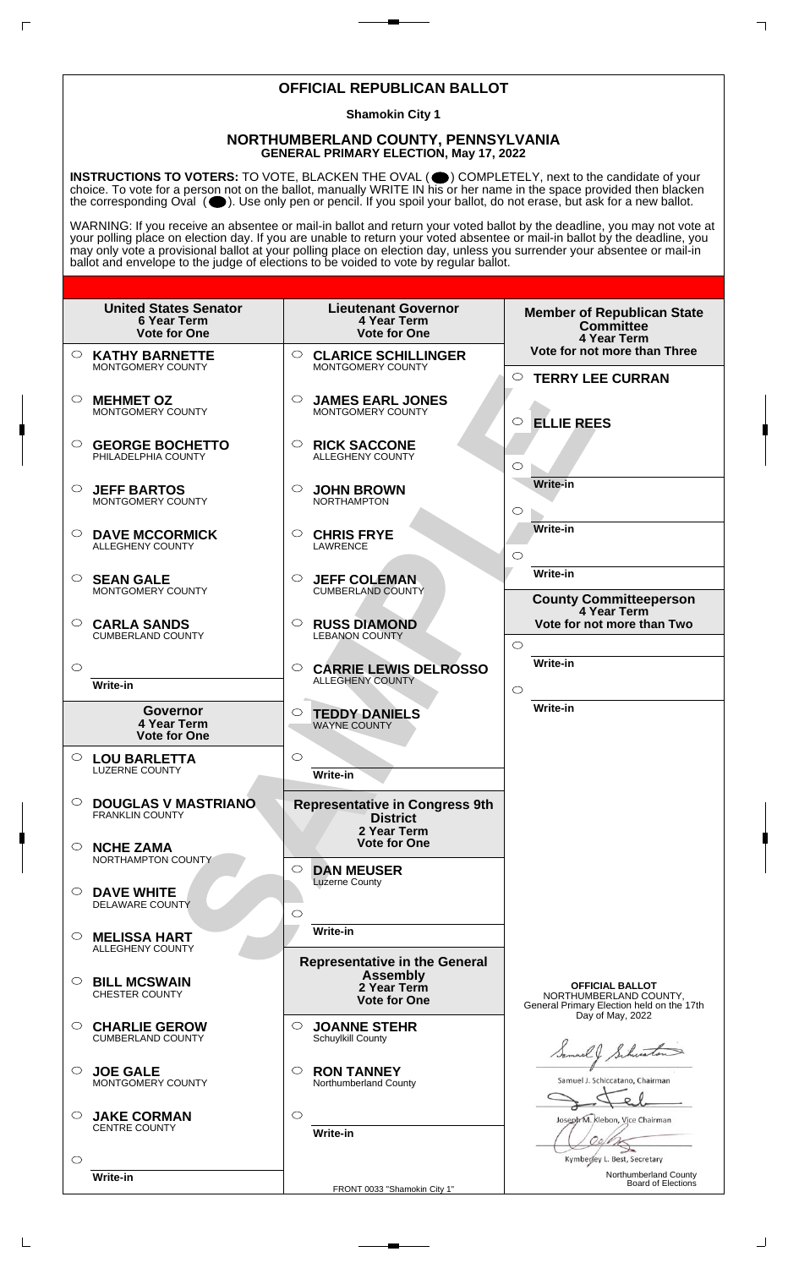**Shamokin City 1**

### **NORTHUMBERLAND COUNTY, PENNSYLVANIA GENERAL PRIMARY ELECTION, May 17, 2022**

**INSTRUCTIONS TO VOTERS:** TO VOTE, BLACKEN THE OVAL ( $\bigcirc$ ) COMPLETELY, next to the candidate of your choice. To vote for a person not on the ballot, manually WRITE IN his or her name in the space provided then blacken the corresponding Oval (  $\bigcirc$  ). Use only pen or pencil. If you spoil your ballot, do not erase, but ask for a new ballot.

WARNING: If you receive an absentee or mail-in ballot and return your voted ballot by the deadline, you may not vote at your polling place on election day. If you are unable to return your voted absentee or mail-in ballot by the deadline, you may only vote a provisional ballot at your polling place on election day, unless you surrender your absentee or mail-in ballot and envelope to the judge of elections to be voided to vote by regular ballot.

|                     | <b>United States Senator</b><br><b>6 Year Term</b><br><b>Vote for One</b> | <b>Lieutenant Governor</b><br>4 Year Term<br><b>Vote for One</b>        | <b>Member of Republican State</b><br><b>Committee</b><br>4 Year Term                          |
|---------------------|---------------------------------------------------------------------------|-------------------------------------------------------------------------|-----------------------------------------------------------------------------------------------|
|                     | <b>KATHY BARNETTE</b><br>MONTGOMERY COUNTY                                | $\circ$<br><b>CLARICE SCHILLINGER</b><br>MONTGOMERY COUNTY              | Vote for not more than Three<br><b>TERRY LEE CURRAN</b><br>$\circ$                            |
| $\circ$             | <b>MEHMET OZ</b><br>MONTGOMERY COUNTY                                     | $\circ$<br><b>JAMES EARL JONES</b><br>MONTGOMERY COUNTY                 | <b>ELLIE REES</b><br>$\circ$                                                                  |
|                     | <b>GEORGE BOCHETTO</b><br>PHILADELPHIA COUNTY                             | <b>RICK SACCONE</b><br>$\circ$<br>ALLEGHENY COUNTY                      | $\circlearrowright$                                                                           |
| $\circ$             | <b>JEFF BARTOS</b><br>MONTGOMERY COUNTY                                   | $\circ$<br><b>JOHN BROWN</b><br><b>NORTHAMPTON</b>                      | Write-in<br>$\circ$                                                                           |
|                     | O DAVE MCCORMICK<br><b>ALLEGHENY COUNTY</b>                               | $\circ$<br><b>CHRIS FRYE</b><br>LAWRENCE                                | <b>Write-in</b><br>$\circ$                                                                    |
| $\circ$             | <b>SEAN GALE</b><br>MONTGOMERY COUNTY                                     | <b>JEFF COLEMAN</b><br>$\circ$<br><b>CUMBERLAND COUNTY</b>              | <b>Write-in</b><br><b>County Committeeperson</b><br>4 Year Term                               |
| $\circ$             | <b>CARLA SANDS</b><br><b>CUMBERLAND COUNTY</b>                            | <b>RUSS DIAMOND</b><br>$\circ$<br><b>LEBANON COUNTY</b>                 | Vote for not more than Two<br>$\circ$                                                         |
| $\circlearrowright$ | Write-in                                                                  | <b>CARRIE LEWIS DELROSSO</b><br>$\circ$<br>ALLEGHENY COUNTY             | <b>Write-in</b><br>$\circ$                                                                    |
|                     | <b>Governor</b><br>4 Year Term<br><b>Vote for One</b>                     | <b>TEDDY DANIELS</b><br>$\circ$<br><b>WAYNE COUNTY</b>                  | <b>Write-in</b>                                                                               |
|                     | $\circ$ LOU BARLETTA<br><b>LUZERNE COUNTY</b>                             | $\circ$<br><b>Write-in</b>                                              |                                                                                               |
| $\circ$             | <b>DOUGLAS V MASTRIANO</b><br><b>FRANKLIN COUNTY</b>                      | <b>Representative in Congress 9th</b><br><b>District</b><br>2 Year Term |                                                                                               |
|                     | $\circ$ NCHE ZAMA<br>NORTHAMPTON COUNTY                                   | <b>Vote for One</b><br>$\circlearrowright$<br><b>DAN MEUSER</b>         |                                                                                               |
| O                   | <b>DAVE WHITE</b><br><b>DELAWARE COUNTY</b>                               | <b>Luzerne County</b><br>$\circlearrowright$                            |                                                                                               |
| O                   | <b>MELISSA HART</b><br><b>ALLEGHENY COUNTY</b>                            | <b>Write-in</b><br><b>Representative in the General</b>                 |                                                                                               |
| O                   | <b>BILL MCSWAIN</b><br>CHESTER COUNTY                                     | <b>Assembly</b><br>2 Year Term<br><b>Vote for One</b>                   | <b>OFFICIAL BALLOT</b><br>NORTHUMBERLAND COUNTY,<br>General Primary Election held on the 17th |
| $\circ$             | <b>CHARLIE GEROW</b><br><b>CUMBERLAND COUNTY</b>                          | <b>JOANNE STEHR</b><br>$\circ$<br>Schuylkill County                     | Day of May, 2022<br>well Schwater                                                             |
| $\circ$             | <b>JOE GALE</b><br>MONTGOMERY COUNTY                                      | <b>RON TANNEY</b><br>O<br>Northumberland County                         | Samuel J. Schiccatano, Chairman                                                               |
| $\circ$             | <b>JAKE CORMAN</b><br><b>CENTRE COUNTY</b>                                | $\circlearrowright$<br><b>Write-in</b>                                  | Joseph M. Klebon, Vice Chairman<br>0010                                                       |
| $\circlearrowright$ |                                                                           |                                                                         | Kymberley L. Best, Secretary                                                                  |
|                     | Write-in                                                                  | FRONT 0033 "Shamokin City 1"                                            | Northumberland County<br>Board of Elections                                                   |

÷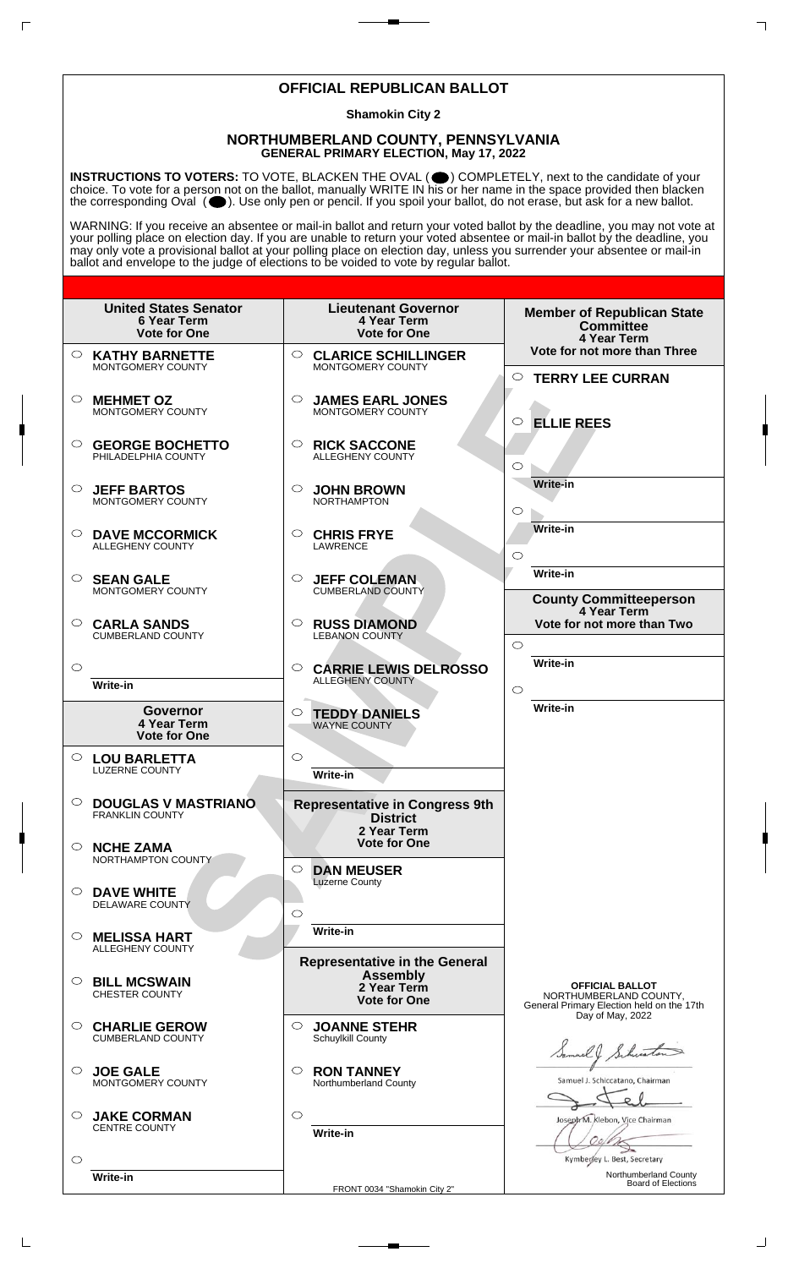**Shamokin City 2**

### **NORTHUMBERLAND COUNTY, PENNSYLVANIA GENERAL PRIMARY ELECTION, May 17, 2022**

**INSTRUCTIONS TO VOTERS:** TO VOTE, BLACKEN THE OVAL ( $\bigcirc$ ) COMPLETELY, next to the candidate of your choice. To vote for a person not on the ballot, manually WRITE IN his or her name in the space provided then blacken the corresponding Oval (  $\bigcirc$  ). Use only pen or pencil. If you spoil your ballot, do not erase, but ask for a new ballot.

WARNING: If you receive an absentee or mail-in ballot and return your voted ballot by the deadline, you may not vote at your polling place on election day. If you are unable to return your voted absentee or mail-in ballot by the deadline, you may only vote a provisional ballot at your polling place on election day, unless you surrender your absentee or mail-in ballot and envelope to the judge of elections to be voided to vote by regular ballot.

|                     | <b>United States Senator</b><br><b>6 Year Term</b><br><b>Vote for One</b> | <b>Lieutenant Governor</b><br>4 Year Term<br><b>Vote for One</b>        | <b>Member of Republican State</b><br><b>Committee</b><br>4 Year Term                          |
|---------------------|---------------------------------------------------------------------------|-------------------------------------------------------------------------|-----------------------------------------------------------------------------------------------|
|                     | $\circ$ KATHY BARNETTE<br>MONTGOMERY COUNTY                               | $\circ$<br><b>CLARICE SCHILLINGER</b><br>MONTGOMERY COUNTY              | Vote for not more than Three<br><b>TERRY LEE CURRAN</b><br>O                                  |
| $\circ$             | <b>MEHMET OZ</b><br>MONTGOMERY COUNTY                                     | $\circ$<br><b>JAMES EARL JONES</b><br>MONTGOMERY COUNTY                 | <b>ELLIE REES</b><br>$\circ$                                                                  |
| $\bigcirc$          | <b>GEORGE BOCHETTO</b><br>PHILADELPHIA COUNTY                             | <b>RICK SACCONE</b><br>$\circ$<br><b>ALLEGHENY COUNTY</b>               | $\circlearrowright$                                                                           |
| $\circ$             | <b>JEFF BARTOS</b><br>MONTGOMERY COUNTY                                   | $\circlearrowright$<br><b>JOHN BROWN</b><br><b>NORTHAMPTON</b>          | <b>Write-in</b><br>$\circ$                                                                    |
| $\circ$             | <b>DAVE MCCORMICK</b><br>ALLEGHENY COUNTY                                 | $\circ$<br><b>CHRIS FRYE</b><br>LAWRENCE                                | <b>Write-in</b><br>$\circ$                                                                    |
| $\circ$             | <b>SEAN GALE</b><br>MONTGOMERY COUNTY                                     | <b>JEFF COLEMAN</b><br>$\circ$<br><b>CUMBERLAND COUNTY</b>              | <b>Write-in</b><br><b>County Committeeperson</b><br>4 Year Term                               |
| $\circ$             | <b>CARLA SANDS</b><br><b>CUMBERLAND COUNTY</b>                            | <b>RUSS DIAMOND</b><br>$\circ$<br><b>LEBANON COUNTY</b>                 | Vote for not more than Two<br>$\circ$                                                         |
| $\circlearrowright$ | <b>Write-in</b>                                                           | <b>CARRIE LEWIS DELROSSO</b><br>$\circ$<br>ALLEGHENY COUNTY             | <b>Write-in</b><br>$\circ$                                                                    |
|                     | <b>Governor</b><br>4 Year Term<br><b>Vote for One</b>                     | O<br><b>TEDDY DANIELS</b><br><b>WAYNE COUNTY</b>                        | <b>Write-in</b>                                                                               |
|                     | $\circ$ LOU BARLETTA<br><b>LUZERNE COUNTY</b>                             | $\circ$<br><b>Write-in</b>                                              |                                                                                               |
| $\circ$             | <b>DOUGLAS V MASTRIANO</b><br><b>FRANKLIN COUNTY</b>                      | <b>Representative in Congress 9th</b><br><b>District</b><br>2 Year Term |                                                                                               |
|                     | $\circ$ NCHE ZAMA<br>NORTHAMPTON COUNTY                                   | <b>Vote for One</b><br>$\circ$<br><b>DAN MEUSER</b>                     |                                                                                               |
| O                   | <b>DAVE WHITE</b><br>DELAWARE COUNTY                                      | <b>Luzerne County</b><br>$\circ$                                        |                                                                                               |
| $\circ$             | <b>MELISSA HART</b><br><b>ALLEGHENY COUNTY</b>                            | Write-in<br><b>Representative in the General</b>                        |                                                                                               |
| O                   | <b>BILL MCSWAIN</b><br><b>CHESTER COUNTY</b>                              | <b>Assembly</b><br>2 Year Term<br><b>Vote for One</b>                   | <b>OFFICIAL BALLOT</b><br>NORTHUMBERLAND COUNTY,<br>General Primary Election held on the 17th |
| $\circ$             | <b>CHARLIE GEROW</b><br><b>CUMBERLAND COUNTY</b>                          | $\circ$<br><b>JOANNE STEHR</b><br>Schuylkill County                     | Day of May, 2022<br>muell Schweiten                                                           |
| $\circ$             | <b>JOE GALE</b><br>MONTGOMERY COUNTY                                      | $\circ$<br><b>RON TANNEY</b><br>Northumberland County                   | Samuel J. Schiccatano, Chairman                                                               |
| O                   | <b>JAKE CORMAN</b><br><b>CENTRE COUNTY</b>                                | $\circlearrowright$<br><b>Write-in</b>                                  | Joseph M. Klebon, Vice Chairman<br>004                                                        |
| $\circlearrowright$ |                                                                           |                                                                         | Kymberley L. Best, Secretary                                                                  |
|                     | <b>Write-in</b>                                                           | FRONT 0034 "Shamokin City 2"                                            | Northumberland County<br>Board of Elections                                                   |

÷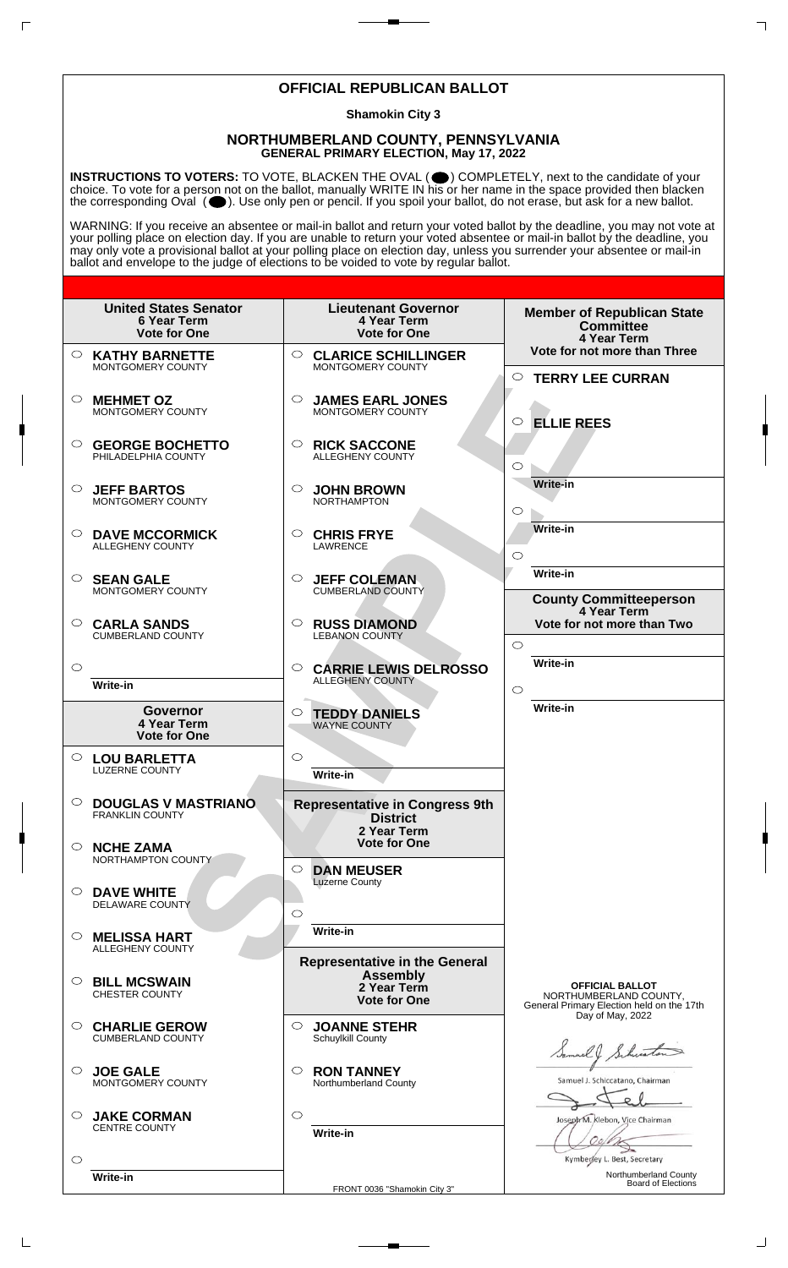$\Gamma$ 

 $\Box$ 

**Shamokin City 3**

### **NORTHUMBERLAND COUNTY, PENNSYLVANIA GENERAL PRIMARY ELECTION, May 17, 2022**

**INSTRUCTIONS TO VOTERS:** TO VOTE, BLACKEN THE OVAL ( $\bigcirc$ ) COMPLETELY, next to the candidate of your choice. To vote for a person not on the ballot, manually WRITE IN his or her name in the space provided then blacken the corresponding Oval (  $\bigcirc$  ). Use only pen or pencil. If you spoil your ballot, do not erase, but ask for a new ballot.

WARNING: If you receive an absentee or mail-in ballot and return your voted ballot by the deadline, you may not vote at your polling place on election day. If you are unable to return your voted absentee or mail-in ballot by the deadline, you may only vote a provisional ballot at your polling place on election day, unless you surrender your absentee or mail-in ballot and envelope to the judge of elections to be voided to vote by regular ballot.

|                     | <b>United States Senator</b><br>6 Year Term<br><b>Vote for One</b> | <b>Lieutenant Governor</b><br>4 Year Term<br><b>Vote for One</b>             | <b>Member of Republican State</b><br><b>Committee</b><br>4 Year Term                                              |
|---------------------|--------------------------------------------------------------------|------------------------------------------------------------------------------|-------------------------------------------------------------------------------------------------------------------|
|                     | $\circ$ KATHY BARNETTE<br>MONTGOMERY COUNTY                        | $\circ$<br><b>CLARICE SCHILLINGER</b><br>MONTGOMERY COUNTY                   | Vote for not more than Three<br><b>TERRY LEE CURRAN</b><br>O                                                      |
| $\circ$             | <b>MEHMET OZ</b><br>MONTGOMERY COUNTY                              | $\circ$<br><b>JAMES EARL JONES</b><br>MONTGOMERY COUNTY                      | <b>ELLIE REES</b><br>$\circ$                                                                                      |
| $\circ$             | <b>GEORGE BOCHETTO</b><br>PHILADELPHIA COUNTY                      | <b>RICK SACCONE</b><br>$\circ$<br>ALLEGHENY COUNTY                           | $\circ$                                                                                                           |
| $\circ$             | <b>JEFF BARTOS</b><br>MONTGOMERY COUNTY                            | $\circ$<br><b>JOHN BROWN</b><br><b>NORTHAMPTON</b>                           | Write-in<br>$\circ$                                                                                               |
| $\circ$             | <b>DAVE MCCORMICK</b><br><b>ALLEGHENY COUNTY</b>                   | <b>CHRIS FRYE</b><br>$\circ$<br><b>LAWRENCE</b>                              | <b>Write-in</b><br>$\circ$                                                                                        |
| $\circ$             | <b>SEAN GALE</b><br>MONTGOMERY COUNTY                              | <b>JEFF COLEMAN</b><br>O<br><b>CUMBERLAND COUNTY</b>                         | <b>Write-in</b><br><b>County Committeeperson</b><br>4 Year Term                                                   |
| $\circ$             | <b>CARLA SANDS</b><br><b>CUMBERLAND COUNTY</b>                     | <b>RUSS DIAMOND</b><br>$\circ$<br><b>LEBANON COUNTY</b>                      | Vote for not more than Two<br>$\circ$                                                                             |
| $\circlearrowright$ | <b>Write-in</b>                                                    | <b>CARRIE LEWIS DELROSSO</b><br>$\circ$<br>ALLEGHENY COUNTY                  | Write-in<br>$\circ$                                                                                               |
|                     | <b>Governor</b><br>4 Year Term<br><b>Vote for One</b>              | <b>TEDDY DANIELS</b><br>O<br><b>WAYNE COUNTY</b>                             | Write-in                                                                                                          |
|                     | $\circ$ LOU BARLETTA<br>LUZERNE COUNTY                             | $\circ$<br><b>Write-in</b>                                                   |                                                                                                                   |
| $\circ$             | <b>DOUGLAS V MASTRIANO</b><br><b>FRANKLIN COUNTY</b>               | <b>Representative in Congress 9th</b><br><b>District</b><br>2 Year Term      |                                                                                                                   |
|                     | <b>NCHE ZAMA</b><br>NORTHAMPTON COUNTY                             | <b>Vote for One</b><br>$\circ$<br><b>DAN MEUSER</b><br><b>Luzerne County</b> |                                                                                                                   |
| O                   | <b>DAVE WHITE</b><br><b>DELAWARE COUNTY</b>                        | $\circ$                                                                      |                                                                                                                   |
| O                   | <b>MELISSA HART</b><br><b>ALLEGHENY COUNTY</b>                     | <b>Write-in</b><br><b>Representative in the General</b>                      |                                                                                                                   |
| $\circlearrowright$ | <b>BILL MCSWAIN</b><br><b>CHESTER COUNTY</b>                       | <b>Assembly</b><br>2 Year Term<br><b>Vote for One</b>                        | <b>OFFICIAL BALLOT</b><br>NORTHUMBERLAND COUNTY,<br>General Primary Election held on the 17th<br>Day of May, 2022 |
| $\circlearrowright$ | <b>CHARLIE GEROW</b><br><b>CUMBERLAND COUNTY</b>                   | $\circ$<br><b>JOANNE STEHR</b><br>Schuylkill County                          |                                                                                                                   |
| $\circlearrowright$ | <b>JOE GALE</b><br>MONTGOMERY COUNTY                               | <b>RON TANNEY</b><br>O<br>Northumberland County                              | Samuel J. Schiccatano, Chairman                                                                                   |
| $\circlearrowright$ | <b>JAKE CORMAN</b><br><b>CENTRE COUNTY</b>                         | $\circ$<br><b>Write-in</b>                                                   | Joseph M. Klebon, Vice Chairman<br>00/0                                                                           |
| $\circlearrowright$ | <b>Write-in</b>                                                    |                                                                              | Kymberley L. Best, Secretary<br>Northumberland County                                                             |
|                     |                                                                    | FRONT 0036 "Shamokin City 3"                                                 | Board of Elections                                                                                                |

÷

 $\overline{\phantom{a}}$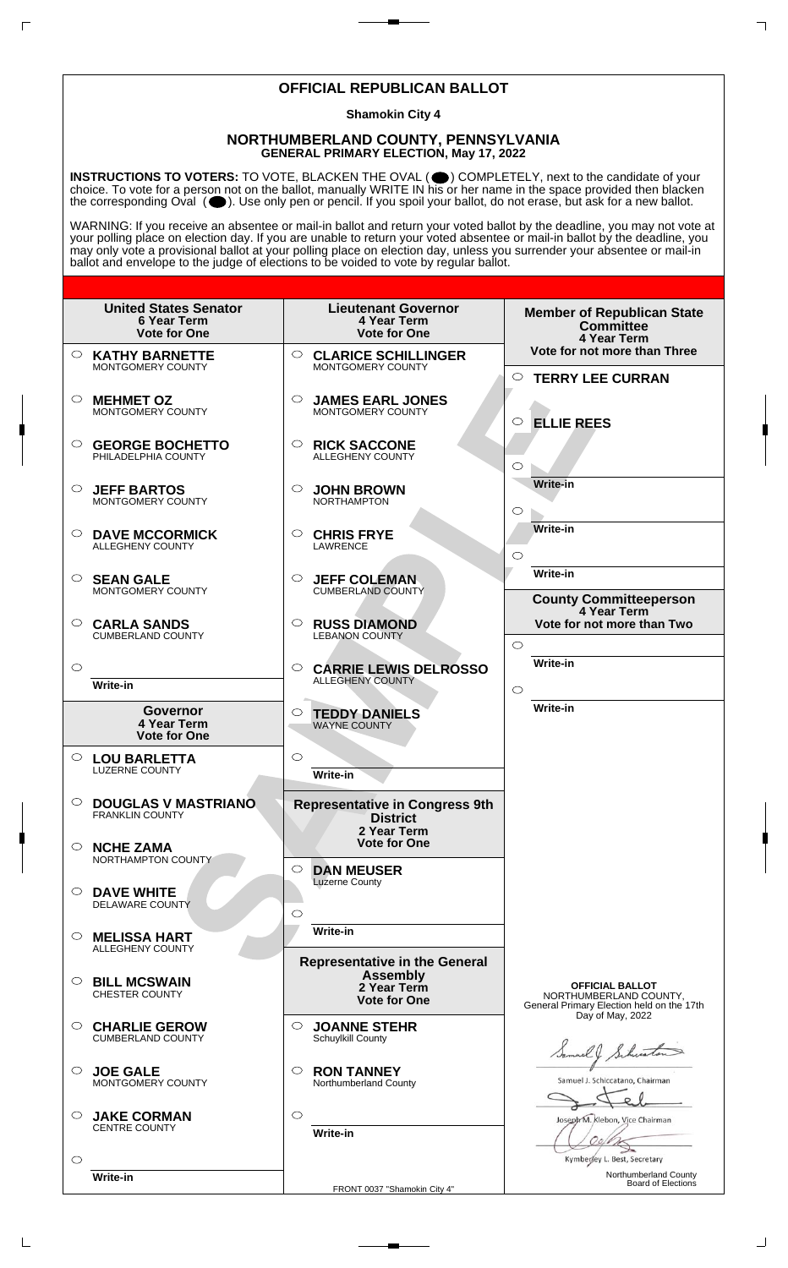**Shamokin City 4**

### **NORTHUMBERLAND COUNTY, PENNSYLVANIA GENERAL PRIMARY ELECTION, May 17, 2022**

**INSTRUCTIONS TO VOTERS:** TO VOTE, BLACKEN THE OVAL ( $\bigcirc$ ) COMPLETELY, next to the candidate of your choice. To vote for a person not on the ballot, manually WRITE IN his or her name in the space provided then blacken the corresponding Oval (  $\bigcirc$  ). Use only pen or pencil. If you spoil your ballot, do not erase, but ask for a new ballot.

WARNING: If you receive an absentee or mail-in ballot and return your voted ballot by the deadline, you may not vote at your polling place on election day. If you are unable to return your voted absentee or mail-in ballot by the deadline, you may only vote a provisional ballot at your polling place on election day, unless you surrender your absentee or mail-in ballot and envelope to the judge of elections to be voided to vote by regular ballot.

|                     | <b>United States Senator</b><br><b>6 Year Term</b><br><b>Vote for One</b> | <b>Lieutenant Governor</b><br>4 Year Term<br><b>Vote for One</b>        | <b>Member of Republican State</b><br><b>Committee</b><br>4 Year Term                          |
|---------------------|---------------------------------------------------------------------------|-------------------------------------------------------------------------|-----------------------------------------------------------------------------------------------|
|                     | $\circ$ KATHY BARNETTE<br>MONTGOMERY COUNTY                               | $\circ$<br><b>CLARICE SCHILLINGER</b><br>MONTGOMERY COUNTY              | Vote for not more than Three<br><b>TERRY LEE CURRAN</b><br>O                                  |
| $\circ$             | <b>MEHMET OZ</b><br>MONTGOMERY COUNTY                                     | $\circ$<br><b>JAMES EARL JONES</b><br>MONTGOMERY COUNTY                 | <b>ELLIE REES</b><br>$\circ$                                                                  |
| $\bigcirc$          | <b>GEORGE BOCHETTO</b><br>PHILADELPHIA COUNTY                             | <b>RICK SACCONE</b><br>$\circ$<br><b>ALLEGHENY COUNTY</b>               | $\circlearrowright$                                                                           |
| $\circ$             | <b>JEFF BARTOS</b><br>MONTGOMERY COUNTY                                   | $\circlearrowright$<br><b>JOHN BROWN</b><br><b>NORTHAMPTON</b>          | <b>Write-in</b><br>$\circ$                                                                    |
| $\circ$             | <b>DAVE MCCORMICK</b><br>ALLEGHENY COUNTY                                 | $\circ$<br><b>CHRIS FRYE</b><br>LAWRENCE                                | <b>Write-in</b><br>$\circ$                                                                    |
| $\circ$             | <b>SEAN GALE</b><br>MONTGOMERY COUNTY                                     | <b>JEFF COLEMAN</b><br>$\circ$<br><b>CUMBERLAND COUNTY</b>              | <b>Write-in</b><br><b>County Committeeperson</b><br>4 Year Term                               |
| $\circ$             | <b>CARLA SANDS</b><br><b>CUMBERLAND COUNTY</b>                            | <b>RUSS DIAMOND</b><br>$\circ$<br><b>LEBANON COUNTY</b>                 | Vote for not more than Two<br>$\circ$                                                         |
| $\circlearrowright$ | <b>Write-in</b>                                                           | <b>CARRIE LEWIS DELROSSO</b><br>$\circ$<br>ALLEGHENY COUNTY             | <b>Write-in</b><br>$\circ$                                                                    |
|                     | <b>Governor</b><br>4 Year Term<br><b>Vote for One</b>                     | O<br><b>TEDDY DANIELS</b><br><b>WAYNE COUNTY</b>                        | <b>Write-in</b>                                                                               |
|                     | $\circ$ LOU BARLETTA<br><b>LUZERNE COUNTY</b>                             | $\circ$<br><b>Write-in</b>                                              |                                                                                               |
| $\circ$             | <b>DOUGLAS V MASTRIANO</b><br><b>FRANKLIN COUNTY</b>                      | <b>Representative in Congress 9th</b><br><b>District</b><br>2 Year Term |                                                                                               |
|                     | $\circ$ NCHE ZAMA<br>NORTHAMPTON COUNTY                                   | <b>Vote for One</b><br>$\circ$<br><b>DAN MEUSER</b>                     |                                                                                               |
| O                   | <b>DAVE WHITE</b><br>DELAWARE COUNTY                                      | <b>Luzerne County</b><br>$\circ$                                        |                                                                                               |
| $\circ$             | <b>MELISSA HART</b><br><b>ALLEGHENY COUNTY</b>                            | Write-in<br><b>Representative in the General</b>                        |                                                                                               |
| O                   | <b>BILL MCSWAIN</b><br><b>CHESTER COUNTY</b>                              | <b>Assembly</b><br>2 Year Term<br><b>Vote for One</b>                   | <b>OFFICIAL BALLOT</b><br>NORTHUMBERLAND COUNTY,<br>General Primary Election held on the 17th |
| $\circ$             | <b>CHARLIE GEROW</b><br><b>CUMBERLAND COUNTY</b>                          | $\circ$<br><b>JOANNE STEHR</b><br>Schuylkill County                     | Day of May, 2022<br>muell Schweiten                                                           |
| $\circ$             | <b>JOE GALE</b><br>MONTGOMERY COUNTY                                      | $\circ$<br><b>RON TANNEY</b><br>Northumberland County                   | Samuel J. Schiccatano, Chairman                                                               |
| O                   | <b>JAKE CORMAN</b><br><b>CENTRE COUNTY</b>                                | $\circlearrowright$<br><b>Write-in</b>                                  | Joseph M. Klebon, Vice Chairman<br>004                                                        |
| $\circlearrowright$ |                                                                           |                                                                         | Kymberley L. Best, Secretary                                                                  |
|                     | <b>Write-in</b>                                                           | FRONT 0037 "Shamokin City 4"                                            | Northumberland County<br>Board of Elections                                                   |

÷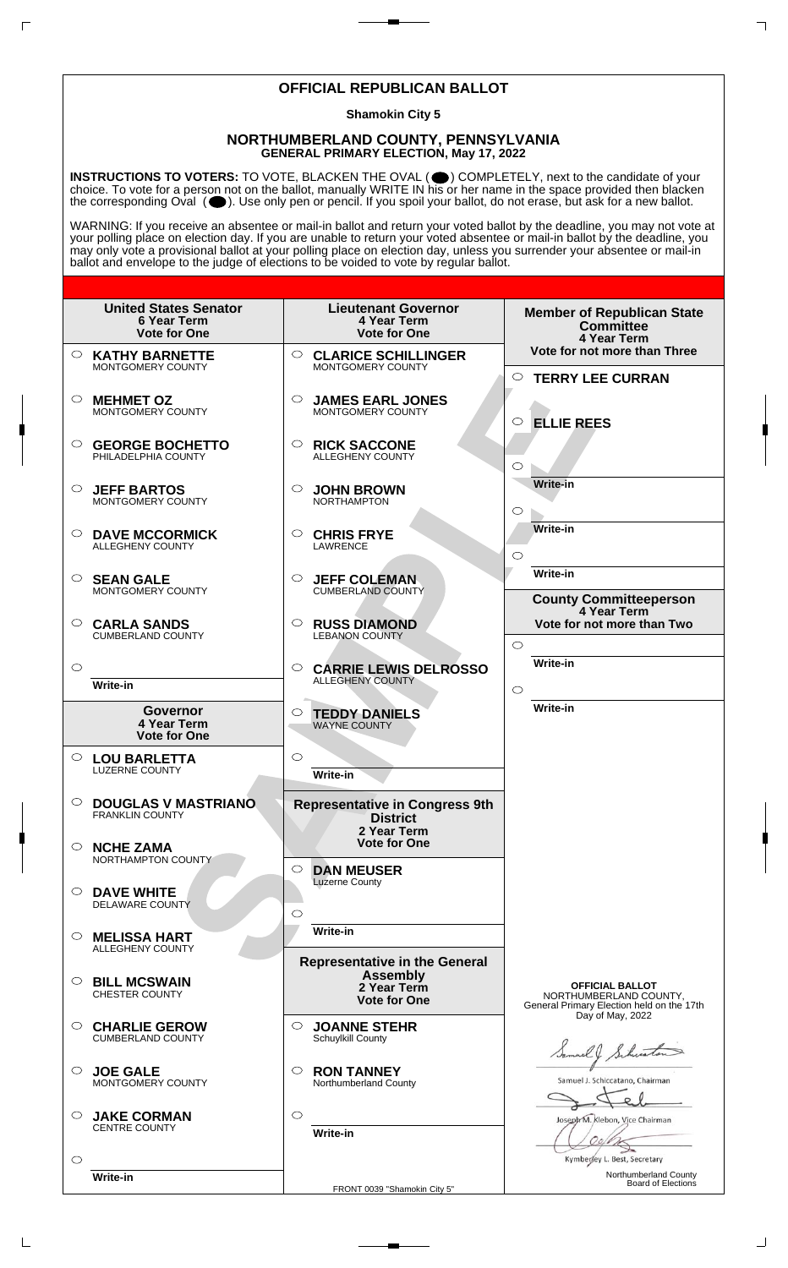**Shamokin City 5**

### **NORTHUMBERLAND COUNTY, PENNSYLVANIA GENERAL PRIMARY ELECTION, May 17, 2022**

**INSTRUCTIONS TO VOTERS:** TO VOTE, BLACKEN THE OVAL ( $\bigcirc$ ) COMPLETELY, next to the candidate of your choice. To vote for a person not on the ballot, manually WRITE IN his or her name in the space provided then blacken the corresponding Oval (  $\bigcirc$  ). Use only pen or pencil. If you spoil your ballot, do not erase, but ask for a new ballot.

WARNING: If you receive an absentee or mail-in ballot and return your voted ballot by the deadline, you may not vote at your polling place on election day. If you are unable to return your voted absentee or mail-in ballot by the deadline, you may only vote a provisional ballot at your polling place on election day, unless you surrender your absentee or mail-in ballot and envelope to the judge of elections to be voided to vote by regular ballot.

|                     | <b>United States Senator</b><br><b>6 Year Term</b><br><b>Vote for One</b> | <b>Lieutenant Governor</b><br>4 Year Term<br><b>Vote for One</b>        | <b>Member of Republican State</b><br><b>Committee</b><br>4 Year Term                          |
|---------------------|---------------------------------------------------------------------------|-------------------------------------------------------------------------|-----------------------------------------------------------------------------------------------|
|                     | $\circ$ KATHY BARNETTE<br>MONTGOMERY COUNTY                               | $\circ$<br><b>CLARICE SCHILLINGER</b><br>MONTGOMERY COUNTY              | Vote for not more than Three<br><b>TERRY LEE CURRAN</b><br>O                                  |
| $\circ$             | <b>MEHMET OZ</b><br>MONTGOMERY COUNTY                                     | $\circ$<br><b>JAMES EARL JONES</b><br>MONTGOMERY COUNTY                 | <b>ELLIE REES</b><br>$\circ$                                                                  |
| $\bigcirc$          | <b>GEORGE BOCHETTO</b><br>PHILADELPHIA COUNTY                             | <b>RICK SACCONE</b><br>$\circ$<br><b>ALLEGHENY COUNTY</b>               | $\circlearrowright$                                                                           |
| $\circ$             | <b>JEFF BARTOS</b><br>MONTGOMERY COUNTY                                   | $\circlearrowright$<br><b>JOHN BROWN</b><br><b>NORTHAMPTON</b>          | <b>Write-in</b><br>$\circ$                                                                    |
| $\circ$             | <b>DAVE MCCORMICK</b><br>ALLEGHENY COUNTY                                 | $\circ$<br><b>CHRIS FRYE</b><br>LAWRENCE                                | <b>Write-in</b><br>$\circ$                                                                    |
| $\circ$             | <b>SEAN GALE</b><br>MONTGOMERY COUNTY                                     | <b>JEFF COLEMAN</b><br>$\circ$<br><b>CUMBERLAND COUNTY</b>              | <b>Write-in</b><br><b>County Committeeperson</b><br>4 Year Term                               |
| $\circ$             | <b>CARLA SANDS</b><br><b>CUMBERLAND COUNTY</b>                            | <b>RUSS DIAMOND</b><br>$\circ$<br><b>LEBANON COUNTY</b>                 | Vote for not more than Two<br>$\circ$                                                         |
| $\circlearrowright$ | <b>Write-in</b>                                                           | <b>CARRIE LEWIS DELROSSO</b><br>$\circ$<br>ALLEGHENY COUNTY             | <b>Write-in</b><br>$\circ$                                                                    |
|                     | <b>Governor</b><br>4 Year Term<br><b>Vote for One</b>                     | O<br><b>TEDDY DANIELS</b><br><b>WAYNE COUNTY</b>                        | <b>Write-in</b>                                                                               |
|                     | $\circ$ LOU BARLETTA<br><b>LUZERNE COUNTY</b>                             | $\circ$<br><b>Write-in</b>                                              |                                                                                               |
| $\circ$             | <b>DOUGLAS V MASTRIANO</b><br><b>FRANKLIN COUNTY</b>                      | <b>Representative in Congress 9th</b><br><b>District</b><br>2 Year Term |                                                                                               |
|                     | $\circ$ NCHE ZAMA<br>NORTHAMPTON COUNTY                                   | <b>Vote for One</b><br>$\circ$<br><b>DAN MEUSER</b>                     |                                                                                               |
| O                   | <b>DAVE WHITE</b><br>DELAWARE COUNTY                                      | <b>Luzerne County</b><br>$\circ$                                        |                                                                                               |
| $\circ$             | <b>MELISSA HART</b><br><b>ALLEGHENY COUNTY</b>                            | Write-in<br><b>Representative in the General</b>                        |                                                                                               |
| O                   | <b>BILL MCSWAIN</b><br><b>CHESTER COUNTY</b>                              | <b>Assembly</b><br>2 Year Term<br><b>Vote for One</b>                   | <b>OFFICIAL BALLOT</b><br>NORTHUMBERLAND COUNTY,<br>General Primary Election held on the 17th |
| $\circ$             | <b>CHARLIE GEROW</b><br><b>CUMBERLAND COUNTY</b>                          | $\circ$<br><b>JOANNE STEHR</b><br>Schuylkill County                     | Day of May, 2022<br>muell Schweiten                                                           |
| $\circ$             | <b>JOE GALE</b><br>MONTGOMERY COUNTY                                      | $\circ$<br><b>RON TANNEY</b><br>Northumberland County                   | Samuel J. Schiccatano, Chairman                                                               |
| O                   | <b>JAKE CORMAN</b><br><b>CENTRE COUNTY</b>                                | $\circlearrowright$<br><b>Write-in</b>                                  | Joseph M. Klebon, Vice Chairman<br>004                                                        |
| $\circlearrowright$ |                                                                           |                                                                         | Kymberley L. Best, Secretary                                                                  |
|                     | <b>Write-in</b>                                                           | FRONT 0039 "Shamokin City 5"                                            | Northumberland County<br>Board of Elections                                                   |

÷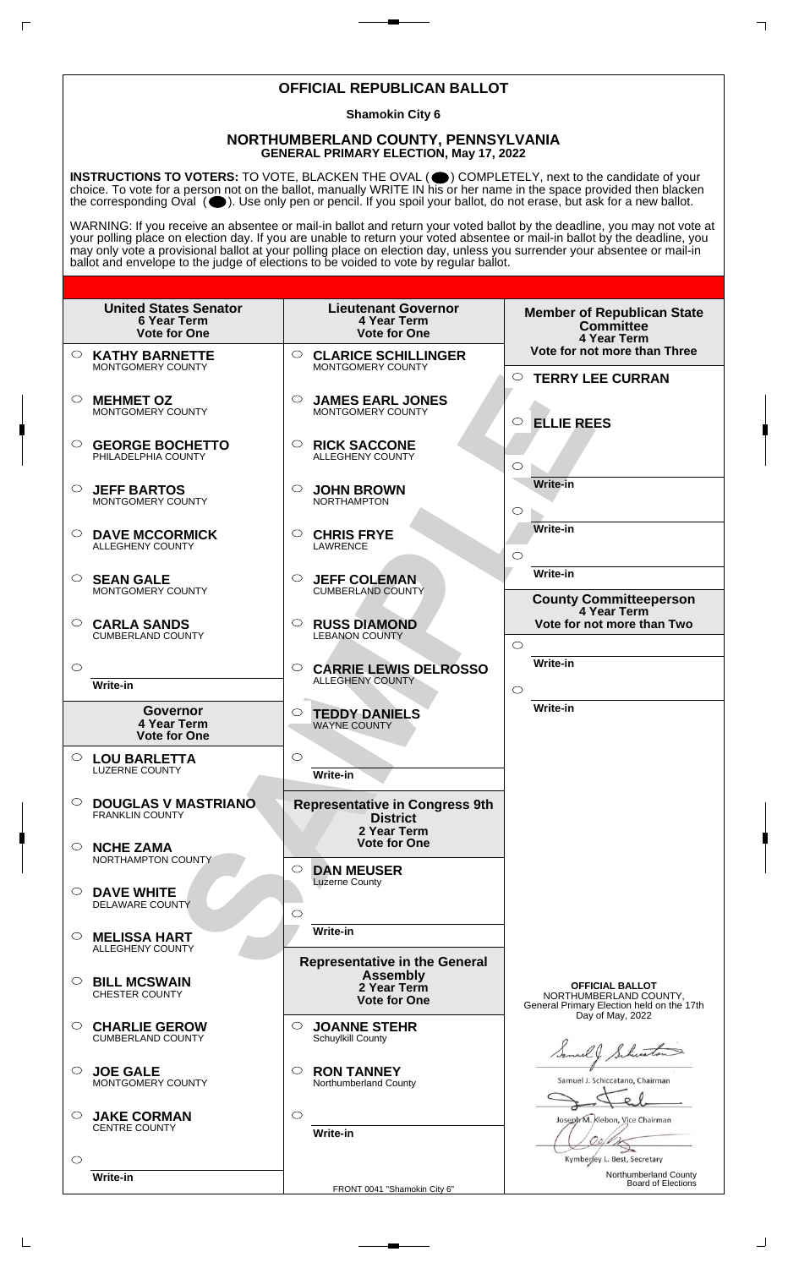**Shamokin City 6**

### **NORTHUMBERLAND COUNTY, PENNSYLVANIA GENERAL PRIMARY ELECTION, May 17, 2022**

**INSTRUCTIONS TO VOTERS:** TO VOTE, BLACKEN THE OVAL ( $\bigcirc$ ) COMPLETELY, next to the candidate of your choice. To vote for a person not on the ballot, manually WRITE IN his or her name in the space provided then blacken the corresponding Oval (  $\bigcirc$  ). Use only pen or pencil. If you spoil your ballot, do not erase, but ask for a new ballot.

WARNING: If you receive an absentee or mail-in ballot and return your voted ballot by the deadline, you may not vote at your polling place on election day. If you are unable to return your voted absentee or mail-in ballot by the deadline, you may only vote a provisional ballot at your polling place on election day, unless you surrender your absentee or mail-in ballot and envelope to the judge of elections to be voided to vote by regular ballot.

|                     | <b>United States Senator</b><br><b>6 Year Term</b><br><b>Vote for One</b> | <b>Lieutenant Governor</b><br>4 Year Term<br><b>Vote for One</b>             | <b>Member of Republican State</b><br><b>Committee</b><br>4 Year Term                          |
|---------------------|---------------------------------------------------------------------------|------------------------------------------------------------------------------|-----------------------------------------------------------------------------------------------|
|                     | $\circ$ KATHY BARNETTE<br>MONTGOMERY COUNTY                               | $\circ$<br><b>CLARICE SCHILLINGER</b><br>MONTGOMERY COUNTY                   | Vote for not more than Three<br><b>TERRY LEE CURRAN</b><br>O                                  |
| $\circ$             | <b>MEHMET OZ</b><br>MONTGOMERY COUNTY                                     | $\circ$<br><b>JAMES EARL JONES</b><br>MONTGOMERY COUNTY                      | <b>ELLIE REES</b><br>$\circ$                                                                  |
| $\bigcirc$          | <b>GEORGE BOCHETTO</b><br>PHILADELPHIA COUNTY                             | <b>RICK SACCONE</b><br>$\circ$<br><b>ALLEGHENY COUNTY</b>                    | $\circlearrowright$                                                                           |
| $\circ$             | <b>JEFF BARTOS</b><br>MONTGOMERY COUNTY                                   | $\circlearrowright$<br><b>JOHN BROWN</b><br><b>NORTHAMPTON</b>               | <b>Write-in</b><br>$\circ$                                                                    |
| $\circ$             | <b>DAVE MCCORMICK</b><br>ALLEGHENY COUNTY                                 | $\circ$<br><b>CHRIS FRYE</b><br>LAWRENCE                                     | <b>Write-in</b><br>$\circ$                                                                    |
| $\circ$             | <b>SEAN GALE</b><br>MONTGOMERY COUNTY                                     | <b>JEFF COLEMAN</b><br>$\circ$<br><b>CUMBERLAND COUNTY</b>                   | <b>Write-in</b><br><b>County Committeeperson</b><br>4 Year Term                               |
| $\circ$             | <b>CARLA SANDS</b><br><b>CUMBERLAND COUNTY</b>                            | <b>RUSS DIAMOND</b><br>$\circ$<br><b>LEBANON COUNTY</b>                      | Vote for not more than Two<br>$\circ$                                                         |
| $\circlearrowright$ | <b>Write-in</b>                                                           | <b>CARRIE LEWIS DELROSSO</b><br>$\circ$<br>ALLEGHENY COUNTY                  | <b>Write-in</b><br>$\circ$                                                                    |
|                     | <b>Governor</b><br>4 Year Term<br><b>Vote for One</b>                     | O<br><b>TEDDY DANIELS</b><br><b>WAYNE COUNTY</b>                             | <b>Write-in</b>                                                                               |
|                     | $\circ$ LOU BARLETTA<br><b>LUZERNE COUNTY</b>                             | $\circ$<br><b>Write-in</b>                                                   |                                                                                               |
| $\circ$             | <b>DOUGLAS V MASTRIANO</b><br><b>FRANKLIN COUNTY</b>                      | <b>Representative in Congress 9th</b><br><b>District</b><br>2 Year Term      |                                                                                               |
|                     | $\circ$ NCHE ZAMA<br>NORTHAMPTON COUNTY                                   | <b>Vote for One</b><br>$\circ$<br><b>DAN MEUSER</b><br><b>Luzerne County</b> |                                                                                               |
| O                   | <b>DAVE WHITE</b><br>DELAWARE COUNTY                                      | $\circ$                                                                      |                                                                                               |
| $\circ$             | <b>MELISSA HART</b><br><b>ALLEGHENY COUNTY</b>                            | Write-in<br><b>Representative in the General</b>                             |                                                                                               |
| O                   | <b>BILL MCSWAIN</b><br><b>CHESTER COUNTY</b>                              | <b>Assembly</b><br>2 Year Term<br><b>Vote for One</b>                        | <b>OFFICIAL BALLOT</b><br>NORTHUMBERLAND COUNTY,<br>General Primary Election held on the 17th |
| $\circ$             | <b>CHARLIE GEROW</b><br><b>CUMBERLAND COUNTY</b>                          | $\circ$<br><b>JOANNE STEHR</b><br>Schuylkill County                          | Day of May, 2022<br>muell Schweiten                                                           |
| $\circ$             | <b>JOE GALE</b><br>MONTGOMERY COUNTY                                      | $\circ$<br><b>RON TANNEY</b><br>Northumberland County                        | Samuel J. Schiccatano, Chairman                                                               |
| O                   | <b>JAKE CORMAN</b><br><b>CENTRE COUNTY</b>                                | $\circlearrowright$<br><b>Write-in</b>                                       | Joseph M. Klebon, Vice Chairman<br>004                                                        |
| $\circlearrowright$ |                                                                           |                                                                              | Kymberley L. Best, Secretary                                                                  |
|                     | <b>Write-in</b>                                                           | FRONT 0041 "Shamokin City 6"                                                 | Northumberland County<br>Board of Elections                                                   |

÷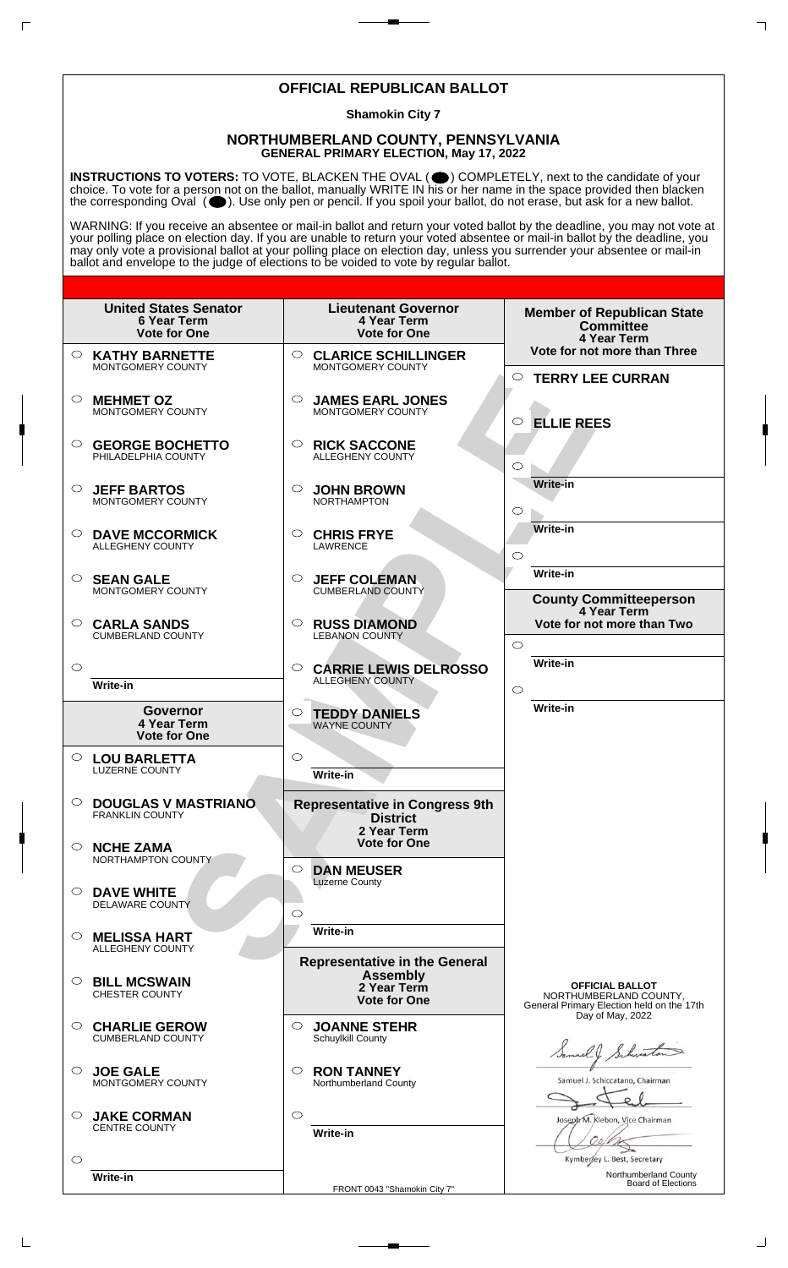**Shamokin City 7**

### **NORTHUMBERLAND COUNTY, PENNSYLVANIA GENERAL PRIMARY ELECTION, May 17, 2022**

**INSTRUCTIONS TO VOTERS:** TO VOTE, BLACKEN THE OVAL ( $\bigcirc$ ) COMPLETELY, next to the candidate of your choice. To vote for a person not on the ballot, manually WRITE IN his or her name in the space provided then blacken the corresponding Oval (  $\bigcirc$  ). Use only pen or pencil. If you spoil your ballot, do not erase, but ask for a new ballot.

WARNING: If you receive an absentee or mail-in ballot and return your voted ballot by the deadline, you may not vote at your polling place on election day. If you are unable to return your voted absentee or mail-in ballot by the deadline, you may only vote a provisional ballot at your polling place on election day, unless you surrender your absentee or mail-in ballot and envelope to the judge of elections to be voided to vote by regular ballot.

|                     | <b>United States Senator</b><br><b>6 Year Term</b><br><b>Vote for One</b> | <b>Lieutenant Governor</b><br>4 Year Term<br><b>Vote for One</b>        | <b>Member of Republican State</b><br><b>Committee</b><br>4 Year Term                          |
|---------------------|---------------------------------------------------------------------------|-------------------------------------------------------------------------|-----------------------------------------------------------------------------------------------|
|                     | $\circ$ KATHY BARNETTE<br>MONTGOMERY COUNTY                               | $\circ$<br><b>CLARICE SCHILLINGER</b><br>MONTGOMERY COUNTY              | Vote for not more than Three<br><b>TERRY LEE CURRAN</b><br>O                                  |
| $\circ$             | <b>MEHMET OZ</b><br>MONTGOMERY COUNTY                                     | $\circ$<br><b>JAMES EARL JONES</b><br>MONTGOMERY COUNTY                 | <b>ELLIE REES</b><br>$\circ$                                                                  |
| $\bigcirc$          | <b>GEORGE BOCHETTO</b><br>PHILADELPHIA COUNTY                             | <b>RICK SACCONE</b><br>$\circ$<br><b>ALLEGHENY COUNTY</b>               | $\circlearrowright$                                                                           |
| $\circ$             | <b>JEFF BARTOS</b><br>MONTGOMERY COUNTY                                   | $\circlearrowright$<br><b>JOHN BROWN</b><br><b>NORTHAMPTON</b>          | <b>Write-in</b><br>$\circ$                                                                    |
| $\circ$             | <b>DAVE MCCORMICK</b><br>ALLEGHENY COUNTY                                 | $\circ$<br><b>CHRIS FRYE</b><br>LAWRENCE                                | <b>Write-in</b><br>$\circ$                                                                    |
| $\circ$             | <b>SEAN GALE</b><br>MONTGOMERY COUNTY                                     | <b>JEFF COLEMAN</b><br>$\circ$<br><b>CUMBERLAND COUNTY</b>              | <b>Write-in</b><br><b>County Committeeperson</b><br>4 Year Term                               |
| $\circ$             | <b>CARLA SANDS</b><br><b>CUMBERLAND COUNTY</b>                            | <b>RUSS DIAMOND</b><br>$\circ$<br><b>LEBANON COUNTY</b>                 | Vote for not more than Two<br>$\circ$                                                         |
| $\circlearrowright$ | <b>Write-in</b>                                                           | <b>CARRIE LEWIS DELROSSO</b><br>$\circ$<br>ALLEGHENY COUNTY             | <b>Write-in</b><br>$\circ$                                                                    |
|                     | <b>Governor</b><br>4 Year Term<br><b>Vote for One</b>                     | O<br><b>TEDDY DANIELS</b><br><b>WAYNE COUNTY</b>                        | <b>Write-in</b>                                                                               |
|                     | $\circ$ LOU BARLETTA<br><b>LUZERNE COUNTY</b>                             | $\circ$<br><b>Write-in</b>                                              |                                                                                               |
| $\circ$             | <b>DOUGLAS V MASTRIANO</b><br><b>FRANKLIN COUNTY</b>                      | <b>Representative in Congress 9th</b><br><b>District</b><br>2 Year Term |                                                                                               |
|                     | $\circ$ NCHE ZAMA<br>NORTHAMPTON COUNTY                                   | <b>Vote for One</b><br>$\circ$<br><b>DAN MEUSER</b>                     |                                                                                               |
| O                   | <b>DAVE WHITE</b><br>DELAWARE COUNTY                                      | <b>Luzerne County</b><br>$\circ$                                        |                                                                                               |
| $\circ$             | <b>MELISSA HART</b><br><b>ALLEGHENY COUNTY</b>                            | Write-in<br><b>Representative in the General</b>                        |                                                                                               |
| O                   | <b>BILL MCSWAIN</b><br><b>CHESTER COUNTY</b>                              | <b>Assembly</b><br>2 Year Term<br><b>Vote for One</b>                   | <b>OFFICIAL BALLOT</b><br>NORTHUMBERLAND COUNTY,<br>General Primary Election held on the 17th |
| $\circ$             | <b>CHARLIE GEROW</b><br><b>CUMBERLAND COUNTY</b>                          | $\circ$<br><b>JOANNE STEHR</b><br>Schuylkill County                     | Day of May, 2022<br>muell Schweiten                                                           |
| $\circ$             | <b>JOE GALE</b><br>MONTGOMERY COUNTY                                      | $\circ$<br><b>RON TANNEY</b><br>Northumberland County                   | Samuel J. Schiccatano, Chairman                                                               |
| O                   | <b>JAKE CORMAN</b><br><b>CENTRE COUNTY</b>                                | $\circlearrowright$<br><b>Write-in</b>                                  | Joseph M. Klebon, Vice Chairman<br>004                                                        |
| $\circlearrowright$ |                                                                           |                                                                         | Kymberley L. Best, Secretary                                                                  |
|                     | <b>Write-in</b>                                                           | FRONT 0043 "Shamokin City 7"                                            | Northumberland County<br>Board of Elections                                                   |

÷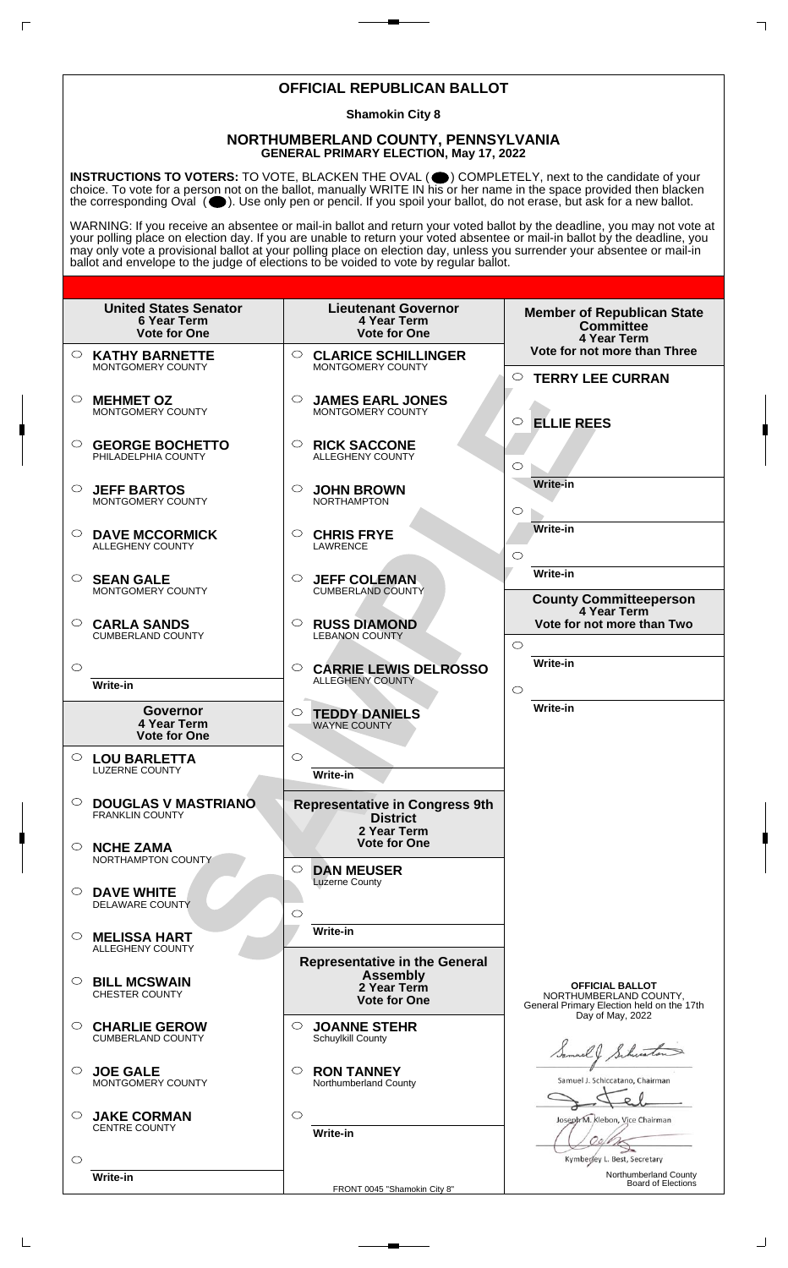**Shamokin City 8**

### **NORTHUMBERLAND COUNTY, PENNSYLVANIA GENERAL PRIMARY ELECTION, May 17, 2022**

**INSTRUCTIONS TO VOTERS:** TO VOTE, BLACKEN THE OVAL ( $\bigcirc$ ) COMPLETELY, next to the candidate of your choice. To vote for a person not on the ballot, manually WRITE IN his or her name in the space provided then blacken the corresponding Oval (  $\bigcirc$  ). Use only pen or pencil. If you spoil your ballot, do not erase, but ask for a new ballot.

WARNING: If you receive an absentee or mail-in ballot and return your voted ballot by the deadline, you may not vote at your polling place on election day. If you are unable to return your voted absentee or mail-in ballot by the deadline, you may only vote a provisional ballot at your polling place on election day, unless you surrender your absentee or mail-in ballot and envelope to the judge of elections to be voided to vote by regular ballot.

|                     | <b>United States Senator</b><br><b>6 Year Term</b><br><b>Vote for One</b> | <b>Lieutenant Governor</b><br>4 Year Term<br><b>Vote for One</b>        | <b>Member of Republican State</b><br><b>Committee</b><br>4 Year Term                          |
|---------------------|---------------------------------------------------------------------------|-------------------------------------------------------------------------|-----------------------------------------------------------------------------------------------|
|                     | $\circ$ KATHY BARNETTE<br>MONTGOMERY COUNTY                               | $\circ$<br><b>CLARICE SCHILLINGER</b><br>MONTGOMERY COUNTY              | Vote for not more than Three<br><b>TERRY LEE CURRAN</b><br>O                                  |
| $\circ$             | <b>MEHMET OZ</b><br>MONTGOMERY COUNTY                                     | $\circ$<br><b>JAMES EARL JONES</b><br>MONTGOMERY COUNTY                 | <b>ELLIE REES</b><br>$\circ$                                                                  |
| $\bigcirc$          | <b>GEORGE BOCHETTO</b><br>PHILADELPHIA COUNTY                             | <b>RICK SACCONE</b><br>$\circ$<br><b>ALLEGHENY COUNTY</b>               | $\circlearrowright$                                                                           |
| $\circ$             | <b>JEFF BARTOS</b><br>MONTGOMERY COUNTY                                   | $\circlearrowright$<br><b>JOHN BROWN</b><br><b>NORTHAMPTON</b>          | <b>Write-in</b><br>$\circ$                                                                    |
| $\circ$             | <b>DAVE MCCORMICK</b><br>ALLEGHENY COUNTY                                 | $\circ$<br><b>CHRIS FRYE</b><br>LAWRENCE                                | <b>Write-in</b><br>$\circ$                                                                    |
| $\circ$             | <b>SEAN GALE</b><br>MONTGOMERY COUNTY                                     | <b>JEFF COLEMAN</b><br>$\circ$<br><b>CUMBERLAND COUNTY</b>              | <b>Write-in</b><br><b>County Committeeperson</b><br>4 Year Term                               |
| $\circ$             | <b>CARLA SANDS</b><br><b>CUMBERLAND COUNTY</b>                            | <b>RUSS DIAMOND</b><br>$\circ$<br><b>LEBANON COUNTY</b>                 | Vote for not more than Two<br>$\circ$                                                         |
| $\circlearrowright$ | <b>Write-in</b>                                                           | <b>CARRIE LEWIS DELROSSO</b><br>$\circ$<br>ALLEGHENY COUNTY             | <b>Write-in</b><br>$\circ$                                                                    |
|                     | <b>Governor</b><br>4 Year Term<br><b>Vote for One</b>                     | O<br><b>TEDDY DANIELS</b><br><b>WAYNE COUNTY</b>                        | <b>Write-in</b>                                                                               |
|                     | $\circ$ LOU BARLETTA<br><b>LUZERNE COUNTY</b>                             | $\circ$<br><b>Write-in</b>                                              |                                                                                               |
| $\circ$             | <b>DOUGLAS V MASTRIANO</b><br><b>FRANKLIN COUNTY</b>                      | <b>Representative in Congress 9th</b><br><b>District</b><br>2 Year Term |                                                                                               |
|                     | $\circ$ NCHE ZAMA<br>NORTHAMPTON COUNTY                                   | <b>Vote for One</b><br>$\circ$<br><b>DAN MEUSER</b>                     |                                                                                               |
| O                   | <b>DAVE WHITE</b><br>DELAWARE COUNTY                                      | <b>Luzerne County</b><br>$\circ$                                        |                                                                                               |
| $\circ$             | <b>MELISSA HART</b><br><b>ALLEGHENY COUNTY</b>                            | Write-in<br><b>Representative in the General</b>                        |                                                                                               |
| O                   | <b>BILL MCSWAIN</b><br><b>CHESTER COUNTY</b>                              | <b>Assembly</b><br>2 Year Term<br><b>Vote for One</b>                   | <b>OFFICIAL BALLOT</b><br>NORTHUMBERLAND COUNTY,<br>General Primary Election held on the 17th |
| $\circ$             | <b>CHARLIE GEROW</b><br><b>CUMBERLAND COUNTY</b>                          | $\circ$<br><b>JOANNE STEHR</b><br>Schuylkill County                     | Day of May, 2022<br>muell Schweiten                                                           |
| $\circ$             | <b>JOE GALE</b><br>MONTGOMERY COUNTY                                      | $\circ$<br><b>RON TANNEY</b><br>Northumberland County                   | Samuel J. Schiccatano, Chairman                                                               |
| O                   | <b>JAKE CORMAN</b><br><b>CENTRE COUNTY</b>                                | $\circlearrowright$<br><b>Write-in</b>                                  | Joseph M. Klebon, Vice Chairman<br>004                                                        |
| $\circlearrowright$ |                                                                           |                                                                         | Kymberley L. Best, Secretary                                                                  |
|                     | <b>Write-in</b>                                                           | FRONT 0045 "Shamokin City 8"                                            | Northumberland County<br>Board of Elections                                                   |

÷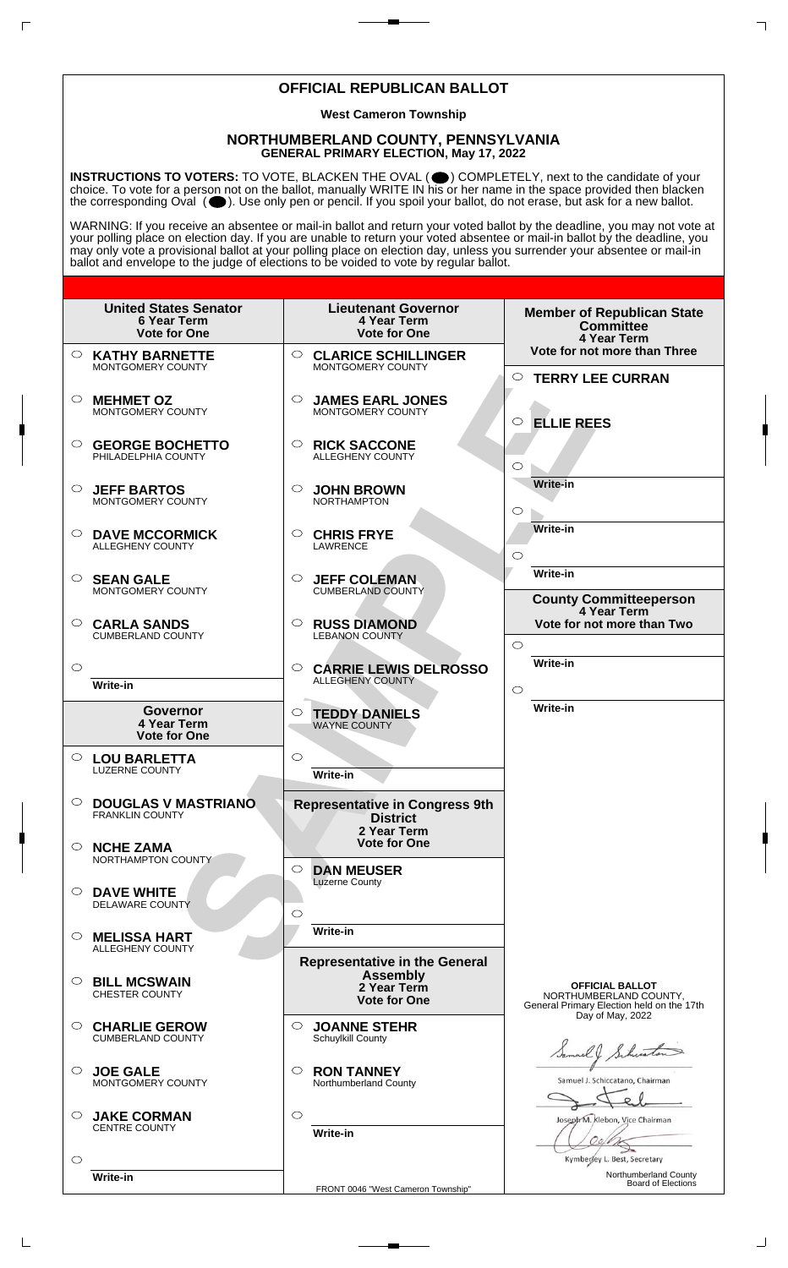**West Cameron Township**

## **NORTHUMBERLAND COUNTY, PENNSYLVANIA GENERAL PRIMARY ELECTION, May 17, 2022**

**INSTRUCTIONS TO VOTERS:** TO VOTE, BLACKEN THE OVAL ( $\bigcirc$ ) COMPLETELY, next to the candidate of your choice. To vote for a person not on the ballot, manually WRITE IN his or her name in the space provided then blacken the corresponding Oval (  $\bigcirc$  ). Use only pen or pencil. If you spoil your ballot, do not erase, but ask for a new ballot.

WARNING: If you receive an absentee or mail-in ballot and return your voted ballot by the deadline, you may not vote at your polling place on election day. If you are unable to return your voted absentee or mail-in ballot by the deadline, you may only vote a provisional ballot at your polling place on election day, unless you surrender your absentee or mail-in ballot and envelope to the judge of elections to be voided to vote by regular ballot.

| <b>United States Senator</b><br><b>6 Year Term</b><br><b>Vote for One</b> | <b>Lieutenant Governor</b><br>4 Year Term<br><b>Vote for One</b>        | <b>Member of Republican State</b><br><b>Committee</b><br>4 Year Term                          |
|---------------------------------------------------------------------------|-------------------------------------------------------------------------|-----------------------------------------------------------------------------------------------|
| <b>KATHY BARNETTE</b><br>MONTGOMERY COUNTY                                | $\circ$<br><b>CLARICE SCHILLINGER</b><br>MONTGOMERY COUNTY              | Vote for not more than Three<br>O<br><b>TERRY LEE CURRAN</b>                                  |
| $\circ$<br><b>MEHMET OZ</b><br>MONTGOMERY COUNTY                          | $\circ$<br><b>JAMES EARL JONES</b><br>MONTGOMERY COUNTY                 | <b>ELLIE REES</b><br>$\circ$                                                                  |
| $\circ$<br><b>GEORGE BOCHETTO</b><br>PHILADELPHIA COUNTY                  | <b>RICK SACCONE</b><br>$\circ$<br>ALLEGHENY COUNTY                      | $\circlearrowright$                                                                           |
| $\circ$<br><b>JEFF BARTOS</b><br>MONTGOMERY COUNTY                        | $\circ$<br><b>JOHN BROWN</b><br><b>NORTHAMPTON</b>                      | Write-in<br>$\circ$                                                                           |
| $\circ$ DAVE MCCORMICK<br><b>ALLEGHENY COUNTY</b>                         | $\circ$<br><b>CHRIS FRYE</b><br><b>LAWRENCE</b>                         | Write-in<br>$\circ$                                                                           |
| $\circ$<br><b>SEAN GALE</b><br>MONTGOMERY COUNTY                          | $\circ$<br><b>JEFF COLEMAN</b><br><b>CUMBERLAND COUNTY</b>              | <b>Write-in</b><br><b>County Committeeperson</b><br>4 Year Term                               |
| $\circ$<br><b>CARLA SANDS</b><br><b>CUMBERLAND COUNTY</b>                 | <b>RUSS DIAMOND</b><br>$\circ$<br><b>LEBANON COUNTY</b>                 | Vote for not more than Two<br>$\circ$                                                         |
| $\circlearrowright$<br>Write-in                                           | <b>CARRIE LEWIS DELROSSO</b><br>$\circ$<br><b>ALLEGHENY COUNTY</b>      | <b>Write-in</b><br>$\circ$                                                                    |
| <b>Governor</b><br>4 Year Term<br><b>Vote for One</b>                     | <b>TEDDY DANIELS</b><br>$\circ$<br><b>WAYNE COUNTY</b>                  | <b>Write-in</b>                                                                               |
| $\bigcirc$ .<br><b>LOU BARLETTA</b><br>LUZERNE COUNTY                     | $\circ$<br><b>Write-in</b>                                              |                                                                                               |
| <b>DOUGLAS V MASTRIANO</b><br>$\circ$<br><b>FRANKLIN COUNTY</b>           | <b>Representative in Congress 9th</b><br><b>District</b><br>2 Year Term |                                                                                               |
| $\circ$ NCHE ZAMA<br>NORTHAMPTON COUNTY                                   | <b>Vote for One</b><br>$\circlearrowright$<br><b>DAN MEUSER</b>         |                                                                                               |
| <b>DAVE WHITE</b><br>O<br><b>DELAWARE COUNTY</b>                          | <b>Luzerne County</b><br>$\circlearrowright$                            |                                                                                               |
| <b>MELISSA HART</b><br>O<br><b>ALLEGHENY COUNTY</b>                       | <b>Write-in</b><br><b>Representative in the General</b>                 |                                                                                               |
| $\circlearrowright$<br><b>BILL MCSWAIN</b><br>CHESTER COUNTY              | <b>Assembly</b><br>2 Year Term<br><b>Vote for One</b>                   | <b>OFFICIAL BALLOT</b><br>NORTHUMBERLAND COUNTY,<br>General Primary Election held on the 17th |
| $\circ$<br><b>CHARLIE GEROW</b><br><b>CUMBERLAND COUNTY</b>               | $\circ$<br><b>JOANNE STEHR</b><br>Schuylkill County                     | Day of May, 2022<br>well Schweiten                                                            |
| $\circlearrowright$<br><b>JOE GALE</b><br>MONTGOMERY COUNTY               | O<br><b>RON TANNEY</b><br>Northumberland County                         | Samuel J. Schiccatano, Chairman                                                               |
| <b>JAKE CORMAN</b><br>$\circ$<br><b>CENTRE COUNTY</b>                     | $\circ$<br><b>Write-in</b>                                              | Joseph M. Klebon, Vice Chairman<br>0010                                                       |
| $\circlearrowright$                                                       |                                                                         | Kymberley L. Best, Secretary                                                                  |
| Write-in                                                                  | FRONT 0046 "West Cameron Township"                                      | Northumberland County<br>Board of Elections                                                   |

للمسترد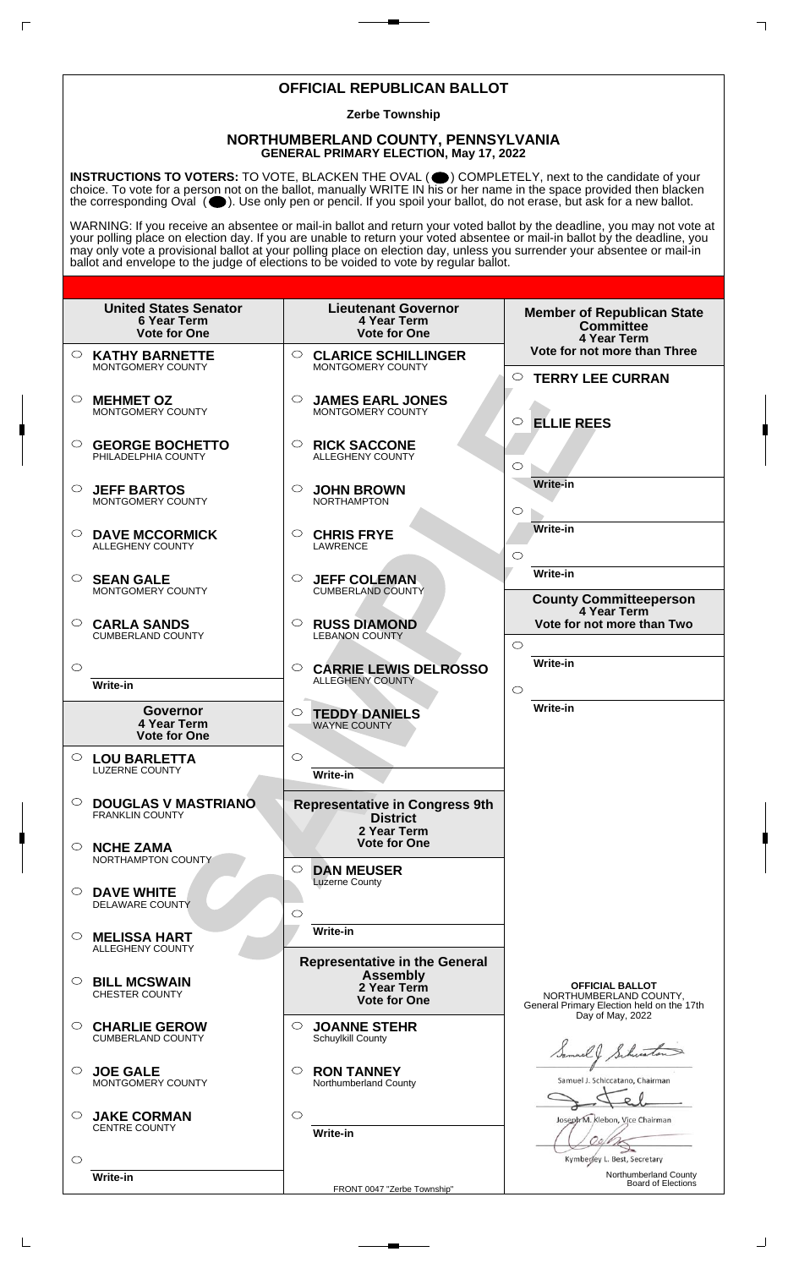$\Gamma$ 

 $\Box$ 

**Zerbe Township**

### **NORTHUMBERLAND COUNTY, PENNSYLVANIA GENERAL PRIMARY ELECTION, May 17, 2022**

**INSTRUCTIONS TO VOTERS:** TO VOTE, BLACKEN THE OVAL ( $\bigcirc$ ) COMPLETELY, next to the candidate of your choice. To vote for a person not on the ballot, manually WRITE IN his or her name in the space provided then blacken the corresponding Oval (  $\bigcirc$  ). Use only pen or pencil. If you spoil your ballot, do not erase, but ask for a new ballot.

WARNING: If you receive an absentee or mail-in ballot and return your voted ballot by the deadline, you may not vote at your polling place on election day. If you are unable to return your voted absentee or mail-in ballot by the deadline, you may only vote a provisional ballot at your polling place on election day, unless you surrender your absentee or mail-in ballot and envelope to the judge of elections to be voided to vote by regular ballot.

| <b>United States Senator</b><br><b>6 Year Term</b><br><b>Vote for One</b> | <b>Lieutenant Governor</b><br>4 Year Term<br><b>Vote for One</b>                               | <b>Member of Republican State</b><br><b>Committee</b><br>4 Year Term                                              |
|---------------------------------------------------------------------------|------------------------------------------------------------------------------------------------|-------------------------------------------------------------------------------------------------------------------|
| $\bigcirc$ .<br><b>KATHY BARNETTE</b><br>MONTGOMERY COUNTY                | $\circ$<br><b>CLARICE SCHILLINGER</b><br>MONTGOMERY COUNTY                                     | Vote for not more than Three<br><b>TERRY LEE CURRAN</b><br>$\circ$                                                |
| $\circ$<br><b>MEHMET OZ</b><br>MONTGOMERY COUNTY                          | <b>JAMES EARL JONES</b><br>O<br>MONTGOMERY COUNTY                                              | <b>ELLIE REES</b><br>$\circ$                                                                                      |
| $\circ$<br><b>GEORGE BOCHETTO</b><br>PHILADELPHIA COUNTY                  | <b>RICK SACCONE</b><br>$\circ$<br><b>ALLEGHENY COUNTY</b>                                      | $\circlearrowright$                                                                                               |
| $\circ$<br><b>JEFF BARTOS</b><br>MONTGOMERY COUNTY                        | $\circ$<br><b>JOHN BROWN</b><br><b>NORTHAMPTON</b>                                             | Write-in<br>$\circ$                                                                                               |
| $\circ$<br><b>DAVE MCCORMICK</b><br><b>ALLEGHENY COUNTY</b>               | <b>CHRIS FRYE</b><br>$\circ$<br><b>LAWRENCE</b>                                                | Write-in<br>$\circ$                                                                                               |
| $\circ$<br><b>SEAN GALE</b><br>MONTGOMERY COUNTY                          | $\circ$<br><b>JEFF COLEMAN</b><br><b>CUMBERLAND COUNTY</b>                                     | <b>Write-in</b>                                                                                                   |
| <b>CARLA SANDS</b><br>$\circ$<br><b>CUMBERLAND COUNTY</b>                 | <b>RUSS DIAMOND</b><br>$\circ$<br><b>LEBANON COUNTY</b>                                        | <b>County Committeeperson</b><br>4 Year Term<br>Vote for not more than Two<br>$\circ$                             |
| $\circlearrowright$<br>Write-in                                           | <b>CARRIE LEWIS DELROSSO</b><br>$\circ$<br>ALLEGHENY COUNTY                                    | <b>Write-in</b><br>$\circ$                                                                                        |
| <b>Governor</b><br>4 Year Term<br><b>Vote for One</b>                     | <b>TEDDY DANIELS</b><br>O<br><b>WAYNE COUNTY</b>                                               | Write-in                                                                                                          |
| $\circ$<br><b>LOU BARLETTA</b><br><b>LUZERNE COUNTY</b>                   | $\circ$<br><b>Write-in</b>                                                                     |                                                                                                                   |
| <b>DOUGLAS V MASTRIANO</b><br>$\circ$<br><b>FRANKLIN COUNTY</b>           | <b>Representative in Congress 9th</b><br><b>District</b><br>2 Year Term<br><b>Vote for One</b> |                                                                                                                   |
| $\circ$ NCHE ZAMA<br>NORTHAMPTON COUNTY                                   | $\circ$<br><b>DAN MEUSER</b><br><b>Luzerne County</b>                                          |                                                                                                                   |
| <b>DAVE WHITE</b><br>O<br><b>DELAWARE COUNTY</b>                          | $\circ$                                                                                        |                                                                                                                   |
| <b>MELISSA HART</b><br>O<br><b>ALLEGHENY COUNTY</b>                       | Write-in<br><b>Representative in the General</b>                                               |                                                                                                                   |
| $\circlearrowright$<br><b>BILL MCSWAIN</b><br><b>CHESTER COUNTY</b>       | <b>Assembly</b><br>2 Year Term<br><b>Vote for One</b>                                          | <b>OFFICIAL BALLOT</b><br>NORTHUMBERLAND COUNTY,<br>General Primary Election held on the 17th<br>Day of May, 2022 |
| $\circlearrowright$<br><b>CHARLIE GEROW</b><br><b>CUMBERLAND COUNTY</b>   | <b>JOANNE STEHR</b><br>O<br>Schuylkill County                                                  |                                                                                                                   |
| $\circlearrowright$<br><b>JOE GALE</b><br>MONTGOMERY COUNTY               | <b>RON TANNEY</b><br>O<br>Northumberland County                                                | Samuel J. Schiccatano, Chairman                                                                                   |
| <b>JAKE CORMAN</b><br>$\circlearrowright$<br><b>CENTRE COUNTY</b>         | $\circ$<br>Write-in                                                                            | Joseph M. Klebon, Vice Chairman<br>0010                                                                           |
| $\circlearrowright$<br>Write-in                                           | FRONT 0047 "Zerbe Township"                                                                    | Kymberley L. Best, Secretary<br>Northumberland County<br>Board of Elections                                       |
|                                                                           |                                                                                                |                                                                                                                   |

÷

 $\overline{\phantom{a}}$ 

 $\sqcup$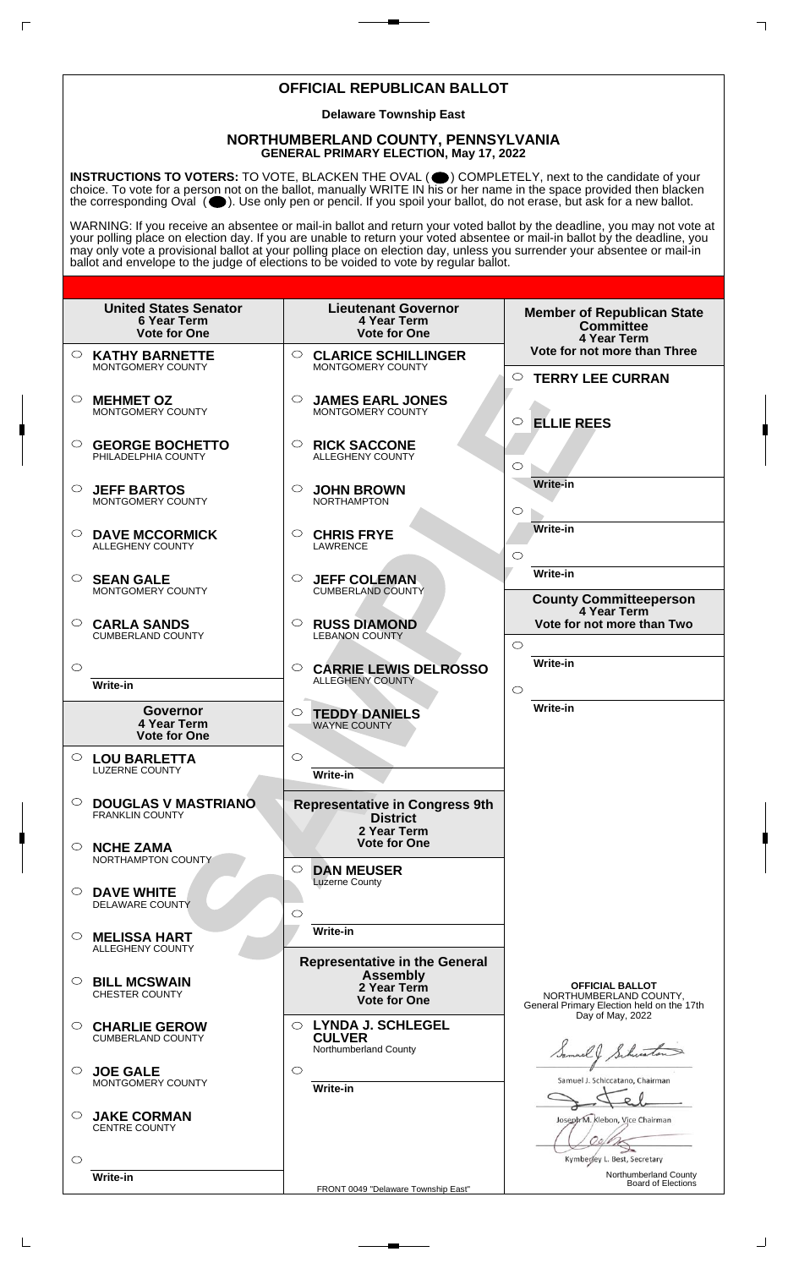**Delaware Township East**

## **NORTHUMBERLAND COUNTY, PENNSYLVANIA GENERAL PRIMARY ELECTION, May 17, 2022**

**INSTRUCTIONS TO VOTERS:** TO VOTE, BLACKEN THE OVAL ( $\bigcirc$ ) COMPLETELY, next to the candidate of your choice. To vote for a person not on the ballot, manually WRITE IN his or her name in the space provided then blacken the corresponding Oval (  $\bigcirc$  ). Use only pen or pencil. If you spoil your ballot, do not erase, but ask for a new ballot.

WARNING: If you receive an absentee or mail-in ballot and return your voted ballot by the deadline, you may not vote at your polling place on election day. If you are unable to return your voted absentee or mail-in ballot by the deadline, you may only vote a provisional ballot at your polling place on election day, unless you surrender your absentee or mail-in ballot and envelope to the judge of elections to be voided to vote by regular ballot.

| <b>United States Senator</b><br><b>6 Year Term</b><br><b>Vote for One</b> | <b>Lieutenant Governor</b><br>4 Year Term<br><b>Vote for One</b>              | <b>Member of Republican State</b><br><b>Committee</b><br>4 Year Term                          |
|---------------------------------------------------------------------------|-------------------------------------------------------------------------------|-----------------------------------------------------------------------------------------------|
| $\circ$ KATHY BARNETTE<br>MONTGOMERY COUNTY                               | $\circ$<br><b>CLARICE SCHILLINGER</b><br>MONTGOMERY COUNTY                    | Vote for not more than Three<br><b>TERRY LEE CURRAN</b><br>O                                  |
| $\circ$<br><b>MEHMET OZ</b><br>MONTGOMERY COUNTY                          | <b>JAMES EARL JONES</b><br>O<br><b>MONTGOMERY COUNTY</b>                      | <b>ELLIE REES</b><br>$\circ$                                                                  |
| $\bigcirc$<br><b>GEORGE BOCHETTO</b><br>PHILADELPHIA COUNTY               | <b>RICK SACCONE</b><br>$\circ$<br><b>ALLEGHENY COUNTY</b>                     | $\circ$                                                                                       |
| $\circ$<br><b>JEFF BARTOS</b><br>MONTGOMERY COUNTY                        | $\circ$<br><b>JOHN BROWN</b><br><b>NORTHAMPTON</b>                            | Write-in<br>$\circ$                                                                           |
| O DAVE MCCORMICK<br><b>ALLEGHENY COUNTY</b>                               | $\circ$<br><b>CHRIS FRYE</b><br><b>LAWRENCE</b>                               | <b>Write-in</b><br>$\circ$                                                                    |
| $\circ$<br><b>SEAN GALE</b><br>MONTGOMERY COUNTY                          | $\circ$<br><b>JEFF COLEMAN</b><br><b>CUMBERLAND COUNTY</b>                    | <b>Write-in</b>                                                                               |
| <b>CARLA SANDS</b><br>$\circ$<br><b>CUMBERLAND COUNTY</b>                 | <b>RUSS DIAMOND</b><br>$\circ$<br><b>LEBANON COUNTY</b>                       | <b>County Committeeperson</b><br>4 Year Term<br>Vote for not more than Two<br>$\circ$         |
| $\circlearrowright$<br><b>Write-in</b>                                    | <b>CARRIE LEWIS DELROSSO</b><br>$\circ$<br>ALLEGHENY COUNTY                   | <b>Write-in</b><br>$\circ$                                                                    |
| <b>Governor</b><br>4 Year Term<br><b>Vote for One</b>                     | <b>TEDDY DANIELS</b><br>$\circ$<br><b>WAYNE COUNTY</b>                        | <b>Write-in</b>                                                                               |
| $\circ$ LOU BARLETTA<br><b>LUZERNE COUNTY</b>                             | $\circ$<br><b>Write-in</b>                                                    |                                                                                               |
| <b>DOUGLAS V MASTRIANO</b><br>$\circ$<br><b>FRANKLIN COUNTY</b>           | <b>Representative in Congress 9th</b><br><b>District</b><br>2 Year Term       |                                                                                               |
| $\circ$ NCHE ZAMA<br>NORTHAMPTON COUNTY                                   | <b>Vote for One</b><br>$\circ$<br><b>DAN MEUSER</b>                           |                                                                                               |
| <b>DAVE WHITE</b><br>O<br><b>DELAWARE COUNTY</b>                          | <b>Luzerne County</b><br>$\circ$                                              |                                                                                               |
| <b>MELISSA HART</b><br>O<br><b>ALLEGHENY COUNTY</b>                       | Write-in<br><b>Representative in the General</b>                              |                                                                                               |
| $\circ$<br><b>BILL MCSWAIN</b><br><b>CHESTER COUNTY</b>                   | <b>Assembly</b><br>2 Year Term<br><b>Vote for One</b>                         | <b>OFFICIAL BALLOT</b><br>NORTHUMBERLAND COUNTY,<br>General Primary Election held on the 17th |
| $\circ$<br><b>CHARLIE GEROW</b><br><b>CUMBERLAND COUNTY</b>               | <b>LYNDA J. SCHLEGEL</b><br>$\circ$<br><b>CULVER</b><br>Northumberland County | Day of May, 2022                                                                              |
| $\circ$<br><b>JOE GALE</b><br>MONTGOMERY COUNTY                           | $\circlearrowright$<br><b>Write-in</b>                                        | Samuel J. Schiccatano, Chairman                                                               |
| <b>JAKE CORMAN</b><br>$\circ$<br><b>CENTRE COUNTY</b>                     |                                                                               | Joseph M. Klebon, Vice Chairman<br>00.0                                                       |
| $\circlearrowright$                                                       |                                                                               | Kymberley L. Best, Secretary                                                                  |
| Write-in                                                                  | FRONT 0049 "Delaware Township East"                                           | Northumberland County<br>Board of Elections                                                   |

للمسترد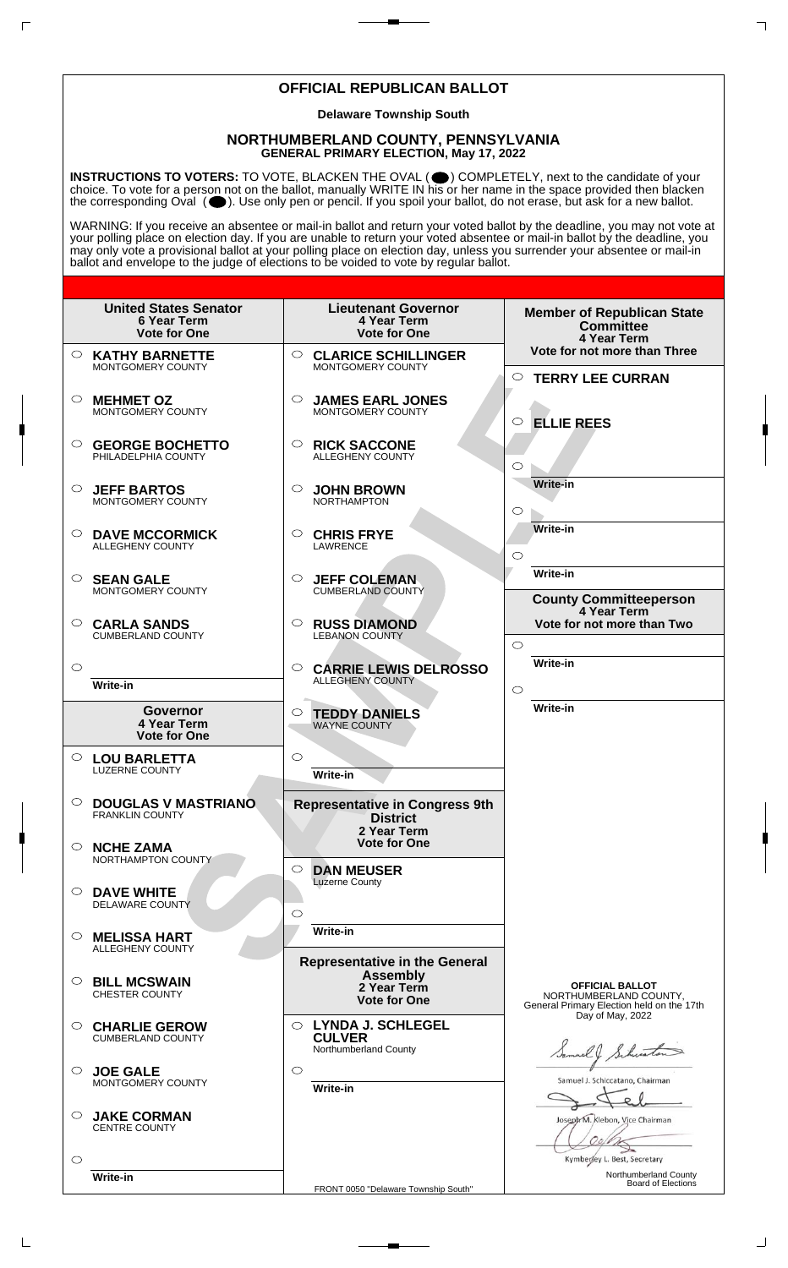$\Gamma$ 

 $\Box$ 

**Delaware Township South**

## **NORTHUMBERLAND COUNTY, PENNSYLVANIA GENERAL PRIMARY ELECTION, May 17, 2022**

**INSTRUCTIONS TO VOTERS:** TO VOTE, BLACKEN THE OVAL ( $\bigcirc$ ) COMPLETELY, next to the candidate of your choice. To vote for a person not on the ballot, manually WRITE IN his or her name in the space provided then blacken the corresponding Oval (  $\bigcirc$  ). Use only pen or pencil. If you spoil your ballot, do not erase, but ask for a new ballot.

WARNING: If you receive an absentee or mail-in ballot and return your voted ballot by the deadline, you may not vote at your polling place on election day. If you are unable to return your voted absentee or mail-in ballot by the deadline, you may only vote a provisional ballot at your polling place on election day, unless you surrender your absentee or mail-in ballot and envelope to the judge of elections to be voided to vote by regular ballot.

|                     | <b>United States Senator</b><br>6 Year Term<br><b>Vote for One</b> | <b>Lieutenant Governor</b><br>4 Year Term<br><b>Vote for One</b>              | <b>Member of Republican State</b><br><b>Committee</b><br>4 Year Term                          |
|---------------------|--------------------------------------------------------------------|-------------------------------------------------------------------------------|-----------------------------------------------------------------------------------------------|
|                     | $\circ$ KATHY BARNETTE<br>MONTGOMERY COUNTY                        | $\circ$<br><b>CLARICE SCHILLINGER</b><br>MONTGOMERY COUNTY                    | Vote for not more than Three<br><b>TERRY LEE CURRAN</b><br>O                                  |
| $\circ$             | <b>MEHMET OZ</b><br>MONTGOMERY COUNTY                              | $\circ$<br><b>JAMES EARL JONES</b><br>MONTGOMERY COUNTY                       | <b>ELLIE REES</b><br>$\circ$                                                                  |
| $\circ$             | <b>GEORGE BOCHETTO</b><br>PHILADELPHIA COUNTY                      | <b>RICK SACCONE</b><br>$\circ$<br>ALLEGHENY COUNTY                            | $\circ$                                                                                       |
| $\circ$             | <b>JEFF BARTOS</b><br>MONTGOMERY COUNTY                            | $\circ$<br><b>JOHN BROWN</b><br><b>NORTHAMPTON</b>                            | Write-in<br>$\circ$                                                                           |
| $\circ$             | <b>DAVE MCCORMICK</b><br><b>ALLEGHENY COUNTY</b>                   | <b>CHRIS FRYE</b><br>$\circ$<br><b>LAWRENCE</b>                               | <b>Write-in</b><br>$\circ$                                                                    |
| $\circ$             | <b>SEAN GALE</b><br>MONTGOMERY COUNTY                              | $\circ$<br><b>JEFF COLEMAN</b><br><b>CUMBERLAND COUNTY</b>                    | <b>Write-in</b><br><b>County Committeeperson</b><br>4 Year Term                               |
| $\circ$             | <b>CARLA SANDS</b><br><b>CUMBERLAND COUNTY</b>                     | <b>RUSS DIAMOND</b><br>$\circ$<br><b>LEBANON COUNTY</b>                       | Vote for not more than Two<br>$\circ$                                                         |
| $\circlearrowright$ | <b>Write-in</b>                                                    | <b>CARRIE LEWIS DELROSSO</b><br>$\circ$<br><b>ALLEGHENY COUNTY</b>            | Write-in<br>$\circ$                                                                           |
|                     | <b>Governor</b><br>4 Year Term<br><b>Vote for One</b>              | <b>TEDDY DANIELS</b><br>O<br><b>WAYNE COUNTY</b>                              | Write-in                                                                                      |
|                     | $\circ$ LOU BARLETTA<br>LUZERNE COUNTY                             | $\circ$<br><b>Write-in</b>                                                    |                                                                                               |
| $\circ$             | <b>DOUGLAS V MASTRIANO</b><br><b>FRANKLIN COUNTY</b>               | <b>Representative in Congress 9th</b><br><b>District</b><br>2 Year Term       |                                                                                               |
|                     | <b>NCHE ZAMA</b><br>NORTHAMPTON COUNTY                             | <b>Vote for One</b><br>$\circ$<br><b>DAN MEUSER</b>                           |                                                                                               |
| O                   | <b>DAVE WHITE</b><br>DELAWARE COUNTY                               | <b>Luzerne County</b><br>$\circ$                                              |                                                                                               |
| O                   | <b>MELISSA HART</b><br><b>ALLEGHENY COUNTY</b>                     | Write-in<br><b>Representative in the General</b>                              |                                                                                               |
| $\circlearrowright$ | <b>BILL MCSWAIN</b><br><b>CHESTER COUNTY</b>                       | <b>Assembly</b><br>2 Year Term<br><b>Vote for One</b>                         | <b>OFFICIAL BALLOT</b><br>NORTHUMBERLAND COUNTY,<br>General Primary Election held on the 17th |
| $\circlearrowright$ | <b>CHARLIE GEROW</b><br><b>CUMBERLAND COUNTY</b>                   | <b>LYNDA J. SCHLEGEL</b><br>$\circ$<br><b>CULVER</b><br>Northumberland County | Day of May, 2022                                                                              |
| $\circlearrowright$ | <b>JOE GALE</b><br>MONTGOMERY COUNTY                               | $\circlearrowright$<br><b>Write-in</b>                                        | Samuel J. Schiccatano, Chairman                                                               |
| $\circlearrowright$ | <b>JAKE CORMAN</b><br><b>CENTRE COUNTY</b>                         |                                                                               | Joseph M. Klebon, Vice Chairman<br>0010                                                       |
| $\circlearrowright$ |                                                                    |                                                                               | Kymberley L. Best, Secretary                                                                  |
|                     | <b>Write-in</b>                                                    | FRONT 0050 "Delaware Township South"                                          | Northumberland County<br>Board of Elections                                                   |

للمسترد

 $\sqcup$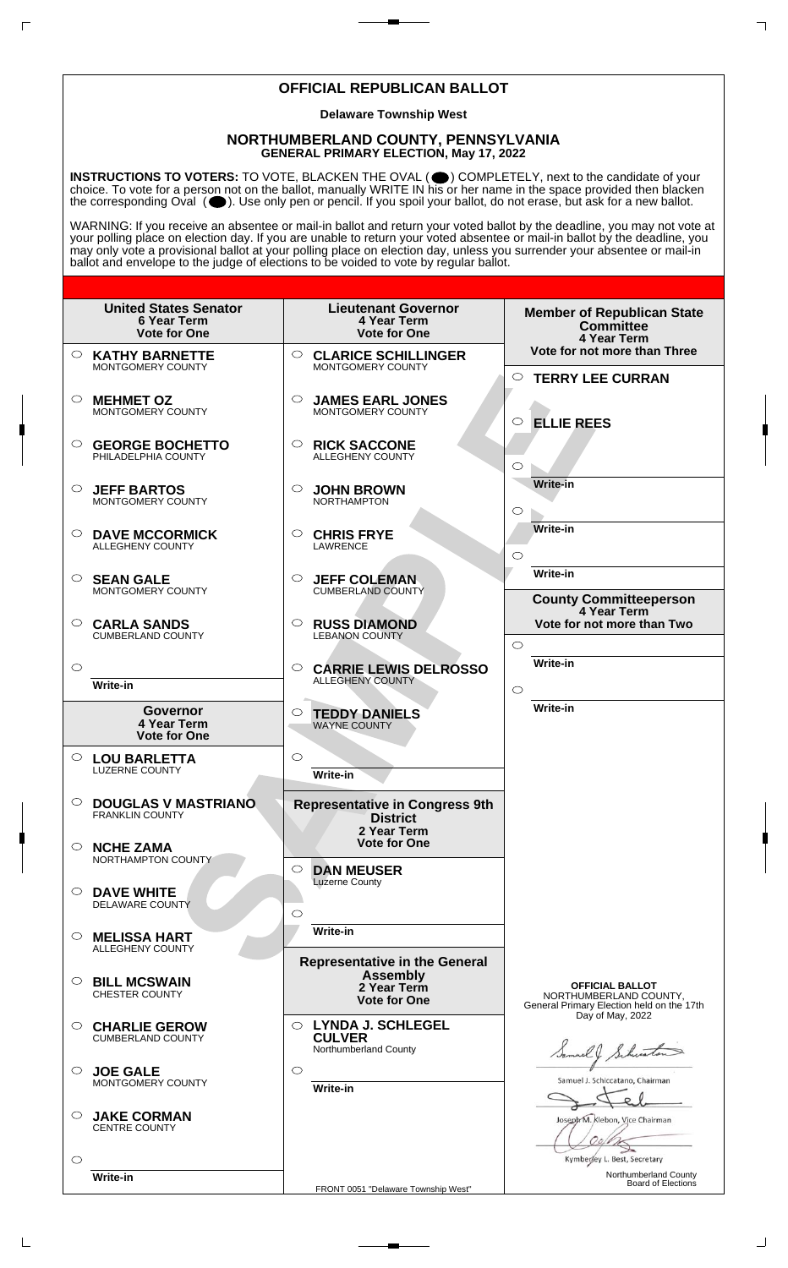**Delaware Township West**

### **NORTHUMBERLAND COUNTY, PENNSYLVANIA GENERAL PRIMARY ELECTION, May 17, 2022**

**INSTRUCTIONS TO VOTERS:** TO VOTE, BLACKEN THE OVAL ( $\bigcirc$ ) COMPLETELY, next to the candidate of your choice. To vote for a person not on the ballot, manually WRITE IN his or her name in the space provided then blacken the corresponding Oval (  $\bigcirc$  ). Use only pen or pencil. If you spoil your ballot, do not erase, but ask for a new ballot.

WARNING: If you receive an absentee or mail-in ballot and return your voted ballot by the deadline, you may not vote at your polling place on election day. If you are unable to return your voted absentee or mail-in ballot by the deadline, you may only vote a provisional ballot at your polling place on election day, unless you surrender your absentee or mail-in ballot and envelope to the judge of elections to be voided to vote by regular ballot.

|                     | <b>United States Senator</b><br><b>6 Year Term</b><br><b>Vote for One</b> | <b>Lieutenant Governor</b><br>4 Year Term<br><b>Vote for One</b>                         | <b>Member of Republican State</b><br><b>Committee</b><br>4 Year Term                          |
|---------------------|---------------------------------------------------------------------------|------------------------------------------------------------------------------------------|-----------------------------------------------------------------------------------------------|
| $\circ$ .           | <b>KATHY BARNETTE</b><br>MONTGOMERY COUNTY                                | $\circ$<br><b>CLARICE SCHILLINGER</b><br>MONTGOMERY COUNTY                               | Vote for not more than Three<br>$\circ$<br><b>TERRY LEE CURRAN</b>                            |
| $\circ$             | <b>MEHMET OZ</b><br>MONTGOMERY COUNTY                                     | O<br><b>JAMES EARL JONES</b><br>MONTGOMERY COUNTY                                        | <b>ELLIE REES</b><br>$\circ$                                                                  |
| $\circ$             | <b>GEORGE BOCHETTO</b><br>PHILADELPHIA COUNTY                             | <b>RICK SACCONE</b><br>$\circ$<br><b>ALLEGHENY COUNTY</b>                                | $\circlearrowright$                                                                           |
| $\circ$             | <b>JEFF BARTOS</b><br>MONTGOMERY COUNTY                                   | $\circ$<br><b>JOHN BROWN</b><br><b>NORTHAMPTON</b>                                       | Write-in<br>$\circ$                                                                           |
| $\circ$             | <b>DAVE MCCORMICK</b><br><b>ALLEGHENY COUNTY</b>                          | $\circ$<br><b>CHRIS FRYE</b><br><b>LAWRENCE</b>                                          | <b>Write-in</b><br>$\circ$                                                                    |
| $\circ$             | <b>SEAN GALE</b><br>MONTGOMERY COUNTY                                     | $\circ$<br><b>JEFF COLEMAN</b><br><b>CUMBERLAND COUNTY</b>                               | <b>Write-in</b><br><b>County Committeeperson</b><br>4 Year Term                               |
| $\circ$             | <b>CARLA SANDS</b><br><b>CUMBERLAND COUNTY</b>                            | <b>RUSS DIAMOND</b><br>$\circ$<br><b>LEBANON COUNTY</b>                                  | Vote for not more than Two<br>$\circ$                                                         |
| $\circlearrowright$ | <b>Write-in</b>                                                           | <b>CARRIE LEWIS DELROSSO</b><br>$\circ$<br>ALLEGHENY COUNTY                              | <b>Write-in</b><br>$\circ$                                                                    |
|                     | <b>Governor</b><br>4 Year Term<br><b>Vote for One</b>                     | <b>TEDDY DANIELS</b><br>$\circ$<br><b>WAYNE COUNTY</b>                                   | <b>Write-in</b>                                                                               |
|                     | $\circ$ LOU BARLETTA<br><b>LUZERNE COUNTY</b>                             | $\circ$<br><b>Write-in</b>                                                               |                                                                                               |
| $\circ$             | <b>DOUGLAS V MASTRIANO</b><br><b>FRANKLIN COUNTY</b>                      | <b>Representative in Congress 9th</b><br><b>District</b><br>2 Year Term                  |                                                                                               |
|                     | $\circ$ NCHE ZAMA<br>NORTHAMPTON COUNTY                                   | <b>Vote for One</b><br>$\circlearrowright$<br><b>DAN MEUSER</b><br><b>Luzerne County</b> |                                                                                               |
| O                   | <b>DAVE WHITE</b><br><b>DELAWARE COUNTY</b>                               | $\circ$                                                                                  |                                                                                               |
| O                   | <b>MELISSA HART</b><br><b>ALLEGHENY COUNTY</b>                            | Write-in<br><b>Representative in the General</b>                                         |                                                                                               |
| $\circlearrowright$ | <b>BILL MCSWAIN</b><br><b>CHESTER COUNTY</b>                              | <b>Assembly</b><br>2 Year Term<br><b>Vote for One</b>                                    | <b>OFFICIAL BALLOT</b><br>NORTHUMBERLAND COUNTY,<br>General Primary Election held on the 17th |
| $\circ$             | <b>CHARLIE GEROW</b><br><b>CUMBERLAND COUNTY</b>                          | <b>LYNDA J. SCHLEGEL</b><br>$\circ$<br><b>CULVER</b><br>Northumberland County            | Day of May, 2022<br>nell Shunter                                                              |
| $\circlearrowright$ | <b>JOE GALE</b><br>MONTGOMERY COUNTY                                      | $\circlearrowright$<br><b>Write-in</b>                                                   | Samuel J. Schiccatano, Chairman                                                               |
| $\circlearrowright$ | <b>JAKE CORMAN</b><br><b>CENTRE COUNTY</b>                                |                                                                                          | Joseph M. Klebon, Vice Chairman<br>0010                                                       |
| $\circlearrowright$ |                                                                           |                                                                                          | Kymberley L. Best, Secretary                                                                  |
|                     | <b>Write-in</b>                                                           | FRONT 0051 "Delaware Township West"                                                      | Northumberland County<br>Board of Elections                                                   |

للمسار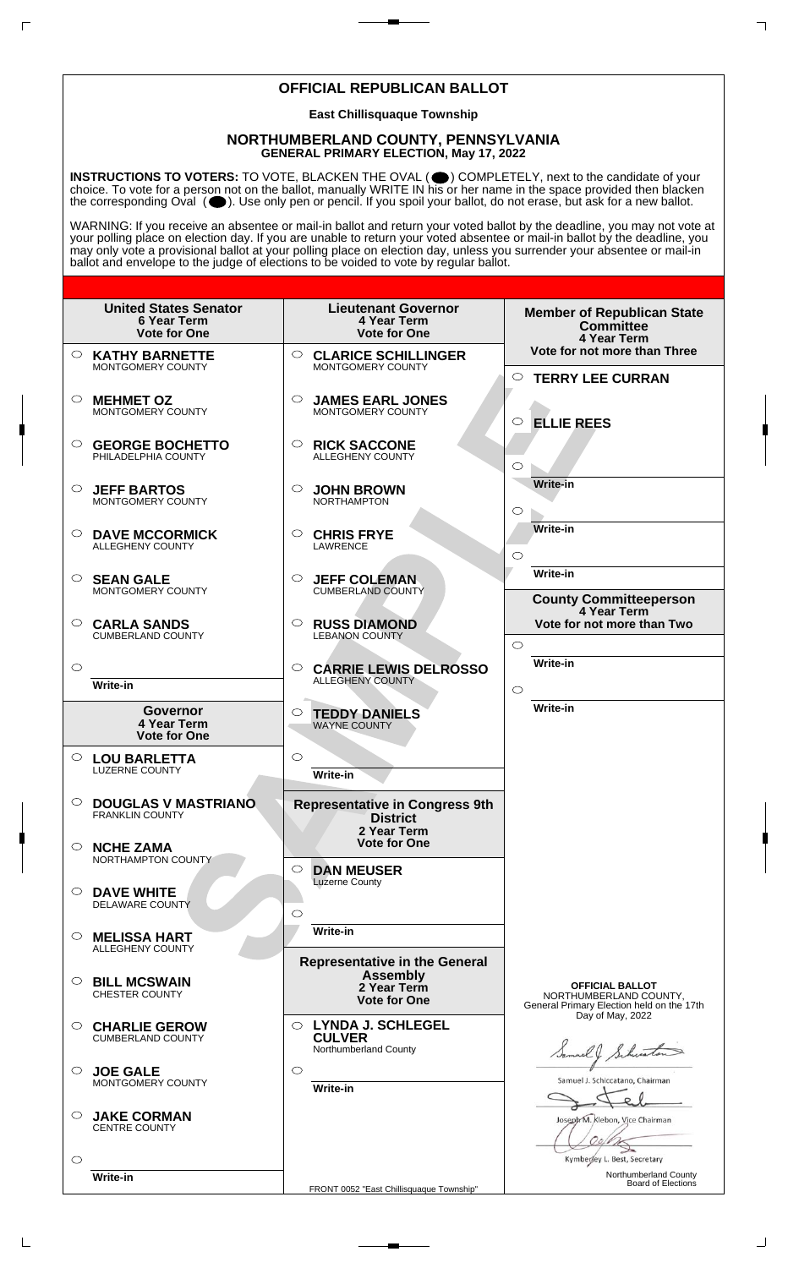**East Chillisquaque Township**

## **NORTHUMBERLAND COUNTY, PENNSYLVANIA GENERAL PRIMARY ELECTION, May 17, 2022**

**INSTRUCTIONS TO VOTERS:** TO VOTE, BLACKEN THE OVAL ( $\bigcirc$ ) COMPLETELY, next to the candidate of your choice. To vote for a person not on the ballot, manually WRITE IN his or her name in the space provided then blacken the corresponding Oval (  $\bigcirc$  ). Use only pen or pencil. If you spoil your ballot, do not erase, but ask for a new ballot.

WARNING: If you receive an absentee or mail-in ballot and return your voted ballot by the deadline, you may not vote at your polling place on election day. If you are unable to return your voted absentee or mail-in ballot by the deadline, you may only vote a provisional ballot at your polling place on election day, unless you surrender your absentee or mail-in ballot and envelope to the judge of elections to be voided to vote by regular ballot.

|                     | <b>United States Senator</b><br><b>6 Year Term</b><br><b>Vote for One</b> | <b>Lieutenant Governor</b><br>4 Year Term<br><b>Vote for One</b>                 | <b>Member of Republican State</b><br>Committee<br>4 Year Term                                 |
|---------------------|---------------------------------------------------------------------------|----------------------------------------------------------------------------------|-----------------------------------------------------------------------------------------------|
|                     | $\circ$ KATHY BARNETTE<br>MONTGOMERY COUNTY                               | $\circ$<br><b>CLARICE SCHILLINGER</b><br>MONTGOMERY COUNTY                       | Vote for not more than Three<br><b>TERRY LEE CURRAN</b><br>$\circ$                            |
| $\circ$             | <b>MEHMET OZ</b><br>MONTGOMERY COUNTY                                     | <b>JAMES EARL JONES</b><br>O<br>MONTGOMERY COUNTY                                | <b>ELLIE REES</b><br>$\circ$                                                                  |
| $\circ$             | <b>GEORGE BOCHETTO</b><br>PHILADELPHIA COUNTY                             | <b>RICK SACCONE</b><br>$\circ$<br>ALLEGHENY COUNTY                               | $\circ$                                                                                       |
| $\circ$             | <b>JEFF BARTOS</b><br><b>MONTGOMERY COUNTY</b>                            | $\circ$<br><b>JOHN BROWN</b><br><b>NORTHAMPTON</b>                               | Write-in<br>$\circ$                                                                           |
| $\circ$             | <b>DAVE MCCORMICK</b><br>ALLEGHENY COUNTY                                 | <b>CHRIS FRYE</b><br>O<br>LAWRENCE                                               | <b>Write-in</b><br>$\circ$                                                                    |
| $\circ$             | <b>SEAN GALE</b><br>MONTGOMERY COUNTY                                     | $\circ$<br><b>JEFF COLEMAN</b><br><b>CUMBERLAND COUNTY</b>                       | <b>Write-in</b><br><b>County Committeeperson</b><br>4 Year Term                               |
| $\circ$             | <b>CARLA SANDS</b><br><b>CUMBERLAND COUNTY</b>                            | <b>RUSS DIAMOND</b><br>$\circ$<br><b>LEBANON COUNTY</b>                          | Vote for not more than Two<br>$\circ$                                                         |
| $\circlearrowright$ | Write-in                                                                  | <b>CARRIE LEWIS DELROSSO</b><br>$\circ$<br><b>ALLEGHENY COUNTY</b>               | <b>Write-in</b><br>$\circ$                                                                    |
|                     | <b>Governor</b><br>4 Year Term<br><b>Vote for One</b>                     | <b>TEDDY DANIELS</b><br>O<br><b>WAYNE COUNTY</b>                                 | <b>Write-in</b>                                                                               |
|                     | $\circ$ LOU BARLETTA<br><b>LUZERNE COUNTY</b>                             | $\circ$<br><b>Write-in</b>                                                       |                                                                                               |
| $\circ$             | <b>DOUGLAS V MASTRIANO</b><br><b>FRANKLIN COUNTY</b>                      | <b>Representative in Congress 9th</b><br><b>District</b><br>2 Year Term          |                                                                                               |
|                     | $\circ$ NCHE ZAMA<br>NORTHAMPTON COUNTY                                   | <b>Vote for One</b><br>$\circ$<br><b>DAN MEUSER</b>                              |                                                                                               |
| O                   | <b>DAVE WHITE</b><br>DELAWARE COUNTY                                      | <b>Luzerne County</b><br>$\circ$                                                 |                                                                                               |
| $\circ$             | <b>MELISSA HART</b><br><b>ALLEGHENY COUNTY</b>                            | Write-in<br><b>Representative in the General</b>                                 |                                                                                               |
| O                   | <b>BILL MCSWAIN</b><br><b>CHESTER COUNTY</b>                              | <b>Assembly</b><br>2 Year Term<br><b>Vote for One</b>                            | <b>OFFICIAL BALLOT</b><br>NORTHUMBERLAND COUNTY,<br>General Primary Election held on the 17th |
| $\circ$             | <b>CHARLIE GEROW</b><br><b>CUMBERLAND COUNTY</b>                          | <b>LYNDA J. SCHLEGEL</b><br>$\bigcirc$<br><b>CULVER</b><br>Northumberland County | Day of May, 2022<br>muell Schwarts                                                            |
| $\circlearrowright$ | <b>JOE GALE</b><br>MONTGOMERY COUNTY                                      | $\circ$<br><b>Write-in</b>                                                       | Samuel J. Schiccatano, Chairman                                                               |
| O                   | <b>JAKE CORMAN</b><br><b>CENTRE COUNTY</b>                                |                                                                                  | Joseph M. Klebon, Vice Chairman<br>001                                                        |
| $\circlearrowright$ |                                                                           |                                                                                  | Kymberley L. Best, Secretary                                                                  |
|                     | <b>Write-in</b>                                                           | FRONT 0052 "East Chillisquaque Township"                                         | Northumberland County<br>Board of Elections                                                   |

للمسار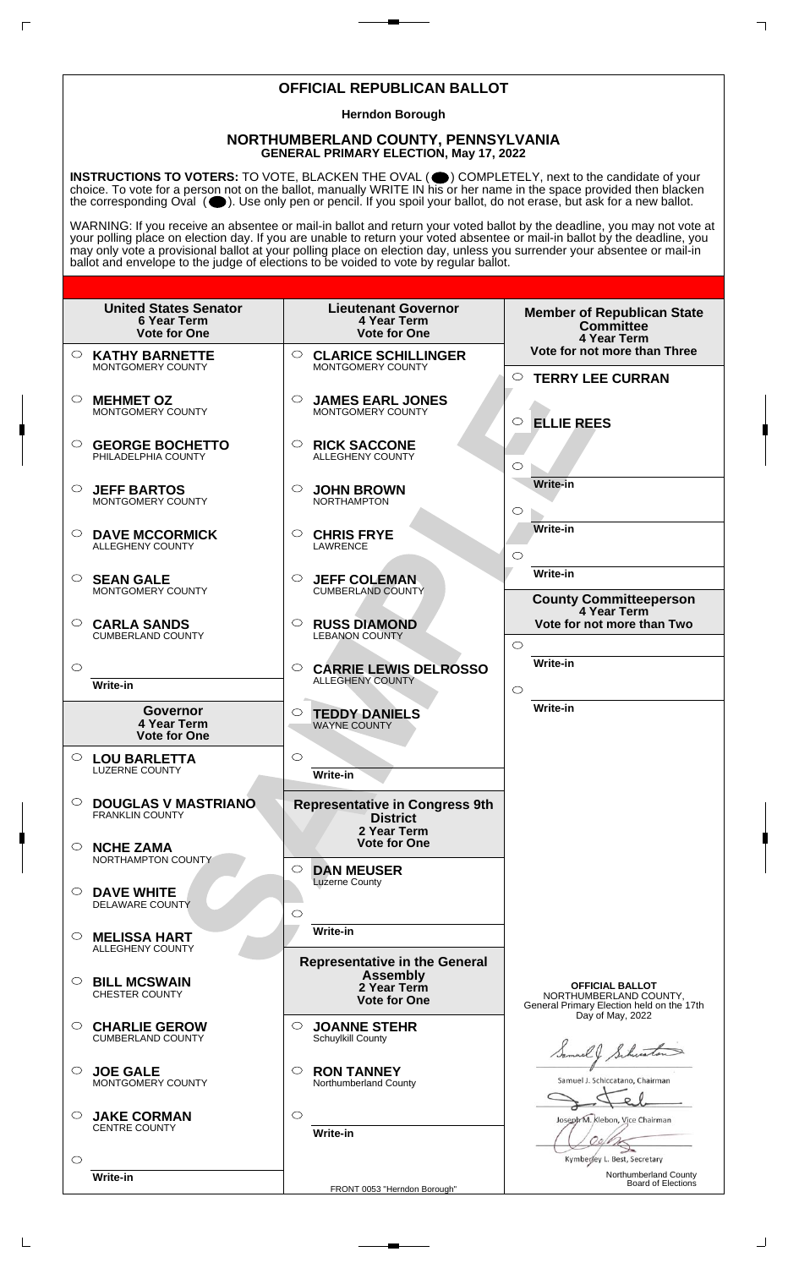**Herndon Borough**

### **NORTHUMBERLAND COUNTY, PENNSYLVANIA GENERAL PRIMARY ELECTION, May 17, 2022**

**INSTRUCTIONS TO VOTERS:** TO VOTE, BLACKEN THE OVAL ( $\bigcirc$ ) COMPLETELY, next to the candidate of your choice. To vote for a person not on the ballot, manually WRITE IN his or her name in the space provided then blacken the corresponding Oval (  $\bigcirc$  ). Use only pen or pencil. If you spoil your ballot, do not erase, but ask for a new ballot.

WARNING: If you receive an absentee or mail-in ballot and return your voted ballot by the deadline, you may not vote at your polling place on election day. If you are unable to return your voted absentee or mail-in ballot by the deadline, you may only vote a provisional ballot at your polling place on election day, unless you surrender your absentee or mail-in ballot and envelope to the judge of elections to be voided to vote by regular ballot.

| <b>United States Senator</b><br><b>6 Year Term</b><br><b>Vote for One</b> | <b>Lieutenant Governor</b><br>4 Year Term<br><b>Vote for One</b>        | <b>Member of Republican State</b><br><b>Committee</b><br>4 Year Term                          |
|---------------------------------------------------------------------------|-------------------------------------------------------------------------|-----------------------------------------------------------------------------------------------|
| $\circ$<br><b>KATHY BARNETTE</b><br>MONTGOMERY COUNTY                     | $\circ$<br><b>CLARICE SCHILLINGER</b><br>MONTGOMERY COUNTY              | Vote for not more than Three<br>O<br><b>TERRY LEE CURRAN</b>                                  |
| $\circ$<br><b>MEHMET OZ</b><br>MONTGOMERY COUNTY                          | O<br><b>JAMES EARL JONES</b><br>MONTGOMERY COUNTY                       | <b>ELLIE REES</b><br>$\circ$                                                                  |
| $\circ$<br><b>GEORGE BOCHETTO</b><br>PHILADELPHIA COUNTY                  | <b>RICK SACCONE</b><br>$\circ$<br>ALLEGHENY COUNTY                      | $\circlearrowright$                                                                           |
| $\circ$<br><b>JEFF BARTOS</b><br><b>MONTGOMERY COUNTY</b>                 | $\circ$<br><b>JOHN BROWN</b><br><b>NORTHAMPTON</b>                      | <b>Write-in</b><br>$\circ$                                                                    |
| $\circ$<br><b>DAVE MCCORMICK</b><br>ALLEGHENY COUNTY                      | <b>CHRIS FRYE</b><br>O<br><b>LAWRENCE</b>                               | <b>Write-in</b><br>$\circ$                                                                    |
| $\circ$<br><b>SEAN GALE</b><br>MONTGOMERY COUNTY                          | $\circ$<br><b>JEFF COLEMAN</b><br><b>CUMBERLAND COUNTY</b>              | <b>Write-in</b><br><b>County Committeeperson</b><br>4 Year Term                               |
| $\circ$<br><b>CARLA SANDS</b><br><b>CUMBERLAND COUNTY</b>                 | <b>RUSS DIAMOND</b><br>$\circ$<br><b>LEBANON COUNTY</b>                 | Vote for not more than Two<br>$\circ$                                                         |
| $\circ$<br><b>Write-in</b>                                                | <b>CARRIE LEWIS DELROSSO</b><br>$\circ$<br><b>ALLEGHENY COUNTY</b>      | <b>Write-in</b><br>$\circ$                                                                    |
| <b>Governor</b><br>4 Year Term<br><b>Vote for One</b>                     | <b>TEDDY DANIELS</b><br>O<br><b>WAYNE COUNTY</b>                        | <b>Write-in</b>                                                                               |
| $\circ$ LOU BARLETTA<br><b>LUZERNE COUNTY</b>                             | $\circ$<br><b>Write-in</b>                                              |                                                                                               |
| $\circ$<br><b>DOUGLAS V MASTRIANO</b><br><b>FRANKLIN COUNTY</b>           | <b>Representative in Congress 9th</b><br><b>District</b><br>2 Year Term |                                                                                               |
| $\circ$ NCHE ZAMA<br>NORTHAMPTON COUNTY                                   | <b>Vote for One</b><br>$\circ$<br><b>DAN MEUSER</b>                     |                                                                                               |
| <b>DAVE WHITE</b><br>$\circ$<br>DELAWARE COUNTY                           | <b>Luzerne County</b><br>$\circ$                                        |                                                                                               |
| <b>MELISSA HART</b><br>$\circ$<br><b>ALLEGHENY COUNTY</b>                 | Write-in<br><b>Representative in the General</b>                        |                                                                                               |
| <b>BILL MCSWAIN</b><br>$\circ$<br>CHESTER COUNTY                          | <b>Assembly</b><br>2 Year Term<br><b>Vote for One</b>                   | <b>OFFICIAL BALLOT</b><br>NORTHUMBERLAND COUNTY,<br>General Primary Election held on the 17th |
| $\circ$<br><b>CHARLIE GEROW</b><br><b>CUMBERLAND COUNTY</b>               | $\circ$<br><b>JOANNE STEHR</b><br>Schuylkill County                     | Day of May, 2022<br>muell Schweiten                                                           |
| $\circ$<br><b>JOE GALE</b><br>MONTGOMERY COUNTY                           | <b>RON TANNEY</b><br>$\circ$<br>Northumberland County                   | Samuel J. Schiccatano, Chairman                                                               |
| <b>JAKE CORMAN</b><br>$\circ$<br><b>CENTRE COUNTY</b>                     | $\circlearrowright$<br><b>Write-in</b>                                  | Joseph M. Klebon, Vice Chairman<br>004                                                        |
| $\circlearrowright$                                                       |                                                                         | Kymberley L. Best, Secretary                                                                  |
| <b>Write-in</b>                                                           | FRONT 0053 "Herndon Borough"                                            | Northumberland County<br>Board of Elections                                                   |

÷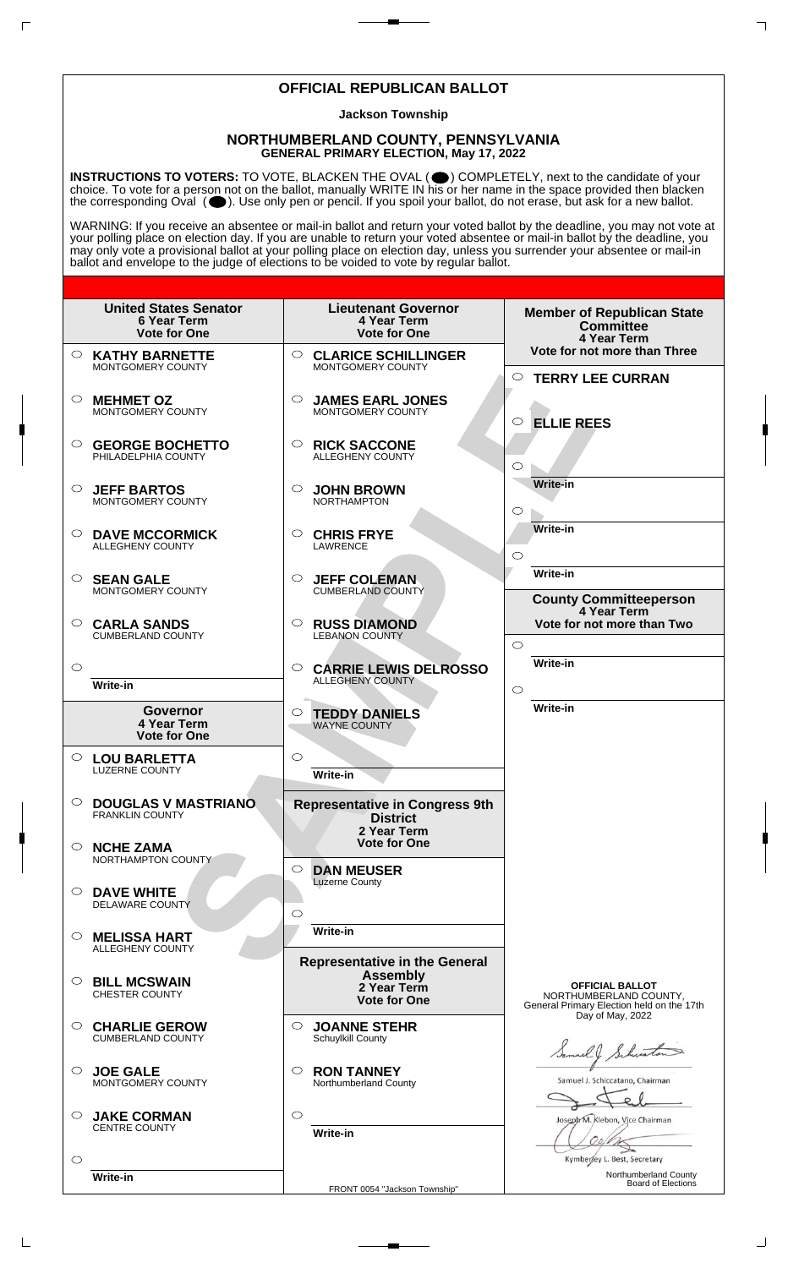**Jackson Township**

### **NORTHUMBERLAND COUNTY, PENNSYLVANIA GENERAL PRIMARY ELECTION, May 17, 2022**

**INSTRUCTIONS TO VOTERS:** TO VOTE, BLACKEN THE OVAL ( $\bigcirc$ ) COMPLETELY, next to the candidate of your choice. To vote for a person not on the ballot, manually WRITE IN his or her name in the space provided then blacken the corresponding Oval (  $\bigcirc$  ). Use only pen or pencil. If you spoil your ballot, do not erase, but ask for a new ballot.

WARNING: If you receive an absentee or mail-in ballot and return your voted ballot by the deadline, you may not vote at your polling place on election day. If you are unable to return your voted absentee or mail-in ballot by the deadline, you may only vote a provisional ballot at your polling place on election day, unless you surrender your absentee or mail-in ballot and envelope to the judge of elections to be voided to vote by regular ballot.

|                     | <b>United States Senator</b><br><b>6 Year Term</b><br><b>Vote for One</b> | <b>Lieutenant Governor</b><br>4 Year Term<br><b>Vote for One</b>        | <b>Member of Republican State</b><br><b>Committee</b><br>4 Year Term                          |
|---------------------|---------------------------------------------------------------------------|-------------------------------------------------------------------------|-----------------------------------------------------------------------------------------------|
|                     | <b>KATHY BARNETTE</b><br>MONTGOMERY COUNTY                                | $\circ$<br><b>CLARICE SCHILLINGER</b><br>MONTGOMERY COUNTY              | Vote for not more than Three<br><b>TERRY LEE CURRAN</b><br>$\circ$                            |
| $\circ$             | <b>MEHMET OZ</b><br>MONTGOMERY COUNTY                                     | $\circ$<br><b>JAMES EARL JONES</b><br>MONTGOMERY COUNTY                 | <b>ELLIE REES</b><br>$\circ$                                                                  |
|                     | <b>GEORGE BOCHETTO</b><br>PHILADELPHIA COUNTY                             | <b>RICK SACCONE</b><br>$\circ$<br>ALLEGHENY COUNTY                      | $\circlearrowright$                                                                           |
| $\circ$             | <b>JEFF BARTOS</b><br>MONTGOMERY COUNTY                                   | $\circ$<br><b>JOHN BROWN</b><br><b>NORTHAMPTON</b>                      | Write-in<br>$\circ$                                                                           |
|                     | O DAVE MCCORMICK<br><b>ALLEGHENY COUNTY</b>                               | $\circ$<br><b>CHRIS FRYE</b><br>LAWRENCE                                | <b>Write-in</b><br>$\circ$                                                                    |
| $\circ$             | <b>SEAN GALE</b><br>MONTGOMERY COUNTY                                     | <b>JEFF COLEMAN</b><br>$\circ$<br><b>CUMBERLAND COUNTY</b>              | <b>Write-in</b><br><b>County Committeeperson</b><br>4 Year Term                               |
| $\circ$             | <b>CARLA SANDS</b><br><b>CUMBERLAND COUNTY</b>                            | <b>RUSS DIAMOND</b><br>$\circ$<br><b>LEBANON COUNTY</b>                 | Vote for not more than Two<br>$\circ$                                                         |
| $\circlearrowright$ | Write-in                                                                  | <b>CARRIE LEWIS DELROSSO</b><br>$\circ$<br>ALLEGHENY COUNTY             | <b>Write-in</b><br>$\circ$                                                                    |
|                     | <b>Governor</b><br>4 Year Term<br><b>Vote for One</b>                     | <b>TEDDY DANIELS</b><br>$\circ$<br><b>WAYNE COUNTY</b>                  | <b>Write-in</b>                                                                               |
|                     | $\circ$ LOU BARLETTA<br><b>LUZERNE COUNTY</b>                             | $\circ$<br><b>Write-in</b>                                              |                                                                                               |
| $\circ$             | <b>DOUGLAS V MASTRIANO</b><br><b>FRANKLIN COUNTY</b>                      | <b>Representative in Congress 9th</b><br><b>District</b><br>2 Year Term |                                                                                               |
|                     | $\circ$ NCHE ZAMA<br>NORTHAMPTON COUNTY                                   | <b>Vote for One</b><br>$\circlearrowright$<br><b>DAN MEUSER</b>         |                                                                                               |
| O                   | <b>DAVE WHITE</b><br><b>DELAWARE COUNTY</b>                               | <b>Luzerne County</b><br>$\circlearrowright$                            |                                                                                               |
| O                   | <b>MELISSA HART</b><br><b>ALLEGHENY COUNTY</b>                            | <b>Write-in</b><br><b>Representative in the General</b>                 |                                                                                               |
| O                   | <b>BILL MCSWAIN</b><br><b>CHESTER COUNTY</b>                              | <b>Assembly</b><br>2 Year Term<br><b>Vote for One</b>                   | <b>OFFICIAL BALLOT</b><br>NORTHUMBERLAND COUNTY,<br>General Primary Election held on the 17th |
| $\circ$             | <b>CHARLIE GEROW</b><br><b>CUMBERLAND COUNTY</b>                          | <b>JOANNE STEHR</b><br>$\circ$<br>Schuylkill County                     | Day of May, 2022<br>well Schwater                                                             |
| $\circ$             | <b>JOE GALE</b><br>MONTGOMERY COUNTY                                      | <b>RON TANNEY</b><br>O<br>Northumberland County                         | Samuel J. Schiccatano, Chairman                                                               |
| $\circ$             | <b>JAKE CORMAN</b><br><b>CENTRE COUNTY</b>                                | $\circlearrowright$<br><b>Write-in</b>                                  | Joseph M. Klebon, Vice Chairman<br>0010                                                       |
| $\circlearrowright$ |                                                                           |                                                                         | Kymberley L. Best, Secretary                                                                  |
|                     | <b>Write-in</b>                                                           | FRONT 0054 "Jackson Township"                                           | Northumberland County<br>Board of Elections                                                   |

÷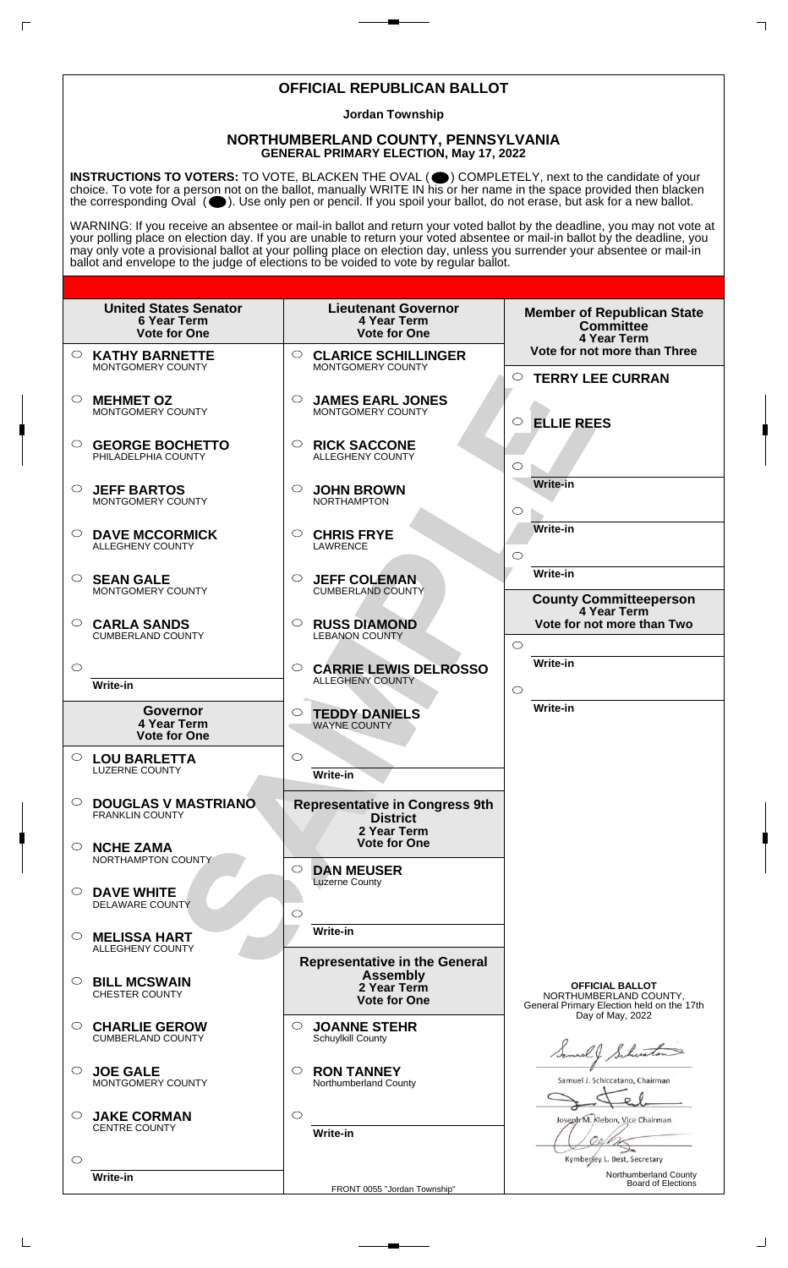**Jordan Township**

## **NORTHUMBERLAND COUNTY, PENNSYLVANIA GENERAL PRIMARY ELECTION, May 17, 2022**

**INSTRUCTIONS TO VOTERS:** TO VOTE, BLACKEN THE OVAL ( $\bigcirc$ ) COMPLETELY, next to the candidate of your choice. To vote for a person not on the ballot, manually WRITE IN his or her name in the space provided then blacken the corresponding Oval (  $\bigcirc$  ). Use only pen or pencil. If you spoil your ballot, do not erase, but ask for a new ballot.

WARNING: If you receive an absentee or mail-in ballot and return your voted ballot by the deadline, you may not vote at your polling place on election day. If you are unable to return your voted absentee or mail-in ballot by the deadline, you may only vote a provisional ballot at your polling place on election day, unless you surrender your absentee or mail-in ballot and envelope to the judge of elections to be voided to vote by regular ballot.

| <b>United States Senator</b><br><b>6 Year Term</b><br><b>Vote for One</b> | <b>Lieutenant Governor</b><br>4 Year Term<br><b>Vote for One</b>             | <b>Member of Republican State</b><br><b>Committee</b><br>4 Year Term                                              |
|---------------------------------------------------------------------------|------------------------------------------------------------------------------|-------------------------------------------------------------------------------------------------------------------|
| $\circ$ KATHY BARNETTE<br>MONTGOMERY COUNTY                               | $\circ$<br><b>CLARICE SCHILLINGER</b><br><b>MONTGOMERY COUNTY</b>            | Vote for not more than Three<br><b>TERRY LEE CURRAN</b><br>O                                                      |
| $\circ$<br><b>MEHMET OZ</b><br>MONTGOMERY COUNTY                          | $\circ$<br><b>JAMES EARL JONES</b><br>MONTGOMERY COUNTY                      | <b>ELLIE REES</b><br>$\circ$                                                                                      |
| $\bigcirc$<br><b>GEORGE BOCHETTO</b><br>PHILADELPHIA COUNTY               | <b>RICK SACCONE</b><br>$\circ$<br>ALLEGHENY COUNTY                           | $\circlearrowright$                                                                                               |
| $\circ$<br><b>JEFF BARTOS</b><br><b>MONTGOMERY COUNTY</b>                 | $\circ$<br><b>JOHN BROWN</b><br><b>NORTHAMPTON</b>                           | <b>Write-in</b><br>$\circ$                                                                                        |
| $\circ$<br><b>DAVE MCCORMICK</b><br><b>ALLEGHENY COUNTY</b>               | $\circ$<br><b>CHRIS FRYE</b><br><b>LAWRENCE</b>                              | <b>Write-in</b><br>$\circ$                                                                                        |
| $\circ$<br><b>SEAN GALE</b><br>MONTGOMERY COUNTY                          | $\circ$<br><b>JEFF COLEMAN</b><br><b>CUMBERLAND COUNTY</b>                   | <b>Write-in</b><br><b>County Committeeperson</b><br>4 Year Term                                                   |
| $\circ$<br><b>CARLA SANDS</b><br><b>CUMBERLAND COUNTY</b>                 | <b>RUSS DIAMOND</b><br>$\circ$<br><b>LEBANON COUNTY</b>                      | Vote for not more than Two<br>$\circ$                                                                             |
| $\circlearrowright$<br><b>Write-in</b>                                    | <b>CARRIE LEWIS DELROSSO</b><br>$\circ$<br>ALLEGHENY COUNTY                  | <b>Write-in</b><br>$\circ$                                                                                        |
| <b>Governor</b><br>4 Year Term<br><b>Vote for One</b>                     | <b>TEDDY DANIELS</b><br>O<br><b>WAYNE COUNTY</b>                             | <b>Write-in</b>                                                                                                   |
| $\circ$ LOU BARLETTA<br>LUZERNE COUNTY                                    | $\circ$<br><b>Write-in</b>                                                   |                                                                                                                   |
| $\circ$<br><b>DOUGLAS V MASTRIANO</b><br><b>FRANKLIN COUNTY</b>           | <b>Representative in Congress 9th</b><br><b>District</b><br>2 Year Term      |                                                                                                                   |
| $\circ$ NCHE ZAMA<br>NORTHAMPTON COUNTY                                   | <b>Vote for One</b><br>$\circ$<br><b>DAN MEUSER</b><br><b>Luzerne County</b> |                                                                                                                   |
| <b>DAVE WHITE</b><br>O<br><b>DELAWARE COUNTY</b>                          | $\circ$                                                                      |                                                                                                                   |
| <b>MELISSA HART</b><br>$\circ$<br><b>ALLEGHENY COUNTY</b>                 | <b>Write-in</b><br><b>Representative in the General</b>                      |                                                                                                                   |
| <b>BILL MCSWAIN</b><br>O<br><b>CHESTER COUNTY</b>                         | <b>Assembly</b><br>2 Year Term<br><b>Vote for One</b>                        | <b>OFFICIAL BALLOT</b><br>NORTHUMBERLAND COUNTY,<br>General Primary Election held on the 17th<br>Day of May, 2022 |
| <b>CHARLIE GEROW</b><br>O<br><b>CUMBERLAND COUNTY</b>                     | <b>JOANNE STEHR</b><br>O<br>Schuylkill County                                | muell Schwarter                                                                                                   |
| $\circlearrowright$<br><b>JOE GALE</b><br>MONTGOMERY COUNTY               | <b>RON TANNEY</b><br>$\circ$<br>Northumberland County                        | Samuel J. Schiccatano, Chairman                                                                                   |
| <b>JAKE CORMAN</b><br>O<br><b>CENTRE COUNTY</b>                           | $\circ$<br><b>Write-in</b>                                                   | Joseph M. Klebon, Vice Chairman<br>001                                                                            |
| $\circlearrowright$<br>Write-in                                           |                                                                              | Kymberley L. Best, Secretary<br>Northumberland County<br>Board of Elections                                       |
|                                                                           | FRONT 0055 "Jordan Township"                                                 |                                                                                                                   |

÷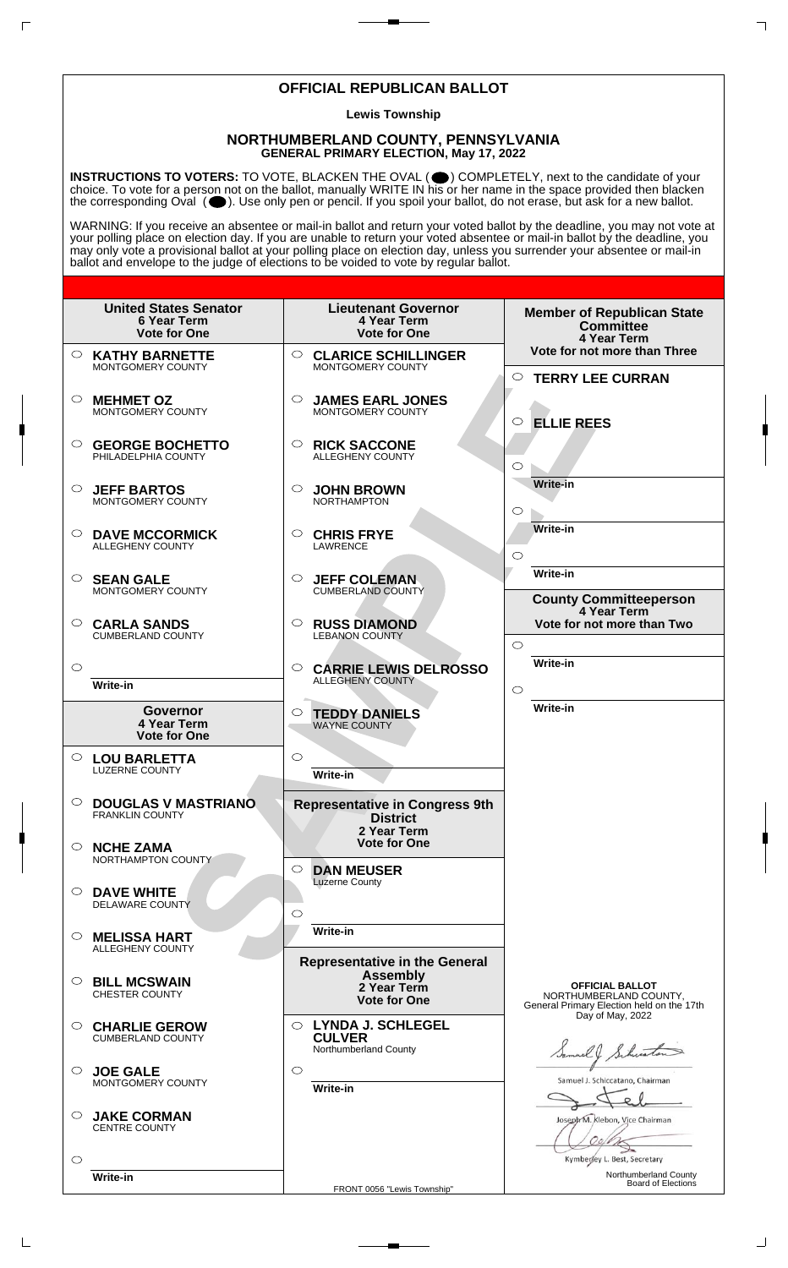$\Gamma$ 

 $\Box$ 

**Lewis Township**

### **NORTHUMBERLAND COUNTY, PENNSYLVANIA GENERAL PRIMARY ELECTION, May 17, 2022**

**INSTRUCTIONS TO VOTERS:** TO VOTE, BLACKEN THE OVAL ( $\bigcirc$ ) COMPLETELY, next to the candidate of your choice. To vote for a person not on the ballot, manually WRITE IN his or her name in the space provided then blacken the corresponding Oval (  $\bigcirc$  ). Use only pen or pencil. If you spoil your ballot, do not erase, but ask for a new ballot.

WARNING: If you receive an absentee or mail-in ballot and return your voted ballot by the deadline, you may not vote at your polling place on election day. If you are unable to return your voted absentee or mail-in ballot by the deadline, you may only vote a provisional ballot at your polling place on election day, unless you surrender your absentee or mail-in ballot and envelope to the judge of elections to be voided to vote by regular ballot.

|                     | <b>United States Senator</b><br><b>6 Year Term</b><br><b>Vote for One</b> | <b>Lieutenant Governor</b><br>4 Year Term<br><b>Vote for One</b>              | <b>Member of Republican State</b><br><b>Committee</b><br>4 Year Term                          |
|---------------------|---------------------------------------------------------------------------|-------------------------------------------------------------------------------|-----------------------------------------------------------------------------------------------|
| $\bigcirc$ .        | <b>KATHY BARNETTE</b><br>MONTGOMERY COUNTY                                | $\circ$<br><b>CLARICE SCHILLINGER</b><br>MONTGOMERY COUNTY                    | Vote for not more than Three<br><b>TERRY LEE CURRAN</b><br>$\circ$                            |
| $\circ$             | <b>MEHMET OZ</b><br>MONTGOMERY COUNTY                                     | <b>JAMES EARL JONES</b><br>O<br>MONTGOMERY COUNTY                             | <b>ELLIE REES</b><br>$\circ$                                                                  |
| $\circ$             | <b>GEORGE BOCHETTO</b><br>PHILADELPHIA COUNTY                             | <b>RICK SACCONE</b><br>$\circ$<br><b>ALLEGHENY COUNTY</b>                     | $\circlearrowright$                                                                           |
| $\circ$             | <b>JEFF BARTOS</b><br>MONTGOMERY COUNTY                                   | $\circ$<br><b>JOHN BROWN</b><br><b>NORTHAMPTON</b>                            | Write-in<br>$\circ$                                                                           |
| $\circ$             | <b>DAVE MCCORMICK</b><br><b>ALLEGHENY COUNTY</b>                          | <b>CHRIS FRYE</b><br>$\circ$<br><b>LAWRENCE</b>                               | Write-in<br>$\circ$                                                                           |
| $\circ$             | <b>SEAN GALE</b><br>MONTGOMERY COUNTY                                     | $\circ$<br><b>JEFF COLEMAN</b><br><b>CUMBERLAND COUNTY</b>                    | <b>Write-in</b><br><b>County Committeeperson</b><br>4 Year Term                               |
| $\circ$             | <b>CARLA SANDS</b><br><b>CUMBERLAND COUNTY</b>                            | <b>RUSS DIAMOND</b><br>$\circ$<br><b>LEBANON COUNTY</b>                       | Vote for not more than Two<br>$\circ$                                                         |
| $\circlearrowright$ | Write-in                                                                  | <b>CARRIE LEWIS DELROSSO</b><br>$\circ$<br>ALLEGHENY COUNTY                   | <b>Write-in</b><br>$\circ$                                                                    |
|                     | <b>Governor</b><br>4 Year Term<br><b>Vote for One</b>                     | <b>TEDDY DANIELS</b><br>O<br><b>WAYNE COUNTY</b>                              | Write-in                                                                                      |
| $\circ$             | <b>LOU BARLETTA</b><br><b>LUZERNE COUNTY</b>                              | $\circ$<br><b>Write-in</b>                                                    |                                                                                               |
| $\circ$             | <b>DOUGLAS V MASTRIANO</b><br><b>FRANKLIN COUNTY</b>                      | <b>Representative in Congress 9th</b><br><b>District</b><br>2 Year Term       |                                                                                               |
|                     | $\circ$ NCHE ZAMA<br>NORTHAMPTON COUNTY                                   | <b>Vote for One</b><br>$\circ$<br><b>DAN MEUSER</b>                           |                                                                                               |
| O                   | <b>DAVE WHITE</b><br><b>DELAWARE COUNTY</b>                               | <b>Luzerne County</b><br>$\circ$                                              |                                                                                               |
| O                   | <b>MELISSA HART</b><br><b>ALLEGHENY COUNTY</b>                            | Write-in<br><b>Representative in the General</b>                              |                                                                                               |
| $\circlearrowright$ | <b>BILL MCSWAIN</b><br><b>CHESTER COUNTY</b>                              | <b>Assembly</b><br>2 Year Term<br><b>Vote for One</b>                         | <b>OFFICIAL BALLOT</b><br>NORTHUMBERLAND COUNTY,<br>General Primary Election held on the 17th |
| $\circlearrowright$ | <b>CHARLIE GEROW</b><br><b>CUMBERLAND COUNTY</b>                          | <b>LYNDA J. SCHLEGEL</b><br>$\circ$<br><b>CULVER</b><br>Northumberland County | Day of May, 2022                                                                              |
| $\circlearrowright$ | <b>JOE GALE</b><br>MONTGOMERY COUNTY                                      | $\circlearrowright$<br><b>Write-in</b>                                        | Samuel J. Schiccatano, Chairman                                                               |
| $\circlearrowright$ | <b>JAKE CORMAN</b><br><b>CENTRE COUNTY</b>                                |                                                                               | Joseph M. klebon, Vice Chairman<br>0010                                                       |
| $\circlearrowright$ |                                                                           |                                                                               | Kymberley L. Best, Secretary                                                                  |
|                     | <b>Write-in</b>                                                           | FRONT 0056 "Lewis Township"                                                   | Northumberland County<br>Board of Elections                                                   |

÷

 $\overline{\phantom{a}}$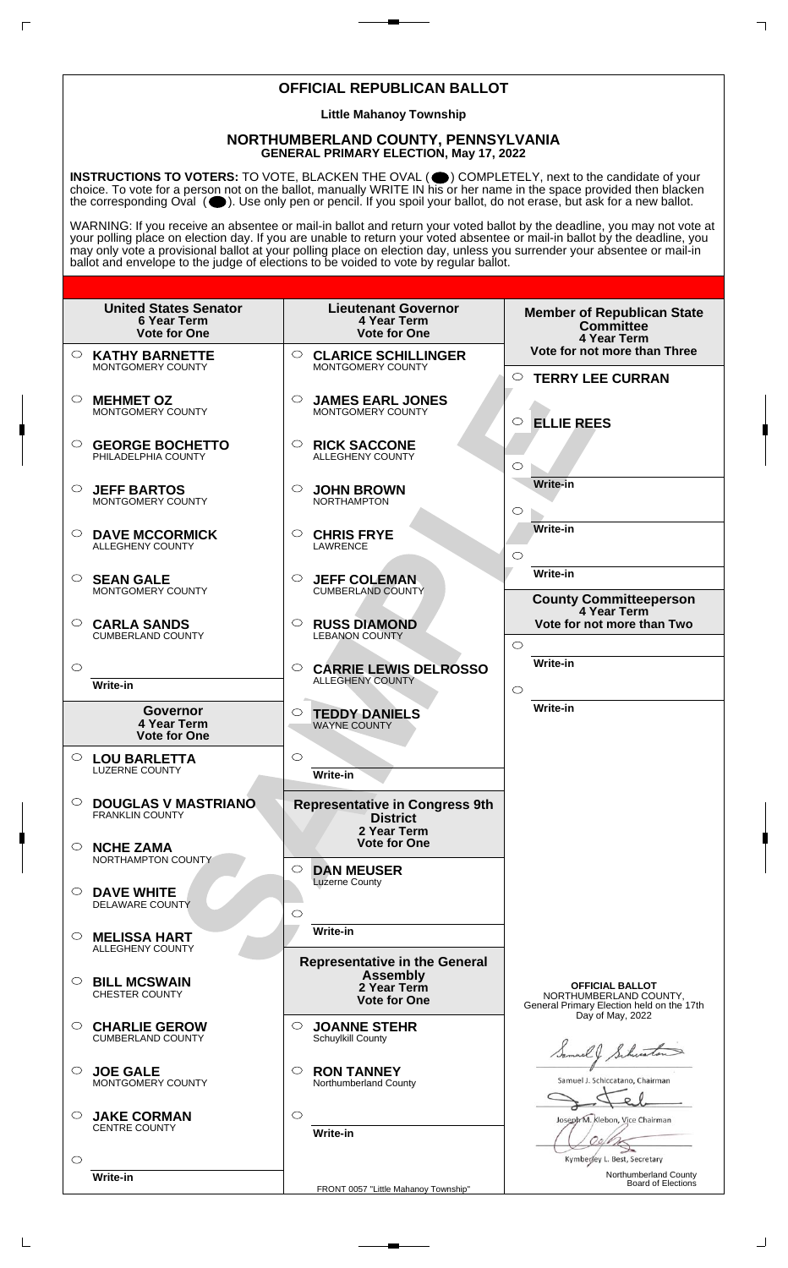**Little Mahanoy Township**

## **NORTHUMBERLAND COUNTY, PENNSYLVANIA GENERAL PRIMARY ELECTION, May 17, 2022**

**INSTRUCTIONS TO VOTERS:** TO VOTE, BLACKEN THE OVAL ( $\bigcirc$ ) COMPLETELY, next to the candidate of your choice. To vote for a person not on the ballot, manually WRITE IN his or her name in the space provided then blacken the corresponding Oval (  $\bigcirc$  ). Use only pen or pencil. If you spoil your ballot, do not erase, but ask for a new ballot.

WARNING: If you receive an absentee or mail-in ballot and return your voted ballot by the deadline, you may not vote at your polling place on election day. If you are unable to return your voted absentee or mail-in ballot by the deadline, you may only vote a provisional ballot at your polling place on election day, unless you surrender your absentee or mail-in ballot and envelope to the judge of elections to be voided to vote by regular ballot.

|                                               | <b>United States Senator</b><br><b>6 Year Term</b><br><b>Vote for One</b> | <b>Lieutenant Governor</b><br>4 Year Term<br><b>Vote for One</b>        | <b>Member of Republican State</b><br><b>Committee</b><br>4 Year Term                          |
|-----------------------------------------------|---------------------------------------------------------------------------|-------------------------------------------------------------------------|-----------------------------------------------------------------------------------------------|
|                                               | $\circ$ KATHY BARNETTE<br>MONTGOMERY COUNTY                               | $\circ$<br><b>CLARICE SCHILLINGER</b><br>MONTGOMERY COUNTY              | Vote for not more than Three<br><b>TERRY LEE CURRAN</b><br>O                                  |
| $\circ$<br><b>MEHMET OZ</b>                   | MONTGOMERY COUNTY                                                         | <b>JAMES EARL JONES</b><br>O<br><b>MONTGOMERY COUNTY</b>                | <b>ELLIE REES</b><br>$\circ$                                                                  |
| $\bigcirc$                                    | <b>GEORGE BOCHETTO</b><br>PHILADELPHIA COUNTY                             | <b>RICK SACCONE</b><br>$\circ$<br><b>ALLEGHENY COUNTY</b>               | $\circlearrowright$                                                                           |
| $\circ$                                       | <b>JEFF BARTOS</b><br>MONTGOMERY COUNTY                                   | $\circ$<br><b>JOHN BROWN</b><br><b>NORTHAMPTON</b>                      | Write-in<br>$\circ$                                                                           |
|                                               | O DAVE MCCORMICK<br><b>ALLEGHENY COUNTY</b>                               | $\circ$<br><b>CHRIS FRYE</b><br><b>LAWRENCE</b>                         | <b>Write-in</b><br>$\circ$                                                                    |
| $\circ$<br><b>SEAN GALE</b>                   | MONTGOMERY COUNTY                                                         | $\circ$<br><b>JEFF COLEMAN</b><br><b>CUMBERLAND COUNTY</b>              | <b>Write-in</b><br><b>County Committeeperson</b><br>4 Year Term                               |
| $\circ$                                       | <b>CARLA SANDS</b><br><b>CUMBERLAND COUNTY</b>                            | <b>RUSS DIAMOND</b><br>$\circ$<br><b>LEBANON COUNTY</b>                 | Vote for not more than Two<br>$\circ$                                                         |
| $\circlearrowright$<br><b>Write-in</b>        |                                                                           | <b>CARRIE LEWIS DELROSSO</b><br>$\circ$<br>ALLEGHENY COUNTY             | <b>Write-in</b><br>$\circ$                                                                    |
|                                               | <b>Governor</b><br>4 Year Term<br><b>Vote for One</b>                     | <b>TEDDY DANIELS</b><br>$\circ$<br><b>WAYNE COUNTY</b>                  | <b>Write-in</b>                                                                               |
| $\circ$ LOU BARLETTA<br><b>LUZERNE COUNTY</b> |                                                                           | $\circ$<br><b>Write-in</b>                                              |                                                                                               |
| $\circ$                                       | <b>DOUGLAS V MASTRIANO</b><br><b>FRANKLIN COUNTY</b>                      | <b>Representative in Congress 9th</b><br><b>District</b><br>2 Year Term |                                                                                               |
| $\circ$ NCHE ZAMA                             | NORTHAMPTON COUNTY                                                        | <b>Vote for One</b><br>$\circ$<br><b>DAN MEUSER</b>                     |                                                                                               |
| <b>DAVE WHITE</b><br>O                        | DELAWARE COUNTY                                                           | <b>Luzerne County</b><br>$\circ$                                        |                                                                                               |
| O                                             | <b>MELISSA HART</b><br><b>ALLEGHENY COUNTY</b>                            | <b>Write-in</b><br><b>Representative in the General</b>                 |                                                                                               |
| $\circ$                                       | <b>BILL MCSWAIN</b><br><b>CHESTER COUNTY</b>                              | <b>Assembly</b><br>2 Year Term<br><b>Vote for One</b>                   | <b>OFFICIAL BALLOT</b><br>NORTHUMBERLAND COUNTY,<br>General Primary Election held on the 17th |
| $\circ$                                       | <b>CHARLIE GEROW</b><br><b>CUMBERLAND COUNTY</b>                          | $\circ$<br><b>JOANNE STEHR</b><br>Schuylkill County                     | Day of May, 2022<br>nell Shunter                                                              |
| $\circ$<br><b>JOE GALE</b>                    | MONTGOMERY COUNTY                                                         | <b>RON TANNEY</b><br>O<br>Northumberland County                         | Samuel J. Schiccatano, Chairman                                                               |
| $\circ$<br><b>CENTRE COUNTY</b>               | <b>JAKE CORMAN</b>                                                        | $\circ$<br><b>Write-in</b>                                              | Joseph M. Klebon, Vice Chairman<br>00.0                                                       |
| $\circlearrowright$                           |                                                                           |                                                                         | Kymberley L. Best, Secretary                                                                  |
| <b>Write-in</b>                               |                                                                           | FRONT 0057 "Little Mahanoy Township"                                    | Northumberland County<br>Board of Elections                                                   |

للمسار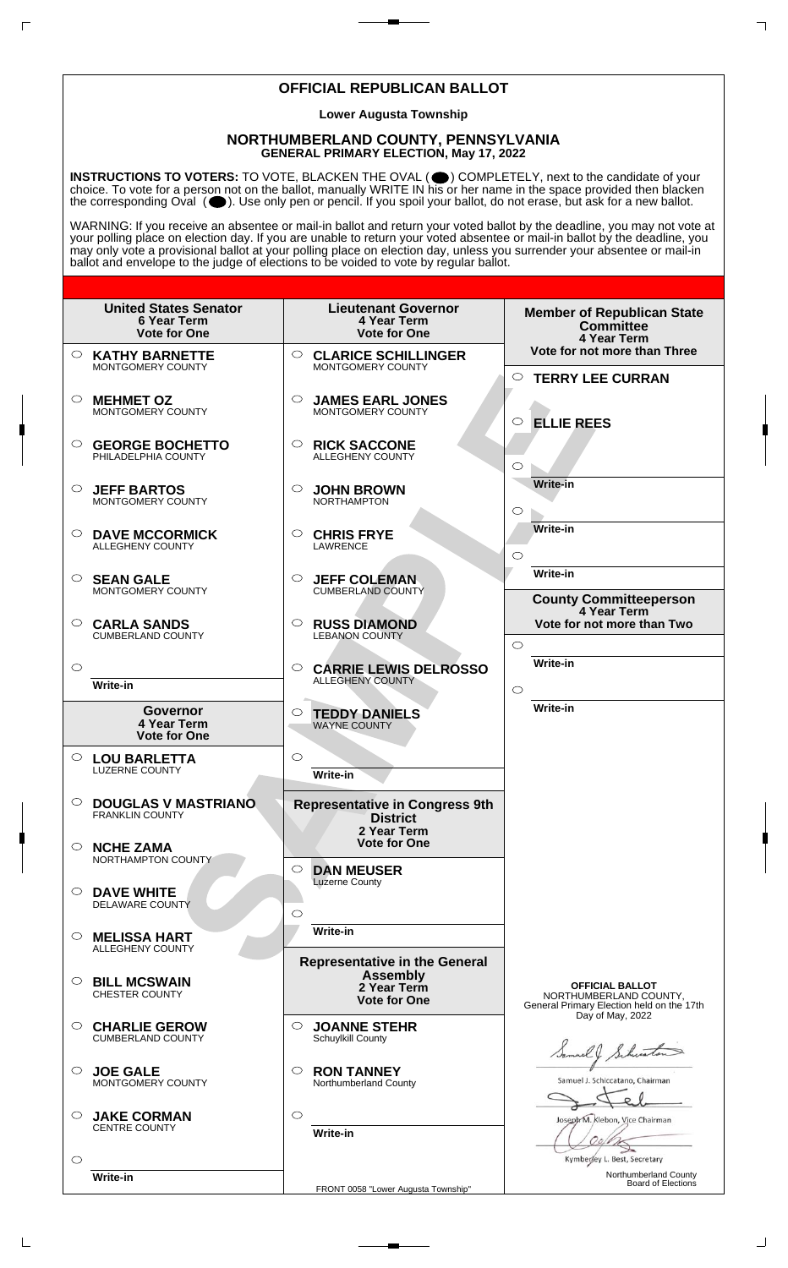**Lower Augusta Township**

### **NORTHUMBERLAND COUNTY, PENNSYLVANIA GENERAL PRIMARY ELECTION, May 17, 2022**

**INSTRUCTIONS TO VOTERS:** TO VOTE, BLACKEN THE OVAL ( $\bigcirc$ ) COMPLETELY, next to the candidate of your choice. To vote for a person not on the ballot, manually WRITE IN his or her name in the space provided then blacken the corresponding Oval (  $\bigcirc$  ). Use only pen or pencil. If you spoil your ballot, do not erase, but ask for a new ballot.

WARNING: If you receive an absentee or mail-in ballot and return your voted ballot by the deadline, you may not vote at your polling place on election day. If you are unable to return your voted absentee or mail-in ballot by the deadline, you may only vote a provisional ballot at your polling place on election day, unless you surrender your absentee or mail-in ballot and envelope to the judge of elections to be voided to vote by regular ballot.

| Vote for not more than Three<br>$\circ$<br>$\circ$ KATHY BARNETTE<br><b>CLARICE SCHILLINGER</b><br>MONTGOMERY COUNTY<br>MONTGOMERY COUNTY<br><b>TERRY LEE CURRAN</b><br>O<br>$\circ$<br><b>MEHMET OZ</b><br>$\circ$<br><b>JAMES EARL JONES</b> |  |
|------------------------------------------------------------------------------------------------------------------------------------------------------------------------------------------------------------------------------------------------|--|
|                                                                                                                                                                                                                                                |  |
| MONTGOMERY COUNTY<br>MONTGOMERY COUNTY<br><b>ELLIE REES</b><br>$\circ$                                                                                                                                                                         |  |
| $\bigcirc$<br><b>GEORGE BOCHETTO</b><br><b>RICK SACCONE</b><br>$\circ$<br>PHILADELPHIA COUNTY<br><b>ALLEGHENY COUNTY</b><br>$\circlearrowright$                                                                                                |  |
| <b>Write-in</b><br>$\circ$<br><b>JEFF BARTOS</b><br>$\circlearrowright$<br><b>JOHN BROWN</b><br>MONTGOMERY COUNTY<br><b>NORTHAMPTON</b><br>$\circ$                                                                                             |  |
| <b>Write-in</b><br>$\circ$<br><b>DAVE MCCORMICK</b><br>$\circ$<br><b>CHRIS FRYE</b><br>ALLEGHENY COUNTY<br><b>LAWRENCE</b><br>$\circ$                                                                                                          |  |
| <b>Write-in</b><br><b>JEFF COLEMAN</b><br>$\circ$<br><b>SEAN GALE</b><br>$\circ$<br><b>CUMBERLAND COUNTY</b><br>MONTGOMERY COUNTY<br><b>County Committeeperson</b><br>4 Year Term                                                              |  |
| <b>RUSS DIAMOND</b><br>Vote for not more than Two<br>$\circ$<br><b>CARLA SANDS</b><br>$\circ$<br><b>CUMBERLAND COUNTY</b><br><b>LEBANON COUNTY</b><br>$\circ$                                                                                  |  |
| <b>Write-in</b><br>$\circlearrowright$<br><b>CARRIE LEWIS DELROSSO</b><br>$\circ$<br>ALLEGHENY COUNTY<br><b>Write-in</b><br>$\circ$                                                                                                            |  |
| <b>Write-in</b><br><b>Governor</b><br>O<br><b>TEDDY DANIELS</b><br>4 Year Term<br><b>WAYNE COUNTY</b><br><b>Vote for One</b>                                                                                                                   |  |
| $\circ$<br>$\circ$ LOU BARLETTA<br><b>LUZERNE COUNTY</b><br><b>Write-in</b>                                                                                                                                                                    |  |
| $\circ$<br><b>DOUGLAS V MASTRIANO</b><br><b>Representative in Congress 9th</b><br><b>FRANKLIN COUNTY</b><br><b>District</b><br>2 Year Term                                                                                                     |  |
| <b>Vote for One</b><br>$\circ$ NCHE ZAMA<br>NORTHAMPTON COUNTY<br>$\circ$<br><b>DAN MEUSER</b><br><b>Luzerne County</b>                                                                                                                        |  |
| <b>DAVE WHITE</b><br>O<br>DELAWARE COUNTY<br>$\circ$                                                                                                                                                                                           |  |
| Write-in<br><b>MELISSA HART</b><br>O<br><b>ALLEGHENY COUNTY</b><br><b>Representative in the General</b>                                                                                                                                        |  |
| <b>Assembly</b><br><b>BILL MCSWAIN</b><br>O<br>2 Year Term<br><b>OFFICIAL BALLOT</b><br><b>CHESTER COUNTY</b><br>NORTHUMBERLAND COUNTY,<br><b>Vote for One</b><br>General Primary Election held on the 17th                                    |  |
| Day of May, 2022<br>$\circ$<br><b>CHARLIE GEROW</b><br>$\circ$<br><b>JOANNE STEHR</b><br><b>CUMBERLAND COUNTY</b><br>Schuylkill County<br>muell Schweiten                                                                                      |  |
| $\circlearrowright$<br><b>JOE GALE</b><br>$\circ$<br><b>RON TANNEY</b><br>Samuel J. Schiccatano, Chairman<br>MONTGOMERY COUNTY<br>Northumberland County                                                                                        |  |
| $\circlearrowright$<br><b>JAKE CORMAN</b><br>O<br>Joseph M. Klebon, Vice Chairman<br><b>CENTRE COUNTY</b><br><b>Write-in</b><br>004                                                                                                            |  |
| Kymberley L. Best, Secretary<br>$\circlearrowright$                                                                                                                                                                                            |  |
| Northumberland County<br><b>Write-in</b><br>Board of Elections<br>FRONT 0058 "Lower Augusta Township"                                                                                                                                          |  |

للمسار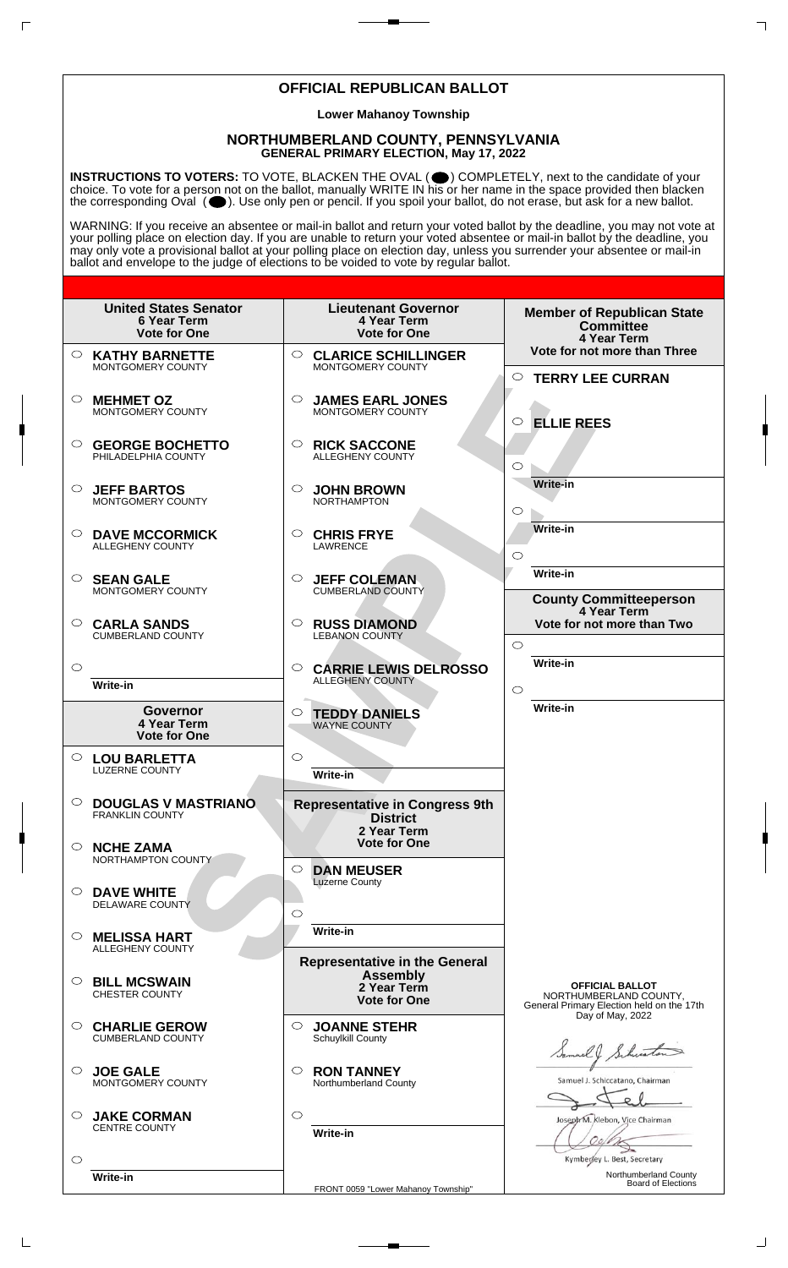**Lower Mahanoy Township**

### **NORTHUMBERLAND COUNTY, PENNSYLVANIA GENERAL PRIMARY ELECTION, May 17, 2022**

**INSTRUCTIONS TO VOTERS:** TO VOTE, BLACKEN THE OVAL ( $\bigcirc$ ) COMPLETELY, next to the candidate of your choice. To vote for a person not on the ballot, manually WRITE IN his or her name in the space provided then blacken the corresponding Oval (  $\bigcirc$  ). Use only pen or pencil. If you spoil your ballot, do not erase, but ask for a new ballot.

WARNING: If you receive an absentee or mail-in ballot and return your voted ballot by the deadline, you may not vote at your polling place on election day. If you are unable to return your voted absentee or mail-in ballot by the deadline, you may only vote a provisional ballot at your polling place on election day, unless you surrender your absentee or mail-in ballot and envelope to the judge of elections to be voided to vote by regular ballot.

|                     | <b>United States Senator</b><br><b>6 Year Term</b><br><b>Vote for One</b> | <b>Lieutenant Governor</b><br>4 Year Term<br><b>Vote for One</b>             | <b>Member of Republican State</b><br><b>Committee</b><br>4 Year Term                          |
|---------------------|---------------------------------------------------------------------------|------------------------------------------------------------------------------|-----------------------------------------------------------------------------------------------|
|                     | $\circ$ KATHY BARNETTE<br>MONTGOMERY COUNTY                               | $\circ$<br><b>CLARICE SCHILLINGER</b><br><b>MONTGOMERY COUNTY</b>            | Vote for not more than Three<br><b>TERRY LEE CURRAN</b><br>O                                  |
| $\circ$             | <b>MEHMET OZ</b><br>MONTGOMERY COUNTY                                     | $\circ$<br><b>JAMES EARL JONES</b><br>MONTGOMERY COUNTY                      | <b>ELLIE REES</b><br>$\circ$                                                                  |
| $\bigcirc$          | <b>GEORGE BOCHETTO</b><br>PHILADELPHIA COUNTY                             | <b>RICK SACCONE</b><br>$\circ$<br>ALLEGHENY COUNTY                           | $\circlearrowright$                                                                           |
| $\circ$             | <b>JEFF BARTOS</b><br><b>MONTGOMERY COUNTY</b>                            | $\circ$<br><b>JOHN BROWN</b><br><b>NORTHAMPTON</b>                           | <b>Write-in</b><br>$\circ$                                                                    |
| $\circ$             | <b>DAVE MCCORMICK</b><br><b>ALLEGHENY COUNTY</b>                          | $\circ$<br><b>CHRIS FRYE</b><br><b>LAWRENCE</b>                              | <b>Write-in</b><br>$\circ$                                                                    |
| $\circ$             | <b>SEAN GALE</b><br>MONTGOMERY COUNTY                                     | $\circ$<br><b>JEFF COLEMAN</b><br><b>CUMBERLAND COUNTY</b>                   | <b>Write-in</b><br><b>County Committeeperson</b><br>4 Year Term                               |
| $\circ$             | <b>CARLA SANDS</b><br><b>CUMBERLAND COUNTY</b>                            | <b>RUSS DIAMOND</b><br>$\circ$<br><b>LEBANON COUNTY</b>                      | Vote for not more than Two<br>$\circ$                                                         |
| $\circlearrowright$ | <b>Write-in</b>                                                           | <b>CARRIE LEWIS DELROSSO</b><br>$\circ$<br>ALLEGHENY COUNTY                  | <b>Write-in</b><br>$\circ$                                                                    |
|                     | <b>Governor</b><br>4 Year Term<br><b>Vote for One</b>                     | <b>TEDDY DANIELS</b><br>O<br><b>WAYNE COUNTY</b>                             | <b>Write-in</b>                                                                               |
|                     | $\circ$ LOU BARLETTA<br>LUZERNE COUNTY                                    | $\circ$<br><b>Write-in</b>                                                   |                                                                                               |
| $\circ$             | <b>DOUGLAS V MASTRIANO</b><br><b>FRANKLIN COUNTY</b>                      | <b>Representative in Congress 9th</b><br><b>District</b><br>2 Year Term      |                                                                                               |
|                     | $\circ$ NCHE ZAMA<br>NORTHAMPTON COUNTY                                   | <b>Vote for One</b><br>$\circ$<br><b>DAN MEUSER</b><br><b>Luzerne County</b> |                                                                                               |
| O                   | <b>DAVE WHITE</b><br><b>DELAWARE COUNTY</b>                               | $\circ$                                                                      |                                                                                               |
| O                   | <b>MELISSA HART</b><br><b>ALLEGHENY COUNTY</b>                            | <b>Write-in</b><br><b>Representative in the General</b>                      |                                                                                               |
| O                   | <b>BILL MCSWAIN</b><br><b>CHESTER COUNTY</b>                              | <b>Assembly</b><br>2 Year Term<br><b>Vote for One</b>                        | <b>OFFICIAL BALLOT</b><br>NORTHUMBERLAND COUNTY,<br>General Primary Election held on the 17th |
| O                   | <b>CHARLIE GEROW</b><br><b>CUMBERLAND COUNTY</b>                          | <b>JOANNE STEHR</b><br>O<br>Schuylkill County                                | Day of May, 2022<br>muell Schwarts                                                            |
| $\circlearrowright$ | <b>JOE GALE</b><br>MONTGOMERY COUNTY                                      | <b>RON TANNEY</b><br>$\circ$<br>Northumberland County                        | Samuel J. Schiccatano, Chairman                                                               |
| O                   | <b>JAKE CORMAN</b><br><b>CENTRE COUNTY</b>                                | $\circ$<br><b>Write-in</b>                                                   | Joseph M. Klebon, Vice Chairman<br>0010                                                       |
| $\circlearrowright$ |                                                                           |                                                                              | Kymberley L. Best, Secretary                                                                  |
|                     | Write-in                                                                  | FRONT 0059 "Lower Mahanoy Township"                                          | Northumberland County<br>Board of Elections                                                   |

للمسار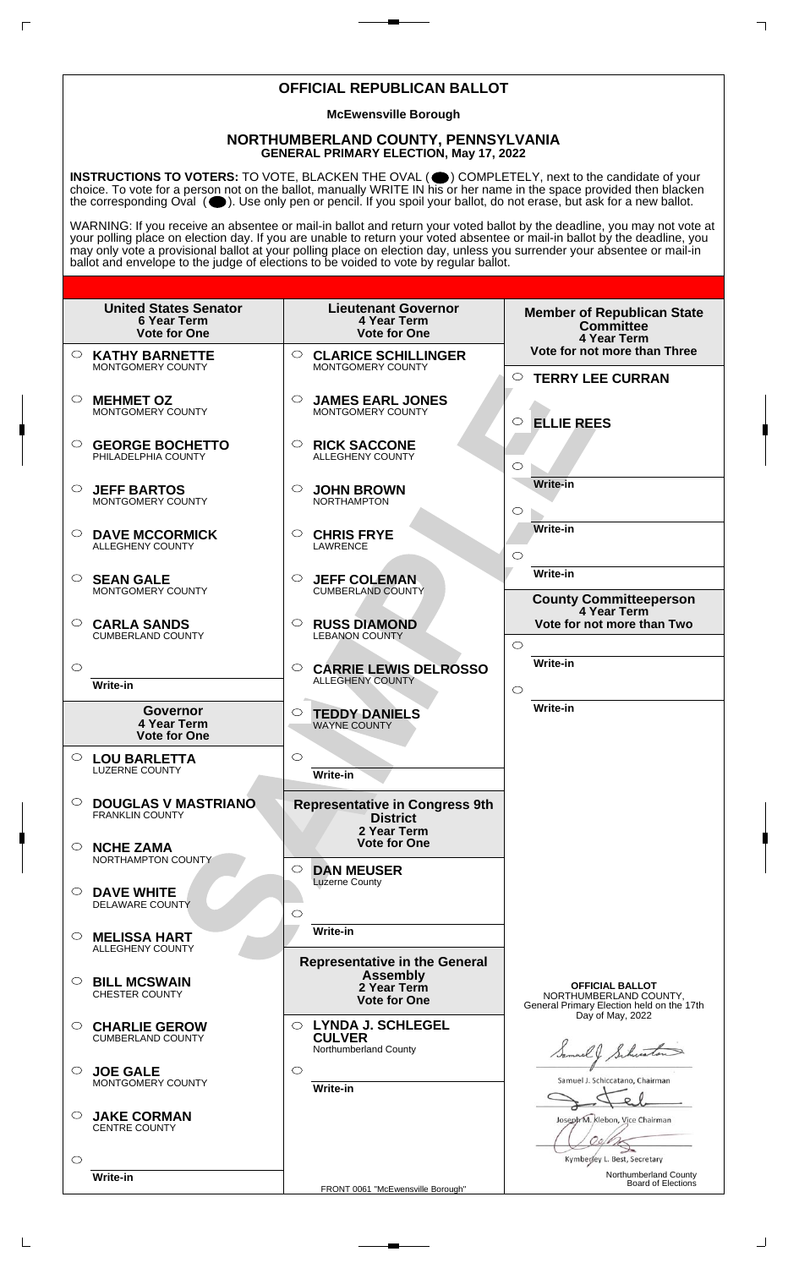**McEwensville Borough**

### **NORTHUMBERLAND COUNTY, PENNSYLVANIA GENERAL PRIMARY ELECTION, May 17, 2022**

**INSTRUCTIONS TO VOTERS:** TO VOTE, BLACKEN THE OVAL ( $\bigcirc$ ) COMPLETELY, next to the candidate of your choice. To vote for a person not on the ballot, manually WRITE IN his or her name in the space provided then blacken the corresponding Oval (  $\bigcirc$  ). Use only pen or pencil. If you spoil your ballot, do not erase, but ask for a new ballot.

WARNING: If you receive an absentee or mail-in ballot and return your voted ballot by the deadline, you may not vote at your polling place on election day. If you are unable to return your voted absentee or mail-in ballot by the deadline, you may only vote a provisional ballot at your polling place on election day, unless you surrender your absentee or mail-in ballot and envelope to the judge of elections to be voided to vote by regular ballot.

|                     | <b>United States Senator</b><br><b>6 Year Term</b><br><b>Vote for One</b> | <b>Lieutenant Governor</b><br>4 Year Term<br><b>Vote for One</b>        | <b>Member of Republican State</b><br><b>Committee</b><br>4 Year Term                          |
|---------------------|---------------------------------------------------------------------------|-------------------------------------------------------------------------|-----------------------------------------------------------------------------------------------|
|                     | $\circ$ KATHY BARNETTE<br>MONTGOMERY COUNTY                               | $\circ$<br><b>CLARICE SCHILLINGER</b><br>MONTGOMERY COUNTY              | Vote for not more than Three<br>$\circ$<br><b>TERRY LEE CURRAN</b>                            |
| $\circ$             | <b>MEHMET OZ</b><br>MONTGOMERY COUNTY                                     | $\circ$<br><b>JAMES EARL JONES</b><br>MONTGOMERY COUNTY                 | <b>ELLIE REES</b><br>$\circ$                                                                  |
| $\circ$             | <b>GEORGE BOCHETTO</b><br>PHILADELPHIA COUNTY                             | <b>RICK SACCONE</b><br>$\circ$<br><b>ALLEGHENY COUNTY</b>               | $\circlearrowright$                                                                           |
| $\circ$             | <b>JEFF BARTOS</b><br>MONTGOMERY COUNTY                                   | $\circlearrowright$<br><b>JOHN BROWN</b><br><b>NORTHAMPTON</b>          | Write-in<br>$\circ$                                                                           |
|                     | O DAVE MCCORMICK<br><b>ALLEGHENY COUNTY</b>                               | <b>CHRIS FRYE</b><br>$\circ$<br><b>LAWRENCE</b>                         | <b>Write-in</b><br>$\circ$                                                                    |
| $\circ$             | <b>SEAN GALE</b><br>MONTGOMERY COUNTY                                     | $\circ$<br><b>JEFF COLEMAN</b><br><b>CUMBERLAND COUNTY</b>              | <b>Write-in</b><br><b>County Committeeperson</b><br>4 Year Term                               |
| $\circ$             | <b>CARLA SANDS</b><br><b>CUMBERLAND COUNTY</b>                            | <b>RUSS DIAMOND</b><br>$\circ$<br><b>LEBANON COUNTY</b>                 | Vote for not more than Two<br>$\circ$                                                         |
| $\circlearrowright$ | <b>Write-in</b>                                                           | <b>CARRIE LEWIS DELROSSO</b><br>$\circ$<br>ALLEGHENY COUNTY             | <b>Write-in</b><br>$\circ$                                                                    |
|                     | <b>Governor</b><br>4 Year Term<br><b>Vote for One</b>                     | <b>TEDDY DANIELS</b><br>$\circ$<br><b>WAYNE COUNTY</b>                  | <b>Write-in</b>                                                                               |
|                     | $\circ$ LOU BARLETTA<br><b>LUZERNE COUNTY</b>                             | $\circ$<br><b>Write-in</b>                                              |                                                                                               |
| $\circ$             | <b>DOUGLAS V MASTRIANO</b><br><b>FRANKLIN COUNTY</b>                      | <b>Representative in Congress 9th</b><br><b>District</b><br>2 Year Term |                                                                                               |
|                     | $\circ$ NCHE ZAMA<br>NORTHAMPTON COUNTY                                   | <b>Vote for One</b><br>$\circlearrowright$<br><b>DAN MEUSER</b>         |                                                                                               |
| O                   | <b>DAVE WHITE</b><br>DELAWARE COUNTY                                      | <b>Luzerne County</b><br>$\circlearrowright$                            |                                                                                               |
| O                   | <b>MELISSA HART</b><br><b>ALLEGHENY COUNTY</b>                            | Write-in<br><b>Representative in the General</b>                        |                                                                                               |
| $\circlearrowright$ | <b>BILL MCSWAIN</b><br><b>CHESTER COUNTY</b>                              | <b>Assembly</b><br>2 Year Term<br><b>Vote for One</b>                   | <b>OFFICIAL BALLOT</b><br>NORTHUMBERLAND COUNTY,<br>General Primary Election held on the 17th |
| $\circ$             | <b>CHARLIE GEROW</b><br><b>CUMBERLAND COUNTY</b>                          | O LYNDA J. SCHLEGEL<br><b>CULVER</b><br>Northumberland County           | Day of May, 2022                                                                              |
| $\circ$             | <b>JOE GALE</b><br>MONTGOMERY COUNTY                                      | $\circ$<br><b>Write-in</b>                                              | Samuel J. Schiccatano, Chairman                                                               |
| $\circ$             | <b>JAKE CORMAN</b><br><b>CENTRE COUNTY</b>                                |                                                                         | Joseph M. klebon, Vice Chairman<br>0010                                                       |
| $\circlearrowright$ |                                                                           |                                                                         | Kymberley L. Best, Secretary                                                                  |
|                     | <b>Write-in</b>                                                           | FRONT 0061 "McEwensville Borough"                                       | Northumberland County<br>Board of Elections                                                   |

للمسار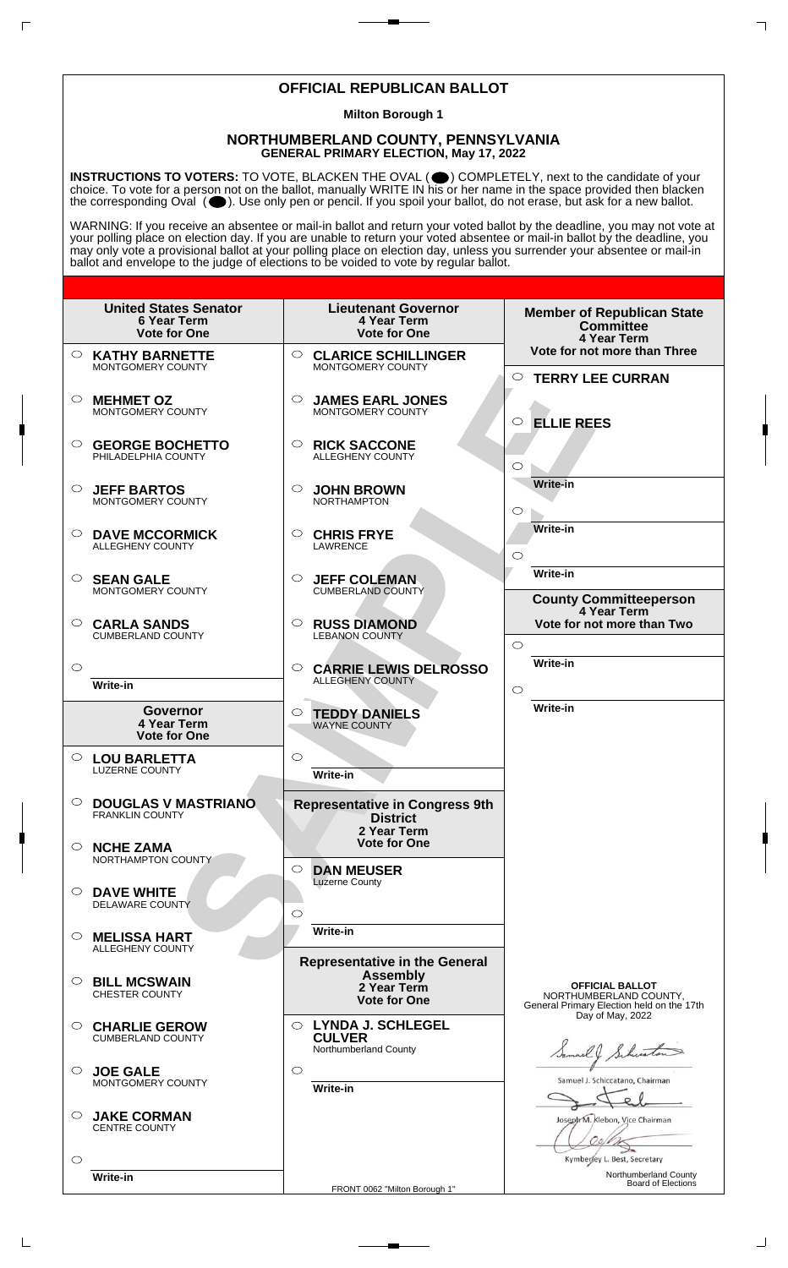$\Gamma$ 

 $\Box$ 

**Milton Borough 1**

### **NORTHUMBERLAND COUNTY, PENNSYLVANIA GENERAL PRIMARY ELECTION, May 17, 2022**

**INSTRUCTIONS TO VOTERS:** TO VOTE, BLACKEN THE OVAL ( $\bigcirc$ ) COMPLETELY, next to the candidate of your choice. To vote for a person not on the ballot, manually WRITE IN his or her name in the space provided then blacken the corresponding Oval (  $\bigcirc$  ). Use only pen or pencil. If you spoil your ballot, do not erase, but ask for a new ballot.

WARNING: If you receive an absentee or mail-in ballot and return your voted ballot by the deadline, you may not vote at your polling place on election day. If you are unable to return your voted absentee or mail-in ballot by the deadline, you may only vote a provisional ballot at your polling place on election day, unless you surrender your absentee or mail-in ballot and envelope to the judge of elections to be voided to vote by regular ballot.

|                     | <b>United States Senator</b><br><b>6 Year Term</b><br><b>Vote for One</b> | <b>Lieutenant Governor</b><br>4 Year Term<br><b>Vote for One</b>                 | <b>Member of Republican State</b><br><b>Committee</b><br>4 Year Term                          |
|---------------------|---------------------------------------------------------------------------|----------------------------------------------------------------------------------|-----------------------------------------------------------------------------------------------|
| $\bigcirc$ .        | <b>KATHY BARNETTE</b><br>MONTGOMERY COUNTY                                | $\circ$<br><b>CLARICE SCHILLINGER</b><br>MONTGOMERY COUNTY                       | Vote for not more than Three<br><b>TERRY LEE CURRAN</b><br>$\circ$                            |
| $\circ$             | <b>MEHMET OZ</b><br>MONTGOMERY COUNTY                                     | <b>JAMES EARL JONES</b><br>O<br>MONTGOMERY COUNTY                                | <b>ELLIE REES</b><br>$\circ$                                                                  |
| $\circ$             | <b>GEORGE BOCHETTO</b><br>PHILADELPHIA COUNTY                             | <b>RICK SACCONE</b><br>$\circ$<br><b>ALLEGHENY COUNTY</b>                        | $\circlearrowright$                                                                           |
| $\circ$             | <b>JEFF BARTOS</b><br>MONTGOMERY COUNTY                                   | $\circ$<br><b>JOHN BROWN</b><br><b>NORTHAMPTON</b>                               | Write-in<br>$\circ$                                                                           |
| $\circ$             | <b>DAVE MCCORMICK</b><br><b>ALLEGHENY COUNTY</b>                          | <b>CHRIS FRYE</b><br>$\circ$<br><b>LAWRENCE</b>                                  | Write-in<br>$\circ$                                                                           |
| $\circ$             | <b>SEAN GALE</b><br>MONTGOMERY COUNTY                                     | $\circ$<br><b>JEFF COLEMAN</b><br><b>CUMBERLAND COUNTY</b>                       | <b>Write-in</b><br><b>County Committeeperson</b><br>4 Year Term                               |
| $\circ$             | <b>CARLA SANDS</b><br><b>CUMBERLAND COUNTY</b>                            | <b>RUSS DIAMOND</b><br>$\circ$<br><b>LEBANON COUNTY</b>                          | Vote for not more than Two<br>$\circ$                                                         |
| $\circlearrowright$ | Write-in                                                                  | <b>CARRIE LEWIS DELROSSO</b><br>$\circ$<br>ALLEGHENY COUNTY                      | <b>Write-in</b><br>$\circ$                                                                    |
|                     | <b>Governor</b><br>4 Year Term<br><b>Vote for One</b>                     | <b>TEDDY DANIELS</b><br>O<br><b>WAYNE COUNTY</b>                                 | Write-in                                                                                      |
| $\circ$             | <b>LOU BARLETTA</b><br><b>LUZERNE COUNTY</b>                              | $\circ$<br><b>Write-in</b>                                                       |                                                                                               |
| $\circ$             | <b>DOUGLAS V MASTRIANO</b><br><b>FRANKLIN COUNTY</b>                      | <b>Representative in Congress 9th</b><br><b>District</b><br>2 Year Term          |                                                                                               |
|                     | $\circ$ NCHE ZAMA<br>NORTHAMPTON COUNTY                                   | <b>Vote for One</b><br>$\circ$<br><b>DAN MEUSER</b>                              |                                                                                               |
| O                   | <b>DAVE WHITE</b><br><b>DELAWARE COUNTY</b>                               | <b>Luzerne County</b><br>$\circ$                                                 |                                                                                               |
| O                   | <b>MELISSA HART</b><br><b>ALLEGHENY COUNTY</b>                            | Write-in<br><b>Representative in the General</b>                                 |                                                                                               |
| $\circlearrowright$ | <b>BILL MCSWAIN</b><br><b>CHESTER COUNTY</b>                              | <b>Assembly</b><br>2 Year Term<br><b>Vote for One</b>                            | <b>OFFICIAL BALLOT</b><br>NORTHUMBERLAND COUNTY,<br>General Primary Election held on the 17th |
| $\circlearrowright$ | <b>CHARLIE GEROW</b><br><b>CUMBERLAND COUNTY</b>                          | <b>LYNDA J. SCHLEGEL</b><br>$\bigcirc$<br><b>CULVER</b><br>Northumberland County | Day of May, 2022                                                                              |
| $\circlearrowright$ | <b>JOE GALE</b><br>MONTGOMERY COUNTY                                      | $\circlearrowright$<br><b>Write-in</b>                                           | Samuel J. Schiccatano, Chairman                                                               |
| $\circlearrowright$ | <b>JAKE CORMAN</b><br><b>CENTRE COUNTY</b>                                |                                                                                  | Joseph M. klebon, Vice Chairman<br>0010                                                       |
| $\circlearrowright$ |                                                                           |                                                                                  | Kymberley L. Best, Secretary                                                                  |
|                     | <b>Write-in</b>                                                           | FRONT 0062 "Milton Borough 1"                                                    | Northumberland County<br>Board of Elections                                                   |

÷

 $\overline{\phantom{a}}$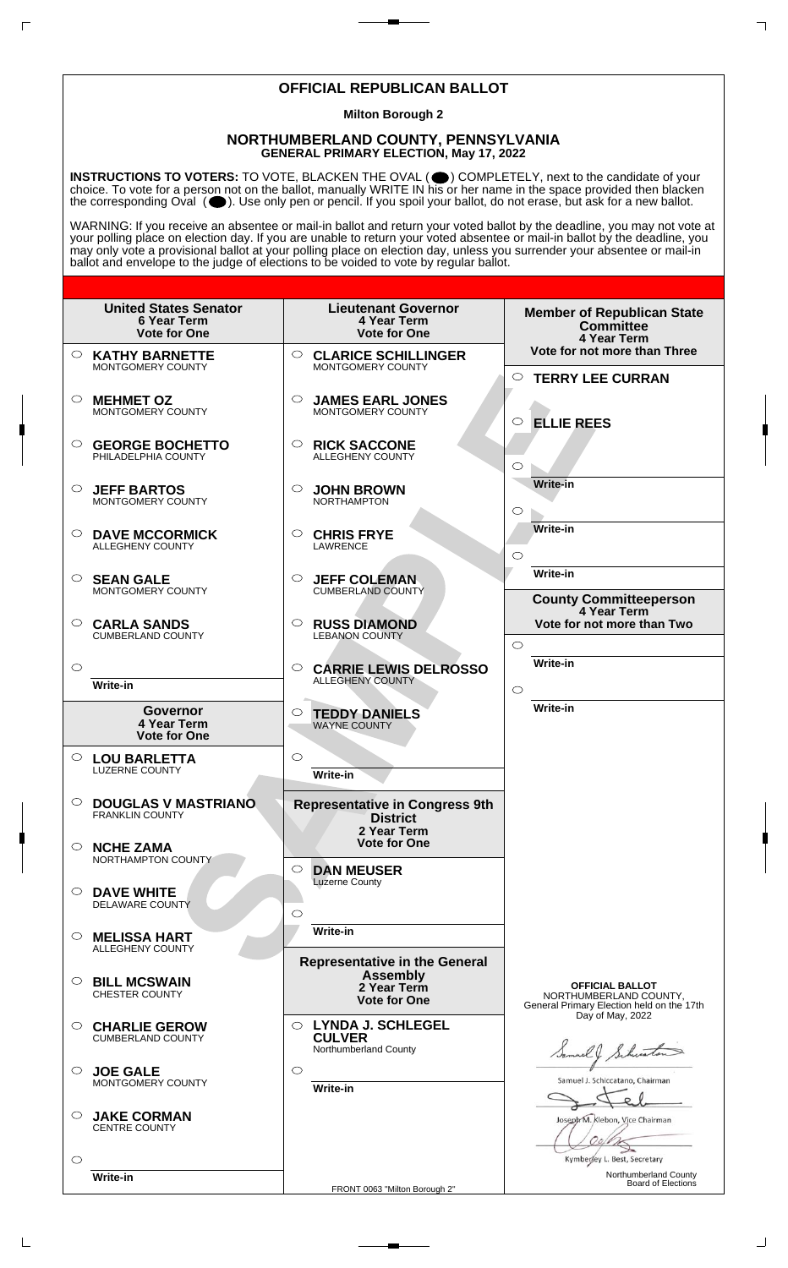$\Gamma$ 

 $\Box$ 

**Milton Borough 2**

### **NORTHUMBERLAND COUNTY, PENNSYLVANIA GENERAL PRIMARY ELECTION, May 17, 2022**

**INSTRUCTIONS TO VOTERS:** TO VOTE, BLACKEN THE OVAL ( $\bigcirc$ ) COMPLETELY, next to the candidate of your choice. To vote for a person not on the ballot, manually WRITE IN his or her name in the space provided then blacken the corresponding Oval (  $\bigcirc$  ). Use only pen or pencil. If you spoil your ballot, do not erase, but ask for a new ballot.

WARNING: If you receive an absentee or mail-in ballot and return your voted ballot by the deadline, you may not vote at your polling place on election day. If you are unable to return your voted absentee or mail-in ballot by the deadline, you may only vote a provisional ballot at your polling place on election day, unless you surrender your absentee or mail-in ballot and envelope to the judge of elections to be voided to vote by regular ballot.

|                     | <b>United States Senator</b><br>6 Year Term<br><b>Vote for One</b> | <b>Lieutenant Governor</b><br>4 Year Term<br><b>Vote for One</b>                 | <b>Member of Republican State</b><br><b>Committee</b><br>4 Year Term                          |
|---------------------|--------------------------------------------------------------------|----------------------------------------------------------------------------------|-----------------------------------------------------------------------------------------------|
|                     | $\circ$ KATHY BARNETTE<br>MONTGOMERY COUNTY                        | $\circ$<br><b>CLARICE SCHILLINGER</b><br>MONTGOMERY COUNTY                       | Vote for not more than Three<br><b>TERRY LEE CURRAN</b><br>O                                  |
| $\circ$             | <b>MEHMET OZ</b><br>MONTGOMERY COUNTY                              | $\circ$<br><b>JAMES EARL JONES</b><br>MONTGOMERY COUNTY                          | <b>ELLIE REES</b><br>$\circ$                                                                  |
| $\circ$             | <b>GEORGE BOCHETTO</b><br>PHILADELPHIA COUNTY                      | <b>RICK SACCONE</b><br>$\circ$<br>ALLEGHENY COUNTY                               | $\circ$                                                                                       |
| $\circ$             | <b>JEFF BARTOS</b><br>MONTGOMERY COUNTY                            | $\circ$<br><b>JOHN BROWN</b><br><b>NORTHAMPTON</b>                               | Write-in<br>$\circ$                                                                           |
| $\circ$             | <b>DAVE MCCORMICK</b><br><b>ALLEGHENY COUNTY</b>                   | <b>CHRIS FRYE</b><br>$\circ$<br><b>LAWRENCE</b>                                  | <b>Write-in</b><br>$\circ$                                                                    |
| $\circ$             | <b>SEAN GALE</b><br>MONTGOMERY COUNTY                              | $\circ$<br><b>JEFF COLEMAN</b><br><b>CUMBERLAND COUNTY</b>                       | <b>Write-in</b><br><b>County Committeeperson</b><br>4 Year Term                               |
| $\circ$             | <b>CARLA SANDS</b><br><b>CUMBERLAND COUNTY</b>                     | <b>RUSS DIAMOND</b><br>$\circ$<br><b>LEBANON COUNTY</b>                          | Vote for not more than Two<br>$\circ$                                                         |
| $\circlearrowright$ | <b>Write-in</b>                                                    | <b>CARRIE LEWIS DELROSSO</b><br>$\circ$<br>ALLEGHENY COUNTY                      | Write-in<br>$\circ$                                                                           |
|                     | <b>Governor</b><br>4 Year Term<br><b>Vote for One</b>              | <b>TEDDY DANIELS</b><br>O<br><b>WAYNE COUNTY</b>                                 | Write-in                                                                                      |
|                     | $\circ$ LOU BARLETTA<br>LUZERNE COUNTY                             | $\circ$<br><b>Write-in</b>                                                       |                                                                                               |
| $\circ$             | <b>DOUGLAS V MASTRIANO</b><br><b>FRANKLIN COUNTY</b>               | <b>Representative in Congress 9th</b><br><b>District</b><br>2 Year Term          |                                                                                               |
|                     | <b>NCHE ZAMA</b><br>NORTHAMPTON COUNTY                             | <b>Vote for One</b><br>$\circ$<br><b>DAN MEUSER</b><br><b>Luzerne County</b>     |                                                                                               |
| O                   | <b>DAVE WHITE</b><br>DELAWARE COUNTY                               | $\circlearrowright$                                                              |                                                                                               |
| O                   | <b>MELISSA HART</b><br><b>ALLEGHENY COUNTY</b>                     | Write-in<br><b>Representative in the General</b>                                 |                                                                                               |
| $\circlearrowright$ | <b>BILL MCSWAIN</b><br><b>CHESTER COUNTY</b>                       | <b>Assembly</b><br>2 Year Term<br><b>Vote for One</b>                            | <b>OFFICIAL BALLOT</b><br>NORTHUMBERLAND COUNTY,<br>General Primary Election held on the 17th |
| $\circlearrowright$ | <b>CHARLIE GEROW</b><br><b>CUMBERLAND COUNTY</b>                   | <b>LYNDA J. SCHLEGEL</b><br>$\bigcirc$<br><b>CULVER</b><br>Northumberland County | Day of May, 2022                                                                              |
| $\circlearrowright$ | <b>JOE GALE</b><br>MONTGOMERY COUNTY                               | $\circlearrowright$<br><b>Write-in</b>                                           | Samuel J. Schiccatano, Chairman                                                               |
| $\circlearrowright$ | <b>JAKE CORMAN</b><br><b>CENTRE COUNTY</b>                         |                                                                                  | Joseph M. Klebon, Vice Chairman<br>0010                                                       |
| $\circlearrowright$ |                                                                    |                                                                                  | Kymberley L. Best, Secretary                                                                  |
|                     | <b>Write-in</b>                                                    | FRONT 0063 "Milton Borough 2"                                                    | Northumberland County<br>Board of Elections                                                   |

÷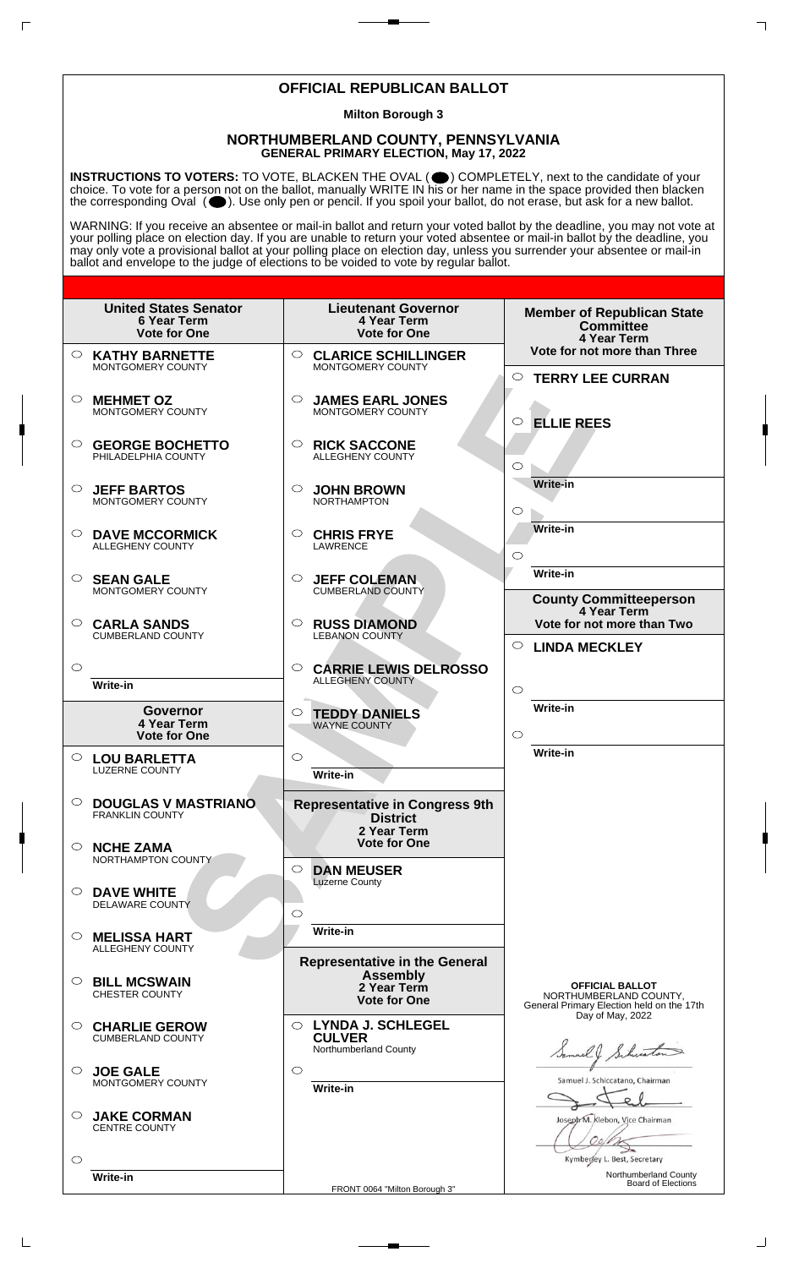$\Gamma$ 

 $\Box$ 

**Milton Borough 3**

### **NORTHUMBERLAND COUNTY, PENNSYLVANIA GENERAL PRIMARY ELECTION, May 17, 2022**

**INSTRUCTIONS TO VOTERS:** TO VOTE, BLACKEN THE OVAL ( $\bigcirc$ ) COMPLETELY, next to the candidate of your choice. To vote for a person not on the ballot, manually WRITE IN his or her name in the space provided then blacken the corresponding Oval (  $\bigcirc$  ). Use only pen or pencil. If you spoil your ballot, do not erase, but ask for a new ballot.

WARNING: If you receive an absentee or mail-in ballot and return your voted ballot by the deadline, you may not vote at your polling place on election day. If you are unable to return your voted absentee or mail-in ballot by the deadline, you may only vote a provisional ballot at your polling place on election day, unless you surrender your absentee or mail-in ballot and envelope to the judge of elections to be voided to vote by regular ballot.

| <b>United States Senator</b><br><b>6 Year Term</b><br><b>Vote for One</b> | <b>Lieutenant Governor</b><br>4 Year Term<br><b>Vote for One</b>                 | <b>Member of Republican State</b><br><b>Committee</b><br>4 Year Term                          |
|---------------------------------------------------------------------------|----------------------------------------------------------------------------------|-----------------------------------------------------------------------------------------------|
| $\circ$<br><b>KATHY BARNETTE</b><br>MONTGOMERY COUNTY                     | $\circ$<br><b>CLARICE SCHILLINGER</b><br>MONTGOMERY COUNTY                       | Vote for not more than Three<br><b>TERRY LEE CURRAN</b><br>$\circ$                            |
| $\circ$<br><b>MEHMET OZ</b><br>MONTGOMERY COUNTY                          | $\circ$<br><b>JAMES EARL JONES</b><br>MONTGOMERY COUNTY                          | <b>ELLIE REES</b><br>$\circ$                                                                  |
| <b>GEORGE BOCHETTO</b><br>$\circ$<br>PHILADELPHIA COUNTY                  | <b>RICK SACCONE</b><br>$\circ$<br>ALLEGHENY COUNTY                               | $\circlearrowright$                                                                           |
| $\circ$<br><b>JEFF BARTOS</b><br>MONTGOMERY COUNTY                        | $\circ$<br><b>JOHN BROWN</b><br><b>NORTHAMPTON</b>                               | Write-in<br>$\circ$                                                                           |
| $\circ$<br><b>DAVE MCCORMICK</b><br><b>ALLEGHENY COUNTY</b>               | $\circ$<br><b>CHRIS FRYE</b><br><b>LAWRENCE</b>                                  | <b>Write-in</b><br>$\circ$                                                                    |
| $\circ$<br><b>SEAN GALE</b><br>MONTGOMERY COUNTY                          | $\circ$<br><b>JEFF COLEMAN</b><br><b>CUMBERLAND COUNTY</b>                       | <b>Write-in</b><br><b>County Committeeperson</b><br>4 Year Term                               |
| $\circ$<br><b>CARLA SANDS</b><br><b>CUMBERLAND COUNTY</b>                 | <b>RUSS DIAMOND</b><br>$\circ$<br><b>LEBANON COUNTY</b>                          | Vote for not more than Two<br>C LINDA MECKLEY                                                 |
| $\circ$<br><b>Write-in</b>                                                | <b>CARRIE LEWIS DELROSSO</b><br>$\circ$<br>ALLEGHENY COUNTY                      | $\circ$                                                                                       |
| <b>Governor</b><br>4 Year Term<br><b>Vote for One</b>                     | <b>TEDDY DANIELS</b><br>$\circ$<br><b>WAYNE COUNTY</b>                           | <b>Write-in</b><br>$\circ$                                                                    |
| $\circ$ LOU BARLETTA<br><b>LUZERNE COUNTY</b>                             | $\circ$<br><b>Write-in</b>                                                       | <b>Write-in</b>                                                                               |
| <b>DOUGLAS V MASTRIANO</b><br>$\circ$<br><b>FRANKLIN COUNTY</b>           | <b>Representative in Congress 9th</b><br><b>District</b><br>2 Year Term          |                                                                                               |
| $\circ$ NCHE ZAMA<br>NORTHAMPTON COUNTY                                   | <b>Vote for One</b><br>$\circ$<br><b>DAN MEUSER</b>                              |                                                                                               |
| <b>DAVE WHITE</b><br>$\circ$<br>DELAWARE COUNTY                           | <b>Luzerne County</b><br>$\circlearrowright$                                     |                                                                                               |
| <b>MELISSA HART</b><br>$\circ$<br><b>ALLEGHENY COUNTY</b>                 | Write-in<br><b>Representative in the General</b>                                 |                                                                                               |
| $\circ$<br><b>BILL MCSWAIN</b><br><b>CHESTER COUNTY</b>                   | <b>Assembly</b><br>2 Year Term<br><b>Vote for One</b>                            | <b>OFFICIAL BALLOT</b><br>NORTHUMBERLAND COUNTY,<br>General Primary Election held on the 17th |
| $\circ$<br><b>CHARLIE GEROW</b><br><b>CUMBERLAND COUNTY</b>               | <b>LYNDA J. SCHLEGEL</b><br>$\bigcirc$<br><b>CULVER</b><br>Northumberland County | Day of May, 2022<br>1 Shunton                                                                 |
| $\circ$<br><b>JOE GALE</b><br>MONTGOMERY COUNTY                           | $\circ$<br><b>Write-in</b>                                                       | Samuel J. Schiccatano, Chairman                                                               |
| <b>JAKE CORMAN</b><br>$\circ$<br><b>CENTRE COUNTY</b>                     |                                                                                  | Joseph M. Klebon, Vice Chairman<br>0010                                                       |
| $\circlearrowright$                                                       |                                                                                  | Kymberley L. Best, Secretary                                                                  |
| <b>Write-in</b>                                                           | FRONT 0064 "Milton Borough 3"                                                    | Northumberland County<br>Board of Elections                                                   |

÷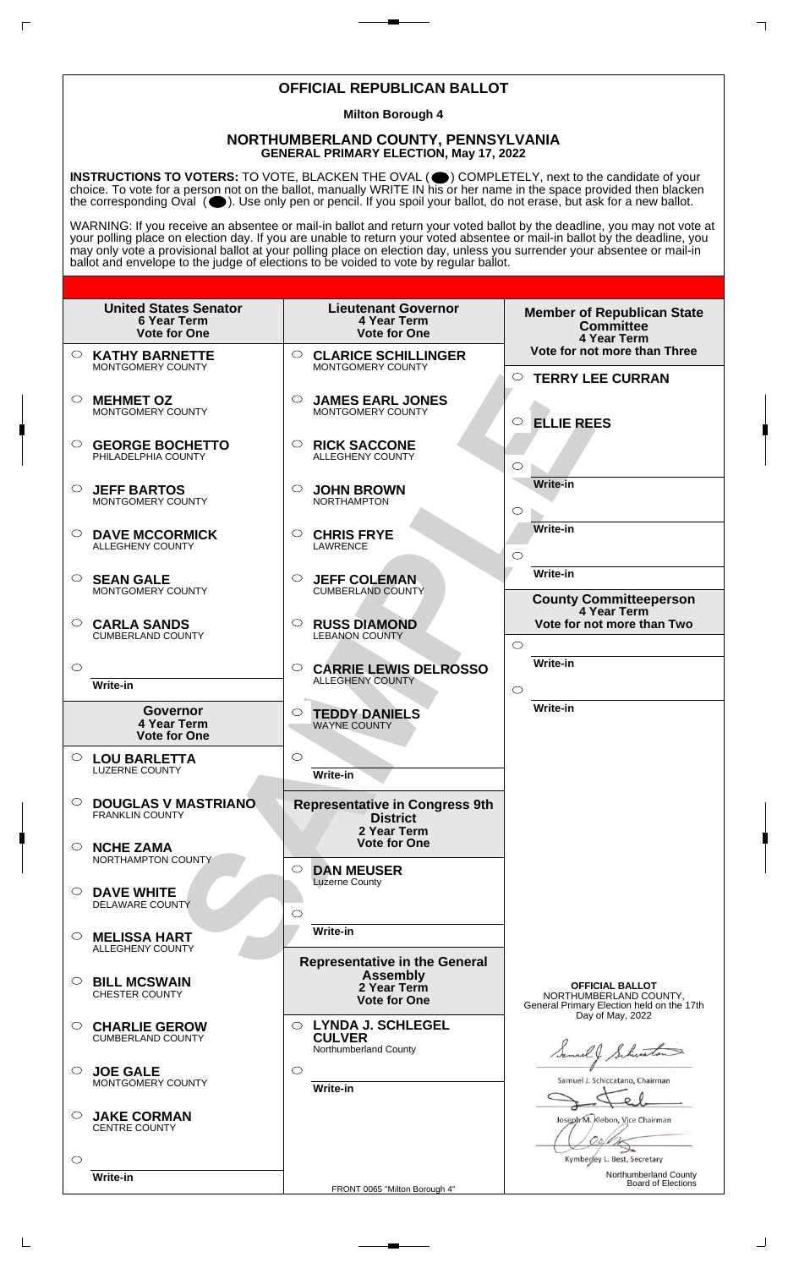**Milton Borough 4**

### **NORTHUMBERLAND COUNTY, PENNSYLVANIA GENERAL PRIMARY ELECTION, May 17, 2022**

**INSTRUCTIONS TO VOTERS:** TO VOTE, BLACKEN THE OVAL ( $\bigcirc$ ) COMPLETELY, next to the candidate of your choice. To vote for a person not on the ballot, manually WRITE IN his or her name in the space provided then blacken the corresponding Oval (  $\bigcirc$  ). Use only pen or pencil. If you spoil your ballot, do not erase, but ask for a new ballot.

WARNING: If you receive an absentee or mail-in ballot and return your voted ballot by the deadline, you may not vote at your polling place on election day. If you are unable to return your voted absentee or mail-in ballot by the deadline, you may only vote a provisional ballot at your polling place on election day, unless you surrender your absentee or mail-in ballot and envelope to the judge of elections to be voided to vote by regular ballot.

|                                                         | <b>United States Senator</b><br><b>6 Year Term</b><br><b>Vote for One</b> | <b>Lieutenant Governor</b><br>4 Year Term<br><b>Vote for One</b>                 | <b>Member of Republican State</b><br><b>Committee</b><br>4 Year Term                          |
|---------------------------------------------------------|---------------------------------------------------------------------------|----------------------------------------------------------------------------------|-----------------------------------------------------------------------------------------------|
| $\circ$                                                 | <b>KATHY BARNETTE</b><br>MONTGOMERY COUNTY                                | <b>CLARICE SCHILLINGER</b><br>$\circ$<br>MONTGOMERY COUNTY                       | Vote for not more than Three<br><b>TERRY LEE CURRAN</b><br>O                                  |
| $\circ$<br><b>MEHMET OZ</b>                             | MONTGOMERY COUNTY                                                         | <b>JAMES EARL JONES</b><br>O<br>MONTGOMERY COUNTY                                | <b>ELLIE REES</b><br>$\circ$                                                                  |
| $\circ$                                                 | <b>GEORGE BOCHETTO</b><br>PHILADELPHIA COUNTY                             | <b>RICK SACCONE</b><br>$\circ$<br>ALLEGHENY COUNTY                               | $\circ$                                                                                       |
| $\circ$<br><b>JEFF BARTOS</b>                           | MONTGOMERY COUNTY                                                         | $\circ$<br><b>JOHN BROWN</b><br><b>NORTHAMPTON</b>                               | <b>Write-in</b><br>$\circ$                                                                    |
| $\circ$                                                 | <b>DAVE MCCORMICK</b><br>ALLEGHENY COUNTY                                 | $\circ$<br><b>CHRIS FRYE</b><br>LAWRENCE                                         | <b>Write-in</b><br>$\circ$                                                                    |
| $\circ$<br><b>SEAN GALE</b>                             | MONTGOMERY COUNTY                                                         | $\circ$<br><b>JEFF COLEMAN</b><br><b>CUMBERLAND COUNTY</b>                       | <b>Write-in</b><br><b>County Committeeperson</b><br>4 Year Term                               |
| $\circ$<br><b>CARLA SANDS</b>                           | <b>CUMBERLAND COUNTY</b>                                                  | <b>RUSS DIAMOND</b><br>$\circ$<br><b>LEBANON COUNTY</b>                          | Vote for not more than Two<br>$\circ$                                                         |
| $\circ$<br><b>Write-in</b>                              |                                                                           | <b>CARRIE LEWIS DELROSSO</b><br>$\circ$<br>ALLEGHENY COUNTY                      | <b>Write-in</b><br>$\circ$                                                                    |
|                                                         | <b>Governor</b><br>4 Year Term<br><b>Vote for One</b>                     | <b>TEDDY DANIELS</b><br>$\circ$<br><b>WAYNE COUNTY</b>                           | <b>Write-in</b>                                                                               |
| $\circ$<br><b>LUZERNE COUNTY</b>                        | <b>LOU BARLETTA</b>                                                       | $\circ$<br><b>Write-in</b>                                                       |                                                                                               |
| $\circ$<br><b>FRANKLIN COUNTY</b>                       | <b>DOUGLAS V MASTRIANO</b>                                                | <b>Representative in Congress 9th</b><br><b>District</b><br>2 Year Term          |                                                                                               |
| $\circ$ NCHE ZAMA                                       | NORTHAMPTON COUNTY                                                        | <b>Vote for One</b><br>$\circ$<br><b>DAN MEUSER</b>                              |                                                                                               |
| <b>DAVE WHITE</b><br>$\circ$                            | <b>DELAWARE COUNTY</b>                                                    | <b>Luzerne County</b><br>$\circ$                                                 |                                                                                               |
| $\circ$                                                 | <b>MELISSA HART</b><br><b>ALLEGHENY COUNTY</b>                            | <b>Write-in</b><br><b>Representative in the General</b>                          |                                                                                               |
| $\circ$<br><b>BILL MCSWAIN</b><br><b>CHESTER COUNTY</b> |                                                                           | <b>Assembly</b><br>2 Year Term<br><b>Vote for One</b>                            | <b>OFFICIAL BALLOT</b><br>NORTHUMBERLAND COUNTY,<br>General Primary Election held on the 17th |
| $\circ$                                                 | <b>CHARLIE GEROW</b><br><b>CUMBERLAND COUNTY</b>                          | <b>LYNDA J. SCHLEGEL</b><br>$\bigcirc$<br><b>CULVER</b><br>Northumberland County | Day of May, 2022<br>nell Schwater                                                             |
| $\circ$<br><b>JOE GALE</b>                              | MONTGOMERY COUNTY                                                         | $\circ$<br>Write-in                                                              | Samuel J. Schiccatano, Chairman                                                               |
| $\circ$<br><b>CENTRE COUNTY</b>                         | <b>JAKE CORMAN</b>                                                        |                                                                                  | Joseph M. Klebon, Vice Chairman<br>0010                                                       |
| $\circlearrowright$                                     |                                                                           |                                                                                  | Kymber/ey L. Best, Secretary                                                                  |
| <b>Write-in</b>                                         |                                                                           | FRONT 0065 "Milton Borough 4"                                                    | Northumberland County<br>Board of Elections                                                   |

÷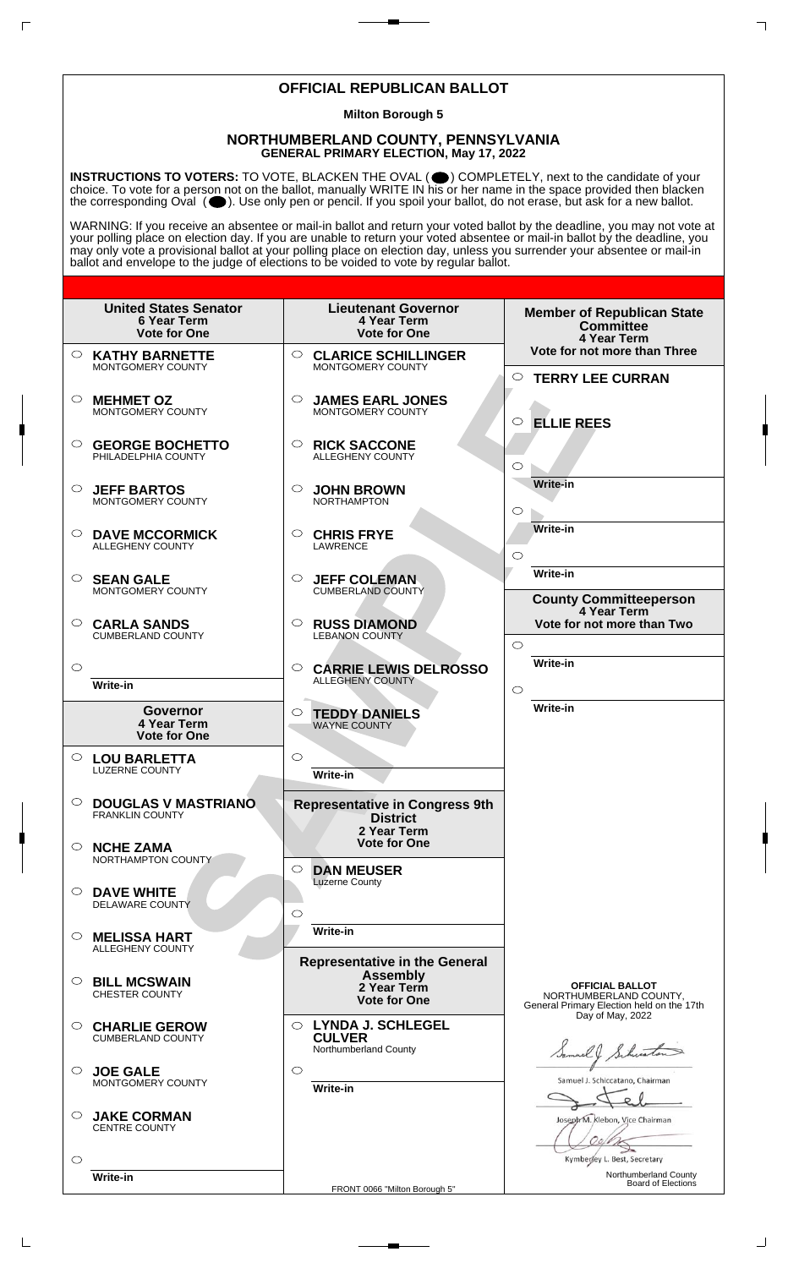$\Gamma$ 

 $\Box$ 

**Milton Borough 5**

### **NORTHUMBERLAND COUNTY, PENNSYLVANIA GENERAL PRIMARY ELECTION, May 17, 2022**

**INSTRUCTIONS TO VOTERS:** TO VOTE, BLACKEN THE OVAL ( $\bigcirc$ ) COMPLETELY, next to the candidate of your choice. To vote for a person not on the ballot, manually WRITE IN his or her name in the space provided then blacken the corresponding Oval (  $\bigcirc$  ). Use only pen or pencil. If you spoil your ballot, do not erase, but ask for a new ballot.

WARNING: If you receive an absentee or mail-in ballot and return your voted ballot by the deadline, you may not vote at your polling place on election day. If you are unable to return your voted absentee or mail-in ballot by the deadline, you may only vote a provisional ballot at your polling place on election day, unless you surrender your absentee or mail-in ballot and envelope to the judge of elections to be voided to vote by regular ballot.

|                     | <b>United States Senator</b><br><b>6 Year Term</b><br><b>Vote for One</b> | <b>Lieutenant Governor</b><br>4 Year Term<br><b>Vote for One</b>              | <b>Member of Republican State</b><br><b>Committee</b><br>4 Year Term                          |
|---------------------|---------------------------------------------------------------------------|-------------------------------------------------------------------------------|-----------------------------------------------------------------------------------------------|
| $\bigcirc$ .        | <b>KATHY BARNETTE</b><br>MONTGOMERY COUNTY                                | $\circ$<br><b>CLARICE SCHILLINGER</b><br>MONTGOMERY COUNTY                    | Vote for not more than Three<br><b>TERRY LEE CURRAN</b><br>$\circ$                            |
| $\circ$             | <b>MEHMET OZ</b><br>MONTGOMERY COUNTY                                     | <b>JAMES EARL JONES</b><br>O<br>MONTGOMERY COUNTY                             | <b>ELLIE REES</b><br>$\circ$                                                                  |
| $\circ$             | <b>GEORGE BOCHETTO</b><br>PHILADELPHIA COUNTY                             | <b>RICK SACCONE</b><br>$\circ$<br><b>ALLEGHENY COUNTY</b>                     | $\circlearrowright$                                                                           |
| $\circ$             | <b>JEFF BARTOS</b><br>MONTGOMERY COUNTY                                   | $\circ$<br><b>JOHN BROWN</b><br><b>NORTHAMPTON</b>                            | Write-in<br>$\circ$                                                                           |
| $\circ$             | <b>DAVE MCCORMICK</b><br><b>ALLEGHENY COUNTY</b>                          | <b>CHRIS FRYE</b><br>$\circ$<br><b>LAWRENCE</b>                               | Write-in<br>$\circ$                                                                           |
| $\circ$             | <b>SEAN GALE</b><br>MONTGOMERY COUNTY                                     | $\circ$<br><b>JEFF COLEMAN</b><br><b>CUMBERLAND COUNTY</b>                    | <b>Write-in</b><br><b>County Committeeperson</b><br>4 Year Term                               |
| $\circ$             | <b>CARLA SANDS</b><br><b>CUMBERLAND COUNTY</b>                            | <b>RUSS DIAMOND</b><br>$\circ$<br><b>LEBANON COUNTY</b>                       | Vote for not more than Two<br>$\circ$                                                         |
| $\circlearrowright$ | Write-in                                                                  | <b>CARRIE LEWIS DELROSSO</b><br>$\circ$<br>ALLEGHENY COUNTY                   | <b>Write-in</b><br>$\circ$                                                                    |
|                     | <b>Governor</b><br>4 Year Term<br><b>Vote for One</b>                     | <b>TEDDY DANIELS</b><br>O<br><b>WAYNE COUNTY</b>                              | Write-in                                                                                      |
| $\circ$             | <b>LOU BARLETTA</b><br><b>LUZERNE COUNTY</b>                              | $\circ$<br><b>Write-in</b>                                                    |                                                                                               |
| $\circ$             | <b>DOUGLAS V MASTRIANO</b><br><b>FRANKLIN COUNTY</b>                      | <b>Representative in Congress 9th</b><br><b>District</b><br>2 Year Term       |                                                                                               |
|                     | $\circ$ NCHE ZAMA<br>NORTHAMPTON COUNTY                                   | <b>Vote for One</b><br>$\circ$<br><b>DAN MEUSER</b><br><b>Luzerne County</b>  |                                                                                               |
| O                   | <b>DAVE WHITE</b><br><b>DELAWARE COUNTY</b>                               | $\circ$                                                                       |                                                                                               |
| O                   | <b>MELISSA HART</b><br><b>ALLEGHENY COUNTY</b>                            | Write-in<br><b>Representative in the General</b>                              |                                                                                               |
| $\circlearrowright$ | <b>BILL MCSWAIN</b><br><b>CHESTER COUNTY</b>                              | <b>Assembly</b><br>2 Year Term<br><b>Vote for One</b>                         | <b>OFFICIAL BALLOT</b><br>NORTHUMBERLAND COUNTY,<br>General Primary Election held on the 17th |
| $\circlearrowright$ | <b>CHARLIE GEROW</b><br><b>CUMBERLAND COUNTY</b>                          | <b>LYNDA J. SCHLEGEL</b><br>$\circ$<br><b>CULVER</b><br>Northumberland County | Day of May, 2022                                                                              |
| $\circlearrowright$ | <b>JOE GALE</b><br>MONTGOMERY COUNTY                                      | $\circlearrowright$<br><b>Write-in</b>                                        | Samuel J. Schiccatano, Chairman                                                               |
| $\circlearrowright$ | <b>JAKE CORMAN</b><br><b>CENTRE COUNTY</b>                                |                                                                               | Joseph M. klebon, Vice Chairman<br>0010                                                       |
| $\circlearrowright$ |                                                                           |                                                                               | Kymberley L. Best, Secretary                                                                  |
|                     | <b>Write-in</b>                                                           | FRONT 0066 "Milton Borough 5"                                                 | Northumberland County<br>Board of Elections                                                   |

÷

 $\overline{\phantom{a}}$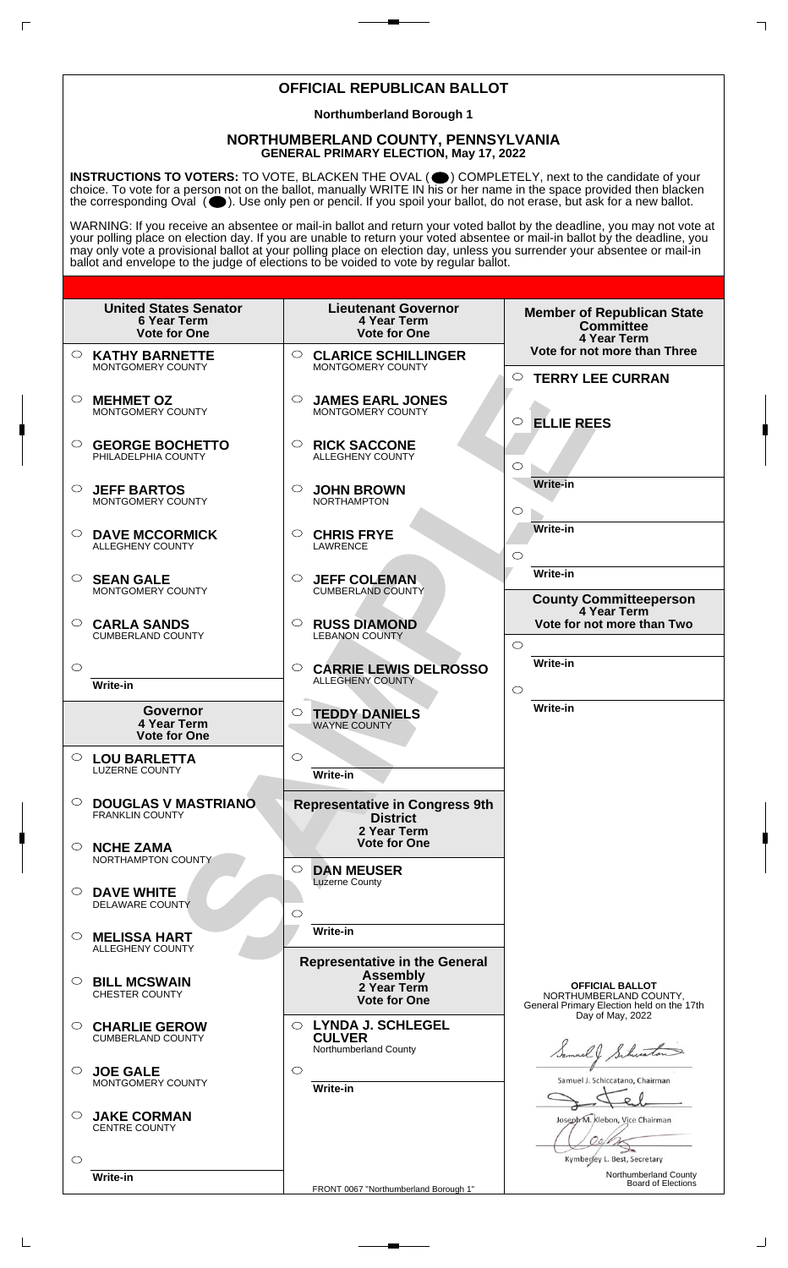**Northumberland Borough 1**

### **NORTHUMBERLAND COUNTY, PENNSYLVANIA GENERAL PRIMARY ELECTION, May 17, 2022**

**INSTRUCTIONS TO VOTERS:** TO VOTE, BLACKEN THE OVAL ( $\bigcirc$ ) COMPLETELY, next to the candidate of your choice. To vote for a person not on the ballot, manually WRITE IN his or her name in the space provided then blacken the corresponding Oval (  $\bigcirc$  ). Use only pen or pencil. If you spoil your ballot, do not erase, but ask for a new ballot.

WARNING: If you receive an absentee or mail-in ballot and return your voted ballot by the deadline, you may not vote at your polling place on election day. If you are unable to return your voted absentee or mail-in ballot by the deadline, you may only vote a provisional ballot at your polling place on election day, unless you surrender your absentee or mail-in ballot and envelope to the judge of elections to be voided to vote by regular ballot.

|                     | <b>United States Senator</b><br><b>6 Year Term</b><br><b>Vote for One</b> | <b>Lieutenant Governor</b><br>4 Year Term<br><b>Vote for One</b>             | <b>Member of Republican State</b><br><b>Committee</b><br>4 Year Term                          |
|---------------------|---------------------------------------------------------------------------|------------------------------------------------------------------------------|-----------------------------------------------------------------------------------------------|
|                     | $\circ$ KATHY BARNETTE<br>MONTGOMERY COUNTY                               | $\circ$<br><b>CLARICE SCHILLINGER</b><br>MONTGOMERY COUNTY                   | Vote for not more than Three<br><b>TERRY LEE CURRAN</b><br>O                                  |
| $\circ$             | <b>MEHMET OZ</b><br>MONTGOMERY COUNTY                                     | <b>JAMES EARL JONES</b><br>O<br><b>MONTGOMERY COUNTY</b>                     | <b>ELLIE REES</b><br>$\circ$                                                                  |
| $\bigcirc$          | <b>GEORGE BOCHETTO</b><br>PHILADELPHIA COUNTY                             | <b>RICK SACCONE</b><br>$\circ$<br><b>ALLEGHENY COUNTY</b>                    | $\circ$                                                                                       |
| $\circ$             | <b>JEFF BARTOS</b><br>MONTGOMERY COUNTY                                   | $\circ$<br><b>JOHN BROWN</b><br><b>NORTHAMPTON</b>                           | Write-in<br>$\circ$                                                                           |
|                     | O DAVE MCCORMICK<br><b>ALLEGHENY COUNTY</b>                               | $\circ$<br><b>CHRIS FRYE</b><br><b>LAWRENCE</b>                              | <b>Write-in</b><br>$\circ$                                                                    |
| $\circ$             | <b>SEAN GALE</b><br>MONTGOMERY COUNTY                                     | $\circ$<br><b>JEFF COLEMAN</b><br><b>CUMBERLAND COUNTY</b>                   | <b>Write-in</b><br><b>County Committeeperson</b><br>4 Year Term                               |
| $\circ$             | <b>CARLA SANDS</b><br><b>CUMBERLAND COUNTY</b>                            | <b>RUSS DIAMOND</b><br>$\circ$<br><b>LEBANON COUNTY</b>                      | Vote for not more than Two<br>$\circ$                                                         |
| $\circlearrowright$ | <b>Write-in</b>                                                           | <b>CARRIE LEWIS DELROSSO</b><br>$\circ$<br>ALLEGHENY COUNTY                  | <b>Write-in</b><br>$\circ$                                                                    |
|                     | <b>Governor</b><br>4 Year Term<br><b>Vote for One</b>                     | <b>TEDDY DANIELS</b><br>$\circ$<br><b>WAYNE COUNTY</b>                       | <b>Write-in</b>                                                                               |
|                     | $\circ$ LOU BARLETTA<br><b>LUZERNE COUNTY</b>                             | $\circ$<br><b>Write-in</b>                                                   |                                                                                               |
| $\circ$             | <b>DOUGLAS V MASTRIANO</b><br><b>FRANKLIN COUNTY</b>                      | <b>Representative in Congress 9th</b><br><b>District</b><br>2 Year Term      |                                                                                               |
|                     | $\circ$ NCHE ZAMA<br>NORTHAMPTON COUNTY                                   | <b>Vote for One</b><br>$\circ$<br><b>DAN MEUSER</b><br><b>Luzerne County</b> |                                                                                               |
| O                   | <b>DAVE WHITE</b><br>DELAWARE COUNTY                                      | $\circ$                                                                      |                                                                                               |
| O                   | <b>MELISSA HART</b><br><b>ALLEGHENY COUNTY</b>                            | Write-in<br><b>Representative in the General</b>                             |                                                                                               |
| $\circ$             | <b>BILL MCSWAIN</b><br><b>CHESTER COUNTY</b>                              | <b>Assembly</b><br>2 Year Term<br><b>Vote for One</b>                        | <b>OFFICIAL BALLOT</b><br>NORTHUMBERLAND COUNTY,<br>General Primary Election held on the 17th |
| $\circ$             | <b>CHARLIE GEROW</b><br><b>CUMBERLAND COUNTY</b>                          | <b>LYNDA J. SCHLEGEL</b><br>◯<br><b>CULVER</b><br>Northumberland County      | Day of May, 2022                                                                              |
| $\circ$             | <b>JOE GALE</b><br>MONTGOMERY COUNTY                                      | $\circlearrowright$<br><b>Write-in</b>                                       | Samuel J. Schiccatano, Chairman                                                               |
| $\circ$             | <b>JAKE CORMAN</b><br><b>CENTRE COUNTY</b>                                |                                                                              | Joseph M. Klebon, Vice Chairman<br>00.0                                                       |
| $\circlearrowright$ |                                                                           |                                                                              | Kymberley L. Best, Secretary                                                                  |
|                     | Write-in                                                                  | FRONT 0067 "Northumberland Borough 1"                                        | Northumberland County<br>Board of Elections                                                   |

للمسار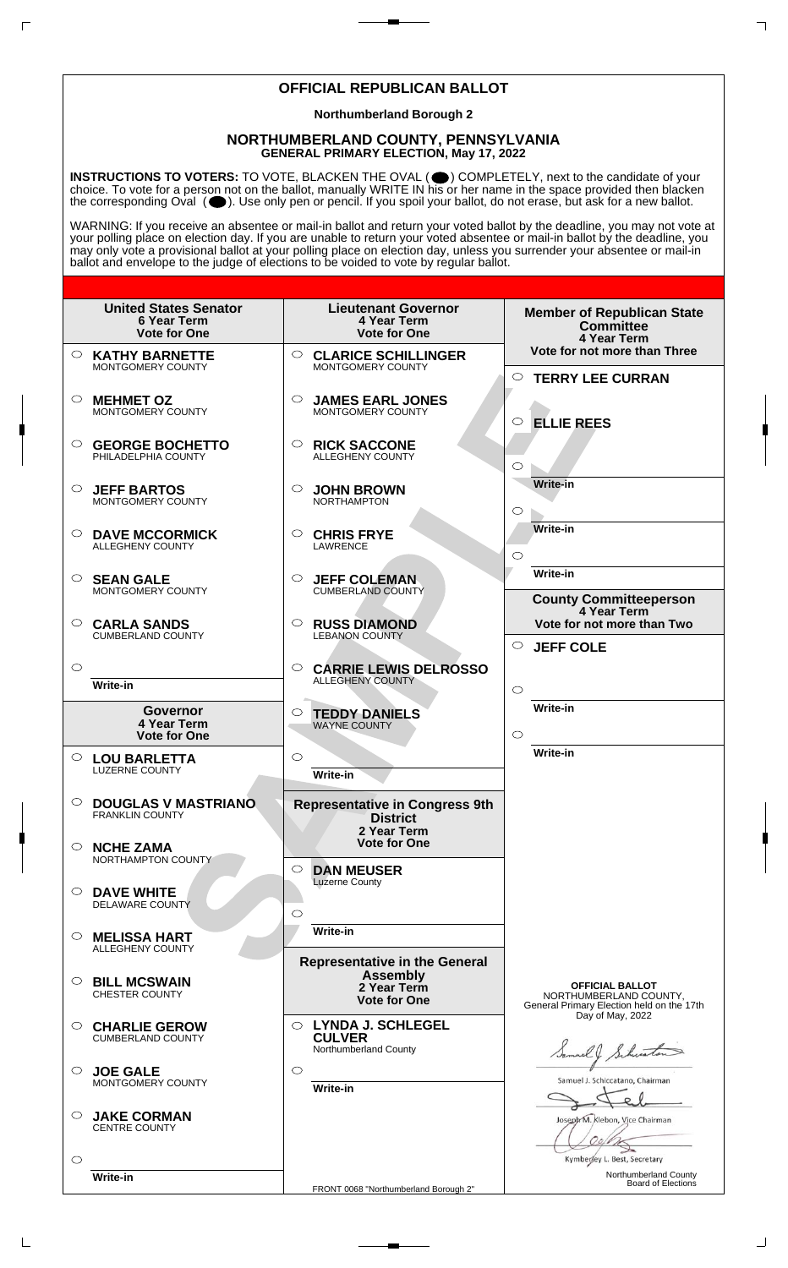**Northumberland Borough 2**

### **NORTHUMBERLAND COUNTY, PENNSYLVANIA GENERAL PRIMARY ELECTION, May 17, 2022**

**INSTRUCTIONS TO VOTERS:** TO VOTE, BLACKEN THE OVAL ( $\bigcirc$ ) COMPLETELY, next to the candidate of your choice. To vote for a person not on the ballot, manually WRITE IN his or her name in the space provided then blacken the corresponding Oval (  $\bigcirc$  ). Use only pen or pencil. If you spoil your ballot, do not erase, but ask for a new ballot.

WARNING: If you receive an absentee or mail-in ballot and return your voted ballot by the deadline, you may not vote at your polling place on election day. If you are unable to return your voted absentee or mail-in ballot by the deadline, you may only vote a provisional ballot at your polling place on election day, unless you surrender your absentee or mail-in ballot and envelope to the judge of elections to be voided to vote by regular ballot.

|                     | <b>United States Senator</b><br><b>6 Year Term</b><br><b>Vote for One</b> | <b>Lieutenant Governor</b><br>4 Year Term<br><b>Vote for One</b>        | <b>Member of Republican State</b><br><b>Committee</b><br>4 Year Term                          |
|---------------------|---------------------------------------------------------------------------|-------------------------------------------------------------------------|-----------------------------------------------------------------------------------------------|
|                     | $\circ$ KATHY BARNETTE<br>MONTGOMERY COUNTY                               | $\circ$<br><b>CLARICE SCHILLINGER</b><br>MONTGOMERY COUNTY              | Vote for not more than Three<br>$\circ$<br><b>TERRY LEE CURRAN</b>                            |
| $\circ$             | <b>MEHMET OZ</b><br>MONTGOMERY COUNTY                                     | $\circ$<br><b>JAMES EARL JONES</b><br>MONTGOMERY COUNTY                 | <b>ELLIE REES</b><br>$\circ$                                                                  |
| $\bigcirc$          | <b>GEORGE BOCHETTO</b><br>PHILADELPHIA COUNTY                             | <b>RICK SACCONE</b><br>$\circ$<br><b>ALLEGHENY COUNTY</b>               | $\circ$                                                                                       |
| $\circ$             | <b>JEFF BARTOS</b><br>MONTGOMERY COUNTY                                   | $\circ$<br><b>JOHN BROWN</b><br><b>NORTHAMPTON</b>                      | Write-in<br>$\circ$                                                                           |
|                     | O DAVE MCCORMICK<br><b>ALLEGHENY COUNTY</b>                               | $\circ$<br><b>CHRIS FRYE</b><br><b>LAWRENCE</b>                         | <b>Write-in</b><br>$\circ$                                                                    |
| $\circ$             | <b>SEAN GALE</b><br>MONTGOMERY COUNTY                                     | $\circ$<br><b>JEFF COLEMAN</b><br><b>CUMBERLAND COUNTY</b>              | Write-in<br><b>County Committeeperson</b><br>4 Year Term                                      |
| $\circ$             | <b>CARLA SANDS</b><br><b>CUMBERLAND COUNTY</b>                            | <b>RUSS DIAMOND</b><br>$\circ$<br><b>LEBANON COUNTY</b>                 | Vote for not more than Two<br>$\circ$ JEFF COLE                                               |
| $\circlearrowright$ | <b>Write-in</b>                                                           | <b>CARRIE LEWIS DELROSSO</b><br>$\circ$<br>ALLEGHENY COUNTY             | $\circ$                                                                                       |
|                     | <b>Governor</b><br>4 Year Term<br><b>Vote for One</b>                     | <b>TEDDY DANIELS</b><br>O<br><b>WAYNE COUNTY</b>                        | <b>Write-in</b><br>$\circ$                                                                    |
| $\circ$             | <b>LOU BARLETTA</b><br><b>LUZERNE COUNTY</b>                              | $\circ$<br><b>Write-in</b>                                              | Write-in                                                                                      |
| $\circ$             | <b>DOUGLAS V MASTRIANO</b><br><b>FRANKLIN COUNTY</b>                      | <b>Representative in Congress 9th</b><br><b>District</b><br>2 Year Term |                                                                                               |
|                     | $\circ$ NCHE ZAMA<br>NORTHAMPTON COUNTY                                   | <b>Vote for One</b><br>$\circ$<br><b>DAN MEUSER</b>                     |                                                                                               |
| O                   | <b>DAVE WHITE</b><br>DELAWARE COUNTY                                      | <b>Luzerne County</b><br>$\circlearrowright$                            |                                                                                               |
| O                   | <b>MELISSA HART</b><br><b>ALLEGHENY COUNTY</b>                            | Write-in<br><b>Representative in the General</b>                        |                                                                                               |
| $\circ$             | <b>BILL MCSWAIN</b><br>CHESTER COUNTY                                     | <b>Assembly</b><br>2 Year Term<br><b>Vote for One</b>                   | <b>OFFICIAL BALLOT</b><br>NORTHUMBERLAND COUNTY,<br>General Primary Election held on the 17th |
| $\circ$             | <b>CHARLIE GEROW</b><br><b>CUMBERLAND COUNTY</b>                          | <b>LYNDA J. SCHLEGEL</b><br>◯<br><b>CULVER</b><br>Northumberland County | Day of May, 2022<br>Shints                                                                    |
| $\circ$             | <b>JOE GALE</b><br>MONTGOMERY COUNTY                                      | $\circ$<br><b>Write-in</b>                                              | Samuel J. Schiccatano, Chairman                                                               |
| O                   | <b>JAKE CORMAN</b><br><b>CENTRE COUNTY</b>                                |                                                                         | Joseph M. Klebon, Vice Chairman<br>0010                                                       |
| $\circlearrowright$ |                                                                           |                                                                         | Kymberley L. Best, Secretary                                                                  |
|                     | Write-in                                                                  | FRONT 0068 "Northumberland Borough 2"                                   | Northumberland County<br>Board of Elections                                                   |

للمسار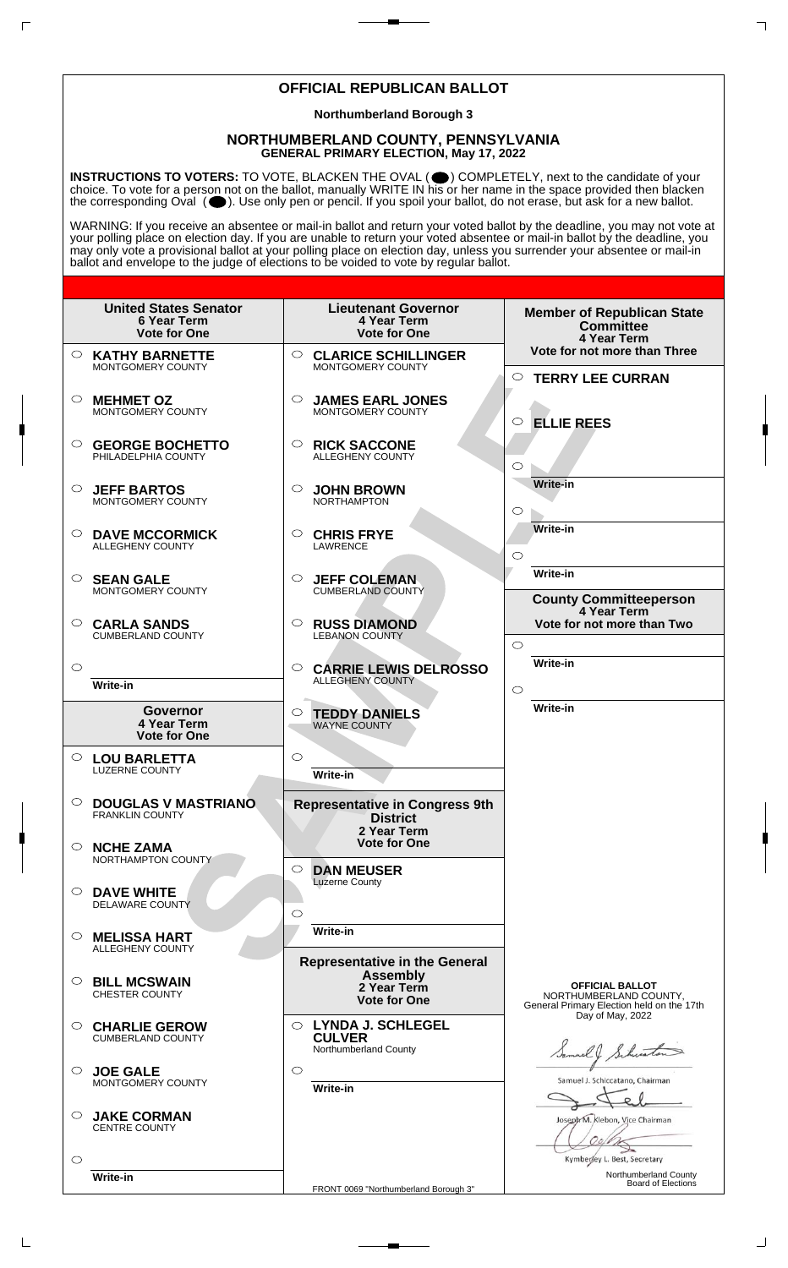**Northumberland Borough 3**

## **NORTHUMBERLAND COUNTY, PENNSYLVANIA GENERAL PRIMARY ELECTION, May 17, 2022**

**INSTRUCTIONS TO VOTERS:** TO VOTE, BLACKEN THE OVAL ( $\bigcirc$ ) COMPLETELY, next to the candidate of your choice. To vote for a person not on the ballot, manually WRITE IN his or her name in the space provided then blacken the corresponding Oval (  $\bigcirc$  ). Use only pen or pencil. If you spoil your ballot, do not erase, but ask for a new ballot.

WARNING: If you receive an absentee or mail-in ballot and return your voted ballot by the deadline, you may not vote at your polling place on election day. If you are unable to return your voted absentee or mail-in ballot by the deadline, you may only vote a provisional ballot at your polling place on election day, unless you surrender your absentee or mail-in ballot and envelope to the judge of elections to be voided to vote by regular ballot.

|                     | <b>United States Senator</b><br><b>6 Year Term</b><br><b>Vote for One</b> | <b>Lieutenant Governor</b><br>4 Year Term<br><b>Vote for One</b>                 | <b>Member of Republican State</b><br><b>Committee</b><br>4 Year Term                          |
|---------------------|---------------------------------------------------------------------------|----------------------------------------------------------------------------------|-----------------------------------------------------------------------------------------------|
|                     | <b>KATHY BARNETTE</b><br>MONTGOMERY COUNTY                                | $\circ$<br><b>CLARICE SCHILLINGER</b><br>MONTGOMERY COUNTY                       | Vote for not more than Three<br>O<br><b>TERRY LEE CURRAN</b>                                  |
| $\circ$             | <b>MEHMET OZ</b><br>MONTGOMERY COUNTY                                     | $\circ$<br><b>JAMES EARL JONES</b><br>MONTGOMERY COUNTY                          | <b>ELLIE REES</b><br>$\circ$                                                                  |
| $\circ$             | <b>GEORGE BOCHETTO</b><br>PHILADELPHIA COUNTY                             | <b>RICK SACCONE</b><br>$\circ$<br>ALLEGHENY COUNTY                               | $\circlearrowright$                                                                           |
| $\circ$             | <b>JEFF BARTOS</b><br>MONTGOMERY COUNTY                                   | $\circ$<br><b>JOHN BROWN</b><br><b>NORTHAMPTON</b>                               | Write-in<br>$\circ$                                                                           |
|                     | $\circ$ DAVE MCCORMICK<br>ALLEGHENY COUNTY                                | $\circ$<br><b>CHRIS FRYE</b><br><b>LAWRENCE</b>                                  | Write-in<br>$\circ$                                                                           |
| $\circ$             | <b>SEAN GALE</b><br>MONTGOMERY COUNTY                                     | $\circ$<br><b>JEFF COLEMAN</b><br><b>CUMBERLAND COUNTY</b>                       | <b>Write-in</b><br><b>County Committeeperson</b><br>4 Year Term                               |
| $\circ$             | <b>CARLA SANDS</b><br><b>CUMBERLAND COUNTY</b>                            | <b>RUSS DIAMOND</b><br>$\circ$<br><b>LEBANON COUNTY</b>                          | Vote for not more than Two<br>$\circ$                                                         |
| $\circlearrowright$ | Write-in                                                                  | <b>CARRIE LEWIS DELROSSO</b><br>$\circ$<br><b>ALLEGHENY COUNTY</b>               | <b>Write-in</b><br>$\circ$                                                                    |
|                     | <b>Governor</b><br>4 Year Term<br><b>Vote for One</b>                     | <b>TEDDY DANIELS</b><br>$\circ$<br><b>WAYNE COUNTY</b>                           | <b>Write-in</b>                                                                               |
| $\bigcirc$ .        | <b>LOU BARLETTA</b><br>LUZERNE COUNTY                                     | $\circ$<br><b>Write-in</b>                                                       |                                                                                               |
| $\circ$             | <b>DOUGLAS V MASTRIANO</b><br><b>FRANKLIN COUNTY</b>                      | <b>Representative in Congress 9th</b><br><b>District</b><br>2 Year Term          |                                                                                               |
|                     | $\circ$ NCHE ZAMA<br>NORTHAMPTON COUNTY                                   | <b>Vote for One</b><br>$\circlearrowright$<br><b>DAN MEUSER</b>                  |                                                                                               |
| O                   | <b>DAVE WHITE</b><br><b>DELAWARE COUNTY</b>                               | <b>Luzerne County</b><br>$\circlearrowright$                                     |                                                                                               |
| O                   | <b>MELISSA HART</b><br><b>ALLEGHENY COUNTY</b>                            | <b>Write-in</b><br><b>Representative in the General</b>                          |                                                                                               |
| $\circlearrowright$ | <b>BILL MCSWAIN</b><br>CHESTER COUNTY                                     | <b>Assembly</b><br>2 Year Term<br><b>Vote for One</b>                            | <b>OFFICIAL BALLOT</b><br>NORTHUMBERLAND COUNTY,<br>General Primary Election held on the 17th |
| $\circ$             | <b>CHARLIE GEROW</b><br><b>CUMBERLAND COUNTY</b>                          | <b>LYNDA J. SCHLEGEL</b><br>$\bigcirc$<br><b>CULVER</b><br>Northumberland County | Day of May, 2022<br>well Schweiten                                                            |
| $\circlearrowright$ | <b>JOE GALE</b><br>MONTGOMERY COUNTY                                      | $\circlearrowright$<br>Write-in                                                  | Samuel J. Schiccatano, Chairman                                                               |
| $\circ$             | <b>JAKE CORMAN</b><br><b>CENTRE COUNTY</b>                                |                                                                                  | Joseph M. Klebon, Vice Chairman<br>0010                                                       |
| $\circlearrowright$ |                                                                           |                                                                                  | Kymberley L. Best, Secretary                                                                  |
|                     | Write-in                                                                  | FRONT 0069 "Northumberland Borough 3"                                            | Northumberland County<br>Board of Elections                                                   |

للمسار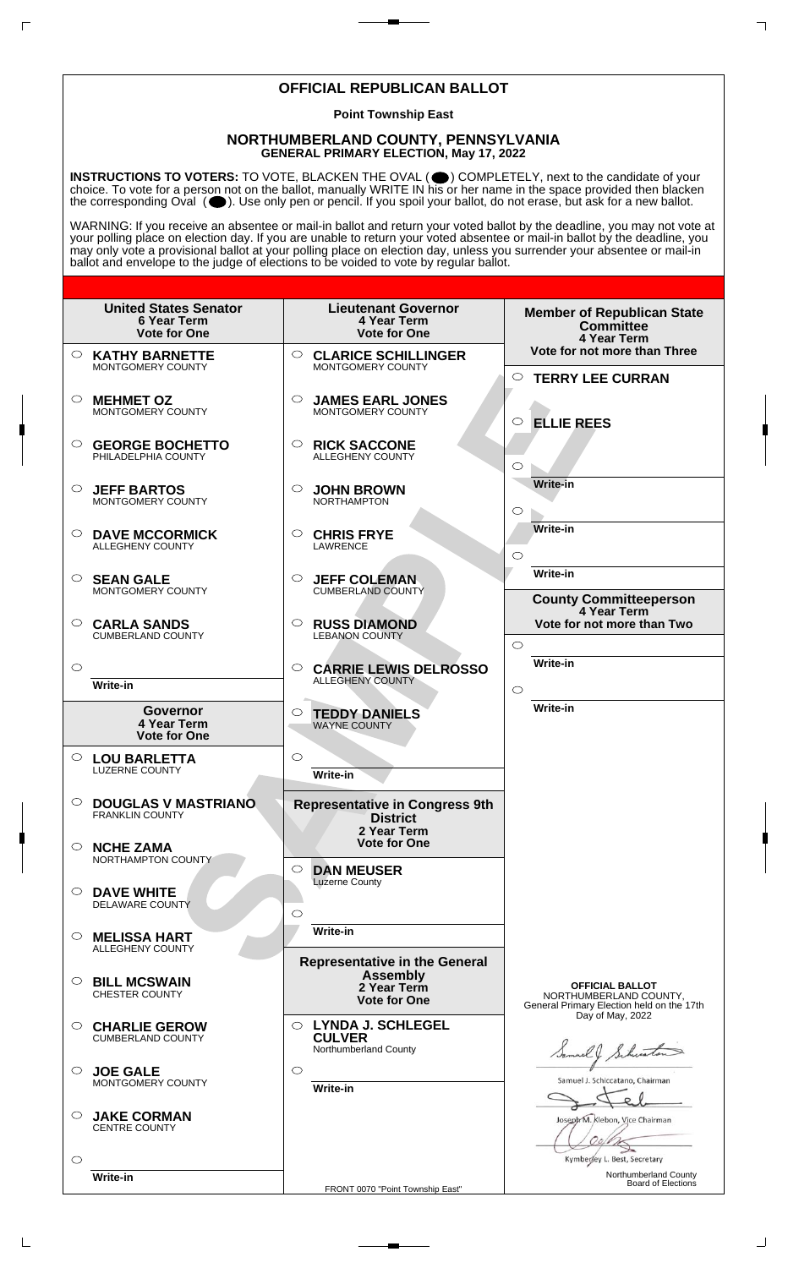**Point Township East**

### **NORTHUMBERLAND COUNTY, PENNSYLVANIA GENERAL PRIMARY ELECTION, May 17, 2022**

**INSTRUCTIONS TO VOTERS:** TO VOTE, BLACKEN THE OVAL ( $\bigcirc$ ) COMPLETELY, next to the candidate of your choice. To vote for a person not on the ballot, manually WRITE IN his or her name in the space provided then blacken the corresponding Oval (  $\bigcirc$  ). Use only pen or pencil. If you spoil your ballot, do not erase, but ask for a new ballot.

WARNING: If you receive an absentee or mail-in ballot and return your voted ballot by the deadline, you may not vote at your polling place on election day. If you are unable to return your voted absentee or mail-in ballot by the deadline, you may only vote a provisional ballot at your polling place on election day, unless you surrender your absentee or mail-in ballot and envelope to the judge of elections to be voided to vote by regular ballot.

| <b>United States Senator</b><br><b>6 Year Term</b><br><b>Vote for One</b> | <b>Lieutenant Governor</b><br>4 Year Term<br><b>Vote for One</b>                 | <b>Member of Republican State</b><br><b>Committee</b><br>4 Year Term                          |
|---------------------------------------------------------------------------|----------------------------------------------------------------------------------|-----------------------------------------------------------------------------------------------|
| $\circ$<br><b>KATHY BARNETTE</b><br>MONTGOMERY COUNTY                     | <b>CLARICE SCHILLINGER</b><br>$\circ$<br>MONTGOMERY COUNTY                       | Vote for not more than Three<br><b>TERRY LEE CURRAN</b><br>O                                  |
| $\circ$<br><b>MEHMET OZ</b><br>MONTGOMERY COUNTY                          | <b>JAMES EARL JONES</b><br>O<br>MONTGOMERY COUNTY                                | <b>ELLIE REES</b><br>$\circ$                                                                  |
| <b>GEORGE BOCHETTO</b><br>$\circ$<br>PHILADELPHIA COUNTY                  | <b>RICK SACCONE</b><br>$\circ$<br>ALLEGHENY COUNTY                               | $\circlearrowright$                                                                           |
| $\circ$<br><b>JEFF BARTOS</b><br>MONTGOMERY COUNTY                        | $\circ$<br><b>JOHN BROWN</b><br><b>NORTHAMPTON</b>                               | <b>Write-in</b><br>$\circ$                                                                    |
| $\circ$<br><b>DAVE MCCORMICK</b><br>ALLEGHENY COUNTY                      | $\circ$<br><b>CHRIS FRYE</b><br>LAWRENCE                                         | <b>Write-in</b><br>$\circ$                                                                    |
| $\circ$<br><b>SEAN GALE</b><br>MONTGOMERY COUNTY                          | $\circ$<br><b>JEFF COLEMAN</b><br><b>CUMBERLAND COUNTY</b>                       | <b>Write-in</b><br><b>County Committeeperson</b><br>4 Year Term                               |
| $\circ$<br><b>CARLA SANDS</b><br><b>CUMBERLAND COUNTY</b>                 | <b>RUSS DIAMOND</b><br>$\circ$<br><b>LEBANON COUNTY</b>                          | Vote for not more than Two<br>$\circ$                                                         |
| $\circ$<br><b>Write-in</b>                                                | <b>CARRIE LEWIS DELROSSO</b><br>$\circ$<br>ALLEGHENY COUNTY                      | <b>Write-in</b><br>$\circ$                                                                    |
| <b>Governor</b><br>4 Year Term<br><b>Vote for One</b>                     | <b>TEDDY DANIELS</b><br>$\circ$<br><b>WAYNE COUNTY</b>                           | <b>Write-in</b>                                                                               |
| $\circ$<br><b>LOU BARLETTA</b><br><b>LUZERNE COUNTY</b>                   | $\circ$<br><b>Write-in</b>                                                       |                                                                                               |
| <b>DOUGLAS V MASTRIANO</b><br>$\circ$<br><b>FRANKLIN COUNTY</b>           | <b>Representative in Congress 9th</b><br><b>District</b><br>2 Year Term          |                                                                                               |
| $\circ$ NCHE ZAMA<br>NORTHAMPTON COUNTY                                   | <b>Vote for One</b><br>$\circ$<br><b>DAN MEUSER</b>                              |                                                                                               |
| <b>DAVE WHITE</b><br>$\circ$<br><b>DELAWARE COUNTY</b>                    | <b>Luzerne County</b><br>$\circ$                                                 |                                                                                               |
| <b>MELISSA HART</b><br>$\circ$<br><b>ALLEGHENY COUNTY</b>                 | <b>Write-in</b><br><b>Representative in the General</b>                          |                                                                                               |
| $\circ$<br><b>BILL MCSWAIN</b><br><b>CHESTER COUNTY</b>                   | <b>Assembly</b><br>2 Year Term<br><b>Vote for One</b>                            | <b>OFFICIAL BALLOT</b><br>NORTHUMBERLAND COUNTY,<br>General Primary Election held on the 17th |
| $\circ$<br><b>CHARLIE GEROW</b><br><b>CUMBERLAND COUNTY</b>               | <b>LYNDA J. SCHLEGEL</b><br>$\bigcirc$<br><b>CULVER</b><br>Northumberland County | Day of May, 2022<br>nell Schwater                                                             |
| $\circ$<br><b>JOE GALE</b><br>MONTGOMERY COUNTY                           | $\circ$<br>Write-in                                                              | Samuel J. Schiccatano, Chairman                                                               |
| <b>JAKE CORMAN</b><br>$\circ$<br><b>CENTRE COUNTY</b>                     |                                                                                  | Joseph M. Klebon, Vice Chairman<br>0010                                                       |
| $\circlearrowright$                                                       |                                                                                  | Kymber/ey L. Best, Secretary                                                                  |
| <b>Write-in</b>                                                           | FRONT 0070 "Point Township East"                                                 | Northumberland County<br>Board of Elections                                                   |

÷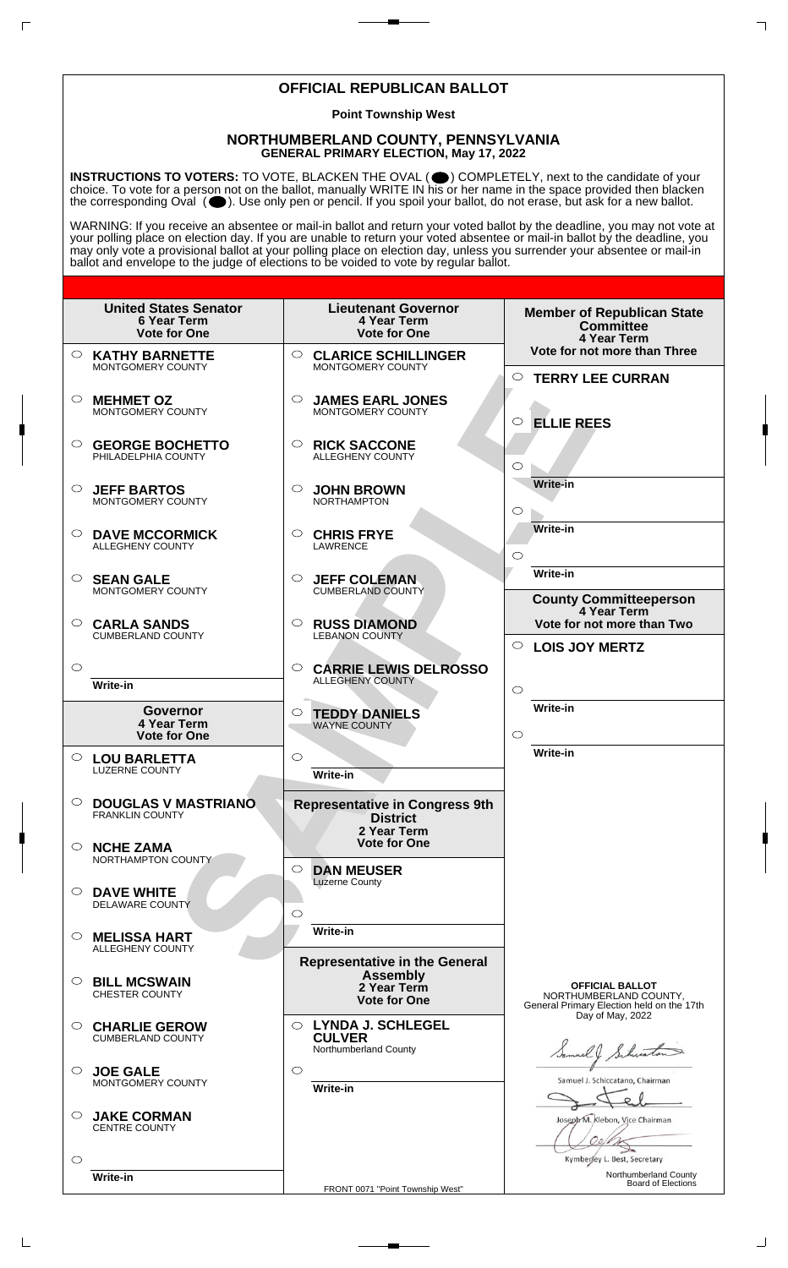$\Gamma$ 

 $\Box$ 

**Point Township West**

## **NORTHUMBERLAND COUNTY, PENNSYLVANIA GENERAL PRIMARY ELECTION, May 17, 2022**

**INSTRUCTIONS TO VOTERS:** TO VOTE, BLACKEN THE OVAL ( $\bigcirc$ ) COMPLETELY, next to the candidate of your choice. To vote for a person not on the ballot, manually WRITE IN his or her name in the space provided then blacken the corresponding Oval (  $\bigcirc$  ). Use only pen or pencil. If you spoil your ballot, do not erase, but ask for a new ballot.

WARNING: If you receive an absentee or mail-in ballot and return your voted ballot by the deadline, you may not vote at your polling place on election day. If you are unable to return your voted absentee or mail-in ballot by the deadline, you may only vote a provisional ballot at your polling place on election day, unless you surrender your absentee or mail-in ballot and envelope to the judge of elections to be voided to vote by regular ballot.

|                     | <b>United States Senator</b><br><b>6 Year Term</b><br><b>Vote for One</b> | <b>Lieutenant Governor</b><br>4 Year Term<br><b>Vote for One</b>              | <b>Member of Republican State</b><br><b>Committee</b><br>4 Year Term                          |
|---------------------|---------------------------------------------------------------------------|-------------------------------------------------------------------------------|-----------------------------------------------------------------------------------------------|
| $\circ$             | <b>KATHY BARNETTE</b><br>MONTGOMERY COUNTY                                | C CLARICE SCHILLINGER<br>MONTGOMERY COUNTY                                    | Vote for not more than Three<br>$\circ$<br><b>TERRY LEE CURRAN</b>                            |
| $\circ$             | <b>MEHMET OZ</b><br>MONTGOMERY COUNTY                                     | $\circ$<br><b>JAMES EARL JONES</b><br>MONTGOMERY COUNTY                       | <b>ELLIE REES</b><br>$\circ$                                                                  |
| $\circ$             | <b>GEORGE BOCHETTO</b><br>PHILADELPHIA COUNTY                             | <b>RICK SACCONE</b><br>$\circ$<br><b>ALLEGHENY COUNTY</b>                     | $\circlearrowright$                                                                           |
| $\circ$             | <b>JEFF BARTOS</b><br>MONTGOMERY COUNTY                                   | $\circlearrowright$<br><b>JOHN BROWN</b><br><b>NORTHAMPTON</b>                | Write-in<br>$\circ$                                                                           |
| $\circ$             | <b>DAVE MCCORMICK</b><br><b>ALLEGHENY COUNTY</b>                          | <b>CHRIS FRYE</b><br>$\circ$<br><b>LAWRENCE</b>                               | <b>Write-in</b><br>$\circ$                                                                    |
| $\circ$             | <b>SEAN GALE</b><br>MONTGOMERY COUNTY                                     | $\circ$<br><b>JEFF COLEMAN</b><br><b>CUMBERLAND COUNTY</b>                    | <b>Write-in</b><br><b>County Committeeperson</b><br>4 Year Term                               |
| $\circ$             | <b>CARLA SANDS</b><br><b>CUMBERLAND COUNTY</b>                            | <b>RUSS DIAMOND</b><br>$\circ$<br><b>LEBANON COUNTY</b>                       | Vote for not more than Two<br>$\circ$ LOIS JOY MERTZ                                          |
| $\circ$             | Write-in                                                                  | <b>CARRIE LEWIS DELROSSO</b><br>$\circ$<br>ALLEGHENY COUNTY                   | $\circ$                                                                                       |
|                     | <b>Governor</b><br>4 Year Term<br><b>Vote for One</b>                     | <b>TEDDY DANIELS</b><br>$\circ$<br><b>WAYNE COUNTY</b>                        | <b>Write-in</b><br>$\circ$                                                                    |
|                     | $\circ$ LOU BARLETTA<br><b>LUZERNE COUNTY</b>                             | $\circ$<br><b>Write-in</b>                                                    | <b>Write-in</b>                                                                               |
| $\circ$             | <b>DOUGLAS V MASTRIANO</b><br><b>FRANKLIN COUNTY</b>                      | <b>Representative in Congress 9th</b><br><b>District</b><br>2 Year Term       |                                                                                               |
|                     | $\circ$ NCHE ZAMA<br>NORTHAMPTON COUNTY                                   | <b>Vote for One</b><br>$\circ$<br><b>DAN MEUSER</b>                           |                                                                                               |
| $\circ$             | <b>DAVE WHITE</b><br>DELAWARE COUNTY                                      | <b>Luzerne County</b><br>$\circ$                                              |                                                                                               |
| $\circ$             | <b>MELISSA HART</b><br><b>ALLEGHENY COUNTY</b>                            | Write-in<br><b>Representative in the General</b>                              |                                                                                               |
| $\circ$             | <b>BILL MCSWAIN</b><br><b>CHESTER COUNTY</b>                              | <b>Assembly</b><br>2 Year Term<br><b>Vote for One</b>                         | <b>OFFICIAL BALLOT</b><br>NORTHUMBERLAND COUNTY,<br>General Primary Election held on the 17th |
| $\circ$             | <b>CHARLIE GEROW</b><br><b>CUMBERLAND COUNTY</b>                          | <b>LYNDA J. SCHLEGEL</b><br>$\circ$<br><b>CULVER</b><br>Northumberland County | Day of May, 2022<br>Shunter                                                                   |
| $\circ$             | <b>JOE GALE</b><br>MONTGOMERY COUNTY                                      | $\circ$<br><b>Write-in</b>                                                    | Samuel J. Schiccatano, Chairman                                                               |
| $\circ$             | <b>JAKE CORMAN</b><br><b>CENTRE COUNTY</b>                                |                                                                               | Joseph M. Klebon, Vice Chairman<br>0010                                                       |
| $\circlearrowright$ |                                                                           |                                                                               | Kymberley L. Best, Secretary                                                                  |
|                     | Write-in                                                                  | FRONT 0071 "Point Township West"                                              | Northumberland County<br>Board of Elections                                                   |

÷

 $\overline{\phantom{a}}$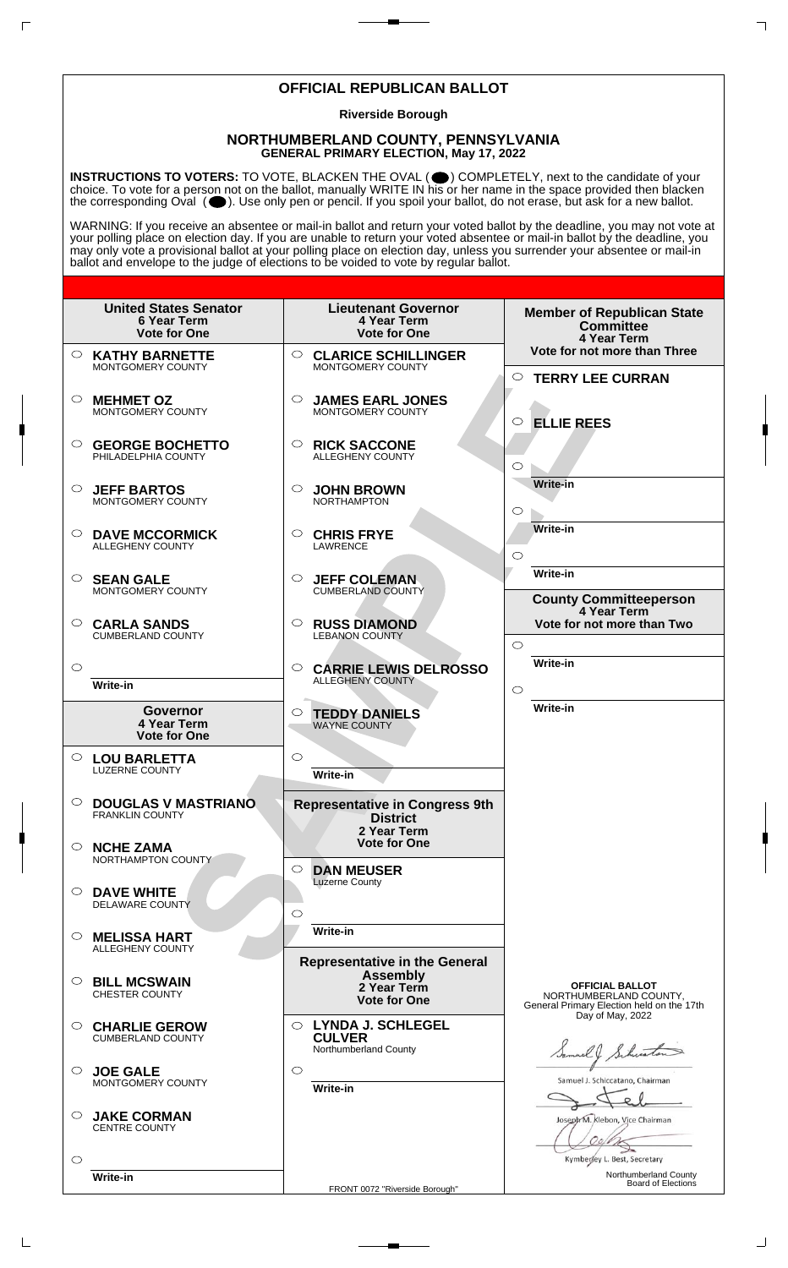**Riverside Borough**

## **NORTHUMBERLAND COUNTY, PENNSYLVANIA GENERAL PRIMARY ELECTION, May 17, 2022**

**INSTRUCTIONS TO VOTERS:** TO VOTE, BLACKEN THE OVAL ( $\bigcirc$ ) COMPLETELY, next to the candidate of your choice. To vote for a person not on the ballot, manually WRITE IN his or her name in the space provided then blacken the corresponding Oval (  $\bigcirc$  ). Use only pen or pencil. If you spoil your ballot, do not erase, but ask for a new ballot.

WARNING: If you receive an absentee or mail-in ballot and return your voted ballot by the deadline, you may not vote at your polling place on election day. If you are unable to return your voted absentee or mail-in ballot by the deadline, you may only vote a provisional ballot at your polling place on election day, unless you surrender your absentee or mail-in ballot and envelope to the judge of elections to be voided to vote by regular ballot.

|                     | <b>United States Senator</b><br><b>6 Year Term</b><br><b>Vote for One</b> | <b>Lieutenant Governor</b><br>4 Year Term<br><b>Vote for One</b>        | <b>Member of Republican State</b><br><b>Committee</b><br>4 Year Term                          |
|---------------------|---------------------------------------------------------------------------|-------------------------------------------------------------------------|-----------------------------------------------------------------------------------------------|
|                     | <b>KATHY BARNETTE</b><br>MONTGOMERY COUNTY                                | $\circ$<br><b>CLARICE SCHILLINGER</b><br>MONTGOMERY COUNTY              | Vote for not more than Three<br><b>TERRY LEE CURRAN</b><br>$\circ$                            |
| $\circ$             | <b>MEHMET OZ</b><br>MONTGOMERY COUNTY                                     | $\circ$<br><b>JAMES EARL JONES</b><br>MONTGOMERY COUNTY                 | <b>ELLIE REES</b><br>$\circ$                                                                  |
|                     | <b>GEORGE BOCHETTO</b><br>PHILADELPHIA COUNTY                             | <b>RICK SACCONE</b><br>$\circ$<br>ALLEGHENY COUNTY                      | $\circlearrowright$                                                                           |
| $\circ$             | <b>JEFF BARTOS</b><br>MONTGOMERY COUNTY                                   | $\circ$<br><b>JOHN BROWN</b><br><b>NORTHAMPTON</b>                      | Write-in<br>$\circ$                                                                           |
|                     | O DAVE MCCORMICK<br><b>ALLEGHENY COUNTY</b>                               | $\circ$<br><b>CHRIS FRYE</b><br>LAWRENCE                                | <b>Write-in</b><br>$\circ$                                                                    |
| $\circ$             | <b>SEAN GALE</b><br>MONTGOMERY COUNTY                                     | <b>JEFF COLEMAN</b><br>$\circ$<br><b>CUMBERLAND COUNTY</b>              | <b>Write-in</b><br><b>County Committeeperson</b><br>4 Year Term                               |
| $\circ$             | <b>CARLA SANDS</b><br><b>CUMBERLAND COUNTY</b>                            | <b>RUSS DIAMOND</b><br>$\circ$<br><b>LEBANON COUNTY</b>                 | Vote for not more than Two<br>$\circ$                                                         |
| $\circlearrowright$ | <b>Write-in</b>                                                           | <b>CARRIE LEWIS DELROSSO</b><br>$\circ$<br>ALLEGHENY COUNTY             | <b>Write-in</b><br>$\circ$                                                                    |
|                     | <b>Governor</b><br>4 Year Term<br><b>Vote for One</b>                     | <b>TEDDY DANIELS</b><br>$\circ$<br><b>WAYNE COUNTY</b>                  | <b>Write-in</b>                                                                               |
|                     | $\circ$ LOU BARLETTA<br><b>LUZERNE COUNTY</b>                             | $\circ$<br><b>Write-in</b>                                              |                                                                                               |
| $\circ$             | <b>DOUGLAS V MASTRIANO</b><br><b>FRANKLIN COUNTY</b>                      | <b>Representative in Congress 9th</b><br><b>District</b><br>2 Year Term |                                                                                               |
|                     | $\circ$ NCHE ZAMA<br>NORTHAMPTON COUNTY                                   | <b>Vote for One</b><br>$\circlearrowright$<br><b>DAN MEUSER</b>         |                                                                                               |
| O                   | <b>DAVE WHITE</b><br><b>DELAWARE COUNTY</b>                               | <b>Luzerne County</b><br>$\circlearrowright$                            |                                                                                               |
| $\circ$             | <b>MELISSA HART</b><br><b>ALLEGHENY COUNTY</b>                            | <b>Write-in</b><br><b>Representative in the General</b>                 |                                                                                               |
| O                   | <b>BILL MCSWAIN</b><br><b>CHESTER COUNTY</b>                              | <b>Assembly</b><br>2 Year Term<br><b>Vote for One</b>                   | <b>OFFICIAL BALLOT</b><br>NORTHUMBERLAND COUNTY,<br>General Primary Election held on the 17th |
| $\circ$             | <b>CHARLIE GEROW</b><br><b>CUMBERLAND COUNTY</b>                          | O LYNDA J. SCHLEGEL<br><b>CULVER</b><br>Northumberland County           | Day of May, 2022<br>nel I Schwarter                                                           |
| $\circ$             | <b>JOE GALE</b><br>MONTGOMERY COUNTY                                      | $\circ$<br>Write-in                                                     | Samuel J. Schiccatano, Chairman                                                               |
| $\circ$             | <b>JAKE CORMAN</b><br><b>CENTRE COUNTY</b>                                |                                                                         | Joseph M. Klebon, Vice Chairman<br>0010                                                       |
| $\circlearrowright$ |                                                                           |                                                                         | Kymberley L. Best, Secretary                                                                  |
|                     | <b>Write-in</b>                                                           | FRONT 0072 "Riverside Borough"                                          | Northumberland County<br>Board of Elections                                                   |

للمسار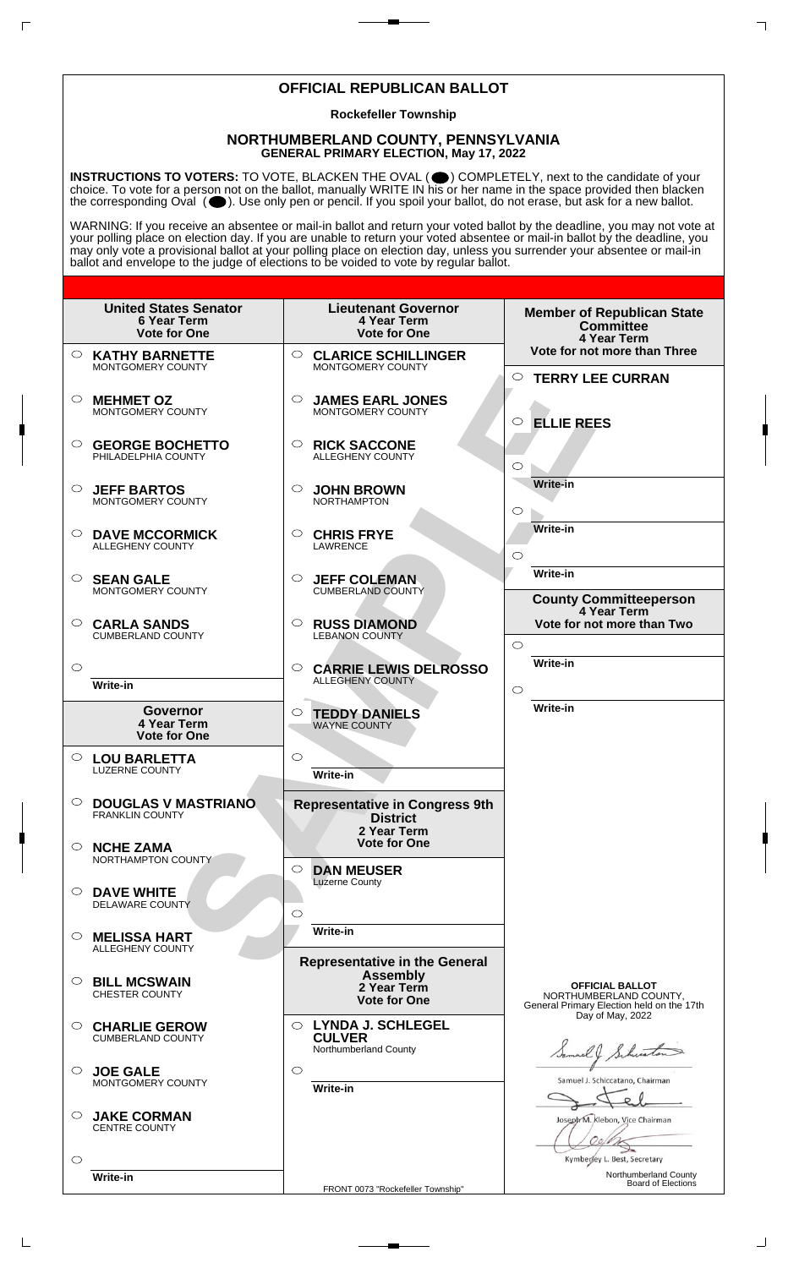**Rockefeller Township**

## **NORTHUMBERLAND COUNTY, PENNSYLVANIA GENERAL PRIMARY ELECTION, May 17, 2022**

**INSTRUCTIONS TO VOTERS:** TO VOTE, BLACKEN THE OVAL ( $\bigcirc$ ) COMPLETELY, next to the candidate of your choice. To vote for a person not on the ballot, manually WRITE IN his or her name in the space provided then blacken the corresponding Oval (  $\bigcirc$  ). Use only pen or pencil. If you spoil your ballot, do not erase, but ask for a new ballot.

WARNING: If you receive an absentee or mail-in ballot and return your voted ballot by the deadline, you may not vote at your polling place on election day. If you are unable to return your voted absentee or mail-in ballot by the deadline, you may only vote a provisional ballot at your polling place on election day, unless you surrender your absentee or mail-in ballot and envelope to the judge of elections to be voided to vote by regular ballot.

|                     | <b>United States Senator</b><br><b>6 Year Term</b><br><b>Vote for One</b> | <b>Lieutenant Governor</b><br>4 Year Term<br><b>Vote for One</b>        | <b>Member of Republican State</b><br><b>Committee</b><br>4 Year Term                          |
|---------------------|---------------------------------------------------------------------------|-------------------------------------------------------------------------|-----------------------------------------------------------------------------------------------|
|                     | <b>KATHY BARNETTE</b><br>MONTGOMERY COUNTY                                | $\circ$<br><b>CLARICE SCHILLINGER</b><br>MONTGOMERY COUNTY              | Vote for not more than Three<br><b>TERRY LEE CURRAN</b><br>$\circ$                            |
| $\circ$             | <b>MEHMET OZ</b><br>MONTGOMERY COUNTY                                     | $\circ$<br><b>JAMES EARL JONES</b><br>MONTGOMERY COUNTY                 | <b>ELLIE REES</b><br>$\circ$                                                                  |
|                     | <b>GEORGE BOCHETTO</b><br>PHILADELPHIA COUNTY                             | <b>RICK SACCONE</b><br>$\circ$<br>ALLEGHENY COUNTY                      | $\circlearrowright$                                                                           |
| $\circ$             | <b>JEFF BARTOS</b><br>MONTGOMERY COUNTY                                   | $\circ$<br><b>JOHN BROWN</b><br><b>NORTHAMPTON</b>                      | Write-in<br>$\circ$                                                                           |
|                     | O DAVE MCCORMICK<br><b>ALLEGHENY COUNTY</b>                               | $\circ$<br><b>CHRIS FRYE</b><br>LAWRENCE                                | <b>Write-in</b><br>$\circ$                                                                    |
| $\circ$             | <b>SEAN GALE</b><br>MONTGOMERY COUNTY                                     | <b>JEFF COLEMAN</b><br>$\circ$<br><b>CUMBERLAND COUNTY</b>              | <b>Write-in</b><br><b>County Committeeperson</b><br>4 Year Term                               |
| $\circ$             | <b>CARLA SANDS</b><br><b>CUMBERLAND COUNTY</b>                            | <b>RUSS DIAMOND</b><br>$\circ$<br><b>LEBANON COUNTY</b>                 | Vote for not more than Two<br>$\circ$                                                         |
| $\circlearrowright$ | <b>Write-in</b>                                                           | <b>CARRIE LEWIS DELROSSO</b><br>$\circ$<br>ALLEGHENY COUNTY             | <b>Write-in</b><br>$\circ$                                                                    |
|                     | <b>Governor</b><br>4 Year Term<br><b>Vote for One</b>                     | <b>TEDDY DANIELS</b><br>$\circ$<br><b>WAYNE COUNTY</b>                  | <b>Write-in</b>                                                                               |
|                     | $\circ$ LOU BARLETTA<br><b>LUZERNE COUNTY</b>                             | $\circ$<br><b>Write-in</b>                                              |                                                                                               |
| $\circ$             | <b>DOUGLAS V MASTRIANO</b><br><b>FRANKLIN COUNTY</b>                      | <b>Representative in Congress 9th</b><br><b>District</b><br>2 Year Term |                                                                                               |
|                     | $\circ$ NCHE ZAMA<br>NORTHAMPTON COUNTY                                   | <b>Vote for One</b><br>$\circlearrowright$<br><b>DAN MEUSER</b>         |                                                                                               |
| O                   | <b>DAVE WHITE</b><br><b>DELAWARE COUNTY</b>                               | <b>Luzerne County</b><br>$\circlearrowright$                            |                                                                                               |
| $\circ$             | <b>MELISSA HART</b><br><b>ALLEGHENY COUNTY</b>                            | <b>Write-in</b><br><b>Representative in the General</b>                 |                                                                                               |
| O                   | <b>BILL MCSWAIN</b><br>CHESTER COUNTY                                     | <b>Assembly</b><br>2 Year Term<br><b>Vote for One</b>                   | <b>OFFICIAL BALLOT</b><br>NORTHUMBERLAND COUNTY,<br>General Primary Election held on the 17th |
| $\circ$             | <b>CHARLIE GEROW</b><br><b>CUMBERLAND COUNTY</b>                          | O LYNDA J. SCHLEGEL<br><b>CULVER</b><br>Northumberland County           | Day of May, 2022<br>nel I Schwarter                                                           |
| $\circ$             | <b>JOE GALE</b><br>MONTGOMERY COUNTY                                      | $\circ$<br>Write-in                                                     | Samuel J. Schiccatano, Chairman                                                               |
| $\circ$             | <b>JAKE CORMAN</b><br><b>CENTRE COUNTY</b>                                |                                                                         | Joseph M. Klebon, Vice Chairman<br>0010                                                       |
| $\circlearrowright$ |                                                                           |                                                                         | Kymberley L. Best, Secretary                                                                  |
|                     | <b>Write-in</b>                                                           | FRONT 0073 "Rockefeller Township"                                       | Northumberland County<br>Board of Elections                                                   |

للمسار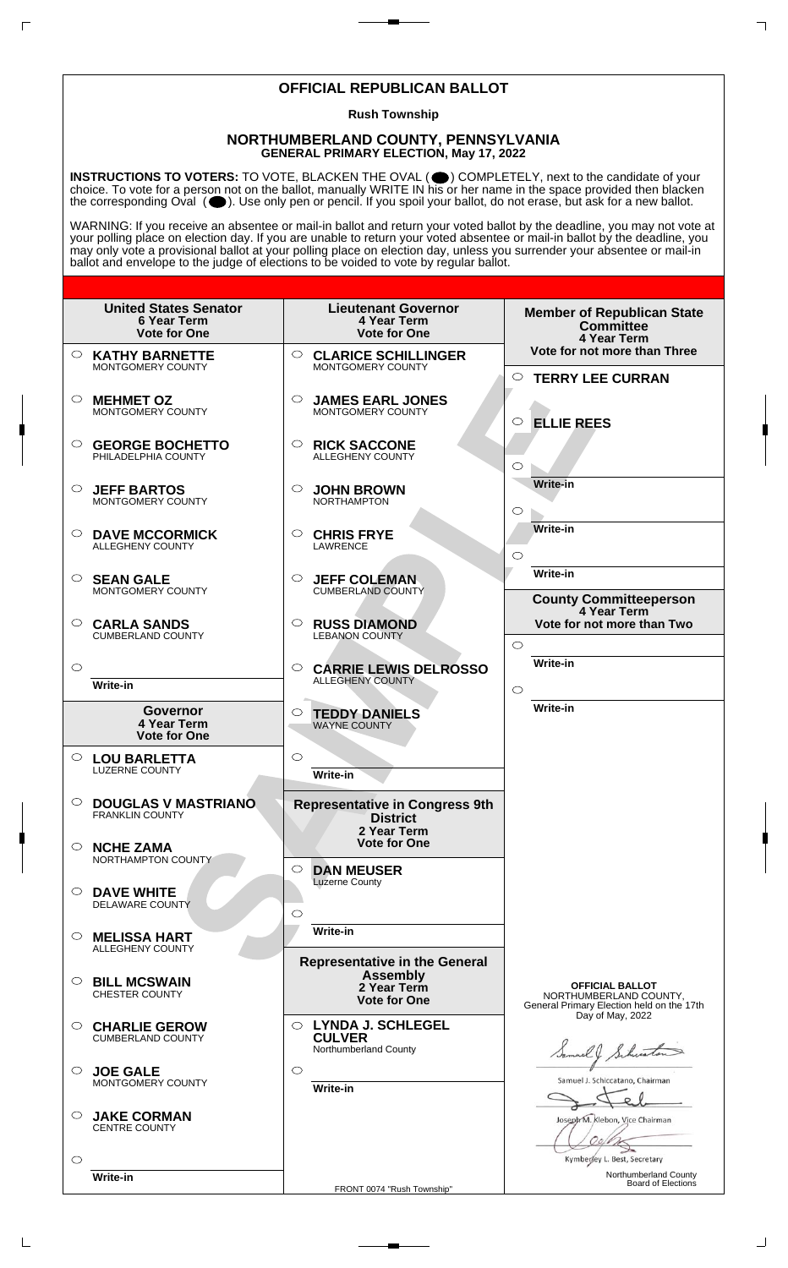**Rush Township**

### **NORTHUMBERLAND COUNTY, PENNSYLVANIA GENERAL PRIMARY ELECTION, May 17, 2022**

**INSTRUCTIONS TO VOTERS:** TO VOTE, BLACKEN THE OVAL ( $\bigcirc$ ) COMPLETELY, next to the candidate of your choice. To vote for a person not on the ballot, manually WRITE IN his or her name in the space provided then blacken the corresponding Oval (  $\bigcirc$  ). Use only pen or pencil. If you spoil your ballot, do not erase, but ask for a new ballot.

WARNING: If you receive an absentee or mail-in ballot and return your voted ballot by the deadline, you may not vote at your polling place on election day. If you are unable to return your voted absentee or mail-in ballot by the deadline, you may only vote a provisional ballot at your polling place on election day, unless you surrender your absentee or mail-in ballot and envelope to the judge of elections to be voided to vote by regular ballot.

|                     | <b>United States Senator</b><br><b>6 Year Term</b><br><b>Vote for One</b> | <b>Lieutenant Governor</b><br>4 Year Term<br><b>Vote for One</b>              | <b>Member of Republican State</b><br><b>Committee</b><br>4 Year Term                          |
|---------------------|---------------------------------------------------------------------------|-------------------------------------------------------------------------------|-----------------------------------------------------------------------------------------------|
|                     | $\circ$ KATHY BARNETTE<br>MONTGOMERY COUNTY                               | $\circ$<br><b>CLARICE SCHILLINGER</b><br>MONTGOMERY COUNTY                    | Vote for not more than Three<br><b>TERRY LEE CURRAN</b><br>O                                  |
| $\circ$             | <b>MEHMET OZ</b><br>MONTGOMERY COUNTY                                     | <b>JAMES EARL JONES</b><br>O<br><b>MONTGOMERY COUNTY</b>                      | <b>ELLIE REES</b><br>$\circ$                                                                  |
| $\bigcirc$          | <b>GEORGE BOCHETTO</b><br>PHILADELPHIA COUNTY                             | <b>RICK SACCONE</b><br>$\circ$<br><b>ALLEGHENY COUNTY</b>                     | $\circlearrowright$                                                                           |
| $\circ$             | <b>JEFF BARTOS</b><br>MONTGOMERY COUNTY                                   | $\circ$<br><b>JOHN BROWN</b><br><b>NORTHAMPTON</b>                            | Write-in<br>$\circ$                                                                           |
|                     | O DAVE MCCORMICK<br><b>ALLEGHENY COUNTY</b>                               | $\circ$<br><b>CHRIS FRYE</b><br><b>LAWRENCE</b>                               | <b>Write-in</b><br>$\circ$                                                                    |
| $\circ$             | <b>SEAN GALE</b><br>MONTGOMERY COUNTY                                     | $\circ$<br><b>JEFF COLEMAN</b><br><b>CUMBERLAND COUNTY</b>                    | <b>Write-in</b><br><b>County Committeeperson</b><br>4 Year Term                               |
| $\circ$             | <b>CARLA SANDS</b><br><b>CUMBERLAND COUNTY</b>                            | <b>RUSS DIAMOND</b><br>$\circ$<br><b>LEBANON COUNTY</b>                       | Vote for not more than Two<br>$\circ$                                                         |
| $\circlearrowright$ | <b>Write-in</b>                                                           | <b>CARRIE LEWIS DELROSSO</b><br>$\circ$<br>ALLEGHENY COUNTY                   | <b>Write-in</b><br>$\circ$                                                                    |
|                     | <b>Governor</b><br>4 Year Term<br><b>Vote for One</b>                     | <b>TEDDY DANIELS</b><br>$\circ$<br><b>WAYNE COUNTY</b>                        | <b>Write-in</b>                                                                               |
|                     | $\circ$ LOU BARLETTA<br><b>LUZERNE COUNTY</b>                             | $\circ$<br><b>Write-in</b>                                                    |                                                                                               |
| $\circ$             | <b>DOUGLAS V MASTRIANO</b><br><b>FRANKLIN COUNTY</b>                      | <b>Representative in Congress 9th</b><br><b>District</b><br>2 Year Term       |                                                                                               |
|                     | $\circ$ NCHE ZAMA<br>NORTHAMPTON COUNTY                                   | <b>Vote for One</b><br>$\circ$<br><b>DAN MEUSER</b><br><b>Luzerne County</b>  |                                                                                               |
| O                   | <b>DAVE WHITE</b><br>DELAWARE COUNTY                                      | $\circ$                                                                       |                                                                                               |
| O                   | <b>MELISSA HART</b><br><b>ALLEGHENY COUNTY</b>                            | Write-in<br><b>Representative in the General</b>                              |                                                                                               |
| $\circ$             | <b>BILL MCSWAIN</b><br><b>CHESTER COUNTY</b>                              | <b>Assembly</b><br>2 Year Term<br><b>Vote for One</b>                         | <b>OFFICIAL BALLOT</b><br>NORTHUMBERLAND COUNTY,<br>General Primary Election held on the 17th |
| $\circ$             | <b>CHARLIE GEROW</b><br><b>CUMBERLAND COUNTY</b>                          | <b>LYNDA J. SCHLEGEL</b><br>$\circ$<br><b>CULVER</b><br>Northumberland County | Day of May, 2022                                                                              |
| $\circ$             | <b>JOE GALE</b><br>MONTGOMERY COUNTY                                      | $\circlearrowright$<br><b>Write-in</b>                                        | Samuel J. Schiccatano, Chairman                                                               |
| $\circ$             | <b>JAKE CORMAN</b><br><b>CENTRE COUNTY</b>                                |                                                                               | Joseph M. Klebon, Vice Chairman<br>00.0                                                       |
| $\circlearrowright$ |                                                                           |                                                                               | Kymberley L. Best, Secretary                                                                  |
|                     | Write-in                                                                  | FRONT 0074 "Rush Township"                                                    | Northumberland County<br>Board of Elections                                                   |

÷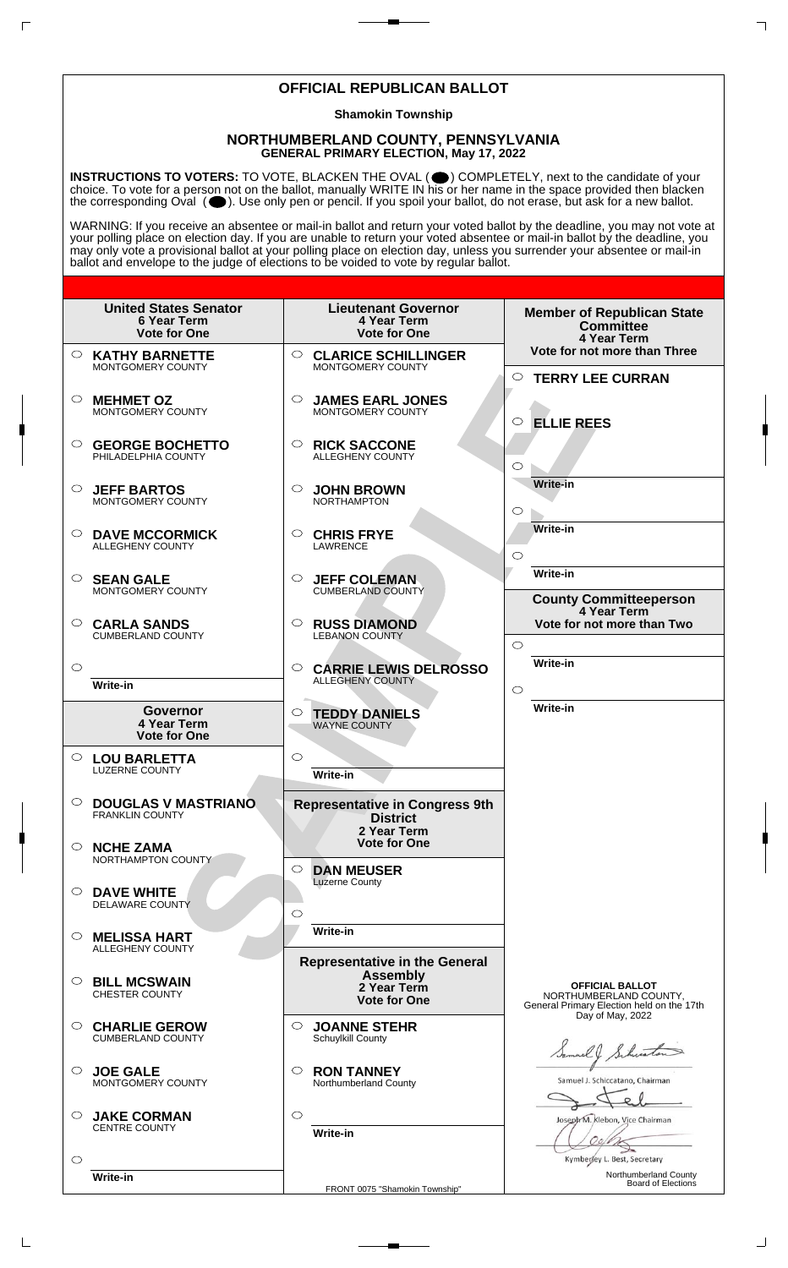**Shamokin Township**

### **NORTHUMBERLAND COUNTY, PENNSYLVANIA GENERAL PRIMARY ELECTION, May 17, 2022**

**INSTRUCTIONS TO VOTERS:** TO VOTE, BLACKEN THE OVAL ( $\bigcirc$ ) COMPLETELY, next to the candidate of your choice. To vote for a person not on the ballot, manually WRITE IN his or her name in the space provided then blacken the corresponding Oval (  $\bigcirc$  ). Use only pen or pencil. If you spoil your ballot, do not erase, but ask for a new ballot.

WARNING: If you receive an absentee or mail-in ballot and return your voted ballot by the deadline, you may not vote at your polling place on election day. If you are unable to return your voted absentee or mail-in ballot by the deadline, you may only vote a provisional ballot at your polling place on election day, unless you surrender your absentee or mail-in ballot and envelope to the judge of elections to be voided to vote by regular ballot.

| <b>United States Senator</b><br><b>6 Year Term</b><br><b>Vote for One</b> | <b>Lieutenant Governor</b><br>4 Year Term<br><b>Vote for One</b>        | <b>Member of Republican State</b><br><b>Committee</b><br>4 Year Term                          |
|---------------------------------------------------------------------------|-------------------------------------------------------------------------|-----------------------------------------------------------------------------------------------|
| $\circ$ KATHY BARNETTE<br>MONTGOMERY COUNTY                               | $\circ$<br><b>CLARICE SCHILLINGER</b><br>MONTGOMERY COUNTY              | Vote for not more than Three<br>$\circ$<br><b>TERRY LEE CURRAN</b>                            |
| $\circ$<br><b>MEHMET OZ</b><br>MONTGOMERY COUNTY                          | $\circ$<br><b>JAMES EARL JONES</b><br>MONTGOMERY COUNTY                 | <b>ELLIE REES</b><br>$\circ$                                                                  |
| <b>GEORGE BOCHETTO</b><br>$\circ$<br>PHILADELPHIA COUNTY                  | <b>RICK SACCONE</b><br>$\circ$<br><b>ALLEGHENY COUNTY</b>               | $\circlearrowright$                                                                           |
| $\circ$<br><b>JEFF BARTOS</b><br>MONTGOMERY COUNTY                        | $\circlearrowright$<br><b>JOHN BROWN</b><br><b>NORTHAMPTON</b>          | Write-in<br>$\circ$                                                                           |
| O DAVE MCCORMICK<br><b>ALLEGHENY COUNTY</b>                               | <b>CHRIS FRYE</b><br>$\circ$<br><b>LAWRENCE</b>                         | <b>Write-in</b><br>$\circ$                                                                    |
| $\circ$<br><b>SEAN GALE</b><br>MONTGOMERY COUNTY                          | $\circ$<br><b>JEFF COLEMAN</b><br><b>CUMBERLAND COUNTY</b>              | <b>Write-in</b><br><b>County Committeeperson</b><br>4 Year Term                               |
| <b>CARLA SANDS</b><br>$\circ$<br><b>CUMBERLAND COUNTY</b>                 | <b>RUSS DIAMOND</b><br>$\circ$<br><b>LEBANON COUNTY</b>                 | Vote for not more than Two<br>$\circ$                                                         |
| $\circlearrowright$<br><b>Write-in</b>                                    | <b>CARRIE LEWIS DELROSSO</b><br>$\circ$<br>ALLEGHENY COUNTY             | <b>Write-in</b><br>$\circ$                                                                    |
| <b>Governor</b><br>4 Year Term<br><b>Vote for One</b>                     | <b>TEDDY DANIELS</b><br>$\circ$<br><b>WAYNE COUNTY</b>                  | <b>Write-in</b>                                                                               |
| $\circ$ LOU BARLETTA<br><b>LUZERNE COUNTY</b>                             | $\circ$<br><b>Write-in</b>                                              |                                                                                               |
| <b>DOUGLAS V MASTRIANO</b><br>$\circ$<br><b>FRANKLIN COUNTY</b>           | <b>Representative in Congress 9th</b><br><b>District</b><br>2 Year Term |                                                                                               |
| $\circ$ NCHE ZAMA<br>NORTHAMPTON COUNTY                                   | <b>Vote for One</b><br>$\circlearrowright$<br><b>DAN MEUSER</b>         |                                                                                               |
| <b>DAVE WHITE</b><br>O<br><b>DELAWARE COUNTY</b>                          | <b>Luzerne County</b><br>$\circlearrowright$                            |                                                                                               |
| <b>MELISSA HART</b><br>O<br><b>ALLEGHENY COUNTY</b>                       | Write-in<br><b>Representative in the General</b>                        |                                                                                               |
| $\circ$<br><b>BILL MCSWAIN</b><br><b>CHESTER COUNTY</b>                   | <b>Assembly</b><br>2 Year Term<br><b>Vote for One</b>                   | <b>OFFICIAL BALLOT</b><br>NORTHUMBERLAND COUNTY,<br>General Primary Election held on the 17th |
| $\circ$<br><b>CHARLIE GEROW</b><br><b>CUMBERLAND COUNTY</b>               | $\circlearrowright$<br><b>JOANNE STEHR</b><br>Schuylkill County         | Day of May, 2022<br>nel I Schwater                                                            |
| $\circ$<br><b>JOE GALE</b><br>MONTGOMERY COUNTY                           | <b>RON TANNEY</b><br>O<br>Northumberland County                         | Samuel J. Schiccatano, Chairman                                                               |
| <b>JAKE CORMAN</b><br>$\circ$<br><b>CENTRE COUNTY</b>                     | $\circlearrowright$<br><b>Write-in</b>                                  | Joseph M. Klebon, Vice Chairman<br>0010                                                       |
| $\circlearrowright$                                                       |                                                                         | Kymberley L. Best, Secretary                                                                  |
| Write-in                                                                  | FRONT 0075 "Shamokin Township"                                          | Northumberland County<br>Board of Elections                                                   |

÷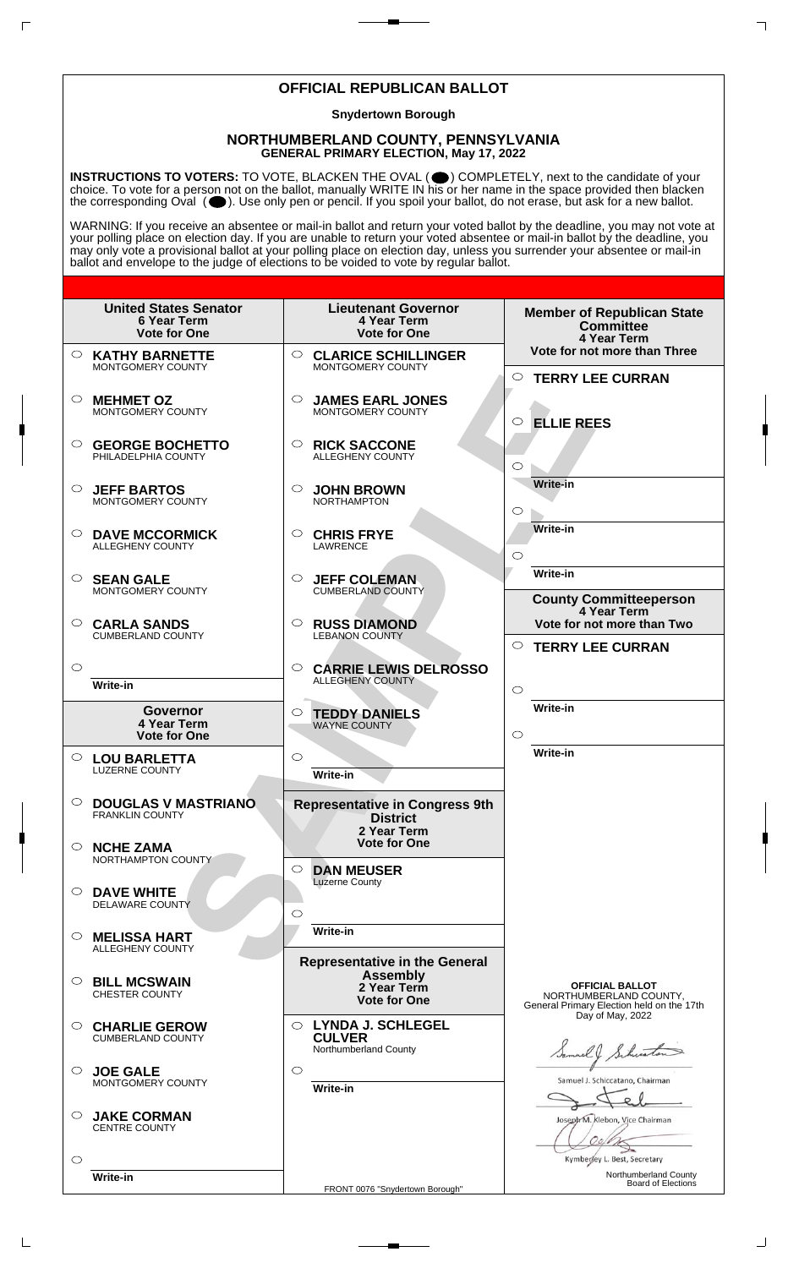$\Gamma$ 

 $\Box$ 

**Snydertown Borough**

### **NORTHUMBERLAND COUNTY, PENNSYLVANIA GENERAL PRIMARY ELECTION, May 17, 2022**

**INSTRUCTIONS TO VOTERS:** TO VOTE, BLACKEN THE OVAL ( $\bigcirc$ ) COMPLETELY, next to the candidate of your choice. To vote for a person not on the ballot, manually WRITE IN his or her name in the space provided then blacken the corresponding Oval (  $\bigcirc$  ). Use only pen or pencil. If you spoil your ballot, do not erase, but ask for a new ballot.

WARNING: If you receive an absentee or mail-in ballot and return your voted ballot by the deadline, you may not vote at your polling place on election day. If you are unable to return your voted absentee or mail-in ballot by the deadline, you may only vote a provisional ballot at your polling place on election day, unless you surrender your absentee or mail-in ballot and envelope to the judge of elections to be voided to vote by regular ballot.

| <b>United States Senator</b><br><b>6 Year Term</b><br><b>Vote for One</b> | <b>Lieutenant Governor</b><br>4 Year Term<br><b>Vote for One</b>                 | <b>Member of Republican State</b><br><b>Committee</b><br>4 Year Term                          |
|---------------------------------------------------------------------------|----------------------------------------------------------------------------------|-----------------------------------------------------------------------------------------------|
| $\circ$<br><b>KATHY BARNETTE</b><br>MONTGOMERY COUNTY                     | $\circ$<br><b>CLARICE SCHILLINGER</b><br>MONTGOMERY COUNTY                       | Vote for not more than Three<br><b>TERRY LEE CURRAN</b><br>O                                  |
| $\circ$<br><b>MEHMET OZ</b><br>MONTGOMERY COUNTY                          | O<br><b>JAMES EARL JONES</b><br>MONTGOMERY COUNTY                                | <b>ELLIE REES</b><br>$\circ$                                                                  |
| <b>GEORGE BOCHETTO</b><br>PHILADELPHIA COUNTY                             | <b>RICK SACCONE</b><br>$\circ$<br>ALLEGHENY COUNTY                               | $\circlearrowright$                                                                           |
| $\circ$<br><b>JEFF BARTOS</b><br><b>MONTGOMERY COUNTY</b>                 | $\circ$<br><b>JOHN BROWN</b><br><b>NORTHAMPTON</b>                               | <b>Write-in</b><br>$\circ$                                                                    |
| $\circ$<br><b>DAVE MCCORMICK</b><br>ALLEGHENY COUNTY                      | $\circ$<br><b>CHRIS FRYE</b><br>LAWRENCE                                         | <b>Write-in</b><br>$\circ$                                                                    |
| $\circ$<br><b>SEAN GALE</b><br>MONTGOMERY COUNTY                          | $\circ$<br><b>JEFF COLEMAN</b><br><b>CUMBERLAND COUNTY</b>                       | <b>Write-in</b><br><b>County Committeeperson</b><br>4 Year Term                               |
| $\circ$<br><b>CARLA SANDS</b><br><b>CUMBERLAND COUNTY</b>                 | <b>RUSS DIAMOND</b><br>$\circ$<br><b>LEBANON COUNTY</b>                          | Vote for not more than Two<br>$\circ$ TERRY LEE CURRAN                                        |
| $\circ$<br><b>Write-in</b>                                                | $\circ$<br><b>CARRIE LEWIS DELROSSO</b><br><b>ALLEGHENY COUNTY</b>               | $\circ$                                                                                       |
| <b>Governor</b><br>4 Year Term<br><b>Vote for One</b>                     | ◯<br><b>TEDDY DANIELS</b><br><b>WAYNE COUNTY</b>                                 | <b>Write-in</b><br>$\circ$                                                                    |
| $\circ$ LOU BARLETTA<br><b>LUZERNE COUNTY</b>                             | $\circ$<br><b>Write-in</b>                                                       | <b>Write-in</b>                                                                               |
| $\circ$<br><b>DOUGLAS V MASTRIANO</b><br><b>FRANKLIN COUNTY</b>           | <b>Representative in Congress 9th</b><br><b>District</b><br>2 Year Term          |                                                                                               |
| $\circ$ NCHE ZAMA<br>NORTHAMPTON COUNTY                                   | <b>Vote for One</b><br>$\circ$<br><b>DAN MEUSER</b>                              |                                                                                               |
| <b>DAVE WHITE</b><br>$\circ$<br>DELAWARE COUNTY                           | <b>Luzerne County</b><br>$\circ$                                                 |                                                                                               |
| $\circ$<br><b>MELISSA HART</b><br><b>ALLEGHENY COUNTY</b>                 | <b>Write-in</b><br><b>Representative in the General</b>                          |                                                                                               |
| <b>BILL MCSWAIN</b><br>$\circ$<br><b>CHESTER COUNTY</b>                   | <b>Assembly</b><br>2 Year Term<br><b>Vote for One</b>                            | <b>OFFICIAL BALLOT</b><br>NORTHUMBERLAND COUNTY,<br>General Primary Election held on the 17th |
| $\circ$<br><b>CHARLIE GEROW</b><br><b>CUMBERLAND COUNTY</b>               | <b>LYNDA J. SCHLEGEL</b><br>$\bigcirc$<br><b>CULVER</b><br>Northumberland County | Day of May, 2022<br>muell Schweiten                                                           |
| $\circ$<br><b>JOE GALE</b><br>MONTGOMERY COUNTY                           | $\circ$<br><b>Write-in</b>                                                       | Samuel J. Schiccatano, Chairman                                                               |
| <b>JAKE CORMAN</b><br>$\circ$<br><b>CENTRE COUNTY</b>                     |                                                                                  | Joseph M. Klebon, Vice Chairman<br>00.0                                                       |
| $\circlearrowright$                                                       |                                                                                  | Kymber/ey L. Best, Secretary                                                                  |
| <b>Write-in</b>                                                           | FRONT 0076 "Snydertown Borough"                                                  | Northumberland County<br>Board of Elections                                                   |

للمسترد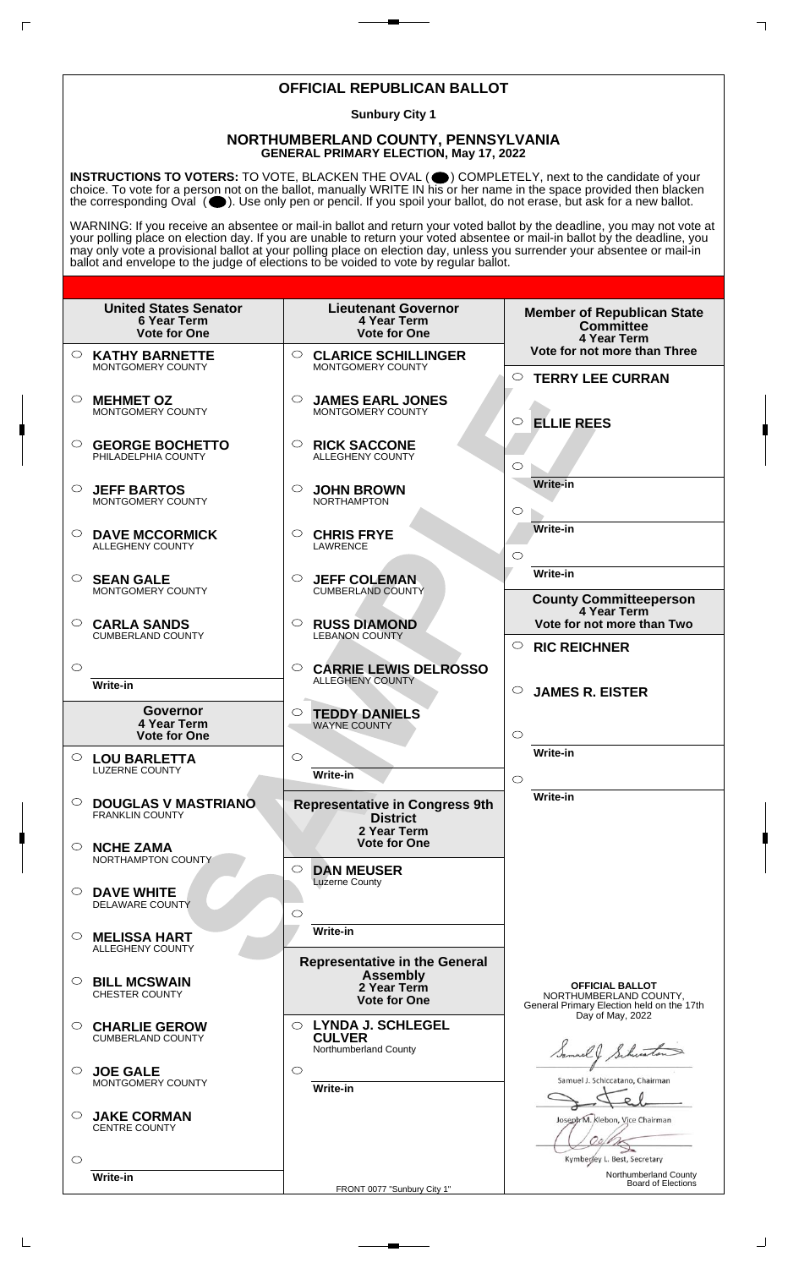$\Gamma$ 

 $\Box$ 

**Sunbury City 1**

### **NORTHUMBERLAND COUNTY, PENNSYLVANIA GENERAL PRIMARY ELECTION, May 17, 2022**

**INSTRUCTIONS TO VOTERS:** TO VOTE, BLACKEN THE OVAL ( $\bigcirc$ ) COMPLETELY, next to the candidate of your choice. To vote for a person not on the ballot, manually WRITE IN his or her name in the space provided then blacken the corresponding Oval (  $\bigcirc$  ). Use only pen or pencil. If you spoil your ballot, do not erase, but ask for a new ballot.

WARNING: If you receive an absentee or mail-in ballot and return your voted ballot by the deadline, you may not vote at your polling place on election day. If you are unable to return your voted absentee or mail-in ballot by the deadline, you may only vote a provisional ballot at your polling place on election day, unless you surrender your absentee or mail-in ballot and envelope to the judge of elections to be voided to vote by regular ballot.

| <b>United States Senator</b><br>6 Year Term<br><b>Vote for One</b> | <b>Lieutenant Governor</b><br>4 Year Term<br><b>Vote for One</b>                               | <b>Member of Republican State</b><br><b>Committee</b><br>4 Year Term                          |
|--------------------------------------------------------------------|------------------------------------------------------------------------------------------------|-----------------------------------------------------------------------------------------------|
| $\circ$<br><b>KATHY BARNETTE</b><br>MONTGOMERY COUNTY              | $\circ$<br><b>CLARICE SCHILLINGER</b><br>MONTGOMERY COUNTY                                     | Vote for not more than Three<br>$\circ$<br><b>TERRY LEE CURRAN</b>                            |
| $\circ$<br><b>MEHMET OZ</b><br>MONTGOMERY COUNTY                   | $\circ$<br><b>JAMES EARL JONES</b><br>MONTGOMERY COUNTY                                        | <b>ELLIE REES</b><br>$\circ$                                                                  |
| <b>GEORGE BOCHETTO</b><br>$\circ$<br>PHILADELPHIA COUNTY           | <b>RICK SACCONE</b><br>$\circ$<br><b>ALLEGHENY COUNTY</b>                                      | $\circ$                                                                                       |
| $\circ$<br><b>JEFF BARTOS</b><br>MONTGOMERY COUNTY                 | $\circ$<br><b>JOHN BROWN</b><br><b>NORTHAMPTON</b>                                             | <b>Write-in</b><br>$\circ$                                                                    |
| <b>DAVE MCCORMICK</b><br>$\circ$<br>ALLEGHENY COUNTY               | <b>CHRIS FRYE</b><br>$\circ$<br>LAWRENCE                                                       | <b>Write-in</b><br>◯                                                                          |
| $\circ$<br><b>SEAN GALE</b><br>MONTGOMERY COUNTY                   | <b>JEFF COLEMAN</b><br>$\circ$<br><b>CUMBERLAND COUNTY</b>                                     | <b>Write-in</b>                                                                               |
| <b>CARLA SANDS</b><br>$\circ$<br><b>CUMBERLAND COUNTY</b>          | <b>RUSS DIAMOND</b><br>$\circ$<br><b>LEBANON COUNTY</b>                                        | <b>County Committeeperson</b><br>4 Year Term<br>Vote for not more than Two<br>$\circ$         |
| $\circ$<br><b>Write-in</b>                                         | <b>CARRIE LEWIS DELROSSO</b><br>$\circ$<br>ALLEGHENY COUNTY                                    | <b>RIC REICHNER</b>                                                                           |
| <b>Governor</b><br>4 Year Term<br><b>Vote for One</b>              | <b>TEDDY DANIELS</b><br>O<br><b>WAYNE COUNTY</b>                                               | $\circ$<br><b>JAMES R. EISTER</b><br>$\bigcirc$                                               |
| $\circ$ LOU BARLETTA<br><b>LUZERNE COUNTY</b>                      | $\circ$<br><b>Write-in</b>                                                                     | <b>Write-in</b><br>$\circ$                                                                    |
| <b>DOUGLAS V MASTRIANO</b><br><b>FRANKLIN COUNTY</b>               | <b>Representative in Congress 9th</b><br><b>District</b><br>2 Year Term<br><b>Vote for One</b> | <b>Write-in</b>                                                                               |
| <b>NCHE ZAMA</b><br>NORTHAMPTON COUNTY                             | $\circ$<br><b>DAN MEUSER</b><br><b>Luzerne County</b>                                          |                                                                                               |
| $\circ$<br><b>DAVE WHITE</b><br><b>DELAWARE COUNTY</b>             | $\circ$                                                                                        |                                                                                               |
| $\circ$<br><b>MELISSA HART</b><br><b>ALLEGHENY COUNTY</b>          | <b>Write-in</b><br><b>Representative in the General</b>                                        |                                                                                               |
| $\circ$<br><b>BILL MCSWAIN</b><br><b>CHESTER COUNTY</b>            | <b>Assembly</b><br>2 Year Term<br><b>Vote for One</b>                                          | <b>OFFICIAL BALLOT</b><br>NORTHUMBERLAND COUNTY,<br>General Primary Election held on the 17th |
| $\circ$<br><b>CHARLIE GEROW</b><br><b>CUMBERLAND COUNTY</b>        | <b>LYNDA J. SCHLEGEL</b><br>$\bigcirc$<br><b>CULVER</b><br>Northumberland County               | Day of May, 2022                                                                              |
| $\circ$<br><b>JOE GALE</b><br>MONTGOMERY COUNTY                    | $\circ$<br>Write-in                                                                            | Samuel J. Schiccatano, Chairman                                                               |
| $\circ$<br><b>JAKE CORMAN</b><br><b>CENTRE COUNTY</b>              |                                                                                                | Joseph M. Klebon, Vice Chairman<br>0010                                                       |
| $\circ$<br><b>Write-in</b>                                         | FRONT 0077 "Sunbury City 1"                                                                    | Kymberley L. Best, Secretary<br>Northumberland County<br>Board of Elections                   |

للمسترد

 $\overline{\phantom{a}}$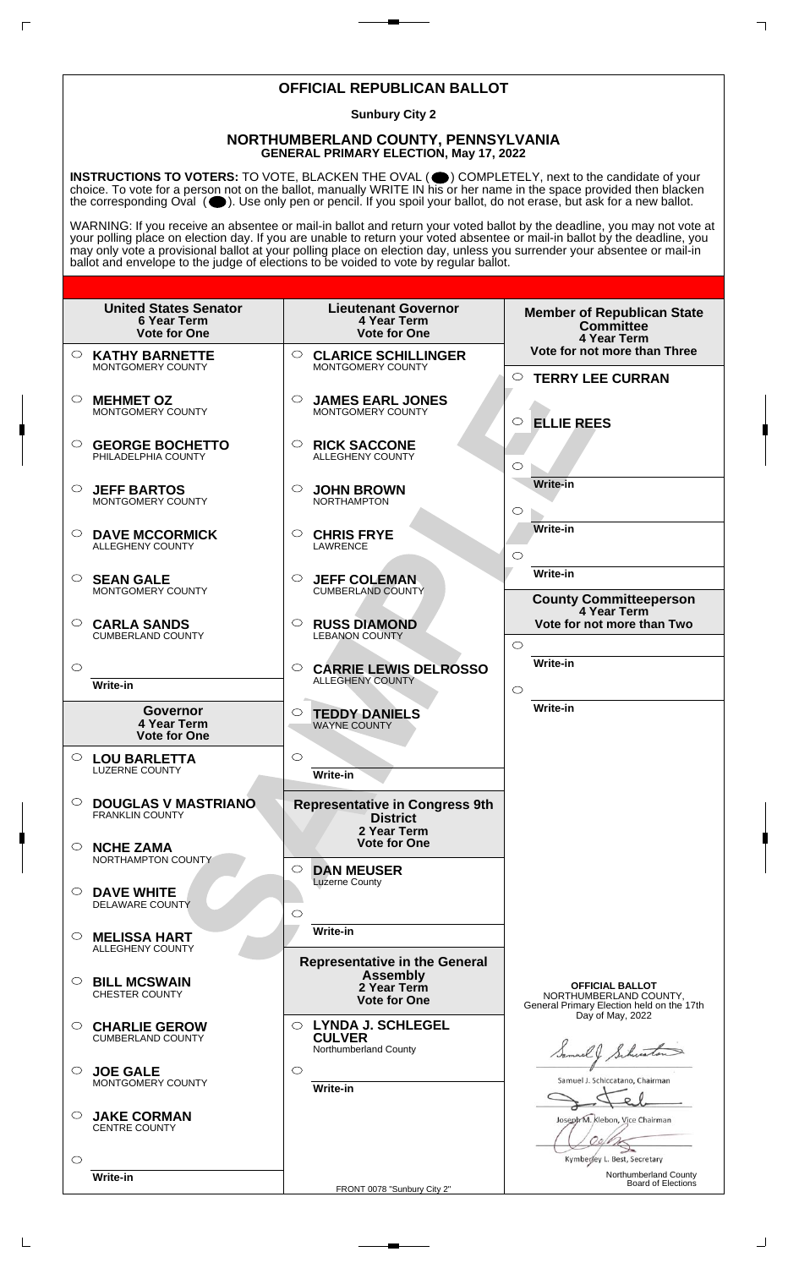**Sunbury City 2**

### **NORTHUMBERLAND COUNTY, PENNSYLVANIA GENERAL PRIMARY ELECTION, May 17, 2022**

**INSTRUCTIONS TO VOTERS:** TO VOTE, BLACKEN THE OVAL ( $\bigcirc$ ) COMPLETELY, next to the candidate of your choice. To vote for a person not on the ballot, manually WRITE IN his or her name in the space provided then blacken the corresponding Oval (  $\bigcirc$  ). Use only pen or pencil. If you spoil your ballot, do not erase, but ask for a new ballot.

WARNING: If you receive an absentee or mail-in ballot and return your voted ballot by the deadline, you may not vote at your polling place on election day. If you are unable to return your voted absentee or mail-in ballot by the deadline, you may only vote a provisional ballot at your polling place on election day, unless you surrender your absentee or mail-in ballot and envelope to the judge of elections to be voided to vote by regular ballot.

|                     | <b>United States Senator</b><br><b>6 Year Term</b><br><b>Vote for One</b> | <b>Lieutenant Governor</b><br>4 Year Term<br><b>Vote for One</b>        | <b>Member of Republican State</b><br><b>Committee</b><br>4 Year Term                          |
|---------------------|---------------------------------------------------------------------------|-------------------------------------------------------------------------|-----------------------------------------------------------------------------------------------|
| $\circ$             | <b>KATHY BARNETTE</b><br>MONTGOMERY COUNTY                                | $\circ$<br><b>CLARICE SCHILLINGER</b><br>MONTGOMERY COUNTY              | Vote for not more than Three<br><b>TERRY LEE CURRAN</b><br>O                                  |
| $\circ$             | <b>MEHMET OZ</b><br>MONTGOMERY COUNTY                                     | <b>JAMES EARL JONES</b><br>O<br>MONTGOMERY COUNTY                       | <b>ELLIE REES</b><br>$\circ$                                                                  |
| $\circ$             | <b>GEORGE BOCHETTO</b><br>PHILADELPHIA COUNTY                             | <b>RICK SACCONE</b><br>$\circ$<br><b>ALLEGHENY COUNTY</b>               | $\circlearrowright$                                                                           |
| $\circ$             | <b>JEFF BARTOS</b><br>MONTGOMERY COUNTY                                   | $\circ$<br><b>JOHN BROWN</b><br><b>NORTHAMPTON</b>                      | <b>Write-in</b><br>$\circ$                                                                    |
| $\circ$             | <b>DAVE MCCORMICK</b><br>ALLEGHENY COUNTY                                 | <b>CHRIS FRYE</b><br>$\circ$<br><b>LAWRENCE</b>                         | <b>Write-in</b><br>$\circ$                                                                    |
| $\circ$             | <b>SEAN GALE</b><br>MONTGOMERY COUNTY                                     | <b>JEFF COLEMAN</b><br>O<br><b>CUMBERLAND COUNTY</b>                    | <b>Write-in</b>                                                                               |
| $\circ$             | <b>CARLA SANDS</b><br><b>CUMBERLAND COUNTY</b>                            | <b>RUSS DIAMOND</b><br>$\circ$<br><b>LEBANON COUNTY</b>                 | <b>County Committeeperson</b><br>4 Year Term<br>Vote for not more than Two<br>$\circ$         |
| $\circ$             | <b>Write-in</b>                                                           | <b>CARRIE LEWIS DELROSSO</b><br>$\circ$<br>ALLEGHENY COUNTY             | <b>Write-in</b><br>$\circ$                                                                    |
|                     | <b>Governor</b><br>4 Year Term<br><b>Vote for One</b>                     | <b>TEDDY DANIELS</b><br>$\circ$<br><b>WAYNE COUNTY</b>                  | Write-in                                                                                      |
| $\circ$             | <b>LOU BARLETTA</b><br><b>LUZERNE COUNTY</b>                              | $\circ$<br><b>Write-in</b>                                              |                                                                                               |
| $\circ$             | <b>DOUGLAS V MASTRIANO</b><br><b>FRANKLIN COUNTY</b>                      | <b>Representative in Congress 9th</b><br><b>District</b><br>2 Year Term |                                                                                               |
|                     | $\circ$ NCHE ZAMA<br>NORTHAMPTON COUNTY                                   | <b>Vote for One</b><br>$\circ$<br><b>DAN MEUSER</b>                     |                                                                                               |
| $\circ$             | <b>DAVE WHITE</b><br><b>DELAWARE COUNTY</b>                               | <b>Luzerne County</b><br>$\circ$                                        |                                                                                               |
| $\circ$             | <b>MELISSA HART</b><br><b>ALLEGHENY COUNTY</b>                            | Write-in<br><b>Representative in the General</b>                        |                                                                                               |
| $\circ$             | <b>BILL MCSWAIN</b><br><b>CHESTER COUNTY</b>                              | <b>Assembly</b><br>2 Year Term<br><b>Vote for One</b>                   | <b>OFFICIAL BALLOT</b><br>NORTHUMBERLAND COUNTY,<br>General Primary Election held on the 17th |
| $\circ$             | <b>CHARLIE GEROW</b><br><b>CUMBERLAND COUNTY</b>                          | O LYNDA J. SCHLEGEL<br><b>CULVER</b><br>Northumberland County           | Day of May, 2022                                                                              |
| $\circ$             | <b>JOE GALE</b><br><b>MONTGOMERY COUNTY</b>                               | $\circ$<br><b>Write-in</b>                                              | Samuel J. Schiccatano, Chairman                                                               |
| $\circ$             | <b>JAKE CORMAN</b><br><b>CENTRE COUNTY</b>                                |                                                                         | Joseph M. Klebon, Vice Chairman<br>0010                                                       |
| $\circlearrowright$ |                                                                           |                                                                         | Kymber/ey L. Best, Secretary                                                                  |
|                     | Write-in                                                                  | FRONT 0078 "Sunbury City 2"                                             | Northumberland County<br>Board of Elections                                                   |

للمسترد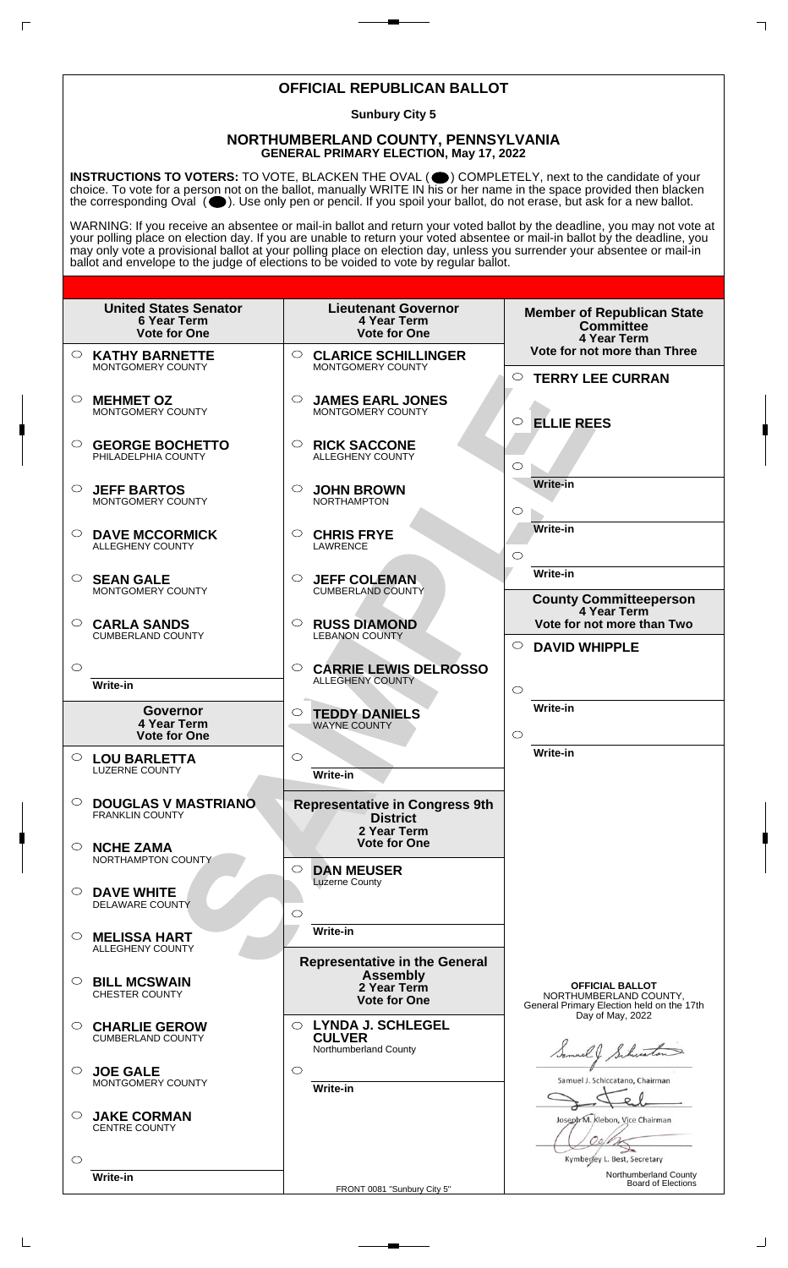$\Gamma$ 

 $\Box$ 

**Sunbury City 5**

### **NORTHUMBERLAND COUNTY, PENNSYLVANIA GENERAL PRIMARY ELECTION, May 17, 2022**

**INSTRUCTIONS TO VOTERS:** TO VOTE, BLACKEN THE OVAL ( $\bigcirc$ ) COMPLETELY, next to the candidate of your choice. To vote for a person not on the ballot, manually WRITE IN his or her name in the space provided then blacken the corresponding Oval (  $\bigcirc$  ). Use only pen or pencil. If you spoil your ballot, do not erase, but ask for a new ballot.

WARNING: If you receive an absentee or mail-in ballot and return your voted ballot by the deadline, you may not vote at your polling place on election day. If you are unable to return your voted absentee or mail-in ballot by the deadline, you may only vote a provisional ballot at your polling place on election day, unless you surrender your absentee or mail-in ballot and envelope to the judge of elections to be voided to vote by regular ballot.

|                     | <b>United States Senator</b><br><b>6 Year Term</b><br><b>Vote for One</b> | <b>Lieutenant Governor</b><br>4 Year Term<br><b>Vote for One</b>              | <b>Member of Republican State</b><br><b>Committee</b><br>4 Year Term                          |
|---------------------|---------------------------------------------------------------------------|-------------------------------------------------------------------------------|-----------------------------------------------------------------------------------------------|
| $\circ$             | <b>KATHY BARNETTE</b><br>MONTGOMERY COUNTY                                | O<br><b>CLARICE SCHILLINGER</b><br>MONTGOMERY COUNTY                          | Vote for not more than Three<br><b>TERRY LEE CURRAN</b><br>$\circ$                            |
| $\circ$             | <b>MEHMET OZ</b><br>MONTGOMERY COUNTY                                     | O<br><b>JAMES EARL JONES</b><br>MONTGOMERY COUNTY                             | <b>ELLIE REES</b><br>$\circ$                                                                  |
| $\circ$             | <b>GEORGE BOCHETTO</b><br>PHILADELPHIA COUNTY                             | <b>RICK SACCONE</b><br>O<br><b>ALLEGHENY COUNTY</b>                           | $\circ$                                                                                       |
| $\circ$             | <b>JEFF BARTOS</b><br>MONTGOMERY COUNTY                                   | $\circlearrowright$<br><b>JOHN BROWN</b><br><b>NORTHAMPTON</b>                | Write-in<br>$\circ$                                                                           |
| $\circ$             | <b>DAVE MCCORMICK</b><br><b>ALLEGHENY COUNTY</b>                          | $\circ$<br><b>CHRIS FRYE</b><br><b>LAWRENCE</b>                               | <b>Write-in</b><br>$\circ$                                                                    |
| $\circ$             | <b>SEAN GALE</b><br>MONTGOMERY COUNTY                                     | $\circlearrowright$<br><b>JEFF COLEMAN</b><br><b>CUMBERLAND COUNTY</b>        | Write-in<br><b>County Committeeperson</b><br>4 Year Term                                      |
| $\circ$             | <b>CARLA SANDS</b><br><b>CUMBERLAND COUNTY</b>                            | <b>RUSS DIAMOND</b><br>O<br><b>LEBANON COUNTY</b>                             | Vote for not more than Two<br>O DAVID WHIPPLE                                                 |
| $\circ$             | <b>Write-in</b>                                                           | $\circlearrowright$<br><b>CARRIE LEWIS DELROSSO</b><br>ALLEGHENY COUNTY       | $\circ$                                                                                       |
|                     | <b>Governor</b><br>4 Year Term<br><b>Vote for One</b>                     | <b>TEDDY DANIELS</b><br>O<br><b>WAYNE COUNTY</b>                              | <b>Write-in</b><br>$\circ$                                                                    |
|                     | $\circ$ LOU BARLETTA<br><b>LUZERNE COUNTY</b>                             | $\circlearrowright$<br><b>Write-in</b>                                        | Write-in                                                                                      |
| $\circ$             | <b>DOUGLAS V MASTRIANO</b><br><b>FRANKLIN COUNTY</b>                      | <b>Representative in Congress 9th</b><br><b>District</b><br>2 Year Term       |                                                                                               |
|                     | $\circ$ NCHE ZAMA<br>NORTHAMPTON COUNTY                                   | <b>Vote for One</b><br>$\circ$<br><b>DAN MEUSER</b>                           |                                                                                               |
| $\circ$             | <b>DAVE WHITE</b><br><b>DELAWARE COUNTY</b>                               | <b>Luzerne County</b><br>$\circlearrowright$                                  |                                                                                               |
| $\circ$             | <b>MELISSA HART</b><br>ALLEGHENY COUNTY                                   | Write-in<br><b>Representative in the General</b>                              |                                                                                               |
| $\circ$             | <b>BILL MCSWAIN</b><br><b>CHESTER COUNTY</b>                              | <b>Assembly</b><br>2 Year Term<br><b>Vote for One</b>                         | <b>OFFICIAL BALLOT</b><br>NORTHUMBERLAND COUNTY,<br>General Primary Election held on the 17th |
| $\circ$             | <b>CHARLIE GEROW</b><br><b>CUMBERLAND COUNTY</b>                          | <b>LYNDA J. SCHLEGEL</b><br>$\circ$<br><b>CULVER</b><br>Northumberland County | Day of May, 2022<br>nell Schweiter                                                            |
| $\circ$             | <b>JOE GALE</b><br>MONTGOMERY COUNTY                                      | $\circlearrowright$<br>Write-in                                               | Samuel J. Schiccatano, Chairman                                                               |
| $\circ$             | <b>JAKE CORMAN</b><br><b>CENTRE COUNTY</b>                                |                                                                               | Joseph M. Klebon, Vice Chairman<br>0010                                                       |
| $\circlearrowright$ |                                                                           |                                                                               | Kymberley L. Best, Secretary                                                                  |
|                     | <b>Write-in</b>                                                           | FRONT 0081 "Sunbury City 5"                                                   | Northumberland County<br>Board of Elections                                                   |

للمسترد

 $\overline{\phantom{a}}$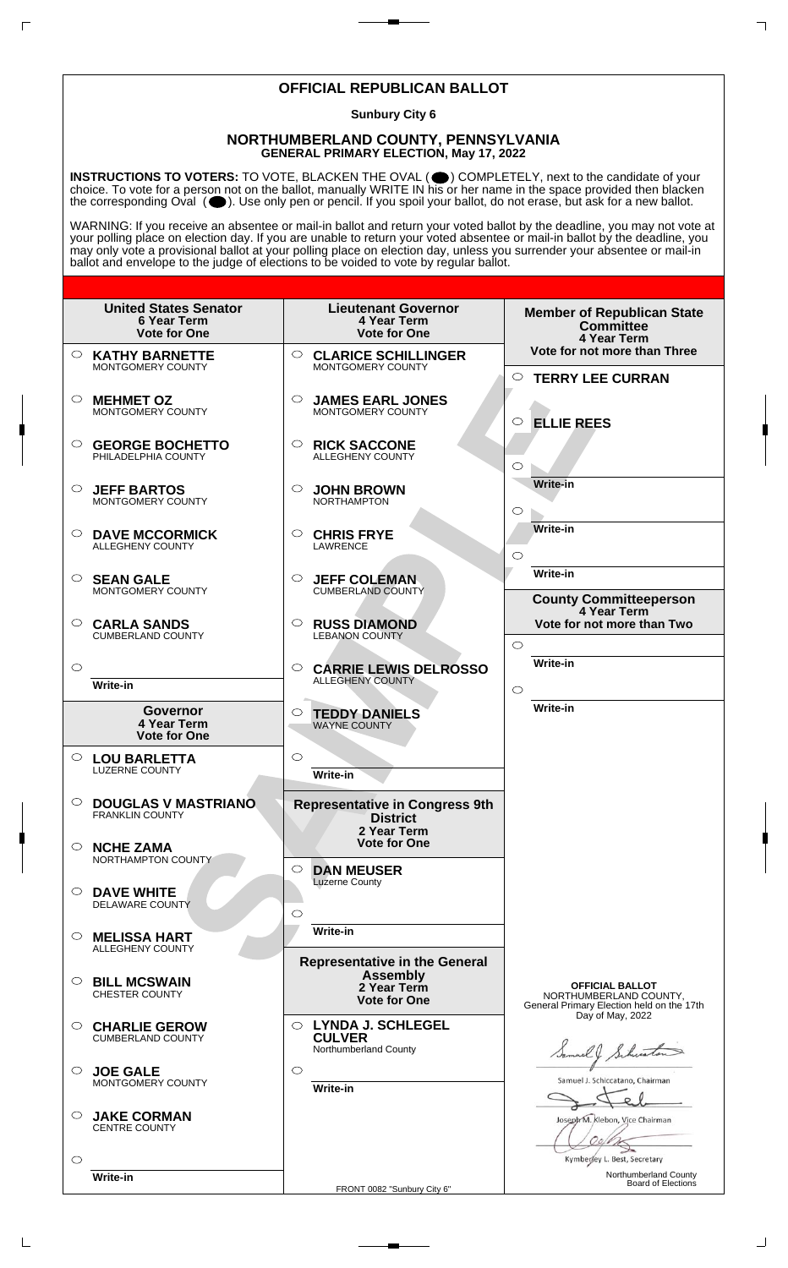**Sunbury City 6**

### **NORTHUMBERLAND COUNTY, PENNSYLVANIA GENERAL PRIMARY ELECTION, May 17, 2022**

**INSTRUCTIONS TO VOTERS:** TO VOTE, BLACKEN THE OVAL ( $\bigcirc$ ) COMPLETELY, next to the candidate of your choice. To vote for a person not on the ballot, manually WRITE IN his or her name in the space provided then blacken the corresponding Oval (  $\bigcirc$  ). Use only pen or pencil. If you spoil your ballot, do not erase, but ask for a new ballot.

WARNING: If you receive an absentee or mail-in ballot and return your voted ballot by the deadline, you may not vote at your polling place on election day. If you are unable to return your voted absentee or mail-in ballot by the deadline, you may only vote a provisional ballot at your polling place on election day, unless you surrender your absentee or mail-in ballot and envelope to the judge of elections to be voided to vote by regular ballot.

|                     | <b>United States Senator</b><br><b>6 Year Term</b><br><b>Vote for One</b> | <b>Lieutenant Governor</b><br>4 Year Term<br><b>Vote for One</b>        | <b>Member of Republican State</b><br><b>Committee</b><br>4 Year Term                          |
|---------------------|---------------------------------------------------------------------------|-------------------------------------------------------------------------|-----------------------------------------------------------------------------------------------|
| $\circ$             | <b>KATHY BARNETTE</b><br>MONTGOMERY COUNTY                                | $\circ$<br><b>CLARICE SCHILLINGER</b><br>MONTGOMERY COUNTY              | Vote for not more than Three<br>$\circ$<br><b>TERRY LEE CURRAN</b>                            |
| $\circ$             | <b>MEHMET OZ</b><br>MONTGOMERY COUNTY                                     | <b>JAMES EARL JONES</b><br>$\circ$<br><b>MONTGOMERY COUNTY</b>          | <b>ELLIE REES</b><br>$\circ$                                                                  |
| $\circ$             | <b>GEORGE BOCHETTO</b><br>PHILADELPHIA COUNTY                             | <b>RICK SACCONE</b><br>$\circ$<br><b>ALLEGHENY COUNTY</b>               | $\circlearrowright$                                                                           |
| $\circ$             | <b>JEFF BARTOS</b><br>MONTGOMERY COUNTY                                   | $\circlearrowright$<br><b>JOHN BROWN</b><br><b>NORTHAMPTON</b>          | Write-in<br>$\circ$                                                                           |
| $\circ$             | <b>DAVE MCCORMICK</b><br>ALLEGHENY COUNTY                                 | <b>CHRIS FRYE</b><br>$\circ$<br><b>LAWRENCE</b>                         | <b>Write-in</b><br>$\circ$                                                                    |
| $\circ$             | <b>SEAN GALE</b><br>MONTGOMERY COUNTY                                     | $\circ$<br><b>JEFF COLEMAN</b><br><b>CUMBERLAND COUNTY</b>              | <b>Write-in</b><br><b>County Committeeperson</b><br>4 Year Term                               |
| $\circ$             | <b>CARLA SANDS</b><br><b>CUMBERLAND COUNTY</b>                            | <b>RUSS DIAMOND</b><br>$\circ$<br><b>LEBANON COUNTY</b>                 | Vote for not more than Two<br>$\circ$                                                         |
| $\circ$             | Write-in                                                                  | <b>CARRIE LEWIS DELROSSO</b><br>$\circ$<br>ALLEGHENY COUNTY             | <b>Write-in</b><br>$\circ$                                                                    |
|                     | <b>Governor</b><br>4 Year Term<br><b>Vote for One</b>                     | <b>TEDDY DANIELS</b><br>$\circ$<br><b>WAYNE COUNTY</b>                  | <b>Write-in</b>                                                                               |
|                     | $\circ$ LOU BARLETTA<br><b>LUZERNE COUNTY</b>                             | $\circ$<br><b>Write-in</b>                                              |                                                                                               |
| $\circ$             | <b>DOUGLAS V MASTRIANO</b><br><b>FRANKLIN COUNTY</b>                      | <b>Representative in Congress 9th</b><br><b>District</b><br>2 Year Term |                                                                                               |
|                     | $\circ$ NCHE ZAMA<br>NORTHAMPTON COUNTY                                   | <b>Vote for One</b><br>$\circ$<br><b>DAN MEUSER</b>                     |                                                                                               |
| O                   | <b>DAVE WHITE</b><br><b>DELAWARE COUNTY</b>                               | <b>Luzerne County</b><br>$\circ$                                        |                                                                                               |
| $\circ$             | <b>MELISSA HART</b><br>ALLEGHENY COUNTY                                   | Write-in<br><b>Representative in the General</b>                        |                                                                                               |
| $\circ$             | <b>BILL MCSWAIN</b><br><b>CHESTER COUNTY</b>                              | <b>Assembly</b><br>2 Year Term<br><b>Vote for One</b>                   | <b>OFFICIAL BALLOT</b><br>NORTHUMBERLAND COUNTY,<br>General Primary Election held on the 17th |
| $\circ$             | <b>CHARLIE GEROW</b><br><b>CUMBERLAND COUNTY</b>                          | O LYNDA J. SCHLEGEL<br><b>CULVER</b><br>Northumberland County           | Day of May, 2022                                                                              |
| $\circ$             | <b>JOE GALE</b><br>MONTGOMERY COUNTY                                      | $\circ$<br><b>Write-in</b>                                              | Samuel J. Schiccatano, Chairman                                                               |
| $\circ$             | <b>JAKE CORMAN</b><br><b>CENTRE COUNTY</b>                                |                                                                         | Joseph M. Klebon, Vice Chairman<br>0010                                                       |
| $\circlearrowright$ |                                                                           |                                                                         | Kymber/ey L. Best, Secretary                                                                  |
|                     | Write-in                                                                  | FRONT 0082 "Sunbury City 6"                                             | Northumberland County<br>Board of Elections                                                   |

للمسترد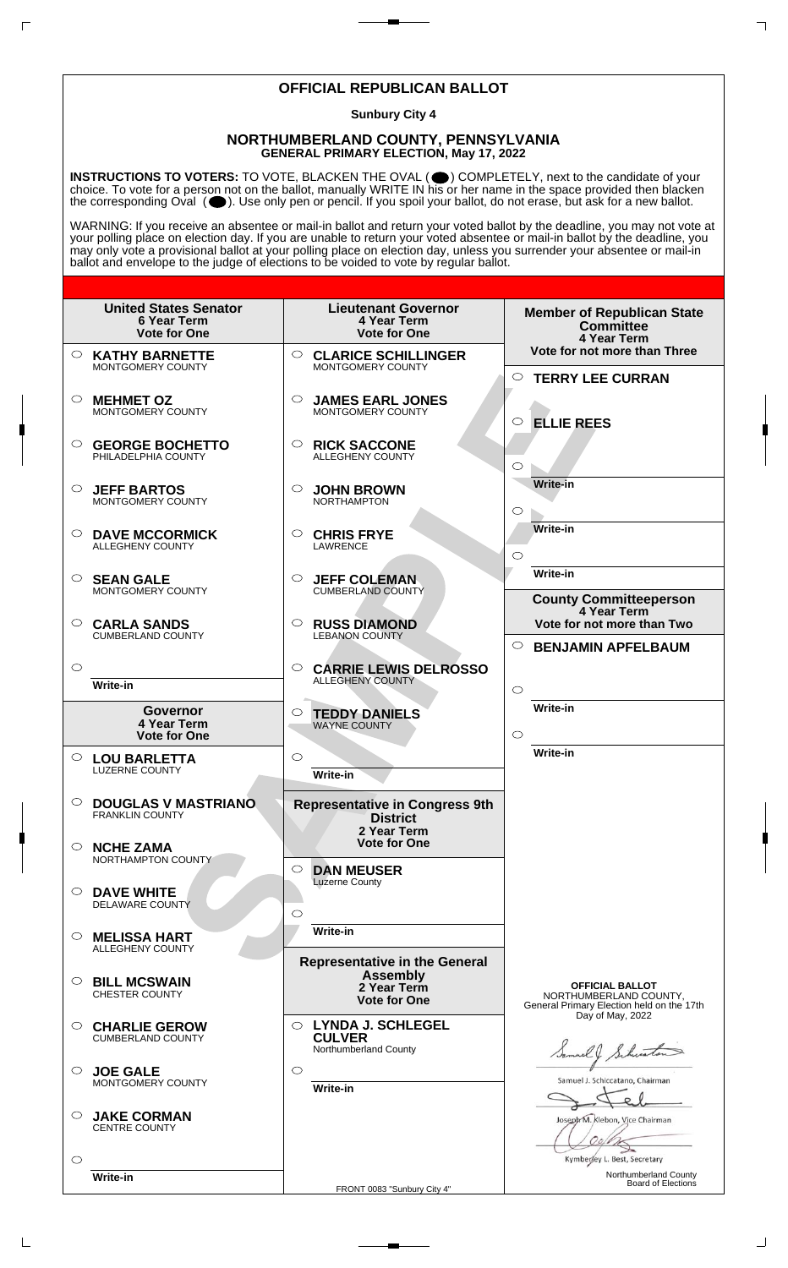$\Gamma$ 

 $\Box$ 

**Sunbury City 4**

### **NORTHUMBERLAND COUNTY, PENNSYLVANIA GENERAL PRIMARY ELECTION, May 17, 2022**

**INSTRUCTIONS TO VOTERS:** TO VOTE, BLACKEN THE OVAL ( $\bigcirc$ ) COMPLETELY, next to the candidate of your choice. To vote for a person not on the ballot, manually WRITE IN his or her name in the space provided then blacken the corresponding Oval (  $\bigcirc$  ). Use only pen or pencil. If you spoil your ballot, do not erase, but ask for a new ballot.

WARNING: If you receive an absentee or mail-in ballot and return your voted ballot by the deadline, you may not vote at your polling place on election day. If you are unable to return your voted absentee or mail-in ballot by the deadline, you may only vote a provisional ballot at your polling place on election day, unless you surrender your absentee or mail-in ballot and envelope to the judge of elections to be voided to vote by regular ballot.

|                     | <b>United States Senator</b><br><b>6 Year Term</b><br><b>Vote for One</b> | <b>Lieutenant Governor</b><br>4 Year Term<br><b>Vote for One</b>             | <b>Member of Republican State</b><br><b>Committee</b><br>4 Year Term                               |
|---------------------|---------------------------------------------------------------------------|------------------------------------------------------------------------------|----------------------------------------------------------------------------------------------------|
| $\circ$             | <b>KATHY BARNETTE</b><br>MONTGOMERY COUNTY                                | $\circ$<br><b>CLARICE SCHILLINGER</b><br>MONTGOMERY COUNTY                   | Vote for not more than Three<br>$\circ$<br><b>TERRY LEE CURRAN</b>                                 |
| $\circ$             | <b>MEHMET OZ</b><br>MONTGOMERY COUNTY                                     | <b>JAMES EARL JONES</b><br>O<br>MONTGOMERY COUNTY                            | <b>ELLIE REES</b><br>$\circ$                                                                       |
| $\circ$             | <b>GEORGE BOCHETTO</b><br>PHILADELPHIA COUNTY                             | <b>RICK SACCONE</b><br>$\circ$<br><b>ALLEGHENY COUNTY</b>                    | $\circlearrowright$                                                                                |
| $\circ$             | <b>JEFF BARTOS</b><br>MONTGOMERY COUNTY                                   | $\circlearrowright$<br><b>JOHN BROWN</b><br><b>NORTHAMPTON</b>               | Write-in<br>$\circ$                                                                                |
| $\circ$             | <b>DAVE MCCORMICK</b><br>ALLEGHENY COUNTY                                 | $\circ$<br><b>CHRIS FRYE</b><br><b>LAWRENCE</b>                              | <b>Write-in</b><br>$\circ$                                                                         |
| $\circ$             | <b>SEAN GALE</b><br>MONTGOMERY COUNTY                                     | $\circ$<br><b>JEFF COLEMAN</b><br><b>CUMBERLAND COUNTY</b>                   | <b>Write-in</b>                                                                                    |
| $\circ$             | <b>CARLA SANDS</b><br><b>CUMBERLAND COUNTY</b>                            | <b>RUSS DIAMOND</b><br>$\circ$<br><b>LEBANON COUNTY</b>                      | <b>County Committeeperson</b><br>4 Year Term<br>Vote for not more than Two<br>C BENJAMIN APFELBAUM |
| $\circ$             | <b>Write-in</b>                                                           | <b>CARRIE LEWIS DELROSSO</b><br>$\circ$<br>ALLEGHENY COUNTY                  | $\circ$                                                                                            |
|                     | <b>Governor</b><br>4 Year Term<br><b>Vote for One</b>                     | <b>TEDDY DANIELS</b><br>$\circ$<br><b>WAYNE COUNTY</b>                       | <b>Write-in</b><br>$\circ$                                                                         |
|                     | $\circ$ LOU BARLETTA<br><b>LUZERNE COUNTY</b>                             | $\circ$<br><b>Write-in</b>                                                   | <b>Write-in</b>                                                                                    |
| $\circ$             | <b>DOUGLAS V MASTRIANO</b><br><b>FRANKLIN COUNTY</b>                      | <b>Representative in Congress 9th</b><br><b>District</b><br>2 Year Term      |                                                                                                    |
|                     | $\circ$ NCHE ZAMA<br>NORTHAMPTON COUNTY                                   | <b>Vote for One</b><br>$\circ$<br><b>DAN MEUSER</b><br><b>Luzerne County</b> |                                                                                                    |
| $\circ$             | <b>DAVE WHITE</b><br><b>DELAWARE COUNTY</b>                               | $\circ$                                                                      |                                                                                                    |
| $\circ$             | <b>MELISSA HART</b><br><b>ALLEGHENY COUNTY</b>                            | Write-in<br><b>Representative in the General</b>                             |                                                                                                    |
| $\circ$             | <b>BILL MCSWAIN</b><br><b>CHESTER COUNTY</b>                              | <b>Assembly</b><br>2 Year Term<br><b>Vote for One</b>                        | <b>OFFICIAL BALLOT</b><br>NORTHUMBERLAND COUNTY,<br>General Primary Election held on the 17th      |
| $\circ$             | <b>CHARLIE GEROW</b><br><b>CUMBERLAND COUNTY</b>                          | O LYNDA J. SCHLEGEL<br><b>CULVER</b><br>Northumberland County                | Day of May, 2022<br>nell Schwatch                                                                  |
| $\circ$             | <b>JOE GALE</b><br>MONTGOMERY COUNTY                                      | $\circlearrowright$<br><b>Write-in</b>                                       | Samuel J. Schiccatano, Chairman                                                                    |
| $\circ$             | <b>JAKE CORMAN</b><br><b>CENTRE COUNTY</b>                                |                                                                              | Joseph M. Klebon, Vice Chairman<br>0010                                                            |
| $\circlearrowright$ |                                                                           |                                                                              | Kymberley L. Best, Secretary                                                                       |
|                     | Write-in                                                                  | FRONT 0083 "Sunbury City 4"                                                  | Northumberland County<br>Board of Elections                                                        |

للمسترد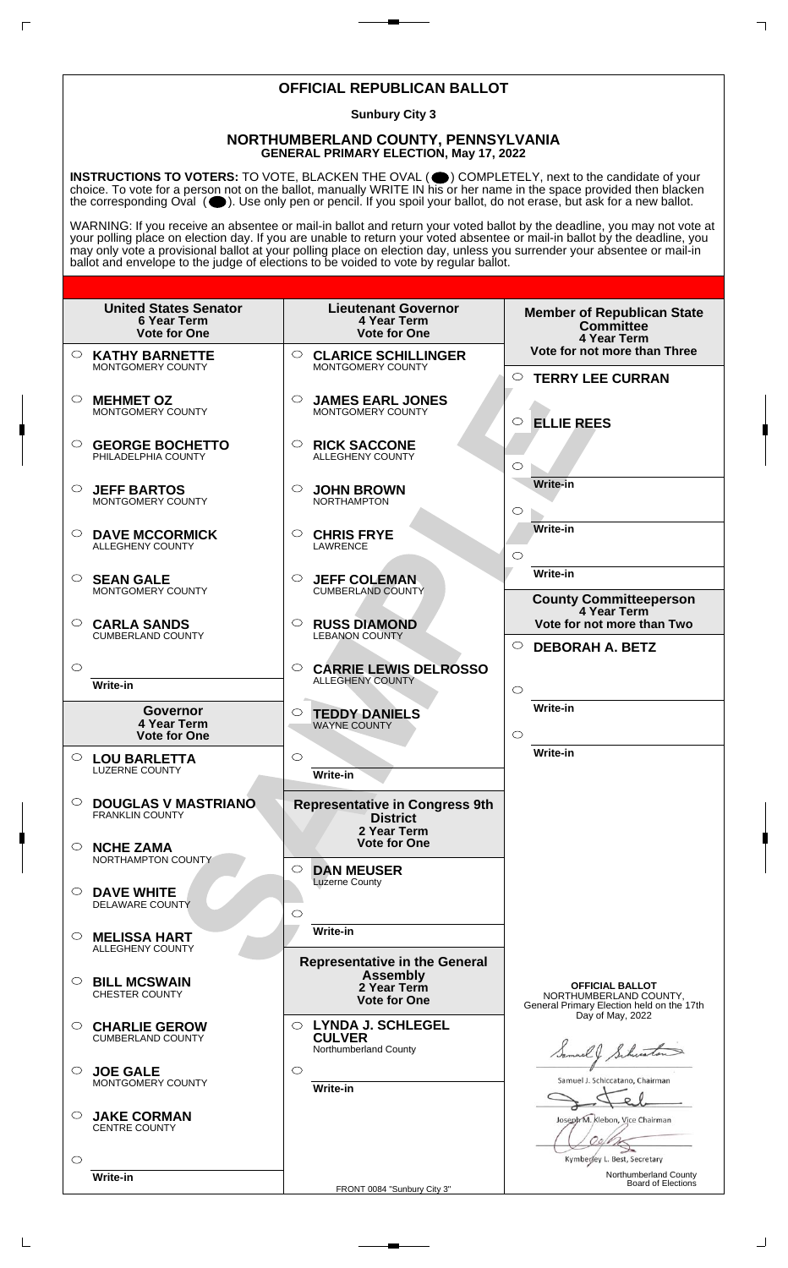**Sunbury City 3**

### **NORTHUMBERLAND COUNTY, PENNSYLVANIA GENERAL PRIMARY ELECTION, May 17, 2022**

**INSTRUCTIONS TO VOTERS:** TO VOTE, BLACKEN THE OVAL ( $\bigcirc$ ) COMPLETELY, next to the candidate of your choice. To vote for a person not on the ballot, manually WRITE IN his or her name in the space provided then blacken the corresponding Oval (  $\bigcirc$  ). Use only pen or pencil. If you spoil your ballot, do not erase, but ask for a new ballot.

WARNING: If you receive an absentee or mail-in ballot and return your voted ballot by the deadline, you may not vote at your polling place on election day. If you are unable to return your voted absentee or mail-in ballot by the deadline, you may only vote a provisional ballot at your polling place on election day, unless you surrender your absentee or mail-in ballot and envelope to the judge of elections to be voided to vote by regular ballot.

|                     | <b>United States Senator</b><br><b>6 Year Term</b><br><b>Vote for One</b> | <b>Lieutenant Governor</b><br>4 Year Term<br><b>Vote for One</b>                 | <b>Member of Republican State</b><br><b>Committee</b><br>4 Year Term                          |
|---------------------|---------------------------------------------------------------------------|----------------------------------------------------------------------------------|-----------------------------------------------------------------------------------------------|
| $\circ$             | <b>KATHY BARNETTE</b><br>MONTGOMERY COUNTY                                | C CLARICE SCHILLINGER<br>MONTGOMERY COUNTY                                       | Vote for not more than Three<br>$\circ$<br><b>TERRY LEE CURRAN</b>                            |
| $\circ$             | <b>MEHMET OZ</b><br>MONTGOMERY COUNTY                                     | $\circ$<br><b>JAMES EARL JONES</b><br>MONTGOMERY COUNTY                          | <b>ELLIE REES</b><br>$\circ$                                                                  |
| $\circ$             | <b>GEORGE BOCHETTO</b><br>PHILADELPHIA COUNTY                             | <b>RICK SACCONE</b><br>$\circ$<br><b>ALLEGHENY COUNTY</b>                        | $\circlearrowright$                                                                           |
| $\circ$             | <b>JEFF BARTOS</b><br>MONTGOMERY COUNTY                                   | $\circlearrowright$<br><b>JOHN BROWN</b><br><b>NORTHAMPTON</b>                   | Write-in<br>$\circ$                                                                           |
| $\circ$             | <b>DAVE MCCORMICK</b><br><b>ALLEGHENY COUNTY</b>                          | <b>CHRIS FRYE</b><br>$\circ$<br><b>LAWRENCE</b>                                  | <b>Write-in</b><br>$\circ$                                                                    |
| $\circ$             | <b>SEAN GALE</b><br>MONTGOMERY COUNTY                                     | $\circ$<br><b>JEFF COLEMAN</b><br><b>CUMBERLAND COUNTY</b>                       | <b>Write-in</b><br><b>County Committeeperson</b><br>4 Year Term                               |
| $\circ$             | <b>CARLA SANDS</b><br><b>CUMBERLAND COUNTY</b>                            | <b>RUSS DIAMOND</b><br>$\circ$<br><b>LEBANON COUNTY</b>                          | Vote for not more than Two<br>$\circ$ DEBORAH A. BETZ                                         |
| $\circ$             | <b>Write-in</b>                                                           | <b>CARRIE LEWIS DELROSSO</b><br>$\circ$<br>ALLEGHENY COUNTY                      | $\circ$                                                                                       |
|                     | <b>Governor</b><br>4 Year Term<br><b>Vote for One</b>                     | <b>TEDDY DANIELS</b><br>$\circ$<br><b>WAYNE COUNTY</b>                           | <b>Write-in</b><br>$\circ$                                                                    |
|                     | $\circ$ LOU BARLETTA<br><b>LUZERNE COUNTY</b>                             | $\circ$<br><b>Write-in</b>                                                       | <b>Write-in</b>                                                                               |
| $\circ$             | <b>DOUGLAS V MASTRIANO</b><br><b>FRANKLIN COUNTY</b>                      | <b>Representative in Congress 9th</b><br><b>District</b><br>2 Year Term          |                                                                                               |
|                     | $\circ$ NCHE ZAMA<br>NORTHAMPTON COUNTY                                   | <b>Vote for One</b><br>$\circ$<br><b>DAN MEUSER</b>                              |                                                                                               |
| $\circ$             | <b>DAVE WHITE</b><br><b>DELAWARE COUNTY</b>                               | <b>Luzerne County</b><br>$\circ$                                                 |                                                                                               |
| $\circ$             | <b>MELISSA HART</b><br>ALLEGHENY COUNTY                                   | Write-in<br><b>Representative in the General</b>                                 |                                                                                               |
| $\circ$             | <b>BILL MCSWAIN</b><br><b>CHESTER COUNTY</b>                              | <b>Assembly</b><br>2 Year Term<br><b>Vote for One</b>                            | <b>OFFICIAL BALLOT</b><br>NORTHUMBERLAND COUNTY,<br>General Primary Election held on the 17th |
| $\circ$             | <b>CHARLIE GEROW</b><br><b>CUMBERLAND COUNTY</b>                          | <b>LYNDA J. SCHLEGEL</b><br>$\bigcirc$<br><b>CULVER</b><br>Northumberland County | Day of May, 2022<br>Shunter                                                                   |
| $\circ$             | <b>JOE GALE</b><br>MONTGOMERY COUNTY                                      | $\circ$<br><b>Write-in</b>                                                       | Samuel J. Schiccatano, Chairman                                                               |
| $\circ$             | <b>JAKE CORMAN</b><br><b>CENTRE COUNTY</b>                                |                                                                                  | Joseph M. Klebon, Vice Chairman<br>0010                                                       |
| $\circlearrowright$ |                                                                           |                                                                                  | Kymberley L. Best, Secretary                                                                  |
|                     | Write-in                                                                  | FRONT 0084 "Sunbury City 3"                                                      | Northumberland County<br>Board of Elections                                                   |

للمسترد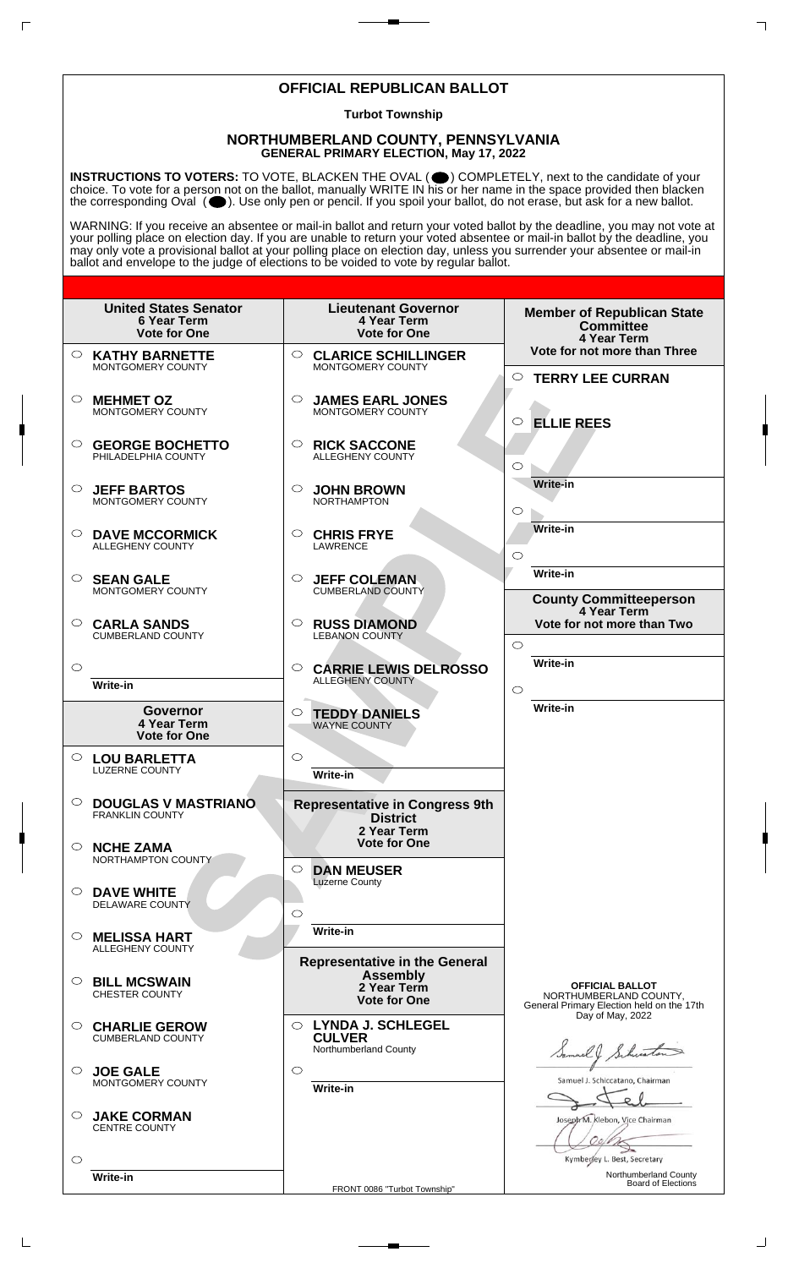**Turbot Township**

### **NORTHUMBERLAND COUNTY, PENNSYLVANIA GENERAL PRIMARY ELECTION, May 17, 2022**

**INSTRUCTIONS TO VOTERS:** TO VOTE, BLACKEN THE OVAL ( $\bigcirc$ ) COMPLETELY, next to the candidate of your choice. To vote for a person not on the ballot, manually WRITE IN his or her name in the space provided then blacken the corresponding Oval (  $\bigcirc$  ). Use only pen or pencil. If you spoil your ballot, do not erase, but ask for a new ballot.

WARNING: If you receive an absentee or mail-in ballot and return your voted ballot by the deadline, you may not vote at your polling place on election day. If you are unable to return your voted absentee or mail-in ballot by the deadline, you may only vote a provisional ballot at your polling place on election day, unless you surrender your absentee or mail-in ballot and envelope to the judge of elections to be voided to vote by regular ballot.

|         | <b>United States Senator</b><br><b>6 Year Term</b><br><b>Vote for One</b> | <b>Lieutenant Governor</b><br>4 Year Term<br><b>Vote for One</b>        | <b>Member of Republican State</b><br><b>Committee</b><br>4 Year Term                          |
|---------|---------------------------------------------------------------------------|-------------------------------------------------------------------------|-----------------------------------------------------------------------------------------------|
| $\circ$ | <b>KATHY BARNETTE</b><br>MONTGOMERY COUNTY                                | $\circ$<br><b>CLARICE SCHILLINGER</b><br>MONTGOMERY COUNTY              | Vote for not more than Three<br><b>TERRY LEE CURRAN</b><br>O                                  |
| $\circ$ | <b>MEHMET OZ</b><br>MONTGOMERY COUNTY                                     | <b>JAMES EARL JONES</b><br>O<br>MONTGOMERY COUNTY                       | <b>ELLIE REES</b><br>$\circ$                                                                  |
| $\circ$ | <b>GEORGE BOCHETTO</b><br>PHILADELPHIA COUNTY                             | <b>RICK SACCONE</b><br>$\circ$<br><b>ALLEGHENY COUNTY</b>               | $\circlearrowright$                                                                           |
| $\circ$ | <b>JEFF BARTOS</b><br>MONTGOMERY COUNTY                                   | $\circ$<br><b>JOHN BROWN</b><br><b>NORTHAMPTON</b>                      | Write-in<br>$\circ$                                                                           |
| $\circ$ | <b>DAVE MCCORMICK</b><br>ALLEGHENY COUNTY                                 | <b>CHRIS FRYE</b><br>$\circ$<br><b>LAWRENCE</b>                         | <b>Write-in</b><br>$\circ$                                                                    |
| $\circ$ | <b>SEAN GALE</b><br>MONTGOMERY COUNTY                                     | <b>JEFF COLEMAN</b><br>O<br><b>CUMBERLAND COUNTY</b>                    | <b>Write-in</b>                                                                               |
| $\circ$ | <b>CARLA SANDS</b><br><b>CUMBERLAND COUNTY</b>                            | <b>RUSS DIAMOND</b><br>$\circ$<br><b>LEBANON COUNTY</b>                 | <b>County Committeeperson</b><br>4 Year Term<br>Vote for not more than Two<br>$\circ$         |
| $\circ$ | <b>Write-in</b>                                                           | <b>CARRIE LEWIS DELROSSO</b><br>$\circ$<br>ALLEGHENY COUNTY             | <b>Write-in</b><br>$\circ$                                                                    |
|         | <b>Governor</b><br>4 Year Term<br><b>Vote for One</b>                     | <b>TEDDY DANIELS</b><br>$\circ$<br><b>WAYNE COUNTY</b>                  | Write-in                                                                                      |
| $\circ$ | <b>LOU BARLETTA</b><br><b>LUZERNE COUNTY</b>                              | $\circ$<br><b>Write-in</b>                                              |                                                                                               |
| $\circ$ | <b>DOUGLAS V MASTRIANO</b><br><b>FRANKLIN COUNTY</b>                      | <b>Representative in Congress 9th</b><br><b>District</b><br>2 Year Term |                                                                                               |
|         | $\circ$ NCHE ZAMA<br>NORTHAMPTON COUNTY                                   | <b>Vote for One</b><br>$\circ$<br><b>DAN MEUSER</b>                     |                                                                                               |
| $\circ$ | <b>DAVE WHITE</b><br><b>DELAWARE COUNTY</b>                               | <b>Luzerne County</b><br>$\circ$                                        |                                                                                               |
| $\circ$ | <b>MELISSA HART</b><br><b>ALLEGHENY COUNTY</b>                            | Write-in<br><b>Representative in the General</b>                        |                                                                                               |
| $\circ$ | <b>BILL MCSWAIN</b><br><b>CHESTER COUNTY</b>                              | <b>Assembly</b><br>2 Year Term<br><b>Vote for One</b>                   | <b>OFFICIAL BALLOT</b><br>NORTHUMBERLAND COUNTY,<br>General Primary Election held on the 17th |
| $\circ$ | <b>CHARLIE GEROW</b><br><b>CUMBERLAND COUNTY</b>                          | O LYNDA J. SCHLEGEL<br><b>CULVER</b><br>Northumberland County           | Day of May, 2022                                                                              |
| $\circ$ | <b>JOE GALE</b><br><b>MONTGOMERY COUNTY</b>                               | $\circ$<br><b>Write-in</b>                                              | Samuel J. Schiccatano, Chairman                                                               |
| $\circ$ | <b>JAKE CORMAN</b><br><b>CENTRE COUNTY</b>                                |                                                                         | Joseph M. Klebon, Vice Chairman<br>0010                                                       |
| $\circ$ |                                                                           |                                                                         | Kymber/ey L. Best, Secretary                                                                  |
|         | Write-in                                                                  | FRONT 0086 "Turbot Township"                                            | Northumberland County<br>Board of Elections                                                   |

÷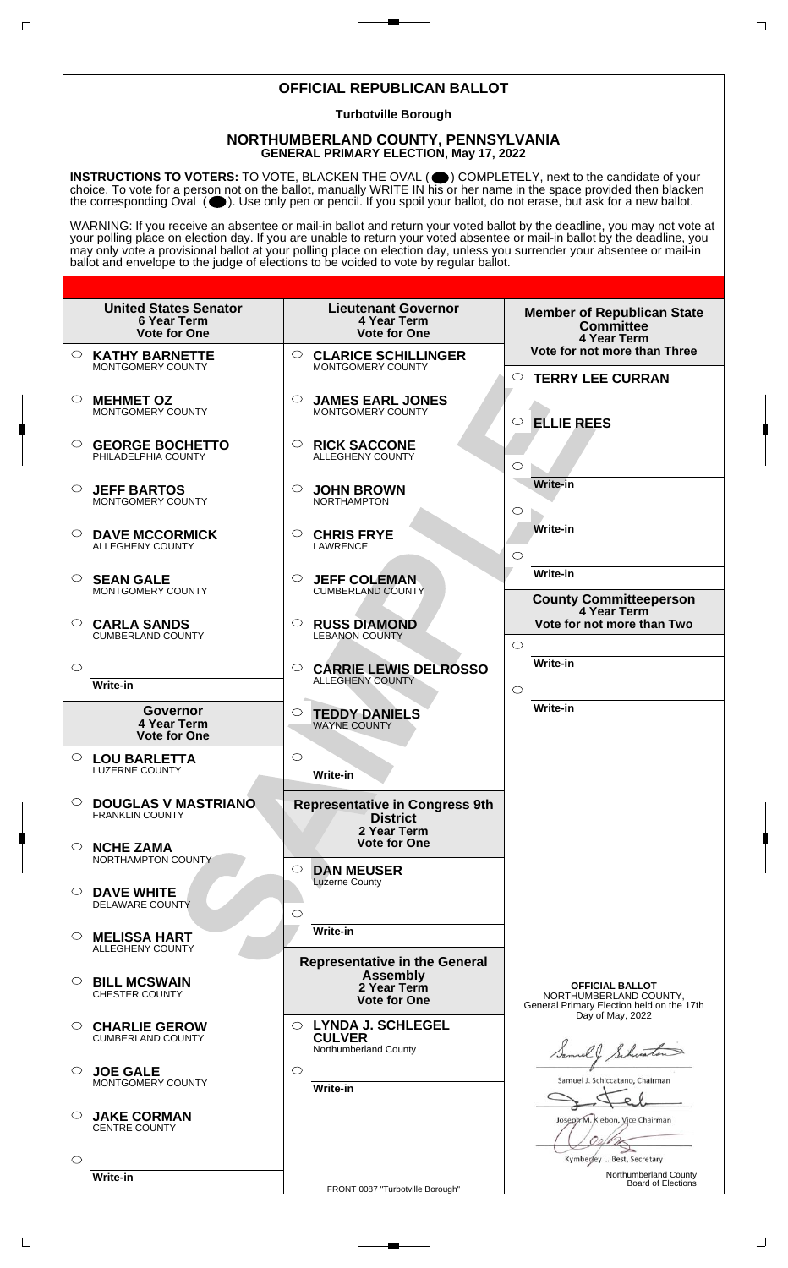**Turbotville Borough**

### **NORTHUMBERLAND COUNTY, PENNSYLVANIA GENERAL PRIMARY ELECTION, May 17, 2022**

**INSTRUCTIONS TO VOTERS:** TO VOTE, BLACKEN THE OVAL ( $\bigcirc$ ) COMPLETELY, next to the candidate of your choice. To vote for a person not on the ballot, manually WRITE IN his or her name in the space provided then blacken the corresponding Oval (  $\bigcirc$  ). Use only pen or pencil. If you spoil your ballot, do not erase, but ask for a new ballot.

WARNING: If you receive an absentee or mail-in ballot and return your voted ballot by the deadline, you may not vote at your polling place on election day. If you are unable to return your voted absentee or mail-in ballot by the deadline, you may only vote a provisional ballot at your polling place on election day, unless you surrender your absentee or mail-in ballot and envelope to the judge of elections to be voided to vote by regular ballot.

|                     | <b>United States Senator</b><br><b>6 Year Term</b><br><b>Vote for One</b> | <b>Lieutenant Governor</b><br>4 Year Term<br><b>Vote for One</b>        | <b>Member of Republican State</b><br><b>Committee</b><br>4 Year Term                          |
|---------------------|---------------------------------------------------------------------------|-------------------------------------------------------------------------|-----------------------------------------------------------------------------------------------|
|                     | $\circ$ KATHY BARNETTE<br>MONTGOMERY COUNTY                               | $\circ$<br><b>CLARICE SCHILLINGER</b><br>MONTGOMERY COUNTY              | Vote for not more than Three<br>$\circ$<br><b>TERRY LEE CURRAN</b>                            |
| $\circ$             | <b>MEHMET OZ</b><br>MONTGOMERY COUNTY                                     | $\circ$<br><b>JAMES EARL JONES</b><br>MONTGOMERY COUNTY                 | <b>ELLIE REES</b><br>$\circ$                                                                  |
| $\circ$             | <b>GEORGE BOCHETTO</b><br>PHILADELPHIA COUNTY                             | <b>RICK SACCONE</b><br>$\circ$<br><b>ALLEGHENY COUNTY</b>               | $\circlearrowright$                                                                           |
| $\circ$             | <b>JEFF BARTOS</b><br>MONTGOMERY COUNTY                                   | $\circlearrowright$<br><b>JOHN BROWN</b><br><b>NORTHAMPTON</b>          | Write-in<br>$\circ$                                                                           |
|                     | O DAVE MCCORMICK<br><b>ALLEGHENY COUNTY</b>                               | <b>CHRIS FRYE</b><br>$\circ$<br><b>LAWRENCE</b>                         | <b>Write-in</b><br>$\circ$                                                                    |
| $\circ$             | <b>SEAN GALE</b><br>MONTGOMERY COUNTY                                     | $\circ$<br><b>JEFF COLEMAN</b><br><b>CUMBERLAND COUNTY</b>              | <b>Write-in</b><br><b>County Committeeperson</b><br>4 Year Term                               |
| $\circ$             | <b>CARLA SANDS</b><br><b>CUMBERLAND COUNTY</b>                            | <b>RUSS DIAMOND</b><br>$\circ$<br><b>LEBANON COUNTY</b>                 | Vote for not more than Two<br>$\circ$                                                         |
| $\circlearrowright$ | <b>Write-in</b>                                                           | <b>CARRIE LEWIS DELROSSO</b><br>$\circ$<br>ALLEGHENY COUNTY             | <b>Write-in</b><br>$\circ$                                                                    |
|                     | <b>Governor</b><br>4 Year Term<br><b>Vote for One</b>                     | <b>TEDDY DANIELS</b><br>$\circ$<br><b>WAYNE COUNTY</b>                  | <b>Write-in</b>                                                                               |
|                     | $\circ$ LOU BARLETTA<br><b>LUZERNE COUNTY</b>                             | $\circ$<br><b>Write-in</b>                                              |                                                                                               |
| $\circ$             | <b>DOUGLAS V MASTRIANO</b><br><b>FRANKLIN COUNTY</b>                      | <b>Representative in Congress 9th</b><br><b>District</b><br>2 Year Term |                                                                                               |
|                     | $\circ$ NCHE ZAMA<br>NORTHAMPTON COUNTY                                   | <b>Vote for One</b><br>$\circlearrowright$<br><b>DAN MEUSER</b>         |                                                                                               |
| O                   | <b>DAVE WHITE</b><br><b>DELAWARE COUNTY</b>                               | <b>Luzerne County</b><br>$\circlearrowright$                            |                                                                                               |
| O                   | <b>MELISSA HART</b><br><b>ALLEGHENY COUNTY</b>                            | Write-in<br><b>Representative in the General</b>                        |                                                                                               |
| $\circlearrowright$ | <b>BILL MCSWAIN</b><br><b>CHESTER COUNTY</b>                              | <b>Assembly</b><br>2 Year Term<br><b>Vote for One</b>                   | <b>OFFICIAL BALLOT</b><br>NORTHUMBERLAND COUNTY,<br>General Primary Election held on the 17th |
| $\circ$             | <b>CHARLIE GEROW</b><br><b>CUMBERLAND COUNTY</b>                          | O LYNDA J. SCHLEGEL<br><b>CULVER</b><br>Northumberland County           | Day of May, 2022                                                                              |
| $\circ$             | <b>JOE GALE</b><br>MONTGOMERY COUNTY                                      | $\circ$<br><b>Write-in</b>                                              | Samuel J. Schiccatano, Chairman                                                               |
| $\circ$             | <b>JAKE CORMAN</b><br><b>CENTRE COUNTY</b>                                |                                                                         | Joseph M. klebon, Vice Chairman<br>0010                                                       |
| $\circlearrowright$ |                                                                           |                                                                         | Kymberley L. Best, Secretary                                                                  |
|                     | Write-in                                                                  | FRONT 0087 "Turbotville Borough"                                        | Northumberland County<br>Board of Elections                                                   |

للمسترد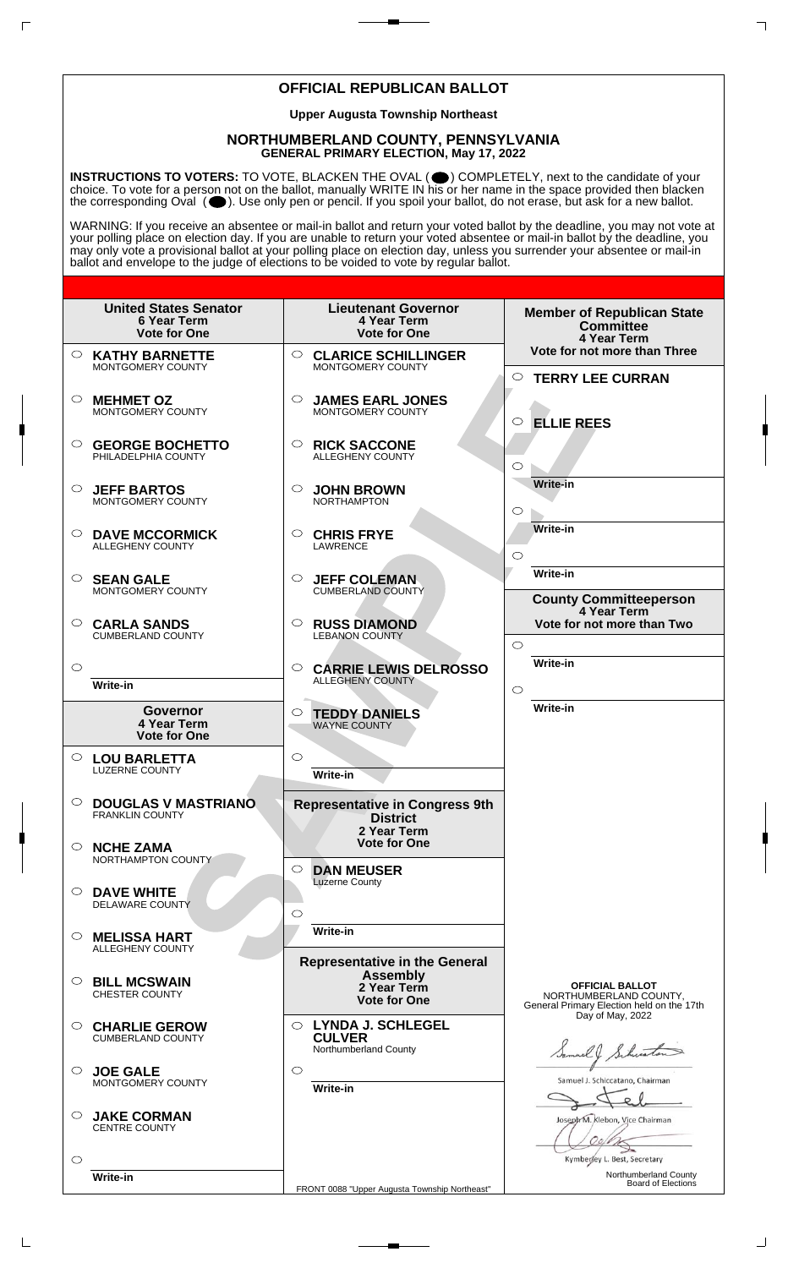**Upper Augusta Township Northeast**

## **NORTHUMBERLAND COUNTY, PENNSYLVANIA GENERAL PRIMARY ELECTION, May 17, 2022**

**INSTRUCTIONS TO VOTERS:** TO VOTE, BLACKEN THE OVAL ( $\bigcirc$ ) COMPLETELY, next to the candidate of your choice. To vote for a person not on the ballot, manually WRITE IN his or her name in the space provided then blacken the corresponding Oval (  $\bigcirc$  ). Use only pen or pencil. If you spoil your ballot, do not erase, but ask for a new ballot.

WARNING: If you receive an absentee or mail-in ballot and return your voted ballot by the deadline, you may not vote at your polling place on election day. If you are unable to return your voted absentee or mail-in ballot by the deadline, you may only vote a provisional ballot at your polling place on election day, unless you surrender your absentee or mail-in ballot and envelope to the judge of elections to be voided to vote by regular ballot.

| Vote for not more than Three<br><b>KATHY BARNETTE</b><br>$\circ$<br><b>CLARICE SCHILLINGER</b><br>MONTGOMERY COUNTY<br>MONTGOMERY COUNTY<br><b>TERRY LEE CURRAN</b><br>O                                                      |  |
|-------------------------------------------------------------------------------------------------------------------------------------------------------------------------------------------------------------------------------|--|
|                                                                                                                                                                                                                               |  |
| $\circ$<br><b>MEHMET OZ</b><br>$\circ$<br><b>JAMES EARL JONES</b><br>MONTGOMERY COUNTY<br>MONTGOMERY COUNTY<br><b>ELLIE REES</b><br>$\circ$                                                                                   |  |
| $\bigcirc$ .<br><b>GEORGE BOCHETTO</b><br><b>RICK SACCONE</b><br>$\circ$<br>PHILADELPHIA COUNTY<br><b>ALLEGHENY COUNTY</b><br>$\circlearrowright$                                                                             |  |
| Write-in<br>$\circ$<br><b>JEFF BARTOS</b><br>$\circ$<br><b>JOHN BROWN</b><br>MONTGOMERY COUNTY<br><b>NORTHAMPTON</b><br>$\circ$                                                                                               |  |
| <b>Write-in</b><br>$\circ$<br><b>DAVE MCCORMICK</b><br>$\circ$<br><b>CHRIS FRYE</b><br>ALLEGHENY COUNTY<br>LAWRENCE<br>$\circ$                                                                                                |  |
| <b>Write-in</b><br>$\circ$<br><b>SEAN GALE</b><br>$\circ$<br><b>JEFF COLEMAN</b><br><b>CUMBERLAND COUNTY</b><br>MONTGOMERY COUNTY<br><b>County Committeeperson</b><br>4 Year Term                                             |  |
| <b>RUSS DIAMOND</b><br>Vote for not more than Two<br>$\circ$<br><b>CARLA SANDS</b><br>$\circ$<br><b>CUMBERLAND COUNTY</b><br><b>LEBANON COUNTY</b><br>$\circ$                                                                 |  |
| <b>Write-in</b><br>$\circlearrowright$<br><b>CARRIE LEWIS DELROSSO</b><br>$\circ$<br><b>ALLEGHENY COUNTY</b><br><b>Write-in</b><br>$\circ$                                                                                    |  |
| <b>Write-in</b><br><b>Governor</b><br>$\bigcirc$<br><b>TEDDY DANIELS</b><br>4 Year Term<br><b>WAYNE COUNTY</b><br><b>Vote for One</b>                                                                                         |  |
| $\circ$<br>$\circ$ LOU BARLETTA<br>LUZERNE COUNTY<br><b>Write-in</b>                                                                                                                                                          |  |
| $\circ$<br><b>DOUGLAS V MASTRIANO</b><br><b>Representative in Congress 9th</b><br><b>FRANKLIN COUNTY</b><br><b>District</b><br>2 Year Term                                                                                    |  |
| <b>Vote for One</b><br>$\circ$ NCHE ZAMA<br>NORTHAMPTON COUNTY<br>$\circ$<br><b>DAN MEUSER</b>                                                                                                                                |  |
| <b>Luzerne County</b><br><b>DAVE WHITE</b><br>O<br>DELAWARE COUNTY<br>$\circlearrowright$                                                                                                                                     |  |
| Write-in<br><b>MELISSA HART</b><br>O<br><b>ALLEGHENY COUNTY</b><br><b>Representative in the General</b>                                                                                                                       |  |
| <b>Assembly</b><br>$\circlearrowright$<br><b>BILL MCSWAIN</b><br>2 Year Term<br><b>OFFICIAL BALLOT</b><br><b>CHESTER COUNTY</b><br>NORTHUMBERLAND COUNTY,<br><b>Vote for One</b><br>General Primary Election held on the 17th |  |
| Day of May, 2022<br><b>LYNDA J. SCHLEGEL</b><br>$\bigcirc$<br>$\circlearrowright$<br><b>CHARLIE GEROW</b><br><b>CULVER</b><br><b>CUMBERLAND COUNTY</b><br>Northumberland County<br>muell Schweiten                            |  |
| $\circ$<br>$\circlearrowright$<br><b>JOE GALE</b><br>Samuel J. Schiccatano, Chairman<br>MONTGOMERY COUNTY<br>Write-in                                                                                                         |  |
| <b>JAKE CORMAN</b><br>$\circ$<br>Joseph M. Klebon, Vice Chairman<br><b>CENTRE COUNTY</b><br>0010                                                                                                                              |  |
| Kymberley L. Best, Secretary<br>$\circlearrowright$                                                                                                                                                                           |  |
| Northumberland County<br><b>Write-in</b><br>Board of Elections<br>FRONT 0088 "Upper Augusta Township Northeast"                                                                                                               |  |

and a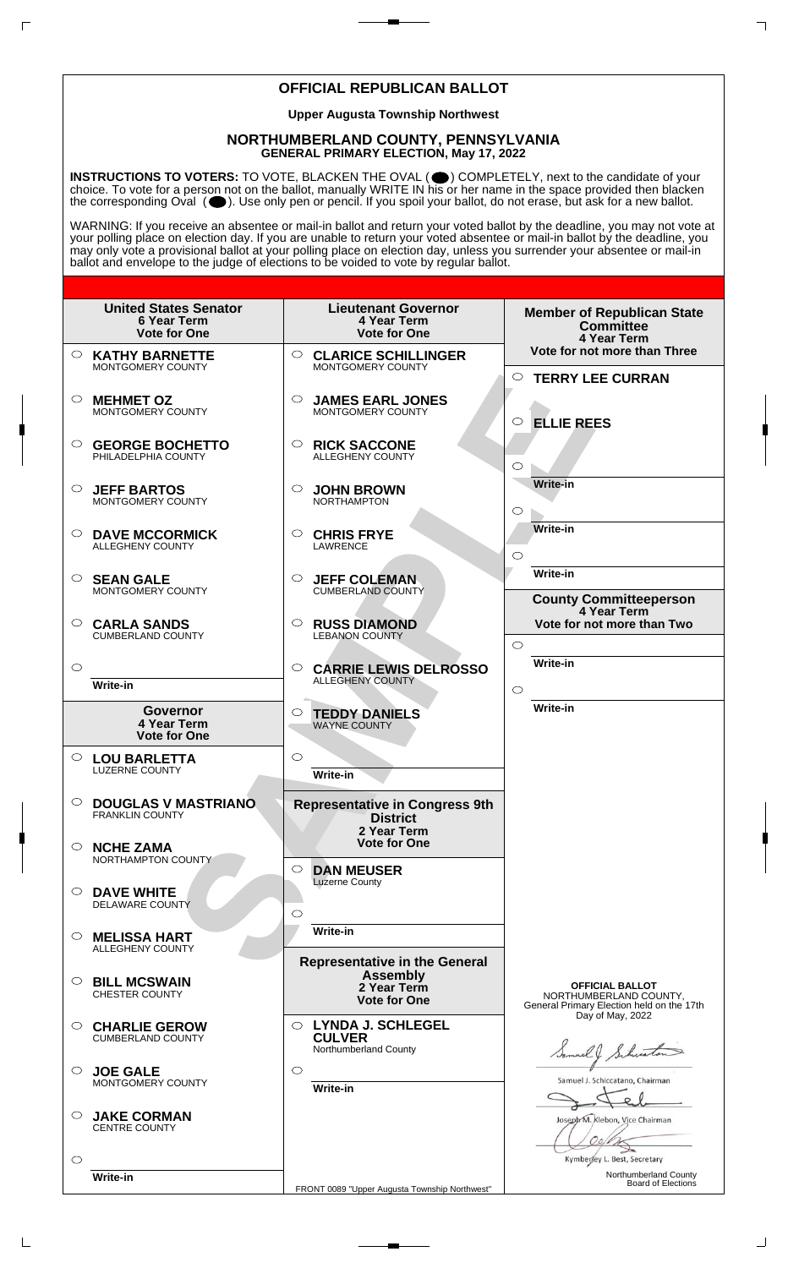**Upper Augusta Township Northwest**

## **NORTHUMBERLAND COUNTY, PENNSYLVANIA GENERAL PRIMARY ELECTION, May 17, 2022**

**INSTRUCTIONS TO VOTERS:** TO VOTE, BLACKEN THE OVAL ( $\bigcirc$ ) COMPLETELY, next to the candidate of your choice. To vote for a person not on the ballot, manually WRITE IN his or her name in the space provided then blacken the corresponding Oval (  $\bigcirc$  ). Use only pen or pencil. If you spoil your ballot, do not erase, but ask for a new ballot.

WARNING: If you receive an absentee or mail-in ballot and return your voted ballot by the deadline, you may not vote at your polling place on election day. If you are unable to return your voted absentee or mail-in ballot by the deadline, you may only vote a provisional ballot at your polling place on election day, unless you surrender your absentee or mail-in ballot and envelope to the judge of elections to be voided to vote by regular ballot.

|                     | <b>United States Senator</b><br><b>6 Year Term</b><br><b>Vote for One</b> | <b>Lieutenant Governor</b><br>4 Year Term<br><b>Vote for One</b>                 | <b>Member of Republican State</b><br><b>Committee</b><br>4 Year Term                          |
|---------------------|---------------------------------------------------------------------------|----------------------------------------------------------------------------------|-----------------------------------------------------------------------------------------------|
|                     | $\circ$ KATHY BARNETTE<br>MONTGOMERY COUNTY                               | $\circ$<br><b>CLARICE SCHILLINGER</b><br>MONTGOMERY COUNTY                       | Vote for not more than Three<br><b>TERRY LEE CURRAN</b><br>O                                  |
| $\circ$             | <b>MEHMET OZ</b><br>MONTGOMERY COUNTY                                     | $\circ$<br><b>JAMES EARL JONES</b><br>MONTGOMERY COUNTY                          | <b>ELLIE REES</b><br>$\circ$                                                                  |
| $\bigcirc$          | <b>GEORGE BOCHETTO</b><br>PHILADELPHIA COUNTY                             | <b>RICK SACCONE</b><br>$\circ$<br><b>ALLEGHENY COUNTY</b>                        | $\circlearrowright$                                                                           |
| $\circ$             | <b>JEFF BARTOS</b><br>MONTGOMERY COUNTY                                   | $\circlearrowright$<br><b>JOHN BROWN</b><br><b>NORTHAMPTON</b>                   | <b>Write-in</b><br>$\circ$                                                                    |
| $\circ$             | <b>DAVE MCCORMICK</b><br>ALLEGHENY COUNTY                                 | $\circ$<br><b>CHRIS FRYE</b><br><b>LAWRENCE</b>                                  | <b>Write-in</b><br>$\circ$                                                                    |
| $\circ$             | <b>SEAN GALE</b><br>MONTGOMERY COUNTY                                     | <b>JEFF COLEMAN</b><br>$\circ$<br><b>CUMBERLAND COUNTY</b>                       | <b>Write-in</b><br><b>County Committeeperson</b><br>4 Year Term                               |
| $\circ$             | <b>CARLA SANDS</b><br><b>CUMBERLAND COUNTY</b>                            | <b>RUSS DIAMOND</b><br>$\circ$<br><b>LEBANON COUNTY</b>                          | Vote for not more than Two<br>$\circ$                                                         |
| $\circlearrowright$ | <b>Write-in</b>                                                           | <b>CARRIE LEWIS DELROSSO</b><br>$\circ$<br><b>ALLEGHENY COUNTY</b>               | <b>Write-in</b><br>$\circ$                                                                    |
|                     | <b>Governor</b><br>4 Year Term<br><b>Vote for One</b>                     | O<br><b>TEDDY DANIELS</b><br><b>WAYNE COUNTY</b>                                 | <b>Write-in</b>                                                                               |
|                     | $\circ$ LOU BARLETTA<br><b>LUZERNE COUNTY</b>                             | $\circ$<br><b>Write-in</b>                                                       |                                                                                               |
| $\circ$             | <b>DOUGLAS V MASTRIANO</b><br><b>FRANKLIN COUNTY</b>                      | <b>Representative in Congress 9th</b><br><b>District</b><br>2 Year Term          |                                                                                               |
|                     | $\circ$ NCHE ZAMA<br>NORTHAMPTON COUNTY                                   | <b>Vote for One</b><br>$\circ$<br><b>DAN MEUSER</b>                              |                                                                                               |
| O                   | <b>DAVE WHITE</b><br><b>DELAWARE COUNTY</b>                               | <b>Luzerne County</b><br>$\circlearrowright$                                     |                                                                                               |
| O                   | <b>MELISSA HART</b><br><b>ALLEGHENY COUNTY</b>                            | <b>Write-in</b><br><b>Representative in the General</b>                          |                                                                                               |
| $\circ$             | <b>BILL MCSWAIN</b><br><b>CHESTER COUNTY</b>                              | <b>Assembly</b><br>2 Year Term<br><b>Vote for One</b>                            | <b>OFFICIAL BALLOT</b><br>NORTHUMBERLAND COUNTY,<br>General Primary Election held on the 17th |
| $\circ$             | <b>CHARLIE GEROW</b><br><b>CUMBERLAND COUNTY</b>                          | <b>LYNDA J. SCHLEGEL</b><br>$\bigcirc$<br><b>CULVER</b><br>Northumberland County | Day of May, 2022<br>1 Schwarton                                                               |
| $\circlearrowright$ | <b>JOE GALE</b><br>MONTGOMERY COUNTY                                      | $\circ$<br><b>Write-in</b>                                                       | Samuel J. Schiccatano, Chairman                                                               |
| O                   | <b>JAKE CORMAN</b><br><b>CENTRE COUNTY</b>                                |                                                                                  | Joseph M. Klebon, Vice Chairman<br>001                                                        |
| $\circlearrowright$ |                                                                           |                                                                                  | Kymberley L. Best, Secretary                                                                  |
|                     | Write-in                                                                  | FRONT 0089 "Upper Augusta Township Northwest"                                    | Northumberland County<br>Board of Elections                                                   |

and a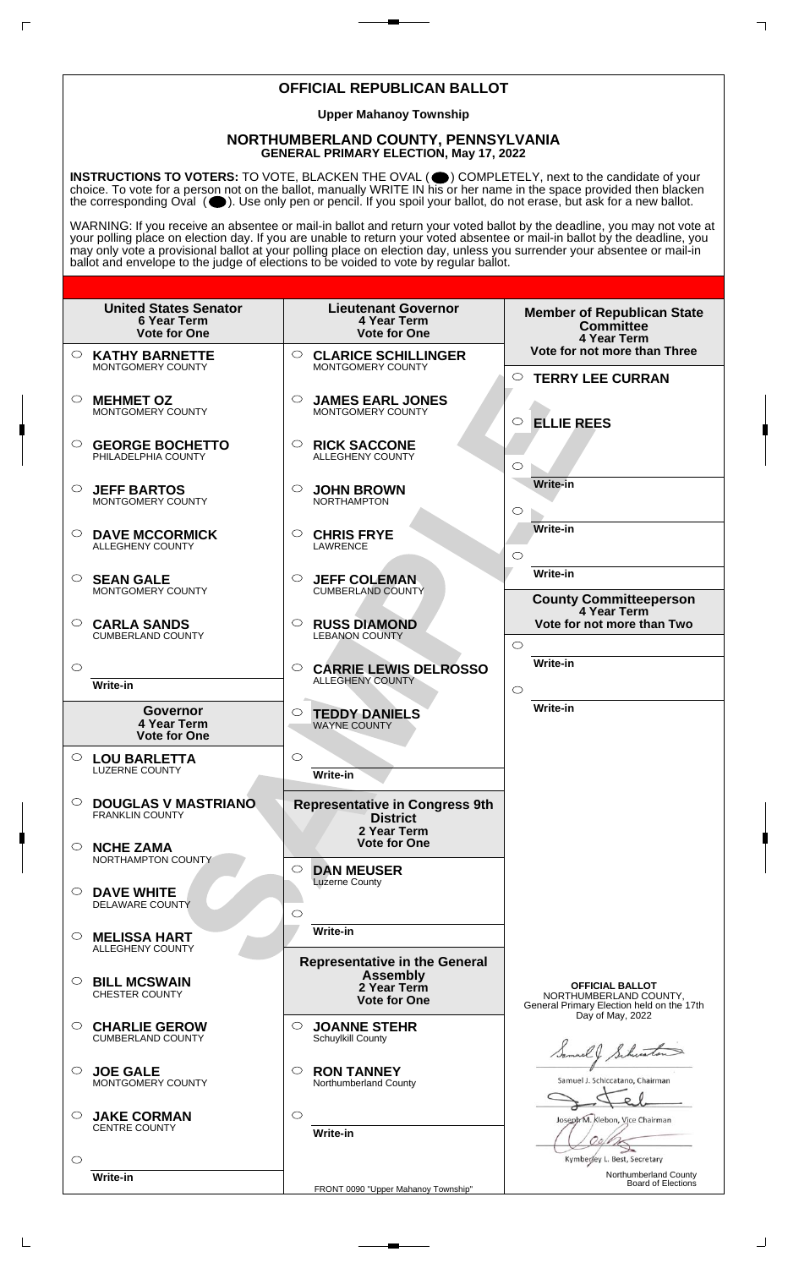**Upper Mahanoy Township**

### **NORTHUMBERLAND COUNTY, PENNSYLVANIA GENERAL PRIMARY ELECTION, May 17, 2022**

**INSTRUCTIONS TO VOTERS:** TO VOTE, BLACKEN THE OVAL ( $\bigcirc$ ) COMPLETELY, next to the candidate of your choice. To vote for a person not on the ballot, manually WRITE IN his or her name in the space provided then blacken the corresponding Oval (  $\bigcirc$  ). Use only pen or pencil. If you spoil your ballot, do not erase, but ask for a new ballot.

WARNING: If you receive an absentee or mail-in ballot and return your voted ballot by the deadline, you may not vote at your polling place on election day. If you are unable to return your voted absentee or mail-in ballot by the deadline, you may only vote a provisional ballot at your polling place on election day, unless you surrender your absentee or mail-in ballot and envelope to the judge of elections to be voided to vote by regular ballot.

|                     | <b>United States Senator</b><br><b>6 Year Term</b><br><b>Vote for One</b> | <b>Lieutenant Governor</b><br>4 Year Term<br><b>Vote for One</b>             | <b>Member of Republican State</b><br><b>Committee</b><br>4 Year Term                          |
|---------------------|---------------------------------------------------------------------------|------------------------------------------------------------------------------|-----------------------------------------------------------------------------------------------|
|                     | $\circ$ KATHY BARNETTE<br>MONTGOMERY COUNTY                               | $\circ$<br><b>CLARICE SCHILLINGER</b><br><b>MONTGOMERY COUNTY</b>            | Vote for not more than Three<br><b>TERRY LEE CURRAN</b><br>O                                  |
| $\circ$             | <b>MEHMET OZ</b><br>MONTGOMERY COUNTY                                     | $\circ$<br><b>JAMES EARL JONES</b><br>MONTGOMERY COUNTY                      | <b>ELLIE REES</b><br>$\circ$                                                                  |
| $\bigcirc$          | <b>GEORGE BOCHETTO</b><br>PHILADELPHIA COUNTY                             | <b>RICK SACCONE</b><br>$\circ$<br>ALLEGHENY COUNTY                           | $\circlearrowright$                                                                           |
| $\circ$             | <b>JEFF BARTOS</b><br><b>MONTGOMERY COUNTY</b>                            | $\circ$<br><b>JOHN BROWN</b><br><b>NORTHAMPTON</b>                           | <b>Write-in</b><br>$\circ$                                                                    |
| $\circ$             | <b>DAVE MCCORMICK</b><br><b>ALLEGHENY COUNTY</b>                          | $\circ$<br><b>CHRIS FRYE</b><br><b>LAWRENCE</b>                              | <b>Write-in</b><br>$\circ$                                                                    |
| $\circ$             | <b>SEAN GALE</b><br>MONTGOMERY COUNTY                                     | $\circ$<br><b>JEFF COLEMAN</b><br><b>CUMBERLAND COUNTY</b>                   | <b>Write-in</b><br><b>County Committeeperson</b><br>4 Year Term                               |
| $\circ$             | <b>CARLA SANDS</b><br><b>CUMBERLAND COUNTY</b>                            | <b>RUSS DIAMOND</b><br>$\circ$<br><b>LEBANON COUNTY</b>                      | Vote for not more than Two<br>$\circ$                                                         |
| $\circlearrowright$ | <b>Write-in</b>                                                           | <b>CARRIE LEWIS DELROSSO</b><br>$\circ$<br><b>ALLEGHENY COUNTY</b>           | <b>Write-in</b><br>$\circ$                                                                    |
|                     | <b>Governor</b><br>4 Year Term<br><b>Vote for One</b>                     | <b>TEDDY DANIELS</b><br>O<br><b>WAYNE COUNTY</b>                             | <b>Write-in</b>                                                                               |
|                     | $\circ$ LOU BARLETTA<br>LUZERNE COUNTY                                    | $\circ$<br><b>Write-in</b>                                                   |                                                                                               |
| $\circ$             | <b>DOUGLAS V MASTRIANO</b><br><b>FRANKLIN COUNTY</b>                      | <b>Representative in Congress 9th</b><br><b>District</b><br>2 Year Term      |                                                                                               |
|                     | $\circ$ NCHE ZAMA<br>NORTHAMPTON COUNTY                                   | <b>Vote for One</b><br>$\circ$<br><b>DAN MEUSER</b><br><b>Luzerne County</b> |                                                                                               |
| O                   | <b>DAVE WHITE</b><br><b>DELAWARE COUNTY</b>                               | $\circ$                                                                      |                                                                                               |
| $\circ$             | <b>MELISSA HART</b><br><b>ALLEGHENY COUNTY</b>                            | Write-in<br><b>Representative in the General</b>                             |                                                                                               |
| O                   | <b>BILL MCSWAIN</b><br><b>CHESTER COUNTY</b>                              | <b>Assembly</b><br>2 Year Term<br><b>Vote for One</b>                        | <b>OFFICIAL BALLOT</b><br>NORTHUMBERLAND COUNTY,<br>General Primary Election held on the 17th |
| O                   | <b>CHARLIE GEROW</b><br><b>CUMBERLAND COUNTY</b>                          | <b>JOANNE STEHR</b><br>O<br>Schuylkill County                                | Day of May, 2022                                                                              |
| $\circlearrowright$ | <b>JOE GALE</b><br>MONTGOMERY COUNTY                                      | <b>RON TANNEY</b><br>$\circ$<br>Northumberland County                        | Samuel J. Schiccatano, Chairman                                                               |
| O                   | <b>JAKE CORMAN</b><br><b>CENTRE COUNTY</b>                                | $\circ$<br><b>Write-in</b>                                                   | Joseph M. Klebon, Vice Chairman<br>0010                                                       |
| $\circlearrowright$ |                                                                           |                                                                              | Kymberley L. Best, Secretary                                                                  |
|                     | Write-in                                                                  | FRONT 0090 "Upper Mahanoy Township"                                          | Northumberland County<br>Board of Elections                                                   |

للمسترد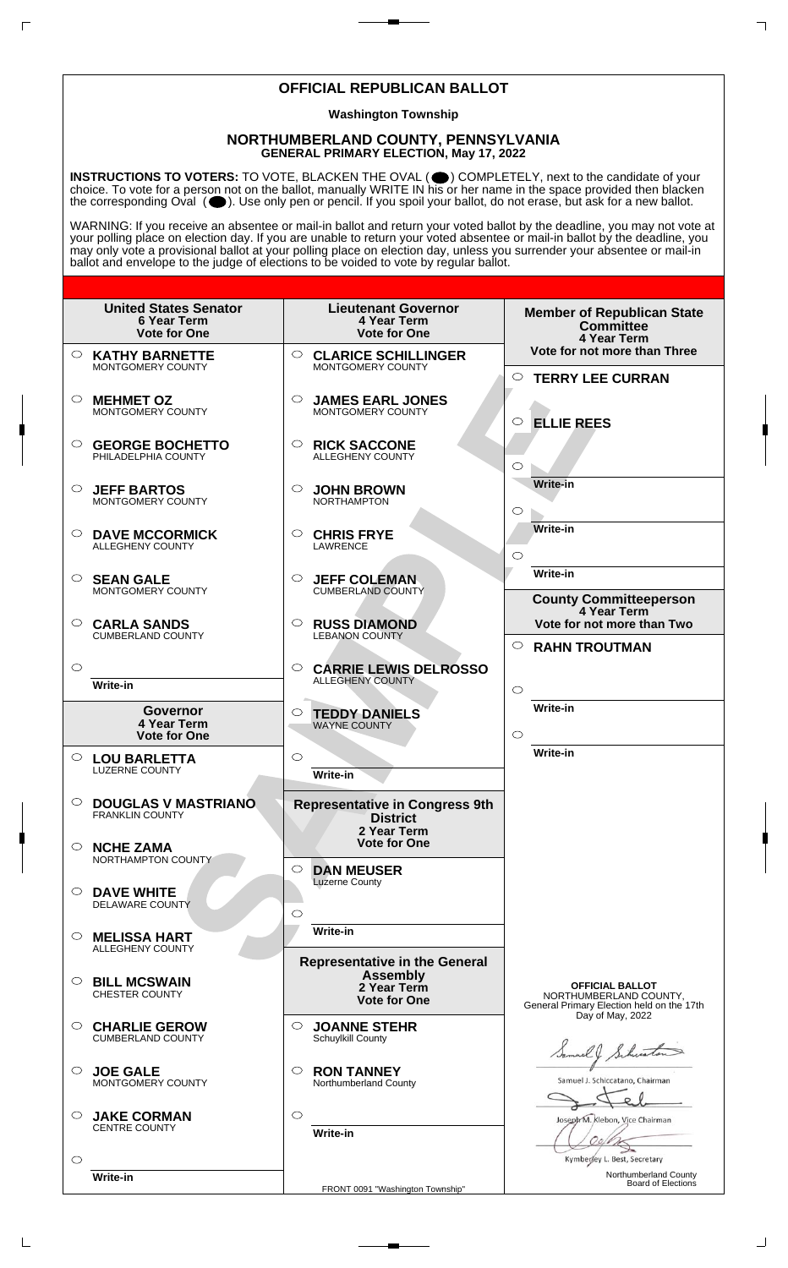$\Gamma$ 

 $\Box$ 

**Washington Township**

### **NORTHUMBERLAND COUNTY, PENNSYLVANIA GENERAL PRIMARY ELECTION, May 17, 2022**

**INSTRUCTIONS TO VOTERS:** TO VOTE, BLACKEN THE OVAL ( $\bigcirc$ ) COMPLETELY, next to the candidate of your choice. To vote for a person not on the ballot, manually WRITE IN his or her name in the space provided then blacken the corresponding Oval (  $\bigcirc$  ). Use only pen or pencil. If you spoil your ballot, do not erase, but ask for a new ballot.

WARNING: If you receive an absentee or mail-in ballot and return your voted ballot by the deadline, you may not vote at your polling place on election day. If you are unable to return your voted absentee or mail-in ballot by the deadline, you may only vote a provisional ballot at your polling place on election day, unless you surrender your absentee or mail-in ballot and envelope to the judge of elections to be voided to vote by regular ballot.

| <b>United States Senator</b><br><b>6 Year Term</b><br><b>Vote for One</b> | <b>Lieutenant Governor</b><br>4 Year Term<br><b>Vote for One</b>        | <b>Member of Republican State</b><br><b>Committee</b><br>4 Year Term                          |
|---------------------------------------------------------------------------|-------------------------------------------------------------------------|-----------------------------------------------------------------------------------------------|
| $\circ$<br><b>KATHY BARNETTE</b><br>MONTGOMERY COUNTY                     | O<br><b>CLARICE SCHILLINGER</b><br>MONTGOMERY COUNTY                    | Vote for not more than Three<br>$\circ$ TERRY LEE CURRAN                                      |
| $\circ$<br><b>MEHMET OZ</b><br>MONTGOMERY COUNTY                          | $\circ$<br><b>JAMES EARL JONES</b><br>MONTGOMERY COUNTY                 | <b>ELLIE REES</b><br>$\circ$                                                                  |
| <b>GEORGE BOCHETTO</b><br>$\circ$<br>PHILADELPHIA COUNTY                  | <b>RICK SACCONE</b><br>O<br>ALLEGHENY COUNTY                            | $\circ$                                                                                       |
| $\circ$<br><b>JEFF BARTOS</b><br>MONTGOMERY COUNTY                        | $\circlearrowright$<br><b>JOHN BROWN</b><br><b>NORTHAMPTON</b>          | <b>Write-in</b><br>$\circ$                                                                    |
| O DAVE MCCORMICK<br><b>ALLEGHENY COUNTY</b>                               | $\circ$<br><b>CHRIS FRYE</b><br>LAWRENCE                                | <b>Write-in</b><br>$\circ$                                                                    |
| $\circ$<br><b>SEAN GALE</b><br>MONTGOMERY COUNTY                          | $\circ$<br><b>JEFF COLEMAN</b><br><b>CUMBERLAND COUNTY</b>              | <b>Write-in</b><br><b>County Committeeperson</b><br>4 Year Term                               |
| $\circ$<br><b>CARLA SANDS</b><br><b>CUMBERLAND COUNTY</b>                 | <b>RUSS DIAMOND</b><br>O<br><b>LEBANON COUNTY</b>                       | Vote for not more than Two<br>$\circ$ RAHN TROUTMAN                                           |
| $\circ$<br><b>Write-in</b>                                                | <b>CARRIE LEWIS DELROSSO</b><br>$\circlearrowright$<br>ALLEGHENY COUNTY | $\circ$                                                                                       |
| <b>Governor</b><br>4 Year Term<br><b>Vote for One</b>                     | O<br><b>TEDDY DANIELS</b><br><b>WAYNE COUNTY</b>                        | <b>Write-in</b><br>$\circ$                                                                    |
| $\circ$ LOU BARLETTA<br><b>LUZERNE COUNTY</b>                             | $\circlearrowright$<br><b>Write-in</b>                                  | <b>Write-in</b>                                                                               |
| <b>DOUGLAS V MASTRIANO</b><br>$\circ$<br><b>FRANKLIN COUNTY</b>           | <b>Representative in Congress 9th</b><br><b>District</b><br>2 Year Term |                                                                                               |
| $\circ$ NCHE ZAMA<br>NORTHAMPTON COUNTY                                   | <b>Vote for One</b><br>$\circlearrowright$<br><b>DAN MEUSER</b>         |                                                                                               |
| <b>DAVE WHITE</b><br>$\circ$<br><b>DELAWARE COUNTY</b>                    | Luzerne County<br>$\circlearrowright$                                   |                                                                                               |
| <b>MELISSA HART</b><br>$\circ$<br><b>ALLEGHENY COUNTY</b>                 | <b>Write-in</b><br><b>Representative in the General</b>                 |                                                                                               |
| <b>BILL MCSWAIN</b><br>$\circ$<br>CHESTER COUNTY                          | <b>Assembly</b><br>2 Year Term<br><b>Vote for One</b>                   | <b>OFFICIAL BALLOT</b><br>NORTHUMBERLAND COUNTY,<br>General Primary Election held on the 17th |
| $\circ$<br><b>CHARLIE GEROW</b><br><b>CUMBERLAND COUNTY</b>               | $\circ$<br><b>JOANNE STEHR</b><br>Schuylkill County                     | Day of May, 2022<br>muell Schweiten                                                           |
| $\circ$<br><b>JOE GALE</b><br>MONTGOMERY COUNTY                           | <b>RON TANNEY</b><br>O<br>Northumberland County                         | Samuel J. Schiccatano, Chairman                                                               |
| <b>JAKE CORMAN</b><br>$\circ$<br><b>CENTRE COUNTY</b>                     | $\circlearrowright$<br>Write-in                                         | Joseph M. Klebon, Vice Chairman<br>00.0                                                       |
| $\circlearrowright$                                                       |                                                                         | Kymberley L. Best, Secretary                                                                  |
| Write-in                                                                  | FRONT 0091 "Washington Township"                                        | Northumberland County<br>Board of Elections                                                   |

للمسترد

 $\overline{\phantom{a}}$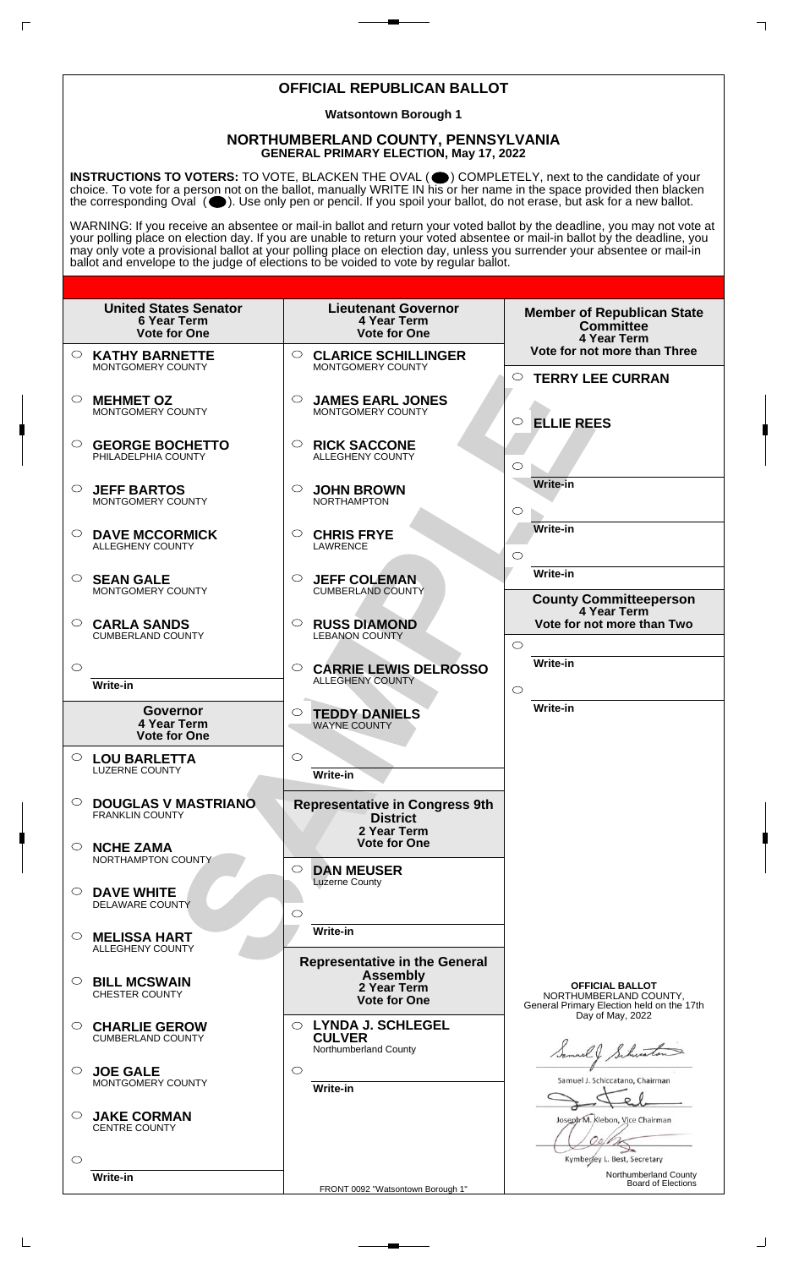**Watsontown Borough 1**

#### **NORTHUMBERLAND COUNTY, PENNSYLVANIA GENERAL PRIMARY ELECTION, May 17, 2022**

**INSTRUCTIONS TO VOTERS:** TO VOTE, BLACKEN THE OVAL ( $\bigcirc$ ) COMPLETELY, next to the candidate of your choice. To vote for a person not on the ballot, manually WRITE IN his or her name in the space provided then blacken the corresponding Oval (  $\bigcirc$  ). Use only pen or pencil. If you spoil your ballot, do not erase, but ask for a new ballot.

WARNING: If you receive an absentee or mail-in ballot and return your voted ballot by the deadline, you may not vote at your polling place on election day. If you are unable to return your voted absentee or mail-in ballot by the deadline, you may only vote a provisional ballot at your polling place on election day, unless you surrender your absentee or mail-in ballot and envelope to the judge of elections to be voided to vote by regular ballot.

|                     | <b>United States Senator</b><br><b>6 Year Term</b><br><b>Vote for One</b> | <b>Lieutenant Governor</b><br>4 Year Term<br><b>Vote for One</b>                 | <b>Member of Republican State</b><br>Committee<br>4 Year Term                                 |
|---------------------|---------------------------------------------------------------------------|----------------------------------------------------------------------------------|-----------------------------------------------------------------------------------------------|
|                     | $\circ$ KATHY BARNETTE<br>MONTGOMERY COUNTY                               | $\circ$<br><b>CLARICE SCHILLINGER</b><br><b>MONTGOMERY COUNTY</b>                | Vote for not more than Three<br><b>TERRY LEE CURRAN</b><br>O                                  |
| $\circ$             | <b>MEHMET OZ</b><br>MONTGOMERY COUNTY                                     | $\circ$<br><b>JAMES EARL JONES</b><br>MONTGOMERY COUNTY                          | <b>ELLIE REES</b><br>$\circ$                                                                  |
| $\bigcirc$          | <b>GEORGE BOCHETTO</b><br>PHILADELPHIA COUNTY                             | <b>RICK SACCONE</b><br>$\circ$<br>ALLEGHENY COUNTY                               | $\circlearrowright$                                                                           |
| $\circ$             | <b>JEFF BARTOS</b><br><b>MONTGOMERY COUNTY</b>                            | $\circ$<br><b>JOHN BROWN</b><br><b>NORTHAMPTON</b>                               | <b>Write-in</b><br>$\circ$                                                                    |
| $\circ$             | <b>DAVE MCCORMICK</b><br><b>ALLEGHENY COUNTY</b>                          | $\circ$<br><b>CHRIS FRYE</b><br><b>LAWRENCE</b>                                  | <b>Write-in</b><br>$\circ$                                                                    |
| $\circ$             | <b>SEAN GALE</b><br>MONTGOMERY COUNTY                                     | $\circ$<br><b>JEFF COLEMAN</b><br><b>CUMBERLAND COUNTY</b>                       | <b>Write-in</b><br><b>County Committeeperson</b><br>4 Year Term                               |
| $\circ$             | <b>CARLA SANDS</b><br><b>CUMBERLAND COUNTY</b>                            | <b>RUSS DIAMOND</b><br>$\circ$<br><b>LEBANON COUNTY</b>                          | Vote for not more than Two<br>$\circ$                                                         |
| $\circlearrowright$ | <b>Write-in</b>                                                           | <b>CARRIE LEWIS DELROSSO</b><br>$\circ$<br>ALLEGHENY COUNTY                      | <b>Write-in</b><br>$\circ$                                                                    |
|                     | <b>Governor</b><br>4 Year Term<br><b>Vote for One</b>                     | <b>TEDDY DANIELS</b><br>O<br><b>WAYNE COUNTY</b>                                 | <b>Write-in</b>                                                                               |
|                     | $\circ$ LOU BARLETTA<br>LUZERNE COUNTY                                    | $\circ$<br><b>Write-in</b>                                                       |                                                                                               |
| $\circ$             | <b>DOUGLAS V MASTRIANO</b><br><b>FRANKLIN COUNTY</b>                      | <b>Representative in Congress 9th</b><br><b>District</b><br>2 Year Term          |                                                                                               |
|                     | $\circ$ NCHE ZAMA<br>NORTHAMPTON COUNTY                                   | <b>Vote for One</b><br>$\circ$<br><b>DAN MEUSER</b>                              |                                                                                               |
| O                   | <b>DAVE WHITE</b><br><b>DELAWARE COUNTY</b>                               | <b>Luzerne County</b><br>$\circ$                                                 |                                                                                               |
| $\circ$             | <b>MELISSA HART</b><br><b>ALLEGHENY COUNTY</b>                            | Write-in<br><b>Representative in the General</b>                                 |                                                                                               |
| O                   | <b>BILL MCSWAIN</b><br><b>CHESTER COUNTY</b>                              | <b>Assembly</b><br>2 Year Term<br><b>Vote for One</b>                            | <b>OFFICIAL BALLOT</b><br>NORTHUMBERLAND COUNTY,<br>General Primary Election held on the 17th |
| $\circ$             | <b>CHARLIE GEROW</b><br><b>CUMBERLAND COUNTY</b>                          | <b>LYNDA J. SCHLEGEL</b><br>$\bigcirc$<br><b>CULVER</b><br>Northumberland County | Day of May, 2022                                                                              |
| $\circlearrowright$ | <b>JOE GALE</b><br>MONTGOMERY COUNTY                                      | $\circ$<br><b>Write-in</b>                                                       | Samuel J. Schiccatano, Chairman                                                               |
| O                   | <b>JAKE CORMAN</b><br><b>CENTRE COUNTY</b>                                |                                                                                  | Joseph M. Klebon, Vice Chairman<br>00.0                                                       |
| $\circlearrowright$ |                                                                           |                                                                                  | Kymberley L. Best, Secretary                                                                  |
|                     | Write-in                                                                  | FRONT 0092 "Watsontown Borough 1"                                                | Northumberland County<br>Board of Elections                                                   |

للمسترد

 $\Gamma$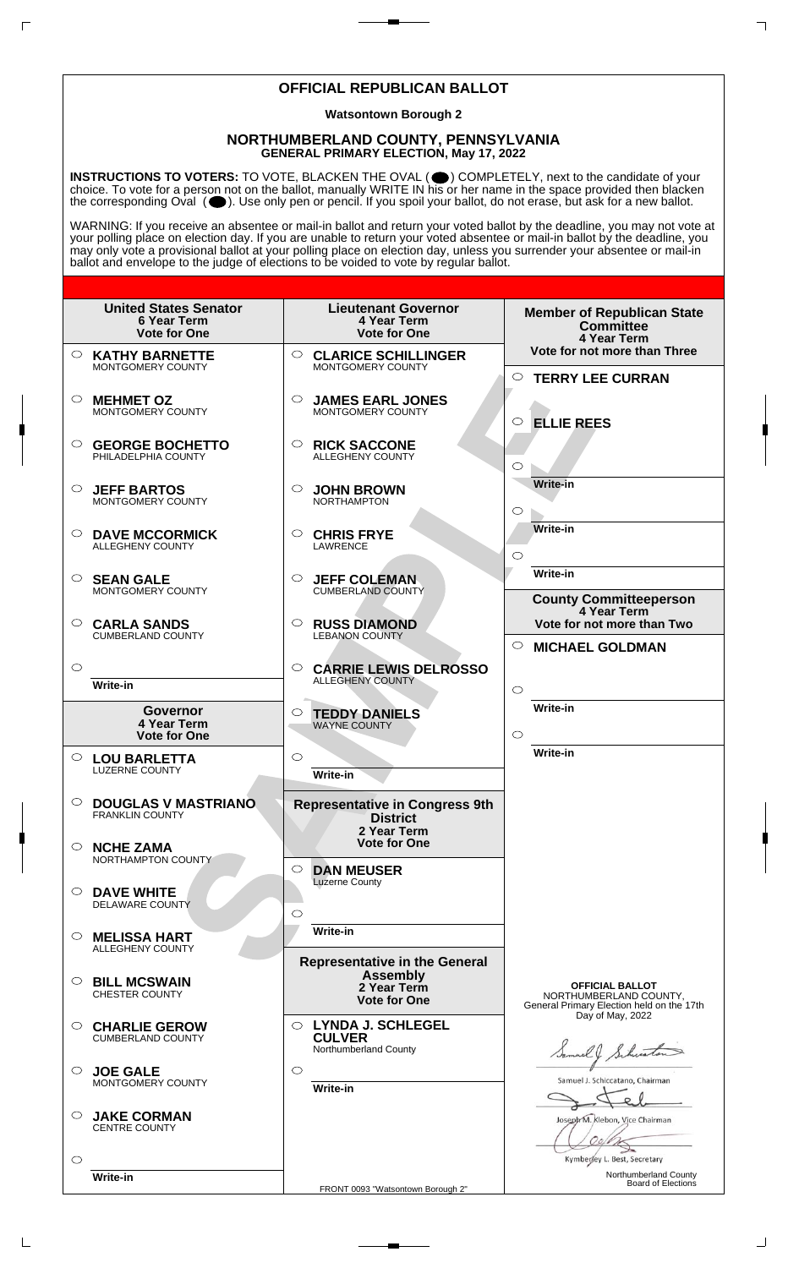**Watsontown Borough 2**

#### **NORTHUMBERLAND COUNTY, PENNSYLVANIA GENERAL PRIMARY ELECTION, May 17, 2022**

**INSTRUCTIONS TO VOTERS:** TO VOTE, BLACKEN THE OVAL ( $\bigcirc$ ) COMPLETELY, next to the candidate of your choice. To vote for a person not on the ballot, manually WRITE IN his or her name in the space provided then blacken the corresponding Oval (  $\bigcirc$  ). Use only pen or pencil. If you spoil your ballot, do not erase, but ask for a new ballot.

WARNING: If you receive an absentee or mail-in ballot and return your voted ballot by the deadline, you may not vote at your polling place on election day. If you are unable to return your voted absentee or mail-in ballot by the deadline, you may only vote a provisional ballot at your polling place on election day, unless you surrender your absentee or mail-in ballot and envelope to the judge of elections to be voided to vote by regular ballot.

|                     | <b>United States Senator</b><br><b>6 Year Term</b><br><b>Vote for One</b> | <b>Lieutenant Governor</b><br>4 Year Term<br><b>Vote for One</b>                 | <b>Member of Republican State</b><br><b>Committee</b><br>4 Year Term                          |
|---------------------|---------------------------------------------------------------------------|----------------------------------------------------------------------------------|-----------------------------------------------------------------------------------------------|
| $\circ$             | <b>KATHY BARNETTE</b><br>MONTGOMERY COUNTY                                | $\circ$<br><b>CLARICE SCHILLINGER</b><br>MONTGOMERY COUNTY                       | Vote for not more than Three<br>O<br><b>TERRY LEE CURRAN</b>                                  |
| $\circ$             | <b>MEHMET OZ</b><br>MONTGOMERY COUNTY                                     | $\circ$<br><b>JAMES EARL JONES</b><br>MONTGOMERY COUNTY                          | $\circlearrowright$<br><b>ELLIE REES</b>                                                      |
| $\bigcirc$          | <b>GEORGE BOCHETTO</b><br>PHILADELPHIA COUNTY                             | <b>RICK SACCONE</b><br>$\circ$<br>ALLEGHENY COUNTY                               | $\circlearrowright$                                                                           |
| $\circ$             | <b>JEFF BARTOS</b><br><b>MONTGOMERY COUNTY</b>                            | $\circ$<br><b>JOHN BROWN</b><br><b>NORTHAMPTON</b>                               | <b>Write-in</b><br>$\circ$                                                                    |
| $\circ$             | <b>DAVE MCCORMICK</b><br>ALLEGHENY COUNTY                                 | $\circ$<br><b>CHRIS FRYE</b><br><b>LAWRENCE</b>                                  | <b>Write-in</b><br>$\circlearrowright$                                                        |
| $\circ$             | <b>SEAN GALE</b><br>MONTGOMERY COUNTY                                     | $\circ$<br><b>JEFF COLEMAN</b><br><b>CUMBERLAND COUNTY</b>                       | <b>Write-in</b><br><b>County Committeeperson</b><br>4 Year Term                               |
| $\circ$             | <b>CARLA SANDS</b><br><b>CUMBERLAND COUNTY</b>                            | <b>RUSS DIAMOND</b><br>$\circ$<br><b>LEBANON COUNTY</b>                          | Vote for not more than Two<br>$\circ$<br><b>MICHAEL GOLDMAN</b>                               |
| $\circlearrowright$ | <b>Write-in</b>                                                           | <b>CARRIE LEWIS DELROSSO</b><br>$\circ$<br>ALLEGHENY COUNTY                      | $\circ$                                                                                       |
|                     | <b>Governor</b><br>4 Year Term<br><b>Vote for One</b>                     | $\circ$<br><b>TEDDY DANIELS</b><br><b>WAYNE COUNTY</b>                           | <b>Write-in</b><br>$\circ$                                                                    |
|                     | $\circ$ LOU BARLETTA<br>LUZERNE COUNTY                                    | $\circ$<br><b>Write-in</b>                                                       | <b>Write-in</b>                                                                               |
| $\circ$             | <b>DOUGLAS V MASTRIANO</b><br><b>FRANKLIN COUNTY</b>                      | <b>Representative in Congress 9th</b><br><b>District</b><br>2 Year Term          |                                                                                               |
|                     | $\circ$ NCHE ZAMA<br>NORTHAMPTON COUNTY                                   | <b>Vote for One</b><br>$\circ$<br><b>DAN MEUSER</b><br><b>Luzerne County</b>     |                                                                                               |
| O                   | <b>DAVE WHITE</b><br><b>DELAWARE COUNTY</b>                               | $\circlearrowright$                                                              |                                                                                               |
| $\circ$             | <b>MELISSA HART</b><br><b>ALLEGHENY COUNTY</b>                            | Write-in<br><b>Representative in the General</b>                                 |                                                                                               |
| O                   | <b>BILL MCSWAIN</b><br>CHESTER COUNTY                                     | <b>Assembly</b><br>2 Year Term<br><b>Vote for One</b>                            | <b>OFFICIAL BALLOT</b><br>NORTHUMBERLAND COUNTY,<br>General Primary Election held on the 17th |
| $\circ$             | <b>CHARLIE GEROW</b><br><b>CUMBERLAND COUNTY</b>                          | <b>LYNDA J. SCHLEGEL</b><br>$\bigcirc$<br><b>CULVER</b><br>Northumberland County | Day of May, 2022<br>I Shunts                                                                  |
| $\circlearrowright$ | <b>JOE GALE</b><br>MONTGOMERY COUNTY                                      | $\circ$<br><b>Write-in</b>                                                       | Samuel J. Schiccatano, Chairman                                                               |
| O                   | <b>JAKE CORMAN</b><br><b>CENTRE COUNTY</b>                                |                                                                                  | Joseph M. Klebon, Vice Chairman<br>00.0                                                       |
| $\circlearrowright$ |                                                                           |                                                                                  | Kymberley L. Best, Secretary                                                                  |
|                     | Write-in                                                                  | FRONT 0093 "Watsontown Borough 2"                                                | Northumberland County<br>Board of Elections                                                   |

للمسترد

 $\Gamma$